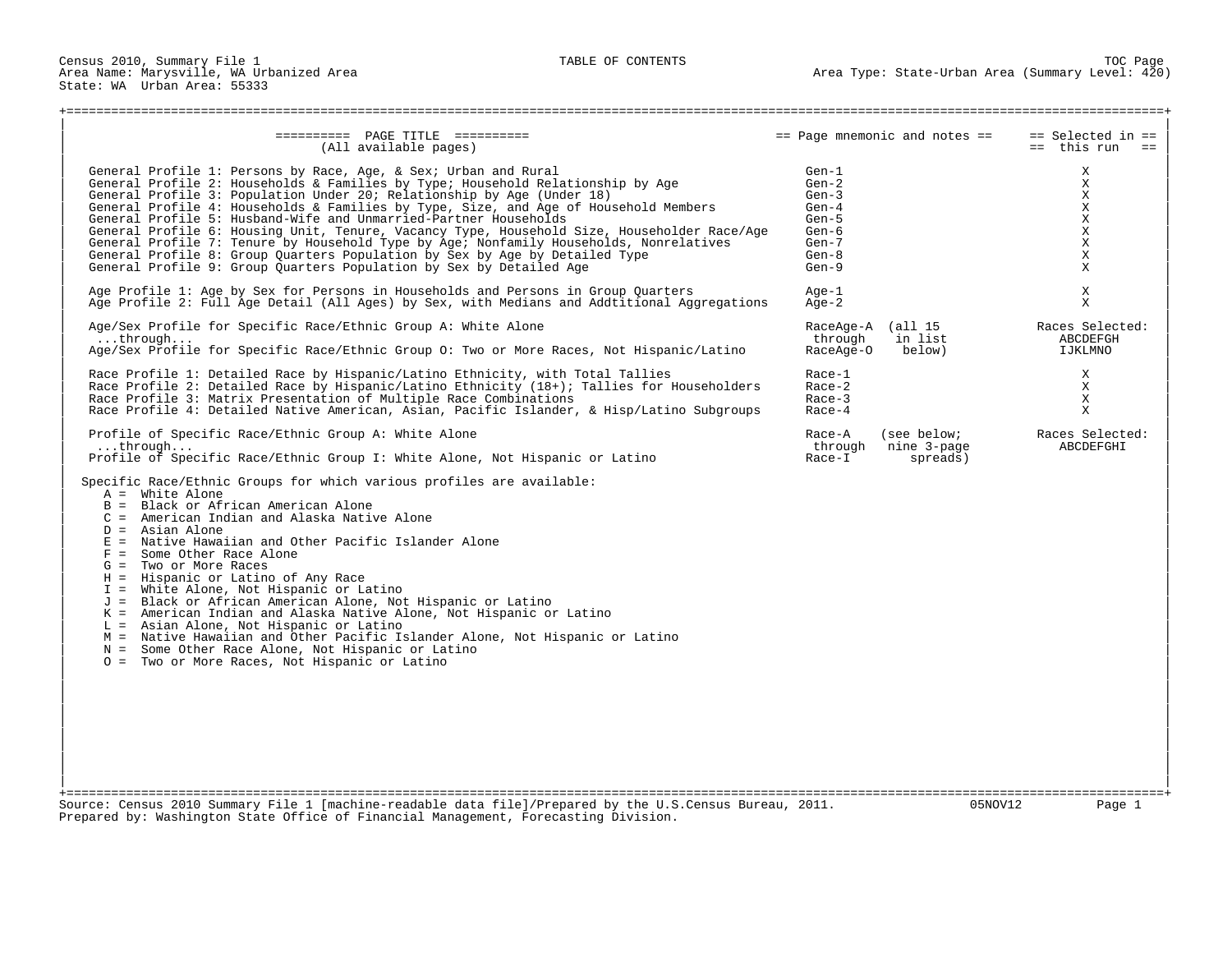State: WA Urban Area: 55333

## +===================================================================================================================================================+ | | | ========== PAGE TITLE ========== == Page mnemonic and notes == == Selected in == | (All available pages) | | | General Profile 1: Persons by Race, Age, & Sex; Urban and Rural Gen-1 X | | General Profile 2: Households & Families by Type; Household Relationship by Age Gen-2 X | ( General Profile 3: Population Under 20; Relationship by Age (Under 18) Gen-3 Gen-3 Gen-3 X (General Profile 4: Households & Families by Type, Size, and Age of Household Members Gen-4 Gen-4 X X | General Profile 4: Households & Families by Type, Size, and Age of Household Members Gen-4 X | | General Profile 5: Husband-Wife and Unmarried-Partner Households Gen-5 X | | General Profile 6: Housing Unit, Tenure, Vacancy Type, Household Size, Householder Race/Age Gen-6 X | | General Profile 7: Tenure by Household Type by Age; Nonfamily Households, Nonrelatives Gen-7 X | General Profile 8: Group Quarters Population by Sex by Age by Detailed Type Gen-8 Gen-8 X X & General Profile 9: Group Quarters Population by Sex by Detailed Age General Profile 9: Group Quarters Population by Sex by Detai General Profile 9: Group Quarters Population by Sex by Detailed Age | | | Age Profile 1: Age by Sex for Persons in Households and Persons in Group Quarters Age-1 X | Age Profile 2: Full Age Detail (All Ages) by Sex, with Medians and Addtitional Aggregations | | Age/Sex Profile for Specific Race/Ethnic Group A: White Alone RaceAge A (all 15 RaceAge-A (all 15 Races Selected:<br>RaceAge-A (all 15 Races Selected: in list a BCDEFGH % through in list abcDEFG:<br>RaceAqe-O below) IJKLMNO Age/Sex Profile for Specific Race/Ethnic Group O: Two or More Races, Not Hispanic/Latino | | | Race Profile 1: Detailed Race by Hispanic/Latino Ethnicity, with Total Tallies Race-1 X | | Race Profile 2: Detailed Race by Hispanic/Latino Ethnicity (18+); Tallies for Householders Race-2 X | | Race Profile 3: Matrix Presentation of Multiple Race Combinations Race-3 X | Race Profile 4: Detailed Native American, Asian, Pacific Islander, & Hisp/Latino Subgroups | | Profile of Specific Race/Ethnic Group A: White Alone Race Records and Race-A (see below; Races Selected: 1.1)<br>Race-A (see below; Races Selected: 1.1) ...through ... Race-A (see below; Races Selected: 1.1) ...through ... | ...through... through nine 3-page ABCDEFGHI | Profile of Specific Race/Ethnic Group I: White Alone, Not Hispanic or Latino | | Specific Race/Ethnic Groups for which various profiles are available:<br> $A =$  White Alone  $\vert$  A = White Alone  $B =$  Black or African American Alone  $C =$  American Indian and Alaska Native Alone  $D =$  Asian Alone  $\Box$  D = Asian Alone  $\Box$ | E = Native Hawaiian and Other Pacific Islander Alone |  $F =$  Some Other Race Alone  $G = Two$  or More Races  $H =$  Hispanic or Latino of Any Race  $I =$  White Alone, Not Hispanic or Latino | J = Black or African American Alone, Not Hispanic or Latino |  $K =$  American Indian and Alaska Native Alone, Not Hispanic or Latino L = Asian Alone, Not Hispanic or Latino | M = Native Hawaiian and Other Pacific Islander Alone, Not Hispanic or Latino |  $N =$  Some Other Race Alone, Not Hispanic or Latino 0 = Two or More Races, Not Hispanic or Latino | | +===================================================================================================================================================+ Source: Census 2010 Summary File 1 [machine-readable data file]/Prepared by the U.S.Census Bureau, 2011.

Prepared by: Washington State Office of Financial Management, Forecasting Division.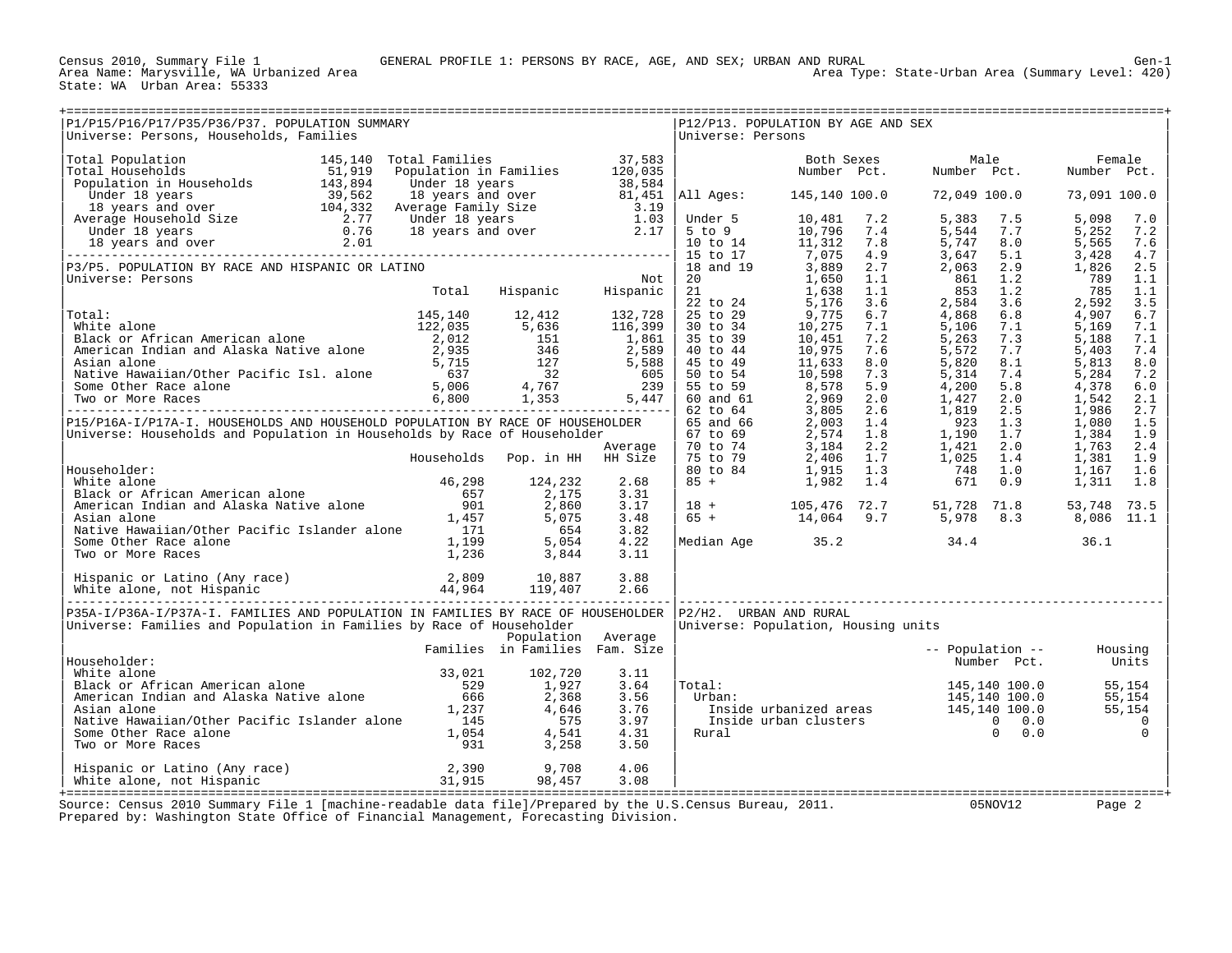State: WA Urban Area: 55333

| P1/P15/P16/P17/P35/P36/P37. POPULATION SUMMARY<br>Universe: Persons, Households, Families                                                                                                                                                              |                                |                                |              | Universe: Persons      | P12/P13. POPULATION BY AGE AND SEX                                                                                                                                                                                                                                                           |                                                                                                                                                                                                                                                                |                              |
|--------------------------------------------------------------------------------------------------------------------------------------------------------------------------------------------------------------------------------------------------------|--------------------------------|--------------------------------|--------------|------------------------|----------------------------------------------------------------------------------------------------------------------------------------------------------------------------------------------------------------------------------------------------------------------------------------------|----------------------------------------------------------------------------------------------------------------------------------------------------------------------------------------------------------------------------------------------------------------|------------------------------|
|                                                                                                                                                                                                                                                        |                                |                                |              |                        | Both Sexes and the season of the season of the season of the season of the season of the season of the season o                                                                                                                                                                              | Male                                                                                                                                                                                                                                                           | Female                       |
|                                                                                                                                                                                                                                                        |                                |                                |              |                        |                                                                                                                                                                                                                                                                                              | Number Pct. Number Pct.                                                                                                                                                                                                                                        | Number Pct.                  |
|                                                                                                                                                                                                                                                        |                                |                                |              |                        |                                                                                                                                                                                                                                                                                              |                                                                                                                                                                                                                                                                |                              |
|                                                                                                                                                                                                                                                        |                                |                                |              |                        | All Ages: 145,140 100.0                                                                                                                                                                                                                                                                      | 72,049 100.0                                                                                                                                                                                                                                                   | 73,091 100.0                 |
|                                                                                                                                                                                                                                                        |                                |                                |              |                        |                                                                                                                                                                                                                                                                                              |                                                                                                                                                                                                                                                                | 5,098<br>7.0                 |
|                                                                                                                                                                                                                                                        |                                |                                |              |                        |                                                                                                                                                                                                                                                                                              |                                                                                                                                                                                                                                                                | 5,252<br>7.2                 |
|                                                                                                                                                                                                                                                        |                                |                                |              |                        |                                                                                                                                                                                                                                                                                              |                                                                                                                                                                                                                                                                | 5,565<br>7.6                 |
|                                                                                                                                                                                                                                                        |                                |                                |              |                        | 111 11302<br>Under 5<br>5 to 9<br>10 to 14<br>11,312<br>7,075<br>15<br>16 17<br>7,075<br>4.9<br>7,075<br>4.9<br>7,075<br>4.9<br>7,075<br>4.9<br>7,075<br>4.9<br>7,075<br>4.9<br>7,075<br>4.9<br>7,075<br>4.9<br>7,18<br>11,638<br>1.1.638<br>1.1.638<br>1.1.638<br>1.1.638<br>1.1.638<br>1.1 | 7.2 5, 383 7.5<br>7.4 5, 544 7.7<br>4.9 5, 744 8.1<br>2.7 2, 063 2.9<br>1.1 861 1.2<br>861 1.2<br>863 1.2<br>863 1.2<br>863 1.2<br>863 1.2<br>5, 263 3.6<br>6.7 4, 868 6.8<br>7.1 5, 106 7.1<br>7.2 5, 263 7.7<br>8.0 5, 820 8.1<br>7.3 5, 314 7.4<br>5.9 4, 2 | 3,428<br>4.7                 |
| P3/P5. POPULATION BY RACE AND HISPANIC OR LATINO<br>Universe: Persons                                                                                                                                                                                  |                                |                                | Not          |                        |                                                                                                                                                                                                                                                                                              |                                                                                                                                                                                                                                                                | 1,826<br>2.5<br>789<br>1.1   |
|                                                                                                                                                                                                                                                        | Total                          | Not<br>Hispanic Hispanic       |              |                        |                                                                                                                                                                                                                                                                                              |                                                                                                                                                                                                                                                                | 785<br>1.1                   |
|                                                                                                                                                                                                                                                        |                                |                                |              |                        |                                                                                                                                                                                                                                                                                              |                                                                                                                                                                                                                                                                | 2,592<br>3.5                 |
|                                                                                                                                                                                                                                                        |                                |                                |              |                        |                                                                                                                                                                                                                                                                                              |                                                                                                                                                                                                                                                                | 4,907<br>6.7                 |
|                                                                                                                                                                                                                                                        |                                |                                |              |                        |                                                                                                                                                                                                                                                                                              |                                                                                                                                                                                                                                                                | 5,169<br>7.1                 |
|                                                                                                                                                                                                                                                        |                                |                                |              |                        |                                                                                                                                                                                                                                                                                              |                                                                                                                                                                                                                                                                | 5,188<br>7.1                 |
|                                                                                                                                                                                                                                                        |                                |                                |              |                        |                                                                                                                                                                                                                                                                                              |                                                                                                                                                                                                                                                                | 5,403<br>7.4<br>5,813<br>8.0 |
|                                                                                                                                                                                                                                                        |                                |                                |              |                        |                                                                                                                                                                                                                                                                                              |                                                                                                                                                                                                                                                                | 5,284<br>7.2                 |
|                                                                                                                                                                                                                                                        |                                |                                |              |                        |                                                                                                                                                                                                                                                                                              |                                                                                                                                                                                                                                                                | 4,378<br>6.0                 |
|                                                                                                                                                                                                                                                        |                                |                                |              |                        |                                                                                                                                                                                                                                                                                              |                                                                                                                                                                                                                                                                | 1,542<br>2.1                 |
| Total:<br>Total:<br>White alone<br>White alone<br>Mite alone<br>Black or African American alone<br>American Indian and Alaska Native alone<br>American Indian and Alaska Native alone<br>Asian alone<br>Asian alone<br>Asian alone<br>Asian alone<br>A |                                |                                |              |                        |                                                                                                                                                                                                                                                                                              |                                                                                                                                                                                                                                                                | 1,986<br>2.7                 |
| P15/P16A-I/P17A-I. HOUSEHOLDS AND HOUSEHOLD POPULATION BY RACE OF HOUSEHOLDER                                                                                                                                                                          |                                |                                |              |                        |                                                                                                                                                                                                                                                                                              |                                                                                                                                                                                                                                                                | 1,080<br>1.5                 |
| Universe: Households and Population in Households by Race of Householder                                                                                                                                                                               |                                |                                | Average      |                        |                                                                                                                                                                                                                                                                                              |                                                                                                                                                                                                                                                                | 1,384<br>1.9<br>2.4<br>1,763 |
|                                                                                                                                                                                                                                                        | Households Pop. in HH HH Size  |                                |              |                        |                                                                                                                                                                                                                                                                                              |                                                                                                                                                                                                                                                                | 1,381<br>1.9                 |
| Householder:                                                                                                                                                                                                                                           |                                |                                |              |                        |                                                                                                                                                                                                                                                                                              |                                                                                                                                                                                                                                                                | 1,167<br>1.6                 |
|                                                                                                                                                                                                                                                        |                                |                                | 2.68         |                        |                                                                                                                                                                                                                                                                                              |                                                                                                                                                                                                                                                                | 1.8<br>1,311                 |
|                                                                                                                                                                                                                                                        |                                |                                | 3.31         |                        |                                                                                                                                                                                                                                                                                              |                                                                                                                                                                                                                                                                |                              |
|                                                                                                                                                                                                                                                        |                                |                                | 3.17         |                        | $\begin{array}{cccccccc} 18 & + & & & 105,476 & 72.7 & & 51,728 & 71.8 \\ 65 & + & & & 14,064 & 9.7 & & 5,978 & 8.3 \end{array}$                                                                                                                                                             |                                                                                                                                                                                                                                                                | 53,748 73.5                  |
|                                                                                                                                                                                                                                                        |                                |                                | 3.48<br>3.82 |                        |                                                                                                                                                                                                                                                                                              |                                                                                                                                                                                                                                                                | 8,086 11.1                   |
|                                                                                                                                                                                                                                                        |                                |                                | 4.22         |                        |                                                                                                                                                                                                                                                                                              | Median Age 35.2 34.4 36.1                                                                                                                                                                                                                                      |                              |
| Equisibolder:<br>White alone<br>Black or African American alone<br>Black or African American alone<br>American Indian and Alaska Native alone<br>Asian alone<br>Native Hawaiian/Other Pacific Islander alone<br>Some Other Race alone<br>Two o         |                                |                                | 3.11         |                        |                                                                                                                                                                                                                                                                                              |                                                                                                                                                                                                                                                                |                              |
|                                                                                                                                                                                                                                                        |                                |                                |              |                        |                                                                                                                                                                                                                                                                                              |                                                                                                                                                                                                                                                                |                              |
|                                                                                                                                                                                                                                                        |                                |                                |              |                        |                                                                                                                                                                                                                                                                                              |                                                                                                                                                                                                                                                                |                              |
|                                                                                                                                                                                                                                                        |                                | ------------------------------ |              |                        |                                                                                                                                                                                                                                                                                              |                                                                                                                                                                                                                                                                |                              |
| P35A-I/P36A-I/P37A-I. FAMILIES AND POPULATION IN FAMILIES BY RACE OF HOUSEHOLDER                                                                                                                                                                       |                                |                                |              | P2/H2. URBAN AND RURAL |                                                                                                                                                                                                                                                                                              |                                                                                                                                                                                                                                                                |                              |
| Universe: Families and Population in Families by Race of Householder                                                                                                                                                                                   |                                |                                |              |                        | Universe: Population, Housing units                                                                                                                                                                                                                                                          |                                                                                                                                                                                                                                                                |                              |
|                                                                                                                                                                                                                                                        |                                | Population Average             |              |                        |                                                                                                                                                                                                                                                                                              |                                                                                                                                                                                                                                                                |                              |
|                                                                                                                                                                                                                                                        | Families in Families Fam. Size |                                |              |                        |                                                                                                                                                                                                                                                                                              | -- Population -- Housing                                                                                                                                                                                                                                       |                              |
| Householder:                                                                                                                                                                                                                                           |                                |                                |              |                        |                                                                                                                                                                                                                                                                                              | Number Pct.                                                                                                                                                                                                                                                    | Units                        |
|                                                                                                                                                                                                                                                        |                                |                                | 3.11<br>3.64 | Total:                 |                                                                                                                                                                                                                                                                                              |                                                                                                                                                                                                                                                                |                              |
|                                                                                                                                                                                                                                                        |                                |                                | 3.56         | Urban:                 |                                                                                                                                                                                                                                                                                              |                                                                                                                                                                                                                                                                |                              |
|                                                                                                                                                                                                                                                        |                                |                                | 3.76         |                        |                                                                                                                                                                                                                                                                                              |                                                                                                                                                                                                                                                                |                              |
|                                                                                                                                                                                                                                                        |                                |                                | 3.97         |                        |                                                                                                                                                                                                                                                                                              |                                                                                                                                                                                                                                                                |                              |
|                                                                                                                                                                                                                                                        |                                |                                | 4.31         | Rural                  |                                                                                                                                                                                                                                                                                              | al: $145,140 100.0$ 55,154<br>rban: 145,140 100.0 55,154<br>Inside urbanized areas 145,140 100.0 55,154<br>Inside urban clusters 0 0.0 0<br>ural 0 0.0 0<br>0                                                                                                  |                              |
| Householder:<br>White alone and Alaska Native alone 529 1,927<br>American Indian and Alaska Native alone 529 1,927<br>American Indian and Alaska Native alone 666 2,368<br>Asian alone 1,237 4,646<br>Native Hawaiian/Other Pacific Isla               |                                |                                | 3.50         |                        |                                                                                                                                                                                                                                                                                              |                                                                                                                                                                                                                                                                |                              |
|                                                                                                                                                                                                                                                        |                                |                                | 4.06         |                        |                                                                                                                                                                                                                                                                                              |                                                                                                                                                                                                                                                                |                              |
|                                                                                                                                                                                                                                                        |                                | 98,457                         | 3.08         |                        |                                                                                                                                                                                                                                                                                              |                                                                                                                                                                                                                                                                |                              |
|                                                                                                                                                                                                                                                        |                                |                                |              |                        |                                                                                                                                                                                                                                                                                              |                                                                                                                                                                                                                                                                |                              |

+===================================================================================================================================================+ Source: Census 2010 Summary File 1 [machine-readable data file]/Prepared by the U.S.Census Bureau, 2011. 05NOV12 Page 2 Prepared by: Washington State Office of Financial Management, Forecasting Division.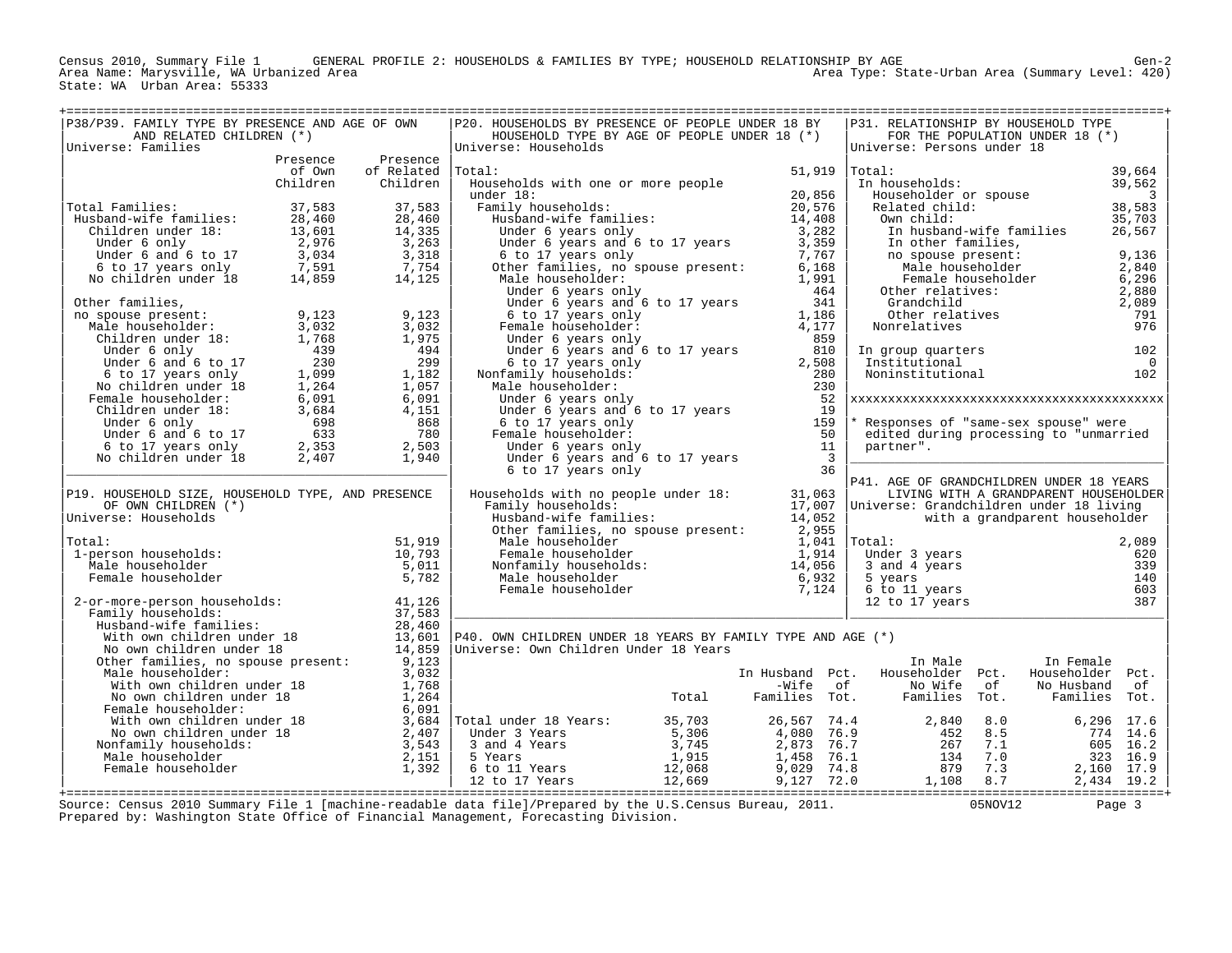Census 2010, Summary File 1 GENERAL PROFILE 2: HOUSEHOLDS & FAMILIES BY TYPE; HOUSEHOLD RELATIONSHIP BY AGE Gen-2 Area Type: State-Urban Area (Summary Level: 420) State: WA Urban Area: 55333

| AND RELATED CHILDREN (*)<br>HOUSEHOLD TYPE BY AGE OF PEOPLE UNDER 18 (*)<br>FOR THE POPULATION UNDER 18 (*)<br>Universe: Families<br>Universe: Households<br>Universe: Persons under 18<br>Presence<br>Presence<br>of Related<br> Total:<br>$51,919$ Total:<br>39,664<br>of Own<br>Children<br>Households with one or more people<br>In households:<br>39,562<br>Children<br>20,856<br>Householder or spouse<br>under 18:<br>3<br>38,583<br>Total Families:<br>37,583<br>37,583<br>Family households:<br>20,576<br>Related child:<br>ner 10.<br>Amily households:<br>Husband-wife families:<br>28,460<br>28,460<br>14,408<br>35,703<br>Husband-wife families:<br>Own child:<br>13,601<br>14,335<br>3,282<br>Children under 18:<br>Under 6 years only<br>In husband-wife families<br>26,567<br>2,976<br>3,263<br>3,359<br>Under 6 only<br>Under 6 years and 6 to 17 years<br>In other families,<br>9,136<br>Under 6 and 6 to 17<br>3,034<br>3,318<br>6 to 17 years only<br>7,767<br>no spouse present:<br>7,591<br>7,754<br>Other families, no spouse present:<br>6,168<br>Male householder<br>2,840<br>6 to 17 years only<br>No children under 18<br>14,859<br>14,125<br>Male householder:<br>1,991<br>Female householder<br>6,296<br>464<br>Other relatives:<br>2,880<br>Under 6 years only<br>Other families,<br>Under 6 years and 6 to 17 years<br>341<br>Grandchild<br>2,089<br>9,123<br>9,123<br>1,186<br>791<br>no spouse present:<br>6 to 17 years only<br>Other relatives<br>Male householder:<br>3,032<br>3,032<br>Female householder:<br>4,177<br>Nonrelatives<br>976<br>1,768<br>1,975<br>859<br>Children under 18:<br>Under 6 years only<br>Under 6 only<br>439<br>494<br>Under 6 years and 6 to 17 years<br>810<br>In group quarters<br>102<br>230<br>299<br>Under 6 and 6 to 17<br>6 to 17 years only<br>2,508<br>Institutional<br>$\overline{0}$<br>1,099<br>1,182<br>6 to 17 years only<br>Nonfamily households:<br>280<br>Noninstitutional<br>102<br>1,264<br>1,057<br>230<br>No children under 18<br>Male householder:<br>6,091<br>52<br>Female householder:<br>6,091<br>Under 6 years only<br>19<br>Children under 18:<br>3,684<br>4,151<br>Under 6 years and 6 to 17 years<br>698<br>159<br>Under 6 only<br>868<br>6 to 17 years only<br>* Responses of "same-sex spouse" were<br>50<br>780<br>Under 6 and 6 to 17<br>633<br>Female householder:<br>edited during processing to "unmarried<br>2,503<br>11<br>6 to 17 years only<br>2,353<br>Under 6 years only<br>partner".<br>No children under 18<br>$\overline{\mathbf{3}}$<br>2,407<br>1,940<br>Under 6 years and 6 to 17 years<br>36<br>6 to 17 years only<br>P41. AGE OF GRANDCHILDREN UNDER 18 YEARS<br>P19. HOUSEHOLD SIZE, HOUSEHOLD TYPE, AND PRESENCE<br>Households with no people under 18:<br>31,063<br>LIVING WITH A GRANDPARENT HOUSEHOLDER<br>17,007 Universe: Grandchildren under 18 living<br>OF OWN CHILDREN (*)<br>Family households:<br>Universe: Households<br>Husband-wife families:<br>14,052<br>with a grandparent householder<br>Other families, no spouse present: 2,955<br>51,919<br>$1,041$ $ Total:$<br>Total:<br>Male householder<br>2,089<br>10,793<br>1-person households:<br>Female householder<br>1,914<br>Under 3 years<br>620<br>5,011<br>Nonfamily households:<br>339<br>Male householder<br>14,056<br>3 and 4 years<br>5,782<br>Male householder<br>140<br>Female householder<br>6,932<br>5 years<br>603<br>Female householder<br>7,124<br>6 to 11 years<br>387<br>2-or-more-person households:<br>41,126<br>12 to 17 years<br>37,583<br>Family households:<br>28,460<br>Husband-wife families:<br>13,601<br>With own children under 18<br>No own children under 18<br>P40. OWN CHILDREN UNDER 18 YEARS BY FAMILY TYPE AND AGE (*)<br>14,859<br>Universe: Own Children Under 18 Years<br>Other families, no spouse present: 9,123<br>In Female<br>In Male<br>3,032<br>Male householder:<br>Householder Pct.<br>Householder Pct.<br>In Husband Pct.<br>With own children under 18<br>1,768<br>-Wife of<br>No Wife<br>of<br>No Husband<br>of<br>With own children under 18<br>No own children under 18<br>Female householder:<br>With own children under 18<br>No own children under 18<br>1,264<br>Total<br>Families Tot.<br>Families<br>Tot.<br>Families<br>Tot.<br>Female householder:<br>6,091<br>3,684 Total under 18 Years:<br>2,407 Under 3 Years<br>35,703<br>2,840<br>8.0<br>6,296<br>17.6<br>26,567<br>74.4<br>5,306<br>8.5<br>4,080 76.9<br>452<br>774<br>14.6<br>3,543<br>3,745<br>Nonfamily households:<br>3 and 4 Years<br>2,873 76.7<br>267<br>7.1<br>605 16.2<br>Male householder<br>2,151<br>1,915<br>5 Years<br>1,458<br>76.1<br>134<br>7.0<br>323 16.9<br>1,392<br>6 to 11 Years<br>12,068<br>9,029 74.8<br>879<br>7.3<br>Female householder<br>2,160 17.9<br>$9,127$ 72.0<br>12 to 17 Years<br>12,669<br>8.7<br>1,108<br>2,434 19.2<br>Source: Census 2010 Summary File 1 [machine-readable data file]/Prepared by the U.S.Census Bureau, 2011.<br>05NOV12<br>Page 3<br>Prepared by: Washington State Office of Financial Management, Forecasting Division. | P38/P39. FAMILY TYPE BY PRESENCE AND AGE OF OWN |  | P20. HOUSEHOLDS BY PRESENCE OF PEOPLE UNDER 18 BY |  | P31. RELATIONSHIP BY HOUSEHOLD TYPE |  |  |
|------------------------------------------------------------------------------------------------------------------------------------------------------------------------------------------------------------------------------------------------------------------------------------------------------------------------------------------------------------------------------------------------------------------------------------------------------------------------------------------------------------------------------------------------------------------------------------------------------------------------------------------------------------------------------------------------------------------------------------------------------------------------------------------------------------------------------------------------------------------------------------------------------------------------------------------------------------------------------------------------------------------------------------------------------------------------------------------------------------------------------------------------------------------------------------------------------------------------------------------------------------------------------------------------------------------------------------------------------------------------------------------------------------------------------------------------------------------------------------------------------------------------------------------------------------------------------------------------------------------------------------------------------------------------------------------------------------------------------------------------------------------------------------------------------------------------------------------------------------------------------------------------------------------------------------------------------------------------------------------------------------------------------------------------------------------------------------------------------------------------------------------------------------------------------------------------------------------------------------------------------------------------------------------------------------------------------------------------------------------------------------------------------------------------------------------------------------------------------------------------------------------------------------------------------------------------------------------------------------------------------------------------------------------------------------------------------------------------------------------------------------------------------------------------------------------------------------------------------------------------------------------------------------------------------------------------------------------------------------------------------------------------------------------------------------------------------------------------------------------------------------------------------------------------------------------------------------------------------------------------------------------------------------------------------------------------------------------------------------------------------------------------------------------------------------------------------------------------------------------------------------------------------------------------------------------------------------------------------------------------------------------------------------------------------------------------------------------------------------------------------------------------------------------------------------------------------------------------------------------------------------------------------------------------------------------------------------------------------------------------------------------------------------------------------------------------------------------------------------------------------------------------------------------------------------------------------------------------------------------------------------------------------------------------------------------------------------------------------------------------------------------------------------------------------------------------------------------------------------------------------------------------------------------------------------------------------------------------------------------------------------------------------------------------------------------------------------------------------------------------------------------------------------------------------------------------------------------------------------------------------------------------------------------------------------------------------------------------------------------------------------------------------------------------------------------------------------------|-------------------------------------------------|--|---------------------------------------------------|--|-------------------------------------|--|--|
|                                                                                                                                                                                                                                                                                                                                                                                                                                                                                                                                                                                                                                                                                                                                                                                                                                                                                                                                                                                                                                                                                                                                                                                                                                                                                                                                                                                                                                                                                                                                                                                                                                                                                                                                                                                                                                                                                                                                                                                                                                                                                                                                                                                                                                                                                                                                                                                                                                                                                                                                                                                                                                                                                                                                                                                                                                                                                                                                                                                                                                                                                                                                                                                                                                                                                                                                                                                                                                                                                                                                                                                                                                                                                                                                                                                                                                                                                                                                                                                                                                                                                                                                                                                                                                                                                                                                                                                                                                                                                                                                                                                                                                                                                                                                                                                                                                                                                                                                                                                                                                                                                          |                                                 |  |                                                   |  |                                     |  |  |
|                                                                                                                                                                                                                                                                                                                                                                                                                                                                                                                                                                                                                                                                                                                                                                                                                                                                                                                                                                                                                                                                                                                                                                                                                                                                                                                                                                                                                                                                                                                                                                                                                                                                                                                                                                                                                                                                                                                                                                                                                                                                                                                                                                                                                                                                                                                                                                                                                                                                                                                                                                                                                                                                                                                                                                                                                                                                                                                                                                                                                                                                                                                                                                                                                                                                                                                                                                                                                                                                                                                                                                                                                                                                                                                                                                                                                                                                                                                                                                                                                                                                                                                                                                                                                                                                                                                                                                                                                                                                                                                                                                                                                                                                                                                                                                                                                                                                                                                                                                                                                                                                                          |                                                 |  |                                                   |  |                                     |  |  |
|                                                                                                                                                                                                                                                                                                                                                                                                                                                                                                                                                                                                                                                                                                                                                                                                                                                                                                                                                                                                                                                                                                                                                                                                                                                                                                                                                                                                                                                                                                                                                                                                                                                                                                                                                                                                                                                                                                                                                                                                                                                                                                                                                                                                                                                                                                                                                                                                                                                                                                                                                                                                                                                                                                                                                                                                                                                                                                                                                                                                                                                                                                                                                                                                                                                                                                                                                                                                                                                                                                                                                                                                                                                                                                                                                                                                                                                                                                                                                                                                                                                                                                                                                                                                                                                                                                                                                                                                                                                                                                                                                                                                                                                                                                                                                                                                                                                                                                                                                                                                                                                                                          |                                                 |  |                                                   |  |                                     |  |  |
|                                                                                                                                                                                                                                                                                                                                                                                                                                                                                                                                                                                                                                                                                                                                                                                                                                                                                                                                                                                                                                                                                                                                                                                                                                                                                                                                                                                                                                                                                                                                                                                                                                                                                                                                                                                                                                                                                                                                                                                                                                                                                                                                                                                                                                                                                                                                                                                                                                                                                                                                                                                                                                                                                                                                                                                                                                                                                                                                                                                                                                                                                                                                                                                                                                                                                                                                                                                                                                                                                                                                                                                                                                                                                                                                                                                                                                                                                                                                                                                                                                                                                                                                                                                                                                                                                                                                                                                                                                                                                                                                                                                                                                                                                                                                                                                                                                                                                                                                                                                                                                                                                          |                                                 |  |                                                   |  |                                     |  |  |
|                                                                                                                                                                                                                                                                                                                                                                                                                                                                                                                                                                                                                                                                                                                                                                                                                                                                                                                                                                                                                                                                                                                                                                                                                                                                                                                                                                                                                                                                                                                                                                                                                                                                                                                                                                                                                                                                                                                                                                                                                                                                                                                                                                                                                                                                                                                                                                                                                                                                                                                                                                                                                                                                                                                                                                                                                                                                                                                                                                                                                                                                                                                                                                                                                                                                                                                                                                                                                                                                                                                                                                                                                                                                                                                                                                                                                                                                                                                                                                                                                                                                                                                                                                                                                                                                                                                                                                                                                                                                                                                                                                                                                                                                                                                                                                                                                                                                                                                                                                                                                                                                                          |                                                 |  |                                                   |  |                                     |  |  |
|                                                                                                                                                                                                                                                                                                                                                                                                                                                                                                                                                                                                                                                                                                                                                                                                                                                                                                                                                                                                                                                                                                                                                                                                                                                                                                                                                                                                                                                                                                                                                                                                                                                                                                                                                                                                                                                                                                                                                                                                                                                                                                                                                                                                                                                                                                                                                                                                                                                                                                                                                                                                                                                                                                                                                                                                                                                                                                                                                                                                                                                                                                                                                                                                                                                                                                                                                                                                                                                                                                                                                                                                                                                                                                                                                                                                                                                                                                                                                                                                                                                                                                                                                                                                                                                                                                                                                                                                                                                                                                                                                                                                                                                                                                                                                                                                                                                                                                                                                                                                                                                                                          |                                                 |  |                                                   |  |                                     |  |  |
|                                                                                                                                                                                                                                                                                                                                                                                                                                                                                                                                                                                                                                                                                                                                                                                                                                                                                                                                                                                                                                                                                                                                                                                                                                                                                                                                                                                                                                                                                                                                                                                                                                                                                                                                                                                                                                                                                                                                                                                                                                                                                                                                                                                                                                                                                                                                                                                                                                                                                                                                                                                                                                                                                                                                                                                                                                                                                                                                                                                                                                                                                                                                                                                                                                                                                                                                                                                                                                                                                                                                                                                                                                                                                                                                                                                                                                                                                                                                                                                                                                                                                                                                                                                                                                                                                                                                                                                                                                                                                                                                                                                                                                                                                                                                                                                                                                                                                                                                                                                                                                                                                          |                                                 |  |                                                   |  |                                     |  |  |
|                                                                                                                                                                                                                                                                                                                                                                                                                                                                                                                                                                                                                                                                                                                                                                                                                                                                                                                                                                                                                                                                                                                                                                                                                                                                                                                                                                                                                                                                                                                                                                                                                                                                                                                                                                                                                                                                                                                                                                                                                                                                                                                                                                                                                                                                                                                                                                                                                                                                                                                                                                                                                                                                                                                                                                                                                                                                                                                                                                                                                                                                                                                                                                                                                                                                                                                                                                                                                                                                                                                                                                                                                                                                                                                                                                                                                                                                                                                                                                                                                                                                                                                                                                                                                                                                                                                                                                                                                                                                                                                                                                                                                                                                                                                                                                                                                                                                                                                                                                                                                                                                                          |                                                 |  |                                                   |  |                                     |  |  |
|                                                                                                                                                                                                                                                                                                                                                                                                                                                                                                                                                                                                                                                                                                                                                                                                                                                                                                                                                                                                                                                                                                                                                                                                                                                                                                                                                                                                                                                                                                                                                                                                                                                                                                                                                                                                                                                                                                                                                                                                                                                                                                                                                                                                                                                                                                                                                                                                                                                                                                                                                                                                                                                                                                                                                                                                                                                                                                                                                                                                                                                                                                                                                                                                                                                                                                                                                                                                                                                                                                                                                                                                                                                                                                                                                                                                                                                                                                                                                                                                                                                                                                                                                                                                                                                                                                                                                                                                                                                                                                                                                                                                                                                                                                                                                                                                                                                                                                                                                                                                                                                                                          |                                                 |  |                                                   |  |                                     |  |  |
|                                                                                                                                                                                                                                                                                                                                                                                                                                                                                                                                                                                                                                                                                                                                                                                                                                                                                                                                                                                                                                                                                                                                                                                                                                                                                                                                                                                                                                                                                                                                                                                                                                                                                                                                                                                                                                                                                                                                                                                                                                                                                                                                                                                                                                                                                                                                                                                                                                                                                                                                                                                                                                                                                                                                                                                                                                                                                                                                                                                                                                                                                                                                                                                                                                                                                                                                                                                                                                                                                                                                                                                                                                                                                                                                                                                                                                                                                                                                                                                                                                                                                                                                                                                                                                                                                                                                                                                                                                                                                                                                                                                                                                                                                                                                                                                                                                                                                                                                                                                                                                                                                          |                                                 |  |                                                   |  |                                     |  |  |
|                                                                                                                                                                                                                                                                                                                                                                                                                                                                                                                                                                                                                                                                                                                                                                                                                                                                                                                                                                                                                                                                                                                                                                                                                                                                                                                                                                                                                                                                                                                                                                                                                                                                                                                                                                                                                                                                                                                                                                                                                                                                                                                                                                                                                                                                                                                                                                                                                                                                                                                                                                                                                                                                                                                                                                                                                                                                                                                                                                                                                                                                                                                                                                                                                                                                                                                                                                                                                                                                                                                                                                                                                                                                                                                                                                                                                                                                                                                                                                                                                                                                                                                                                                                                                                                                                                                                                                                                                                                                                                                                                                                                                                                                                                                                                                                                                                                                                                                                                                                                                                                                                          |                                                 |  |                                                   |  |                                     |  |  |
|                                                                                                                                                                                                                                                                                                                                                                                                                                                                                                                                                                                                                                                                                                                                                                                                                                                                                                                                                                                                                                                                                                                                                                                                                                                                                                                                                                                                                                                                                                                                                                                                                                                                                                                                                                                                                                                                                                                                                                                                                                                                                                                                                                                                                                                                                                                                                                                                                                                                                                                                                                                                                                                                                                                                                                                                                                                                                                                                                                                                                                                                                                                                                                                                                                                                                                                                                                                                                                                                                                                                                                                                                                                                                                                                                                                                                                                                                                                                                                                                                                                                                                                                                                                                                                                                                                                                                                                                                                                                                                                                                                                                                                                                                                                                                                                                                                                                                                                                                                                                                                                                                          |                                                 |  |                                                   |  |                                     |  |  |
|                                                                                                                                                                                                                                                                                                                                                                                                                                                                                                                                                                                                                                                                                                                                                                                                                                                                                                                                                                                                                                                                                                                                                                                                                                                                                                                                                                                                                                                                                                                                                                                                                                                                                                                                                                                                                                                                                                                                                                                                                                                                                                                                                                                                                                                                                                                                                                                                                                                                                                                                                                                                                                                                                                                                                                                                                                                                                                                                                                                                                                                                                                                                                                                                                                                                                                                                                                                                                                                                                                                                                                                                                                                                                                                                                                                                                                                                                                                                                                                                                                                                                                                                                                                                                                                                                                                                                                                                                                                                                                                                                                                                                                                                                                                                                                                                                                                                                                                                                                                                                                                                                          |                                                 |  |                                                   |  |                                     |  |  |
|                                                                                                                                                                                                                                                                                                                                                                                                                                                                                                                                                                                                                                                                                                                                                                                                                                                                                                                                                                                                                                                                                                                                                                                                                                                                                                                                                                                                                                                                                                                                                                                                                                                                                                                                                                                                                                                                                                                                                                                                                                                                                                                                                                                                                                                                                                                                                                                                                                                                                                                                                                                                                                                                                                                                                                                                                                                                                                                                                                                                                                                                                                                                                                                                                                                                                                                                                                                                                                                                                                                                                                                                                                                                                                                                                                                                                                                                                                                                                                                                                                                                                                                                                                                                                                                                                                                                                                                                                                                                                                                                                                                                                                                                                                                                                                                                                                                                                                                                                                                                                                                                                          |                                                 |  |                                                   |  |                                     |  |  |
|                                                                                                                                                                                                                                                                                                                                                                                                                                                                                                                                                                                                                                                                                                                                                                                                                                                                                                                                                                                                                                                                                                                                                                                                                                                                                                                                                                                                                                                                                                                                                                                                                                                                                                                                                                                                                                                                                                                                                                                                                                                                                                                                                                                                                                                                                                                                                                                                                                                                                                                                                                                                                                                                                                                                                                                                                                                                                                                                                                                                                                                                                                                                                                                                                                                                                                                                                                                                                                                                                                                                                                                                                                                                                                                                                                                                                                                                                                                                                                                                                                                                                                                                                                                                                                                                                                                                                                                                                                                                                                                                                                                                                                                                                                                                                                                                                                                                                                                                                                                                                                                                                          |                                                 |  |                                                   |  |                                     |  |  |
|                                                                                                                                                                                                                                                                                                                                                                                                                                                                                                                                                                                                                                                                                                                                                                                                                                                                                                                                                                                                                                                                                                                                                                                                                                                                                                                                                                                                                                                                                                                                                                                                                                                                                                                                                                                                                                                                                                                                                                                                                                                                                                                                                                                                                                                                                                                                                                                                                                                                                                                                                                                                                                                                                                                                                                                                                                                                                                                                                                                                                                                                                                                                                                                                                                                                                                                                                                                                                                                                                                                                                                                                                                                                                                                                                                                                                                                                                                                                                                                                                                                                                                                                                                                                                                                                                                                                                                                                                                                                                                                                                                                                                                                                                                                                                                                                                                                                                                                                                                                                                                                                                          |                                                 |  |                                                   |  |                                     |  |  |
|                                                                                                                                                                                                                                                                                                                                                                                                                                                                                                                                                                                                                                                                                                                                                                                                                                                                                                                                                                                                                                                                                                                                                                                                                                                                                                                                                                                                                                                                                                                                                                                                                                                                                                                                                                                                                                                                                                                                                                                                                                                                                                                                                                                                                                                                                                                                                                                                                                                                                                                                                                                                                                                                                                                                                                                                                                                                                                                                                                                                                                                                                                                                                                                                                                                                                                                                                                                                                                                                                                                                                                                                                                                                                                                                                                                                                                                                                                                                                                                                                                                                                                                                                                                                                                                                                                                                                                                                                                                                                                                                                                                                                                                                                                                                                                                                                                                                                                                                                                                                                                                                                          |                                                 |  |                                                   |  |                                     |  |  |
|                                                                                                                                                                                                                                                                                                                                                                                                                                                                                                                                                                                                                                                                                                                                                                                                                                                                                                                                                                                                                                                                                                                                                                                                                                                                                                                                                                                                                                                                                                                                                                                                                                                                                                                                                                                                                                                                                                                                                                                                                                                                                                                                                                                                                                                                                                                                                                                                                                                                                                                                                                                                                                                                                                                                                                                                                                                                                                                                                                                                                                                                                                                                                                                                                                                                                                                                                                                                                                                                                                                                                                                                                                                                                                                                                                                                                                                                                                                                                                                                                                                                                                                                                                                                                                                                                                                                                                                                                                                                                                                                                                                                                                                                                                                                                                                                                                                                                                                                                                                                                                                                                          |                                                 |  |                                                   |  |                                     |  |  |
|                                                                                                                                                                                                                                                                                                                                                                                                                                                                                                                                                                                                                                                                                                                                                                                                                                                                                                                                                                                                                                                                                                                                                                                                                                                                                                                                                                                                                                                                                                                                                                                                                                                                                                                                                                                                                                                                                                                                                                                                                                                                                                                                                                                                                                                                                                                                                                                                                                                                                                                                                                                                                                                                                                                                                                                                                                                                                                                                                                                                                                                                                                                                                                                                                                                                                                                                                                                                                                                                                                                                                                                                                                                                                                                                                                                                                                                                                                                                                                                                                                                                                                                                                                                                                                                                                                                                                                                                                                                                                                                                                                                                                                                                                                                                                                                                                                                                                                                                                                                                                                                                                          |                                                 |  |                                                   |  |                                     |  |  |
|                                                                                                                                                                                                                                                                                                                                                                                                                                                                                                                                                                                                                                                                                                                                                                                                                                                                                                                                                                                                                                                                                                                                                                                                                                                                                                                                                                                                                                                                                                                                                                                                                                                                                                                                                                                                                                                                                                                                                                                                                                                                                                                                                                                                                                                                                                                                                                                                                                                                                                                                                                                                                                                                                                                                                                                                                                                                                                                                                                                                                                                                                                                                                                                                                                                                                                                                                                                                                                                                                                                                                                                                                                                                                                                                                                                                                                                                                                                                                                                                                                                                                                                                                                                                                                                                                                                                                                                                                                                                                                                                                                                                                                                                                                                                                                                                                                                                                                                                                                                                                                                                                          |                                                 |  |                                                   |  |                                     |  |  |
|                                                                                                                                                                                                                                                                                                                                                                                                                                                                                                                                                                                                                                                                                                                                                                                                                                                                                                                                                                                                                                                                                                                                                                                                                                                                                                                                                                                                                                                                                                                                                                                                                                                                                                                                                                                                                                                                                                                                                                                                                                                                                                                                                                                                                                                                                                                                                                                                                                                                                                                                                                                                                                                                                                                                                                                                                                                                                                                                                                                                                                                                                                                                                                                                                                                                                                                                                                                                                                                                                                                                                                                                                                                                                                                                                                                                                                                                                                                                                                                                                                                                                                                                                                                                                                                                                                                                                                                                                                                                                                                                                                                                                                                                                                                                                                                                                                                                                                                                                                                                                                                                                          |                                                 |  |                                                   |  |                                     |  |  |
|                                                                                                                                                                                                                                                                                                                                                                                                                                                                                                                                                                                                                                                                                                                                                                                                                                                                                                                                                                                                                                                                                                                                                                                                                                                                                                                                                                                                                                                                                                                                                                                                                                                                                                                                                                                                                                                                                                                                                                                                                                                                                                                                                                                                                                                                                                                                                                                                                                                                                                                                                                                                                                                                                                                                                                                                                                                                                                                                                                                                                                                                                                                                                                                                                                                                                                                                                                                                                                                                                                                                                                                                                                                                                                                                                                                                                                                                                                                                                                                                                                                                                                                                                                                                                                                                                                                                                                                                                                                                                                                                                                                                                                                                                                                                                                                                                                                                                                                                                                                                                                                                                          |                                                 |  |                                                   |  |                                     |  |  |
|                                                                                                                                                                                                                                                                                                                                                                                                                                                                                                                                                                                                                                                                                                                                                                                                                                                                                                                                                                                                                                                                                                                                                                                                                                                                                                                                                                                                                                                                                                                                                                                                                                                                                                                                                                                                                                                                                                                                                                                                                                                                                                                                                                                                                                                                                                                                                                                                                                                                                                                                                                                                                                                                                                                                                                                                                                                                                                                                                                                                                                                                                                                                                                                                                                                                                                                                                                                                                                                                                                                                                                                                                                                                                                                                                                                                                                                                                                                                                                                                                                                                                                                                                                                                                                                                                                                                                                                                                                                                                                                                                                                                                                                                                                                                                                                                                                                                                                                                                                                                                                                                                          |                                                 |  |                                                   |  |                                     |  |  |
|                                                                                                                                                                                                                                                                                                                                                                                                                                                                                                                                                                                                                                                                                                                                                                                                                                                                                                                                                                                                                                                                                                                                                                                                                                                                                                                                                                                                                                                                                                                                                                                                                                                                                                                                                                                                                                                                                                                                                                                                                                                                                                                                                                                                                                                                                                                                                                                                                                                                                                                                                                                                                                                                                                                                                                                                                                                                                                                                                                                                                                                                                                                                                                                                                                                                                                                                                                                                                                                                                                                                                                                                                                                                                                                                                                                                                                                                                                                                                                                                                                                                                                                                                                                                                                                                                                                                                                                                                                                                                                                                                                                                                                                                                                                                                                                                                                                                                                                                                                                                                                                                                          |                                                 |  |                                                   |  |                                     |  |  |
|                                                                                                                                                                                                                                                                                                                                                                                                                                                                                                                                                                                                                                                                                                                                                                                                                                                                                                                                                                                                                                                                                                                                                                                                                                                                                                                                                                                                                                                                                                                                                                                                                                                                                                                                                                                                                                                                                                                                                                                                                                                                                                                                                                                                                                                                                                                                                                                                                                                                                                                                                                                                                                                                                                                                                                                                                                                                                                                                                                                                                                                                                                                                                                                                                                                                                                                                                                                                                                                                                                                                                                                                                                                                                                                                                                                                                                                                                                                                                                                                                                                                                                                                                                                                                                                                                                                                                                                                                                                                                                                                                                                                                                                                                                                                                                                                                                                                                                                                                                                                                                                                                          |                                                 |  |                                                   |  |                                     |  |  |
|                                                                                                                                                                                                                                                                                                                                                                                                                                                                                                                                                                                                                                                                                                                                                                                                                                                                                                                                                                                                                                                                                                                                                                                                                                                                                                                                                                                                                                                                                                                                                                                                                                                                                                                                                                                                                                                                                                                                                                                                                                                                                                                                                                                                                                                                                                                                                                                                                                                                                                                                                                                                                                                                                                                                                                                                                                                                                                                                                                                                                                                                                                                                                                                                                                                                                                                                                                                                                                                                                                                                                                                                                                                                                                                                                                                                                                                                                                                                                                                                                                                                                                                                                                                                                                                                                                                                                                                                                                                                                                                                                                                                                                                                                                                                                                                                                                                                                                                                                                                                                                                                                          |                                                 |  |                                                   |  |                                     |  |  |
|                                                                                                                                                                                                                                                                                                                                                                                                                                                                                                                                                                                                                                                                                                                                                                                                                                                                                                                                                                                                                                                                                                                                                                                                                                                                                                                                                                                                                                                                                                                                                                                                                                                                                                                                                                                                                                                                                                                                                                                                                                                                                                                                                                                                                                                                                                                                                                                                                                                                                                                                                                                                                                                                                                                                                                                                                                                                                                                                                                                                                                                                                                                                                                                                                                                                                                                                                                                                                                                                                                                                                                                                                                                                                                                                                                                                                                                                                                                                                                                                                                                                                                                                                                                                                                                                                                                                                                                                                                                                                                                                                                                                                                                                                                                                                                                                                                                                                                                                                                                                                                                                                          |                                                 |  |                                                   |  |                                     |  |  |
|                                                                                                                                                                                                                                                                                                                                                                                                                                                                                                                                                                                                                                                                                                                                                                                                                                                                                                                                                                                                                                                                                                                                                                                                                                                                                                                                                                                                                                                                                                                                                                                                                                                                                                                                                                                                                                                                                                                                                                                                                                                                                                                                                                                                                                                                                                                                                                                                                                                                                                                                                                                                                                                                                                                                                                                                                                                                                                                                                                                                                                                                                                                                                                                                                                                                                                                                                                                                                                                                                                                                                                                                                                                                                                                                                                                                                                                                                                                                                                                                                                                                                                                                                                                                                                                                                                                                                                                                                                                                                                                                                                                                                                                                                                                                                                                                                                                                                                                                                                                                                                                                                          |                                                 |  |                                                   |  |                                     |  |  |
|                                                                                                                                                                                                                                                                                                                                                                                                                                                                                                                                                                                                                                                                                                                                                                                                                                                                                                                                                                                                                                                                                                                                                                                                                                                                                                                                                                                                                                                                                                                                                                                                                                                                                                                                                                                                                                                                                                                                                                                                                                                                                                                                                                                                                                                                                                                                                                                                                                                                                                                                                                                                                                                                                                                                                                                                                                                                                                                                                                                                                                                                                                                                                                                                                                                                                                                                                                                                                                                                                                                                                                                                                                                                                                                                                                                                                                                                                                                                                                                                                                                                                                                                                                                                                                                                                                                                                                                                                                                                                                                                                                                                                                                                                                                                                                                                                                                                                                                                                                                                                                                                                          |                                                 |  |                                                   |  |                                     |  |  |
|                                                                                                                                                                                                                                                                                                                                                                                                                                                                                                                                                                                                                                                                                                                                                                                                                                                                                                                                                                                                                                                                                                                                                                                                                                                                                                                                                                                                                                                                                                                                                                                                                                                                                                                                                                                                                                                                                                                                                                                                                                                                                                                                                                                                                                                                                                                                                                                                                                                                                                                                                                                                                                                                                                                                                                                                                                                                                                                                                                                                                                                                                                                                                                                                                                                                                                                                                                                                                                                                                                                                                                                                                                                                                                                                                                                                                                                                                                                                                                                                                                                                                                                                                                                                                                                                                                                                                                                                                                                                                                                                                                                                                                                                                                                                                                                                                                                                                                                                                                                                                                                                                          |                                                 |  |                                                   |  |                                     |  |  |
|                                                                                                                                                                                                                                                                                                                                                                                                                                                                                                                                                                                                                                                                                                                                                                                                                                                                                                                                                                                                                                                                                                                                                                                                                                                                                                                                                                                                                                                                                                                                                                                                                                                                                                                                                                                                                                                                                                                                                                                                                                                                                                                                                                                                                                                                                                                                                                                                                                                                                                                                                                                                                                                                                                                                                                                                                                                                                                                                                                                                                                                                                                                                                                                                                                                                                                                                                                                                                                                                                                                                                                                                                                                                                                                                                                                                                                                                                                                                                                                                                                                                                                                                                                                                                                                                                                                                                                                                                                                                                                                                                                                                                                                                                                                                                                                                                                                                                                                                                                                                                                                                                          |                                                 |  |                                                   |  |                                     |  |  |
|                                                                                                                                                                                                                                                                                                                                                                                                                                                                                                                                                                                                                                                                                                                                                                                                                                                                                                                                                                                                                                                                                                                                                                                                                                                                                                                                                                                                                                                                                                                                                                                                                                                                                                                                                                                                                                                                                                                                                                                                                                                                                                                                                                                                                                                                                                                                                                                                                                                                                                                                                                                                                                                                                                                                                                                                                                                                                                                                                                                                                                                                                                                                                                                                                                                                                                                                                                                                                                                                                                                                                                                                                                                                                                                                                                                                                                                                                                                                                                                                                                                                                                                                                                                                                                                                                                                                                                                                                                                                                                                                                                                                                                                                                                                                                                                                                                                                                                                                                                                                                                                                                          |                                                 |  |                                                   |  |                                     |  |  |
|                                                                                                                                                                                                                                                                                                                                                                                                                                                                                                                                                                                                                                                                                                                                                                                                                                                                                                                                                                                                                                                                                                                                                                                                                                                                                                                                                                                                                                                                                                                                                                                                                                                                                                                                                                                                                                                                                                                                                                                                                                                                                                                                                                                                                                                                                                                                                                                                                                                                                                                                                                                                                                                                                                                                                                                                                                                                                                                                                                                                                                                                                                                                                                                                                                                                                                                                                                                                                                                                                                                                                                                                                                                                                                                                                                                                                                                                                                                                                                                                                                                                                                                                                                                                                                                                                                                                                                                                                                                                                                                                                                                                                                                                                                                                                                                                                                                                                                                                                                                                                                                                                          |                                                 |  |                                                   |  |                                     |  |  |
|                                                                                                                                                                                                                                                                                                                                                                                                                                                                                                                                                                                                                                                                                                                                                                                                                                                                                                                                                                                                                                                                                                                                                                                                                                                                                                                                                                                                                                                                                                                                                                                                                                                                                                                                                                                                                                                                                                                                                                                                                                                                                                                                                                                                                                                                                                                                                                                                                                                                                                                                                                                                                                                                                                                                                                                                                                                                                                                                                                                                                                                                                                                                                                                                                                                                                                                                                                                                                                                                                                                                                                                                                                                                                                                                                                                                                                                                                                                                                                                                                                                                                                                                                                                                                                                                                                                                                                                                                                                                                                                                                                                                                                                                                                                                                                                                                                                                                                                                                                                                                                                                                          |                                                 |  |                                                   |  |                                     |  |  |
|                                                                                                                                                                                                                                                                                                                                                                                                                                                                                                                                                                                                                                                                                                                                                                                                                                                                                                                                                                                                                                                                                                                                                                                                                                                                                                                                                                                                                                                                                                                                                                                                                                                                                                                                                                                                                                                                                                                                                                                                                                                                                                                                                                                                                                                                                                                                                                                                                                                                                                                                                                                                                                                                                                                                                                                                                                                                                                                                                                                                                                                                                                                                                                                                                                                                                                                                                                                                                                                                                                                                                                                                                                                                                                                                                                                                                                                                                                                                                                                                                                                                                                                                                                                                                                                                                                                                                                                                                                                                                                                                                                                                                                                                                                                                                                                                                                                                                                                                                                                                                                                                                          |                                                 |  |                                                   |  |                                     |  |  |
|                                                                                                                                                                                                                                                                                                                                                                                                                                                                                                                                                                                                                                                                                                                                                                                                                                                                                                                                                                                                                                                                                                                                                                                                                                                                                                                                                                                                                                                                                                                                                                                                                                                                                                                                                                                                                                                                                                                                                                                                                                                                                                                                                                                                                                                                                                                                                                                                                                                                                                                                                                                                                                                                                                                                                                                                                                                                                                                                                                                                                                                                                                                                                                                                                                                                                                                                                                                                                                                                                                                                                                                                                                                                                                                                                                                                                                                                                                                                                                                                                                                                                                                                                                                                                                                                                                                                                                                                                                                                                                                                                                                                                                                                                                                                                                                                                                                                                                                                                                                                                                                                                          |                                                 |  |                                                   |  |                                     |  |  |
|                                                                                                                                                                                                                                                                                                                                                                                                                                                                                                                                                                                                                                                                                                                                                                                                                                                                                                                                                                                                                                                                                                                                                                                                                                                                                                                                                                                                                                                                                                                                                                                                                                                                                                                                                                                                                                                                                                                                                                                                                                                                                                                                                                                                                                                                                                                                                                                                                                                                                                                                                                                                                                                                                                                                                                                                                                                                                                                                                                                                                                                                                                                                                                                                                                                                                                                                                                                                                                                                                                                                                                                                                                                                                                                                                                                                                                                                                                                                                                                                                                                                                                                                                                                                                                                                                                                                                                                                                                                                                                                                                                                                                                                                                                                                                                                                                                                                                                                                                                                                                                                                                          |                                                 |  |                                                   |  |                                     |  |  |
|                                                                                                                                                                                                                                                                                                                                                                                                                                                                                                                                                                                                                                                                                                                                                                                                                                                                                                                                                                                                                                                                                                                                                                                                                                                                                                                                                                                                                                                                                                                                                                                                                                                                                                                                                                                                                                                                                                                                                                                                                                                                                                                                                                                                                                                                                                                                                                                                                                                                                                                                                                                                                                                                                                                                                                                                                                                                                                                                                                                                                                                                                                                                                                                                                                                                                                                                                                                                                                                                                                                                                                                                                                                                                                                                                                                                                                                                                                                                                                                                                                                                                                                                                                                                                                                                                                                                                                                                                                                                                                                                                                                                                                                                                                                                                                                                                                                                                                                                                                                                                                                                                          |                                                 |  |                                                   |  |                                     |  |  |
|                                                                                                                                                                                                                                                                                                                                                                                                                                                                                                                                                                                                                                                                                                                                                                                                                                                                                                                                                                                                                                                                                                                                                                                                                                                                                                                                                                                                                                                                                                                                                                                                                                                                                                                                                                                                                                                                                                                                                                                                                                                                                                                                                                                                                                                                                                                                                                                                                                                                                                                                                                                                                                                                                                                                                                                                                                                                                                                                                                                                                                                                                                                                                                                                                                                                                                                                                                                                                                                                                                                                                                                                                                                                                                                                                                                                                                                                                                                                                                                                                                                                                                                                                                                                                                                                                                                                                                                                                                                                                                                                                                                                                                                                                                                                                                                                                                                                                                                                                                                                                                                                                          |                                                 |  |                                                   |  |                                     |  |  |
|                                                                                                                                                                                                                                                                                                                                                                                                                                                                                                                                                                                                                                                                                                                                                                                                                                                                                                                                                                                                                                                                                                                                                                                                                                                                                                                                                                                                                                                                                                                                                                                                                                                                                                                                                                                                                                                                                                                                                                                                                                                                                                                                                                                                                                                                                                                                                                                                                                                                                                                                                                                                                                                                                                                                                                                                                                                                                                                                                                                                                                                                                                                                                                                                                                                                                                                                                                                                                                                                                                                                                                                                                                                                                                                                                                                                                                                                                                                                                                                                                                                                                                                                                                                                                                                                                                                                                                                                                                                                                                                                                                                                                                                                                                                                                                                                                                                                                                                                                                                                                                                                                          |                                                 |  |                                                   |  |                                     |  |  |
|                                                                                                                                                                                                                                                                                                                                                                                                                                                                                                                                                                                                                                                                                                                                                                                                                                                                                                                                                                                                                                                                                                                                                                                                                                                                                                                                                                                                                                                                                                                                                                                                                                                                                                                                                                                                                                                                                                                                                                                                                                                                                                                                                                                                                                                                                                                                                                                                                                                                                                                                                                                                                                                                                                                                                                                                                                                                                                                                                                                                                                                                                                                                                                                                                                                                                                                                                                                                                                                                                                                                                                                                                                                                                                                                                                                                                                                                                                                                                                                                                                                                                                                                                                                                                                                                                                                                                                                                                                                                                                                                                                                                                                                                                                                                                                                                                                                                                                                                                                                                                                                                                          |                                                 |  |                                                   |  |                                     |  |  |
|                                                                                                                                                                                                                                                                                                                                                                                                                                                                                                                                                                                                                                                                                                                                                                                                                                                                                                                                                                                                                                                                                                                                                                                                                                                                                                                                                                                                                                                                                                                                                                                                                                                                                                                                                                                                                                                                                                                                                                                                                                                                                                                                                                                                                                                                                                                                                                                                                                                                                                                                                                                                                                                                                                                                                                                                                                                                                                                                                                                                                                                                                                                                                                                                                                                                                                                                                                                                                                                                                                                                                                                                                                                                                                                                                                                                                                                                                                                                                                                                                                                                                                                                                                                                                                                                                                                                                                                                                                                                                                                                                                                                                                                                                                                                                                                                                                                                                                                                                                                                                                                                                          |                                                 |  |                                                   |  |                                     |  |  |
|                                                                                                                                                                                                                                                                                                                                                                                                                                                                                                                                                                                                                                                                                                                                                                                                                                                                                                                                                                                                                                                                                                                                                                                                                                                                                                                                                                                                                                                                                                                                                                                                                                                                                                                                                                                                                                                                                                                                                                                                                                                                                                                                                                                                                                                                                                                                                                                                                                                                                                                                                                                                                                                                                                                                                                                                                                                                                                                                                                                                                                                                                                                                                                                                                                                                                                                                                                                                                                                                                                                                                                                                                                                                                                                                                                                                                                                                                                                                                                                                                                                                                                                                                                                                                                                                                                                                                                                                                                                                                                                                                                                                                                                                                                                                                                                                                                                                                                                                                                                                                                                                                          |                                                 |  |                                                   |  |                                     |  |  |
|                                                                                                                                                                                                                                                                                                                                                                                                                                                                                                                                                                                                                                                                                                                                                                                                                                                                                                                                                                                                                                                                                                                                                                                                                                                                                                                                                                                                                                                                                                                                                                                                                                                                                                                                                                                                                                                                                                                                                                                                                                                                                                                                                                                                                                                                                                                                                                                                                                                                                                                                                                                                                                                                                                                                                                                                                                                                                                                                                                                                                                                                                                                                                                                                                                                                                                                                                                                                                                                                                                                                                                                                                                                                                                                                                                                                                                                                                                                                                                                                                                                                                                                                                                                                                                                                                                                                                                                                                                                                                                                                                                                                                                                                                                                                                                                                                                                                                                                                                                                                                                                                                          |                                                 |  |                                                   |  |                                     |  |  |
|                                                                                                                                                                                                                                                                                                                                                                                                                                                                                                                                                                                                                                                                                                                                                                                                                                                                                                                                                                                                                                                                                                                                                                                                                                                                                                                                                                                                                                                                                                                                                                                                                                                                                                                                                                                                                                                                                                                                                                                                                                                                                                                                                                                                                                                                                                                                                                                                                                                                                                                                                                                                                                                                                                                                                                                                                                                                                                                                                                                                                                                                                                                                                                                                                                                                                                                                                                                                                                                                                                                                                                                                                                                                                                                                                                                                                                                                                                                                                                                                                                                                                                                                                                                                                                                                                                                                                                                                                                                                                                                                                                                                                                                                                                                                                                                                                                                                                                                                                                                                                                                                                          |                                                 |  |                                                   |  |                                     |  |  |
|                                                                                                                                                                                                                                                                                                                                                                                                                                                                                                                                                                                                                                                                                                                                                                                                                                                                                                                                                                                                                                                                                                                                                                                                                                                                                                                                                                                                                                                                                                                                                                                                                                                                                                                                                                                                                                                                                                                                                                                                                                                                                                                                                                                                                                                                                                                                                                                                                                                                                                                                                                                                                                                                                                                                                                                                                                                                                                                                                                                                                                                                                                                                                                                                                                                                                                                                                                                                                                                                                                                                                                                                                                                                                                                                                                                                                                                                                                                                                                                                                                                                                                                                                                                                                                                                                                                                                                                                                                                                                                                                                                                                                                                                                                                                                                                                                                                                                                                                                                                                                                                                                          |                                                 |  |                                                   |  |                                     |  |  |
|                                                                                                                                                                                                                                                                                                                                                                                                                                                                                                                                                                                                                                                                                                                                                                                                                                                                                                                                                                                                                                                                                                                                                                                                                                                                                                                                                                                                                                                                                                                                                                                                                                                                                                                                                                                                                                                                                                                                                                                                                                                                                                                                                                                                                                                                                                                                                                                                                                                                                                                                                                                                                                                                                                                                                                                                                                                                                                                                                                                                                                                                                                                                                                                                                                                                                                                                                                                                                                                                                                                                                                                                                                                                                                                                                                                                                                                                                                                                                                                                                                                                                                                                                                                                                                                                                                                                                                                                                                                                                                                                                                                                                                                                                                                                                                                                                                                                                                                                                                                                                                                                                          |                                                 |  |                                                   |  |                                     |  |  |
|                                                                                                                                                                                                                                                                                                                                                                                                                                                                                                                                                                                                                                                                                                                                                                                                                                                                                                                                                                                                                                                                                                                                                                                                                                                                                                                                                                                                                                                                                                                                                                                                                                                                                                                                                                                                                                                                                                                                                                                                                                                                                                                                                                                                                                                                                                                                                                                                                                                                                                                                                                                                                                                                                                                                                                                                                                                                                                                                                                                                                                                                                                                                                                                                                                                                                                                                                                                                                                                                                                                                                                                                                                                                                                                                                                                                                                                                                                                                                                                                                                                                                                                                                                                                                                                                                                                                                                                                                                                                                                                                                                                                                                                                                                                                                                                                                                                                                                                                                                                                                                                                                          |                                                 |  |                                                   |  |                                     |  |  |
|                                                                                                                                                                                                                                                                                                                                                                                                                                                                                                                                                                                                                                                                                                                                                                                                                                                                                                                                                                                                                                                                                                                                                                                                                                                                                                                                                                                                                                                                                                                                                                                                                                                                                                                                                                                                                                                                                                                                                                                                                                                                                                                                                                                                                                                                                                                                                                                                                                                                                                                                                                                                                                                                                                                                                                                                                                                                                                                                                                                                                                                                                                                                                                                                                                                                                                                                                                                                                                                                                                                                                                                                                                                                                                                                                                                                                                                                                                                                                                                                                                                                                                                                                                                                                                                                                                                                                                                                                                                                                                                                                                                                                                                                                                                                                                                                                                                                                                                                                                                                                                                                                          |                                                 |  |                                                   |  |                                     |  |  |
|                                                                                                                                                                                                                                                                                                                                                                                                                                                                                                                                                                                                                                                                                                                                                                                                                                                                                                                                                                                                                                                                                                                                                                                                                                                                                                                                                                                                                                                                                                                                                                                                                                                                                                                                                                                                                                                                                                                                                                                                                                                                                                                                                                                                                                                                                                                                                                                                                                                                                                                                                                                                                                                                                                                                                                                                                                                                                                                                                                                                                                                                                                                                                                                                                                                                                                                                                                                                                                                                                                                                                                                                                                                                                                                                                                                                                                                                                                                                                                                                                                                                                                                                                                                                                                                                                                                                                                                                                                                                                                                                                                                                                                                                                                                                                                                                                                                                                                                                                                                                                                                                                          |                                                 |  |                                                   |  |                                     |  |  |
|                                                                                                                                                                                                                                                                                                                                                                                                                                                                                                                                                                                                                                                                                                                                                                                                                                                                                                                                                                                                                                                                                                                                                                                                                                                                                                                                                                                                                                                                                                                                                                                                                                                                                                                                                                                                                                                                                                                                                                                                                                                                                                                                                                                                                                                                                                                                                                                                                                                                                                                                                                                                                                                                                                                                                                                                                                                                                                                                                                                                                                                                                                                                                                                                                                                                                                                                                                                                                                                                                                                                                                                                                                                                                                                                                                                                                                                                                                                                                                                                                                                                                                                                                                                                                                                                                                                                                                                                                                                                                                                                                                                                                                                                                                                                                                                                                                                                                                                                                                                                                                                                                          |                                                 |  |                                                   |  |                                     |  |  |
|                                                                                                                                                                                                                                                                                                                                                                                                                                                                                                                                                                                                                                                                                                                                                                                                                                                                                                                                                                                                                                                                                                                                                                                                                                                                                                                                                                                                                                                                                                                                                                                                                                                                                                                                                                                                                                                                                                                                                                                                                                                                                                                                                                                                                                                                                                                                                                                                                                                                                                                                                                                                                                                                                                                                                                                                                                                                                                                                                                                                                                                                                                                                                                                                                                                                                                                                                                                                                                                                                                                                                                                                                                                                                                                                                                                                                                                                                                                                                                                                                                                                                                                                                                                                                                                                                                                                                                                                                                                                                                                                                                                                                                                                                                                                                                                                                                                                                                                                                                                                                                                                                          |                                                 |  |                                                   |  |                                     |  |  |
|                                                                                                                                                                                                                                                                                                                                                                                                                                                                                                                                                                                                                                                                                                                                                                                                                                                                                                                                                                                                                                                                                                                                                                                                                                                                                                                                                                                                                                                                                                                                                                                                                                                                                                                                                                                                                                                                                                                                                                                                                                                                                                                                                                                                                                                                                                                                                                                                                                                                                                                                                                                                                                                                                                                                                                                                                                                                                                                                                                                                                                                                                                                                                                                                                                                                                                                                                                                                                                                                                                                                                                                                                                                                                                                                                                                                                                                                                                                                                                                                                                                                                                                                                                                                                                                                                                                                                                                                                                                                                                                                                                                                                                                                                                                                                                                                                                                                                                                                                                                                                                                                                          |                                                 |  |                                                   |  |                                     |  |  |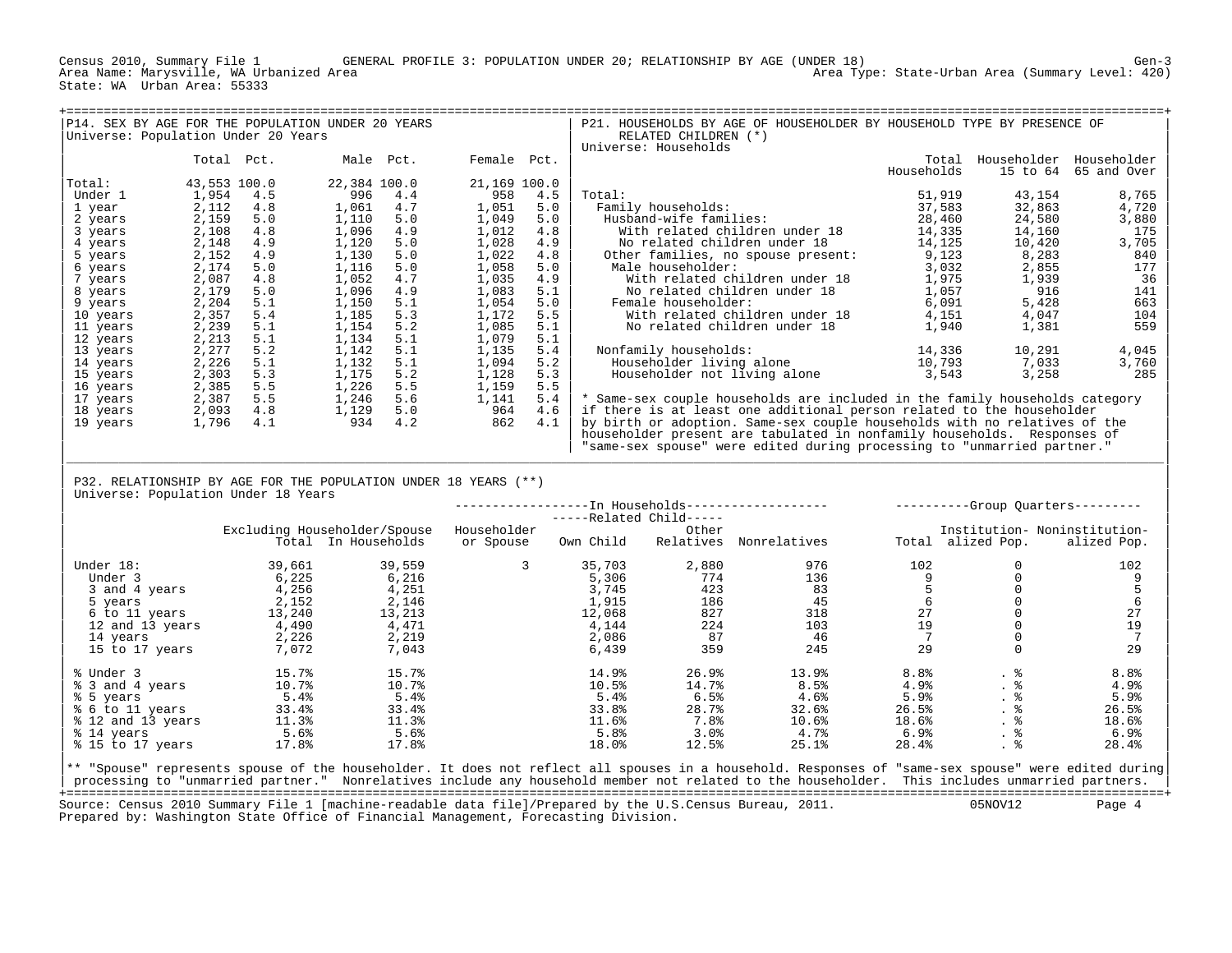Census 2010, Summary File 1 GENERAL PROFILE 3: POPULATION UNDER 20; RELATIONSHIP BY AGE (UNDER 18) Gen-3 Area Type: State-Urban Area (Summary Level: 420) State: WA Urban Area: 55333

| Universe: Population Under 20 Years |                                                                         |     | P14. SEX BY AGE FOR THE POPULATION UNDER 20 YEARS               |           |              |     | P21. HOUSEHOLDS BY AGE OF HOUSEHOLDER BY HOUSEHOLD TYPE BY PRESENCE OF<br>RELATED CHILDREN (*) |                                   |                               |             |  |  |  |
|-------------------------------------|-------------------------------------------------------------------------|-----|-----------------------------------------------------------------|-----------|--------------|-----|------------------------------------------------------------------------------------------------|-----------------------------------|-------------------------------|-------------|--|--|--|
|                                     |                                                                         |     |                                                                 |           |              |     | Universe: Households                                                                           |                                   |                               |             |  |  |  |
|                                     | Total Pct.                                                              |     |                                                                 | Male Pct. | Female Pct.  |     |                                                                                                |                                   | Total Householder Householder |             |  |  |  |
|                                     |                                                                         |     |                                                                 |           |              |     |                                                                                                | Households                        | 15 to 64                      | 65 and Over |  |  |  |
| Total:                              | 43,553 100.0                                                            |     | 22,384 100.0                                                    |           | 21,169 100.0 |     |                                                                                                |                                   |                               |             |  |  |  |
| Under 1                             | 1,954                                                                   | 4.5 | 996                                                             | 4.4       | 958          | 4.5 | Total:                                                                                         | 51,919                            | 43,154                        | 8,765       |  |  |  |
| 1 year                              | 2,112                                                                   | 4.8 | 1,061                                                           | 4.7       | 1,051        | 5.0 | Family households:                                                                             | 37,583                            | 32,863                        | 4,720       |  |  |  |
| 2 years                             | 2,159                                                                   | 5.0 | 1,110                                                           | 5.0       | 1,049        | 5.0 | Husband-wife families:                                                                         | 28,460                            | 24,580                        | 3,880       |  |  |  |
| 3 years                             | 2,108                                                                   | 4.8 | 1,096                                                           | 4.9       | 1,012        | 4.8 | With related children under 18                                                                 | 14,335                            | 14,160                        | 175         |  |  |  |
| 4 years                             | 2,148                                                                   | 4.9 | 1,120                                                           | 5.0       | 1,028        | 4.9 | No related children under 18                                                                   | 14,125                            | 10,420                        | 3,705       |  |  |  |
| 5 years                             | 2,152                                                                   | 4.9 | 1,130                                                           | 5.0       | 1,022        | 4.8 | Other families, no spouse present:                                                             | 9,123                             | 8,283                         | 840         |  |  |  |
| 6 years                             | 2,174                                                                   | 5.0 | 1,116                                                           | 5.0       | 1,058        | 5.0 | Male householder:                                                                              | 3,032                             | 2,855                         | 177         |  |  |  |
| 7 years                             | 2,087                                                                   | 4.8 | 1,052                                                           | 4.7       | 1,035        | 4.9 | With related children under 18                                                                 | 1,975                             | 1,939                         | 36          |  |  |  |
| 8 years                             | 2,179                                                                   | 5.0 | 1,096                                                           | 4.9       | 1,083        | 5.1 | No related children under 18                                                                   | 1,057                             | 916                           | 141         |  |  |  |
| 9 years                             | 2,204                                                                   | 5.1 | 1,150                                                           | 5.1       | 1,054        | 5.0 | Female householder:                                                                            | 6,091                             | 5,428                         | 663         |  |  |  |
| 10 years                            | 2,357                                                                   | 5.4 | 1,185                                                           | 5.3       | 1,172        | 5.5 | With related children under 18                                                                 | 4,151                             | 4,047                         | 104         |  |  |  |
| 11 years                            | 2,239                                                                   | 5.1 | 1,154                                                           | 5.2       | 1,085        | 5.1 | No related children under 18                                                                   | 1,940                             | 1,381                         | 559         |  |  |  |
| 12 years                            | 2,213                                                                   | 5.1 | 1,134                                                           | 5.1       | 1,079        | 5.1 |                                                                                                |                                   |                               |             |  |  |  |
| 13 years                            | 2,277                                                                   | 5.2 | 1,142                                                           | 5.1       | 1,135        | 5.4 | Nonfamily households:                                                                          | 14,336                            | 10,291                        | 4,045       |  |  |  |
| 14 years                            | 2,226                                                                   | 5.1 | 1,132                                                           | 5.1       | 1,094        | 5.2 | Householder living alone                                                                       | 10,793                            | 7,033                         | 3,760       |  |  |  |
| 15 years                            | 2,303                                                                   | 5.3 | 1,175                                                           | 5.2       | 1,128        | 5.3 | Householder not living alone                                                                   | 3,543                             | 3,258                         | 285         |  |  |  |
| 16 years                            | 2,385                                                                   | 5.5 | 1,226                                                           | 5.5       | 1,159        | 5.5 |                                                                                                |                                   |                               |             |  |  |  |
| 17 years                            | 2,387                                                                   | 5.5 | 1,246                                                           | 5.6       | 1,141        | 5.4 | * Same-sex couple households are included in the family households category                    |                                   |                               |             |  |  |  |
| 18 years                            | 2,093                                                                   | 4.8 | 1,129                                                           | 5.0       | 964          | 4.6 | if there is at least one additional person related to the householder                          |                                   |                               |             |  |  |  |
| 19 years                            | 1,796                                                                   | 4.1 | 934                                                             | 4.2       | 862          | 4.1 | by birth or adoption. Same-sex couple households with no relatives of the                      |                                   |                               |             |  |  |  |
|                                     |                                                                         |     |                                                                 |           |              |     | householder present are tabulated in nonfamily households. Responses of                        |                                   |                               |             |  |  |  |
|                                     | "same-sex spouse" were edited during processing to "unmarried partner." |     |                                                                 |           |              |     |                                                                                                |                                   |                               |             |  |  |  |
|                                     |                                                                         |     |                                                                 |           |              |     |                                                                                                |                                   |                               |             |  |  |  |
|                                     |                                                                         |     | P32. RELATIONSHIP BY AGE FOR THE POPULATION UNDER 18 YEARS (**) |           |              |     |                                                                                                |                                   |                               |             |  |  |  |
|                                     | Universe: Population Under 18 Years                                     |     |                                                                 |           |              |     |                                                                                                |                                   |                               |             |  |  |  |
|                                     |                                                                         |     |                                                                 |           |              |     |                                                                                                | ----------Group Quarters--------- |                               |             |  |  |  |

|                   |        |                              |             | -----Related Child----- |           |              |                  |             |                              |
|-------------------|--------|------------------------------|-------------|-------------------------|-----------|--------------|------------------|-------------|------------------------------|
|                   |        | Excluding Householder/Spouse | Householder |                         | Other     |              |                  |             | Institution- Noninstitution- |
|                   |        | Total In Households          | or Spouse   | Own Child               | Relatives | Nonrelatives | Total            | alized Pop. | alized Pop.                  |
| Under 18:         | 39,661 | 39,559                       | 3           | 35,703                  | 2,880     | 976          | 102              |             | 102                          |
|                   |        |                              |             |                         |           |              |                  |             |                              |
| Under 3           | 6,225  | 6,216                        |             | 5,306                   | 774       | 136          |                  |             |                              |
| 3 and 4 years     | 4,256  | 4,251                        |             | 3,745                   | 423       | 83           |                  |             |                              |
| 5 years           | 2,152  | 2,146                        |             | 1,915                   | 186       | 45           |                  |             | 6                            |
| 6 to 11 years     | 13,240 | 13,213                       |             | 12,068                  | 827       | 318          | 27               |             | 27                           |
| 12 and 13 years   | 4,490  | 4,471                        |             | 4,144                   | 224       | 103          | 19               |             | 19                           |
| 14 years          | 2,226  | 2,219                        |             | 2,086                   | 87        | 46           |                  |             |                              |
| 15 to 17 years    | 7,072  | 7,043                        |             | 6,439                   | 359       | 245          | 29               | $\Omega$    | 29                           |
| % Under 3         | 15.7%  | 15.7%                        |             | 14.9%                   | 26.9%     | 13.9%        | 8.8 <sup>°</sup> |             | 8.8%                         |
| % 3 and 4 years   | 10.7%  | 10.7%                        |             | 10.5%                   | 14.7%     | 8.5%         | 4.9%             |             | 4.9%                         |
| % 5 years         | 5.4%   | 5.4%                         |             | 5.4%                    | 6.5%      | 4.6%         | 5.9%             | . .         | 5.9%                         |
| % 6 to 11 years   | 33.4%  | 33.4%                        |             | 33.8%                   | 28.7%     | 32.6%        | 26.5%            | . ಕ         | 26.5%                        |
| % 12 and 13 years | 11.3%  | 11.3%                        |             | 11.6%                   | 7.8%      | 10.6%        | 18.6%            | . 6         | 18.6%                        |
| % 14 years        | 5.6%   | 5.6%                         |             | 5.8%                    | 3.0%      | 4.7%         | 6.9%             | . 6         | 6.9%                         |
| % 15 to 17 years  | 17.8%  | 17.8%                        |             | 18.0%                   | 12.5%     | 25.1%        | 28.4%            | . 응         | 28.4%                        |

|<br>|\*\* "Spouse" represents spouse of the householder. It does not reflect all spouses in a household. Responses of "same-sex spouse" were edited during| | processing to "unmarried partner." Nonrelatives include any household member not related to the householder. This includes unmarried partners. | +===================================================================================================================================================+ Source: Census 2010 Summary File 1 [machine-readable data file]/Prepared by the U.S.Census Bureau, 2011. 05NOV12 Page 4 Prepared by: Washington State Office of Financial Management, Forecasting Division.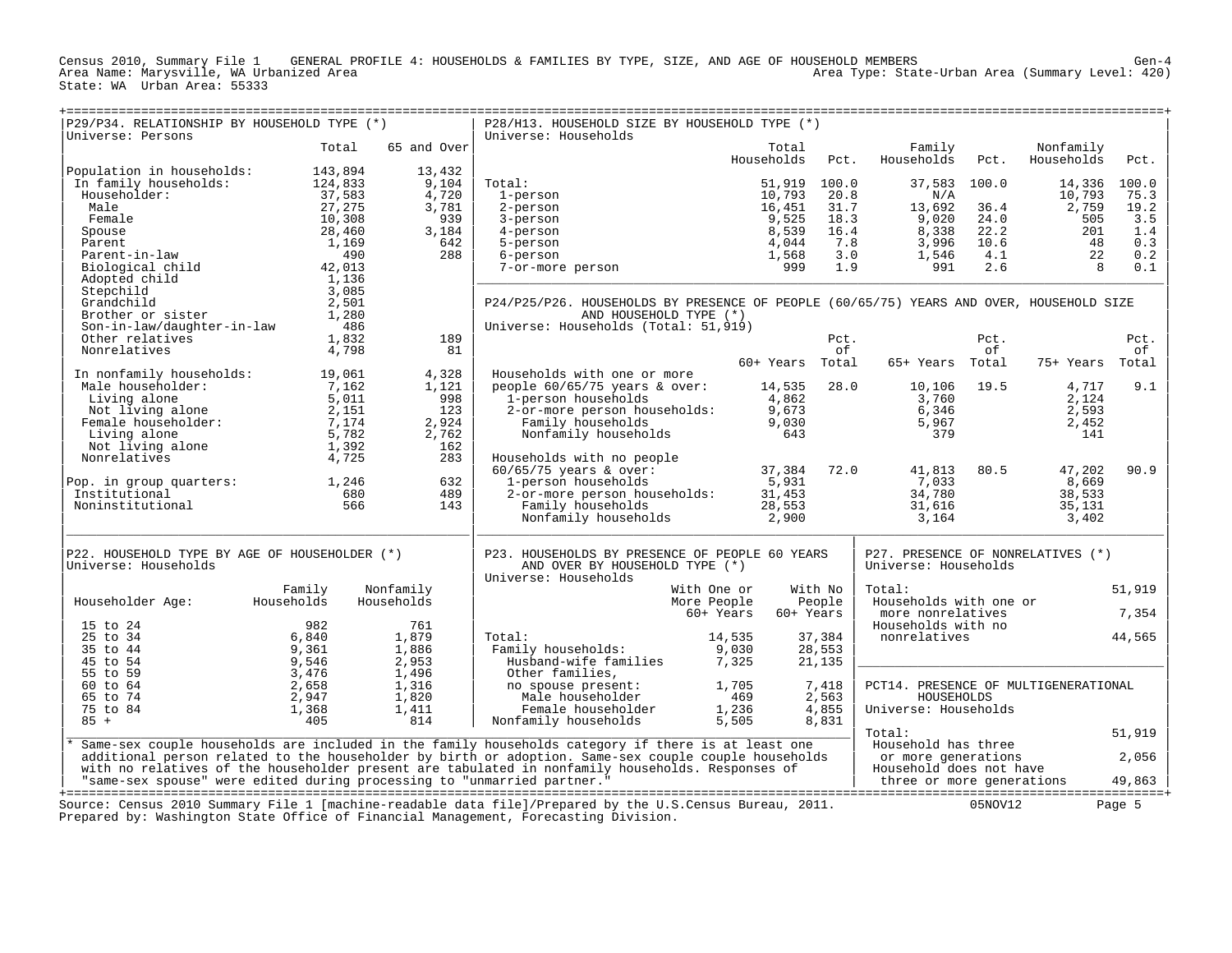Census 2010, Summary File 1 GENERAL PROFILE 4: HOUSEHOLDS & FAMILIES BY TYPE, SIZE, AND AGE OF HOUSEHOLD MEMBERS<br>Area Name: Marysville, WA Urbanized Area State: WA Urban Area: 55333

| P29/P34. RELATIONSHIP BY HOUSEHOLD TYPE (*)<br>Universe: Persons                    |            |              | P28/H13. HOUSEHOLD SIZE BY HOUSEHOLD TYPE (*)<br>Universe: Households                                    |                        |            |                                      |            |                         |        |
|-------------------------------------------------------------------------------------|------------|--------------|----------------------------------------------------------------------------------------------------------|------------------------|------------|--------------------------------------|------------|-------------------------|--------|
|                                                                                     | Total      | 65 and Over  |                                                                                                          | Total<br>Households    | Pct.       | Family<br>Households                 | Pct.       | Nonfamily<br>Households | Pct.   |
| Population in households:                                                           | 143,894    | 13,432       |                                                                                                          |                        |            |                                      |            |                         |        |
| In family households:                                                               | 124,833    | 9,104        | Total:                                                                                                   | 51,919                 | 100.0      | 37,583                               | 100.0      | 14,336                  | 100.0  |
| Householder:                                                                        | 37,583     | 4,720        | 1-person                                                                                                 | 10,793                 | 20.8       | N/A                                  |            | 10,793                  | 75.3   |
| Male                                                                                | 27,275     | 3,781        | 2-person                                                                                                 | 16,451                 | 31.7       | 13,692                               | 36.4       | 2,759                   | 19.2   |
| Female                                                                              | 10,308     | 939          | 3-person                                                                                                 | 9,525                  | 18.3       | 9,020                                | 24.0       | 505                     | 3.5    |
| Spouse                                                                              | 28,460     | 3,184        | 4-person                                                                                                 | 8,539                  | 16.4       | 8,338                                | 22.2       | 201                     | 1.4    |
| Parent                                                                              | 1,169      | 642          | 5-person                                                                                                 | 4,044                  | 7.8        | 3,996                                | 10.6       | 48                      | 0.3    |
| Parent-in-law                                                                       | 490        | 288          | 6-person                                                                                                 | 1,568                  | 3.0        | 1,546                                | 4.1        | 22                      | 0.2    |
| Biological child                                                                    | 42,013     |              | 7-or-more person                                                                                         | 999                    | 1.9        | 991                                  | 2.6        | 8                       | 0.1    |
| Adopted child                                                                       | 1,136      |              |                                                                                                          |                        |            |                                      |            |                         |        |
| Stepchild                                                                           | 3,085      |              |                                                                                                          |                        |            |                                      |            |                         |        |
| Grandchild                                                                          | 2,501      |              | P24/P25/P26. HOUSEHOLDS BY PRESENCE OF PEOPLE (60/65/75) YEARS AND OVER, HOUSEHOLD SIZE                  |                        |            |                                      |            |                         |        |
| Brother or sister                                                                   | 1,280      |              | AND HOUSEHOLD TYPE (*)                                                                                   |                        |            |                                      |            |                         |        |
| Son-in-law/daughter-in-law                                                          | 486        |              | Universe: Households (Total: 51,919)                                                                     |                        |            |                                      |            |                         |        |
| Other relatives                                                                     | 1,832      | 189          |                                                                                                          |                        | Pct.<br>of |                                      | Pct.<br>of |                         | Pct.   |
| Nonrelatives                                                                        | 4,798      | 81           |                                                                                                          | 60+ Years Total        |            | 65+ Years Total                      |            | 75+ Years Total         | оf     |
| In nonfamily households:                                                            | 19,061     | 4,328        | Households with one or more                                                                              |                        |            |                                      |            |                         |        |
| Male householder:                                                                   | 7,162      | 1,121        | people 60/65/75 years & over:                                                                            | 14,535                 | 28.0       | 10,106                               | 19.5       | 4,717                   | 9.1    |
| Living alone                                                                        | 5,011      | 998          | 1-person households                                                                                      | 4,862                  |            | 3,760                                |            | 2,124                   |        |
| Not living alone                                                                    | 2,151      | 123          | 2-or-more person households:                                                                             | 9,673                  |            | 6,346                                |            | 2,593                   |        |
| Female householder:                                                                 |            | 2,924        |                                                                                                          |                        |            |                                      |            |                         |        |
|                                                                                     | 7,174      |              | Family households                                                                                        | 9,030                  |            | 5,967                                |            | 2,452                   |        |
| Living alone                                                                        | 5,782      | 2,762<br>162 | Nonfamily households                                                                                     | 643                    |            | 379                                  |            | 141                     |        |
| Not living alone<br>Nonrelatives                                                    | 1,392      | 283          |                                                                                                          |                        |            |                                      |            |                         |        |
|                                                                                     | 4,725      |              | Households with no people<br>$60/65/75$ years & over:                                                    | 37,384                 | 72.0       | 41,813                               | 80.5       | 47,202                  | 90.9   |
|                                                                                     | 1,246      | 632          |                                                                                                          |                        |            | 7,033                                |            | 8,669                   |        |
| Pop. in group quarters:<br>Institutional                                            | 680        | 489          | 1-person households<br>2-or-more person households:                                                      | 5,931<br>31,453        |            | 34,780                               |            | 38,533                  |        |
| Noninstitutional                                                                    | 566        | 143          | Family households                                                                                        | 28,553                 |            | 31,616                               |            | 35,131                  |        |
|                                                                                     |            |              | Nonfamily households                                                                                     | 2,900                  |            | 3,164                                |            | 3,402                   |        |
|                                                                                     |            |              |                                                                                                          |                        |            |                                      |            |                         |        |
| P22. HOUSEHOLD TYPE BY AGE OF HOUSEHOLDER (*)                                       |            |              | P23. HOUSEHOLDS BY PRESENCE OF PEOPLE 60 YEARS                                                           |                        |            | P27. PRESENCE OF NONRELATIVES (*)    |            |                         |        |
| Universe: Households                                                                |            |              | AND OVER BY HOUSEHOLD TYPE (*)<br>Universe: Households                                                   |                        |            | Universe: Households                 |            |                         |        |
|                                                                                     | Family     | Nonfamily    | With One or                                                                                              |                        | With No    | Total:                               |            |                         | 51,919 |
| Householder Age:                                                                    | Households | Households   | More People                                                                                              |                        | People     | Households with one or               |            |                         |        |
|                                                                                     |            |              |                                                                                                          | 60+ Years<br>60+ Years |            | more nonrelatives                    |            |                         | 7,354  |
| 15 to 24                                                                            | 982        | 761          |                                                                                                          |                        |            | Households with no                   |            |                         |        |
| 25 to 34                                                                            | 6,840      | 1,879        | Total:                                                                                                   | 14,535                 | 37,384     | nonrelatives                         |            |                         | 44,565 |
| 35 to 44                                                                            | 9,361      | 1,886        | Family households:                                                                                       | 9,030                  | 28,553     |                                      |            |                         |        |
| 45 to 54                                                                            | 9,546      | 2,953        | Husband-wife families                                                                                    | 7,325                  | 21,135     |                                      |            |                         |        |
| 55 to 59                                                                            | 3,476      | 1,496        | Other families,                                                                                          |                        |            |                                      |            |                         |        |
| 60 to 64                                                                            | 2,658      | 1,316        | no spouse present:                                                                                       | 1,705                  | 7,418      | PCT14. PRESENCE OF MULTIGENERATIONAL |            |                         |        |
| 65 to 74                                                                            | 2,947      | 1,820        | Male householder                                                                                         | 469                    | 2,563      | HOUSEHOLDS                           |            |                         |        |
| 75 to 84                                                                            | 1,368      | 1,411        | Female householder                                                                                       | 1,236                  | 4,855      | Universe: Households                 |            |                         |        |
| $85 +$                                                                              | 405        | 814          | Nonfamily households                                                                                     | 5,505                  | 8,831      |                                      |            |                         |        |
|                                                                                     |            |              |                                                                                                          |                        |            | Total:                               |            |                         | 51,919 |
|                                                                                     |            |              | Same-sex couple households are included in the family households category if there is at least one       |                        |            | Household has three                  |            |                         |        |
|                                                                                     |            |              | additional person related to the householder by birth or adoption. Same-sex couple couple households     |                        |            | or more generations                  |            |                         | 2,056  |
|                                                                                     |            |              | with no relatives of the householder present are tabulated in nonfamily households. Responses of         |                        |            | Household does not have              |            |                         |        |
| "same-sex spouse" were edited during processing to "unmarried partner."             |            |              |                                                                                                          |                        |            | three or more generations            |            |                         | 49,863 |
|                                                                                     |            |              | Source: Census 2010 Summary File 1 [machine-readable data file]/Prepared by the U.S.Census Bureau, 2011. |                        |            |                                      | 05NOV12    |                         | Page 5 |
| Prepared by: Washington State Office of Financial Management, Forecasting Division. |            |              |                                                                                                          |                        |            |                                      |            |                         |        |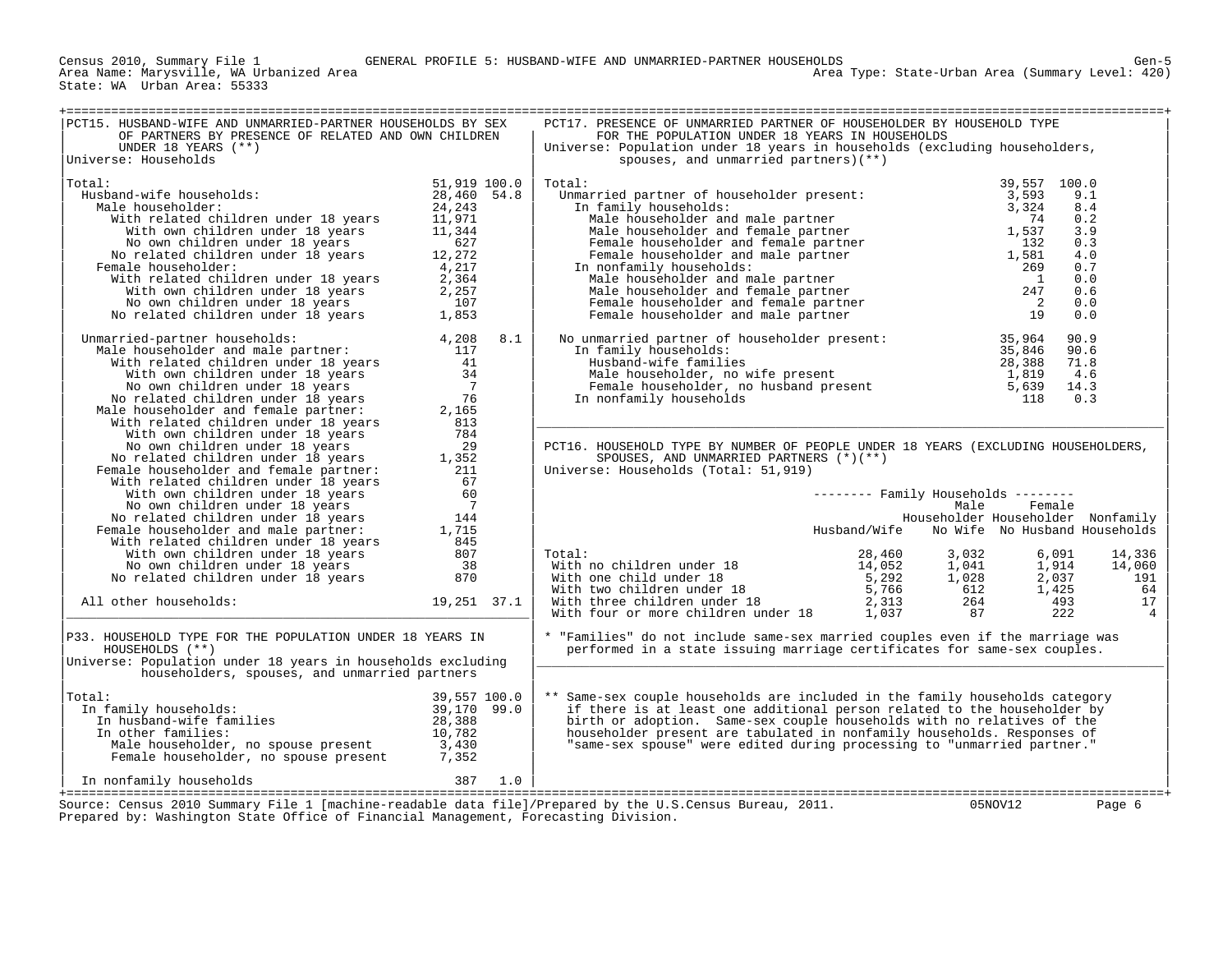State: WA Urban Area: 55333

| PCT15. HUSBAND-WIFE AND UNMARRIED-PARTNER HOUSEHOLDS BY SEX                                                                                                                                                                                           |                     | PCT17. PRESENCE OF UNMARRIED PARTNER OF HOUSEHOLDER BY HOUSEHOLD TYPE                                                                                                                                                                          |                                                                                    |
|-------------------------------------------------------------------------------------------------------------------------------------------------------------------------------------------------------------------------------------------------------|---------------------|------------------------------------------------------------------------------------------------------------------------------------------------------------------------------------------------------------------------------------------------|------------------------------------------------------------------------------------|
| OF PARTNERS BY PRESENCE OF RELATED AND OWN CHILDREN                                                                                                                                                                                                   |                     | FOR THE POPULATION UNDER 18 YEARS IN HOUSEHOLDS                                                                                                                                                                                                |                                                                                    |
| UNDER 18 YEARS $(**)$                                                                                                                                                                                                                                 |                     | Universe: Population under 18 years in households (excluding householders,                                                                                                                                                                     |                                                                                    |
| Universe: Households                                                                                                                                                                                                                                  |                     | spouses, and unmarried partners $((**))$                                                                                                                                                                                                       |                                                                                    |
| Total:                                                                                                                                                                                                                                                | 51,919 100.0        | Total:                                                                                                                                                                                                                                         | 39,557 100.0                                                                       |
| Husband-wife households:                                                                                                                                                                                                                              | 28,460 54.8         | Umarried partner of householder present:<br>In family households:<br>Male householder and male partner<br>Male householder and female partner<br>Tamale householder and female partner<br>Female householder and female partner<br>Temale      | 9.1                                                                                |
| Male householder:                                                                                                                                                                                                                                     | 24,243              |                                                                                                                                                                                                                                                | 8.4                                                                                |
| With related children under 18 years                                                                                                                                                                                                                  | 11,971              |                                                                                                                                                                                                                                                | 0.2                                                                                |
| With own children under 18 years                                                                                                                                                                                                                      | 11,344              |                                                                                                                                                                                                                                                | 3.9                                                                                |
| No own children under 18 years                                                                                                                                                                                                                        | 627                 |                                                                                                                                                                                                                                                | 0.3                                                                                |
| No related children under 18 years<br>Female householder:                                                                                                                                                                                             | 12,272<br>4,217     | In nonfamily households:                                                                                                                                                                                                                       | 4.0<br>0.7<br>269                                                                  |
| With related children under 18 years                                                                                                                                                                                                                  | 2,364               |                                                                                                                                                                                                                                                | 0.0<br>$\overline{1}$                                                              |
| With own children under 18 years                                                                                                                                                                                                                      | 2,257               |                                                                                                                                                                                                                                                | 247<br>0.6                                                                         |
| No own children under 18 years                                                                                                                                                                                                                        | 107                 |                                                                                                                                                                                                                                                | $\frac{1}{2}$<br>0.0                                                               |
| No related children under 18 years                                                                                                                                                                                                                    | 1,853               | Female householder and male partner<br>and households:<br>Anonfamily households:<br>Male householder and male partner<br>Male householder and female partner                                                                                   | 19<br>0.0                                                                          |
|                                                                                                                                                                                                                                                       |                     |                                                                                                                                                                                                                                                |                                                                                    |
| Unmarried-partner households:<br>Male householder and male partner:                                                                                                                                                                                   | 4,208<br>8.1<br>117 | No unmarried partner of householder present:<br>In family households:<br>Husband-wife families<br>Male householder, no wife present<br>Male householder, no wife present<br>1,819<br>Female householder, no husband present<br>The present<br> | 90.9<br>90.6                                                                       |
| With related children under 18 years                                                                                                                                                                                                                  | 41                  |                                                                                                                                                                                                                                                | 71.8                                                                               |
| With own children under 18 years                                                                                                                                                                                                                      | 34                  |                                                                                                                                                                                                                                                | 4.6                                                                                |
| No own children under 18 years                                                                                                                                                                                                                        | $\overline{7}$      |                                                                                                                                                                                                                                                | 14.3                                                                               |
| No related children under 18 years                                                                                                                                                                                                                    | 76                  | In nonfamily households                                                                                                                                                                                                                        | 118<br>0.3                                                                         |
| Male householder and female partner:                                                                                                                                                                                                                  | 2,165               |                                                                                                                                                                                                                                                |                                                                                    |
| With related children under 18 years<br>With own children under 18 years                                                                                                                                                                              | 813<br>784          |                                                                                                                                                                                                                                                |                                                                                    |
| No own children under 18 years                                                                                                                                                                                                                        | 29                  | PCT16. HOUSEHOLD TYPE BY NUMBER OF PEOPLE UNDER 18 YEARS (EXCLUDING HOUSEHOLDERS,                                                                                                                                                              |                                                                                    |
| No related children under 18 years                                                                                                                                                                                                                    | 1,352               | SPOUSES, AND UNMARRIED PARTNERS (*)(**)                                                                                                                                                                                                        |                                                                                    |
| Female householder and female partner:                                                                                                                                                                                                                | 211                 | Universe: Households (Total: 51,919)                                                                                                                                                                                                           |                                                                                    |
| With related children under 18 years                                                                                                                                                                                                                  | 67                  |                                                                                                                                                                                                                                                |                                                                                    |
| With own children under 18 years                                                                                                                                                                                                                      | 60                  |                                                                                                                                                                                                                                                | $------$ Family Households $------$                                                |
| No own children under 18 years                                                                                                                                                                                                                        | $\overline{7}$      |                                                                                                                                                                                                                                                | Male<br>Female                                                                     |
| No related children under 18 years<br>Female householder and male partner:                                                                                                                                                                            | 144<br>1,715        |                                                                                                                                                                                                                                                | Householder Householder Nonfamily<br>Husband/Wife<br>No Wife No Husband Households |
| With related children under 18 years                                                                                                                                                                                                                  | 845                 |                                                                                                                                                                                                                                                |                                                                                    |
| With own children under 18 years                                                                                                                                                                                                                      | 807                 | Total:                                                                                                                                                                                                                                         | 28,460<br>3,032<br>6,091<br>14,336                                                 |
| No own children under 18 years                                                                                                                                                                                                                        | 38                  |                                                                                                                                                                                                                                                | 1,914<br>14,052<br>1,041<br>14,060                                                 |
| No related children under 18 years                                                                                                                                                                                                                    | 870                 | With no children under 18<br>With one child under 18<br>With two children under 18<br>With three children under 18                                                                                                                             | 5,292<br>1,028<br>2,037<br>191                                                     |
|                                                                                                                                                                                                                                                       |                     |                                                                                                                                                                                                                                                | 5,766<br>612<br>1,425<br>64                                                        |
| All other households:                                                                                                                                                                                                                                 | 19,251 37.1         |                                                                                                                                                                                                                                                | 2,313<br>17<br>264<br>493                                                          |
|                                                                                                                                                                                                                                                       |                     | With four or more children under 18                                                                                                                                                                                                            | 1,037<br>222<br>87<br>$\overline{4}$                                               |
| P33. HOUSEHOLD TYPE FOR THE POPULATION UNDER 18 YEARS IN                                                                                                                                                                                              |                     | * "Families" do not include same-sex married couples even if the marriage was                                                                                                                                                                  |                                                                                    |
| HOUSEHOLDS ( ** )                                                                                                                                                                                                                                     |                     | performed in a state issuing marriage certificates for same-sex couples.                                                                                                                                                                       |                                                                                    |
| Universe: Population under 18 years in households excluding                                                                                                                                                                                           |                     |                                                                                                                                                                                                                                                |                                                                                    |
| householders, spouses, and unmarried partners                                                                                                                                                                                                         |                     |                                                                                                                                                                                                                                                |                                                                                    |
| Total:<br>99,557 100.0<br>In husband-wife families<br>In other families:<br>Male householder<br>Male householder<br>Alexander<br>Male householder<br>The Contract of Contract of Contract of Contract of Contract of Contract of Contract of Contract |                     | ** Same-sex couple households are included in the family households category                                                                                                                                                                   |                                                                                    |
| In family households:                                                                                                                                                                                                                                 |                     | if there is at least one additional person related to the householder by                                                                                                                                                                       |                                                                                    |
|                                                                                                                                                                                                                                                       |                     | birth or adoption. Same-sex couple households with no relatives of the                                                                                                                                                                         |                                                                                    |
|                                                                                                                                                                                                                                                       |                     | householder present are tabulated in nonfamily households. Responses of                                                                                                                                                                        |                                                                                    |
| n other families:<br>Male_householder, no spouse present 3,430                                                                                                                                                                                        |                     | "same-sex spouse" were edited during processing to "unmarried partner."                                                                                                                                                                        |                                                                                    |
| Female householder, no spouse present 7,352                                                                                                                                                                                                           |                     |                                                                                                                                                                                                                                                |                                                                                    |
| In nonfamily households                                                                                                                                                                                                                               | 1.0<br>387          |                                                                                                                                                                                                                                                |                                                                                    |
|                                                                                                                                                                                                                                                       |                     |                                                                                                                                                                                                                                                |                                                                                    |
| Source: Census 2010 Summary File 1 [machine-readable data file]/Prepared by the U.S.Census Bureau, 2011.<br>Prepared by: Washington State Office of Financial Management, Forecasting Division.                                                       |                     |                                                                                                                                                                                                                                                | 05NOV12<br>Page 6                                                                  |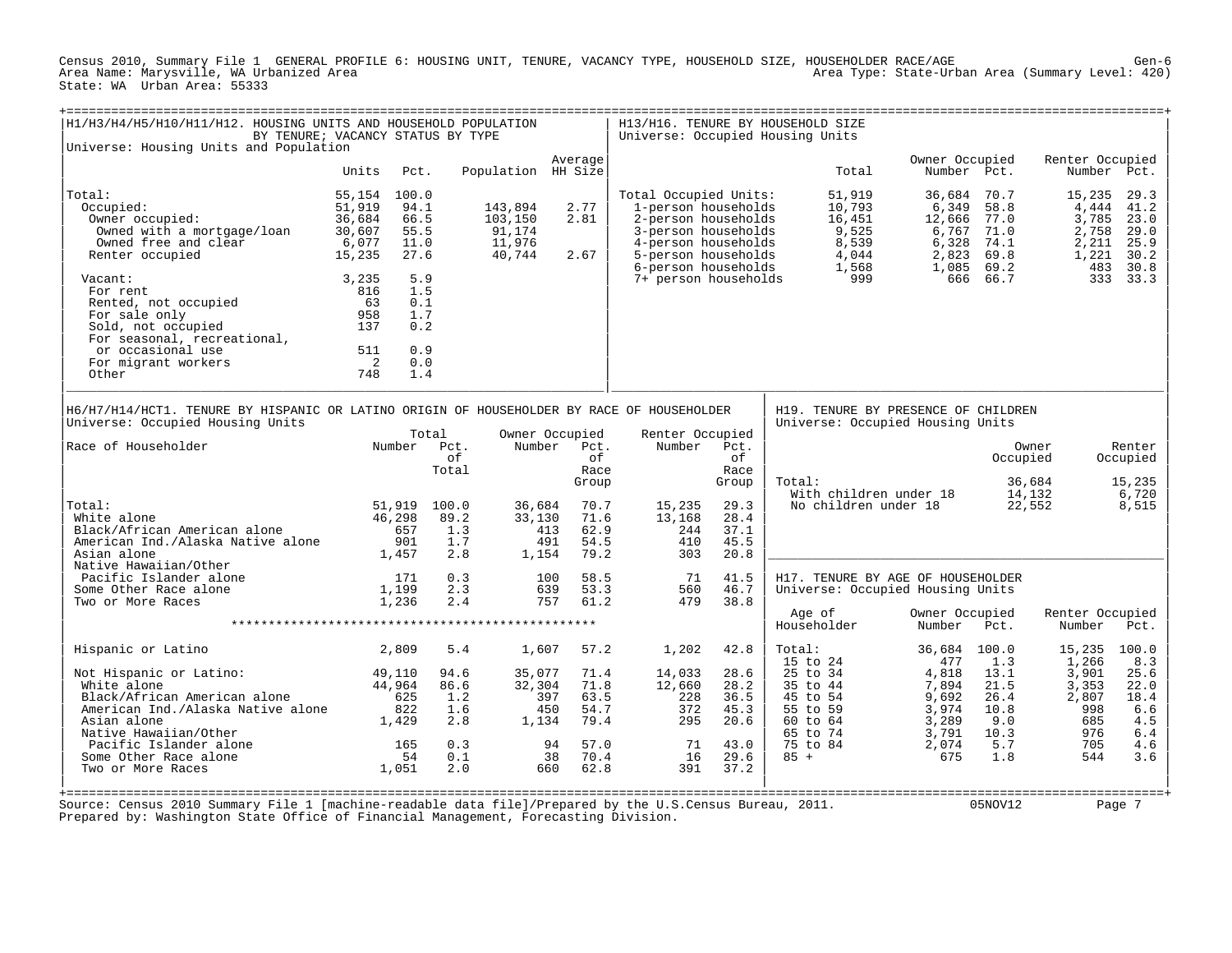Census 2010, Summary File 1 GENERAL PROFILE 6: HOUSING UNIT, TENURE, VACANCY TYPE, HOUSEHOLD SIZE, HOUSEHOLDER RACE/AGE Gen-6 Area Type: State-Urban Area (Summary Level: 420) State: WA Urban Area: 55333

| Universe: Housing Units and Population                                                                                                                                                                                      |                                                                              | BY TENURE; VACANCY STATUS BY TYPE                    |                                                        | H1/H3/H4/H5/H10/H11/H12. HOUSING UNITS AND HOUSEHOLD POPULATION |                                                                                               |                                                                                                                                                                 |                                                              | H13/H16. TENURE BY HOUSEHOLD SIZE<br>Universe: Occupied Housing Units                          |                                                                    |                                                           |                                                            |                                                         |
|-----------------------------------------------------------------------------------------------------------------------------------------------------------------------------------------------------------------------------|------------------------------------------------------------------------------|------------------------------------------------------|--------------------------------------------------------|-----------------------------------------------------------------|-----------------------------------------------------------------------------------------------|-----------------------------------------------------------------------------------------------------------------------------------------------------------------|--------------------------------------------------------------|------------------------------------------------------------------------------------------------|--------------------------------------------------------------------|-----------------------------------------------------------|------------------------------------------------------------|---------------------------------------------------------|
|                                                                                                                                                                                                                             | Units                                                                        | Pct.                                                 |                                                        | Population HH Size                                              | Average                                                                                       |                                                                                                                                                                 |                                                              | Total                                                                                          | Owner Occupied<br>Number Pct.                                      |                                                           | Renter Occupied                                            | Number Pct.                                             |
|                                                                                                                                                                                                                             |                                                                              |                                                      |                                                        |                                                                 |                                                                                               |                                                                                                                                                                 |                                                              |                                                                                                |                                                                    |                                                           |                                                            |                                                         |
| Total:<br>Occupied:<br>Owner occupied:<br>Owned with a mortgage/loan<br>Owned free and clear<br>Renter occupied                                                                                                             | 55,154<br>51,919<br>36,684<br>30,607<br>6,077<br>15,235                      | 100.0<br>94.1<br>66.5<br>55.5<br>11.0<br>27.6        |                                                        | 143,894<br>103,150<br>91,174<br>11,976<br>40,744                | 2.77<br>2.81<br>2.67                                                                          | Total Occupied Units:<br>1-person households<br>2-person households<br>3-person households<br>4-person households<br>5-person households<br>6-person households |                                                              | 51,919<br>10,793<br>16,451<br>9,525<br>8,539<br>4,044<br>1,568                                 | 36,684<br>6,349<br>12,666<br>6,767<br>6,328<br>2,823<br>1,085      | 70.7<br>58.8<br>77.0<br>71.0<br>74.1<br>69.8<br>69.2      | 15,235<br>4,444<br>3,785<br>2,758<br>2,211<br>1,221<br>483 | 29.3<br>41.2<br>23.0<br>29.0<br>25.9<br>30.2<br>30.8    |
| Vacant:<br>For rent<br>Rented, not occupied<br>For sale only<br>Sold, not occupied<br>For seasonal, recreational,<br>or occasional use<br>For migrant workers<br>Other                                                      | 3,235<br>816<br>63<br>958<br>137<br>511<br>$\overline{\phantom{0}}^2$<br>748 | 5.9<br>1.5<br>0.1<br>1.7<br>0.2<br>0.9<br>0.0<br>1.4 |                                                        |                                                                 |                                                                                               | 7+ person households                                                                                                                                            |                                                              | 999                                                                                            |                                                                    | 666 66.7                                                  |                                                            | 333 33.3                                                |
| H6/H7/H14/HCT1. TENURE BY HISPANIC OR LATINO ORIGIN OF HOUSEHOLDER BY RACE OF HOUSEHOLDER<br>Universe: Occupied Housing Units                                                                                               |                                                                              |                                                      |                                                        |                                                                 |                                                                                               |                                                                                                                                                                 |                                                              | H19. TENURE BY PRESENCE OF CHILDREN<br>Universe: Occupied Housing Units                        |                                                                    |                                                           |                                                            |                                                         |
| Race of Householder                                                                                                                                                                                                         |                                                                              | Total<br>Number Pct.                                 | оf<br>Total                                            | Number                                                          | Owner Occupied<br>Pct.<br>of<br>Race<br>Group                                                 | Renter Occupied<br>Number                                                                                                                                       | Pct.<br>of<br>Race<br>Group                                  | Total:<br>With children under 18                                                               |                                                                    | Occupied                                                  | Owner<br>36,684<br>14,132                                  | Renter<br>Occupied<br>15,235<br>6,720                   |
| Total:<br>White alone<br>Black/African American alone<br>American Ind./Alaska Native alone<br>Asian alone                                                                                                                   | 46,298                                                                       | 51,919 100.0<br>657<br>901<br>1,457                  | 89.2<br>1.3<br>1.7<br>2.8                              | 36,684<br>33,130<br>1,154                                       | 70.7<br>71.6<br>413<br>62.9<br>491<br>54.5<br>79.2                                            | 15,235<br>13,168<br>244<br>410<br>303                                                                                                                           | 29.3<br>28.4<br>37.1<br>45.5<br>20.8                         | No children under 18                                                                           |                                                                    |                                                           | 22,552                                                     | 8,515                                                   |
| Native Hawaiian/Other<br>Pacific Islander alone<br>Some Other Race alone<br>Two or More Races                                                                                                                               |                                                                              | 171<br>1,199<br>1,236                                | 0.3<br>2.3<br>2.4                                      | 100                                                             | 58.5<br>639<br>53.3<br>757<br>61.2                                                            | 71<br>560<br>479                                                                                                                                                | 41.5<br>46.7<br>38.8                                         | H17. TENURE BY AGE OF HOUSEHOLDER<br>Universe: Occupied Housing Units                          |                                                                    |                                                           |                                                            |                                                         |
|                                                                                                                                                                                                                             |                                                                              |                                                      |                                                        |                                                                 |                                                                                               |                                                                                                                                                                 |                                                              | Age of<br>Householder                                                                          | Owner Occupied<br>Number                                           | Pct.                                                      | Renter Occupied<br>Number                                  | Pct.                                                    |
| Hispanic or Latino                                                                                                                                                                                                          |                                                                              | 2,809                                                | 5.4                                                    | 1,607                                                           | 57.2                                                                                          | 1,202                                                                                                                                                           | 42.8                                                         | Total:<br>15 to 24                                                                             | 36,684<br>477                                                      | 100.0<br>1.3                                              | 15,235 100.0<br>1,266                                      | 8.3                                                     |
| Not Hispanic or Latino:<br>White alone<br>Black/African American alone<br>American Ind./Alaska Native alone<br>Asian alone<br>Native Hawaiian/Other<br>Pacific Islander alone<br>Some Other Race alone<br>Two or More Races | 49,110<br>44,964                                                             | 625<br>822<br>1,429<br>165<br>54<br>1,051            | 94.6<br>86.6<br>1.2<br>1.6<br>2.8<br>0.3<br>0.1<br>2.0 | 35,077<br>32,304<br>1,134                                       | 71.4<br>71.8<br>397<br>63.5<br>450<br>54.7<br>79.4<br>57.0<br>94<br>70.4<br>38<br>62.8<br>660 | 14,033<br>12,660<br>228<br>372<br>295<br>71<br>16<br>391                                                                                                        | 28.6<br>28.2<br>36.5<br>45.3<br>20.6<br>43.0<br>29.6<br>37.2 | 25 to 34<br>35 to 44<br>45 to 54<br>55 to 59<br>$60$ to $64$<br>65 to 74<br>75 to 84<br>$85 +$ | 4,818<br>7,894<br>9,692<br>3,974<br>3,289<br>3,791<br>2,074<br>675 | 13.1<br>21.5<br>26.4<br>10.8<br>9.0<br>10.3<br>5.7<br>1.8 | 3,901<br>3,353<br>2,807<br>998<br>685<br>976<br>705<br>544 | 25.6<br>22.0<br>18.4<br>6.6<br>4.5<br>6.4<br>4.6<br>3.6 |

+===================================================================================================================================================+ Source: Census 2010 Summary File 1 [machine-readable data file]/Prepared by the U.S.Census Bureau, 2011. 05NOV12 Page 7 Prepared by: Washington State Office of Financial Management, Forecasting Division.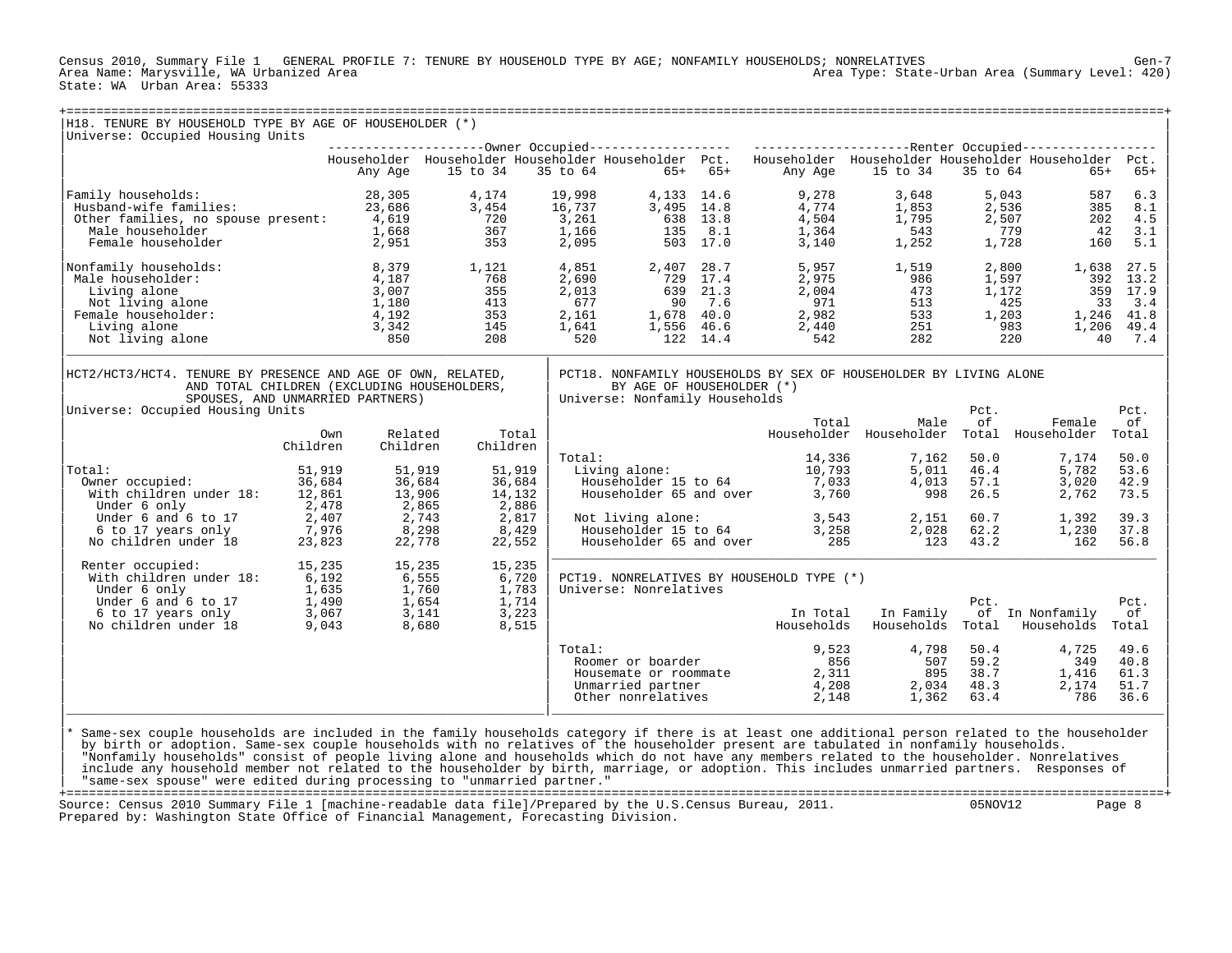Census 2010, Summary File 1 GENERAL PROFILE 7: TENURE BY HOUSEHOLD TYPE BY AGE; NONFAMILY HOUSEHOLDS; NONRELATIVES Gen-7 Area Type: State-Urban Area (Summary Level: 420) State: WA Urban Area: 55333

| H18. TENURE BY HOUSEHOLD TYPE BY AGE OF HOUSEHOLDER (*)<br>Universe: Occupied Housing Units                |          |          |          |          |          |                                |          |                                                                                                           |                         |          |                   |           |
|------------------------------------------------------------------------------------------------------------|----------|----------|----------|----------|----------|--------------------------------|----------|-----------------------------------------------------------------------------------------------------------|-------------------------|----------|-------------------|-----------|
|                                                                                                            |          |          |          |          |          |                                |          |                                                                                                           |                         |          |                   |           |
|                                                                                                            |          |          |          |          |          |                                |          | Householder Householder Householder Householder Pct. Householder Householder Householder Householder Pct. |                         |          |                   |           |
|                                                                                                            |          | Any Age  | 15 to 34 |          | 35 to 64 | $65+ 65+$                      |          | Any Age                                                                                                   | 15 to 34                | 35 to 64 | $65+$             | $65+$     |
|                                                                                                            |          |          |          |          |          |                                |          |                                                                                                           |                         |          |                   |           |
| Family households:                                                                                         |          | 28,305   | 4,174    |          | 19,998   | 4,133 14.6                     |          | 9,278                                                                                                     | 3,648                   |          | 5,043<br>587      | 6.3       |
| Husband-wife families:                                                                                     |          | 23,686   | 3,454    |          | 16,737   | 3,495 14.8                     |          | 4,774                                                                                                     | 1,853                   |          | 2,536<br>385      | 8.1       |
|                                                                                                            |          |          | 720      |          |          |                                |          |                                                                                                           | 1,795                   |          | 202               |           |
| Other families, no spouse present: 4,619                                                                   |          |          |          |          | 3,261    |                                | 638 13.8 | 4,504                                                                                                     |                         | 2,507    |                   | 4.5       |
| Male householder                                                                                           |          | 1,668    | 367      |          | 1,166    | 135                            | 8.1      | 1,364                                                                                                     | 543                     |          | 779<br>42         | 3.1       |
| Female householder                                                                                         |          | 2,951    | 353      |          | 2,095    |                                | 503 17.0 | 3,140                                                                                                     | 1,252                   | 1,728    | 160               | 5.1       |
| Nonfamily households:                                                                                      |          | 8,379    | 1,121    |          | 4,851    | 2,407 28.7                     |          | 5,957                                                                                                     | 1,519                   | 2,800    | 1,638             | 27.5      |
| Male householder:                                                                                          |          | 4,187    | 768      |          | 2,690    | 729                            | 17.4     | 2,975                                                                                                     | 986                     | 1,597    | 392               | 13.2      |
| Living alone                                                                                               |          | 3,007    | 355      |          | 2,013    |                                | 639 21.3 | 2,004                                                                                                     | 473                     | 1,172    | 359               | 17.9      |
| Not living alone                                                                                           |          | 1,180    | 413      |          | 677      | 90                             | 7.6      | 971                                                                                                       | 513                     |          | 425<br>33         | 3.4       |
| Female householder:                                                                                        |          | 4,192    | 353      |          | 2,161    | 1,678 40.0                     |          | 2,982                                                                                                     | 533                     | 1,203    | 1,246             | 41.8      |
| Living alone                                                                                               |          | 3,342    | 145      |          | 1,641    | 1,556 46.6                     |          | 2,440                                                                                                     | 251                     |          | 983<br>1,206      | 49.4      |
| Not living alone                                                                                           |          | 850      | 208      |          | 520      |                                | 122 14.4 | 542                                                                                                       | 282                     |          | 220               | 40<br>7.4 |
|                                                                                                            |          |          |          |          |          |                                |          |                                                                                                           |                         |          |                   |           |
| HCT2/HCT3/HCT4. TENURE BY PRESENCE AND AGE OF OWN, RELATED,<br>AND TOTAL CHILDREN (EXCLUDING HOUSEHOLDERS, |          |          |          |          |          | BY AGE OF HOUSEHOLDER (*)      |          | PCT18. NONFAMILY HOUSEHOLDS BY SEX OF HOUSEHOLDER BY LIVING ALONE                                         |                         |          |                   |           |
| SPOUSES, AND UNMARRIED PARTNERS)                                                                           |          |          |          |          |          | Universe: Nonfamily Households |          |                                                                                                           |                         |          |                   |           |
| Universe: Occupied Housing Units                                                                           |          |          |          |          |          |                                |          |                                                                                                           |                         | Pct.     |                   | Pct.      |
|                                                                                                            |          |          |          |          |          |                                |          |                                                                                                           |                         |          |                   |           |
|                                                                                                            |          |          |          |          |          |                                |          | Total                                                                                                     | Male                    | оf       | Female            | οf        |
|                                                                                                            | Own      | Related  |          | Total    |          |                                |          |                                                                                                           | Householder Householder |          | Total Householder | Total     |
|                                                                                                            | Children | Children |          | Children |          |                                |          |                                                                                                           |                         |          |                   |           |
|                                                                                                            |          |          |          |          | Total:   |                                |          | 14,336                                                                                                    | 7,162                   | 50.0     | 7,174             | 50.0      |
| Total:                                                                                                     | 51,919   |          | 51,919   | 51,919   |          |                                |          | Living alone: 15 to 64 10,793<br>Householder 15 to 64 7,033                                               | 5,011                   | 46.4     | 5,782             | 53.6      |
| Owner occupied:                                                                                            | 36,684   |          | 36,684   | 36,684   |          |                                |          |                                                                                                           | 4,013                   | 57.1     | 3,020             | 42.9      |
| With children under 18:                                                                                    | 12,861   |          | 13,906   | 14,132   |          | Householder 65 and over        |          | 3,760                                                                                                     | 998                     | 26.5     | 2,762             | 73.5      |
| Under 6 only                                                                                               | 2,478    |          | 2,865    | 2,886    |          |                                |          |                                                                                                           |                         |          |                   |           |
| Under 6 and 6 to 17                                                                                        | 2,407    |          | 2,743    | 2,817    |          | Not living alone:              |          |                                                                                                           | 2,151                   | 60.7     | 1,392             | 39.3      |
| 6 to 17 years only                                                                                         | 7,976    |          | 8,298    | 8,429    |          | Householder 15 to 64           |          | 3,543<br>3,258                                                                                            | 2,028                   | 62.2     | 1,230             | 37.8      |
| No children under 18                                                                                       | 23,823   |          | 22,778   | 22,552   |          | Householder 65 and over        |          | 285                                                                                                       | 123                     | 43.2     | 162               | 56.8      |
|                                                                                                            |          |          |          |          |          |                                |          |                                                                                                           |                         |          |                   |           |
| Renter occupied:                                                                                           | 15,235   |          | 15,235   | 15,235   |          |                                |          |                                                                                                           |                         |          |                   |           |
| With children under 18:                                                                                    | 6,192    |          | 6,555    | 6,720    |          |                                |          | PCT19. NONRELATIVES BY HOUSEHOLD TYPE (*)                                                                 |                         |          |                   |           |
| Under 6 only                                                                                               | 1,635    |          | 1,760    | 1,783    |          | Universe: Nonrelatives         |          |                                                                                                           |                         |          |                   |           |
|                                                                                                            | 1,490    |          | 1,654    | 1,714    |          |                                |          |                                                                                                           |                         | Pct.     |                   | Pct.      |
|                                                                                                            | 3,067    |          | 3,141    | 3,223    |          |                                |          | In Total                                                                                                  | In Family               |          | of In Nonfamily   | оf        |
| Under 6 only<br>Under 6 and 6 to 17<br>6 to 17 years only<br>Constant inder 18<br>No children under 18     | 9,043    |          | 8,680    | 8,515    |          |                                |          | Households                                                                                                | Households              | Total    | Households        | Total     |
|                                                                                                            |          |          |          |          |          |                                |          |                                                                                                           |                         |          |                   |           |
|                                                                                                            |          |          |          |          | Total:   |                                |          | 9,523                                                                                                     | 4,798                   | 50.4     | 4,725             | 49.6      |
|                                                                                                            |          |          |          |          |          | Roomer or boarder              |          | 856                                                                                                       | 507                     | 59.2     | 349               | 40.8      |
|                                                                                                            |          |          |          |          |          | Housemate or roommate          |          | 2,311                                                                                                     | 895                     | 38.7     | 1,416             | 61.3      |
|                                                                                                            |          |          |          |          |          | Unmarried partner              |          | 4,208                                                                                                     | 2,034                   | 48.3     | 2,174             | 51.7      |
|                                                                                                            |          |          |          |          |          | Other nonrelatives             |          | 2,148                                                                                                     | 1,362                   | 63.4     | 786               | 36.6      |
|                                                                                                            |          |          |          |          |          |                                |          |                                                                                                           |                         |          |                   |           |
|                                                                                                            |          |          |          |          |          |                                |          |                                                                                                           |                         |          |                   |           |

|<br>|\* Same-sex couple households are included in the family households category if there is at least one additional person related to the householder<br>| by birth or adoption. Same-sex couple households with no relatives of t | "Nonfamily households" consist of people living alone and households which do not have any members related to the householder. Nonrelatives | include any household member not related to the householder by birth, marriage, or adoption. This includes unmarried partners. Responses of | "same-sex spouse" were edited during processing to "unmarried partner." |

+===================================================================================================================================================+ Source: Census 2010 Summary File 1 [machine-readable data file]/Prepared by the U.S.Census Bureau, 2011. Prepared by: Washington State Office of Financial Management, Forecasting Division.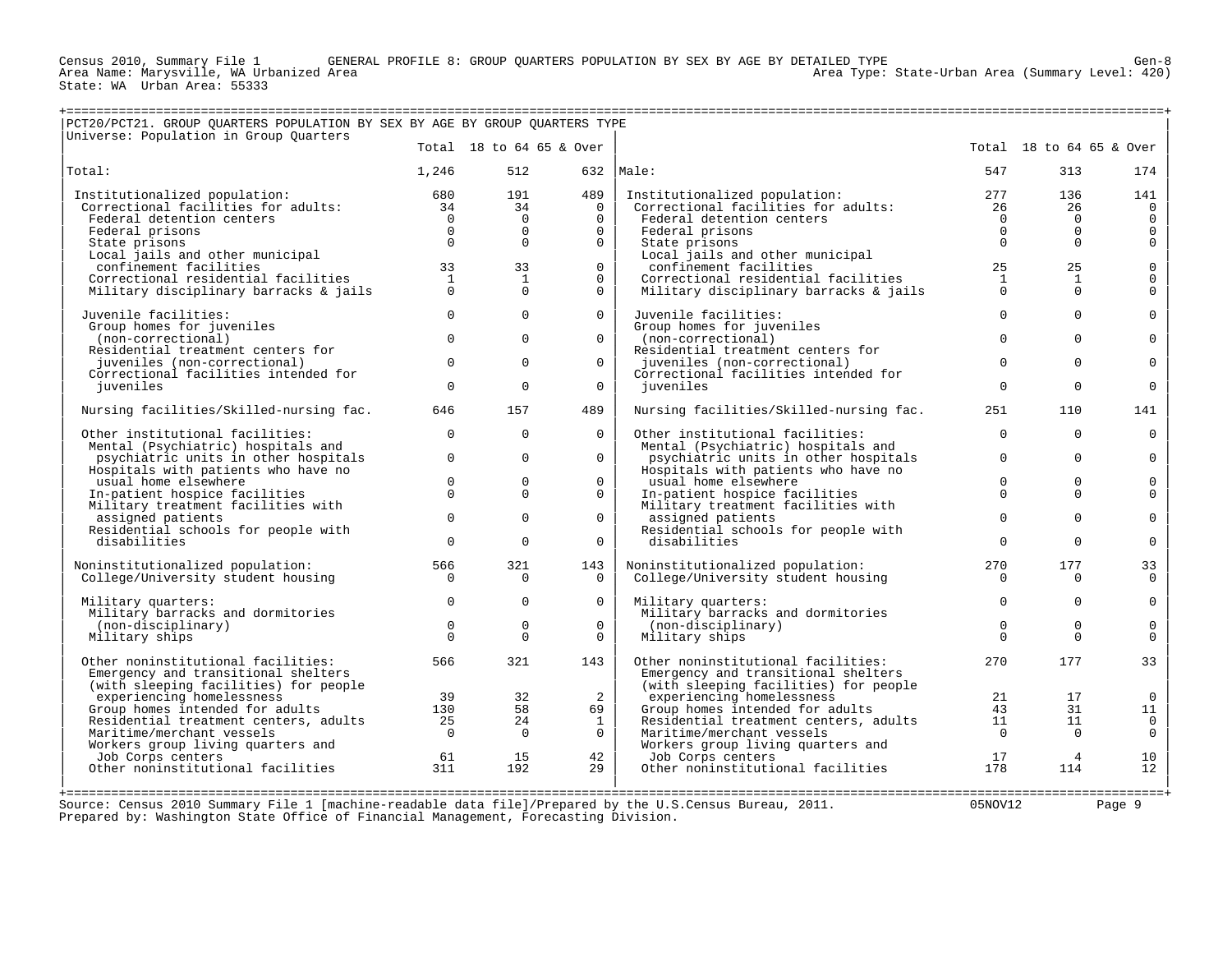Census 2010, Summary File 1 GENERAL PROFILE 8: GROUP QUARTERS POPULATION BY SEX BY AGE BY DETAILED TYPE Gen-8

State: WA Urban Area: 55333

Area Type: State-Urban Area (Summary Level: 420)

| Total 18 to 64 65 & Over<br>Total 18 to 64 65 & Over<br>1,246<br>512<br>$632$  Male:<br>547<br>313<br>489<br>Institutionalized population:<br>680<br>191<br>Institutionalized population:<br>277<br>136<br>$\begin{array}{c} 680 \\ 34 \end{array}$<br>Correctional facilities for adults:<br>34<br>$\Omega$<br>Correctional facilities for adults:<br>26<br>26<br>$\mathbf 0$<br>$\mathsf 0$<br>Federal detention centers<br>$\overline{0}$<br>$\Omega$<br>$\Omega$<br>Federal detention centers<br>$\mathbf 0$<br>$\mathbf 0$<br>$\mathsf{O}\xspace$<br>$\Omega$<br>$\overline{0}$<br>$\Omega$<br>$\Omega$<br>Federal prisons<br>$\Omega$<br>Federal prisons<br>$\mathsf{O}\xspace$<br>$\Omega$<br>$\Omega$<br>$\Omega$<br>$\Omega$<br>State prisons<br>State prisons<br>$\Omega$<br>Local jails and other municipal<br>Local jails and other municipal<br>$_{\rm 0}^{\rm 0}$<br>33<br>$\Omega$<br>confinement facilities<br>25<br>25<br>confinement facilities<br>33<br>Correctional residential facilities<br>$\overline{1}$<br>1<br>$\mathbf{0}$<br>Correctional residential facilities<br>1<br>$\mathbf{1}$<br>$\Omega$<br>$\Omega$<br>$\Omega$<br>$\Omega$<br>Military disciplinary barracks & jails<br>$\Omega$<br>Military disciplinary barracks & jails<br>$\Omega$<br>$\circ$<br>$\mathbf 0$<br>$\Omega$<br>$\Omega$<br>$\mathsf{O}$<br>Juvenile facilities:<br>Juvenile facilities:<br>Group homes for juveniles<br>Group homes for juveniles<br>$\mathbf 0$<br>$\mathbf 0$<br>$\mathbf 0$<br>$\mathbf{0}$<br>(non-correctional)<br>$\Omega$<br>$\mathsf{O}$<br>(non-correctional)<br>Residential treatment centers for<br>Residential treatment centers for<br>$\Omega$<br>$\mathbf 0$<br>$\Omega$<br>$\Omega$<br>$\Omega$<br>juveniles (non-correctional)<br>juveniles (non-correctional)<br>Correctional facilities intended for<br>Correctional facilities intended for<br>$\Omega$<br>$\mathbf 0$<br>$\Omega$<br>$\Omega$<br>$\Omega$<br>juveniles<br>juveniles<br>157<br>489<br>Nursing facilities/Skilled-nursing fac.<br>Nursing facilities/Skilled-nursing fac.<br>646<br>251<br>110<br>$\mathbf 0$<br>$\Omega$<br>$\mathbf 0$<br>Other institutional facilities:<br>$\Omega$<br>Other institutional facilities:<br>$\Omega$<br>Mental (Psychiatric) hospitals and<br>Mental (Psychiatric) hospitals and<br>$\mathbf{0}$<br>$\Omega$<br>$\Omega$<br>$\mathbf 0$<br>$\Omega$<br>psychiatric units in other hospitals<br>psychiatric units in other hospitals<br>Hospitals with patients who have no<br>Hospitals with patients who have no<br>$\mathbf 0$<br>$\mathbf 0$<br>$\mathbf 0$<br>$\mathbf 0$<br>$\mathbf 0$<br>usual home elsewhere<br>usual home elsewhere<br>$\Omega$<br>$\Omega$<br>$\Omega$<br>$\mathbf 0$<br>In-patient hospice facilities<br>$\Omega$<br>In-patient hospice facilities<br>$\Omega$<br>Military treatment facilities with<br>Military treatment facilities with<br>$\mathbf 0$<br>$\Omega$<br>$\overline{0}$<br>$\mathbf 0$<br>$\Omega$<br>$\mathsf{O}$<br>assigned patients<br>assigned patients<br>Residential schools for people with<br>Residential schools for people with<br>$\mathbf 0$<br>$\mathbf 0$<br>$\Omega$<br>$\Omega$<br>$\Omega$<br>$\Omega$<br>disabilities<br>disabilities<br>321<br>177<br>Noninstitutionalized population:<br>566<br>143<br>Noninstitutionalized population:<br>270<br>College/University student housing<br>$\Omega$<br>College/University student housing<br>$\Omega$<br>$\Omega$<br>$\Omega$<br>$\Omega$<br>$\mathbf 0$<br>$\Omega$<br>$\Omega$<br>$\Omega$<br>$\Omega$<br>$\mathsf 0$<br>Military quarters:<br>Military quarters:<br>Military barracks and dormitories<br>Military barracks and dormitories<br>$\mathbf 0$<br>$\mathbf 0$<br>$\mathbf 0$<br>$\mathbf 0$<br>$\mathbf 0$<br>(non-disciplinary)<br>(non-disciplinary)<br>$\Omega$<br>$\Omega$<br>Military ships<br>$\Omega$<br>$\Omega$<br>Military ships<br>$\Omega$<br>566<br>321<br>270<br>177<br>33<br>Other noninstitutional facilities:<br>143<br>Other noninstitutional facilities:<br>Emergency and transitional shelters<br>Emergency and transitional shelters<br>(with sleeping facilities) for people<br>(with sleeping facilities) for people<br>2<br>experiencing homelessness<br>39<br>32<br>experiencing homelessness<br>21<br>17<br>$\overline{0}$<br>Group homes intended for adults<br>58<br>Group homes intended for adults<br>130<br>69<br>43<br>31<br>Residential treatment centers, adults<br>25<br>24<br>Residential treatment centers, adults<br>11<br>1<br>11<br>$\Omega$<br>$\Omega$<br>Maritime/merchant vessels<br>$\Omega$<br>Maritime/merchant vessels<br>$\bigcirc$<br>$\Omega$<br>Workers group living quarters and<br>Workers group living quarters and<br>42<br>$\overline{4}$<br>Job Corps centers<br>61<br>15<br>Job Corps centers<br>17<br>311<br>Other noninstitutional facilities<br>Other noninstitutional facilities<br>192<br>29<br>178<br>114<br>Source: Census 2010 Summary File 1 [machine-readable data file]/Prepared by the U.S.Census Bureau, 2011.<br>05NOV12<br>Page 9 | PCT20/PCT21. GROUP OUARTERS POPULATION BY SEX BY AGE BY GROUP OUARTERS TYPE<br>Universe: Population in Group Quarters |  |  |  |                     |
|-------------------------------------------------------------------------------------------------------------------------------------------------------------------------------------------------------------------------------------------------------------------------------------------------------------------------------------------------------------------------------------------------------------------------------------------------------------------------------------------------------------------------------------------------------------------------------------------------------------------------------------------------------------------------------------------------------------------------------------------------------------------------------------------------------------------------------------------------------------------------------------------------------------------------------------------------------------------------------------------------------------------------------------------------------------------------------------------------------------------------------------------------------------------------------------------------------------------------------------------------------------------------------------------------------------------------------------------------------------------------------------------------------------------------------------------------------------------------------------------------------------------------------------------------------------------------------------------------------------------------------------------------------------------------------------------------------------------------------------------------------------------------------------------------------------------------------------------------------------------------------------------------------------------------------------------------------------------------------------------------------------------------------------------------------------------------------------------------------------------------------------------------------------------------------------------------------------------------------------------------------------------------------------------------------------------------------------------------------------------------------------------------------------------------------------------------------------------------------------------------------------------------------------------------------------------------------------------------------------------------------------------------------------------------------------------------------------------------------------------------------------------------------------------------------------------------------------------------------------------------------------------------------------------------------------------------------------------------------------------------------------------------------------------------------------------------------------------------------------------------------------------------------------------------------------------------------------------------------------------------------------------------------------------------------------------------------------------------------------------------------------------------------------------------------------------------------------------------------------------------------------------------------------------------------------------------------------------------------------------------------------------------------------------------------------------------------------------------------------------------------------------------------------------------------------------------------------------------------------------------------------------------------------------------------------------------------------------------------------------------------------------------------------------------------------------------------------------------------------------------------------------------------------------------------------------------------------------------------------------------------------------------------------------------------------------------------------------------------------------------------------------------------------------------------------------------------------------------------------------------------------------------------------------------------------------------------------------------------------------------------------------------------------------------------------------------------------------------------------------------------------------------------------------------------------------------------------------------------------------------------------------------------------------------------------------------------------------------------------------------------------------------------------------------------------------------------------|-----------------------------------------------------------------------------------------------------------------------|--|--|--|---------------------|
|                                                                                                                                                                                                                                                                                                                                                                                                                                                                                                                                                                                                                                                                                                                                                                                                                                                                                                                                                                                                                                                                                                                                                                                                                                                                                                                                                                                                                                                                                                                                                                                                                                                                                                                                                                                                                                                                                                                                                                                                                                                                                                                                                                                                                                                                                                                                                                                                                                                                                                                                                                                                                                                                                                                                                                                                                                                                                                                                                                                                                                                                                                                                                                                                                                                                                                                                                                                                                                                                                                                                                                                                                                                                                                                                                                                                                                                                                                                                                                                                                                                                                                                                                                                                                                                                                                                                                                                                                                                                                                                                                                                                                                                                                                                                                                                                                                                                                                                                                                                                                                                                                     |                                                                                                                       |  |  |  |                     |
|                                                                                                                                                                                                                                                                                                                                                                                                                                                                                                                                                                                                                                                                                                                                                                                                                                                                                                                                                                                                                                                                                                                                                                                                                                                                                                                                                                                                                                                                                                                                                                                                                                                                                                                                                                                                                                                                                                                                                                                                                                                                                                                                                                                                                                                                                                                                                                                                                                                                                                                                                                                                                                                                                                                                                                                                                                                                                                                                                                                                                                                                                                                                                                                                                                                                                                                                                                                                                                                                                                                                                                                                                                                                                                                                                                                                                                                                                                                                                                                                                                                                                                                                                                                                                                                                                                                                                                                                                                                                                                                                                                                                                                                                                                                                                                                                                                                                                                                                                                                                                                                                                     | Total:                                                                                                                |  |  |  | 174                 |
|                                                                                                                                                                                                                                                                                                                                                                                                                                                                                                                                                                                                                                                                                                                                                                                                                                                                                                                                                                                                                                                                                                                                                                                                                                                                                                                                                                                                                                                                                                                                                                                                                                                                                                                                                                                                                                                                                                                                                                                                                                                                                                                                                                                                                                                                                                                                                                                                                                                                                                                                                                                                                                                                                                                                                                                                                                                                                                                                                                                                                                                                                                                                                                                                                                                                                                                                                                                                                                                                                                                                                                                                                                                                                                                                                                                                                                                                                                                                                                                                                                                                                                                                                                                                                                                                                                                                                                                                                                                                                                                                                                                                                                                                                                                                                                                                                                                                                                                                                                                                                                                                                     |                                                                                                                       |  |  |  | 141                 |
|                                                                                                                                                                                                                                                                                                                                                                                                                                                                                                                                                                                                                                                                                                                                                                                                                                                                                                                                                                                                                                                                                                                                                                                                                                                                                                                                                                                                                                                                                                                                                                                                                                                                                                                                                                                                                                                                                                                                                                                                                                                                                                                                                                                                                                                                                                                                                                                                                                                                                                                                                                                                                                                                                                                                                                                                                                                                                                                                                                                                                                                                                                                                                                                                                                                                                                                                                                                                                                                                                                                                                                                                                                                                                                                                                                                                                                                                                                                                                                                                                                                                                                                                                                                                                                                                                                                                                                                                                                                                                                                                                                                                                                                                                                                                                                                                                                                                                                                                                                                                                                                                                     |                                                                                                                       |  |  |  |                     |
|                                                                                                                                                                                                                                                                                                                                                                                                                                                                                                                                                                                                                                                                                                                                                                                                                                                                                                                                                                                                                                                                                                                                                                                                                                                                                                                                                                                                                                                                                                                                                                                                                                                                                                                                                                                                                                                                                                                                                                                                                                                                                                                                                                                                                                                                                                                                                                                                                                                                                                                                                                                                                                                                                                                                                                                                                                                                                                                                                                                                                                                                                                                                                                                                                                                                                                                                                                                                                                                                                                                                                                                                                                                                                                                                                                                                                                                                                                                                                                                                                                                                                                                                                                                                                                                                                                                                                                                                                                                                                                                                                                                                                                                                                                                                                                                                                                                                                                                                                                                                                                                                                     |                                                                                                                       |  |  |  |                     |
|                                                                                                                                                                                                                                                                                                                                                                                                                                                                                                                                                                                                                                                                                                                                                                                                                                                                                                                                                                                                                                                                                                                                                                                                                                                                                                                                                                                                                                                                                                                                                                                                                                                                                                                                                                                                                                                                                                                                                                                                                                                                                                                                                                                                                                                                                                                                                                                                                                                                                                                                                                                                                                                                                                                                                                                                                                                                                                                                                                                                                                                                                                                                                                                                                                                                                                                                                                                                                                                                                                                                                                                                                                                                                                                                                                                                                                                                                                                                                                                                                                                                                                                                                                                                                                                                                                                                                                                                                                                                                                                                                                                                                                                                                                                                                                                                                                                                                                                                                                                                                                                                                     |                                                                                                                       |  |  |  |                     |
|                                                                                                                                                                                                                                                                                                                                                                                                                                                                                                                                                                                                                                                                                                                                                                                                                                                                                                                                                                                                                                                                                                                                                                                                                                                                                                                                                                                                                                                                                                                                                                                                                                                                                                                                                                                                                                                                                                                                                                                                                                                                                                                                                                                                                                                                                                                                                                                                                                                                                                                                                                                                                                                                                                                                                                                                                                                                                                                                                                                                                                                                                                                                                                                                                                                                                                                                                                                                                                                                                                                                                                                                                                                                                                                                                                                                                                                                                                                                                                                                                                                                                                                                                                                                                                                                                                                                                                                                                                                                                                                                                                                                                                                                                                                                                                                                                                                                                                                                                                                                                                                                                     |                                                                                                                       |  |  |  |                     |
|                                                                                                                                                                                                                                                                                                                                                                                                                                                                                                                                                                                                                                                                                                                                                                                                                                                                                                                                                                                                                                                                                                                                                                                                                                                                                                                                                                                                                                                                                                                                                                                                                                                                                                                                                                                                                                                                                                                                                                                                                                                                                                                                                                                                                                                                                                                                                                                                                                                                                                                                                                                                                                                                                                                                                                                                                                                                                                                                                                                                                                                                                                                                                                                                                                                                                                                                                                                                                                                                                                                                                                                                                                                                                                                                                                                                                                                                                                                                                                                                                                                                                                                                                                                                                                                                                                                                                                                                                                                                                                                                                                                                                                                                                                                                                                                                                                                                                                                                                                                                                                                                                     |                                                                                                                       |  |  |  |                     |
|                                                                                                                                                                                                                                                                                                                                                                                                                                                                                                                                                                                                                                                                                                                                                                                                                                                                                                                                                                                                                                                                                                                                                                                                                                                                                                                                                                                                                                                                                                                                                                                                                                                                                                                                                                                                                                                                                                                                                                                                                                                                                                                                                                                                                                                                                                                                                                                                                                                                                                                                                                                                                                                                                                                                                                                                                                                                                                                                                                                                                                                                                                                                                                                                                                                                                                                                                                                                                                                                                                                                                                                                                                                                                                                                                                                                                                                                                                                                                                                                                                                                                                                                                                                                                                                                                                                                                                                                                                                                                                                                                                                                                                                                                                                                                                                                                                                                                                                                                                                                                                                                                     |                                                                                                                       |  |  |  |                     |
|                                                                                                                                                                                                                                                                                                                                                                                                                                                                                                                                                                                                                                                                                                                                                                                                                                                                                                                                                                                                                                                                                                                                                                                                                                                                                                                                                                                                                                                                                                                                                                                                                                                                                                                                                                                                                                                                                                                                                                                                                                                                                                                                                                                                                                                                                                                                                                                                                                                                                                                                                                                                                                                                                                                                                                                                                                                                                                                                                                                                                                                                                                                                                                                                                                                                                                                                                                                                                                                                                                                                                                                                                                                                                                                                                                                                                                                                                                                                                                                                                                                                                                                                                                                                                                                                                                                                                                                                                                                                                                                                                                                                                                                                                                                                                                                                                                                                                                                                                                                                                                                                                     |                                                                                                                       |  |  |  | $\mathsf{O}$        |
|                                                                                                                                                                                                                                                                                                                                                                                                                                                                                                                                                                                                                                                                                                                                                                                                                                                                                                                                                                                                                                                                                                                                                                                                                                                                                                                                                                                                                                                                                                                                                                                                                                                                                                                                                                                                                                                                                                                                                                                                                                                                                                                                                                                                                                                                                                                                                                                                                                                                                                                                                                                                                                                                                                                                                                                                                                                                                                                                                                                                                                                                                                                                                                                                                                                                                                                                                                                                                                                                                                                                                                                                                                                                                                                                                                                                                                                                                                                                                                                                                                                                                                                                                                                                                                                                                                                                                                                                                                                                                                                                                                                                                                                                                                                                                                                                                                                                                                                                                                                                                                                                                     |                                                                                                                       |  |  |  |                     |
|                                                                                                                                                                                                                                                                                                                                                                                                                                                                                                                                                                                                                                                                                                                                                                                                                                                                                                                                                                                                                                                                                                                                                                                                                                                                                                                                                                                                                                                                                                                                                                                                                                                                                                                                                                                                                                                                                                                                                                                                                                                                                                                                                                                                                                                                                                                                                                                                                                                                                                                                                                                                                                                                                                                                                                                                                                                                                                                                                                                                                                                                                                                                                                                                                                                                                                                                                                                                                                                                                                                                                                                                                                                                                                                                                                                                                                                                                                                                                                                                                                                                                                                                                                                                                                                                                                                                                                                                                                                                                                                                                                                                                                                                                                                                                                                                                                                                                                                                                                                                                                                                                     |                                                                                                                       |  |  |  |                     |
|                                                                                                                                                                                                                                                                                                                                                                                                                                                                                                                                                                                                                                                                                                                                                                                                                                                                                                                                                                                                                                                                                                                                                                                                                                                                                                                                                                                                                                                                                                                                                                                                                                                                                                                                                                                                                                                                                                                                                                                                                                                                                                                                                                                                                                                                                                                                                                                                                                                                                                                                                                                                                                                                                                                                                                                                                                                                                                                                                                                                                                                                                                                                                                                                                                                                                                                                                                                                                                                                                                                                                                                                                                                                                                                                                                                                                                                                                                                                                                                                                                                                                                                                                                                                                                                                                                                                                                                                                                                                                                                                                                                                                                                                                                                                                                                                                                                                                                                                                                                                                                                                                     |                                                                                                                       |  |  |  |                     |
|                                                                                                                                                                                                                                                                                                                                                                                                                                                                                                                                                                                                                                                                                                                                                                                                                                                                                                                                                                                                                                                                                                                                                                                                                                                                                                                                                                                                                                                                                                                                                                                                                                                                                                                                                                                                                                                                                                                                                                                                                                                                                                                                                                                                                                                                                                                                                                                                                                                                                                                                                                                                                                                                                                                                                                                                                                                                                                                                                                                                                                                                                                                                                                                                                                                                                                                                                                                                                                                                                                                                                                                                                                                                                                                                                                                                                                                                                                                                                                                                                                                                                                                                                                                                                                                                                                                                                                                                                                                                                                                                                                                                                                                                                                                                                                                                                                                                                                                                                                                                                                                                                     |                                                                                                                       |  |  |  |                     |
|                                                                                                                                                                                                                                                                                                                                                                                                                                                                                                                                                                                                                                                                                                                                                                                                                                                                                                                                                                                                                                                                                                                                                                                                                                                                                                                                                                                                                                                                                                                                                                                                                                                                                                                                                                                                                                                                                                                                                                                                                                                                                                                                                                                                                                                                                                                                                                                                                                                                                                                                                                                                                                                                                                                                                                                                                                                                                                                                                                                                                                                                                                                                                                                                                                                                                                                                                                                                                                                                                                                                                                                                                                                                                                                                                                                                                                                                                                                                                                                                                                                                                                                                                                                                                                                                                                                                                                                                                                                                                                                                                                                                                                                                                                                                                                                                                                                                                                                                                                                                                                                                                     |                                                                                                                       |  |  |  | $\mathbf 0$         |
|                                                                                                                                                                                                                                                                                                                                                                                                                                                                                                                                                                                                                                                                                                                                                                                                                                                                                                                                                                                                                                                                                                                                                                                                                                                                                                                                                                                                                                                                                                                                                                                                                                                                                                                                                                                                                                                                                                                                                                                                                                                                                                                                                                                                                                                                                                                                                                                                                                                                                                                                                                                                                                                                                                                                                                                                                                                                                                                                                                                                                                                                                                                                                                                                                                                                                                                                                                                                                                                                                                                                                                                                                                                                                                                                                                                                                                                                                                                                                                                                                                                                                                                                                                                                                                                                                                                                                                                                                                                                                                                                                                                                                                                                                                                                                                                                                                                                                                                                                                                                                                                                                     |                                                                                                                       |  |  |  |                     |
|                                                                                                                                                                                                                                                                                                                                                                                                                                                                                                                                                                                                                                                                                                                                                                                                                                                                                                                                                                                                                                                                                                                                                                                                                                                                                                                                                                                                                                                                                                                                                                                                                                                                                                                                                                                                                                                                                                                                                                                                                                                                                                                                                                                                                                                                                                                                                                                                                                                                                                                                                                                                                                                                                                                                                                                                                                                                                                                                                                                                                                                                                                                                                                                                                                                                                                                                                                                                                                                                                                                                                                                                                                                                                                                                                                                                                                                                                                                                                                                                                                                                                                                                                                                                                                                                                                                                                                                                                                                                                                                                                                                                                                                                                                                                                                                                                                                                                                                                                                                                                                                                                     |                                                                                                                       |  |  |  | $\mathbf 0$         |
|                                                                                                                                                                                                                                                                                                                                                                                                                                                                                                                                                                                                                                                                                                                                                                                                                                                                                                                                                                                                                                                                                                                                                                                                                                                                                                                                                                                                                                                                                                                                                                                                                                                                                                                                                                                                                                                                                                                                                                                                                                                                                                                                                                                                                                                                                                                                                                                                                                                                                                                                                                                                                                                                                                                                                                                                                                                                                                                                                                                                                                                                                                                                                                                                                                                                                                                                                                                                                                                                                                                                                                                                                                                                                                                                                                                                                                                                                                                                                                                                                                                                                                                                                                                                                                                                                                                                                                                                                                                                                                                                                                                                                                                                                                                                                                                                                                                                                                                                                                                                                                                                                     |                                                                                                                       |  |  |  | 141                 |
|                                                                                                                                                                                                                                                                                                                                                                                                                                                                                                                                                                                                                                                                                                                                                                                                                                                                                                                                                                                                                                                                                                                                                                                                                                                                                                                                                                                                                                                                                                                                                                                                                                                                                                                                                                                                                                                                                                                                                                                                                                                                                                                                                                                                                                                                                                                                                                                                                                                                                                                                                                                                                                                                                                                                                                                                                                                                                                                                                                                                                                                                                                                                                                                                                                                                                                                                                                                                                                                                                                                                                                                                                                                                                                                                                                                                                                                                                                                                                                                                                                                                                                                                                                                                                                                                                                                                                                                                                                                                                                                                                                                                                                                                                                                                                                                                                                                                                                                                                                                                                                                                                     |                                                                                                                       |  |  |  | $\mathbf 0$         |
|                                                                                                                                                                                                                                                                                                                                                                                                                                                                                                                                                                                                                                                                                                                                                                                                                                                                                                                                                                                                                                                                                                                                                                                                                                                                                                                                                                                                                                                                                                                                                                                                                                                                                                                                                                                                                                                                                                                                                                                                                                                                                                                                                                                                                                                                                                                                                                                                                                                                                                                                                                                                                                                                                                                                                                                                                                                                                                                                                                                                                                                                                                                                                                                                                                                                                                                                                                                                                                                                                                                                                                                                                                                                                                                                                                                                                                                                                                                                                                                                                                                                                                                                                                                                                                                                                                                                                                                                                                                                                                                                                                                                                                                                                                                                                                                                                                                                                                                                                                                                                                                                                     |                                                                                                                       |  |  |  |                     |
|                                                                                                                                                                                                                                                                                                                                                                                                                                                                                                                                                                                                                                                                                                                                                                                                                                                                                                                                                                                                                                                                                                                                                                                                                                                                                                                                                                                                                                                                                                                                                                                                                                                                                                                                                                                                                                                                                                                                                                                                                                                                                                                                                                                                                                                                                                                                                                                                                                                                                                                                                                                                                                                                                                                                                                                                                                                                                                                                                                                                                                                                                                                                                                                                                                                                                                                                                                                                                                                                                                                                                                                                                                                                                                                                                                                                                                                                                                                                                                                                                                                                                                                                                                                                                                                                                                                                                                                                                                                                                                                                                                                                                                                                                                                                                                                                                                                                                                                                                                                                                                                                                     |                                                                                                                       |  |  |  | $\mathsf{O}$        |
|                                                                                                                                                                                                                                                                                                                                                                                                                                                                                                                                                                                                                                                                                                                                                                                                                                                                                                                                                                                                                                                                                                                                                                                                                                                                                                                                                                                                                                                                                                                                                                                                                                                                                                                                                                                                                                                                                                                                                                                                                                                                                                                                                                                                                                                                                                                                                                                                                                                                                                                                                                                                                                                                                                                                                                                                                                                                                                                                                                                                                                                                                                                                                                                                                                                                                                                                                                                                                                                                                                                                                                                                                                                                                                                                                                                                                                                                                                                                                                                                                                                                                                                                                                                                                                                                                                                                                                                                                                                                                                                                                                                                                                                                                                                                                                                                                                                                                                                                                                                                                                                                                     |                                                                                                                       |  |  |  |                     |
|                                                                                                                                                                                                                                                                                                                                                                                                                                                                                                                                                                                                                                                                                                                                                                                                                                                                                                                                                                                                                                                                                                                                                                                                                                                                                                                                                                                                                                                                                                                                                                                                                                                                                                                                                                                                                                                                                                                                                                                                                                                                                                                                                                                                                                                                                                                                                                                                                                                                                                                                                                                                                                                                                                                                                                                                                                                                                                                                                                                                                                                                                                                                                                                                                                                                                                                                                                                                                                                                                                                                                                                                                                                                                                                                                                                                                                                                                                                                                                                                                                                                                                                                                                                                                                                                                                                                                                                                                                                                                                                                                                                                                                                                                                                                                                                                                                                                                                                                                                                                                                                                                     |                                                                                                                       |  |  |  | $\mathbf 0$         |
|                                                                                                                                                                                                                                                                                                                                                                                                                                                                                                                                                                                                                                                                                                                                                                                                                                                                                                                                                                                                                                                                                                                                                                                                                                                                                                                                                                                                                                                                                                                                                                                                                                                                                                                                                                                                                                                                                                                                                                                                                                                                                                                                                                                                                                                                                                                                                                                                                                                                                                                                                                                                                                                                                                                                                                                                                                                                                                                                                                                                                                                                                                                                                                                                                                                                                                                                                                                                                                                                                                                                                                                                                                                                                                                                                                                                                                                                                                                                                                                                                                                                                                                                                                                                                                                                                                                                                                                                                                                                                                                                                                                                                                                                                                                                                                                                                                                                                                                                                                                                                                                                                     |                                                                                                                       |  |  |  |                     |
|                                                                                                                                                                                                                                                                                                                                                                                                                                                                                                                                                                                                                                                                                                                                                                                                                                                                                                                                                                                                                                                                                                                                                                                                                                                                                                                                                                                                                                                                                                                                                                                                                                                                                                                                                                                                                                                                                                                                                                                                                                                                                                                                                                                                                                                                                                                                                                                                                                                                                                                                                                                                                                                                                                                                                                                                                                                                                                                                                                                                                                                                                                                                                                                                                                                                                                                                                                                                                                                                                                                                                                                                                                                                                                                                                                                                                                                                                                                                                                                                                                                                                                                                                                                                                                                                                                                                                                                                                                                                                                                                                                                                                                                                                                                                                                                                                                                                                                                                                                                                                                                                                     |                                                                                                                       |  |  |  |                     |
|                                                                                                                                                                                                                                                                                                                                                                                                                                                                                                                                                                                                                                                                                                                                                                                                                                                                                                                                                                                                                                                                                                                                                                                                                                                                                                                                                                                                                                                                                                                                                                                                                                                                                                                                                                                                                                                                                                                                                                                                                                                                                                                                                                                                                                                                                                                                                                                                                                                                                                                                                                                                                                                                                                                                                                                                                                                                                                                                                                                                                                                                                                                                                                                                                                                                                                                                                                                                                                                                                                                                                                                                                                                                                                                                                                                                                                                                                                                                                                                                                                                                                                                                                                                                                                                                                                                                                                                                                                                                                                                                                                                                                                                                                                                                                                                                                                                                                                                                                                                                                                                                                     |                                                                                                                       |  |  |  |                     |
|                                                                                                                                                                                                                                                                                                                                                                                                                                                                                                                                                                                                                                                                                                                                                                                                                                                                                                                                                                                                                                                                                                                                                                                                                                                                                                                                                                                                                                                                                                                                                                                                                                                                                                                                                                                                                                                                                                                                                                                                                                                                                                                                                                                                                                                                                                                                                                                                                                                                                                                                                                                                                                                                                                                                                                                                                                                                                                                                                                                                                                                                                                                                                                                                                                                                                                                                                                                                                                                                                                                                                                                                                                                                                                                                                                                                                                                                                                                                                                                                                                                                                                                                                                                                                                                                                                                                                                                                                                                                                                                                                                                                                                                                                                                                                                                                                                                                                                                                                                                                                                                                                     |                                                                                                                       |  |  |  |                     |
|                                                                                                                                                                                                                                                                                                                                                                                                                                                                                                                                                                                                                                                                                                                                                                                                                                                                                                                                                                                                                                                                                                                                                                                                                                                                                                                                                                                                                                                                                                                                                                                                                                                                                                                                                                                                                                                                                                                                                                                                                                                                                                                                                                                                                                                                                                                                                                                                                                                                                                                                                                                                                                                                                                                                                                                                                                                                                                                                                                                                                                                                                                                                                                                                                                                                                                                                                                                                                                                                                                                                                                                                                                                                                                                                                                                                                                                                                                                                                                                                                                                                                                                                                                                                                                                                                                                                                                                                                                                                                                                                                                                                                                                                                                                                                                                                                                                                                                                                                                                                                                                                                     |                                                                                                                       |  |  |  |                     |
|                                                                                                                                                                                                                                                                                                                                                                                                                                                                                                                                                                                                                                                                                                                                                                                                                                                                                                                                                                                                                                                                                                                                                                                                                                                                                                                                                                                                                                                                                                                                                                                                                                                                                                                                                                                                                                                                                                                                                                                                                                                                                                                                                                                                                                                                                                                                                                                                                                                                                                                                                                                                                                                                                                                                                                                                                                                                                                                                                                                                                                                                                                                                                                                                                                                                                                                                                                                                                                                                                                                                                                                                                                                                                                                                                                                                                                                                                                                                                                                                                                                                                                                                                                                                                                                                                                                                                                                                                                                                                                                                                                                                                                                                                                                                                                                                                                                                                                                                                                                                                                                                                     |                                                                                                                       |  |  |  | 33                  |
|                                                                                                                                                                                                                                                                                                                                                                                                                                                                                                                                                                                                                                                                                                                                                                                                                                                                                                                                                                                                                                                                                                                                                                                                                                                                                                                                                                                                                                                                                                                                                                                                                                                                                                                                                                                                                                                                                                                                                                                                                                                                                                                                                                                                                                                                                                                                                                                                                                                                                                                                                                                                                                                                                                                                                                                                                                                                                                                                                                                                                                                                                                                                                                                                                                                                                                                                                                                                                                                                                                                                                                                                                                                                                                                                                                                                                                                                                                                                                                                                                                                                                                                                                                                                                                                                                                                                                                                                                                                                                                                                                                                                                                                                                                                                                                                                                                                                                                                                                                                                                                                                                     |                                                                                                                       |  |  |  | $\mathbf 0$         |
|                                                                                                                                                                                                                                                                                                                                                                                                                                                                                                                                                                                                                                                                                                                                                                                                                                                                                                                                                                                                                                                                                                                                                                                                                                                                                                                                                                                                                                                                                                                                                                                                                                                                                                                                                                                                                                                                                                                                                                                                                                                                                                                                                                                                                                                                                                                                                                                                                                                                                                                                                                                                                                                                                                                                                                                                                                                                                                                                                                                                                                                                                                                                                                                                                                                                                                                                                                                                                                                                                                                                                                                                                                                                                                                                                                                                                                                                                                                                                                                                                                                                                                                                                                                                                                                                                                                                                                                                                                                                                                                                                                                                                                                                                                                                                                                                                                                                                                                                                                                                                                                                                     |                                                                                                                       |  |  |  |                     |
|                                                                                                                                                                                                                                                                                                                                                                                                                                                                                                                                                                                                                                                                                                                                                                                                                                                                                                                                                                                                                                                                                                                                                                                                                                                                                                                                                                                                                                                                                                                                                                                                                                                                                                                                                                                                                                                                                                                                                                                                                                                                                                                                                                                                                                                                                                                                                                                                                                                                                                                                                                                                                                                                                                                                                                                                                                                                                                                                                                                                                                                                                                                                                                                                                                                                                                                                                                                                                                                                                                                                                                                                                                                                                                                                                                                                                                                                                                                                                                                                                                                                                                                                                                                                                                                                                                                                                                                                                                                                                                                                                                                                                                                                                                                                                                                                                                                                                                                                                                                                                                                                                     |                                                                                                                       |  |  |  |                     |
|                                                                                                                                                                                                                                                                                                                                                                                                                                                                                                                                                                                                                                                                                                                                                                                                                                                                                                                                                                                                                                                                                                                                                                                                                                                                                                                                                                                                                                                                                                                                                                                                                                                                                                                                                                                                                                                                                                                                                                                                                                                                                                                                                                                                                                                                                                                                                                                                                                                                                                                                                                                                                                                                                                                                                                                                                                                                                                                                                                                                                                                                                                                                                                                                                                                                                                                                                                                                                                                                                                                                                                                                                                                                                                                                                                                                                                                                                                                                                                                                                                                                                                                                                                                                                                                                                                                                                                                                                                                                                                                                                                                                                                                                                                                                                                                                                                                                                                                                                                                                                                                                                     |                                                                                                                       |  |  |  | $\mathbf 0$         |
|                                                                                                                                                                                                                                                                                                                                                                                                                                                                                                                                                                                                                                                                                                                                                                                                                                                                                                                                                                                                                                                                                                                                                                                                                                                                                                                                                                                                                                                                                                                                                                                                                                                                                                                                                                                                                                                                                                                                                                                                                                                                                                                                                                                                                                                                                                                                                                                                                                                                                                                                                                                                                                                                                                                                                                                                                                                                                                                                                                                                                                                                                                                                                                                                                                                                                                                                                                                                                                                                                                                                                                                                                                                                                                                                                                                                                                                                                                                                                                                                                                                                                                                                                                                                                                                                                                                                                                                                                                                                                                                                                                                                                                                                                                                                                                                                                                                                                                                                                                                                                                                                                     |                                                                                                                       |  |  |  | $\mathbf 0$         |
|                                                                                                                                                                                                                                                                                                                                                                                                                                                                                                                                                                                                                                                                                                                                                                                                                                                                                                                                                                                                                                                                                                                                                                                                                                                                                                                                                                                                                                                                                                                                                                                                                                                                                                                                                                                                                                                                                                                                                                                                                                                                                                                                                                                                                                                                                                                                                                                                                                                                                                                                                                                                                                                                                                                                                                                                                                                                                                                                                                                                                                                                                                                                                                                                                                                                                                                                                                                                                                                                                                                                                                                                                                                                                                                                                                                                                                                                                                                                                                                                                                                                                                                                                                                                                                                                                                                                                                                                                                                                                                                                                                                                                                                                                                                                                                                                                                                                                                                                                                                                                                                                                     |                                                                                                                       |  |  |  |                     |
|                                                                                                                                                                                                                                                                                                                                                                                                                                                                                                                                                                                                                                                                                                                                                                                                                                                                                                                                                                                                                                                                                                                                                                                                                                                                                                                                                                                                                                                                                                                                                                                                                                                                                                                                                                                                                                                                                                                                                                                                                                                                                                                                                                                                                                                                                                                                                                                                                                                                                                                                                                                                                                                                                                                                                                                                                                                                                                                                                                                                                                                                                                                                                                                                                                                                                                                                                                                                                                                                                                                                                                                                                                                                                                                                                                                                                                                                                                                                                                                                                                                                                                                                                                                                                                                                                                                                                                                                                                                                                                                                                                                                                                                                                                                                                                                                                                                                                                                                                                                                                                                                                     |                                                                                                                       |  |  |  |                     |
|                                                                                                                                                                                                                                                                                                                                                                                                                                                                                                                                                                                                                                                                                                                                                                                                                                                                                                                                                                                                                                                                                                                                                                                                                                                                                                                                                                                                                                                                                                                                                                                                                                                                                                                                                                                                                                                                                                                                                                                                                                                                                                                                                                                                                                                                                                                                                                                                                                                                                                                                                                                                                                                                                                                                                                                                                                                                                                                                                                                                                                                                                                                                                                                                                                                                                                                                                                                                                                                                                                                                                                                                                                                                                                                                                                                                                                                                                                                                                                                                                                                                                                                                                                                                                                                                                                                                                                                                                                                                                                                                                                                                                                                                                                                                                                                                                                                                                                                                                                                                                                                                                     |                                                                                                                       |  |  |  |                     |
|                                                                                                                                                                                                                                                                                                                                                                                                                                                                                                                                                                                                                                                                                                                                                                                                                                                                                                                                                                                                                                                                                                                                                                                                                                                                                                                                                                                                                                                                                                                                                                                                                                                                                                                                                                                                                                                                                                                                                                                                                                                                                                                                                                                                                                                                                                                                                                                                                                                                                                                                                                                                                                                                                                                                                                                                                                                                                                                                                                                                                                                                                                                                                                                                                                                                                                                                                                                                                                                                                                                                                                                                                                                                                                                                                                                                                                                                                                                                                                                                                                                                                                                                                                                                                                                                                                                                                                                                                                                                                                                                                                                                                                                                                                                                                                                                                                                                                                                                                                                                                                                                                     |                                                                                                                       |  |  |  |                     |
|                                                                                                                                                                                                                                                                                                                                                                                                                                                                                                                                                                                                                                                                                                                                                                                                                                                                                                                                                                                                                                                                                                                                                                                                                                                                                                                                                                                                                                                                                                                                                                                                                                                                                                                                                                                                                                                                                                                                                                                                                                                                                                                                                                                                                                                                                                                                                                                                                                                                                                                                                                                                                                                                                                                                                                                                                                                                                                                                                                                                                                                                                                                                                                                                                                                                                                                                                                                                                                                                                                                                                                                                                                                                                                                                                                                                                                                                                                                                                                                                                                                                                                                                                                                                                                                                                                                                                                                                                                                                                                                                                                                                                                                                                                                                                                                                                                                                                                                                                                                                                                                                                     |                                                                                                                       |  |  |  | 11                  |
|                                                                                                                                                                                                                                                                                                                                                                                                                                                                                                                                                                                                                                                                                                                                                                                                                                                                                                                                                                                                                                                                                                                                                                                                                                                                                                                                                                                                                                                                                                                                                                                                                                                                                                                                                                                                                                                                                                                                                                                                                                                                                                                                                                                                                                                                                                                                                                                                                                                                                                                                                                                                                                                                                                                                                                                                                                                                                                                                                                                                                                                                                                                                                                                                                                                                                                                                                                                                                                                                                                                                                                                                                                                                                                                                                                                                                                                                                                                                                                                                                                                                                                                                                                                                                                                                                                                                                                                                                                                                                                                                                                                                                                                                                                                                                                                                                                                                                                                                                                                                                                                                                     |                                                                                                                       |  |  |  | $\mathbb O$         |
|                                                                                                                                                                                                                                                                                                                                                                                                                                                                                                                                                                                                                                                                                                                                                                                                                                                                                                                                                                                                                                                                                                                                                                                                                                                                                                                                                                                                                                                                                                                                                                                                                                                                                                                                                                                                                                                                                                                                                                                                                                                                                                                                                                                                                                                                                                                                                                                                                                                                                                                                                                                                                                                                                                                                                                                                                                                                                                                                                                                                                                                                                                                                                                                                                                                                                                                                                                                                                                                                                                                                                                                                                                                                                                                                                                                                                                                                                                                                                                                                                                                                                                                                                                                                                                                                                                                                                                                                                                                                                                                                                                                                                                                                                                                                                                                                                                                                                                                                                                                                                                                                                     |                                                                                                                       |  |  |  | $\mathsf{O}\xspace$ |
|                                                                                                                                                                                                                                                                                                                                                                                                                                                                                                                                                                                                                                                                                                                                                                                                                                                                                                                                                                                                                                                                                                                                                                                                                                                                                                                                                                                                                                                                                                                                                                                                                                                                                                                                                                                                                                                                                                                                                                                                                                                                                                                                                                                                                                                                                                                                                                                                                                                                                                                                                                                                                                                                                                                                                                                                                                                                                                                                                                                                                                                                                                                                                                                                                                                                                                                                                                                                                                                                                                                                                                                                                                                                                                                                                                                                                                                                                                                                                                                                                                                                                                                                                                                                                                                                                                                                                                                                                                                                                                                                                                                                                                                                                                                                                                                                                                                                                                                                                                                                                                                                                     |                                                                                                                       |  |  |  |                     |
|                                                                                                                                                                                                                                                                                                                                                                                                                                                                                                                                                                                                                                                                                                                                                                                                                                                                                                                                                                                                                                                                                                                                                                                                                                                                                                                                                                                                                                                                                                                                                                                                                                                                                                                                                                                                                                                                                                                                                                                                                                                                                                                                                                                                                                                                                                                                                                                                                                                                                                                                                                                                                                                                                                                                                                                                                                                                                                                                                                                                                                                                                                                                                                                                                                                                                                                                                                                                                                                                                                                                                                                                                                                                                                                                                                                                                                                                                                                                                                                                                                                                                                                                                                                                                                                                                                                                                                                                                                                                                                                                                                                                                                                                                                                                                                                                                                                                                                                                                                                                                                                                                     |                                                                                                                       |  |  |  | 10                  |
|                                                                                                                                                                                                                                                                                                                                                                                                                                                                                                                                                                                                                                                                                                                                                                                                                                                                                                                                                                                                                                                                                                                                                                                                                                                                                                                                                                                                                                                                                                                                                                                                                                                                                                                                                                                                                                                                                                                                                                                                                                                                                                                                                                                                                                                                                                                                                                                                                                                                                                                                                                                                                                                                                                                                                                                                                                                                                                                                                                                                                                                                                                                                                                                                                                                                                                                                                                                                                                                                                                                                                                                                                                                                                                                                                                                                                                                                                                                                                                                                                                                                                                                                                                                                                                                                                                                                                                                                                                                                                                                                                                                                                                                                                                                                                                                                                                                                                                                                                                                                                                                                                     |                                                                                                                       |  |  |  | 12                  |
|                                                                                                                                                                                                                                                                                                                                                                                                                                                                                                                                                                                                                                                                                                                                                                                                                                                                                                                                                                                                                                                                                                                                                                                                                                                                                                                                                                                                                                                                                                                                                                                                                                                                                                                                                                                                                                                                                                                                                                                                                                                                                                                                                                                                                                                                                                                                                                                                                                                                                                                                                                                                                                                                                                                                                                                                                                                                                                                                                                                                                                                                                                                                                                                                                                                                                                                                                                                                                                                                                                                                                                                                                                                                                                                                                                                                                                                                                                                                                                                                                                                                                                                                                                                                                                                                                                                                                                                                                                                                                                                                                                                                                                                                                                                                                                                                                                                                                                                                                                                                                                                                                     |                                                                                                                       |  |  |  |                     |
|                                                                                                                                                                                                                                                                                                                                                                                                                                                                                                                                                                                                                                                                                                                                                                                                                                                                                                                                                                                                                                                                                                                                                                                                                                                                                                                                                                                                                                                                                                                                                                                                                                                                                                                                                                                                                                                                                                                                                                                                                                                                                                                                                                                                                                                                                                                                                                                                                                                                                                                                                                                                                                                                                                                                                                                                                                                                                                                                                                                                                                                                                                                                                                                                                                                                                                                                                                                                                                                                                                                                                                                                                                                                                                                                                                                                                                                                                                                                                                                                                                                                                                                                                                                                                                                                                                                                                                                                                                                                                                                                                                                                                                                                                                                                                                                                                                                                                                                                                                                                                                                                                     |                                                                                                                       |  |  |  |                     |

+===================================================================================================================================================+

Prepared by: Washington State Office of Financial Management, Forecasting Division.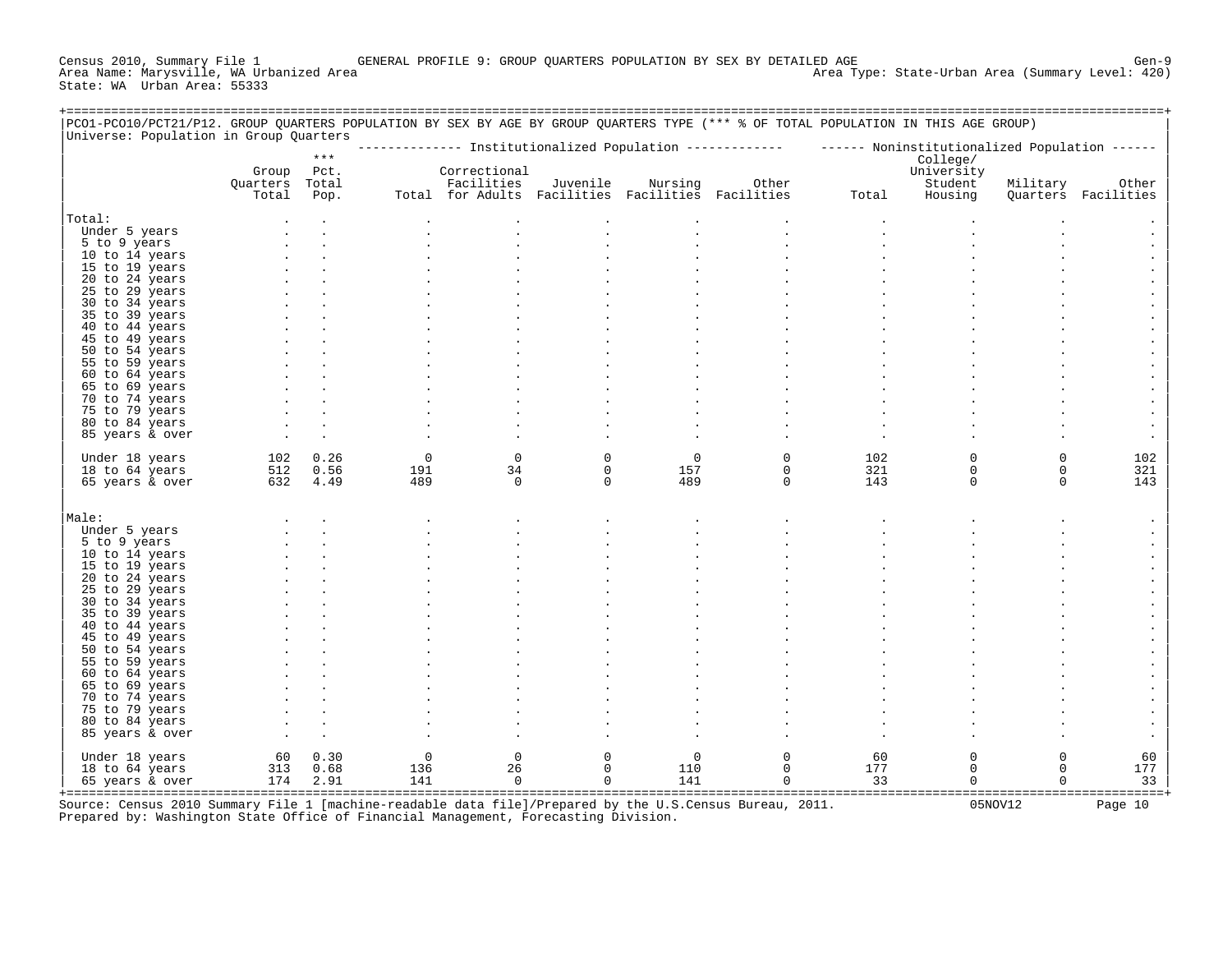Census 2010, Summary File 1 GENERAL PROFILE 9: GROUP QUARTERS POPULATION BY SEX BY DETAILED AGE Gen-9 Area Type: State-Urban Area (Summary Level: 420) State: WA Urban Area: 55333

| PCO1-PCO10/PCT21/P12. GROUP QUARTERS POPULATION BY SEX BY AGE BY GROUP QUARTERS TYPE (*** % OF TOTAL POPULATION IN THIS AGE GROUP)<br>Universe: Population in Group Quarters |                                  |              |                    |                                                                                 |                             |                    |                            |                                                                                                        |                                    |                         |                              |
|------------------------------------------------------------------------------------------------------------------------------------------------------------------------------|----------------------------------|--------------|--------------------|---------------------------------------------------------------------------------|-----------------------------|--------------------|----------------------------|--------------------------------------------------------------------------------------------------------|------------------------------------|-------------------------|------------------------------|
|                                                                                                                                                                              |                                  | $***$        |                    |                                                                                 |                             |                    |                            | ------------- Institutionalized Population ------------- ------ Noninstitutionalized Population ------ | College/                           |                         |                              |
|                                                                                                                                                                              | Group<br>Quarters Total<br>Total | Pct.<br>Pop. |                    | Correctional<br>Facilities<br>Total for Adults Facilities Facilities Facilities | Juvenile                    | Nursing            | Other                      | Total                                                                                                  | University<br>Student<br>Housing   | Military                | Other<br>Quarters Facilities |
| Total:                                                                                                                                                                       |                                  |              |                    |                                                                                 |                             |                    |                            |                                                                                                        |                                    |                         |                              |
| Under 5 years                                                                                                                                                                |                                  |              |                    |                                                                                 |                             |                    |                            |                                                                                                        |                                    |                         |                              |
| 5 to 9 years<br>10 to 14 years                                                                                                                                               |                                  |              |                    |                                                                                 |                             |                    |                            |                                                                                                        |                                    |                         |                              |
| 15 to 19 years                                                                                                                                                               |                                  |              |                    |                                                                                 |                             |                    |                            |                                                                                                        |                                    |                         |                              |
| 20 to 24 years                                                                                                                                                               |                                  |              |                    |                                                                                 |                             |                    |                            |                                                                                                        |                                    |                         |                              |
| 25 to 29 years                                                                                                                                                               |                                  |              |                    |                                                                                 |                             |                    |                            |                                                                                                        |                                    |                         |                              |
| 30 to 34 years                                                                                                                                                               |                                  |              |                    |                                                                                 |                             |                    |                            |                                                                                                        |                                    |                         |                              |
| 35 to 39 years                                                                                                                                                               |                                  |              |                    |                                                                                 |                             |                    |                            |                                                                                                        |                                    |                         |                              |
| 40 to 44 years                                                                                                                                                               |                                  |              |                    |                                                                                 |                             |                    |                            |                                                                                                        |                                    |                         |                              |
| 45 to 49 years<br>50 to 54 years                                                                                                                                             |                                  |              |                    |                                                                                 |                             |                    |                            |                                                                                                        |                                    |                         |                              |
| 55 to 59 years                                                                                                                                                               |                                  |              |                    |                                                                                 |                             |                    |                            |                                                                                                        |                                    |                         |                              |
| 60 to 64 years                                                                                                                                                               |                                  |              |                    |                                                                                 |                             |                    |                            |                                                                                                        |                                    |                         |                              |
| 65 to 69 years                                                                                                                                                               |                                  |              |                    |                                                                                 |                             |                    |                            |                                                                                                        |                                    |                         |                              |
| 70 to 74 years                                                                                                                                                               |                                  |              |                    |                                                                                 |                             |                    |                            |                                                                                                        |                                    |                         |                              |
| 75 to 79 years                                                                                                                                                               |                                  |              |                    |                                                                                 |                             |                    |                            |                                                                                                        |                                    |                         |                              |
| 80 to 84 years                                                                                                                                                               |                                  |              |                    |                                                                                 |                             |                    |                            |                                                                                                        |                                    |                         |                              |
| 85 years & over                                                                                                                                                              |                                  |              |                    |                                                                                 |                             |                    |                            |                                                                                                        |                                    |                         |                              |
| Under 18 years<br>18 to 64 years                                                                                                                                             | 102<br>512                       | 0.26<br>0.56 | $\mathbf 0$<br>191 | $\mathbf 0$<br>34                                                               | $\mathbf{0}$<br>$\mathbf 0$ | $\mathbf 0$<br>157 | $\mathbf 0$<br>$\mathbf 0$ | 102<br>321                                                                                             | $\mathbf 0$<br>$\mathsf{O}\xspace$ | $\Omega$<br>$\mathsf 0$ | 102<br>321                   |
| 65 years & over                                                                                                                                                              |                                  | 632 4.49     | 489                | $\Omega$                                                                        | $\Omega$                    | 489                | $\Omega$                   | 143                                                                                                    | $\Omega$                           | $\Omega$                | 143                          |
| Male:                                                                                                                                                                        |                                  |              |                    |                                                                                 |                             |                    |                            |                                                                                                        |                                    |                         |                              |
| Under 5 years                                                                                                                                                                |                                  |              |                    |                                                                                 |                             |                    |                            |                                                                                                        |                                    |                         |                              |
| 5 to 9 years                                                                                                                                                                 |                                  |              |                    |                                                                                 |                             |                    |                            |                                                                                                        |                                    |                         |                              |
| 10 to 14 years                                                                                                                                                               |                                  |              |                    |                                                                                 |                             |                    |                            |                                                                                                        |                                    |                         |                              |
| 15 to 19 years<br>20 to 24 years                                                                                                                                             |                                  |              |                    |                                                                                 |                             |                    |                            |                                                                                                        |                                    |                         |                              |
| 25 to 29 years                                                                                                                                                               |                                  |              |                    |                                                                                 |                             |                    |                            |                                                                                                        |                                    |                         |                              |
| 30 to 34 years                                                                                                                                                               |                                  |              |                    |                                                                                 |                             |                    |                            |                                                                                                        |                                    |                         |                              |
| 35 to 39 years                                                                                                                                                               |                                  |              |                    |                                                                                 |                             |                    |                            |                                                                                                        |                                    |                         |                              |
| 40 to 44 years                                                                                                                                                               |                                  |              |                    |                                                                                 |                             |                    |                            |                                                                                                        |                                    |                         |                              |
| 45 to 49 years                                                                                                                                                               |                                  |              |                    |                                                                                 |                             |                    |                            |                                                                                                        |                                    |                         |                              |
| 50 to 54 years                                                                                                                                                               |                                  |              |                    |                                                                                 |                             |                    |                            |                                                                                                        |                                    |                         |                              |
| 55 to 59 years<br>60 to 64 years                                                                                                                                             |                                  |              |                    |                                                                                 |                             |                    |                            |                                                                                                        |                                    |                         |                              |
| 65 to 69 years                                                                                                                                                               |                                  |              |                    |                                                                                 |                             |                    |                            |                                                                                                        |                                    |                         |                              |
| 70 to 74 years                                                                                                                                                               |                                  |              |                    |                                                                                 |                             |                    |                            |                                                                                                        |                                    |                         |                              |
| 75 to 79 years                                                                                                                                                               |                                  |              |                    |                                                                                 |                             |                    |                            |                                                                                                        |                                    |                         |                              |
| 80 to 84 years                                                                                                                                                               |                                  |              |                    |                                                                                 |                             |                    |                            |                                                                                                        |                                    |                         |                              |
| 85 years & over                                                                                                                                                              |                                  |              |                    |                                                                                 |                             |                    |                            |                                                                                                        |                                    |                         |                              |
| Under 18 years                                                                                                                                                               | 60                               | 0.30         | $\mathbf 0$        | $\mathbf 0$                                                                     | 0                           | $\mathbf 0$        | $\mathsf{O}\xspace$        | 60                                                                                                     | $\mathsf{O}\xspace$                | $\mathsf 0$             | 60                           |
| 18 to 64 years                                                                                                                                                               | 313                              | 0.68         | 136                | 26                                                                              | $\mathbf{0}$                | 110                | $\mathbf 0$                | 177                                                                                                    | $\mathbf 0$                        | $\mathbf 0$             | 177                          |
| 65 years & over                                                                                                                                                              | 174                              | 2.91         | 141                | $\mathbf 0$                                                                     | $\mathbf{0}$                | 141                | $\Omega$                   | 33                                                                                                     | $\Omega$                           | $\Omega$                | 33                           |
|                                                                                                                                                                              |                                  |              |                    |                                                                                 |                             |                    |                            |                                                                                                        |                                    |                         |                              |

+===================================================================================================================================================+ Source: Census 2010 Summary File 1 [machine-readable data file]/Prepared by the U.S.Census Bureau, 2011. 05NOV12 Page 10 Prepared by: Washington State Office of Financial Management, Forecasting Division.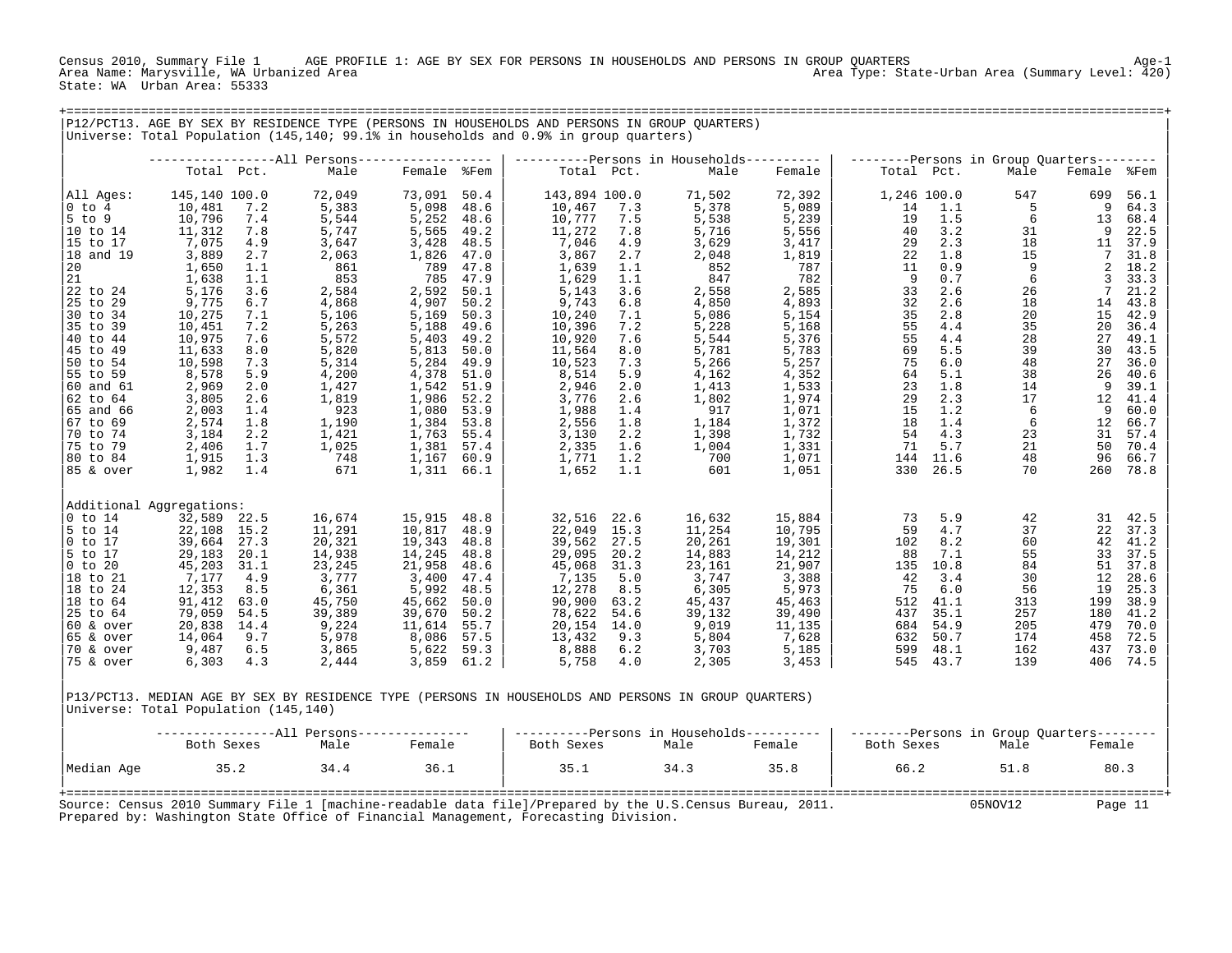Census 2010, Summary File 1 AGE PROFILE 1: AGE BY SEX FOR PERSONS IN HOUSEHOLDS AND PERSONS IN GROUP QUARTERS Age-1 Area Type: State-Urban Area (Summary Level: 420) State: WA Urban Area: 55333

+===================================================================================================================================================+

|                         |                                    |            | P12/PCT13. AGE BY SEX BY RESIDENCE TYPE (PERSONS IN HOUSEHOLDS AND PERSONS IN GROUP OUARTERS)<br>Universe: Total Population (145,140; 99.1% in households and 0.9% in group quarters) |                 |              |                         |            |                                           |                 |            |                    |                                           |                |              |
|-------------------------|------------------------------------|------------|---------------------------------------------------------------------------------------------------------------------------------------------------------------------------------------|-----------------|--------------|-------------------------|------------|-------------------------------------------|-----------------|------------|--------------------|-------------------------------------------|----------------|--------------|
|                         |                                    |            | ------------------All Persons------------------                                                                                                                                       |                 |              |                         |            | ----------Persons in Households---------- |                 |            |                    | --------Persons in Group Quarters-------- |                |              |
|                         | Total Pct.                         |            | Male                                                                                                                                                                                  | Female %Fem     |              | Total Pct.              |            | Male                                      | Female          | Total Pct. |                    | Male                                      | Female %Fem    |              |
| All Ages:<br>$0$ to $4$ | 145,140 100.0<br>10,481            | 7.2        | 72,049<br>5,383                                                                                                                                                                       | 73,091<br>5,098 | 50.4<br>48.6 | 143,894 100.0<br>10,467 | 7.3        | 71,502<br>5,378                           | 72,392<br>5,089 | 14         | 1,246 100.0<br>1.1 | 547<br>5                                  | 699<br>9       | 56.1<br>64.3 |
| $5$ to<br>9<br>10 to 14 | 10,796<br>11,312                   | 7.4<br>7.8 | 5,544<br>5,747                                                                                                                                                                        | 5,252<br>5,565  | 48.6<br>49.2 | 10,777<br>11,272        | 7.5<br>7.8 | 5,538<br>5,716                            | 5,239<br>5,556  | 19<br>40   | 1.5<br>3.2         | 6<br>31                                   | 13<br>9        | 68.4<br>22.5 |
| 15 to 17                | 7,075                              | 4.9        | 3,647                                                                                                                                                                                 | 3,428           | 48.5         | 7,046                   | 4.9        | 3,629                                     | 3,417           | 29         | 2.3                | 18                                        | 11             | 37.9         |
| 18 and 19               | 3,889                              | 2.7        | 2,063                                                                                                                                                                                 | 1,826           | 47.0         | 3,867                   | 2.7        | 2,048                                     | 1,819           | 22         | 1.8                | 15                                        | 7              | 31.8         |
| 20                      | 1,650                              | 1.1        | 861                                                                                                                                                                                   | 789             | 47.8         | 1,639                   | 1.1        | 852                                       | 787             | 11         | 0.9                | 9                                         | $\overline{a}$ | 18.2         |
| 21                      | 1,638                              | 1.1        | 853                                                                                                                                                                                   | 785             | 47.9         | 1,629                   | 1.1        | 847                                       | 782             | 9          | 0.7                | 6                                         | 3              | 33.3         |
| 22 to 24                | 5,176                              | 3.6        | 2,584                                                                                                                                                                                 | 2,592           | 50.1         | 5,143                   | 3.6        | 2,558                                     | 2,585           | 33         | 2.6                | 26                                        | 7              | 21.2         |
| 25 to 29                | 9,775                              | 6.7        | 4,868                                                                                                                                                                                 | 4,907           | 50.2         | 9,743                   | 6.8        | 4,850                                     | 4,893           | 32         | 2.6                | 18                                        | 14             | 43.8         |
| 30 to 34                | 10,275                             | 7.1        | 5,106                                                                                                                                                                                 | 5,169           | 50.3         | 10,240                  | 7.1        | 5,086                                     | 5,154           | 35         | 2.8                | 20                                        | 15             | 42.9         |
| 35 to 39                | 10,451                             | 7.2        | 5,263                                                                                                                                                                                 | 5,188           | 49.6         | 10,396                  | 7.2        | 5,228                                     | 5,168           | 55         | 4.4                | 35                                        | 20             | 36.4         |
| 40 to 44<br>45 to<br>49 | 10,975<br>11,633                   | 7.6<br>8.0 | 5,572<br>5,820                                                                                                                                                                        | 5,403<br>5,813  | 49.2<br>50.0 | 10,920<br>11,564        | 7.6<br>8.0 | 5,544<br>5,781                            | 5,376<br>5,783  | 55<br>69   | 4.4<br>5.5         | 28<br>39                                  | 27<br>30       | 49.1<br>43.5 |
| 50 to 54                | 10,598                             | 7.3        | 5,314                                                                                                                                                                                 | 5,284           | 49.9         | 10,523                  | 7.3        | 5,266                                     | 5,257           | 75         | 6.0                | 48                                        | 27             | 36.0         |
| 55 to 59                | 8,578                              | 5.9        | 4,200                                                                                                                                                                                 | 4,378           | 51.0         | 8,514                   | 5.9        | 4,162                                     | 4,352           | 64         | 5.1                | 38                                        | 26             | 40.6         |
| 60 and 61               | 2,969                              | 2.0        | 1,427                                                                                                                                                                                 | 1,542           | 51.9         | 2,946                   | 2.0        | 1,413                                     | 1,533           | 23         | 1.8                | 14                                        | 9              | 39.1         |
| 62 to 64                | 3,805                              | 2.6        | 1,819                                                                                                                                                                                 | 1,986           | 52.2         | 3,776                   | 2.6        | 1,802                                     | 1,974           | 29         | 2.3                | 17                                        | 12             | 41.4         |
| 65 and 66               | 2,003                              | 1.4        | 923                                                                                                                                                                                   | 1,080           | 53.9         | 1,988                   | 1.4        | 917                                       | 1,071           | 15         | 1.2                | 6                                         | 9              | 60.0         |
| 67 to 69                | 2,574                              | 1.8        | 1,190                                                                                                                                                                                 | 1,384 53.8      |              | 2,556                   | 1.8        | 1,184                                     | 1,372           | 18         | 1.4                | 6                                         | 12             | 66.7         |
| 70 to 74                | 3,184                              | 2.2        | 1,421                                                                                                                                                                                 | 1,763           | 55.4         | 3,130                   | 2.2        | 1,398                                     | 1,732           | 54         | 4.3                | 23                                        | 31             | 57.4         |
| 75 to 79                | 2,406                              | 1.7        | 1,025                                                                                                                                                                                 | 1,381           | 57.4         | 2,335                   | 1.6        | 1,004                                     | 1,331           | 71         | 5.7                | 21                                        | 50             | 70.4         |
| 80 to 84                | 1,915                              | 1.3        | 748                                                                                                                                                                                   | 1,167           | 60.9         | 1,771                   | 1.2        | 700                                       | 1,071           | 144        | 11.6               | 48                                        | 96             | 66.7         |
| 85 & over               | 1,982                              | 1.4        | 671                                                                                                                                                                                   | 1,311 66.1      |              | 1,652                   | 1.1        | 601                                       | 1,051           | 330        | 26.5               | 70                                        | 260            | 78.8         |
|                         |                                    |            |                                                                                                                                                                                       |                 |              |                         |            |                                           |                 |            |                    |                                           |                |              |
| $0$ to $14$             | Additional Aggregations:<br>32,589 | 22.5       | 16,674                                                                                                                                                                                | 15,915          | 48.8         | 32,516                  | 22.6       | 16,632                                    | 15,884          | 73         | 5.9                | 42                                        | 31             | 42.5         |
| $5$ to $14$             | 22,108                             | 15.2       | 11,291                                                                                                                                                                                | 10,817          | 48.9         | 22,049                  | 15.3       | 11,254                                    | 10,795          | 59         | 4.7                | 37                                        | 22             | 37.3         |
| $0$ to 17               | 39,664                             | 27.3       | 20,321                                                                                                                                                                                | 19,343          | 48.8         | 39,562                  | 27.5       | 20,261                                    | 19,301          | 102        | 8.2                | 60                                        | 42             | 41.2         |
| 5 to 17                 | 29,183                             | 20.1       | 14,938                                                                                                                                                                                | 14,245          | 48.8         | 29,095                  | 20.2       | 14,883                                    | 14,212          | 88         | 7.1                | 55                                        | 33             | 37.5         |
| $0$ to 20               | 45,203                             | 31.1       | 23,245                                                                                                                                                                                | 21,958          | 48.6         | 45,068                  | 31.3       | 23,161                                    | 21,907          | 135        | 10.8               | 84                                        | 51             | 37.8         |
| 18 to 21                | 7,177                              | 4.9        | 3,777                                                                                                                                                                                 | 3,400           | 47.4         | 7,135                   | 5.0        | 3,747                                     | 3,388           | 42         | 3.4                | 30                                        | 12             | 28.6         |
| 18 to 24                | 12,353                             | 8.5        | 6,361                                                                                                                                                                                 | 5,992           | 48.5         | 12,278                  | 8.5        | 6,305                                     | 5,973           | 75         | 6.0                | 56                                        | 19             | 25.3         |
| 18 to 64                | 91,412                             | 63.0       | 45,750                                                                                                                                                                                | 45,662          | 50.0         | 90,900                  | 63.2       | 45,437                                    | 45,463          | 512        | 41.1               | 313                                       | 199            | 38.9         |
| 25 to 64                | 79,059                             | 54.5       | 39,389                                                                                                                                                                                | 39,670          | 50.2         | 78,622                  | 54.6       | 39,132                                    | 39,490          | 437        | 35.1               | 257                                       | 180            | 41.2         |
| $60$ & over             | 20,838                             | 14.4       | 9,224                                                                                                                                                                                 | 11,614          | 55.7         | 20,154 14.0             |            | 9,019                                     | 11,135          | 684        | 54.9               | 205                                       | 479            | 70.0         |
| $65$ & over             | 14,064                             | 9.7        | 5,978                                                                                                                                                                                 | 8,086           | 57.5         | 13,432                  | 9.3        | 5,804                                     | 7,628           | 632        | 50.7               | 174                                       | 458            | 72.5         |
| 70 & over               | 9,487                              | 6.5        | 3,865                                                                                                                                                                                 | 5,622           | 59.3         | 8,888                   | 6.2        | 3,703                                     | 5,185           | 599        | 48.1               | 162                                       | 437            | 73.0         |
| 75 & over               | 6,303                              | 4.3        | 2,444                                                                                                                                                                                 | 3,859           | 61.2         | 5,758                   | 4.0        | 2,305                                     | 3,453           | 545        | 43.7               | 139                                       | 406            | 74.5         |

|P13/PCT13. MEDIAN AGE BY SEX BY RESIDENCE TYPE (PERSONS IN HOUSEHOLDS AND PERSONS IN GROUP QUARTERS) | |Universe: Total Population (145,140) |

|            |            |      | -All Persons--------------- | ----------Persons in Households----------                                                                |      |        | $-----Persons$ in Group Quarters-------- |         |         |
|------------|------------|------|-----------------------------|----------------------------------------------------------------------------------------------------------|------|--------|------------------------------------------|---------|---------|
|            | Both Sexes | Male | Female                      | Both Sexes                                                                                               | Male | Female | Both Sexes                               | Male    | Female  |
| Median Age | 35.2       | 34.4 | 36.1                        | 35.1                                                                                                     | 34.3 | 35.8   | 66.2                                     | 51.8    | 80.3    |
|            |            |      |                             | Source: Census 2010 Summary File 1 [machine-readable data file]/Prepared by the U.S.Census Bureau, 2011. |      |        |                                          | 05NOV12 | Page 11 |

Prepared by: Washington State Office of Financial Management, Forecasting Division.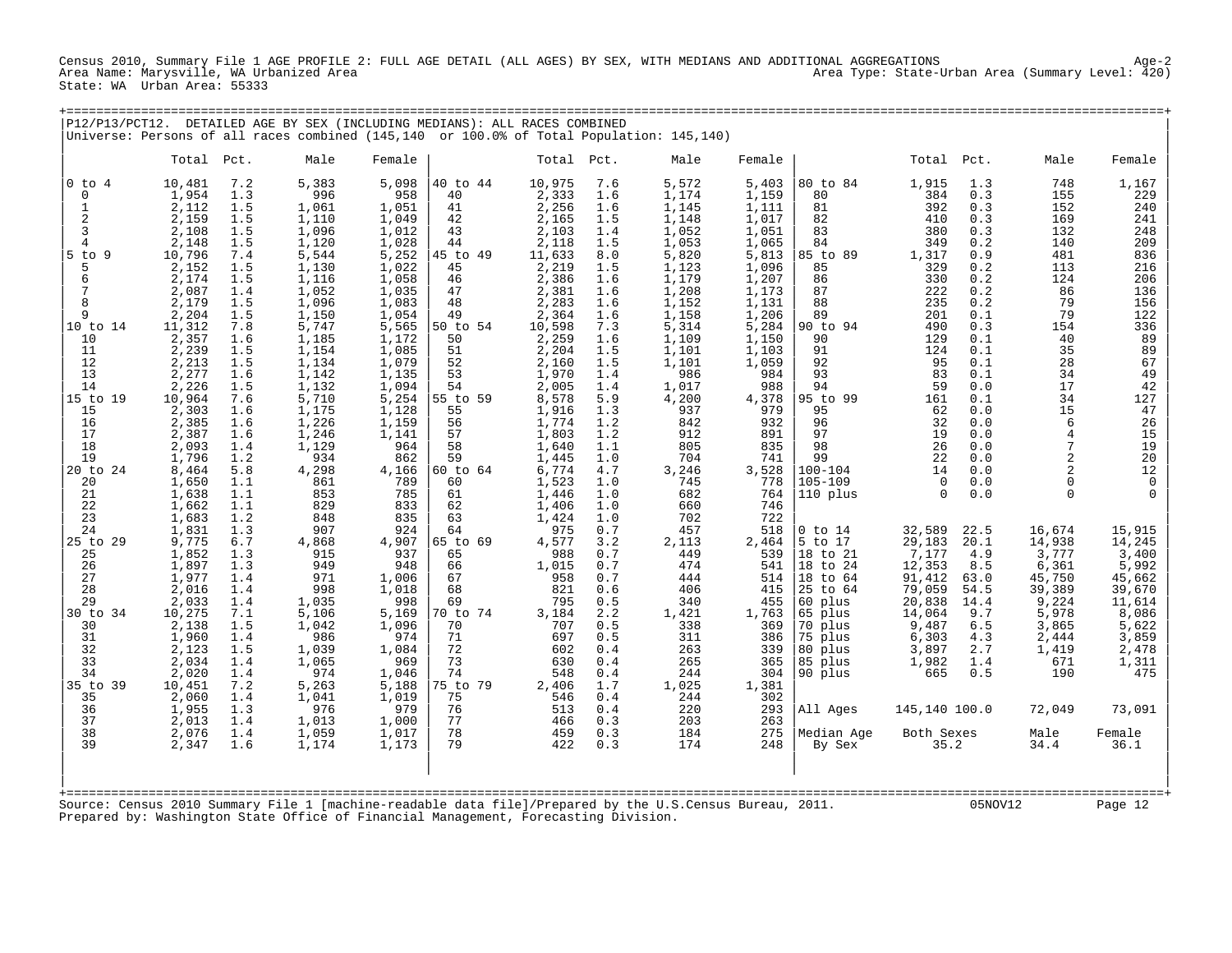Census 2010, Summary File 1 AGE PROFILE 2: FULL AGE DETAIL (ALL AGES) BY SEX, WITH MEDIANS AND ADDITIONAL AGGREGATIONS Age-2 Area Type: State-Urban Area (Summary Level: 420) State: WA Urban Area: 55333

| P12/P13/PCT12.            |                 |            | DETAILED AGE BY SEX (INCLUDING MEDIANS): ALL RACES COMBINED                         |                |                |                 |            |                                                                                                          |                |                            |                  |             |                 |                       |
|---------------------------|-----------------|------------|-------------------------------------------------------------------------------------|----------------|----------------|-----------------|------------|----------------------------------------------------------------------------------------------------------|----------------|----------------------------|------------------|-------------|-----------------|-----------------------|
|                           |                 |            |                                                                                     |                |                |                 |            | Universe: Persons of all races combined (145,140 or 100.0% of Total Population: 145,140)                 |                |                            |                  |             |                 |                       |
|                           | Total Pct.      |            | Male                                                                                | Female         |                | Total Pct.      |            | Male                                                                                                     | Female         |                            | Total Pct.       |             | Male            | Female                |
| $0$ to $4$<br>$\mathbf 0$ | 10,481<br>1,954 | 7.2<br>1.3 | 5,383<br>996                                                                        | 5,098<br>958   | 40 to 44<br>40 | 10,975<br>2,333 | 7.6<br>1.6 | 5,572<br>1,174                                                                                           | 5,403<br>1,159 | 80 to 84<br>80             | 1,915<br>384     | 1.3<br>0.3  | 748<br>155      | 1,167<br>229          |
| 1                         | 2,112           | 1.5        | 1,061                                                                               | 1,051          | 41             | 2,256           | 1.6        | 1,145                                                                                                    | 1,111          | 81                         | 392              | 0.3         | 152             | 240                   |
| $\overline{2}$            | 2,159           | 1.5        | 1,110                                                                               | 1,049          | 42             | 2,165           | 1.5        | 1,148                                                                                                    | 1,017          | 82                         | 410              | 0.3         | 169             | 241                   |
| 3<br>$\overline{4}$       | 2,108<br>2,148  | 1.5<br>1.5 | 1,096<br>1,120                                                                      | 1,012<br>1,028 | 43<br>44       | 2,103<br>2,118  | 1.4<br>1.5 | 1,052<br>1,053                                                                                           | 1,051<br>1,065 | 83<br>84                   | 380<br>349       | 0.3<br>0.2  | 132<br>140      | 248<br>209            |
| $5$ to $9$                | 10,796          | 7.4        | 5,544                                                                               | 5,252          | 45 to 49       | 11,633          | 8.0        | 5,820                                                                                                    | 5,813          | 85 to 89                   | 1,317            | 0.9         | 481             | 836                   |
| 5                         | 2,152           | 1.5        | 1,130                                                                               | 1,022          | 45             | 2,219           | 1.5        | 1,123                                                                                                    | 1,096          | 85                         | 329              | 0.2         | 113             | 216                   |
| 6<br>7                    | 2,174<br>2,087  | 1.5<br>1.4 | 1,116<br>1,052                                                                      | 1,058<br>1,035 | 46<br>47       | 2,386<br>2,381  | 1.6<br>1.6 | 1,179<br>1,208                                                                                           | 1,207<br>1,173 | 86<br>87                   | 330<br>222       | 0.2<br>0.2  | 124<br>86       | 206<br>136            |
| 8                         | 2,179           | 1.5        | 1,096                                                                               | 1,083          | 48             | 2,283           | 1.6        | 1,152                                                                                                    | 1,131          | 88                         | 235              | 0.2         | 79              | 156                   |
| 9                         | 2,204           | 1.5        | 1,150                                                                               | 1,054          | 49             | 2,364           | 1.6        | 1,158                                                                                                    | 1,206          | 89                         | 201              | 0.1         | 79              | 122                   |
| 10 to 14<br>10            | 11,312<br>2,357 | 7.8<br>1.6 | 5,747<br>1,185                                                                      | 5,565<br>1,172 | 50 to 54<br>50 | 10,598<br>2,259 | 7.3<br>1.6 | 5,314<br>1,109                                                                                           | 5,284<br>1,150 | 90 to 94<br>90             | 490<br>129       | 0.3<br>0.1  | 154<br>40       | 336<br>89             |
| 11                        | 2,239           | 1.5        | 1,154                                                                               | 1,085          | 51             | 2,204           | 1.5        | 1,101                                                                                                    | 1,103          | 91                         | 124              | 0.1         | 35              | 89                    |
| 12                        | 2,213           | 1.5        | 1,134                                                                               | 1,079          | 52             | 2,160           | 1.5        | 1,101                                                                                                    | 1,059          | 92                         | 95               | 0.1         | 28              | 67                    |
| 13<br>14                  | 2,277<br>2,226  | 1.6<br>1.5 | 1,142<br>1,132                                                                      | 1,135<br>1,094 | 53<br>54       | 1,970<br>2,005  | 1.4<br>1.4 | 986<br>1,017                                                                                             | 984<br>988     | 93<br>94                   | 83<br>59         | 0.1<br>0.0  | 34<br>17        | 49<br>$\overline{42}$ |
| 15 to 19                  | 10,964          | 7.6        | 5,710                                                                               | 5,254          | 55 to 59       | 8,578           | 5.9        | 4,200                                                                                                    | 4,378          | 95 to 99                   | 161              | 0.1         | 34              | 127                   |
| 15                        | 2,303           | 1.6        | 1,175                                                                               | 1,128          | 55             | 1,916           | 1.3        | 937                                                                                                      | 979            | 95                         | 62               | 0.0         | 15              | 47                    |
| 16<br>17                  | 2,385<br>2,387  | 1.6<br>1.6 | 1,226<br>1,246                                                                      | 1,159<br>1,141 | 56<br>57       | 1,774<br>1,803  | 1.2<br>1.2 | 842<br>912                                                                                               | 932<br>891     | 96<br>97                   | 32<br>19         | 0.0<br>0.0  | 6               | 26<br>$\overline{15}$ |
| 18                        | 2,093           | 1.4        | 1,129                                                                               | 964            | 58             | 1,640           | 1.1        | 805                                                                                                      | 835            | 98                         | 26               | 0.0         |                 | 19                    |
| 19                        | 1,796           | 1.2        | 934                                                                                 | 862            | 59             | 1,445           | 1.0        | 704                                                                                                      | 741            | 99                         | 22               | 0.0         | $\overline{a}$  | $\overline{20}$       |
| 20 to 24<br>20            | 8,464<br>1,650  | 5.8<br>1.1 | 4,298<br>861                                                                        | 4,166<br>789   | 60 to 64<br>60 | 6,774<br>1,523  | 4.7<br>1.0 | 3,246<br>745                                                                                             | 3,528<br>778   | $100 - 104$<br>$105 - 109$ | 14<br>$\Omega$   | 0.0<br>0.0  | $\cap$          | 12<br>$\mathbf{0}$    |
| 21                        | 1,638           | 1.1        | 853                                                                                 | 785            | 61             | 1,446           | 1.0        | 682                                                                                                      | 764            | 110 plus                   | $\Omega$         | 0.0         | $\Omega$        | $\Omega$              |
| 22                        | 1,662           | 1.1        | 829                                                                                 | 833            | 62             | 1,406           | 1.0        | 660                                                                                                      | 746            |                            |                  |             |                 |                       |
| 23<br>24                  | 1,683<br>1,831  | 1.2<br>1.3 | 848<br>907                                                                          | 835<br>924     | 63<br>64       | 1,424<br>975    | 1.0<br>0.7 | 702<br>457                                                                                               | 722<br>518     | $0$ to $14$                | 32,589           | 22.5        | 16,674          | 15,915                |
| 25 to 29                  | 9,775           | 6.7        | 4,868                                                                               | 4,907          | 65 to 69       | 4,577           | 3.2        | 2,113                                                                                                    | 2,464          | 5 to 17                    | 29,183           | 20.1        | 14,938          | 14,245                |
| 25                        | 1,852           | 1.3        | 915                                                                                 | 937            | 65             | 988             | 0.7        | 449                                                                                                      | 539            | 18 to 21                   | 7,177            | 4.9         | 3,777           | 3,400                 |
| 26<br>27                  | 1,897<br>1,977  | 1.3<br>1.4 | 949<br>971                                                                          | 948<br>1,006   | 66<br>67       | 1,015<br>958    | 0.7<br>0.7 | 474<br>444                                                                                               | 541<br>514     | 18 to 24<br>18 to 64       | 12,353<br>91,412 | 8.5<br>63.0 | 6,361<br>45,750 | 5,992<br>45,662       |
| 28                        | 2,016           | 1.4        | 998                                                                                 | 1,018          | 68             | 821             | 0.6        | 406                                                                                                      | 415            | 25 to 64                   | 79,059           | 54.5        | 39,389          | 39,670                |
| 29                        | 2,033           | 1.4        | 1,035                                                                               | 998            | 69             | 795             | 0.5        | 340                                                                                                      | 455            | 60 plus                    | 20,838           | 14.4        | 9,224           | 11,614                |
| 30 to 34<br>30            | 10,275<br>2,138 | 7.1<br>1.5 | 5,106<br>1,042                                                                      | 5,169<br>1,096 | 70 to 74<br>70 | 3,184<br>707    | 2.2<br>0.5 | 1,421<br>338                                                                                             | 1,763<br>369   | 65 plus<br>70 plus         | 14,064<br>9,487  | 9.7<br>6.5  | 5,978<br>3,865  | 8,086<br>5,622        |
| 31                        | 1,960           | 1.4        | 986                                                                                 | 974            | 71             | 697             | 0.5        | 311                                                                                                      | 386            | 75 plus                    | 6,303            | 4.3         | 2,444           | 3,859                 |
| 32<br>33                  | 2,123           | 1.5        | 1,039                                                                               | 1,084          | 72<br>73       | 602             | 0.4        | 263                                                                                                      | 339            | 80 plus                    | 3,897            | 2.7         | 1,419           | 2,478                 |
| 34                        | 2,034<br>2,020  | 1.4<br>1.4 | 1,065<br>974                                                                        | 969<br>1,046   | 74             | 630<br>548      | 0.4<br>0.4 | 265<br>244                                                                                               | 365<br>304     | 85 plus<br>90 plus         | 1,982<br>665     | 1.4<br>0.5  | 671<br>190      | 1,311<br>475          |
| 35 to 39                  | 10,451          | 7.2        | 5,263                                                                               | 5,188          | 75 to 79       | 2,406           | 1.7        | 1,025                                                                                                    | 1,381          |                            |                  |             |                 |                       |
| 35                        | 2,060           | 1.4        | 1,041                                                                               | 1,019          | 75             | 546             | 0.4        | 244                                                                                                      | 302            |                            |                  |             |                 |                       |
| 36<br>37                  | 1,955<br>2,013  | 1.3<br>1.4 | 976<br>1,013                                                                        | 979<br>1,000   | 76<br>77       | 513<br>466      | 0.4<br>0.3 | 220<br>203                                                                                               | 293<br>263     | All Ages                   | 145,140 100.0    |             | 72,049          | 73,091                |
| 38                        | 2,076           | 1.4        | 1,059                                                                               | 1,017          | 78             | 459             | 0.3        | 184                                                                                                      | 275            | Median Age                 | Both Sexes       |             | Male            | Female                |
| 39                        | 2,347           | 1.6        | 1,174                                                                               | 1,173          | 79             | 422             | 0.3        | 174                                                                                                      | 248            | By Sex                     | 35.2             |             | 34.4            | 36.1                  |
|                           |                 |            |                                                                                     |                |                |                 |            |                                                                                                          |                |                            |                  |             |                 |                       |
|                           |                 |            | Prepared by: Washington State Office of Financial Management, Forecasting Division. |                |                |                 |            | Source: Census 2010 Summary File 1 [machine-readable data file]/Prepared by the U.S.Census Bureau, 2011. |                |                            |                  | 05NOV12     |                 | Page 12               |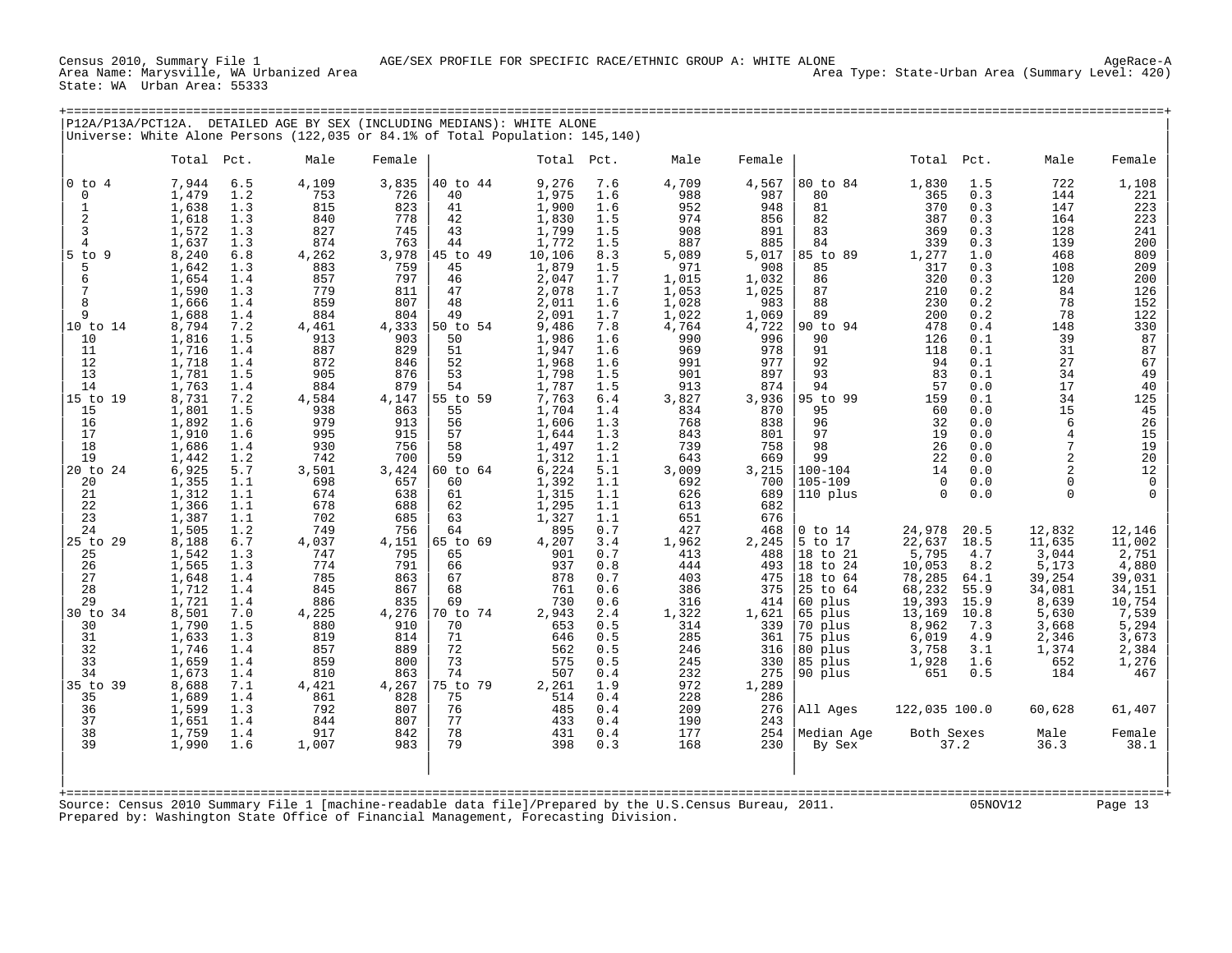Census 2010, Summary File 1 AGE/SEX PROFILE FOR SPECIFIC RACE/ETHNIC GROUP A: WHITE ALONE AgeRace-A State: WA Urban Area: 55333

|                                |                |            | P12A/P13A/PCT12A. DETAILED AGE BY SEX (INCLUDING MEDIANS): WHITE ALONE        |              |                |                 |            |              |              |                     |                 |             |                 |                 |
|--------------------------------|----------------|------------|-------------------------------------------------------------------------------|--------------|----------------|-----------------|------------|--------------|--------------|---------------------|-----------------|-------------|-----------------|-----------------|
|                                |                |            | Universe: White Alone Persons (122,035 or 84.1% of Total Population: 145,140) |              |                |                 |            |              |              |                     |                 |             |                 |                 |
|                                | Total          | Pct.       | Male                                                                          | Female       |                | Total Pct.      |            | Male         | Female       |                     | Total           | Pct.        | Male            | Female          |
| $0$ to $4$                     | 7,944          | 6.5        | 4,109                                                                         | 3,835        | 40 to 44       | 9,276           | 7.6        | 4,709        | 4,567        | 80 to 84            | 1,830           | 1.5         | 722             | 1,108           |
| $\Omega$                       | 1,479          | 1.2        | 753                                                                           | 726          | 40             | 1,975           | 1.6        | 988          | 987          | 80                  | 365             | 0.3         | 144             | 221             |
| $\overline{1}$                 | 1,638          | 1.3        | 815                                                                           | 823          | 41             | 1,900           | 1.6        | 952          | 948          | 81                  | 370             | 0.3         | 147             | 223             |
| $\overline{2}$                 | 1,618          | 1.3        | 840                                                                           | 778          | 42             | 1,830           | 1.5        | 974          | 856          | 82                  | 387             | 0.3         | 164             | 223             |
| $\mathbf{3}$<br>$\overline{4}$ | 1,572          | 1.3        | 827<br>874                                                                    | 745<br>763   | 43             | 1,799           | 1.5        | 908          | 891          | 83<br>84            | 369<br>339      | 0.3         | 128             | 241             |
| $5$ to $9$                     | 1,637<br>8,240 | 1.3<br>6.8 | 4,262                                                                         | 3,978        | 44<br>45 to 49 | 1,772<br>10,106 | 1.5<br>8.3 | 887<br>5,089 | 885<br>5,017 | 85 to 89            | 1,277           | 0.3<br>1.0  | 139<br>468      | 200<br>809      |
| 5                              | 1,642          | 1.3        | 883                                                                           | 759          | 45             | 1,879           | 1.5        | 971          | 908          | 85                  | 317             | 0.3         | 108             | 209             |
| 6                              | 1,654          | 1.4        | 857                                                                           | 797          | 46             | 2,047           | 1.7        | 1,015        | 1,032        | 86                  | 320             | 0.3         | 120             | 200             |
|                                | 1,590          | 1.3        | 779                                                                           | 811          | 47             | 2,078           | 1.7        | 1,053        | 1,025        | 87                  | 210             | 0.2         | 84              | 126             |
| 8                              | 1,666          | 1.4        | 859                                                                           | 807          | 48             | 2,011           | 1.6        | 1,028        | 983          | 88                  | 230             | 0.2         | 78              | 152             |
| 9                              | 1,688          | 1.4        | 884                                                                           | 804          | 49             | 2,091           | 1.7        | 1,022        | 1,069        | 89                  | 200             | 0.2         | 78              | 122             |
| 10 to 14                       | 8,794          | 7.2        | 4,461                                                                         | 4,333        | 50 to 54       | 9,486           | 7.8        | 4,764        | 4,722        | 90 to 94            | 478             | 0.4         | 148             | 330             |
| 10                             | 1,816          | 1.5        | 913                                                                           | 903          | 50             | 1,986           | 1.6        | 990          | 996          | 90                  | 126             | 0.1         | 39              | 87              |
| 11                             | 1,716          | 1.4        | 887                                                                           | 829          | 51             | 1,947           | 1.6        | 969          | 978          | 91                  | 118             | 0.1         | 31              | 87              |
| 12                             | 1,718          | 1.4        | 872                                                                           | 846          | 52             | 1,968           | 1.6        | 991          | 977          | 92                  | 94              | 0.1         | 27              | 67              |
| 13                             | 1,781          | 1.5        | 905                                                                           | 876          | 53             | 1,798           | 1.5        | 901          | 897          | 93                  | 83              | 0.1         | 34              | 49              |
| 14                             | 1,763          | 1.4<br>7.2 | 884                                                                           | 879          | 54<br>55 to 59 | 1,787<br>7,763  | 1.5        | 913          | 874          | 94<br>95 to 99      | 57<br>159       | 0.0<br>0.1  | 17<br>34        | 40<br>125       |
| 15 to 19<br>15                 | 8,731<br>1,801 | 1.5        | 4,584<br>938                                                                  | 4,147<br>863 | 55             | 1,704           | 6.4<br>1.4 | 3,827<br>834 | 3,936<br>870 | 95                  | 60              | 0.0         | 15              | 45              |
| 16                             | 1,892          | 1.6        | 979                                                                           | 913          | 56             | 1,606           | 1.3        | 768          | 838          | 96                  | 32              | 0.0         | 6               | 26              |
| 17                             | 1,910          | 1.6        | 995                                                                           | 915          | 57             | 1,644           | 1.3        | 843          | 801          | 97                  | 19              | 0.0         |                 | 15              |
| 18                             | 1,686          | 1.4        | 930                                                                           | 756          | 58             | 1,497           | 1.2        | 739          | 758          | 98                  | 26              | 0.0         |                 | 19              |
| 19                             | 1,442          | 1.2        | 742                                                                           | 700          | 59             | 1,312           | 1.1        | 643          | 669          | 99                  | 22              | 0.0         |                 | 20              |
| 20 to 24                       | 6,925          | 5.7        | 3,501                                                                         | 3,424        | 60 to 64       | 6,224           | 5.1        | 3,009        | 3,215        | $100 - 104$         | 14              | 0.0         |                 | 12              |
| 20                             | 1,355          | 1.1        | 698                                                                           | 657          | 60             | 1,392           | 1.1        | 692          | 700          | $105 - 109$         | $\mathbf 0$     | 0.0         |                 | $\mathbf 0$     |
| 21                             | 1,312          | 1.1        | 674                                                                           | 638          | 61             | 1,315           | 1.1        | 626          | 689          | 110 plus            | $\cap$          | 0.0         |                 |                 |
| 22                             | 1,366          | 1.1        | 678                                                                           | 688          | 62             | 1,295           | 1.1        | 613          | 682          |                     |                 |             |                 |                 |
| 23                             | 1,387          | 1.1        | 702                                                                           | 685          | 63             | 1,327           | 1.1        | 651          | 676          |                     |                 |             |                 |                 |
| 24                             | 1,505          | 1.2        | 749                                                                           | 756          | 64             | 895             | 0.7        | 427          | 468          | $0$ to $14$         | 24,978          | 20.5        | 12,832          | 12,146          |
| 25 to 29<br>25                 | 8,188          | 6.7<br>1.3 | 4,037<br>747                                                                  | 4,151<br>795 | 65 to 69<br>65 | 4,207<br>901    | 3.4<br>0.7 | 1,962<br>413 | 2,245<br>488 | 5 to 17<br>18 to 21 | 22,637<br>5,795 | 18.5<br>4.7 | 11,635<br>3,044 | 11,002<br>2,751 |
| 26                             | 1,542<br>1,565 | 1.3        | 774                                                                           | 791          | 66             | 937             | 0.8        | 444          | 493          | 18 to 24            | 10,053          | 8.2         | 5,173           | 4,880           |
| 27                             | 1,648          | 1.4        | 785                                                                           | 863          | 67             | 878             | 0.7        | 403          | 475          | 18 to 64            | 78,285          | 64.1        | 39,254          | 39,031          |
| 28                             | 1,712          | 1.4        | 845                                                                           | 867          | 68             | 761             | 0.6        | 386          | 375          | 25 to 64            | 68,232          | 55.9        | 34,081          | 34,151          |
| 29                             | 1,721          | 1.4        | 886                                                                           | 835          | 69             | 730             | 0.6        | 316          | 414          | 60 plus             | 19,393          | 15.9        | 8,639           | 10,754          |
| 30 to 34                       | 8,501          | 7.0        | 4,225                                                                         | 4,276        | 70 to 74       | 2,943           | 2.4        | 1,322        | 1,621        | 65 plus             | 13,169          | 10.8        | 5,630           | 7,539           |
| 30                             | 1,790          | 1.5        | 880                                                                           | 910          | 70             | 653             | 0.5        | 314          | 339          | 70 plus             | 8,962           | 7.3         | 3,668           | 5,294           |
| 31                             | 1,633          | 1.3        | 819                                                                           | 814          | 71             | 646             | 0.5        | 285          | 361          | 75 plus             | 6,019           | 4.9         | 2,346           | 3,673           |
| 32                             | 1,746          | 1.4        | 857                                                                           | 889          | 72             | 562             | 0.5        | 246          | 316          | 80 plus             | 3,758           | 3.1         | 1,374           | 2,384           |
| 33                             | 1,659          | 1.4        | 859                                                                           | 800          | 73             | 575             | 0.5        | 245          | 330          | 85 plus             | 1,928           | 1.6         | 652             | 1,276           |
| 34                             | 1,673          | 1.4        | 810                                                                           | 863          | 74             | 507             | 0.4        | 232          | 275          | 90 plus             | 651             | 0.5         | 184             | 467             |

|35 to 39 8,688 7.1 4,421 4,267 |75 to 79 2,261 1.9 972 1,289 | | | 35 1,689 1.4 861 828 | 75 514 0.4 228 286 | | | 36 1,599 1.3 792 807 | 76 485 0.4 209 276 |All Ages 122,035 100.0 60,628 61,407 | | 37 1,651 1.4 844 807 | 77 433 0.4 190 243 | | | 38 1,759 1.4 917 842 | 78 431 0.4 177 254 |Median Age Both Sexes Male Female | | 39 1,990 1.6 1,007 983 | 79 398 0.3 168 230 | By Sex 37.2 36.3 38.1 | | | | |

| | +===================================================================================================================================================+ Source: Census 2010 Summary File 1 [machine-readable data file]/Prepared by the U.S.Census Bureau, 2011. 05NOV12 Page 13 Prepared by: Washington State Office of Financial Management, Forecasting Division.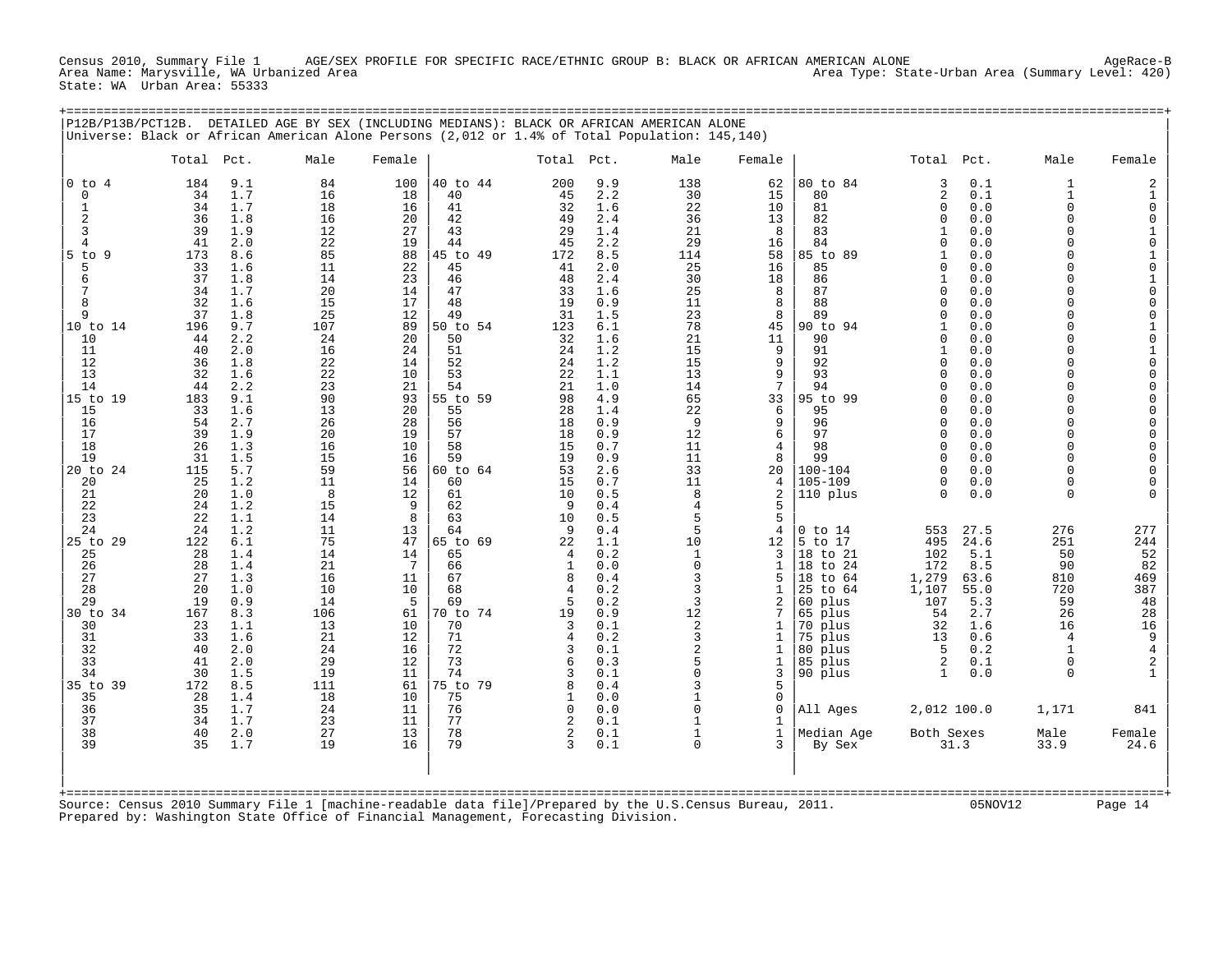Census 2010, Summary File 1 AGE/SEX PROFILE FOR SPECIFIC RACE/ETHNIC GROUP B: BLACK OR AFRICAN AMERICAN ALONE<br>Area Name: Marysville, WA Urbanized Area Area Type: State-Urban Area (Summary Level: 420) State: WA Urban Area: 55333

+===================================================================================================================================================+

| P12B/P13B/PCT12B.                                       |                                               |                                                      | DETAILED AGE BY SEX (INCLUDING MEDIANS): BLACK OR AFRICAN AMERICAN ALONE<br>Universe: Black or African American Alone Persons (2,012 or 1.4% of Total Population: 145,140) |                                           |                                                    |                                        |                                                      |                                         |                                       |                                                                                               |                                                          |                                                   |                                                          |                                                                                     |
|---------------------------------------------------------|-----------------------------------------------|------------------------------------------------------|----------------------------------------------------------------------------------------------------------------------------------------------------------------------------|-------------------------------------------|----------------------------------------------------|----------------------------------------|------------------------------------------------------|-----------------------------------------|---------------------------------------|-----------------------------------------------------------------------------------------------|----------------------------------------------------------|---------------------------------------------------|----------------------------------------------------------|-------------------------------------------------------------------------------------|
|                                                         | Total Pct.                                    |                                                      | Male                                                                                                                                                                       | Female                                    |                                                    | Total                                  | Pct.                                                 | Male                                    | Female                                |                                                                                               | Total                                                    | Pct.                                              | Male                                                     | Female                                                                              |
| $0$ to $4$<br>$\mathbf 0$<br>1<br>$\overline{2}$        | 184<br>34<br>34<br>36                         | 9.1<br>1.7<br>1.7<br>1.8                             | 84<br>16<br>18<br>16                                                                                                                                                       | 100<br>18<br>16<br>20                     | 40 to 44<br>40<br>41<br>42                         | 200<br>45<br>32<br>49                  | 9.9<br>2.2<br>1.6<br>2.4                             | 138<br>30<br>22<br>36                   | 62<br>15<br>10<br>13                  | 80 to 84<br>80<br>81<br>82                                                                    | 3<br>2<br>$\Omega$<br>$\Omega$                           | 0.1<br>0.1<br>0.0<br>0.0                          | 1<br>$\mathbf{1}$<br>$\Omega$<br>$\Omega$                | 2<br>1<br>$\mathbf 0$<br>0                                                          |
| 3<br>4                                                  | 39<br>41                                      | 1.9<br>2.0                                           | 12<br>22                                                                                                                                                                   | 27<br>19                                  | 43<br>44                                           | 29<br>45                               | 1.4<br>2.2                                           | 21<br>29                                | 8<br>16                               | 83<br>84                                                                                      | $\Omega$                                                 | 0.0<br>0.0                                        | $\Omega$<br>$\Omega$                                     | 1<br>$\mathbf 0$                                                                    |
| $5$ to<br>-9<br>5<br>6                                  | 173<br>33<br>37<br>34                         | 8.6<br>1.6<br>1.8<br>1.7                             | 85<br>11<br>14<br>20                                                                                                                                                       | 88<br>22<br>23<br>14                      | 45 to 49<br>45<br>46<br>47                         | 172<br>41<br>48<br>33                  | 8.5<br>2.0<br>2.4<br>1.6                             | 114<br>25<br>30<br>25                   | 58<br>16<br>18<br>8                   | 85 to 89<br>85<br>86<br>87                                                                    | 1<br><sup>0</sup><br>$\mathbf{1}$<br>$\Omega$            | 0.0<br>0.0<br>0.0<br>0.0                          | $\Omega$<br>$\Omega$<br>$\Omega$<br>$\Omega$             | $\mathbf{1}$<br>0<br>1<br>$\mathbf 0$                                               |
| 8<br>9<br>10 to 14<br>10                                | 32<br>37<br>196<br>44                         | 1.6<br>1.8<br>9.7<br>2.2                             | 15<br>25<br>107<br>24                                                                                                                                                      | 17<br>12<br>89<br>20                      | 48<br>49<br>50 to 54<br>50                         | 19<br>31<br>123<br>32                  | 0.9<br>1.5<br>6.1<br>1.6                             | 11<br>23<br>78<br>21                    | 8<br>8<br>45<br>11                    | 88<br>89<br>94<br>90 to<br>90                                                                 | $\Omega$<br>$\Omega$<br>$\mathbf{1}$<br>$\Omega$         | 0.0<br>0.0<br>0.0<br>0.0                          | $\Omega$<br>$\Omega$<br>$\Omega$<br>$\Omega$             | $\mathbf 0$<br>$\mathbf 0$<br>$\mathbf{1}$<br>0                                     |
| 11<br>12<br>13<br>14                                    | 40<br>36<br>32<br>44                          | 2.0<br>1.8<br>1.6<br>2.2                             | 16<br>22<br>22<br>23                                                                                                                                                       | 24<br>14<br>10<br>21                      | 51<br>52<br>53<br>54                               | 24<br>24<br>22<br>21                   | 1.2<br>1.2<br>1.1<br>1.0                             | 15<br>15<br>13<br>14                    | 9<br>9<br>9<br>7                      | 91<br>92<br>93<br>94                                                                          | 1<br>$\Omega$<br>$\Omega$<br><sup>0</sup>                | 0.0<br>0.0<br>0.0<br>0.0                          | $\Omega$<br>$\Omega$<br>$\Omega$<br>$\Omega$             | 1<br>$\mathbf 0$<br>$\mathbf 0$<br>$\mathbf 0$                                      |
| 15 to 19<br>15<br>16<br>17<br>18                        | 183<br>33<br>54<br>39<br>26                   | 9.1<br>1.6<br>2.7<br>1.9<br>1.3                      | 90<br>13<br>26<br>20<br>16                                                                                                                                                 | 93<br>20<br>28<br>19<br>10                | 55 to 59<br>55<br>56<br>57<br>58                   | 98<br>28<br>18<br>18<br>15             | 4.9<br>1.4<br>0.9<br>0.9<br>0.7                      | 65<br>22<br>9<br>12<br>11               | 33<br>6<br>9<br>6<br>4                | 95 to 99<br>95<br>96<br>97<br>98                                                              | $\Omega$<br>$\Omega$<br>$\Omega$<br>$\Omega$<br>$\Omega$ | 0.0<br>0.0<br>0.0<br>0.0<br>0.0                   | $\Omega$<br>$\Omega$<br>$\Omega$<br>$\Omega$<br>$\Omega$ | $\mathbf 0$<br>0<br>$\mathbf 0$<br>$\mathbf 0$<br>$\mathbf 0$                       |
| 19<br>20 to 24<br>20<br>21<br>22                        | 31<br>115<br>25<br>20<br>24                   | 1.5<br>5.7<br>1.2<br>1.0<br>1.2                      | 15<br>59<br>11<br>8<br>15                                                                                                                                                  | 16<br>56<br>14<br>12<br>9                 | 59<br>60 to 64<br>60<br>61<br>62                   | 19<br>53<br>15<br>10<br>9              | 0.9<br>2.6<br>0.7<br>0.5<br>0.4                      | 11<br>33<br>11<br>8<br>4                | 8<br>20<br>4<br>2<br>5                | 99<br>$100 - 104$<br>$105 - 109$<br>110 plus                                                  | $\Omega$<br>$\Omega$<br>$\Omega$<br>$\Omega$             | 0.0<br>0.0<br>0.0<br>0.0                          | $\Omega$<br>$\Omega$<br>$\Omega$<br>$\Omega$             | $\mathbf 0$<br>$\mathbf 0$<br>0<br>$\cap$                                           |
| 23<br>24<br>25 to 29<br>25<br>26<br>27<br>28<br>29      | 22<br>24<br>122<br>28<br>28<br>27<br>20<br>19 | 1.1<br>1.2<br>6.1<br>1.4<br>1.4<br>1.3<br>1.0<br>0.9 | 14<br>11<br>75<br>14<br>21<br>16<br>10<br>14                                                                                                                               | 8<br>13<br>47<br>14<br>7<br>11<br>10<br>5 | 63<br>64<br>65 to 69<br>65<br>66<br>67<br>68<br>69 | 10<br>9<br>22<br>4<br>1<br>8<br>4<br>5 | 0.5<br>0.4<br>1.1<br>0.2<br>0.0<br>0.4<br>0.2<br>0.2 | 5<br>5<br>10<br>1<br>0<br>3<br>3<br>3   | 5<br>4<br>12<br>3<br>1<br>5<br>1<br>2 | $0$ to $14$<br>5<br>to 17<br>18 to 21<br>to 24<br>18<br>18<br>to 64<br>25<br>to 64<br>60 plus | 553<br>495<br>102<br>172<br>1,279<br>1,107<br>107        | 27.5<br>24.6<br>5.1<br>8.5<br>63.6<br>55.0<br>5.3 | 276<br>251<br>50<br>90<br>810<br>720<br>59               | 277<br>244<br>52<br>82<br>469<br>387<br>48                                          |
| $30$ to<br>34<br>30<br>31<br>32<br>33<br>34<br>35 to 39 | 167<br>23<br>33<br>40<br>41<br>30<br>172      | 8.3<br>1.1<br>1.6<br>2.0<br>2.0<br>1.5<br>8.5        | 106<br>13<br>21<br>24<br>29<br>19<br>111                                                                                                                                   | 61<br>10<br>12<br>16<br>12<br>11<br>61    | 70 to 74<br>70<br>71<br>72<br>73<br>74<br>75 to 79 | 19<br>3<br>4<br>3<br>6<br>3<br>8       | 0.9<br>0.1<br>0.2<br>0.1<br>0.3<br>0.1<br>0.4        | 12<br>2<br>3<br>2<br>5<br>$\Omega$<br>3 | 7<br>1<br>1<br>1<br>1<br>3<br>5       | 65 plus<br>70 plus<br>75 plus<br>80 plus<br>85 plus<br>90 plus                                | 54<br>32<br>13<br>5<br>2<br>1                            | 2.7<br>1.6<br>0.6<br>0.2<br>0.1<br>0.0            | 26<br>16<br>4<br>$\mathbf{1}$<br>$\Omega$<br>$\mathbf 0$ | 28<br>16<br>9<br>$\overline{\mathbf{4}}$<br>$\overline{\mathbf{c}}$<br>$\mathbf{1}$ |
| 35<br>36<br>37                                          | 28<br>35<br>34                                | 1.4<br>1.7<br>1.7                                    | 18<br>24<br>23                                                                                                                                                             | 10<br>11<br>11                            | 75<br>76<br>77                                     | $\Omega$<br>2                          | 0.0<br>0.0<br>0.1                                    | 0                                       | 0<br>$\mathbf 0$                      | All Ages                                                                                      | 2,012 100.0                                              |                                                   | 1,171                                                    | 841                                                                                 |
| 38<br>39                                                | 40<br>35                                      | 2.0<br>1.7                                           | 27<br>19                                                                                                                                                                   | 13<br>16                                  | 78<br>79                                           | 2<br>3                                 | 0.1<br>0.1                                           | $\Omega$                                | 1<br>3                                | Median Age<br>By Sex                                                                          | Both Sexes                                               | 31.3                                              | Male<br>33.9                                             | Female<br>24.6                                                                      |

| | | |

| | +===================================================================================================================================================+ Source: Census 2010 Summary File 1 [machine-readable data file]/Prepared by the U.S.Census Bureau, 2011. 05NOV12 Page 14 Prepared by: Washington State Office of Financial Management, Forecasting Division.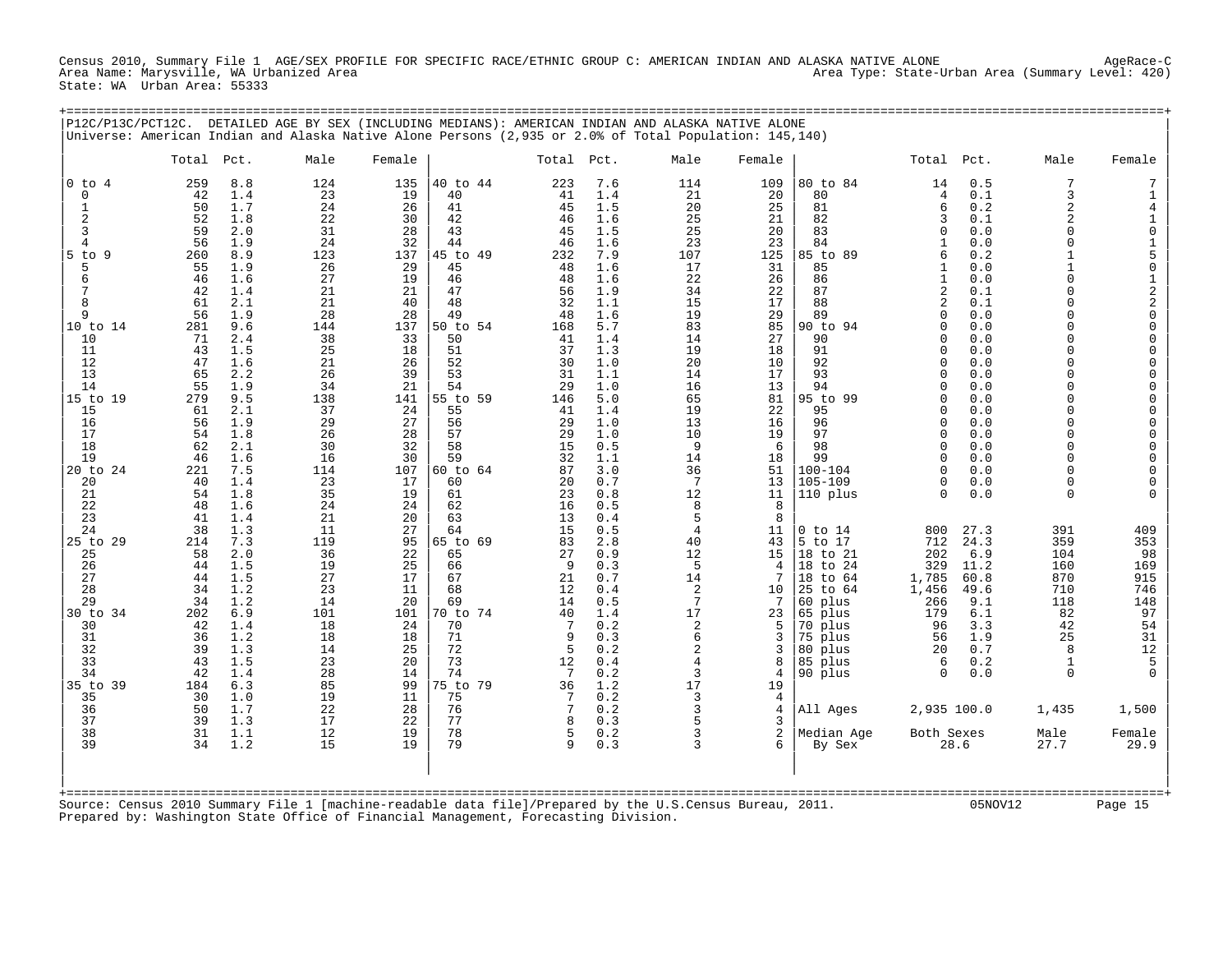Census 2010, Summary File 1 AGE/SEX PROFILE FOR SPECIFIC RACE/ETHNIC GROUP C: AMERICAN INDIAN AND ALASKA NATIVE ALONE<br>Area Name: Marysville, WA Urbanized Area Area Area Area Area Area Type: State-Urban Area (Summary Level State: WA Urban Area: 55333

| P12C/P13C/PCT12C.                                                                                                                                                                                                                                                                                                                                                |                                                                                                                                                                                                                                                                                                      |                                                                                                                                                                                                                                                                                                                                              | DETAILED AGE BY SEX (INCLUDING MEDIANS): AMERICAN INDIAN AND ALASKA NATIVE ALONE<br>Universe: American Indian and Alaska Native Alone Persons (2,935 or 2.0% of Total Population: 145,140)                                                                                                          |                                                                                                                                                                                                                                                                                                    |                                                                                                                                                                                                                                                                                                                                              |                                                                                                                                                                                                                                                                                    |                                                                                                                                                                                                                                                                                                                                              |                                                                                                                                                                                                                                                                                           |                                                                                                                                                                                                                                                                                                          |                                                                                                                                                                                                                                                                                                                                                                                                                          |                                                                                                                                                                                                                                                                                                                                                                                   |                                                                                                                                                                                                                                                                                                   |                                                                                                                                                                                                                                                                                                                                      |                                                                                                                                                                                                                                                                                                                                                                                 |
|------------------------------------------------------------------------------------------------------------------------------------------------------------------------------------------------------------------------------------------------------------------------------------------------------------------------------------------------------------------|------------------------------------------------------------------------------------------------------------------------------------------------------------------------------------------------------------------------------------------------------------------------------------------------------|----------------------------------------------------------------------------------------------------------------------------------------------------------------------------------------------------------------------------------------------------------------------------------------------------------------------------------------------|-----------------------------------------------------------------------------------------------------------------------------------------------------------------------------------------------------------------------------------------------------------------------------------------------------|----------------------------------------------------------------------------------------------------------------------------------------------------------------------------------------------------------------------------------------------------------------------------------------------------|----------------------------------------------------------------------------------------------------------------------------------------------------------------------------------------------------------------------------------------------------------------------------------------------------------------------------------------------|------------------------------------------------------------------------------------------------------------------------------------------------------------------------------------------------------------------------------------------------------------------------------------|----------------------------------------------------------------------------------------------------------------------------------------------------------------------------------------------------------------------------------------------------------------------------------------------------------------------------------------------|-------------------------------------------------------------------------------------------------------------------------------------------------------------------------------------------------------------------------------------------------------------------------------------------|----------------------------------------------------------------------------------------------------------------------------------------------------------------------------------------------------------------------------------------------------------------------------------------------------------|--------------------------------------------------------------------------------------------------------------------------------------------------------------------------------------------------------------------------------------------------------------------------------------------------------------------------------------------------------------------------------------------------------------------------|-----------------------------------------------------------------------------------------------------------------------------------------------------------------------------------------------------------------------------------------------------------------------------------------------------------------------------------------------------------------------------------|---------------------------------------------------------------------------------------------------------------------------------------------------------------------------------------------------------------------------------------------------------------------------------------------------|--------------------------------------------------------------------------------------------------------------------------------------------------------------------------------------------------------------------------------------------------------------------------------------------------------------------------------------|---------------------------------------------------------------------------------------------------------------------------------------------------------------------------------------------------------------------------------------------------------------------------------------------------------------------------------------------------------------------------------|
|                                                                                                                                                                                                                                                                                                                                                                  | Total                                                                                                                                                                                                                                                                                                | Pct.                                                                                                                                                                                                                                                                                                                                         | Male                                                                                                                                                                                                                                                                                                | Female                                                                                                                                                                                                                                                                                             |                                                                                                                                                                                                                                                                                                                                              | Total Pct.                                                                                                                                                                                                                                                                         |                                                                                                                                                                                                                                                                                                                                              | Male                                                                                                                                                                                                                                                                                      | Female                                                                                                                                                                                                                                                                                                   |                                                                                                                                                                                                                                                                                                                                                                                                                          | Total Pct.                                                                                                                                                                                                                                                                                                                                                                        |                                                                                                                                                                                                                                                                                                   | Male                                                                                                                                                                                                                                                                                                                                 | Female                                                                                                                                                                                                                                                                                                                                                                          |
| $0$ to $4$<br>0<br>1<br>$\mathbf{2}$<br>3<br>$\overline{4}$<br>$5$ to<br>-9<br>5<br>6<br>7<br>8<br>9<br>10 to 14<br>10<br>11<br>12<br>13<br>14<br>15 to 19<br>15<br>16<br>17<br>18<br>19<br>20 to 24<br>20<br>21<br>22<br>23<br>24<br>25 to 29<br>25<br>26<br>27<br>28<br>29<br>30 to 34<br>30<br>31<br>32<br>33<br>34<br>35 to 39<br>35<br>36<br>37<br>38<br>39 | 259<br>42<br>50<br>52<br>59<br>56<br>260<br>55<br>46<br>42<br>61<br>56<br>281<br>71<br>43<br>47<br>65<br>55<br>279<br>61<br>56<br>54<br>62<br>46<br>221<br>40<br>54<br>48<br>41<br>38<br>214<br>58<br>44<br>44<br>34<br>34<br>202<br>42<br>36<br>39<br>43<br>42<br>184<br>30<br>50<br>39<br>31<br>34 | 8.8<br>1.4<br>1.7<br>1.8<br>2.0<br>1.9<br>8.9<br>1.9<br>1.6<br>1.4<br>2.1<br>1.9<br>9.6<br>2.4<br>1.5<br>1.6<br>2.2<br>1.9<br>9.5<br>2.1<br>1.9<br>1.8<br>2.1<br>1.6<br>7.5<br>1.4<br>1.8<br>1.6<br>1.4<br>1.3<br>7.3<br>2.0<br>1.5<br>1.5<br>1.2<br>1.2<br>6.9<br>1.4<br>1.2<br>1.3<br>1.5<br>1.4<br>6.3<br>1.0<br>1.7<br>1.3<br>1.1<br>1.2 | 124<br>23<br>24<br>22<br>31<br>24<br>123<br>26<br>27<br>21<br>21<br>28<br>144<br>38<br>25<br>21<br>26<br>34<br>138<br>37<br>29<br>26<br>30<br>16<br>114<br>23<br>35<br>24<br>21<br>11<br>119<br>36<br>19<br>27<br>23<br>14<br>101<br>18<br>18<br>14<br>23<br>28<br>85<br>19<br>22<br>17<br>12<br>15 | 135<br>19<br>26<br>30<br>28<br>32<br>137<br>29<br>19<br>21<br>40<br>28<br>137<br>33<br>18<br>26<br>39<br>21<br>141<br>24<br>27<br>28<br>32<br>30<br>107<br>17<br>19<br>24<br>20<br>27<br>95<br>22<br>25<br>17<br>11<br>20<br>101<br>24<br>18<br>25<br>20<br>14<br>99<br>11<br>28<br>22<br>19<br>19 | 40 to 44<br>40<br>41<br>42<br>43<br>44<br>45 to 49<br>45<br>46<br>47<br>48<br>49<br>50 to 54<br>50<br>51<br>52<br>53<br>54<br>55 to 59<br>55<br>56<br>57<br>58<br>59<br>60 to 64<br>60<br>61<br>62<br>63<br>64<br>65 to 69<br>65<br>66<br>67<br>68<br>69<br>70 to 74<br>70<br>71<br>72<br>73<br>74<br>75 to 79<br>75<br>76<br>77<br>78<br>79 | 223<br>41<br>45<br>46<br>45<br>46<br>232<br>48<br>48<br>56<br>32<br>48<br>168<br>41<br>37<br>30<br>31<br>29<br>146<br>41<br>29<br>29<br>15<br>32<br>87<br>20<br>23<br>16<br>13<br>15<br>83<br>27<br>9<br>21<br>12<br>14<br>40<br>7<br>9<br>.5<br>12<br>7<br>36<br>7<br>7<br>R<br>5 | 7.6<br>1.4<br>1.5<br>1.6<br>1.5<br>1.6<br>7.9<br>1.6<br>1.6<br>1.9<br>1.1<br>1.6<br>5.7<br>1.4<br>1.3<br>1.0<br>1.1<br>1.0<br>5.0<br>1.4<br>1.0<br>1.0<br>0.5<br>1.1<br>3.0<br>0.7<br>0.8<br>0.5<br>0.4<br>0.5<br>2.8<br>0.9<br>0.3<br>0.7<br>0.4<br>0.5<br>1.4<br>0.2<br>0.3<br>0.2<br>0.4<br>0.2<br>1.2<br>0.2<br>0.2<br>0.3<br>0.2<br>0.3 | 114<br>21<br>20<br>25<br>25<br>23<br>107<br>17<br>22<br>34<br>15<br>19<br>83<br>14<br>19<br>20<br>14<br>16<br>65<br>19<br>13<br>10<br>9<br>14<br>36<br>7<br>12<br>8<br>5<br>4<br>40<br>12<br>5<br>14<br>2<br>7<br>17<br>2<br>6<br>$\overline{2}$<br>4<br>3<br>17<br>3<br>3<br>5<br>3<br>ζ | 109<br>20<br>25<br>21<br>20<br>23<br>125<br>31<br>26<br>22<br>17<br>29<br>85<br>27<br>18<br>10<br>17<br>13<br>81<br>22<br>16<br>19<br>6<br>18<br>51<br>13<br>11<br>8<br>8<br>11<br>43<br>15<br>$\overline{4}$<br>7<br>10<br>7<br>23<br>5<br>3<br>3<br>8<br>$\overline{4}$<br>19<br>4<br>4<br>3<br>2<br>6 | 80 to 84<br>80<br>81<br>82<br>83<br>84<br>85 to 89<br>85<br>86<br>87<br>88<br>89<br>90 to 94<br>90<br>91<br>92<br>93<br>94<br>95 to 99<br>95<br>96<br>97<br>98<br>99<br>$100 - 104$<br>$105 - 109$<br>110 plus<br>$0$ to $14$<br>5 to 17<br>18 to 21<br>to 24<br>18<br>18<br>to 64<br>25<br>to 64<br>60<br>plus<br>65 plus<br>70<br>plus<br>75 plus<br>80 plus<br>85 plus<br>90 plus<br>All Ages<br>Median Age<br>By Sex | 14<br>4<br>6<br>3<br>$\Omega$<br>6<br>1<br>$\mathbf{1}$<br>$\overline{a}$<br>$\overline{a}$<br>$\Omega$<br>$\Omega$<br>$\Omega$<br>$\cap$<br>$\Omega$<br>$\cap$<br>$\Omega$<br>$\cap$<br>$\Omega$<br>$\cap$<br>O<br>$\cap$<br>U<br>U<br>0<br>$\Omega$<br>800<br>712<br>202<br>329<br>1,785<br>1,456<br>266<br>179<br>96<br>56<br>20<br>6<br>$\Omega$<br>2,935 100.0<br>Both Sexes | 0.5<br>0.1<br>0.2<br>0.1<br>0.0<br>0.0<br>0.2<br>0.0<br>0.0<br>0.1<br>0.1<br>0.0<br>0.0<br>0.0<br>0.0<br>0.0<br>0.0<br>0.0<br>0.0<br>0.0<br>0.0<br>0.0<br>0.0<br>0.0<br>0.0<br>0.0<br>0.0<br>27.3<br>24.3<br>6.9<br>11.2<br>60.8<br>49.6<br>9.1<br>6.1<br>3.3<br>1.9<br>0.7<br>0.2<br>0.0<br>28.6 | 7<br>3<br>$\overline{2}$<br>$\overline{2}$<br>$\cap$<br>$\Omega$<br>1<br>$\cap$<br>$\Omega$<br>$\Omega$<br>$\cap$<br>$\Omega$<br>$\cap$<br>$\cap$<br>$\cap$<br>$\cap$<br>$\cap$<br>$\Omega$<br>$\Omega$<br>391<br>359<br>104<br>160<br>870<br>710<br>118<br>82<br>42<br>25<br>8<br>$\mathbf{1}$<br>$\Omega$<br>1,435<br>Male<br>27.7 | 7<br>$1\,$<br>$\overline{4}$<br>1015012200000<br>$\begin{matrix} 0 \\ 0 \end{matrix}$<br>$\overline{0}$<br>$\begin{matrix} 0 \\ 0 \end{matrix}$<br>$\begin{matrix} 0 \\ 0 \end{matrix}$<br>$\overline{0}$<br>$\overline{0}$<br>409<br>353<br>98<br>169<br>915<br>746<br>148<br>97<br>$\overline{54}$<br>$\begin{array}{c} 31 \\ 12 \end{array}$<br>5<br>1,500<br>Female<br>29.9 |
|                                                                                                                                                                                                                                                                                                                                                                  |                                                                                                                                                                                                                                                                                                      |                                                                                                                                                                                                                                                                                                                                              |                                                                                                                                                                                                                                                                                                     |                                                                                                                                                                                                                                                                                                    |                                                                                                                                                                                                                                                                                                                                              |                                                                                                                                                                                                                                                                                    |                                                                                                                                                                                                                                                                                                                                              |                                                                                                                                                                                                                                                                                           |                                                                                                                                                                                                                                                                                                          |                                                                                                                                                                                                                                                                                                                                                                                                                          |                                                                                                                                                                                                                                                                                                                                                                                   |                                                                                                                                                                                                                                                                                                   |                                                                                                                                                                                                                                                                                                                                      |                                                                                                                                                                                                                                                                                                                                                                                 |
|                                                                                                                                                                                                                                                                                                                                                                  |                                                                                                                                                                                                                                                                                                      |                                                                                                                                                                                                                                                                                                                                              | Source: Census 2010 Summary File 1 [machine-readable data file]/Prepared by the U.S.Census Bureau, 2011.<br>Prepared by: Washington State Office of Financial Management, Forecasting Division.                                                                                                     |                                                                                                                                                                                                                                                                                                    |                                                                                                                                                                                                                                                                                                                                              |                                                                                                                                                                                                                                                                                    |                                                                                                                                                                                                                                                                                                                                              |                                                                                                                                                                                                                                                                                           |                                                                                                                                                                                                                                                                                                          |                                                                                                                                                                                                                                                                                                                                                                                                                          |                                                                                                                                                                                                                                                                                                                                                                                   | 05NOV12                                                                                                                                                                                                                                                                                           |                                                                                                                                                                                                                                                                                                                                      | Page 15                                                                                                                                                                                                                                                                                                                                                                         |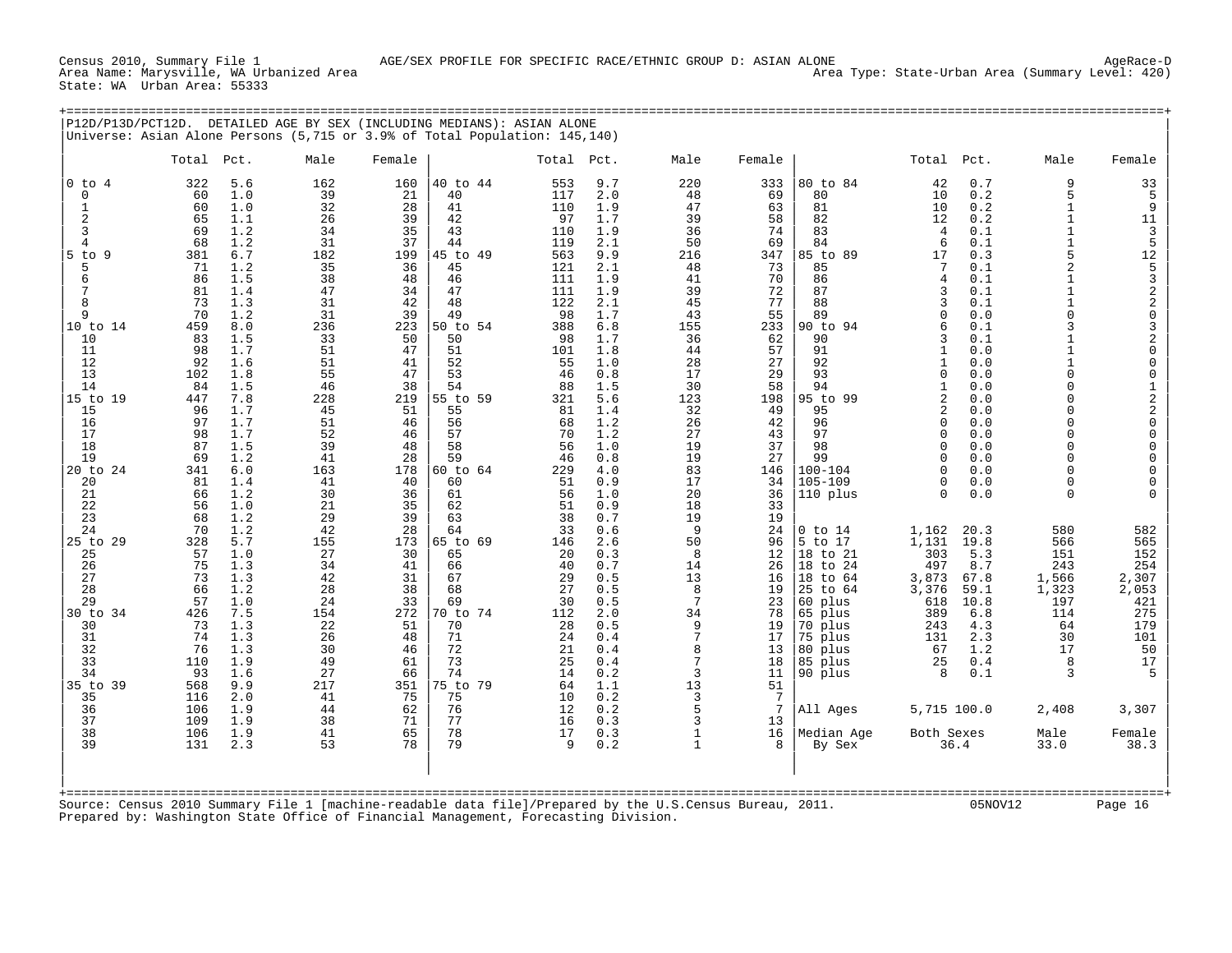Census 2010, Summary File 1<br>Area Name: Marysville, WA Urbanized Area<br>State: WA Urban Area: 55333

| P12D/P13D/PCT12D.                                                                                                                                                                                                                                                                                             | Universe: Asian Alone Persons (5,715 or 3.9% of Total Population: 145,140)                                                                                                                                                                                                                                                                                                                                                                                                                                                                                 |                                                                                                                                                                                                                                                           |                                                                                                                                                                                                                                                           | DETAILED AGE BY SEX (INCLUDING MEDIANS): ASIAN ALONE                                                                                                                                                                                                                                         |                                                                                                                                                                                                                                                                                                                                                                                                                                                                                                                                                                    |                                                                                                                                                                                                                                                |                                                                                                                                                                                                                                                         |                                                                                                                                                                                                                                                                                                                                                            |                                                                                                                                                                                                                                                                                                                                                                                                                                                                                                                                                                                                                                     |                                                                                                                                                                                                                                                                                                                                                            |                                                                                                                                                                                                                                                                                                                                    |
|---------------------------------------------------------------------------------------------------------------------------------------------------------------------------------------------------------------------------------------------------------------------------------------------------------------|------------------------------------------------------------------------------------------------------------------------------------------------------------------------------------------------------------------------------------------------------------------------------------------------------------------------------------------------------------------------------------------------------------------------------------------------------------------------------------------------------------------------------------------------------------|-----------------------------------------------------------------------------------------------------------------------------------------------------------------------------------------------------------------------------------------------------------|-----------------------------------------------------------------------------------------------------------------------------------------------------------------------------------------------------------------------------------------------------------|----------------------------------------------------------------------------------------------------------------------------------------------------------------------------------------------------------------------------------------------------------------------------------------------|--------------------------------------------------------------------------------------------------------------------------------------------------------------------------------------------------------------------------------------------------------------------------------------------------------------------------------------------------------------------------------------------------------------------------------------------------------------------------------------------------------------------------------------------------------------------|------------------------------------------------------------------------------------------------------------------------------------------------------------------------------------------------------------------------------------------------|---------------------------------------------------------------------------------------------------------------------------------------------------------------------------------------------------------------------------------------------------------|------------------------------------------------------------------------------------------------------------------------------------------------------------------------------------------------------------------------------------------------------------------------------------------------------------------------------------------------------------|-------------------------------------------------------------------------------------------------------------------------------------------------------------------------------------------------------------------------------------------------------------------------------------------------------------------------------------------------------------------------------------------------------------------------------------------------------------------------------------------------------------------------------------------------------------------------------------------------------------------------------------|------------------------------------------------------------------------------------------------------------------------------------------------------------------------------------------------------------------------------------------------------------------------------------------------------------------------------------------------------------|------------------------------------------------------------------------------------------------------------------------------------------------------------------------------------------------------------------------------------------------------------------------------------------------------------------------------------|
|                                                                                                                                                                                                                                                                                                               | Total<br>Pct.                                                                                                                                                                                                                                                                                                                                                                                                                                                                                                                                              | Male                                                                                                                                                                                                                                                      | Female                                                                                                                                                                                                                                                    |                                                                                                                                                                                                                                                                                              | Total<br>Pct.                                                                                                                                                                                                                                                                                                                                                                                                                                                                                                                                                      | Male                                                                                                                                                                                                                                           | Female                                                                                                                                                                                                                                                  |                                                                                                                                                                                                                                                                                                                                                            | Total<br>Pct.                                                                                                                                                                                                                                                                                                                                                                                                                                                                                                                                                                                                                       | Male                                                                                                                                                                                                                                                                                                                                                       | Female                                                                                                                                                                                                                                                                                                                             |
| $0$ to $4$<br>$\mathbf 0$<br>1<br>2<br>3<br>$\overline{4}$<br>$5$ to $9$<br>5<br>6<br>7<br>8<br>9<br>10 to 14<br>10<br>11<br>12<br>13<br>14<br>15 to 19<br>15<br>16<br>17<br>18<br>19<br>20 to 24<br>20<br>21<br>22<br>23<br>24<br>25 to 29<br>25<br>26<br>27<br>28<br>29<br>30 to 34<br>30<br>31<br>32<br>33 | 322<br>5.6<br>1.0<br>60<br>60<br>1.0<br>65<br>1.1<br>69<br>1.2<br>68<br>1.2<br>381<br>6.7<br>71<br>1.2<br>86<br>1.5<br>81<br>1.4<br>73<br>1.3<br>70<br>1.2<br>459<br>8.0<br>83<br>1.5<br>98<br>1.7<br>92<br>1.6<br>102<br>1.8<br>1.5<br>84<br>447<br>7.8<br>96<br>1.7<br>97<br>1.7<br>98<br>1.7<br>87<br>1.5<br>69<br>1.2<br>341<br>6.0<br>81<br>1.4<br>66<br>1.2<br>56<br>1.0<br>68<br>1.2<br>70<br>1.2<br>328<br>5.7<br>57<br>1.0<br>75<br>1.3<br>73<br>1.3<br>66<br>1.2<br>57<br>1.0<br>7.5<br>426<br>73<br>1.3<br>74<br>1.3<br>76<br>1.3<br>1.9<br>110 | 162<br>39<br>32<br>26<br>34<br>31<br>182<br>35<br>38<br>47<br>31<br>31<br>236<br>33<br>51<br>51<br>55<br>46<br>228<br>45<br>51<br>52<br>39<br>41<br>163<br>41<br>30<br>21<br>29<br>42<br>155<br>27<br>34<br>42<br>28<br>24<br>154<br>22<br>26<br>30<br>49 | 160<br>21<br>28<br>39<br>35<br>37<br>199<br>36<br>48<br>34<br>42<br>39<br>223<br>50<br>47<br>41<br>47<br>38<br>219<br>51<br>46<br>46<br>48<br>28<br>178<br>40<br>36<br>35<br>39<br>28<br>173<br>30<br>41<br>31<br>38<br>33<br>272<br>51<br>48<br>46<br>61 | 40 to 44<br>40<br>41<br>42<br>43<br>44<br>45 to 49<br>45<br>46<br>47<br>48<br>49<br>50 to 54<br>50<br>51<br>52<br>53<br>54<br>55 to 59<br>55<br>56<br>57<br>58<br>59<br>60 to 64<br>60<br>61<br>62<br>63<br>64<br>65 to 69<br>65<br>66<br>67<br>68<br>69<br>70 to 74<br>70<br>71<br>72<br>73 | 9.7<br>553<br>2.0<br>117<br>110<br>1.9<br>1.7<br>97<br>110<br>1.9<br>119<br>2.1<br>563<br>9.9<br>121<br>2.1<br>111<br>1.9<br>111<br>1.9<br>122<br>2.1<br>98<br>1.7<br>388<br>6.8<br>1.7<br>98<br>101<br>1.8<br>55<br>1.0<br>46<br>0.8<br>88<br>1.5<br>5.6<br>321<br>81<br>1.4<br>68<br>1.2<br>70<br>1.2<br>56<br>1.0<br>0.8<br>46<br>229<br>4.0<br>51<br>0.9<br>56<br>1.0<br>51<br>0.9<br>38<br>0.7<br>33<br>0.6<br>2.6<br>146<br>0.3<br>20<br>40<br>0.7<br>29<br>0.5<br>27<br>0.5<br>30<br>0.5<br>2.0<br>112<br>28<br>0.5<br>2.4<br>0.4<br>21<br>0.4<br>25<br>0.4 | 220<br>48<br>47<br>39<br>36<br>50<br>216<br>48<br>41<br>39<br>45<br>43<br>155<br>36<br>44<br>28<br>17<br>30<br>123<br>32<br>26<br>27<br>19<br>19<br>83<br>17<br>20<br>18<br>19<br>9<br>50<br>8<br>14<br>13<br>8<br>7<br>34<br>9<br>7<br>8<br>7 | 333<br>69<br>63<br>58<br>74<br>69<br>347<br>73<br>70<br>72<br>77<br>55<br>233<br>62<br>57<br>27<br>29<br>58<br>198<br>49<br>42<br>43<br>37<br>27<br>146<br>34<br>36<br>33<br>19<br>24<br>96<br>12<br>26<br>16<br>19<br>23<br>78<br>19<br>17<br>13<br>18 | 80 to 84<br>80<br>81<br>82<br>83<br>84<br>85 to 89<br>85<br>86<br>87<br>88<br>89<br>90 to 94<br>90<br>91<br>92<br>93<br>94<br>95 to 99<br>95<br>96<br>97<br>98<br>99<br>$100 - 104$<br>$105 - 109$<br>110 plus<br>$0$ to $14$<br>5 to 17<br>18 to 21<br>18 to 24<br>18 to 64<br>25 to 64<br>60 plus<br>65 plus<br>70 plus<br>75 plus<br>80 plus<br>85 plus | 42<br>0.7<br>10<br>0.2<br>10<br>0.2<br>0.2<br>12<br>0.1<br>4<br>6<br>0.1<br>0.3<br>17<br>0.1<br>7<br>4<br>0.1<br>3<br>0.1<br>3<br>0.1<br>$\Omega$<br>0.0<br>6<br>0.1<br>ζ<br>0.1<br>$\mathbf{1}$<br>0.0<br>$\mathbf{1}$<br>0.0<br>$\Omega$<br>0.0<br>0.0<br>$\mathbf{1}$<br>$\overline{a}$<br>0.0<br>0.0<br>2<br>$\Omega$<br>0.0<br>0.0<br>$\Omega$<br>0.0<br>$\Omega$<br>0.0<br>$\cap$<br>0.0<br>$\Omega$<br>0.0<br>$\Omega$<br>0.0<br>$\Omega$<br>1,162<br>20.3<br>1,131<br>19.8<br>303<br>5.3<br>497<br>8.7<br>3,873<br>67.8<br>3,376<br>59.1<br>10.8<br>618<br>389<br>6.8<br>243<br>4.3<br>131<br>2.3<br>67<br>1.2<br>0.4<br>25 | 9<br>5<br>$\mathbf{1}$<br>$\mathbf{1}$<br>$\mathbf{1}$<br>$\mathbf{1}$<br>5<br>$\overline{a}$<br>$\mathbf{1}$<br>$\mathbf{1}$<br>$\mathbf{1}$<br>$\Omega$<br>3<br>1<br>$\mathbf{1}$<br>1<br>$\Omega$<br>U<br>$\cap$<br>U<br>$\cap$<br>U<br>U<br>U<br>0<br>0<br>$\Omega$<br>580<br>566<br>151<br>243<br>1,566<br>1,323<br>197<br>114<br>64<br>30<br>17<br>8 | 33<br>5<br>9<br>11<br>3<br>5<br>12<br>$\frac{5}{3}$<br>$\begin{array}{c} 2 \\ 2 \\ 0 \end{array}$<br>$\mathsf{3}$<br>$_0^2$<br>0<br>0<br>$\begin{array}{c}\n1 \\ 2 \\ 2 \\ 0\n\end{array}$<br>0<br>0<br>0<br>$\mathbf 0$<br>$\mathbf 0$<br>0<br>582<br>565<br>152<br>254<br>2,307<br>2,053<br>421<br>275<br>179<br>101<br>50<br>17 |
| 34<br>35 to 39<br>35<br>36<br>37                                                                                                                                                                                                                                                                              | 93<br>1.6<br>9.9<br>568<br>116<br>2.0<br>106<br>1.9<br>109<br>1.9                                                                                                                                                                                                                                                                                                                                                                                                                                                                                          | 27<br>217<br>41<br>44<br>38                                                                                                                                                                                                                               | 66<br>351<br>75<br>62<br>71                                                                                                                                                                                                                               | 74<br>75 to 79<br>75<br>76<br>77                                                                                                                                                                                                                                                             | 14<br>0.2<br>64<br>1.1<br>10<br>0.2<br>12<br>0.2<br>16<br>0.3                                                                                                                                                                                                                                                                                                                                                                                                                                                                                                      | 3<br>13<br>3<br>5<br>3                                                                                                                                                                                                                         | 11<br>51<br>7<br>7<br>13                                                                                                                                                                                                                                | 90 plus<br>All Ages                                                                                                                                                                                                                                                                                                                                        | 8<br>0.1<br>5,715 100.0                                                                                                                                                                                                                                                                                                                                                                                                                                                                                                                                                                                                             | 3<br>2,408                                                                                                                                                                                                                                                                                                                                                 | -5<br>3,307                                                                                                                                                                                                                                                                                                                        |
| 38<br>39                                                                                                                                                                                                                                                                                                      | 106<br>1.9<br>131<br>2.3                                                                                                                                                                                                                                                                                                                                                                                                                                                                                                                                   | 41<br>53                                                                                                                                                                                                                                                  | 65<br>78                                                                                                                                                                                                                                                  | 78<br>79                                                                                                                                                                                                                                                                                     | 0.3<br>17<br>9<br>0.2                                                                                                                                                                                                                                                                                                                                                                                                                                                                                                                                              | $\mathbf{1}$<br>$\mathbf{1}$                                                                                                                                                                                                                   | 16<br>8                                                                                                                                                                                                                                                 | Median Age<br>By Sex                                                                                                                                                                                                                                                                                                                                       | Both Sexes<br>36.4                                                                                                                                                                                                                                                                                                                                                                                                                                                                                                                                                                                                                  | Male<br>33.0                                                                                                                                                                                                                                                                                                                                               | Female<br>38.3                                                                                                                                                                                                                                                                                                                     |
| $+$ = = = = = = = =                                                                                                                                                                                                                                                                                           | Source: Census 2010 Summary File 1 [machine-readable data file]/Prepared by the U.S.Census Bureau, 2011.<br>Prepared by: Washington State Office of Financial Management, Forecasting Division.                                                                                                                                                                                                                                                                                                                                                            |                                                                                                                                                                                                                                                           |                                                                                                                                                                                                                                                           |                                                                                                                                                                                                                                                                                              |                                                                                                                                                                                                                                                                                                                                                                                                                                                                                                                                                                    |                                                                                                                                                                                                                                                |                                                                                                                                                                                                                                                         |                                                                                                                                                                                                                                                                                                                                                            | 05NOV12                                                                                                                                                                                                                                                                                                                                                                                                                                                                                                                                                                                                                             |                                                                                                                                                                                                                                                                                                                                                            | Page 16                                                                                                                                                                                                                                                                                                                            |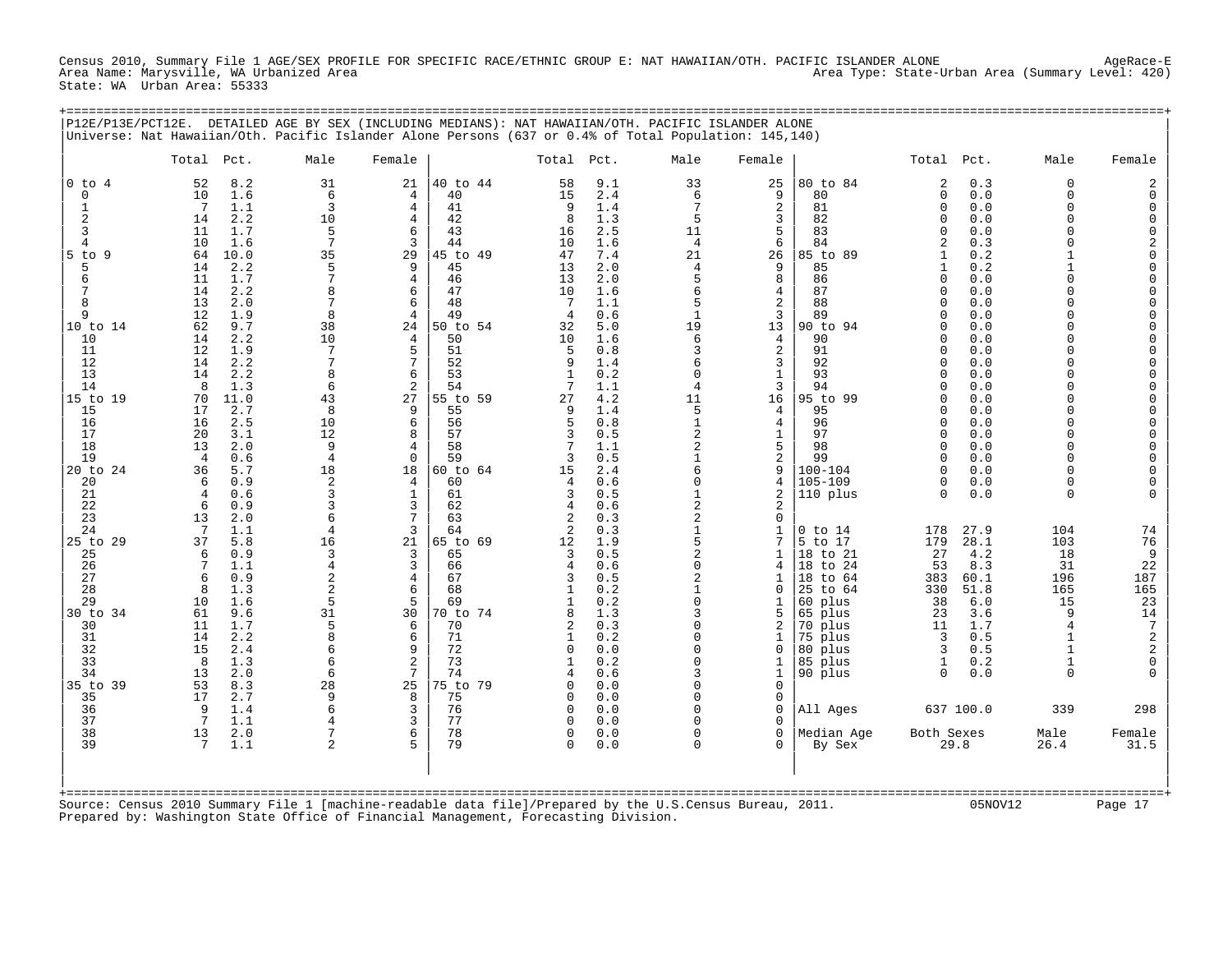Census 2010, Summary File 1 AGE/SEX PROFILE FOR SPECIFIC RACE/ETHNIC GROUP E: NAT HAWAIIAN/OTH. PACIFIC ISLANDER ALONE AgeRace-E<br>Area Name: Marysville, WA Urbanized Area Area Type: State-Urban Area (Summary Level: 420) State: WA Urban Area: 55333

+===================================================================================================================================================+

|                                                | Total Pct.                                                                                        | Male                                       | Female                      |                                        | Total Pct.                                        |                                        | Male                                                | Female                                                |                                                                    | Total Pct.                                                            |                                           | Male                                                               | Female                                                                                                          |
|------------------------------------------------|---------------------------------------------------------------------------------------------------|--------------------------------------------|-----------------------------|----------------------------------------|---------------------------------------------------|----------------------------------------|-----------------------------------------------------|-------------------------------------------------------|--------------------------------------------------------------------|-----------------------------------------------------------------------|-------------------------------------------|--------------------------------------------------------------------|-----------------------------------------------------------------------------------------------------------------|
| $0$ to $4$<br>$\mathbf 0$<br>-1<br>2<br>3<br>4 | 52<br>8.2<br>10<br>1.6<br>7<br>1.1<br>2.2<br>14<br>11<br>1.7<br>10<br>1.6                         | 31<br>6<br>3<br>10<br>5<br>$\overline{7}$  | 21<br>4<br>4<br>4<br>6<br>3 | 40 to 44<br>40<br>41<br>42<br>43<br>44 | 58<br>15<br>9<br>8<br>16<br>10                    | 9.1<br>2.4<br>1.4<br>1.3<br>2.5<br>1.6 | 33<br>6<br>7<br>5<br>11<br>$\overline{4}$           | 25<br>9<br>2<br>3<br>5<br>6                           | 80 to 84<br>80<br>81<br>82<br>83<br>84                             | 2<br>0<br>0<br>0<br>$\Omega$<br>$\overline{2}$                        | 0.3<br>0.0<br>0.0<br>0.0<br>0.0<br>0.3    | $\Omega$<br>$\Omega$<br>$\Omega$<br>$\Omega$<br>$\Omega$<br>$\cap$ | $\overline{2}$<br>$\mathbf 0$<br>0<br>$\mathbf 0$<br>0                                                          |
| $5$ to<br>- 9<br>5<br>6<br>7<br>8<br>9         | 64<br>10.0<br>2.2<br>14<br>11<br>1.7<br>2.2<br>14<br>13<br>2.0<br>12<br>1.9                       | 35<br>5<br>7<br>7<br>8                     | 29<br>9<br>4<br>6<br>6<br>4 | 45 to 49<br>45<br>46<br>47<br>48<br>49 | 47<br>13<br>13<br>10<br>-7<br>$\overline{4}$      | 7.4<br>2.0<br>2.0<br>1.6<br>1.1<br>0.6 | 21<br>$\overline{4}$<br>5<br>6<br>5<br>$\mathbf{1}$ | 26<br>9<br>8<br>4<br>2<br>3                           | 85 to<br>89<br>85<br>86<br>87<br>88<br>89                          | 1<br>$\mathbf{1}$<br>0<br>U<br>$\Omega$<br>$\Omega$                   | 0.2<br>0.2<br>0.0<br>0.0<br>0.0<br>0.0    | $\Omega$<br>$\cap$<br>$\Omega$<br>$\cap$                           | $\begin{matrix} 2 \\ 0 \end{matrix}$<br>$\begin{matrix} 0 \\ 0 \end{matrix}$<br>0<br>$\mathbf 0$<br>$\mathbf 0$ |
| 10 to 14<br>10<br>11<br>12<br>13<br>14         | 62<br>9.7<br>2.2<br>14<br>12<br>1.9<br>14<br>2.2<br>14<br>2.2<br>8<br>1.3                         | 38<br>10<br>7<br>6                         | 24<br>4<br>5<br>7<br>6<br>2 | 50 to 54<br>50<br>51<br>52<br>53<br>54 | 32<br>10<br>5<br>9<br>-1<br>7                     | 5.0<br>1.6<br>0.8<br>1.4<br>0.2<br>1.1 | 19<br>6<br>3<br>6<br>$\Omega$<br>4                  | 13<br>4<br>2<br>3<br>$\mathbf{1}$<br>3                | 90 to<br>94<br>90<br>91<br>92<br>93<br>94                          | <sup>0</sup><br>0<br><sup>0</sup><br>$\Omega$<br>$\Omega$<br>$\Omega$ | 0.0<br>0.0<br>0.0<br>0.0<br>0.0<br>0.0    | $\cap$<br>$\Omega$<br>$\cap$<br>$\cap$<br>$\Omega$<br>$\cap$       | $\overline{0}$<br>$\begin{matrix} 0 \\ 0 \\ 0 \end{matrix}$<br>$\mathsf{O}\xspace$<br>$\mathbf 0$               |
| 15 to 19<br>15<br>16<br>17<br>18<br>19         | 70<br>11.0<br>2.7<br>17<br>16<br>2.5<br>20<br>3.1<br>2.0<br>13<br>0.6<br>4                        | 43<br>8<br>10<br>12<br>9<br>$\overline{4}$ | 27<br>9<br>6<br>8<br>4<br>0 | 55 to 59<br>55<br>56<br>57<br>58<br>59 | 27<br>9<br>5<br>3<br>3                            | 4.2<br>1.4<br>0.8<br>0.5<br>1.1<br>0.5 | 11<br>5<br>$\mathbf{1}$<br>2<br>2<br>1              | 16<br>4<br>$\overline{4}$<br>1<br>5<br>$\overline{a}$ | 95 to 99<br>95<br>96<br>97<br>98<br>99                             | 0<br><sup>0</sup><br>$\Omega$<br>$\Omega$<br>$\Omega$<br>$\Omega$     | 0.0<br>0.0<br>0.0<br>0.0<br>0.0<br>0.0    | $\Omega$<br>$\cap$<br>$\Omega$<br>$\Omega$<br>$\cap$<br>$\Omega$   | $\mathbf 0$<br>$\bar{0}$<br>$\mathbf 0$<br>$\mathsf{O}\xspace$<br>$\mathbf 0$<br>$\mathbf 0$                    |
| 20 to 24<br>20<br>21<br>22<br>23<br>24         | 5.7<br>36<br>0.9<br>6<br>0.6<br>$\overline{4}$<br>6<br>0.9<br>13<br>2.0<br>$7\phantom{.0}$<br>1.1 | 18<br>2<br>3<br>3<br>6<br>$\overline{4}$   | 18<br>4<br>1<br>3<br>7<br>3 | 60 to 64<br>60<br>61<br>62<br>63<br>64 | 15<br>4<br>3<br>4<br>2<br>2                       | 2.4<br>0.6<br>0.5<br>0.6<br>0.3<br>0.3 | 6<br>0<br>$\mathbf{1}$<br>2<br>2<br>$\mathbf{1}$    | 9<br>4<br>2<br>2<br>0<br>1                            | $100 - 104$<br>$105 - 109$<br>110 plus<br>$0$ to $14$              | $\Omega$<br>0<br>$\Omega$<br>178                                      | 0.0<br>0.0<br>0.0<br>27.9                 | $\Omega$<br>$\Omega$<br>$\Omega$<br>104                            | $\begin{matrix} 0 \\ 0 \end{matrix}$<br>$\Omega$<br>74                                                          |
| 25 to 29<br>25<br>26<br>27<br>28<br>29         | 37<br>5.8<br>6<br>0.9<br>1.1<br>7<br>0.9<br>6<br>1.3<br>8<br>10<br>1.6                            | 16<br>3<br>4<br>2<br>$\overline{2}$<br>5   | 21<br>3<br>3<br>4<br>6<br>5 | 65 to 69<br>65<br>66<br>67<br>68<br>69 | 12<br>3<br>4<br>3<br>$\mathbf{1}$<br>$\mathbf{1}$ | 1.9<br>0.5<br>0.6<br>0.5<br>0.2<br>0.2 | 5<br>$\overline{a}$<br>0<br>2<br>$\mathbf{1}$<br>0  | 7<br>1<br>4<br>1<br>$\Omega$<br>1                     | 5 to 17<br>18 to 21<br>18 to 24<br>18 to 64<br>25 to 64<br>60 plus | 179<br>27<br>53<br>383<br>330<br>38                                   | 28.1<br>4.2<br>8.3<br>60.1<br>51.8<br>6.0 | 103<br>18<br>31<br>196<br>165<br>15                                | 76<br>9<br>22<br>187<br>165<br>23                                                                               |
| 30 to 34<br>30<br>31<br>32<br>33<br>34         | 61<br>9.6<br>11<br>1.7<br>2.2<br>14<br>15<br>2.4<br>8<br>1.3<br>2.0<br>13                         | 31<br>5<br>6<br>6<br>6                     | 30<br>6<br>6<br>9<br>2<br>7 | 70 to 74<br>70<br>71<br>72<br>73<br>74 | 8<br>2<br>1<br>$\Omega$<br>-1<br>4                | 1.3<br>0.3<br>0.2<br>0.0<br>0.2<br>0.6 | 3<br>0<br>0<br>$\Omega$<br>0<br>3                   | 5<br>2<br>1<br>0<br>1<br>1                            | 65 plus<br>70 plus<br>75 plus<br>80 plus<br>85 plus<br>90 plus     | 23<br>11<br>3<br>3<br>1<br>0                                          | 3.6<br>1.7<br>0.5<br>0.5<br>0.2<br>0.0    | 9<br>$\overline{4}$<br>1<br>$\mathbf{1}$<br>1<br>$\Omega$          | $\begin{array}{c} 14 \\ 7 \end{array}$<br>$\begin{smallmatrix}2\\2\end{smallmatrix}$<br>$\mathsf 0$<br>$\Omega$ |
| 35 to 39<br>35<br>36<br>37                     | 53<br>8.3<br>17<br>2.7<br>9<br>1.4<br>7<br>1.1                                                    | 28<br>q<br>6                               | 25<br>8<br>3<br>3           | 75 to 79<br>75<br>76<br>77             | 0<br>$\Omega$<br>$\mathbf 0$<br>$\Omega$          | 0.0<br>0.0<br>0.0<br>0.0               | 0<br>O<br>0<br>O                                    | 0<br>0<br>$\mathbf 0$<br>$\Omega$                     | All Ages                                                           |                                                                       | 637 100.0                                 | 339                                                                | 298                                                                                                             |
| 38<br>39                                       | 2.0<br>13<br>7<br>1.1                                                                             | $\overline{2}$                             | 6<br>5                      | 78<br>79                               | $\Omega$<br>$\Omega$                              | 0.0<br>0.0                             | U<br>0                                              | $\Omega$<br>0                                         | Median Age<br>By Sex                                               | Both Sexes<br>29.8                                                    |                                           | Male<br>26.4                                                       | Female<br>31.5                                                                                                  |

Prepared by: Washington State Office of Financial Management, Forecasting Division.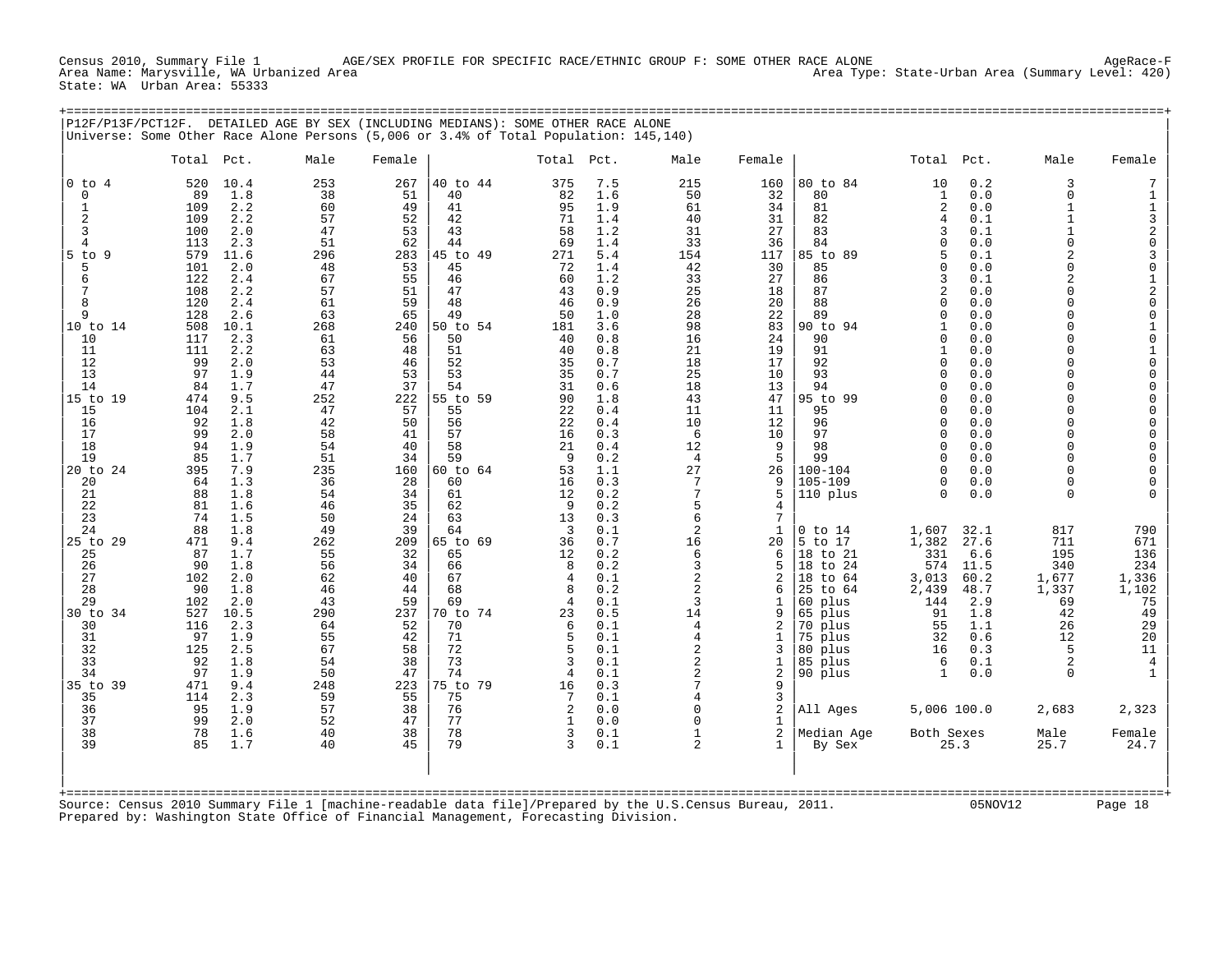Census 2010, Summary File 1 AGE/SEX PROFILE FOR SPECIFIC RACE/ETHNIC GROUP F: SOME OTHER RACE ALONE AgeRace-F Area Name: Marysville, WA Urbanized Area Area Type: State-Urban Area (Summary Level: 420) State: WA Urban Area: 55333

+===================================================================================================================================================+

| $0$ to $4$<br>$\mathbf 0$<br>1<br>2<br>3<br>4<br>$5$ to<br>Q<br>5<br>6<br>7<br>8<br>9<br>10 to 14<br>10<br>11<br>12<br>13<br>14<br>15 to 19       | 520<br>10.4<br>89<br>1.8<br>2.2<br>109<br>2.2<br>109<br>100<br>2.0<br>113<br>2.3<br>579<br>11.6<br>101<br>2.0<br>122<br>2.4<br>108<br>2.2<br>120<br>2.4<br>128<br>2.6<br>508<br>10.1<br>2.3<br>117<br>111<br>2.2<br>99<br>2.0<br>97<br>1.9                                             | 253<br>38<br>60<br>57<br>47<br>51<br>296<br>48<br>67<br>57<br>61<br>63<br>268<br>61<br>63<br>53                               | 267<br>51<br>49<br>52<br>53<br>62<br>283<br>53<br>55<br>51<br>59<br>65<br>240<br>56<br>48                                     | 40 to 44<br>40<br>41<br>42<br>43<br>44<br>45 to 49<br>45<br>46<br>47<br>48<br>49<br>50 to 54                                                 | 375<br>82<br>95<br>71<br>58<br>69<br>271<br>72<br>60<br>43<br>46                             | 7.5<br>1.6<br>1.9<br>1.4<br>1.2<br>1.4<br>5.4<br>1.4<br>1.2<br>0.9                                                                              | 215<br>50<br>61<br>40<br>31<br>33<br>154<br>42<br>33<br>25                                                                                                                                                 | 160<br>32<br>34<br>31<br>27<br>36<br>117<br>30<br>27                                                                 | 80 to 84<br>80<br>81<br>82<br>83<br>84<br>85 to 89<br>85<br>86                                                                                                                      | 10<br>0.2<br>0.0<br>1<br>2<br>0.0<br>4<br>0.1<br>0.1<br>3<br>0.0<br>U<br>0.1<br>5<br>0.0<br>$\Omega$<br>3<br>0.1                                                                                                                                                                            | 3<br>$\mathbf 0$<br>$\mathbf{1}$<br>$\mathbf{1}$<br>$\mathbf{1}$<br>$\Omega$<br>$\mathfrak{D}$<br>$\Omega$<br>$\overline{2}$                                                                     | 7<br>$1\,$<br>1320301200                                                                                                                                                                                                                                          |
|---------------------------------------------------------------------------------------------------------------------------------------------------|----------------------------------------------------------------------------------------------------------------------------------------------------------------------------------------------------------------------------------------------------------------------------------------|-------------------------------------------------------------------------------------------------------------------------------|-------------------------------------------------------------------------------------------------------------------------------|----------------------------------------------------------------------------------------------------------------------------------------------|----------------------------------------------------------------------------------------------|-------------------------------------------------------------------------------------------------------------------------------------------------|------------------------------------------------------------------------------------------------------------------------------------------------------------------------------------------------------------|----------------------------------------------------------------------------------------------------------------------|-------------------------------------------------------------------------------------------------------------------------------------------------------------------------------------|---------------------------------------------------------------------------------------------------------------------------------------------------------------------------------------------------------------------------------------------------------------------------------------------|--------------------------------------------------------------------------------------------------------------------------------------------------------------------------------------------------|-------------------------------------------------------------------------------------------------------------------------------------------------------------------------------------------------------------------------------------------------------------------|
| 15<br>16<br>17<br>18<br>19<br>20 to 24<br>20<br>21                                                                                                | 1.7<br>84<br>9.5<br>474<br>2.1<br>104<br>92<br>1.8<br>99<br>2.0<br>94<br>1.9<br>85<br>1.7<br>395<br>7.9<br>1.3<br>64<br>1.8<br>88                                                                                                                                                      | 44<br>47<br>252<br>47<br>42<br>58<br>54<br>51<br>235<br>36<br>54                                                              | 46<br>53<br>37<br>222<br>57<br>50<br>41<br>40<br>34<br>160<br>28<br>34                                                        | 50<br>51<br>52<br>53<br>54<br>55 to 59<br>55<br>56<br>57<br>58<br>59<br>60 to 64<br>60<br>61                                                 | 50<br>181<br>40<br>40<br>35<br>35<br>31<br>90<br>22<br>22<br>16<br>21<br>9<br>53<br>16<br>12 | 0.9<br>1.0<br>3.6<br>0.8<br>0.8<br>0.7<br>0.7<br>0.6<br>1.8<br>0.4<br>0.4<br>0.3<br>0.4<br>0.2<br>1.1<br>0.3<br>0.2                             | 26<br>28<br>98<br>16<br>21<br>18<br>25<br>18<br>43<br>11<br>10<br>6<br>12<br>$\overline{4}$<br>27<br>7<br>7                                                                                                | 18<br>20<br>22<br>83<br>24<br>19<br>17<br>10<br>13<br>47<br>11<br>12<br>10<br>9<br>5<br>26<br>9<br>5                 | 87<br>88<br>89<br>90 to 94<br>90<br>91<br>92<br>93<br>94<br>95 to 99<br>95<br>96<br>97<br>98<br>99<br>$100 - 104$<br>$105 - 109$<br>110 plus                                        | 2<br>0.0<br>$\Omega$<br>0.0<br>0.0<br>$\Omega$<br>0.0<br>0.0<br>U<br>0.0<br>$\mathbf{1}$<br>$\Omega$<br>0.0<br>0.0<br>U<br>0.0<br>U<br>0.0<br>$\Omega$<br>0.0<br>$\cap$<br>0.0<br>U<br>0.0<br>$\Omega$<br>0.0<br><sup>0</sup><br>0.0<br>U<br>0.0<br>U<br>0.0<br>$\Omega$<br>$\Omega$<br>0.0 | $\cap$<br>$\cap$<br>$\Omega$<br>$\cap$<br>$\cap$<br>$\cap$<br>$\Omega$<br>$\cap$<br>$\Omega$<br>$\Omega$<br>$\cap$<br>$\Omega$<br>$\Omega$<br>$\Omega$<br>$\cap$<br>$\cap$<br>$\cap$<br>$\Omega$ | $\mathbf 1$<br>$\mathbf 0$<br>$\begin{matrix}1\0\end{matrix}$<br>$\mathsf{O}\xspace$<br>$\mathbf 0$<br>$\overline{0}$<br>$\mathbf 0$<br>$\begin{matrix} 0 \\ 0 \end{matrix}$<br>$\begin{matrix} 0 \\ 0 \end{matrix}$<br>$\mathbf 0$<br>$\overline{0}$<br>$\Omega$ |
| 22<br>23<br>24<br>25 to 29<br>25<br>26<br>27<br>28<br>29<br>$30$ to<br>34<br>30<br>31<br>32<br>33<br>34<br>35 to 39<br>35<br>36<br>37<br>38<br>39 | 81<br>1.6<br>1.5<br>74<br>88<br>1.8<br>471<br>9.4<br>87<br>1.7<br>90<br>1.8<br>102<br>2.0<br>90<br>1.8<br>102<br>2.0<br>10.5<br>527<br>2.3<br>116<br>1.9<br>97<br>125<br>2.5<br>92<br>1.8<br>97<br>1.9<br>471<br>9.4<br>2.3<br>114<br>95<br>1.9<br>99<br>2.0<br>78<br>1.6<br>85<br>1.7 | 46<br>50<br>49<br>262<br>55<br>56<br>62<br>46<br>43<br>290<br>64<br>55<br>67<br>54<br>50<br>248<br>59<br>57<br>52<br>40<br>40 | 35<br>24<br>39<br>209<br>32<br>34<br>40<br>44<br>59<br>237<br>52<br>42<br>58<br>38<br>47<br>223<br>55<br>38<br>47<br>38<br>45 | 62<br>63<br>64<br>65 to 69<br>65<br>66<br>67<br>68<br>69<br>70 to 74<br>70<br>71<br>72<br>73<br>74<br>75 to 79<br>75<br>76<br>77<br>78<br>79 | 9<br>13<br>36<br>12<br>8<br>23<br>6<br>5<br>16<br>2<br>3<br>ζ                                | 0.2<br>0.3<br>0.1<br>0.7<br>0.2<br>0.2<br>0.1<br>0.2<br>0.1<br>0.5<br>0.1<br>0.1<br>0.1<br>0.1<br>0.1<br>0.3<br>0.1<br>0.0<br>0.0<br>0.1<br>0.1 | 5<br>6<br>$\overline{2}$<br>16<br>6<br>3<br>2<br>$\overline{c}$<br>3<br>14<br>$\overline{4}$<br>$\overline{4}$<br>$\overline{a}$<br>$\overline{a}$<br>2<br>7<br>$\overline{4}$<br>O<br>1<br>$\overline{a}$ | 4<br>7<br>1<br>20<br>6<br>2<br>6<br>1<br>9<br>$\overline{2}$<br>ζ<br>1<br>2<br>9<br>3<br>2<br>1<br>2<br>$\mathbf{1}$ | 0 to 14<br>5 to 17<br>18 to 21<br>18 to 24<br>18 to 64<br>25 to 64<br>60 plus<br>65 plus<br>70 plus<br>75 plus<br>80 plus<br>85 plus<br>90 plus<br>All Ages<br>Median Age<br>By Sex | 32.1<br>1,607<br>27.6<br>1,382<br>331<br>6.6<br>574<br>11.5<br>3,013<br>60.2<br>2,439<br>48.7<br>2.9<br>144<br>91<br>1.8<br>1.1<br>55<br>32<br>0.6<br>16<br>0.3<br>6<br>0.1<br>0.0<br>1<br>5,006 100.0<br>Both Sexes<br>25.3                                                                | 817<br>711<br>195<br>340<br>1,677<br>1,337<br>69<br>42<br>26<br>12<br>5<br>$\overline{2}$<br>$\Omega$<br>2,683<br>Male<br>25.7                                                                   | 790<br>671<br>136<br>234<br>1,336<br>1,102<br>75<br>49<br>29<br>20<br>11<br>$\overline{4}$<br>2,323<br>Female<br>24.7                                                                                                                                             |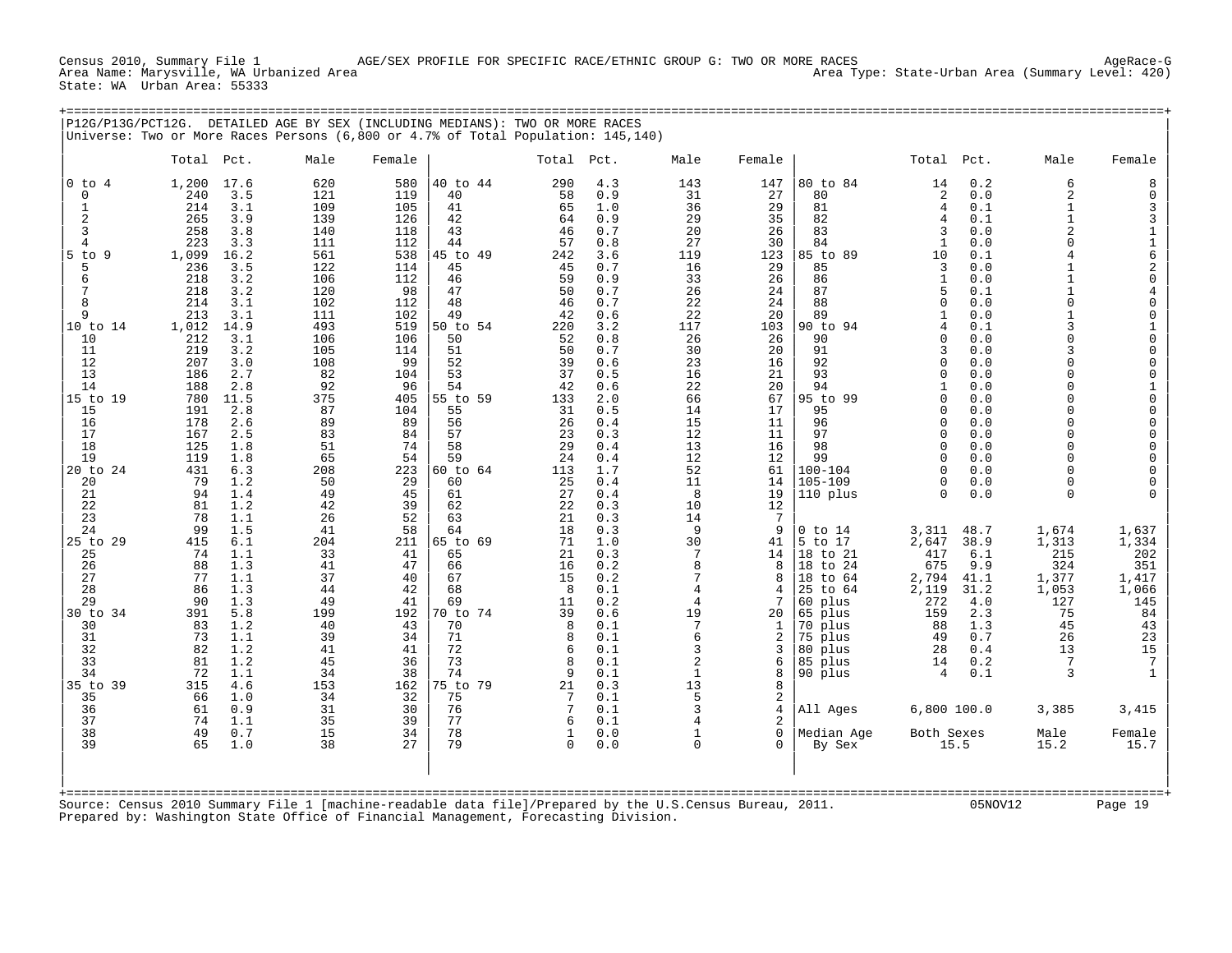Census 2010, Summary File 1 AGE/SEX PROFILE FOR SPECIFIC RACE/ETHNIC GROUP G: TWO OR MORE RACES<br>Area Name: Marysville, WA Urbanized Area Area Area Area Area Area Type: State-Urban Area (Summary Level: 420) State: WA Urban Area: 55333

+===================================================================================================================================================+

|                                                                                                                                                                                                                                                                                                                 | P12G/P13G/PCT12G. DETAILED AGE BY SEX (INCLUDING MEDIANS): TWO OR MORE RACES<br>Universe: Two or More Races Persons (6,800 or 4.7% of Total Population: 145,140)                                                                                                                                                                                                                                                                                                                                                                                                                                    |                                                                                                                                                                                                                                                                              |                                                                                                                                                                                                                                                                              |                                                                                                                                                                                                                                                                                                    |                                                                                                                                                                                                                                                         |                                                                                                                                                                                                                                                                                                    |                                                                                                                                                                                                                                                            |                                                                                                                                                                                                                                                               |                                                                                                                                                                                                                                                                                                                                                                             |                                                                                                                                                                                                                                                                                                              |                                                                                                                                                                                                                                                                                          |                                                                                                                                                                                                                                                                                                                                                                                                               |                                                                                                                                                                                                                                                                                                                                                                                                                                                                                                  |
|-----------------------------------------------------------------------------------------------------------------------------------------------------------------------------------------------------------------------------------------------------------------------------------------------------------------|-----------------------------------------------------------------------------------------------------------------------------------------------------------------------------------------------------------------------------------------------------------------------------------------------------------------------------------------------------------------------------------------------------------------------------------------------------------------------------------------------------------------------------------------------------------------------------------------------------|------------------------------------------------------------------------------------------------------------------------------------------------------------------------------------------------------------------------------------------------------------------------------|------------------------------------------------------------------------------------------------------------------------------------------------------------------------------------------------------------------------------------------------------------------------------|----------------------------------------------------------------------------------------------------------------------------------------------------------------------------------------------------------------------------------------------------------------------------------------------------|---------------------------------------------------------------------------------------------------------------------------------------------------------------------------------------------------------------------------------------------------------|----------------------------------------------------------------------------------------------------------------------------------------------------------------------------------------------------------------------------------------------------------------------------------------------------|------------------------------------------------------------------------------------------------------------------------------------------------------------------------------------------------------------------------------------------------------------|---------------------------------------------------------------------------------------------------------------------------------------------------------------------------------------------------------------------------------------------------------------|-----------------------------------------------------------------------------------------------------------------------------------------------------------------------------------------------------------------------------------------------------------------------------------------------------------------------------------------------------------------------------|--------------------------------------------------------------------------------------------------------------------------------------------------------------------------------------------------------------------------------------------------------------------------------------------------------------|------------------------------------------------------------------------------------------------------------------------------------------------------------------------------------------------------------------------------------------------------------------------------------------|---------------------------------------------------------------------------------------------------------------------------------------------------------------------------------------------------------------------------------------------------------------------------------------------------------------------------------------------------------------------------------------------------------------|--------------------------------------------------------------------------------------------------------------------------------------------------------------------------------------------------------------------------------------------------------------------------------------------------------------------------------------------------------------------------------------------------------------------------------------------------------------------------------------------------|
|                                                                                                                                                                                                                                                                                                                 | Total Pct.                                                                                                                                                                                                                                                                                                                                                                                                                                                                                                                                                                                          | Male                                                                                                                                                                                                                                                                         | Female                                                                                                                                                                                                                                                                       |                                                                                                                                                                                                                                                                                                    | Total                                                                                                                                                                                                                                                   | Pct.                                                                                                                                                                                                                                                                                               | Male                                                                                                                                                                                                                                                       | Female                                                                                                                                                                                                                                                        |                                                                                                                                                                                                                                                                                                                                                                             | Total Pct.                                                                                                                                                                                                                                                                                                   |                                                                                                                                                                                                                                                                                          | Male                                                                                                                                                                                                                                                                                                                                                                                                          | Female                                                                                                                                                                                                                                                                                                                                                                                                                                                                                           |
| $0$ to<br>$\overline{4}$<br>0<br>-1<br>2<br>3<br>4<br>$5$ to<br>9<br>5<br>6<br>7<br>8<br>9<br>10 to 14<br>10<br>11<br>12<br>13<br>14<br>15 to 19<br>15<br>16<br>17<br>18<br>19<br>20 to 24<br>20<br>21<br>22<br>23<br>24<br>25 to 29<br>25<br>26<br>27<br>28<br>29<br>34<br>30 to<br>30<br>31<br>32<br>33<br>34 | 1,200<br>17.6<br>3.5<br>240<br>214<br>3.1<br>265<br>3.9<br>258<br>3.8<br>223<br>3.3<br>1,099<br>16.2<br>236<br>3.5<br>218<br>3.2<br>3.2<br>218<br>214<br>3.1<br>213<br>3.1<br>1,012<br>14.9<br>212<br>3.1<br>219<br>3.2<br>207<br>3.0<br>186<br>2.7<br>188<br>2.8<br>780<br>11.5<br>191<br>2.8<br>178<br>2.6<br>167<br>2.5<br>125<br>1.8<br>119<br>1.8<br>431<br>6.3<br>1.2<br>79<br>94<br>1.4<br>81<br>1.2<br>78<br>1.1<br>99<br>1.5<br>6.1<br>415<br>74<br>1.1<br>88<br>1.3<br>77<br>1.1<br>86<br>1.3<br>90<br>1.3<br>5.8<br>391<br>83<br>1.2<br>73<br>1.1<br>82<br>1.2<br>81<br>1.2<br>72<br>1.1 | 620<br>121<br>109<br>139<br>140<br>111<br>561<br>122<br>106<br>120<br>102<br>111<br>493<br>106<br>105<br>108<br>82<br>92<br>375<br>87<br>89<br>83<br>51<br>65<br>208<br>50<br>49<br>42<br>26<br>41<br>204<br>33<br>41<br>37<br>44<br>49<br>199<br>40<br>39<br>41<br>45<br>34 | 580<br>119<br>105<br>126<br>118<br>112<br>538<br>114<br>112<br>98<br>112<br>102<br>519<br>106<br>114<br>99<br>104<br>96<br>405<br>104<br>89<br>84<br>74<br>54<br>223<br>29<br>45<br>39<br>52<br>58<br>211<br>41<br>47<br>40<br>42<br>41<br>192<br>43<br>34<br>41<br>36<br>38 | 40 to 44<br>40<br>41<br>42<br>43<br>44<br>45 to 49<br>45<br>46<br>47<br>48<br>49<br>50 to 54<br>50<br>51<br>52<br>53<br>54<br>55 to 59<br>55<br>56<br>57<br>58<br>59<br>60 to 64<br>60<br>61<br>62<br>63<br>64<br>65 to 69<br>65<br>66<br>67<br>68<br>69<br>70 to 74<br>70<br>71<br>72<br>73<br>74 | 290<br>58<br>65<br>64<br>46<br>57<br>242<br>45<br>59<br>50<br>46<br>42<br>220<br>52<br>50<br>39<br>37<br>42<br>133<br>31<br>26<br>23<br>29<br>24<br>113<br>25<br>27<br>22<br>21<br>18<br>71<br>21<br>16<br>15<br>8<br>11<br>39<br>8<br>8<br>6<br>8<br>q | 4.3<br>0.9<br>1.0<br>0.9<br>0.7<br>0.8<br>3.6<br>0.7<br>0.9<br>0.7<br>0.7<br>0.6<br>3.2<br>0.8<br>0.7<br>0.6<br>0.5<br>0.6<br>2.0<br>0.5<br>0.4<br>0.3<br>0.4<br>0.4<br>1.7<br>0.4<br>0.4<br>0.3<br>0.3<br>0.3<br>1.0<br>0.3<br>0.2<br>0.2<br>0.1<br>0.2<br>0.6<br>0.1<br>0.1<br>0.1<br>0.1<br>0.1 | 143<br>31<br>36<br>29<br>20<br>27<br>119<br>16<br>33<br>26<br>22<br>22<br>117<br>26<br>30<br>23<br>16<br>22<br>66<br>14<br>15<br>12<br>13<br>12<br>52<br>11<br>8<br>10<br>14<br>9<br>30<br>7<br>8<br>7<br>4<br>4<br>19<br>7<br>6<br>3<br>2<br>$\mathbf{1}$ | 147<br>27<br>29<br>35<br>26<br>30<br>123<br>29<br>26<br>24<br>24<br>20<br>103<br>26<br>20<br>16<br>21<br>20<br>67<br>17<br>11<br>11<br>16<br>12<br>61<br>14<br>19<br>12<br>7<br>9<br>41<br>14<br>8<br>8<br>4<br>7<br>20<br>1<br>$\overline{2}$<br>3<br>6<br>8 | 80 to 84<br>80<br>81<br>82<br>83<br>84<br>85 to 89<br>85<br>86<br>87<br>88<br>89<br>90 to 94<br>90<br>91<br>92<br>93<br>94<br>95 to 99<br>95<br>96<br>97<br>98<br>99<br>$100 - 104$<br>$105 - 109$<br>110 plus<br>$0$ to $14$<br>5 to 17<br>18 to 21<br>18 to 24<br>18 to 64<br>25 to 64<br>60 plus<br>65 plus<br>70 plus<br>75<br>plus<br>80<br>plus<br>85 plus<br>90 plus | 14<br>$\sqrt{2}$<br>4<br>4<br>3<br>1<br>10<br>3<br>$\mathbf{1}$<br>5<br>$\mathbf 0$<br>$\mathbf{1}$<br>4<br>0<br>3<br>0<br>$\Omega$<br>0<br>0<br>$\Omega$<br>0<br>$\mathbf 0$<br>$\Omega$<br>0<br>0<br>$\Omega$<br>3,311<br>2,647<br>417<br>675<br>2,794<br>2,119<br>272<br>159<br>88<br>49<br>28<br>14<br>4 | 0.2<br>0.0<br>0.1<br>0.1<br>0.0<br>0.0<br>0.1<br>0.0<br>0.0<br>0.1<br>0.0<br>0.0<br>0.1<br>0.0<br>0.0<br>0.0<br>0.0<br>0.0<br>0.0<br>0.0<br>0.0<br>0.0<br>0.0<br>0.0<br>0.0<br>0.0<br>0.0<br>48.7<br>38.9<br>6.1<br>9.9<br>41.1<br>31.2<br>4.0<br>2.3<br>1.3<br>0.7<br>0.4<br>0.2<br>0.1 | 6<br>$\overline{2}$<br>1<br>$\mathbf{1}$<br>$\overline{a}$<br>$\Omega$<br>4<br>1<br>$\mathbf{1}$<br>$\mathbf{1}$<br>$\Omega$<br>$\mathbf{1}$<br>3<br>$\Omega$<br>ζ<br>$\Omega$<br>$\Omega$<br>$\Omega$<br>$\Omega$<br>$\Omega$<br>$\Omega$<br>$\Omega$<br>$\Omega$<br>$\Omega$<br>$\Omega$<br>$\Omega$<br>$\Omega$<br>1,674<br>1,313<br>215<br>324<br>1,377<br>1,053<br>127<br>75<br>45<br>26<br>13<br>7<br>3 | 8<br>$\mathbf 0$<br>3<br>$\frac{3}{1}$<br>$\begin{array}{c}\n1 \\ 6 \\ 2 \\ 0\n\end{array}$<br>$\bf{4}$<br>$\mathsf{O}\xspace$<br>$\mathsf{O}\xspace$<br>$\begin{bmatrix} 1 \\ 0 \\ 0 \\ 0 \end{bmatrix}$<br>0<br>$\mathbf 1$<br>$\begin{matrix} 0 \\ 0 \end{matrix}$<br>$\mathbf 0$<br>$\mathsf 0$<br>$\begin{matrix} 0 \\ 0 \end{matrix}$<br>$\mathsf{O}\xspace$<br>$\mathbf 0$<br>$\Omega$<br>1,637<br>1,334<br>202<br>351<br>1,417<br>1,066<br>145<br>84<br>43<br>23<br>15<br>$\overline{7}$ |
| 35 to 39<br>35<br>36<br>37<br>38<br>39                                                                                                                                                                                                                                                                          | 4.6<br>315<br>66<br>1.0<br>0.9<br>61<br>74<br>1.1<br>49<br>0.7<br>1.0<br>65                                                                                                                                                                                                                                                                                                                                                                                                                                                                                                                         | 153<br>34<br>31<br>35<br>15<br>38                                                                                                                                                                                                                                            | 162<br>32<br>30<br>39<br>34<br>27                                                                                                                                                                                                                                            | 75 to 79<br>75<br>76<br>77<br>78<br>79                                                                                                                                                                                                                                                             | 21<br>7<br>7<br>6<br>1<br>$\mathbf 0$                                                                                                                                                                                                                   | 0.3<br>0.1<br>0.1<br>0.1<br>0.0<br>0.0                                                                                                                                                                                                                                                             | 13<br>5<br>3<br>4<br>1<br>$\Omega$                                                                                                                                                                                                                         | 8<br>2<br>4<br>$\overline{2}$<br>0<br>0                                                                                                                                                                                                                       | All Ages<br>Median Age<br>By Sex                                                                                                                                                                                                                                                                                                                                            | 6,800 100.0<br>Both Sexes                                                                                                                                                                                                                                                                                    | 15.5                                                                                                                                                                                                                                                                                     | 3,385<br>Male<br>15.2                                                                                                                                                                                                                                                                                                                                                                                         | 3,415<br>Female<br>15.7                                                                                                                                                                                                                                                                                                                                                                                                                                                                          |
| +==========                                                                                                                                                                                                                                                                                                     |                                                                                                                                                                                                                                                                                                                                                                                                                                                                                                                                                                                                     |                                                                                                                                                                                                                                                                              |                                                                                                                                                                                                                                                                              |                                                                                                                                                                                                                                                                                                    |                                                                                                                                                                                                                                                         |                                                                                                                                                                                                                                                                                                    |                                                                                                                                                                                                                                                            |                                                                                                                                                                                                                                                               |                                                                                                                                                                                                                                                                                                                                                                             |                                                                                                                                                                                                                                                                                                              |                                                                                                                                                                                                                                                                                          |                                                                                                                                                                                                                                                                                                                                                                                                               |                                                                                                                                                                                                                                                                                                                                                                                                                                                                                                  |

Source: Census 2010 Summary File 1 [machine-readable data file]/Prepared by the U.S.Census Bureau, 2011. 05NOV12 Page 19 Prepared by: Washington State Office of Financial Management, Forecasting Division.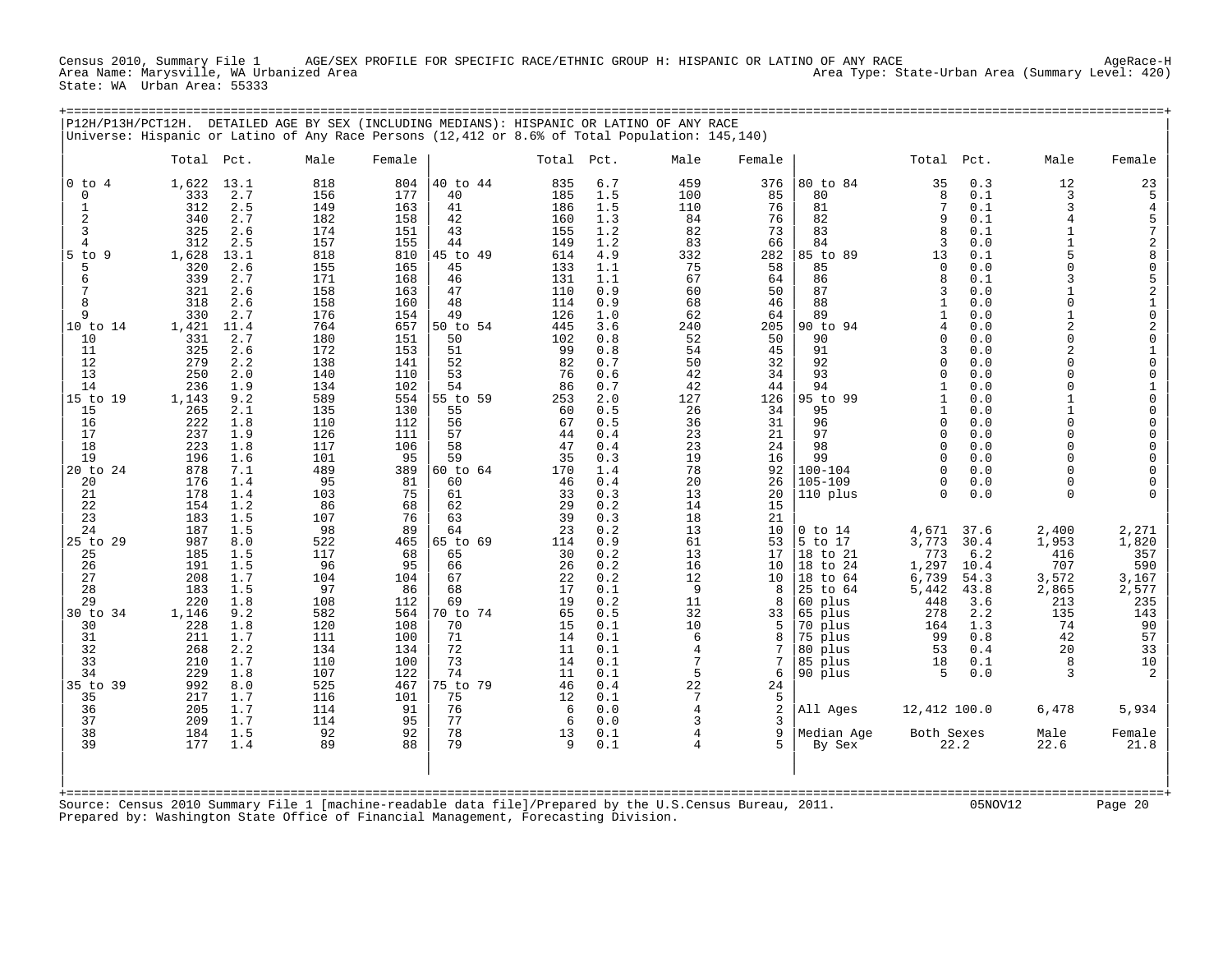Census 2010, Summary File 1 AGE/SEX PROFILE FOR SPECIFIC RACE/ETHNIC GROUP H: HISPANIC OR LATINO OF ANY RACE<br>Area Name: Marysville, WA Urbanized Area Area Area Area Area Area Area Type: State-Urban Area (Summary Level: State: WA Urban Area: 55333

+===================================================================================================================================================+

| P12H/P13H/PCT12H.                                                                                                                                                                                                   | Universe: Hispanic or Latino of Any Race Persons (12,412 or 8.6% of Total Population: 145,140)                                                                                                                                                                                                                                                                                                                                              |                                                                                                                                                                                                             | DETAILED AGE BY SEX (INCLUDING MEDIANS): HISPANIC OR LATINO OF ANY RACE                                                                                                                                                                                                                                                                                                                                                    |                                                                                                                                                                                                  |                                                                                                                                                                                                                |                                                                                                                                                                                        |                                                                                                                                                                                      |                                                                                                                                                                                                                                  |                                                                                                                                                                                                                                                   |                                                                                                                                                                                                   |                                                                                                                                                                                                                                                                                                                      |                                                                                                                                                     |
|---------------------------------------------------------------------------------------------------------------------------------------------------------------------------------------------------------------------|---------------------------------------------------------------------------------------------------------------------------------------------------------------------------------------------------------------------------------------------------------------------------------------------------------------------------------------------------------------------------------------------------------------------------------------------|-------------------------------------------------------------------------------------------------------------------------------------------------------------------------------------------------------------|----------------------------------------------------------------------------------------------------------------------------------------------------------------------------------------------------------------------------------------------------------------------------------------------------------------------------------------------------------------------------------------------------------------------------|--------------------------------------------------------------------------------------------------------------------------------------------------------------------------------------------------|----------------------------------------------------------------------------------------------------------------------------------------------------------------------------------------------------------------|----------------------------------------------------------------------------------------------------------------------------------------------------------------------------------------|--------------------------------------------------------------------------------------------------------------------------------------------------------------------------------------|----------------------------------------------------------------------------------------------------------------------------------------------------------------------------------------------------------------------------------|---------------------------------------------------------------------------------------------------------------------------------------------------------------------------------------------------------------------------------------------------|---------------------------------------------------------------------------------------------------------------------------------------------------------------------------------------------------|----------------------------------------------------------------------------------------------------------------------------------------------------------------------------------------------------------------------------------------------------------------------------------------------------------------------|-----------------------------------------------------------------------------------------------------------------------------------------------------|
|                                                                                                                                                                                                                     | Total Pct.                                                                                                                                                                                                                                                                                                                                                                                                                                  | Male                                                                                                                                                                                                        | Female                                                                                                                                                                                                                                                                                                                                                                                                                     | Total                                                                                                                                                                                            | Pct.                                                                                                                                                                                                           | Male                                                                                                                                                                                   | Female                                                                                                                                                                               |                                                                                                                                                                                                                                  | Total Pct.                                                                                                                                                                                                                                        |                                                                                                                                                                                                   | Male                                                                                                                                                                                                                                                                                                                 | Female                                                                                                                                              |
| $0$ to $4$<br>$\mathbf 0$<br>1<br>2<br>3<br>4<br>5 to<br>- 9<br>5<br>6<br>7<br>8<br>9<br>10 to 14<br>10<br>11<br>12<br>13<br>14<br>15 to 19<br>15<br>16<br>17<br>18<br>19<br>20 to 24<br>20<br>21<br>22<br>23<br>24 | 1,622<br>13.1<br>2.7<br>333<br>312<br>2.5<br>340<br>2.7<br>325<br>2.6<br>312<br>2.5<br>1,628<br>13.1<br>2.6<br>320<br>339<br>2.7<br>321<br>2.6<br>318<br>2.6<br>330<br>2.7<br>1,421<br>11.4<br>331<br>2.7<br>325<br>2.6<br>279<br>2.2<br>250<br>2.0<br>236<br>1.9<br>1,143<br>9.2<br>265<br>2.1<br>222<br>1.8<br>237<br>1.9<br>223<br>1.8<br>196<br>1.6<br>878<br>7.1<br>176<br>1.4<br>178<br>1.4<br>154<br>1.2<br>183<br>1.5<br>187<br>1.5 | 818<br>156<br>149<br>182<br>174<br>157<br>818<br>155<br>171<br>158<br>158<br>176<br>764<br>180<br>172<br>138<br>140<br>134<br>589<br>135<br>110<br>126<br>117<br>101<br>489<br>95<br>103<br>86<br>107<br>98 | 804<br>40 to 44<br>40<br>177<br>163<br>41<br>158<br>42<br>43<br>151<br>155<br>44<br>45 to 49<br>810<br>165<br>45<br>46<br>168<br>163<br>47<br>48<br>160<br>49<br>154<br>657<br>50 to 54<br>151<br>50<br>153<br>51<br>52<br>141<br>110<br>53<br>102<br>54<br>554<br>55 to 59<br>130<br>55<br>112<br>56<br>111<br>57<br>58<br>106<br>59<br>95<br>389<br>60 to 64<br>81<br>60<br>75<br>61<br>68<br>62<br>76<br>63<br>89<br>64 | 835<br>185<br>186<br>160<br>155<br>149<br>614<br>133<br>131<br>110<br>114<br>126<br>445<br>102<br>99<br>82<br>76<br>86<br>253<br>60<br>67<br>44<br>47<br>35<br>170<br>46<br>33<br>29<br>39<br>23 | 6.7<br>1.5<br>1.5<br>1.3<br>1.2<br>1.2<br>4.9<br>1.1<br>1.1<br>0.9<br>0.9<br>1.0<br>3.6<br>0.8<br>0.8<br>0.7<br>0.6<br>0.7<br>2.0<br>0.5<br>0.5<br>0.4<br>0.4<br>0.3<br>1.4<br>0.4<br>0.3<br>0.2<br>0.3<br>0.2 | 459<br>100<br>110<br>84<br>82<br>83<br>332<br>75<br>67<br>60<br>68<br>62<br>240<br>52<br>54<br>50<br>42<br>42<br>127<br>26<br>36<br>23<br>23<br>19<br>78<br>20<br>13<br>14<br>18<br>13 | 376<br>85<br>76<br>76<br>73<br>66<br>282<br>58<br>64<br>50<br>46<br>64<br>205<br>50<br>45<br>32<br>34<br>44<br>126<br>34<br>31<br>21<br>24<br>16<br>92<br>26<br>20<br>15<br>21<br>10 | 80 to 84<br>80<br>81<br>82<br>83<br>84<br>85 to<br>89<br>85<br>86<br>87<br>88<br>89<br>90 to 94<br>90<br>91<br>92<br>93<br>94<br>95 to 99<br>95<br>96<br>97<br>98<br>99<br>$100 - 104$<br>$105 - 109$<br>110 plus<br>$0$ to $14$ | 35<br>8<br>7<br>9<br>8<br>3<br>13<br>$\Omega$<br>8<br>3<br>1<br>1<br>4<br>$\Omega$<br>3<br>0<br>$\Omega$<br>$\mathbf{1}$<br>$\mathbf{1}$<br>$\mathbf{1}$<br>$\mathbf 0$<br>$\Omega$<br>$\Omega$<br>$\Omega$<br>$\Omega$<br>0<br>$\Omega$<br>4,671 | 0.3<br>0.1<br>0.1<br>0.1<br>0.1<br>0.0<br>0.1<br>0.0<br>0.1<br>0.0<br>0.0<br>0.0<br>0.0<br>0.0<br>0.0<br>0.0<br>0.0<br>0.0<br>0.0<br>0.0<br>0.0<br>0.0<br>0.0<br>0.0<br>0.0<br>0.0<br>0.0<br>37.6 | 12<br>3<br>3<br>$\overline{4}$<br>$\mathbf{1}$<br>1<br>$\Omega$<br>$\mathbf{z}$<br>$\Omega$<br>$\mathbf{1}$<br>$\overline{a}$<br>$\Omega$<br>$\overline{a}$<br>$\cap$<br>$\cap$<br>$\cap$<br>$\mathbf{1}$<br>$\mathbf{1}$<br>$\Omega$<br>$\Omega$<br>$\Omega$<br>$\cap$<br>$\Omega$<br>$\Omega$<br>$\Omega$<br>2,400 | 23<br>5<br>457280521020100100<br>$\begin{smallmatrix}0\0\0\end{smallmatrix}$<br>$\mathbf 0$<br>$\mathsf 0$<br>$\mathbf 0$<br>0<br>$\Omega$<br>2,271 |
| 25 to 29<br>25<br>26<br>27<br>28<br>29<br>30 to 34<br>30<br>31<br>32<br>33<br>34<br>35 to 39<br>35<br>36<br>37<br>38<br>39                                                                                          | 987<br>8.0<br>185<br>1.5<br>191<br>1.5<br>208<br>1.7<br>183<br>1.5<br>220<br>1.8<br>9.2<br>1,146<br>1.8<br>228<br>1.7<br>211<br>2.2<br>268<br>210<br>1.7<br>229<br>1.8<br>992<br>8.0<br>217<br>1.7<br>205<br>1.7<br>209<br>1.7<br>184<br>1.5<br>177<br>1.4                                                                                                                                                                                  | 522<br>117<br>96<br>104<br>97<br>108<br>582<br>120<br>111<br>134<br>110<br>107<br>525<br>116<br>114<br>114<br>92<br>89                                                                                      | 465<br>65 to 69<br>68<br>65<br>95<br>66<br>104<br>67<br>68<br>86<br>112<br>69<br>564<br>70 to 74<br>108<br>70<br>100<br>71<br>72<br>134<br>100<br>73<br>74<br>122<br>467<br>75 to 79<br>101<br>75<br>91<br>76<br>95<br>77<br>78<br>92<br>79<br>88                                                                                                                                                                          | 114<br>30<br>26<br>22<br>17<br>19<br>65<br>15<br>14<br>11<br>14<br>11<br>46<br>12<br>6<br>6<br>13<br>9                                                                                           | 0.9<br>0.2<br>0.2<br>0.2<br>0.1<br>0.2<br>0.5<br>0.1<br>0.1<br>0.1<br>0.1<br>0.1<br>0.4<br>0.1<br>0.0<br>0.0<br>0.1<br>0.1                                                                                     | 61<br>13<br>16<br>12<br>9<br>11<br>32<br>10<br>6<br>4<br>7<br>5<br>22<br>7<br>4<br>3<br>4                                                                                              | 53<br>17<br>10<br>10<br>8<br>8<br>33<br>5<br>8<br>7<br>7<br>6<br>24<br>5<br>2<br>3<br>9<br>5                                                                                         | 5 to 17<br>18 to 21<br>18 to 24<br>18 to 64<br>25 to 64<br>60 plus<br>65 plus<br>70 plus<br>75 plus<br>80 plus<br>85 plus<br>90 plus<br>All Ages<br>Median Age<br>By Sex                                                         | 3,773<br>773<br>1,297<br>6,739<br>5,442<br>448<br>278<br>164<br>99<br>53<br>18<br>.5<br>12,412 100.0<br>Both Sexes                                                                                                                                | 30.4<br>6.2<br>10.4<br>54.3<br>43.8<br>3.6<br>2.2<br>1.3<br>0.8<br>0.4<br>0.1<br>0.0<br>22.2                                                                                                      | 1,953<br>416<br>707<br>3,572<br>2,865<br>213<br>135<br>74<br>42<br>20<br>8<br>3<br>6,478<br>Male<br>22.6                                                                                                                                                                                                             | 1,820<br>357<br>590<br>3,167<br>2,577<br>235<br>143<br>90<br>57<br>33<br>$10$<br>5,934<br>Female<br>21.8                                            |
|                                                                                                                                                                                                                     | Source: Census 2010 Summary File 1 [machine-readable data file]/Prepared by the U.S.Census Bureau, 2011.<br>Prepared by: Washington State Office of Financial Management, Forecasting Division.                                                                                                                                                                                                                                             |                                                                                                                                                                                                             |                                                                                                                                                                                                                                                                                                                                                                                                                            |                                                                                                                                                                                                  |                                                                                                                                                                                                                |                                                                                                                                                                                        |                                                                                                                                                                                      |                                                                                                                                                                                                                                  |                                                                                                                                                                                                                                                   | 05NOV12                                                                                                                                                                                           |                                                                                                                                                                                                                                                                                                                      | Page 20                                                                                                                                             |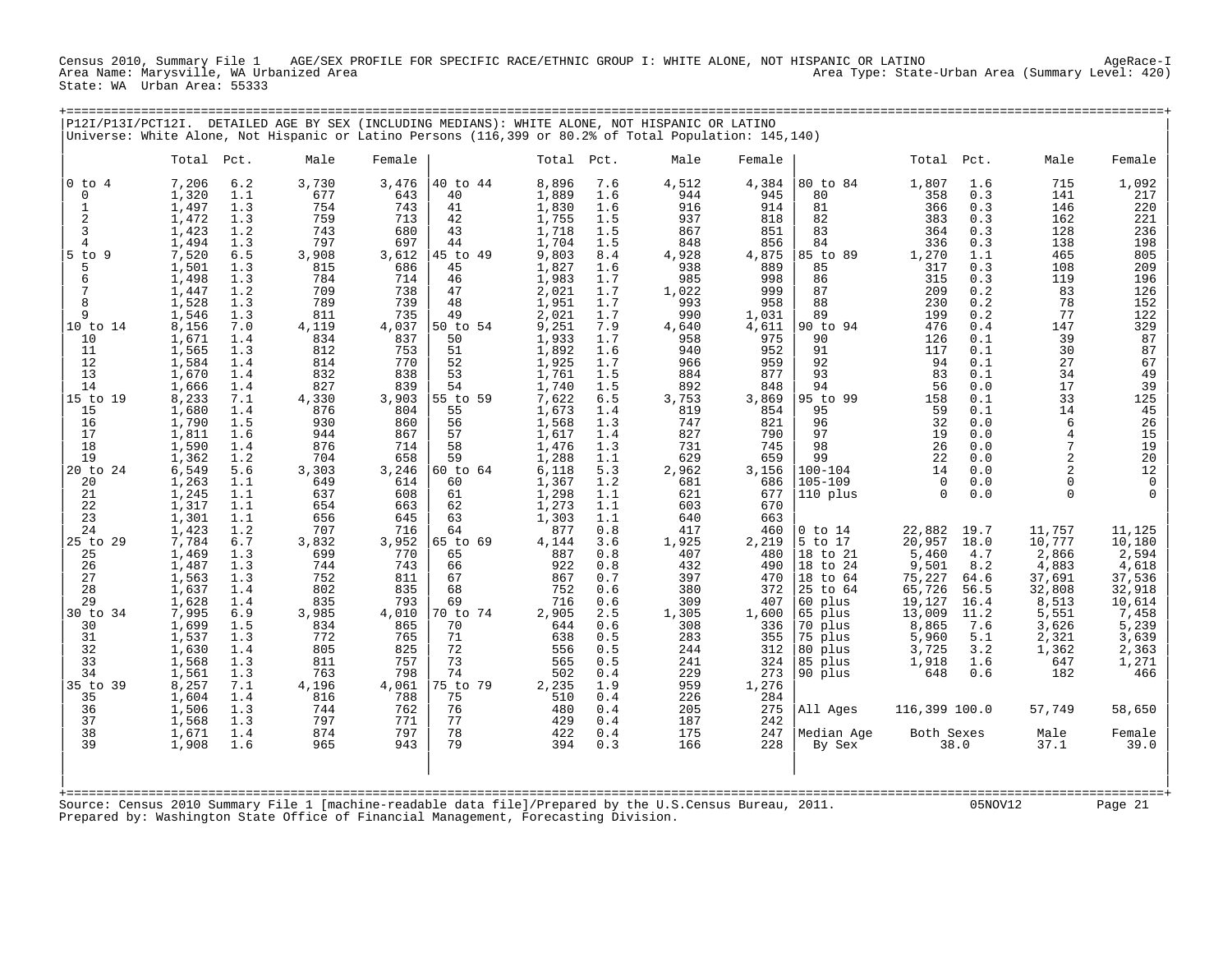Census 2010, Summary File 1 AGE/SEX PROFILE FOR SPECIFIC RACE/ETHNIC GROUP I: WHITE ALONE, NOT HISPANIC OR LATINO AgeRace-I Area Type: State-Urban Area (Summary Level: 420) State: WA Urban Area: 55333

|                | P12I/P13I/PCT12I. |     | DETAILED AGE BY SEX (INCLUDING MEDIANS): WHITE ALONE, NOT HISPANIC OR LATINO                          |        |          |            |     |       |        |             |            |      |          |        |
|----------------|-------------------|-----|-------------------------------------------------------------------------------------------------------|--------|----------|------------|-----|-------|--------|-------------|------------|------|----------|--------|
|                |                   |     | Universe: White Alone, Not Hispanic or Latino Persons (116,399 or 80.2% of Total Population: 145,140) |        |          |            |     |       |        |             |            |      |          |        |
|                |                   |     |                                                                                                       |        |          |            |     |       |        |             |            |      |          |        |
|                | Total Pct.        |     | Male                                                                                                  | Female |          | Total Pct. |     | Male  | Female |             | Total Pct. |      | Male     | Female |
| $0$ to $4$     | 7,206             | 6.2 | 3,730                                                                                                 | 3,476  | 40 to 44 | 8,896      | 7.6 | 4,512 | 4,384  | 80 to 84    | 1,807      | 1.6  | 715      | 1,092  |
| 0              | 1,320             | 1.1 | 677                                                                                                   | 643    | 40       | 1,889      | 1.6 | 944   | 945    | 80          | 358        | 0.3  | 141      | 217    |
|                | 1,497             | 1.3 | 754                                                                                                   | 743    | 41       | 1,830      | 1.6 | 916   | 914    | 81          | 366        | 0.3  | 146      | 220    |
| $\overline{2}$ | 1,472             | 1.3 | 759                                                                                                   | 713    | 42       | 1,755      | 1.5 | 937   | 818    | 82          | 383        | 0.3  | 162      | 221    |
| $\overline{3}$ | 1,423             | 1.2 | 743                                                                                                   | 680    | 43       | 1,718      | 1.5 | 867   | 851    | 83          | 364        | 0.3  | 128      | 236    |
| $\overline{4}$ | 1,494             | 1.3 | 797                                                                                                   | 697    | 44       | 1,704      | 1.5 | 848   | 856    | 84          | 336        | 0.3  | 138      | 198    |
| $5$ to $9$     | 7,520             | 6.5 | 3,908                                                                                                 | 3,612  | 45 to 49 | 9,803      | 8.4 | 4,928 | 4,875  | 85 to 89    | 1,270      | 1.1  | 465      | 805    |
| 5              | 1,501             | 1.3 | 815                                                                                                   | 686    | 45       | 1,827      | 1.6 | 938   | 889    | 85          | 317        | 0.3  | 108      | 209    |
| 6              | 1,498             | 1.3 | 784                                                                                                   | 714    | 46       | 1,983      | 1.7 | 985   | 998    | 86          | 315        | 0.3  | 119      | 196    |
| 7              | 1,447             | 1.2 | 709                                                                                                   | 738    | 47       | 2,021      | 1.7 | 1,022 | 999    | 87          | 209        | 0.2  | 83       | 126    |
| 8              | 1,528             | 1.3 | 789                                                                                                   | 739    | 48       | 1,951      | 1.7 | 993   | 958    | 88          | 230        | 0.2  | 78       | 152    |
| 9              | 1,546             | 1.3 | 811                                                                                                   | 735    | 49       | 2,021      | 1.7 | 990   | 1,031  | 89          | 199        | 0.2  | 77       | 122    |
| 10 to 14       | 8,156             | 7.0 | 4,119                                                                                                 | 4,037  | 50 to 54 | 9,251      | 7.9 | 4,640 | 4,611  | 90 to 94    | 476        | 0.4  | 147      | 329    |
| 10             | 1,671             | 1.4 | 834                                                                                                   | 837    | 50       | 1,933      | 1.7 | 958   | 975    | 90          | 126        | 0.1  | 39       | 87     |
| 11             | 1,565             | 1.3 | 812                                                                                                   | 753    | 51       | 1,892      | 1.6 | 940   | 952    | 91          | 117        | 0.1  | 30       | 87     |
| 12             | 1,584             | 1.4 | 814                                                                                                   | 770    | 52       | 1,925      | 1.7 | 966   | 959    | 92          | 94         | 0.1  | 27       | 67     |
| 13             | 1,670             | 1.4 | 832                                                                                                   | 838    | 53       | 1,761      | 1.5 | 884   | 877    | 93          | 83         | 0.1  | 34       | 49     |
| 14             | 1,666             | 1.4 | 827                                                                                                   | 839    | 54       | 1,740      | 1.5 | 892   | 848    | 94          | 56         | 0.0  | 17       | 39     |
| 15 to 19       | 8,233             | 7.1 | 4,330                                                                                                 | 3,903  | 55 to 59 | 7,622      | 6.5 | 3,753 | 3,869  | 95 to 99    | 158        | 0.1  | 33       | 125    |
| 15             | 1,680             | 1.4 | 876                                                                                                   | 804    | 55       | 1,673      | 1.4 | 819   | 854    | 95          | 59         | 0.1  | 14       | 45     |
| 16             | 1,790             | 1.5 | 930                                                                                                   | 860    | 56       | 1,568      | 1.3 | 747   | 821    | 96          | 32         | 0.0  | 6        | 26     |
| 17             | 1,811             | 1.6 | 944                                                                                                   | 867    | 57       | 1,617      | 1.4 | 827   | 790    | 97          | 19         | 0.0  |          | 15     |
| 18             | 1,590             | 1.4 | 876                                                                                                   | 714    | 58       | 1,476      | 1.3 | 731   | 745    | 98          | 26         | 0.0  |          | 19     |
| 19             | 1,362             | 1.2 | 704                                                                                                   | 658    | 59       | 1,288      | 1.1 | 629   | 659    | 99          | 22         | 0.0  |          | 20     |
| 20 to 24       | 6,549             | 5.6 | 3,303                                                                                                 | 3,246  | 60 to 64 | 6,118      | 5.3 | 2,962 | 3,156  | $100 - 104$ | 14         | 0.0  |          | 12     |
| 20             | 1,263             | 1.1 | 649                                                                                                   | 614    | 60       | 1,367      | 1.2 | 681   | 686    | $105 - 109$ | $\Omega$   | 0.0  |          |        |
| 21             | 1,245             | 1.1 | 637                                                                                                   | 608    | 61       | 1,298      | 1.1 | 621   | 677    | 110 plus    | $\cap$     | 0.0  | $\Omega$ |        |
| 22             | 1,317             | 1.1 | 654                                                                                                   | 663    | 62       | 1,273      | 1.1 | 603   | 670    |             |            |      |          |        |
| 23             | 1,301             | 1.1 | 656                                                                                                   | 645    | 63       | 1,303      | 1.1 | 640   | 663    |             |            |      |          |        |
| 24             | 1,423             | 1.2 | 707                                                                                                   | 716    | 64       | 877        | 0.8 | 417   | 460    | $0$ to $14$ | 22,882     | 19.7 | 11,757   | 11,125 |
| 25 to 29       | 7,784             | 6.7 | 3,832                                                                                                 | 3,952  | 65 to 69 | 4,144      | 3.6 | 1,925 | 2,219  | 5 to 17     | 20,957     | 18.0 | 10,777   | 10,180 |
| 25             | 1,469             | 1.3 | 699                                                                                                   | 770    | 65       | 887        | 0.8 | 407   | 480    | 18 to 21    | 5,460      | 4.7  | 2,866    | 2,594  |
| 26             | 1,487             | 1.3 | 744                                                                                                   | 743    | 66       | 922        | 0.8 | 432   | 490    | 18 to 24    | 9,501      | 8.2  | 4,883    | 4,618  |
| 27             | 1,563             | 1.3 | 752                                                                                                   | 811    | 67       | 867        | 0.7 | 397   | 470    | 18 to 64    | 75,227     | 64.6 | 37,691   | 37,536 |
| 28             | 1,637             | 1.4 | 802                                                                                                   | 835    | 68       | 752        | 0.6 | 380   | 372    | 25 to 64    | 65,726     | 56.5 | 32,808   | 32,918 |

| 29 1,628 1.4 835 793 | 69 716 0.6 309 407 |60 plus 19,127 16.4 8,513 10,614 | |30 to 34 7,995 6.9 3,985 4,010 |70 to 74 2,905 2.5 1,305 1,600 |65 plus 13,009 11.2 5,551 7,458 | | 30 1,699 1.5 834 865 | 70 644 0.6 308 336 |70 plus 8,865 7.6 3,626 5,239 | | 31 1,537 1.3 772 765 | 71 638 0.5 283 355 |75 plus 5,960 5.1 2,321 3,639 | | 32 1,630 1.4 805 825 | 72 556 0.5 244 312 |80 plus 3,725 3.2 1,362 2,363 | | 33 1,568 1.3 811 757 | 73 565 0.5 241 324 |85 plus 1,918 1.6 647 1,271 | | 34 1,561 1.3 763 798 | 74 502 0.4 229 273 |90 plus 648 0.6 182 466 | |35 to 39 8,257 7.1 4,196 4,061 |75 to 79 2,235 1.9 959 1,276 | | | 35 1,604 1.4 816 788 | 75 510 0.4 226 284 | | | 36 1,506 1.3 744 762 | 76 480 0.4 205 275 |All Ages 116,399 100.0 57,749 58,650 | | 37 1,568 1.3 797 771 | 77 429 0.4 187 242 | | | 38 1,671 1.4 874 797 | 78 422 0.4 175 247 |Median Age Both Sexes Male Female | | 39 1,908 1.6 965 943 | 79 394 0.3 166 228 | By Sex 38.0 37.1 39.0 | | | | |

| | +===================================================================================================================================================+ Source: Census 2010 Summary File 1 [machine-readable data file]/Prepared by the U.S.Census Bureau, 2011. 05NOV12 Page 21 Prepared by: Washington State Office of Financial Management, Forecasting Division.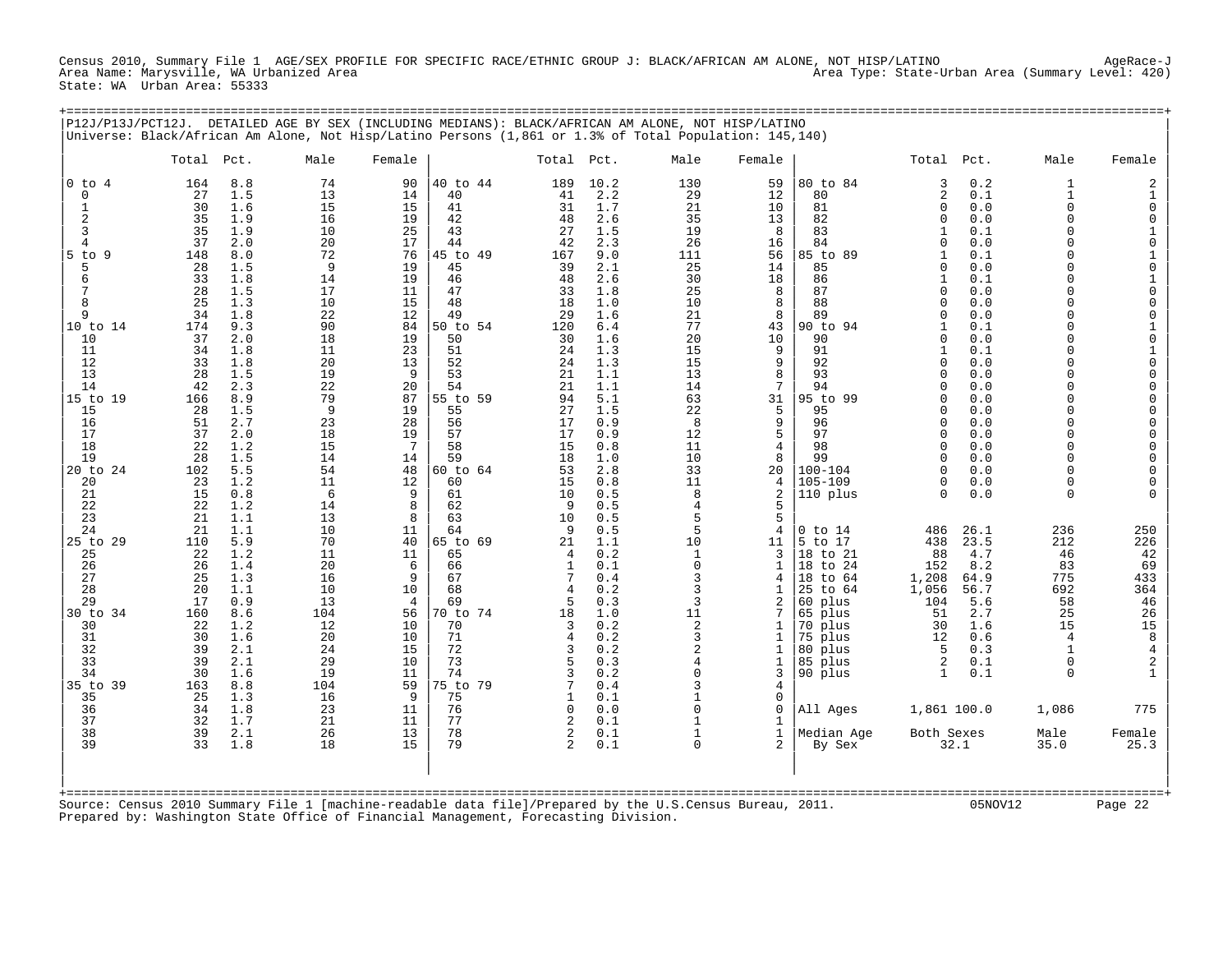Census 2010, Summary File 1 AGE/SEX PROFILE FOR SPECIFIC RACE/ETHNIC GROUP J: BLACK/AFRICAN AM ALONE, NOT HISP/LATINO AgeRace-J Area Name: Marysville, WA Urbanized Area Area Type: State-Urban Area (Summary Level: 420) State: WA Urban Area: 55333

|                                                                                                                                                                                                                                                                                    |                                                                                                                                                                                                                                         |                                                                                                                                                                                                                                                                        | P12J/P13J/PCT12J. DETAILED AGE BY SEX (INCLUDING MEDIANS): BLACK/AFRICAN AM ALONE, NOT HISP/LATINO<br>Universe: Black/African Am Alone, Not Hisp/Latino Persons (1,861 or 1.3% of Total Population: 145,140)                   |                                                                                                                                                                                                                                                     |                                                                                                                                                                                                                                                                            |                                                                                                                                                                                                                 |                                                                                                                                                                                                                                                                         |                                                                                                                                                                                                                                   |                                                                                                                                                                                                                                                                                                |                                                                                                                                                                                                                                                                                                                                       |                                                                                                                                                                                                                                                                                                                                                                                                                                                                                                                                                                                                                  |                                                                                                                                                                                                                                                                                                                                  |                                                                                                                                                                                                                                                                                                                                                                                          |
|------------------------------------------------------------------------------------------------------------------------------------------------------------------------------------------------------------------------------------------------------------------------------------|-----------------------------------------------------------------------------------------------------------------------------------------------------------------------------------------------------------------------------------------|------------------------------------------------------------------------------------------------------------------------------------------------------------------------------------------------------------------------------------------------------------------------|--------------------------------------------------------------------------------------------------------------------------------------------------------------------------------------------------------------------------------|-----------------------------------------------------------------------------------------------------------------------------------------------------------------------------------------------------------------------------------------------------|----------------------------------------------------------------------------------------------------------------------------------------------------------------------------------------------------------------------------------------------------------------------------|-----------------------------------------------------------------------------------------------------------------------------------------------------------------------------------------------------------------|-------------------------------------------------------------------------------------------------------------------------------------------------------------------------------------------------------------------------------------------------------------------------|-----------------------------------------------------------------------------------------------------------------------------------------------------------------------------------------------------------------------------------|------------------------------------------------------------------------------------------------------------------------------------------------------------------------------------------------------------------------------------------------------------------------------------------------|---------------------------------------------------------------------------------------------------------------------------------------------------------------------------------------------------------------------------------------------------------------------------------------------------------------------------------------|------------------------------------------------------------------------------------------------------------------------------------------------------------------------------------------------------------------------------------------------------------------------------------------------------------------------------------------------------------------------------------------------------------------------------------------------------------------------------------------------------------------------------------------------------------------------------------------------------------------|----------------------------------------------------------------------------------------------------------------------------------------------------------------------------------------------------------------------------------------------------------------------------------------------------------------------------------|------------------------------------------------------------------------------------------------------------------------------------------------------------------------------------------------------------------------------------------------------------------------------------------------------------------------------------------------------------------------------------------|
|                                                                                                                                                                                                                                                                                    | Total Pct.                                                                                                                                                                                                                              |                                                                                                                                                                                                                                                                        | Male                                                                                                                                                                                                                           | Female                                                                                                                                                                                                                                              |                                                                                                                                                                                                                                                                            | Total Pct.                                                                                                                                                                                                      |                                                                                                                                                                                                                                                                         | Male                                                                                                                                                                                                                              | Female                                                                                                                                                                                                                                                                                         |                                                                                                                                                                                                                                                                                                                                       | Total Pct.                                                                                                                                                                                                                                                                                                                                                                                                                                                                                                                                                                                                       | Male                                                                                                                                                                                                                                                                                                                             | Female                                                                                                                                                                                                                                                                                                                                                                                   |
| $0$ to $4$<br>0<br>1<br>2<br>3<br>$\overline{4}$<br>$5$ to<br>9<br>5<br>6<br>7<br>8<br>9<br>10 to 14<br>10<br>11<br>12<br>13<br>14<br>15 to 19<br>15<br>16<br>17<br>18<br>19<br>20 to 24<br>20<br>21<br>22<br>23<br>24<br>25 to 29<br>25<br>26<br>27<br>28<br>29<br>30 to 34<br>30 | 164<br>27<br>30<br>35<br>35<br>37<br>148<br>28<br>33<br>28<br>25<br>34<br>174<br>37<br>34<br>33<br>28<br>42<br>166<br>28<br>51<br>37<br>22<br>28<br>102<br>23<br>15<br>22<br>21<br>21<br>110<br>22<br>26<br>25<br>20<br>17<br>160<br>22 | 8.8<br>1.5<br>1.6<br>1.9<br>1.9<br>2.0<br>8.0<br>1.5<br>1.8<br>1.5<br>1.3<br>1.8<br>9.3<br>2.0<br>1.8<br>1.8<br>1.5<br>2.3<br>8.9<br>1.5<br>2.7<br>2.0<br>1.2<br>1.5<br>5.5<br>1.2<br>0.8<br>1.2<br>1.1<br>1.1<br>5.9<br>1.2<br>1.4<br>1.3<br>1.1<br>0.9<br>8.6<br>1.2 | 74<br>13<br>15<br>16<br>10<br>20<br>72<br>9<br>14<br>17<br>10<br>22<br>90<br>18<br>11<br>20<br>19<br>22<br>79<br>9<br>23<br>18<br>15<br>14<br>54<br>11<br>6<br>14<br>13<br>10<br>70<br>11<br>20<br>16<br>10<br>13<br>104<br>12 | 90<br>14<br>15<br>19<br>25<br>17<br>76<br>19<br>19<br>11<br>15<br>12<br>84<br>19<br>23<br>13<br>9<br>20<br>87<br>19<br>28<br>19<br>$7\phantom{.0}$<br>14<br>48<br>12<br>9<br>8<br>8<br>11<br>40<br>11<br>6<br>9<br>10<br>$\overline{4}$<br>56<br>10 | 40 to 44<br>40<br>41<br>42<br>43<br>44<br>45 to 49<br>45<br>46<br>47<br>48<br>49<br>50 to 54<br>50<br>51<br>52<br>53<br>54<br>55 to 59<br>55<br>56<br>57<br>58<br>59<br>60 to 64<br>60<br>61<br>62<br>63<br>64<br>65 to 69<br>65<br>66<br>67<br>68<br>69<br>70 to 74<br>70 | 189<br>41<br>31<br>48<br>27<br>42<br>167<br>39<br>48<br>33<br>18<br>29<br>120<br>30<br>24<br>24<br>21<br>21<br>94<br>27<br>17<br>17<br>15<br>18<br>53<br>15<br>10<br>-9<br>10<br>-9<br>21<br>4<br>.5<br>18<br>3 | 10.2<br>2.2<br>1.7<br>2.6<br>1.5<br>2.3<br>9.0<br>2.1<br>2.6<br>1.8<br>1.0<br>1.6<br>6.4<br>1.6<br>1.3<br>1.3<br>1.1<br>1.1<br>5.1<br>1.5<br>0.9<br>0.9<br>0.8<br>1.0<br>2.8<br>0.8<br>0.5<br>0.5<br>0.5<br>0.5<br>1.1<br>0.2<br>0.1<br>0.4<br>0.2<br>0.3<br>1.0<br>0.2 | 130<br>29<br>21<br>35<br>19<br>26<br>111<br>25<br>30<br>25<br>10<br>21<br>77<br>20<br>15<br>15<br>13<br>14<br>63<br>22<br>8<br>12<br>11<br>10<br>33<br>11<br>8<br>4<br>5<br>5<br>10<br>1<br>$\mathbf 0$<br>3<br>3<br>3<br>11<br>2 | 59<br>12<br>10<br>13<br>8<br>16<br>56<br>14<br>18<br>8<br>8<br>8<br>43<br>10<br>9<br>9<br>8<br>7<br>31<br>5<br>9<br>$\overline{5}$<br>$\overline{4}$<br>8<br>20<br>$\overline{4}$<br>$\overline{a}$<br>5<br>5<br>$\overline{4}$<br>11<br>3<br>$\mathbf{1}$<br>4<br>$\mathbf{1}$<br>2<br>7<br>1 | 80 to 84<br>80<br>81<br>82<br>83<br>84<br>85 to 89<br>85<br>86<br>87<br>88<br>89<br>90 to 94<br>90<br>91<br>92<br>93<br>94<br>95 to 99<br>95<br>96<br>97<br>98<br>99<br>$100 - 104$<br>$105 - 109$<br>110 plus<br>$0$ to $14$<br>5 to 17<br>18 to 21<br>to 24<br>18<br>18<br>to 64<br>25<br>to 64<br>60 plus<br>65 plus<br>70<br>plus | 3<br>0.2<br>2<br>0.1<br>$\mathbf{0}$<br>0.0<br>0.0<br>$\mathbf{0}$<br>1<br>0.1<br>$\Omega$<br>0.0<br>0.1<br>$\mathbf{1}$<br>0.0<br>$\Omega$<br>0.1<br>$\mathbf{1}$<br>0.0<br>$\Omega$<br>0.0<br>$\Omega$<br>0.0<br>$\Omega$<br>0.1<br>0.0<br>$\Omega$<br>0.1<br>1<br>0.0<br>$\Omega$<br>0.0<br>$\cap$<br>0.0<br>$\Omega$<br>0.0<br>$\cap$<br>0.0<br>$\Omega$<br>0.0<br>$\cap$<br>0.0<br>O<br>0.0<br>$\cap$<br>0.0<br>O<br>0.0<br>$\cap$<br>$\Omega$<br>0.0<br>$\Omega$<br>0.0<br>486<br>26.1<br>438<br>23.5<br>88<br>4.7<br>152<br>8.2<br>1,208<br>64.9<br>1,056<br>56.7<br>5.6<br>104<br>51<br>2.7<br>30<br>1.6 | $\mathbf{1}$<br>$\mathbf{1}$<br>$\Omega$<br>$\Omega$<br>$\cap$<br>$\Omega$<br>$\Omega$<br>$\cap$<br>$\Omega$<br>$\cap$<br>$\Omega$<br>$\Omega$<br>$\cap$<br>$\Omega$<br>$\cap$<br>$\Omega$<br>$\cap$<br>$\cap$<br>$\cap$<br>$\Omega$<br>$\cap$<br>$\Omega$<br>$\Omega$<br>236<br>212<br>46<br>83<br>775<br>692<br>58<br>25<br>15 | 2<br>$\begin{smallmatrix}1\0\end{smallmatrix}$<br>$\mathbf 0$<br>$\begin{smallmatrix}1\0\end{smallmatrix}$<br>$\begin{bmatrix} 1 & 0 \\ 0 & 1 \\ 0 & 0 \\ 0 & 0 \end{bmatrix}$<br>10100000<br>$\begin{matrix} 0 \\ 0 \\ 0 \end{matrix}$<br>$\begin{matrix} 0 \\ 0 \end{matrix}$<br>$\begin{matrix} 0 \\ 0 \end{matrix}$<br>250<br>226<br>42<br>69<br>433<br>364<br>46<br>$\frac{26}{15}$ |
| 31<br>32<br>33<br>34<br>35 to 39<br>35<br>36                                                                                                                                                                                                                                       | 30<br>39<br>39<br>30<br>163<br>25<br>34                                                                                                                                                                                                 | 1.6<br>2.1<br>2.1<br>1.6<br>8.8<br>1.3<br>1.8                                                                                                                                                                                                                          | 20<br>24<br>29<br>19<br>104<br>16<br>23                                                                                                                                                                                        | 10<br>15<br>10<br>11<br>59<br>9<br>11                                                                                                                                                                                                               | 71<br>72<br>73<br>74<br>75 to 79<br>75<br>76                                                                                                                                                                                                                               | $\overline{4}$<br>3<br>5<br>3<br>7<br>-1<br>$\Omega$                                                                                                                                                            | 0.2<br>0.2<br>0.3<br>0.2<br>0.4<br>0.1<br>0.0                                                                                                                                                                                                                           | 3<br>$\overline{2}$<br>4<br>$\Omega$<br>3<br>$\mathbf{1}$<br>$\Omega$                                                                                                                                                             | $\mathbf{1}$<br>1<br>$\mathbf 1$<br>3<br>$\overline{4}$<br>$\mathsf 0$<br>$\mathbf 0$                                                                                                                                                                                                          | 75<br>plus<br>80 plus<br>85 plus<br>90 plus<br>All Ages                                                                                                                                                                                                                                                                               | 0.6<br>12<br>-5<br>0.3<br>2<br>0.1<br>0.1<br>$\mathbf{1}$<br>1,861 100.0                                                                                                                                                                                                                                                                                                                                                                                                                                                                                                                                         | 4<br>$\mathbf{1}$<br>$\mathbf 0$<br>$\Omega$<br>1,086                                                                                                                                                                                                                                                                            | $\begin{array}{c} 8 \\ 4 \\ 2 \end{array}$<br>775                                                                                                                                                                                                                                                                                                                                        |
| 37<br>38<br>39                                                                                                                                                                                                                                                                     | 32<br>39<br>33                                                                                                                                                                                                                          | 1.7<br>2.1<br>1.8                                                                                                                                                                                                                                                      | 21<br>26<br>18                                                                                                                                                                                                                 | 11<br>13<br>15                                                                                                                                                                                                                                      | 77<br>78<br>79<br>:=================================                                                                                                                                                                                                                       | 2<br>2<br>$2^{1}$                                                                                                                                                                                               | 0.1<br>0.1<br>0.1                                                                                                                                                                                                                                                       | $\mathbf{1}$<br>$\Omega$                                                                                                                                                                                                          | 1<br>$\mathbf{1}$<br>$\overline{a}$                                                                                                                                                                                                                                                            | Median Age<br>By Sex                                                                                                                                                                                                                                                                                                                  | Both Sexes<br>32.1                                                                                                                                                                                                                                                                                                                                                                                                                                                                                                                                                                                               | Male<br>35.0                                                                                                                                                                                                                                                                                                                     | Female<br>25.3                                                                                                                                                                                                                                                                                                                                                                           |
|                                                                                                                                                                                                                                                                                    |                                                                                                                                                                                                                                         |                                                                                                                                                                                                                                                                        | Source: Census 2010 Summary File 1 [machine-readable data file]/Prepared by the U.S.Census Bureau, 2011.<br>Prepared by: Washington State Office of Financial Management, Forecasting Division.                                |                                                                                                                                                                                                                                                     |                                                                                                                                                                                                                                                                            |                                                                                                                                                                                                                 |                                                                                                                                                                                                                                                                         |                                                                                                                                                                                                                                   |                                                                                                                                                                                                                                                                                                |                                                                                                                                                                                                                                                                                                                                       |                                                                                                                                                                                                                                                                                                                                                                                                                                                                                                                                                                                                                  | 05NOV12                                                                                                                                                                                                                                                                                                                          | Page 22                                                                                                                                                                                                                                                                                                                                                                                  |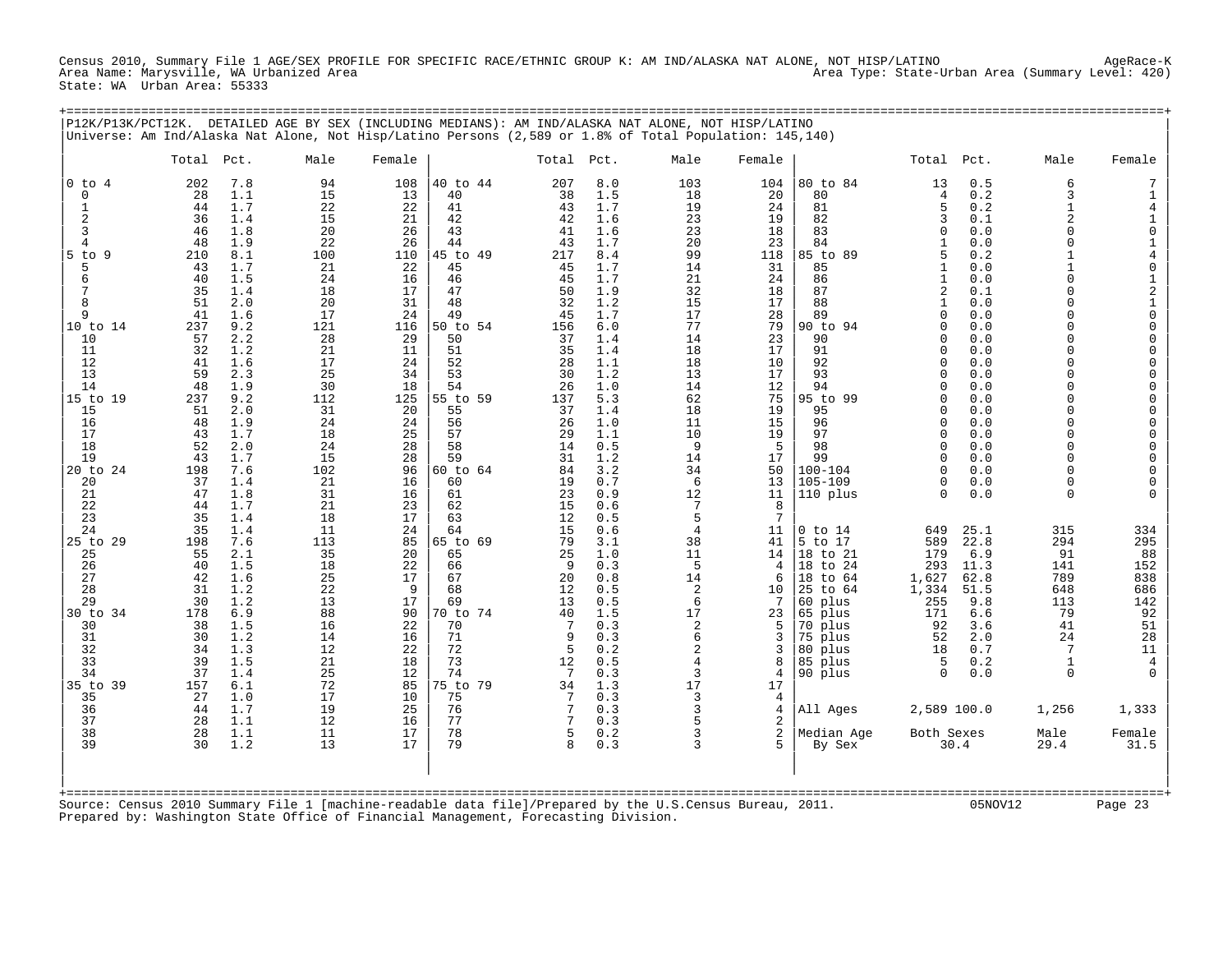Census 2010, Summary File 1 AGE/SEX PROFILE FOR SPECIFIC RACE/ETHNIC GROUP K: AM IND/ALASKA NAT ALONE, NOT HISP/LATINO AgeRace-K Area Type: State-Urban Area (Summary Level: 420) State: WA Urban Area: 55333

| P12K/P13K/PCT12K.                                                                                                                                                                                         |                                                                                                                                                                                 |                                                                                                                                                                                                         |                                                                                                                                                                                |                                                                                                                                                                                |                                                                                                                                                                                                          |                                                                                                                                                                                |                                                                                                                                                                                                         | DETAILED AGE BY SEX (INCLUDING MEDIANS): AM IND/ALASKA NAT ALONE, NOT HISP/LATINO<br>Universe: Am Ind/Alaska Nat Alone, Not Hisp/Latino Persons (2,589 or 1.8% of Total Population: 145,140) |                                                                                                                                                                            |                                                                                                                                                                                                                |                                                                                                                                                                                                                                                                                                    |                                                                                                                                                                                           |                                                                                                                                                                                                                                                                                                                |                                                                                                                                                                                                                                                                                                                                                                                                                      |
|-----------------------------------------------------------------------------------------------------------------------------------------------------------------------------------------------------------|---------------------------------------------------------------------------------------------------------------------------------------------------------------------------------|---------------------------------------------------------------------------------------------------------------------------------------------------------------------------------------------------------|--------------------------------------------------------------------------------------------------------------------------------------------------------------------------------|--------------------------------------------------------------------------------------------------------------------------------------------------------------------------------|----------------------------------------------------------------------------------------------------------------------------------------------------------------------------------------------------------|--------------------------------------------------------------------------------------------------------------------------------------------------------------------------------|---------------------------------------------------------------------------------------------------------------------------------------------------------------------------------------------------------|----------------------------------------------------------------------------------------------------------------------------------------------------------------------------------------------|----------------------------------------------------------------------------------------------------------------------------------------------------------------------------|----------------------------------------------------------------------------------------------------------------------------------------------------------------------------------------------------------------|----------------------------------------------------------------------------------------------------------------------------------------------------------------------------------------------------------------------------------------------------------------------------------------------------|-------------------------------------------------------------------------------------------------------------------------------------------------------------------------------------------|----------------------------------------------------------------------------------------------------------------------------------------------------------------------------------------------------------------------------------------------------------------------------------------------------------------|----------------------------------------------------------------------------------------------------------------------------------------------------------------------------------------------------------------------------------------------------------------------------------------------------------------------------------------------------------------------------------------------------------------------|
|                                                                                                                                                                                                           |                                                                                                                                                                                 | Total Pct.                                                                                                                                                                                              | Male                                                                                                                                                                           | Female                                                                                                                                                                         |                                                                                                                                                                                                          | Total                                                                                                                                                                          | Pct.                                                                                                                                                                                                    | Male                                                                                                                                                                                         | Female                                                                                                                                                                     |                                                                                                                                                                                                                | Total Pct.                                                                                                                                                                                                                                                                                         |                                                                                                                                                                                           | Male                                                                                                                                                                                                                                                                                                           | Female                                                                                                                                                                                                                                                                                                                                                                                                               |
| $0$ to $4$<br>$\Omega$<br>1<br>2<br>ς<br>4<br>$5$ to $9$<br>5<br>6<br>7<br>8<br>9<br>10 to 14<br>10<br>11<br>12<br>13<br>14<br>15 to 19<br>15<br>16<br>17<br>18<br>19<br>20 to 24<br>20<br>21<br>22<br>23 | 202<br>28<br>44<br>36<br>46<br>48<br>210<br>43<br>40<br>35<br>51<br>41<br>237<br>57<br>32<br>41<br>59<br>48<br>237<br>51<br>48<br>43<br>52<br>43<br>198<br>37<br>47<br>44<br>35 | 7.8<br>1.1<br>1.7<br>1.4<br>1.8<br>1.9<br>8.1<br>1.7<br>1.5<br>1.4<br>2.0<br>1.6<br>9.2<br>2.2<br>1.2<br>1.6<br>2.3<br>1.9<br>9.2<br>2.0<br>1.9<br>1.7<br>2.0<br>1.7<br>7.6<br>1.4<br>1.8<br>1.7<br>1.4 | 94<br>15<br>22<br>15<br>20<br>22<br>100<br>21<br>24<br>18<br>20<br>17<br>121<br>28<br>21<br>17<br>25<br>30<br>112<br>31<br>24<br>18<br>24<br>15<br>102<br>21<br>31<br>21<br>18 | 108<br>13<br>22<br>21<br>26<br>26<br>110<br>22<br>16<br>17<br>31<br>24<br>116<br>29<br>11<br>24<br>34<br>18<br>125<br>20<br>24<br>25<br>28<br>28<br>96<br>16<br>16<br>23<br>17 | 40 to 44<br>40<br>41<br>42<br>43<br>44<br>45 to 49<br>45<br>46<br>47<br>48<br>49<br>50 to 54<br>50<br>51<br>52<br>53<br>54<br>55 to 59<br>55<br>56<br>57<br>58<br>59<br>60 to 64<br>60<br>61<br>62<br>63 | 207<br>38<br>43<br>42<br>41<br>43<br>217<br>45<br>45<br>50<br>32<br>45<br>156<br>37<br>35<br>28<br>30<br>26<br>137<br>37<br>26<br>29<br>14<br>31<br>84<br>19<br>23<br>15<br>12 | 8.0<br>1.5<br>1.7<br>1.6<br>1.6<br>1.7<br>8.4<br>1.7<br>1.7<br>1.9<br>1.2<br>1.7<br>6.0<br>1.4<br>1.4<br>1.1<br>1.2<br>1.0<br>5.3<br>1.4<br>1.0<br>1.1<br>0.5<br>1.2<br>3.2<br>0.7<br>0.9<br>0.6<br>0.5 | 103<br>18<br>19<br>23<br>23<br>20<br>99<br>14<br>21<br>32<br>15<br>17<br>77<br>14<br>18<br>18<br>13<br>14<br>62<br>18<br>11<br>10<br>9<br>14<br>34<br>6<br>12<br>7<br>5                      | 104<br>20<br>24<br>19<br>18<br>23<br>118<br>31<br>24<br>18<br>17<br>28<br>79<br>23<br>17<br>10<br>17<br>12<br>75<br>19<br>15<br>19<br>-5<br>17<br>50<br>13<br>11<br>8<br>7 | 80 to 84<br>80<br>81<br>82<br>83<br>84<br>85 to 89<br>85<br>86<br>87<br>88<br>89<br>90 to 94<br>90<br>91<br>92<br>93<br>94<br>95 to 99<br>95<br>96<br>97<br>98<br>99<br>$100 - 104$<br>$105 - 109$<br>110 plus | 13<br>4<br>5<br>3<br>$\mathbf 0$<br>$\mathbf{1}$<br>5<br>$\mathbf{1}$<br>1<br>$\mathbf{2}$<br>$\mathbf{1}$<br>$\Omega$<br>$\mathbf 0$<br>$\Omega$<br>$\Omega$<br>$\Omega$<br>$\Omega$<br>$\Omega$<br>$\Omega$<br>0<br>$\mathbf 0$<br>$\Omega$<br>0<br>$\Omega$<br>$\Omega$<br>$\Omega$<br>$\Omega$ | 0.5<br>0.2<br>0.2<br>0.1<br>0.0<br>0.0<br>0.2<br>0.0<br>0.0<br>0.1<br>0.0<br>0.0<br>0.0<br>0.0<br>0.0<br>0.0<br>0.0<br>0.0<br>0.0<br>0.0<br>0.0<br>0.0<br>0.0<br>0.0<br>0.0<br>0.0<br>0.0 | 6<br>3<br>$\mathbf{1}$<br>$\overline{a}$<br>$\Omega$<br>$\Omega$<br>1<br>1<br>$\Omega$<br>$\Omega$<br>$\Omega$<br>$\Omega$<br>$\Omega$<br>$\Omega$<br>$\Omega$<br>$\Omega$<br>$\Omega$<br>$\Omega$<br>$\Omega$<br>$\Omega$<br>$\Omega$<br>$\Omega$<br>$\Omega$<br>$\Omega$<br>$\Omega$<br>$\Omega$<br>$\Omega$ | 7<br>1<br>$\overline{4}$<br>$\mathbf{1}$<br>$\overline{0}$<br>$\mathbf{1}$<br>$\overline{4}$<br>$\mathbf 0$<br>$\begin{array}{c} 1 \\ 2 \\ 1 \end{array}$<br>$\mathsf{O}\xspace$<br>$\mathbf 0$<br>$\mathbf 0$<br>$\mathbf 0$<br>$\mathbf 0$<br>$\mathbf 0$<br>$\overline{0}$<br>$\mathbf 0$<br>$\mathbf 0$<br>$\mathbf 0$<br>$\mathbf 0$<br>$\mathbf 0$<br>$\overline{0}$<br>$\mathbf 0$<br>$\mathbf 0$<br>$\Omega$ |
| 24<br>25 to 29<br>25<br>26<br>27<br>28<br>29<br>30 to 34<br>30<br>31<br>32<br>33<br>34<br>35 to 39<br>35<br>36<br>37<br>38<br>39                                                                          | 35<br>198<br>55<br>40<br>42<br>31<br>30<br>178<br>38<br>30<br>34<br>39<br>37<br>157<br>27<br>44<br>28<br>28<br>30                                                               | 1.4<br>7.6<br>2.1<br>1.5<br>1.6<br>1.2<br>1.2<br>6.9<br>1.5<br>1.2<br>1.3<br>1.5<br>1.4<br>6.1<br>1.0<br>1.7<br>1.1<br>1.1<br>1.2                                                                       | 11<br>113<br>35<br>18<br>25<br>22<br>13<br>88<br>16<br>14<br>12<br>21<br>25<br>72<br>17<br>19<br>12<br>11<br>13                                                                | 24<br>85<br>20<br>22<br>17<br>9<br>17<br>90<br>22<br>16<br>22<br>18<br>12<br>85<br>10<br>25<br>16<br>17<br>17                                                                  | 64<br>65 to 69<br>65<br>66<br>67<br>68<br>69<br>70 to 74<br>70<br>71<br>72<br>73<br>74<br>75 to 79<br>75<br>76<br>77<br>78<br>79                                                                         | 15<br>79<br>25<br>9<br>20<br>12<br>13<br>40<br>7<br>9<br>5<br>12<br>7<br>34<br>7<br>7<br>7<br>5<br>8                                                                           | 0.6<br>3.1<br>1.0<br>0.3<br>0.8<br>0.5<br>0.5<br>1.5<br>0.3<br>0.3<br>0.2<br>0.5<br>0.3<br>1.3<br>0.3<br>0.3<br>0.3<br>0.2<br>0.3                                                                       | 4<br>38<br>11<br>5<br>14<br>2<br>6<br>17<br>2<br>6<br>$\overline{a}$<br>$\overline{4}$<br>3<br>17<br>3<br>3<br>5<br>3<br>3                                                                   | 11<br>41<br>14<br>4<br>6<br>10<br>7<br>23<br>5<br>3<br>3<br>8<br>4<br>17<br>4<br>4<br>$\overline{2}$<br>2<br>5                                                             | $0$ to $14$<br>5 to 17<br>18 to 21<br>18<br>to 24<br>18 to 64<br>25 to 64<br>60 plus<br>65 plus<br>70 plus<br>75 plus<br>80 plus<br>85 plus<br>90 plus<br>All Ages<br>Median Age<br>By Sex                     | 649<br>589<br>179<br>293<br>1,627<br>1,334<br>255<br>171<br>92<br>52<br>18<br>5<br>$\Omega$<br>2,589 100.0<br>Both Sexes                                                                                                                                                                           | 25.1<br>22.8<br>6.9<br>11.3<br>62.8<br>51.5<br>9.8<br>6.6<br>3.6<br>2.0<br>0.7<br>0.2<br>0.0<br>30.4                                                                                      | 315<br>294<br>91<br>141<br>789<br>648<br>113<br>79<br>41<br>24<br>7<br>$\mathbf{1}$<br>$\Omega$<br>1,256<br>Male<br>29.4                                                                                                                                                                                       | 334<br>295<br>88<br>152<br>838<br>686<br>142<br>92<br>51<br>$2\,8$<br>11<br>$\overline{4}$<br>1,333<br>Female<br>31.5                                                                                                                                                                                                                                                                                                |

+===================================================================================================================================================+ Source: Census 2010 Summary File 1 [machine-readable data file]/Prepared by the U.S.Census Bureau, 2011. 05NOV12 Page 23 Prepared by: Washington State Office of Financial Management, Forecasting Division.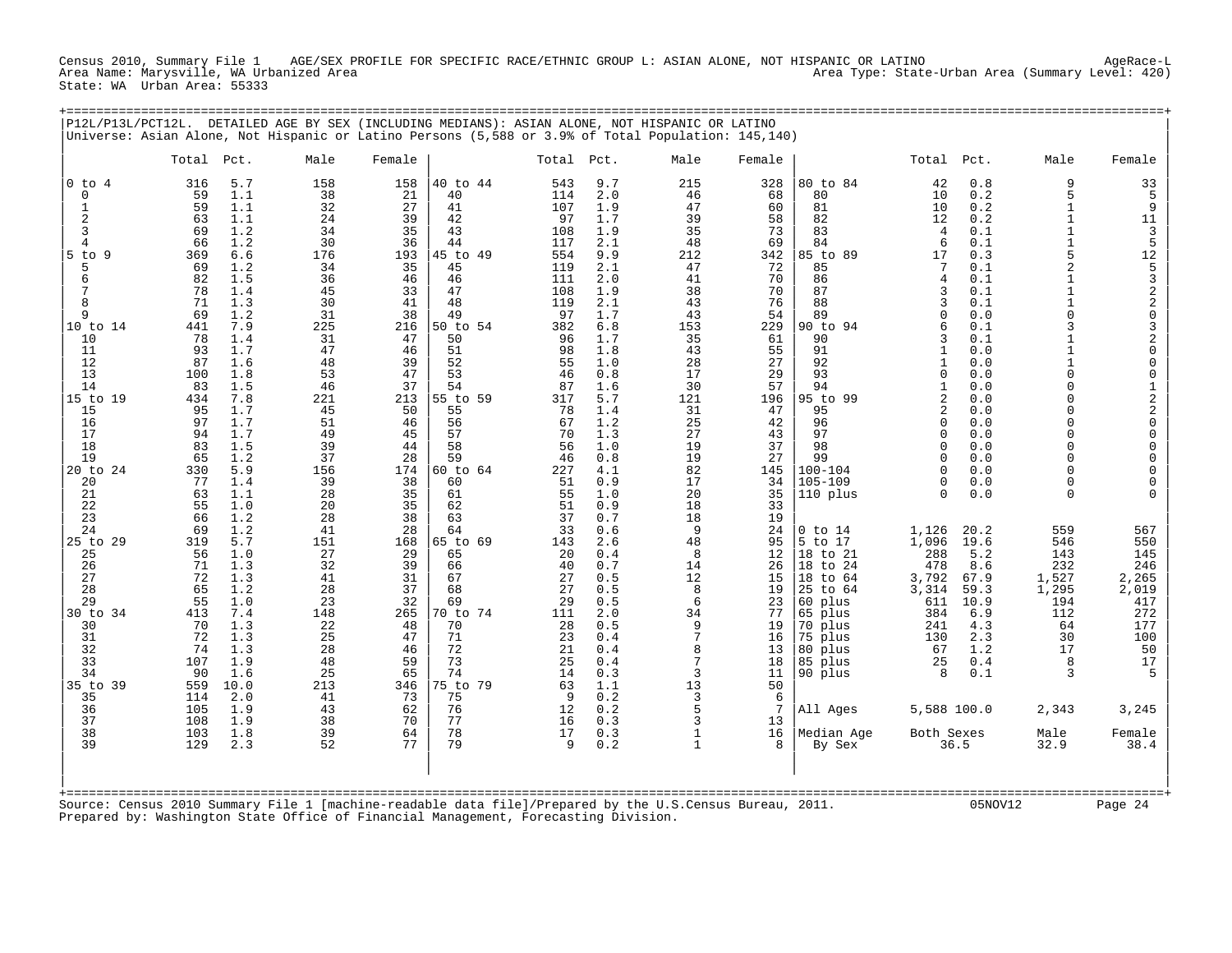Census 2010, Summary File 1 AGE/SEX PROFILE FOR SPECIFIC RACE/ETHNIC GROUP L: ASIAN ALONE, NOT HISPANIC OR LATINO AgeRace-L<br>Area Name: Marysville, WA Urbanized Area Area Type: State-Urban Area (Summary Level: 420) State: WA Urban Area: 55333

+===================================================================================================================================================+

|                                                                                                                                                                                                                                                                                                                                                                                             | P12L/P13L/PCT12L. DETAILED AGE BY SEX (INCLUDING MEDIANS): ASIAN ALONE, NOT HISPANIC OR LATINO<br>Universe: Asian Alone, Not Hispanic or Latino Persons (5,588 or 3.9% of Total Population: 145,140)                                                                                                                                                                                                                                                                                                                                                                                                                                                         |                                                                                                                                                                                                                                                                                                      |                                                                                                                                                                                                                                                                                                      |                                                                                                                                                                                                                                                                                                                                              |                                                                                                                                                                                                                                                                                                                      |                                                                                                                                                                                                                                                                                                                                              |                                                                                                                                                                                                                                                                                                                       |                                                                                                                                                                                                                                                                                                |                                                                                                                                                                                                                                                                                                                                                                                                       |                                                                                                                                                                                                                                                                                                                                                                         |                                                                                                                                                                                                                                                                                                   |                                                                                                                                                                                                                                                                                                                                                                                                                         |                                                                                                                                                                                                                                                                                                                                                                                                              |
|---------------------------------------------------------------------------------------------------------------------------------------------------------------------------------------------------------------------------------------------------------------------------------------------------------------------------------------------------------------------------------------------|--------------------------------------------------------------------------------------------------------------------------------------------------------------------------------------------------------------------------------------------------------------------------------------------------------------------------------------------------------------------------------------------------------------------------------------------------------------------------------------------------------------------------------------------------------------------------------------------------------------------------------------------------------------|------------------------------------------------------------------------------------------------------------------------------------------------------------------------------------------------------------------------------------------------------------------------------------------------------|------------------------------------------------------------------------------------------------------------------------------------------------------------------------------------------------------------------------------------------------------------------------------------------------------|----------------------------------------------------------------------------------------------------------------------------------------------------------------------------------------------------------------------------------------------------------------------------------------------------------------------------------------------|----------------------------------------------------------------------------------------------------------------------------------------------------------------------------------------------------------------------------------------------------------------------------------------------------------------------|----------------------------------------------------------------------------------------------------------------------------------------------------------------------------------------------------------------------------------------------------------------------------------------------------------------------------------------------|-----------------------------------------------------------------------------------------------------------------------------------------------------------------------------------------------------------------------------------------------------------------------------------------------------------------------|------------------------------------------------------------------------------------------------------------------------------------------------------------------------------------------------------------------------------------------------------------------------------------------------|-------------------------------------------------------------------------------------------------------------------------------------------------------------------------------------------------------------------------------------------------------------------------------------------------------------------------------------------------------------------------------------------------------|-------------------------------------------------------------------------------------------------------------------------------------------------------------------------------------------------------------------------------------------------------------------------------------------------------------------------------------------------------------------------|---------------------------------------------------------------------------------------------------------------------------------------------------------------------------------------------------------------------------------------------------------------------------------------------------|-------------------------------------------------------------------------------------------------------------------------------------------------------------------------------------------------------------------------------------------------------------------------------------------------------------------------------------------------------------------------------------------------------------------------|--------------------------------------------------------------------------------------------------------------------------------------------------------------------------------------------------------------------------------------------------------------------------------------------------------------------------------------------------------------------------------------------------------------|
|                                                                                                                                                                                                                                                                                                                                                                                             | Total<br>Pct.                                                                                                                                                                                                                                                                                                                                                                                                                                                                                                                                                                                                                                                | Male                                                                                                                                                                                                                                                                                                 | Female                                                                                                                                                                                                                                                                                               |                                                                                                                                                                                                                                                                                                                                              | Total                                                                                                                                                                                                                                                                                                                | Pct.                                                                                                                                                                                                                                                                                                                                         | Male                                                                                                                                                                                                                                                                                                                  | Female                                                                                                                                                                                                                                                                                         |                                                                                                                                                                                                                                                                                                                                                                                                       | Total Pct.                                                                                                                                                                                                                                                                                                                                                              |                                                                                                                                                                                                                                                                                                   | Male                                                                                                                                                                                                                                                                                                                                                                                                                    | Female                                                                                                                                                                                                                                                                                                                                                                                                       |
| $0$ to<br>$\overline{4}$<br>$\mathbf 0$<br>$\mathbf{1}$<br>$\overline{2}$<br>3<br>4<br>$5$ to<br>9<br>5<br>6<br>7<br>8<br>9<br>10 to 14<br>10<br>11<br>12<br>13<br>14<br>15 to 19<br>15<br>16<br>17<br>18<br>19<br>20 to 24<br>20<br>21<br>22<br>23<br>24<br>25 to 29<br>25<br>26<br>27<br>28<br>29<br>30 to 34<br>30<br>31<br>32<br>33<br>34<br>35 to<br>-39<br>35<br>36<br>37<br>38<br>39 | 316<br>5.7<br>59<br>1.1<br>1.1<br>59<br>63<br>1.1<br>69<br>1.2<br>1.2<br>66<br>369<br>6.6<br>69<br>1.2<br>82<br>1.5<br>78<br>1.4<br>71<br>1.3<br>1.2<br>69<br>441<br>7.9<br>1.4<br>78<br>1.7<br>93<br>87<br>1.6<br>100<br>1.8<br>83<br>1.5<br>434<br>7.8<br>95<br>1.7<br>97<br>1.7<br>1.7<br>94<br>83<br>1.5<br>65<br>1.2<br>5.9<br>330<br>77<br>1.4<br>63<br>1.1<br>55<br>1.0<br>66<br>1.2<br>69<br>1.2<br>5.7<br>319<br>56<br>1.0<br>71<br>1.3<br>72<br>1.3<br>65<br>1.2<br>55<br>1.0<br>413<br>7.4<br>70<br>1.3<br>72<br>1.3<br>74<br>1.3<br>107<br>1.9<br>1.6<br>90<br>10.0<br>559<br>2.0<br>114<br>105<br>1.9<br>108<br>1.9<br>103<br>1.8<br>129<br>2.3 | 158<br>38<br>32<br>24<br>34<br>30<br>176<br>34<br>36<br>45<br>30<br>31<br>225<br>31<br>47<br>48<br>53<br>46<br>221<br>45<br>51<br>49<br>39<br>37<br>156<br>39<br>28<br>20<br>28<br>41<br>151<br>27<br>32<br>41<br>28<br>23<br>148<br>22<br>25<br>28<br>48<br>25<br>213<br>41<br>43<br>38<br>39<br>52 | 158<br>21<br>27<br>39<br>35<br>36<br>193<br>35<br>46<br>33<br>41<br>38<br>216<br>47<br>46<br>39<br>47<br>37<br>213<br>50<br>46<br>45<br>44<br>28<br>174<br>38<br>35<br>35<br>38<br>28<br>168<br>29<br>39<br>31<br>37<br>32<br>265<br>48<br>47<br>46<br>59<br>65<br>346<br>73<br>62<br>70<br>64<br>77 | 40 to 44<br>40<br>41<br>42<br>43<br>44<br>45 to 49<br>45<br>46<br>47<br>48<br>49<br>50 to 54<br>50<br>51<br>52<br>53<br>54<br>55 to 59<br>55<br>56<br>57<br>58<br>59<br>60 to 64<br>60<br>61<br>62<br>63<br>64<br>65 to 69<br>65<br>66<br>67<br>68<br>69<br>70 to 74<br>70<br>71<br>72<br>73<br>74<br>75 to 79<br>75<br>76<br>77<br>78<br>79 | 543<br>114<br>107<br>97<br>108<br>117<br>554<br>119<br>111<br>108<br>119<br>97<br>382<br>96<br>98<br>55<br>46<br>87<br>317<br>78<br>67<br>70<br>56<br>46<br>227<br>51<br>55<br>51<br>37<br>33<br>143<br>20<br>40<br>27<br>27<br>29<br>111<br>28<br>23<br>21<br>25<br>14<br>63<br><sup>9</sup><br>12<br>16<br>17<br>9 | 9.7<br>2.0<br>1.9<br>1.7<br>1.9<br>2.1<br>9.9<br>2.1<br>2.0<br>1.9<br>2.1<br>1.7<br>6.8<br>1.7<br>1.8<br>1.0<br>0.8<br>1.6<br>5.7<br>1.4<br>1.2<br>1.3<br>1.0<br>0.8<br>4.1<br>0.9<br>1.0<br>0.9<br>0.7<br>0.6<br>2.6<br>0.4<br>0.7<br>0.5<br>0.5<br>0.5<br>2.0<br>0.5<br>0.4<br>0.4<br>0.4<br>0.3<br>1.1<br>0.2<br>0.2<br>0.3<br>0.3<br>0.2 | 215<br>46<br>47<br>39<br>35<br>48<br>212<br>47<br>41<br>38<br>43<br>43<br>153<br>35<br>43<br>28<br>17<br>30<br>121<br>31<br>25<br>27<br>19<br>19<br>82<br>17<br>20<br>18<br>18<br>9<br>48<br>8<br>14<br>12<br>8<br>6<br>34<br>9<br>7<br>8<br>7<br>3<br>13<br>$\overline{3}$<br>5<br>3<br>$\mathbf{1}$<br>$\mathbf{1}$ | 328<br>68<br>60<br>58<br>73<br>69<br>342<br>72<br>70<br>70<br>76<br>54<br>229<br>61<br>55<br>27<br>29<br>57<br>196<br>47<br>42<br>43<br>37<br>27<br>145<br>34<br>35<br>33<br>19<br>24<br>95<br>12<br>26<br>15<br>19<br>23<br>77<br>19<br>16<br>13<br>18<br>11<br>50<br>6<br>7<br>13<br>16<br>8 | 80 to 84<br>80<br>81<br>82<br>83<br>84<br>85 to 89<br>85<br>86<br>87<br>88<br>89<br>90 to 94<br>90<br>91<br>92<br>93<br>94<br>95 to 99<br>95<br>96<br>97<br>98<br>99<br>$100 - 104$<br>105-109<br>110 plus<br>$0$ to $14$<br>5 to 17<br>18 to 21<br>18 to 24<br>18 to 64<br>25 to 64<br>60 plus<br>65 plus<br>70 plus<br>75 plus<br>80 plus<br>85 plus<br>90 plus<br>All Ages<br>Median Age<br>By Sex | 42<br>10<br>10<br>12<br>4<br>6<br>17<br>7<br>4<br>3<br>3<br>$\mathbf{0}$<br>6<br>3<br>1<br>$\mathbf{1}$<br>$\mathbf{0}$<br>1<br>$\overline{2}$<br>2<br>$\Omega$<br>$\mathbf{0}$<br>$\Omega$<br>$\Omega$<br>$\Omega$<br>$\Omega$<br>$\Omega$<br>1,126<br>1,096<br>288<br>478<br>3,792<br>3,314<br>611<br>384<br>241<br>130<br>67<br>25<br>8<br>5,588 100.0<br>Both Sexes | 0.8<br>0.2<br>0.2<br>0.2<br>0.1<br>0.1<br>0.3<br>0.1<br>0.1<br>0.1<br>0.1<br>0.0<br>0.1<br>0.1<br>0.0<br>0.0<br>0.0<br>0.0<br>0.0<br>0.0<br>0.0<br>0.0<br>0.0<br>0.0<br>0.0<br>0.0<br>0.0<br>20.2<br>19.6<br>5.2<br>8.6<br>67.9<br>59.3<br>10.9<br>6.9<br>4.3<br>2.3<br>1.2<br>0.4<br>0.1<br>36.5 | 9<br>5<br>$\mathbf{1}$<br>1<br>$\mathbf{1}$<br>$\mathbf{1}$<br>5<br>$\overline{2}$<br>$\mathbf{1}$<br>$\mathbf{1}$<br>1<br>$\Omega$<br>3<br>1<br>$\mathbf{1}$<br>1<br>$\Omega$<br>$\Omega$<br>$\Omega$<br>$\Omega$<br>$\Omega$<br>$\Omega$<br>$\Omega$<br>$\Omega$<br>$\Omega$<br>$\Omega$<br>$\Omega$<br>559<br>546<br>143<br>232<br>1,527<br>1,295<br>194<br>112<br>64<br>30<br>17<br>8<br>3<br>2,343<br>Male<br>32.9 | $\begin{array}{c} 33 \\ 5 \end{array}$<br>9<br>$\begin{array}{c} 11 \\ 3 \\ 5 \end{array}$<br>12<br>532203200<br>$\mathsf{O}\xspace$<br>$\begin{array}{c}\n1 \\ 2 \\ 0\n\end{array}$<br>$\begin{matrix} 0 \\ 0 \\ 0 \end{matrix}$<br>$\mathsf{O}\xspace$<br>$\mathbf 0$<br>$\mathbf 0$<br>567<br>550<br>145<br>246<br>2,265<br>2,019<br>417<br>272<br>177<br>100<br>50<br>17<br>5<br>3,245<br>Female<br>38.4 |
|                                                                                                                                                                                                                                                                                                                                                                                             |                                                                                                                                                                                                                                                                                                                                                                                                                                                                                                                                                                                                                                                              |                                                                                                                                                                                                                                                                                                      |                                                                                                                                                                                                                                                                                                      |                                                                                                                                                                                                                                                                                                                                              |                                                                                                                                                                                                                                                                                                                      |                                                                                                                                                                                                                                                                                                                                              |                                                                                                                                                                                                                                                                                                                       |                                                                                                                                                                                                                                                                                                |                                                                                                                                                                                                                                                                                                                                                                                                       |                                                                                                                                                                                                                                                                                                                                                                         |                                                                                                                                                                                                                                                                                                   |                                                                                                                                                                                                                                                                                                                                                                                                                         |                                                                                                                                                                                                                                                                                                                                                                                                              |

+===================================================================================================================================================+ Source: Census 2010 Summary File 1 [machine-readable data file]/Prepared by the U.S.Census Bureau, 2011. 05NOV12 Page 24 Prepared by: Washington State Office of Financial Management, Forecasting Division.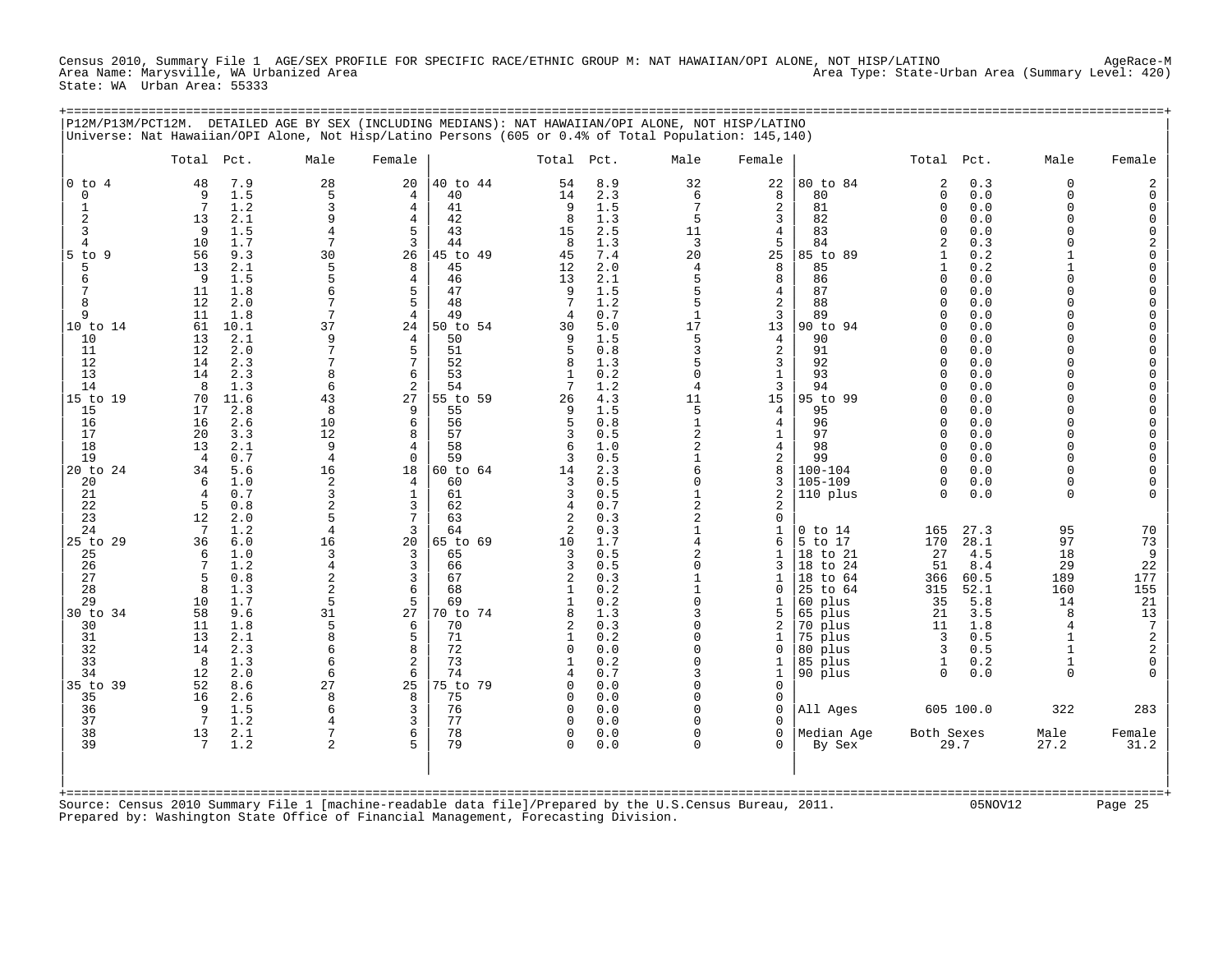Census 2010, Summary File 1 AGE/SEX PROFILE FOR SPECIFIC RACE/ETHNIC GROUP M: NAT HAWAIIAN/OPI ALONE, NOT HISP/LATINO AgeRace-M Area Name: Marysville, WA Urbanized Area Area Type: State-Urban Area (Summary Level: 420) State: WA Urban Area: 55333

+===================================================================================================================================================+

|                                                                                                                                                                                                                        | P12M/P13M/PCT12M. DETAILED AGE BY SEX (INCLUDING MEDIANS): NAT HAWAIIAN/OPI ALONE, NOT HISP/LATINO<br>Universe: Nat Hawaiian/OPI Alone, Not Hisp/Latino Persons (605 or 0.4% of Total Population: 145,140)                                                                                                                                                                                  |                                                                                                                                                                                          |                                                                                                                                                                                                                       |                                                                                                                                                                                                    |                                                                                                                                                                                                         |                                                                                                                                                                                                  |                                                                                                                                                                                                                                                      |                                                                                                                                                                                                                              |                                                                                                                                                                                                                |                                                                                                                                                                                                                                                                                                     |                                                                                                                                                                                           |                                                                                                                                                                                                                                                   |                                                                                                                                                                                                                                                                                                                                                                                                                                       |
|------------------------------------------------------------------------------------------------------------------------------------------------------------------------------------------------------------------------|---------------------------------------------------------------------------------------------------------------------------------------------------------------------------------------------------------------------------------------------------------------------------------------------------------------------------------------------------------------------------------------------|------------------------------------------------------------------------------------------------------------------------------------------------------------------------------------------|-----------------------------------------------------------------------------------------------------------------------------------------------------------------------------------------------------------------------|----------------------------------------------------------------------------------------------------------------------------------------------------------------------------------------------------|---------------------------------------------------------------------------------------------------------------------------------------------------------------------------------------------------------|--------------------------------------------------------------------------------------------------------------------------------------------------------------------------------------------------|------------------------------------------------------------------------------------------------------------------------------------------------------------------------------------------------------------------------------------------------------|------------------------------------------------------------------------------------------------------------------------------------------------------------------------------------------------------------------------------|----------------------------------------------------------------------------------------------------------------------------------------------------------------------------------------------------------------|-----------------------------------------------------------------------------------------------------------------------------------------------------------------------------------------------------------------------------------------------------------------------------------------------------|-------------------------------------------------------------------------------------------------------------------------------------------------------------------------------------------|---------------------------------------------------------------------------------------------------------------------------------------------------------------------------------------------------------------------------------------------------|---------------------------------------------------------------------------------------------------------------------------------------------------------------------------------------------------------------------------------------------------------------------------------------------------------------------------------------------------------------------------------------------------------------------------------------|
|                                                                                                                                                                                                                        | Total Pct.                                                                                                                                                                                                                                                                                                                                                                                  | Male                                                                                                                                                                                     | Female                                                                                                                                                                                                                |                                                                                                                                                                                                    | Total                                                                                                                                                                                                   | Pct.                                                                                                                                                                                             | Male                                                                                                                                                                                                                                                 | Female                                                                                                                                                                                                                       |                                                                                                                                                                                                                | Total Pct.                                                                                                                                                                                                                                                                                          |                                                                                                                                                                                           | Male                                                                                                                                                                                                                                              | Female                                                                                                                                                                                                                                                                                                                                                                                                                                |
| $0$ to $4$<br>$\mathbf 0$<br>1<br>$\overline{2}$<br>3<br>4<br>$5$ to<br>- 9<br>5<br>6<br>7<br>8<br>9<br>10 to 14<br>10<br>11<br>12<br>13<br>14<br>15 to 19<br>15<br>16<br>17<br>18<br>19<br>20 to 24<br>20<br>21<br>22 | 7.9<br>48<br>1.5<br>9<br>7<br>1.2<br>2.1<br>13<br>9<br>1.5<br>10<br>1.7<br>56<br>9.3<br>13<br>2.1<br>9<br>1.5<br>11<br>1.8<br>12<br>2.0<br>11<br>1.8<br>61<br>10.1<br>2.1<br>13<br>12<br>2.0<br>2.3<br>14<br>2.3<br>14<br>8<br>1.3<br>11.6<br>70<br>2.8<br>17<br>16<br>2.6<br>20<br>3.3<br>13<br>2.1<br>0.7<br>$\overline{4}$<br>34<br>5.6<br>6<br>1.0<br>0.7<br>$\overline{4}$<br>5<br>0.8 | 28<br>5<br>3<br>9<br>7<br>30<br>5<br>5<br>7<br>37<br>$\mathsf{Q}$<br>7<br>$\mathsf{R}$<br>6<br>43<br>8<br>10<br>12<br>9<br>$\overline{4}$<br>16<br>$\overline{2}$<br>3<br>$\overline{a}$ | 20<br>$\overline{4}$<br>4<br>$\overline{4}$<br>5<br>3<br>26<br>8<br>$\overline{4}$<br>5<br>5<br>$\overline{4}$<br>24<br>$\overline{4}$<br>5<br>7<br>6<br>2<br>27<br>9<br>6<br>8<br>4<br>$\Omega$<br>18<br>4<br>1<br>3 | 40 to 44<br>40<br>41<br>42<br>43<br>44<br>45 to 49<br>45<br>46<br>47<br>48<br>49<br>50 to 54<br>50<br>51<br>52<br>53<br>54<br>55 to 59<br>55<br>56<br>57<br>58<br>59<br>60 to 64<br>60<br>61<br>62 | 54<br>14<br>9<br>8<br>15<br>8<br>45<br>12<br>13<br>9<br>7<br>$\overline{4}$<br>30<br>9<br>5<br>8<br>$\mathbf{1}$<br>26<br>9<br>5<br>3<br>6<br>3<br>14<br>3<br>3<br>4                                    | 8.9<br>2.3<br>1.5<br>1.3<br>2.5<br>1.3<br>7.4<br>2.0<br>2.1<br>1.5<br>1.2<br>0.7<br>5.0<br>1.5<br>0.8<br>1.3<br>0.2<br>1.2<br>4.3<br>1.5<br>0.8<br>0.5<br>1.0<br>0.5<br>2.3<br>0.5<br>0.5<br>0.7 | 32<br>6<br>7<br>5<br>11<br>3<br>20<br>$\overline{4}$<br>5<br>5<br>5<br>$\mathbf{1}$<br>17<br>5<br>3<br>5<br>$\Omega$<br>4<br>11<br>5<br>$\mathbf{1}$<br>$\overline{a}$<br>$\overline{a}$<br>$\mathbf{1}$<br>6<br>0<br>$\mathbf{1}$<br>$\overline{a}$ | 22<br>8<br>2<br>3<br>$\overline{4}$<br>5<br>25<br>8<br>8<br>$\overline{4}$<br>$\overline{2}$<br>3<br>13<br>$\overline{4}$<br>2<br>3<br>$1\,$<br>3<br>15<br>4<br>$\overline{4}$<br>$\mathbf{1}$<br>4<br>2<br>8<br>3<br>2<br>2 | 80 to 84<br>80<br>81<br>82<br>83<br>84<br>85 to 89<br>85<br>86<br>87<br>88<br>89<br>90 to 94<br>90<br>91<br>92<br>93<br>94<br>95 to 99<br>95<br>96<br>97<br>98<br>99<br>$100 - 104$<br>$105 - 109$<br>110 plus | 2<br>$\mathbf 0$<br>0<br>$\Omega$<br>$\Omega$<br>$\mathfrak{D}$<br>1<br>$\mathbf{1}$<br>$\cap$<br>$\Omega$<br>$\Omega$<br>$\cap$<br>$\cap$<br>$\Omega$<br>$\Omega$<br>$\cap$<br>$\cap$<br>$\Omega$<br>$\Omega$<br>$\Omega$<br>$\Omega$<br>$\Omega$<br>$\Omega$<br>$\cap$<br>$\cap$<br>0<br>$\Omega$ | 0.3<br>0.0<br>0.0<br>0.0<br>0.0<br>0.3<br>0.2<br>0.2<br>0.0<br>0.0<br>0.0<br>0.0<br>0.0<br>0.0<br>0.0<br>0.0<br>0.0<br>0.0<br>0.0<br>0.0<br>0.0<br>0.0<br>0.0<br>0.0<br>0.0<br>0.0<br>0.0 | $\Omega$<br>$\Omega$<br>$\Omega$<br>$\Omega$<br>$\Omega$<br>$\cap$<br>1<br>$\Omega$<br>$\cap$<br>$\cap$<br>$\cap$<br>$\cap$<br>$\Omega$<br>$\cap$<br>$\Omega$<br>$\Omega$<br>$\Omega$<br>$\Omega$<br>$\Omega$<br>$\Omega$<br>$\Omega$<br>$\Omega$ | 2<br>0<br>$\mathbf 0$<br>$\begin{matrix} 0 \\ 0 \end{matrix}$<br>$\begin{array}{c} 2 \\ 0 \\ 0 \end{array}$<br>$\mathbf 0$<br>$\pmb{0}$<br>$\mathbf 0$<br>$\mathsf{O}\xspace$<br>$\mathbf 0$<br>$\mathsf{O}\xspace$<br>$\mathbf 0$<br>$\mathbf 0$<br>$\begin{matrix} 0 \\ 0 \end{matrix}$<br>$\begin{matrix} 0 \\ 0 \end{matrix}$<br>$\begin{matrix} 0 \\ 0 \\ 0 \\ 0 \end{matrix}$<br>$\mathsf{O}\xspace$<br>$\mathbf 0$<br>$\Omega$ |
| 23<br>24<br>25 to 29<br>25<br>26<br>27<br>28<br>29<br>30 to 34<br>30<br>31<br>32<br>33<br>34<br>35 to 39<br>35<br>36<br>37<br>38<br>39<br>$+$ = = = = = = = =                                                          | 12<br>2.0<br>1.2<br>-7<br>36<br>6.0<br>1.0<br>6<br>1.2<br>0.8<br>5<br>1.3<br>8<br>1.7<br>10<br>58<br>9.6<br>11<br>1.8<br>13<br>2.1<br>14<br>2.3<br>8<br>1.3<br>12<br>2.0<br>52<br>8.6<br>16<br>2.6<br>9<br>1.5<br>$7\phantom{.0}$<br>1.2<br>13<br>2.1<br>7<br>1.2                                                                                                                           | $\overline{5}$<br>$\overline{4}$<br>16<br>$\mathbf{3}$<br>$\overline{4}$<br>$\overline{a}$<br>$\overline{2}$<br>5<br>31<br>5<br>8<br>6<br>6<br>6<br>27<br>8<br>6<br>7<br>$\mathfrak{D}$  | 7<br>3<br>20<br>3<br>3<br>3<br>6<br>5<br>27<br>6<br>5<br>8<br>2<br>6<br>25<br>8<br>3<br>3<br>6                                                                                                                        | 63<br>64<br>65 to 69<br>65<br>66<br>67<br>68<br>69<br>70 to 74<br>70<br>71<br>72<br>73<br>74<br>75 to 79<br>75<br>76<br>77<br>78<br>79                                                             | $\overline{a}$<br>2<br>10<br>3<br>3<br>2<br>$\mathbf{1}$<br>8<br>$\overline{2}$<br>$\mathbf{1}$<br>$\Omega$<br>$\mathbf{1}$<br>$\cap$<br>$\Omega$<br>$\mathbf 0$<br>$\Omega$<br>$\mathbf 0$<br>$\Omega$ | 0.3<br>0.3<br>1.7<br>0.5<br>0.5<br>0.3<br>0.2<br>0.2<br>1.3<br>0.3<br>0.2<br>0.0<br>0.2<br>0.7<br>0.0<br>0.0<br>0.0<br>0.0<br>0.0<br>0.0                                                         | $\overline{a}$<br>$\mathbf{1}$<br>4<br>$\overline{a}$<br>$\Omega$<br>$\mathbf{1}$<br>$\mathbf{1}$<br>$\Omega$<br>3<br>$\Omega$<br>$\Omega$<br>$\Omega$<br>$\Omega$<br>3<br>$\Omega$<br>$\Omega$<br>0<br>$\Omega$<br>0<br>0                           | $\mathbf 0$<br>$\mathbf{1}$<br>6<br>$\mathbf{1}$<br>3<br>$\mathbf{1}$<br>$\Omega$<br>1<br>5<br>2<br>1<br>$\Omega$<br>1<br>$\mathbf{1}$<br>$\mathbf 0$<br>0<br>0<br>$\Omega$<br>$\Omega$<br>$\Omega$                          | $0$ to $14$<br>to 17<br>5<br>18 to 21<br>18<br>to 24<br>to 64<br>18<br>25 to 64<br>60 plus<br>65 plus<br>70 plus<br>75 plus<br>80 plus<br>85 plus<br>90 plus<br>All Ages<br>Median Age<br>By Sex               | 165<br>170<br>27<br>51<br>366<br>315<br>35<br>21<br>11<br>3<br>3<br>1<br>$\Omega$<br>Both Sexes                                                                                                                                                                                                     | 27.3<br>28.1<br>4.5<br>8.4<br>60.5<br>52.1<br>5.8<br>3.5<br>1.8<br>0.5<br>0.5<br>0.2<br>0.0<br>605 100.0<br>29.7                                                                          | 95<br>97<br>18<br>29<br>189<br>160<br>14<br>8<br>$\overline{4}$<br>$\mathbf{1}$<br>$\mathbf{1}$<br>1<br>$\Omega$<br>322<br>Male<br>27.2                                                                                                           | 70<br>73<br>$\overline{9}$<br>22<br>177<br>155<br>21<br>$\begin{array}{c} 13 \\ 7 \\ 2 \\ 2 \\ 0 \end{array}$<br>283<br>Female<br>31.2                                                                                                                                                                                                                                                                                                |
|                                                                                                                                                                                                                        | Source: Census 2010 Summary File 1 [machine-readable data file]/Prepared by the U.S.Census Bureau, 2011.<br>Prepared by: Washington State Office of Financial Management, Forecasting Division.                                                                                                                                                                                             |                                                                                                                                                                                          |                                                                                                                                                                                                                       |                                                                                                                                                                                                    |                                                                                                                                                                                                         |                                                                                                                                                                                                  |                                                                                                                                                                                                                                                      |                                                                                                                                                                                                                              |                                                                                                                                                                                                                |                                                                                                                                                                                                                                                                                                     | 05NOV12                                                                                                                                                                                   |                                                                                                                                                                                                                                                   | Page 25                                                                                                                                                                                                                                                                                                                                                                                                                               |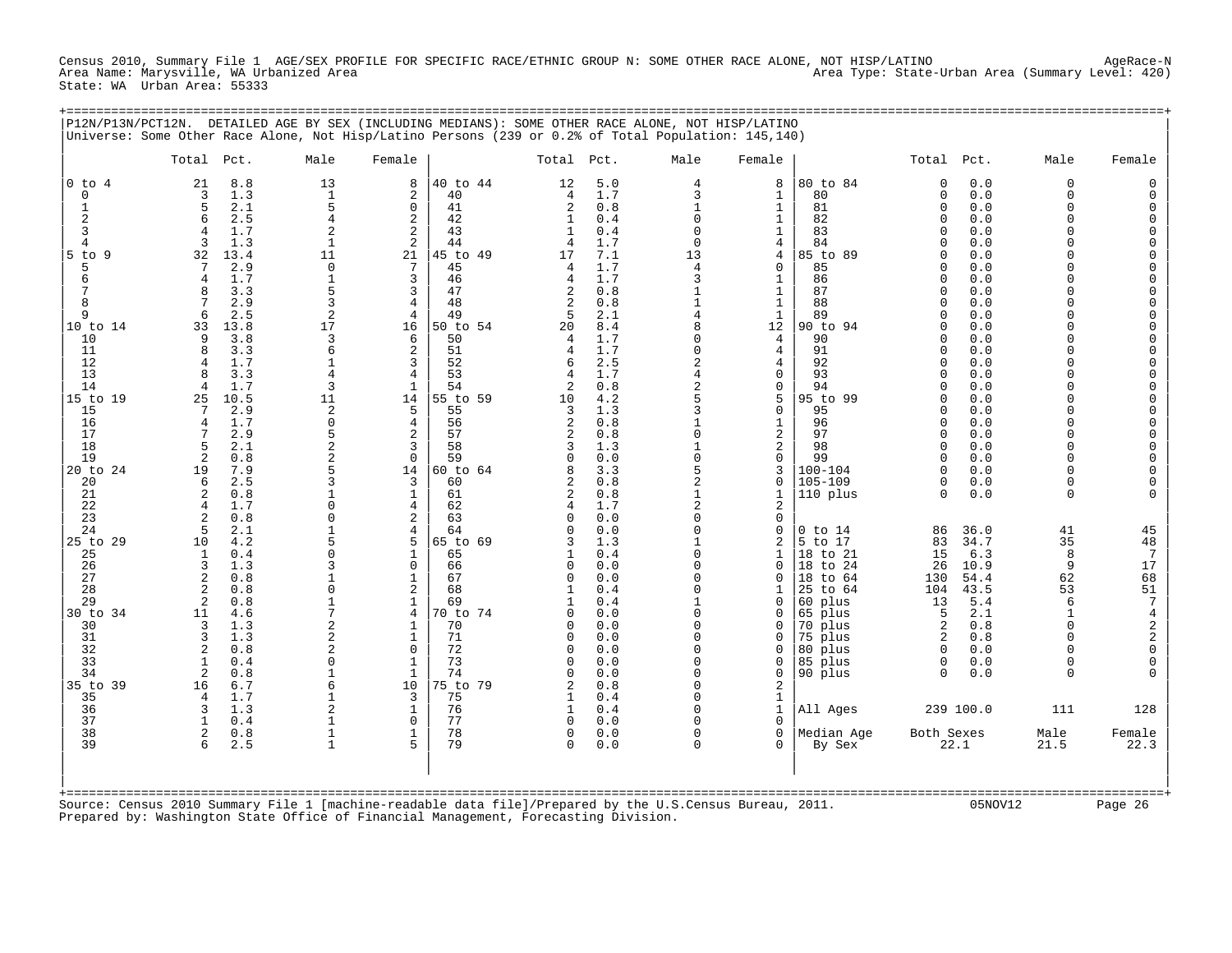Census 2010, Summary File 1 AGE/SEX PROFILE FOR SPECIFIC RACE/ETHNIC GROUP N: SOME OTHER RACE ALONE, NOT HISP/LATINO Area (Summary Level: 420)<br>Area Name: Marysville, WA Urbanized Area Area Type: State-Urban Area (Summary Level: 420) State: WA Urban Area: 55333

+===================================================================================================================================================+

|                                          | P12N/P13N/PCT12N. DETAILED AGE BY SEX (INCLUDING MEDIANS): SOME OTHER RACE ALONE, NOT HISP/LATINO<br>Universe: Some Other Race Alone, Not Hisp/Latino Persons (239 or 0.2% of Total Population: 145,140) |                                                         |                                                |                                        |                                             |                                        |                                      |                                                                               |                                                       |                                                |                                   |                                                           |                                                                                                         |
|------------------------------------------|----------------------------------------------------------------------------------------------------------------------------------------------------------------------------------------------------------|---------------------------------------------------------|------------------------------------------------|----------------------------------------|---------------------------------------------|----------------------------------------|--------------------------------------|-------------------------------------------------------------------------------|-------------------------------------------------------|------------------------------------------------|-----------------------------------|-----------------------------------------------------------|---------------------------------------------------------------------------------------------------------|
|                                          | Total Pct.                                                                                                                                                                                               | Male                                                    | Female                                         |                                        | Total Pct.                                  |                                        | Male                                 | Female                                                                        |                                                       | Total Pct.                                     |                                   | Male                                                      | Female                                                                                                  |
| $0$ to $4$<br>$\mathbf 0$<br>1<br>2<br>3 | 21<br>8.8<br>1.3<br>3<br>5<br>2.1<br>2.5<br>6<br>1.7<br>$\overline{4}$                                                                                                                                   | 13<br>$\mathbf{1}$<br>5<br>4<br>$\overline{2}$          | 8<br>2<br>$\mathbf 0$<br>2<br>2                | 40 to 44<br>40<br>41<br>42<br>43       | 12<br>$\overline{4}$<br>2<br>$\mathbf{1}$   | 5.0<br>1.7<br>0.8<br>0.4<br>0.4        | $\overline{4}$<br>3<br>1<br>$\Omega$ | 8<br>1<br>$\mathbf{1}$<br>1<br>1                                              | 80 to 84<br>80<br>81<br>82<br>83                      | $\Omega$<br>0<br>$\Omega$<br><sup>0</sup><br>U | 0.0<br>0.0<br>0.0<br>0.0<br>0.0   | $\Omega$<br>$\mathbf 0$<br>$\Omega$<br>$\Omega$<br>$\cap$ | $\Omega$<br>$\mathbf 0$<br>0<br>$\mathbf 0$<br>$\mathbf 0$                                              |
| 4<br>$5$ to<br>q                         | 3<br>1.3<br>32<br>13.4                                                                                                                                                                                   | $\mathbf{1}$<br>11                                      | 2<br>21                                        | 44<br>45 to 49                         | 17                                          | 1.7<br>7.1                             | $\Omega$<br>13                       | 4<br>4                                                                        | 84<br>85 to 89                                        | U                                              | 0.0<br>0.0                        |                                                           | $\overline{0}$<br>$\mathbf 0$                                                                           |
| 5<br>6<br>8                              | 7<br>2.9<br>1.7<br>$\overline{4}$<br>8<br>3.3<br>2.9<br>7                                                                                                                                                | $\Omega$<br>$\overline{1}$<br>5<br>3                    | 7<br>3<br>3<br>4                               | 45<br>46<br>47<br>48                   | 2                                           | 1.7<br>1.7<br>0.8<br>0.8               | $\overline{4}$<br>3                  | $\mathbf 0$<br>1<br>1<br>1                                                    | 85<br>86<br>87<br>88                                  | U<br><sup>0</sup><br>U                         | 0.0<br>0.0<br>0.0<br>0.0          | $\Omega$                                                  | $\overline{0}$<br>$\ddot{\mathbf{0}}$<br>$\begin{matrix} 0 \\ 0 \end{matrix}$                           |
| 9<br>10 to 14<br>10                      | 2.5<br>6<br>33<br>13.8<br>3.8<br>9                                                                                                                                                                       | $\sqrt{2}$<br>17<br>ζ                                   | 4<br>16<br>6                                   | 49<br>50 to 54<br>50                   | 5<br>20                                     | 2.1<br>8.4<br>1.7                      | $\overline{4}$                       | 1<br>12<br>$\overline{4}$                                                     | 89<br>90 to 94<br>90                                  | N<br>U                                         | 0.0<br>0.0<br>0.0                 | $\Omega$<br>$\cap$                                        | $\mathbf 0$<br>$\mathbf 0$<br>$\mathbf 0$                                                               |
| 11<br>12<br>13<br>14                     | 8<br>3.3<br>1.7<br>4<br>3.3<br>R<br>1.7<br>4                                                                                                                                                             | 6<br>$\mathbf{1}$<br>4<br>3                             | 2<br>3<br>4<br>$\mathbf{1}$                    | 51<br>52<br>53<br>54                   | 6<br>2                                      | 1.7<br>2.5<br>1.7<br>0.8               | $\Omega$<br>2<br>2                   | $\overline{4}$<br>4<br>0<br>$\Omega$                                          | 91<br>92<br>93<br>94                                  | $\Omega$<br><sup>0</sup><br>U                  | 0.0<br>0.0<br>0.0<br>0.0          | $\Omega$                                                  | $\mathbf 0$<br>$\mathbf 0$<br>$\mathbf 0$<br>$\mathbf 0$                                                |
| 15 to 19<br>15<br>16<br>17               | 10.5<br>25<br>7<br>2.9<br>1.7<br>$\overline{4}$<br>2.9                                                                                                                                                   | 11<br>$\overline{2}$<br>$\Omega$<br>5                   | 14<br>.5<br>4<br>2                             | 55 to 59<br>55<br>56<br>57             | 10<br>3<br>$\overline{2}$<br>$\overline{2}$ | 4.2<br>1.3<br>0.8<br>0.8               | 5<br>ς<br>$\Omega$                   | 5<br>$\Omega$<br>1<br>2                                                       | 95 to 99<br>95<br>96<br>97                            | <sup>0</sup><br>U<br>U<br>$\Omega$             | 0.0<br>0.0<br>0.0<br>0.0          | $\cap$<br>$\cap$<br>$\Omega$                              | $\mathbf 0$<br>$\overline{0}$<br>$\overline{0}$<br>$\overline{0}$                                       |
| 18<br>19<br>20 to 24<br>20<br>21         | .5<br>2.1<br>$\overline{2}$<br>0.8<br>19<br>7.9<br>6<br>2.5<br>2<br>0.8                                                                                                                                  | $\overline{2}$<br>$\Omega$                              | 3<br>$\mathbf 0$<br>14<br>3<br>$\mathbf{1}$    | 58<br>59<br>60 to 64<br>60<br>61       | $\Omega$<br>2<br>2                          | 1.3<br>0.0<br>3.3<br>0.8<br>0.8        | $\Omega$<br>2                        | 2<br>$\mathbf 0$<br>3<br>$\mathbf 0$<br>$\mathbf{1}$                          | 98<br>99<br>$100 - 104$<br>$105 - 109$<br>110 plus    | <sup>0</sup><br>U<br>U<br>$\Omega$<br>$\Omega$ | 0.0<br>0.0<br>0.0<br>0.0<br>0.0   | $\Omega$<br>$\cap$<br>$\cap$<br>$\Omega$<br>$\Omega$      | $\begin{matrix} 0 \\ 0 \end{matrix}$<br>$\mathbf 0$<br>0<br>$\Omega$                                    |
| 22<br>23<br>24<br>25 to 29<br>25<br>26   | 1.7<br>$\overline{4}$<br>0.8<br>2<br>5<br>2.1<br>4.2<br>10<br>0.4<br>1<br>1.3<br>3                                                                                                                       | 5                                                       | $\overline{4}$<br>2<br>4<br>5<br>1<br>$\Omega$ | 62<br>63<br>64<br>65 to 69<br>65<br>66 | $\Omega$                                    | 1.7<br>0.0<br>0.0<br>1.3<br>0.4<br>0.0 | $\overline{2}$<br>O                  | $\overline{a}$<br>$\mathbf 0$<br>$\mathbf 0$<br>$\overline{2}$<br>1<br>$\cap$ | 0 to 14<br>5 to 17<br>18 to 21<br>18 to 24            | 86<br>83<br>15<br>26                           | 36.0<br>34.7<br>6.3<br>10.9       | 41<br>35<br>8<br>9                                        | 45<br>48<br>$7\phantom{.0}$<br>17                                                                       |
| 27<br>28<br>29<br>30 to 34<br>30         | 2<br>0.8<br>$\overline{2}$<br>0.8<br>$\overline{2}$<br>0.8<br>4.6<br>11<br>1.3<br>3                                                                                                                      | $\Omega$<br>$\overline{c}$                              | 1<br>$\overline{\mathbf{c}}$<br>1<br>4<br>1    | 67<br>68<br>69<br>70 to 74<br>70       | $\Omega$<br><sup>0</sup>                    | 0.0<br>0.4<br>0.4<br>0.0<br>0.0        | O                                    | $\Omega$<br>0<br>U<br>0                                                       | 18 to 64<br>25 to 64<br>60 plus<br>65 plus<br>70 plus | 130<br>104<br>13<br>5<br>2                     | 54.4<br>43.5<br>5.4<br>2.1<br>0.8 | 62<br>53<br>6<br>$\mathbf{1}$<br>$\Omega$                 | $\overline{68}$<br>$\begin{array}{c} 51 \\ 7 \end{array}$<br>$\begin{array}{c} 4 \\ 2 \\ 2 \end{array}$ |
| 31<br>32<br>33<br>34                     | 3<br>1.3<br>0.8<br>2<br>0.4<br>$\mathbf{1}$<br>$\overline{c}$<br>0.8                                                                                                                                     | $\overline{2}$<br>2<br>$\Omega$<br>$\mathbf{1}$         | $\mathbf{1}$<br>$\Omega$<br>$\mathbf{1}$<br>1  | 71<br>72<br>73<br>74                   |                                             | 0.0<br>0.0<br>0.0<br>0.0               |                                      | U<br><sup>0</sup><br>$\Omega$<br>0                                            | 75 plus<br>80 plus<br>85 plus<br>90 plus              | 2<br>$\Omega$<br>$\Omega$<br>$\Omega$          | 0.8<br>0.0<br>0.0<br>0.0          | $\cap$<br>$\cap$<br>$\Omega$<br>$\cap$                    | $\mathbf 0$<br>$\overline{0}$                                                                           |
| 35 to 39<br>35<br>36<br>37               | 6.7<br>16<br>4<br>1.7<br>3<br>1.3<br>$\mathbf{1}$<br>0.4                                                                                                                                                 | 6<br>$\overline{1}$<br>$\overline{2}$<br>$\overline{1}$ | 10<br>$\overline{3}$<br>1<br>$\mathbf 0$       | 75 to 79<br>75<br>76<br>77             | 1<br>$\cap$                                 | 0.8<br>0.4<br>0.4<br>0.0               |                                      | 2<br>$\mathbf{1}$<br>1<br>$\Omega$                                            | All Ages                                              |                                                | 239 100.0                         | 111                                                       | 128                                                                                                     |
| 38<br>39                                 | 2<br>0.8<br>2.5<br>6                                                                                                                                                                                     | $\overline{1}$<br>$\overline{1}$                        | 1<br>5                                         | 78<br>79                               | $\Omega$<br>$\Omega$                        | 0.0<br>0.0                             | U                                    | $\Omega$<br>$\Omega$                                                          | Median Age<br>By Sex                                  | Both Sexes<br>22.1                             |                                   | Male<br>21.5                                              | Female<br>22.3                                                                                          |
|                                          | Source: Census 2010 Summary File 1 [machine-readable data file]/Prepared by the U.S.Census Bureau, 2011.<br>Prepared by: Washington State Office of Financial Management, Forecasting Division.          |                                                         |                                                | ==============================         |                                             |                                        |                                      |                                                                               |                                                       |                                                | 05NOV12                           |                                                           | Page 26                                                                                                 |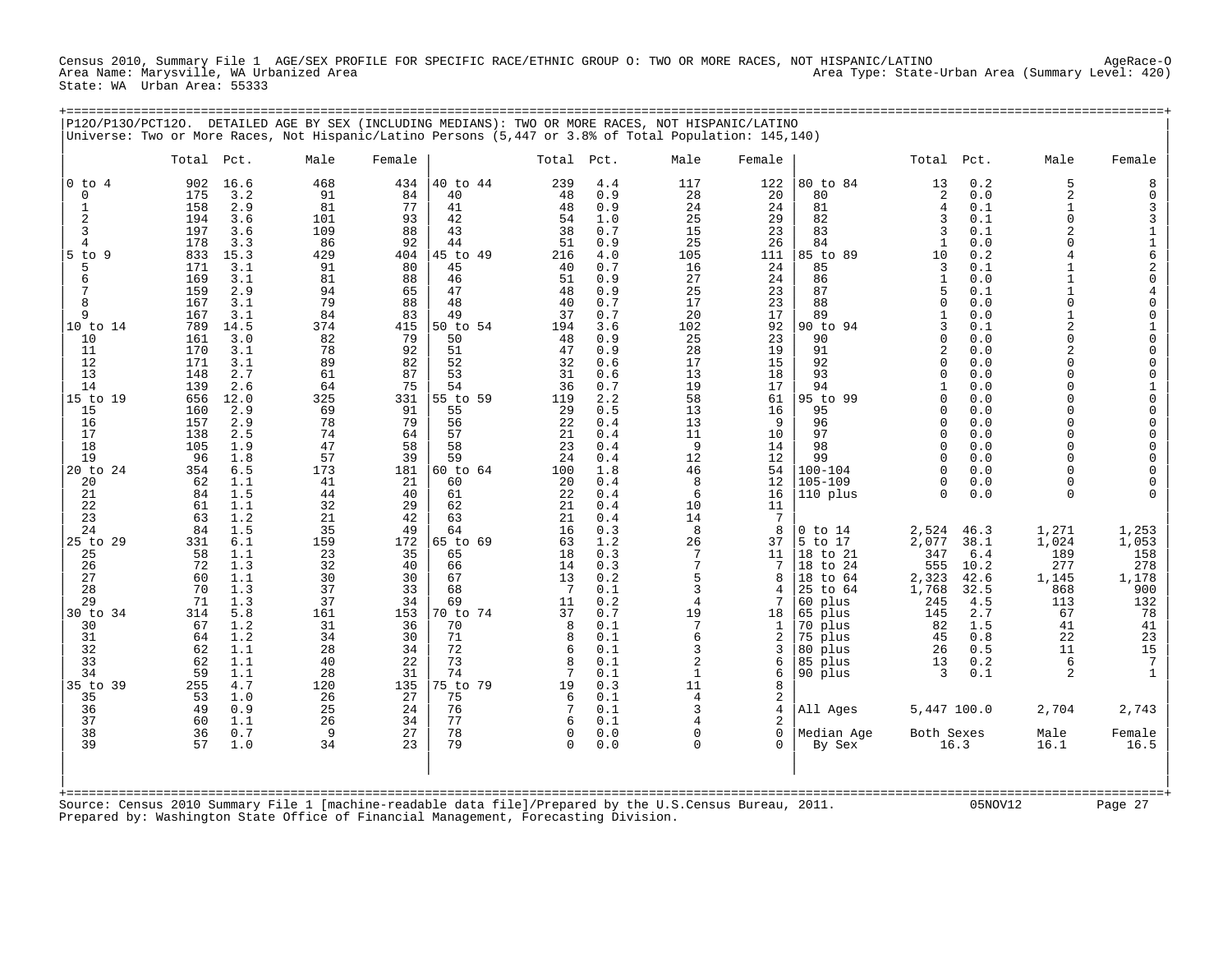Census 2010, Summary File 1 AGE/SEX PROFILE FOR SPECIFIC RACE/ETHNIC GROUP O: TWO OR MORE RACES, NOT HISPANIC/LATINO<br>Area Name: Marysville, WA Urbanized Area Area Type: State-Urban Area (Summary Level: 420) State: WA Urban Area: 55333

+===================================================================================================================================================+

| P120/P130/PCT120.                                                                                                                                             | Universe: Two or More Races, Not Hispanic/Latino Persons (5,447 or 3.8% of Total Population: 145,140)                                                                                                                                                               |                                                                                                                        |                                                                                                                         |                                                                                                                                        |                                                                                                                             |                                                                                                                                          | DETAILED AGE BY SEX (INCLUDING MEDIANS): TWO OR MORE RACES, NOT HISPANIC/LATINO                                                                                          |                                                                                                                      |                                                                                                                                                                                               |                                                                                                                                                                            |                                                                                                                     |                                                                                                                                                                                                                                          |                                                                                                                                                             |
|---------------------------------------------------------------------------------------------------------------------------------------------------------------|---------------------------------------------------------------------------------------------------------------------------------------------------------------------------------------------------------------------------------------------------------------------|------------------------------------------------------------------------------------------------------------------------|-------------------------------------------------------------------------------------------------------------------------|----------------------------------------------------------------------------------------------------------------------------------------|-----------------------------------------------------------------------------------------------------------------------------|------------------------------------------------------------------------------------------------------------------------------------------|--------------------------------------------------------------------------------------------------------------------------------------------------------------------------|----------------------------------------------------------------------------------------------------------------------|-----------------------------------------------------------------------------------------------------------------------------------------------------------------------------------------------|----------------------------------------------------------------------------------------------------------------------------------------------------------------------------|---------------------------------------------------------------------------------------------------------------------|------------------------------------------------------------------------------------------------------------------------------------------------------------------------------------------------------------------------------------------|-------------------------------------------------------------------------------------------------------------------------------------------------------------|
|                                                                                                                                                               | Total<br>Pct.                                                                                                                                                                                                                                                       | Male                                                                                                                   | Female                                                                                                                  |                                                                                                                                        | Total                                                                                                                       | Pct.                                                                                                                                     | Male                                                                                                                                                                     | Female                                                                                                               |                                                                                                                                                                                               | Total                                                                                                                                                                      | Pct.                                                                                                                | Male                                                                                                                                                                                                                                     | Female                                                                                                                                                      |
| $0$ to $4$<br>$\mathsf 0$<br>$\mathbf{1}$<br>$\overline{a}$<br>3<br>$\overline{4}$<br>$5$ to $9$<br>5<br>6<br>7<br>8<br>9<br>10 to 14<br>10<br>11<br>12<br>13 | 16.6<br>902<br>175<br>3.2<br>158<br>2.9<br>194<br>3.6<br>197<br>3.6<br>3.3<br>178<br>833<br>15.3<br>3.1<br>171<br>169<br>3.1<br>159<br>2.9<br>167<br>3.1<br>167<br>3.1<br>789<br>14.5<br>161<br>3.0<br>170<br>3.1<br>171<br>3.1<br>2.7<br>148                       | 468<br>91<br>81<br>101<br>109<br>86<br>429<br>91<br>81<br>94<br>79<br>84<br>374<br>82<br>78<br>89<br>61                | 434<br>84<br>77<br>93<br>88<br>92<br>404<br>80<br>88<br>65<br>88<br>83<br>415<br>79<br>92<br>82<br>87                   | 40 to 44<br>40<br>41<br>42<br>43<br>44<br>45 to 49<br>45<br>46<br>47<br>48<br>49<br>50 to 54<br>50<br>51<br>52<br>53                   | 239<br>48<br>48<br>54<br>38<br>51<br>216<br>40<br>51<br>48<br>40<br>37<br>194<br>48<br>47<br>32<br>31                       | 4.4<br>0.9<br>0.9<br>1.0<br>0.7<br>0.9<br>4.0<br>0.7<br>0.9<br>0.9<br>0.7<br>0.7<br>3.6<br>0.9<br>0.9<br>0.6<br>0.6                      | 117<br>28<br>24<br>25<br>15<br>25<br>105<br>16<br>27<br>25<br>17<br>20<br>102<br>25<br>28<br>17<br>13                                                                    | 122<br>20<br>24<br>29<br>23<br>26<br>111<br>24<br>24<br>23<br>23<br>17<br>92<br>23<br>19<br>15<br>18                 | 80 to 84<br>80<br>81<br>82<br>83<br>84<br>85 to 89<br>85<br>86<br>87<br>88<br>89<br>90 to 94<br>90<br>91<br>92<br>93                                                                          | 13<br>2<br>$\overline{4}$<br>3<br>3<br>$\mathbf{1}$<br>10<br>3<br>$\mathbf{1}$<br>5<br>$\Omega$<br>$\mathbf{1}$<br>3<br>$\Omega$<br>$\overline{2}$<br>$\Omega$<br>$\Omega$ | 0.2<br>0.0<br>0.1<br>0.1<br>0.1<br>0.0<br>0.2<br>0.1<br>0.0<br>0.1<br>0.0<br>0.0<br>0.1<br>0.0<br>0.0<br>0.0<br>0.0 | 5<br>$\overline{a}$<br>$\mathbf{1}$<br>$\Omega$<br>$\overline{2}$<br>$\Omega$<br>$\overline{4}$<br>$\mathbf{1}$<br>1<br>$\mathbf{1}$<br>$\Omega$<br>$\mathbf{1}$<br>$\overline{c}$<br>$\Omega$<br>$\overline{2}$<br>$\Omega$<br>$\Omega$ | 8<br>0<br>3<br>3<br>$\mathbf 1$<br>$\frac{1}{6}$<br>$_0^2$<br>$\,4$<br>$\mathsf{O}\xspace$<br>0<br>$\frac{1}{0}$<br>$\mathsf 0$<br>$\mathsf{O}\xspace$<br>0 |
| 14<br>15 to 19<br>15<br>16<br>17<br>18<br>19<br>20 to 24<br>20<br>21<br>22                                                                                    | 139<br>2.6<br>656<br>12.0<br>2.9<br>160<br>157<br>2.9<br>2.5<br>138<br>105<br>1.9<br>96<br>1.8<br>354<br>6.5<br>62<br>1.1<br>84<br>1.5<br>61<br>1.1                                                                                                                 | 64<br>325<br>69<br>78<br>74<br>47<br>57<br>173<br>41<br>44<br>32                                                       | 75<br>331<br>91<br>79<br>64<br>58<br>39<br>181<br>21<br>40<br>29                                                        | 54<br>55 to 59<br>55<br>56<br>57<br>58<br>59<br>60 to 64<br>60<br>61<br>62                                                             | 36<br>119<br>29<br>22<br>21<br>23<br>24<br>100<br>20<br>22<br>21                                                            | 0.7<br>2.2<br>0.5<br>0.4<br>0.4<br>0.4<br>0.4<br>1.8<br>0.4<br>0.4<br>0.4                                                                | 19<br>58<br>13<br>13<br>11<br>9<br>12<br>46<br>8<br>6<br>10                                                                                                              | 17<br>61<br>16<br>9<br>10<br>14<br>12<br>54<br>12<br>16<br>11                                                        | 94<br>95 to 99<br>95<br>96<br>97<br>98<br>99<br>$100 - 104$<br>$105 - 109$<br>110 plus                                                                                                        | $\mathbf{1}$<br>$\Omega$<br>$\Omega$<br>$\Omega$<br>$\Omega$<br>$\Omega$<br>$\Omega$<br>$\Omega$<br>$\Omega$<br>$\Omega$                                                   | 0.0<br>0.0<br>0.0<br>0.0<br>0.0<br>0.0<br>0.0<br>0.0<br>0.0<br>0.0                                                  | $\Omega$<br>$\Omega$<br>$\Omega$<br>$\Omega$<br>$\Omega$<br>$\Omega$<br>$\Omega$<br>$\Omega$<br>$\Omega$<br>$\mathbf 0$                                                                                                                  | $\mathbf 1$<br>0<br>0<br>$\mathsf 0$<br>$\mathsf 0$<br>0<br>0<br>$\mathsf{O}\xspace$<br>0<br>$\Omega$                                                       |
| 23<br>24<br>25 to 29<br>25<br>26<br>27<br>28<br>29<br>30 to 34<br>30<br>31<br>32<br>33<br>34<br>35 to 39<br>35<br>36<br>37<br>38<br>39                        | 63<br>1.2<br>84<br>1.5<br>6.1<br>331<br>58<br>1.1<br>72<br>1.3<br>60<br>1.1<br>70<br>1.3<br>71<br>1.3<br>314<br>5.8<br>67<br>1.2<br>1.2<br>64<br>62<br>1.1<br>1.1<br>62<br>59<br>1.1<br>255<br>4.7<br>53<br>1.0<br>49<br>0.9<br>60<br>1.1<br>36<br>0.7<br>57<br>1.0 | 21<br>35<br>159<br>23<br>32<br>30<br>37<br>37<br>161<br>31<br>34<br>28<br>40<br>28<br>120<br>26<br>25<br>26<br>9<br>34 | 42<br>49<br>172<br>35<br>40<br>30<br>33<br>34<br>153<br>36<br>30<br>34<br>22<br>31<br>135<br>27<br>24<br>34<br>27<br>23 | 63<br>64<br>65 to 69<br>65<br>66<br>67<br>68<br>69<br>70 to 74<br>70<br>71<br>72<br>73<br>74<br>75 to 79<br>75<br>76<br>77<br>78<br>79 | 21<br>16<br>63<br>18<br>14<br>13<br>-7<br>11<br>37<br>8<br>8<br>6<br>8<br>7<br>19<br>6<br>7<br>6<br>$\mathbf 0$<br>$\Omega$ | 0.4<br>0.3<br>1.2<br>0.3<br>0.3<br>0.2<br>0.1<br>0.2<br>0.7<br>0.1<br>0.1<br>0.1<br>0.1<br>0.1<br>0.3<br>0.1<br>0.1<br>0.1<br>0.0<br>0.0 | 14<br>8<br>26<br>7<br>$7\phantom{.0}$<br>5<br>3<br>$\overline{4}$<br>19<br>7<br>6<br>3<br>$\overline{2}$<br>$\mathbf{1}$<br>11<br>4<br>3<br>4<br>$\mathbf 0$<br>$\Omega$ | 7<br>8<br>37<br>11<br>7<br>8<br>4<br>7<br>18<br>1<br>2<br>3<br>6<br>6<br>8<br>2<br>4<br>2<br>$\mathbf 0$<br>$\Omega$ | $0$ to $14$<br>5 to 17<br>18 to 21<br>18<br>to 24<br>18 to 64<br>25<br>to 64<br>60 plus<br>65 plus<br>70 plus<br>75 plus<br>80 plus<br>85 plus<br>90 plus<br>All Ages<br>Median Age<br>By Sex | 2,524<br>2,077<br>347<br>555<br>2,323<br>1,768<br>245<br>145<br>82<br>45<br>26<br>13<br>3<br>5,447 100.0<br>Both Sexes                                                     | 46.3<br>38.1<br>6.4<br>10.2<br>42.6<br>32.5<br>4.5<br>2.7<br>1.5<br>0.8<br>0.5<br>0.2<br>0.1<br>16.3                | 1,271<br>1,024<br>189<br>277<br>1,145<br>868<br>113<br>67<br>41<br>22<br>11<br>6<br>2<br>2,704<br>Male<br>16.1                                                                                                                           | 1,253<br>1,053<br>158<br>278<br>1,178<br>900<br>132<br>78<br>41<br>23<br>$15$<br>7<br>2,743<br>Female<br>16.5                                               |

| | +===================================================================================================================================================+ Source: Census 2010 Summary File 1 [machine-readable data file]/Prepared by the U.S.Census Bureau, 2011. 05NOV12 Page 27 Prepared by: Washington State Office of Financial Management, Forecasting Division.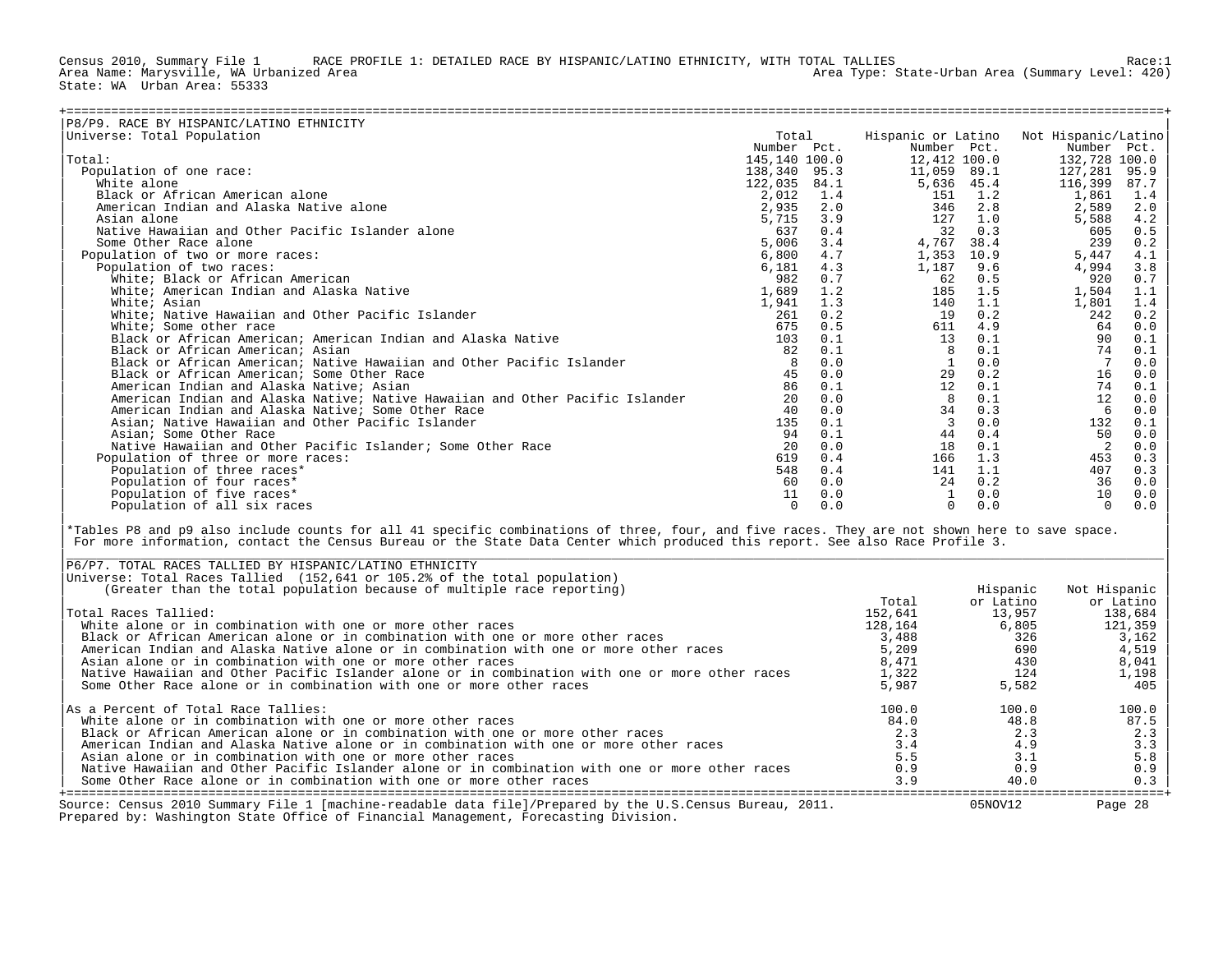Census 2010, Summary File 1 RACE PROFILE 1: DETAILED RACE BY HISPANIC/LATINO ETHNICITY, WITH TOTAL TALLIES Race:1<br>Area Name: Marysville, WA Urbanized Area Area Type: State-Urban Area (Summary Level: 420) State: WA Urban Area: 55333

| P8/P9. RACE BY HISPANIC/LATINO ETHNICITY                                      |               |      |                    |      |                     |      |
|-------------------------------------------------------------------------------|---------------|------|--------------------|------|---------------------|------|
| Universe: Total Population                                                    | Total         |      | Hispanic or Latino |      | Not Hispanic/Latino |      |
|                                                                               | Number Pct.   |      | Number Pct.        |      | Number Pct.         |      |
| Total:                                                                        | 145,140 100.0 |      | 12,412 100.0       |      | 132,728 100.0       |      |
| Population of one race:                                                       | 138,340 95.3  |      | 11,059 89.1        |      | 127,281             | 95.9 |
| White alone                                                                   | 122,035       | 84.1 | 5,636 45.4         |      | 116,399             | 87.7 |
| Black or African American alone                                               | 2,012         | 1.4  | 151                | 1.2  | 1,861               | 1.4  |
| American Indian and Alaska Native alone                                       | 2,935         | 2.0  | 346                | 2.8  | 2,589               | 2.0  |
| Asian alone                                                                   | 5,715         | 3.9  | 127                | 1.0  | 5,588               | 4.2  |
| Native Hawaiian and Other Pacific Islander alone                              | 637           | 0.4  | 32                 | 0.3  | 605                 | 0.5  |
| Some Other Race alone                                                         | 5,006         | 3.4  | 4,767              | 38.4 | 239                 | 0.2  |
| Population of two or more races:                                              | 6,800         | 4.7  | 1,353              | 10.9 | 5,447               | 4.1  |
| Population of two races:                                                      | 6,181         | 4.3  | 1,187              | 9.6  | 4,994               | 3.8  |
| White; Black or African American                                              | 982           | 0.7  | 62                 | 0.5  | 920                 | 0.7  |
| White; American Indian and Alaska Native                                      | 1,689         | 1.2  | 185                | 1.5  | 1,504               | 1.1  |
| White; Asian                                                                  | 1,941         | 1.3  | 140                | 1.1  | 1,801               | 1.4  |
| White; Native Hawaiian and Other Pacific Islander                             | 261           | 0.2  | 19                 | 0.2  | 242                 | 0.2  |
| White; Some other race                                                        | 675           | 0.5  | 611                | 4.9  | 64                  | 0.0  |
| Black or African American; American Indian and Alaska Native                  | 103           | 0.1  | 13                 | 0.1  | 90                  | 0.1  |
| Black or African American; Asian                                              | 82            | 0.1  | 8                  | 0.1  | 74                  | 0.1  |
| Black or African American; Native Hawaiian and Other Pacific Islander         |               | 0.0  |                    | 0.0  |                     | 0.0  |
| Black or African American; Some Other Race                                    | 45            | 0.0  | 29                 | 0.2  | 16                  | 0.0  |
| American Indian and Alaska Native; Asian                                      | 86            | 0.1  | 12                 | 0.1  | 74                  | 0.1  |
| American Indian and Alaska Native; Native Hawaiian and Other Pacific Islander | 20            | 0.0  |                    | 0.1  | 12                  | 0.0  |
| American Indian and Alaska Native; Some Other Race                            | 40            | 0.0  | 34                 | 0.3  | 6                   | 0.0  |
| Asian; Native Hawaiian and Other Pacific Islander                             | 135           | 0.1  | $\mathcal{L}$      | 0.0  | 132                 | 0.1  |
| Asian; Some Other Race                                                        | 94            | 0.1  | 44                 | 0.4  | 50                  | 0.0  |
| Native Hawaiian and Other Pacific Islander; Some Other Race                   | 20            | 0.0  | 18                 | 0.1  |                     | 0.0  |
| Population of three or more races:                                            | 619           | 0.4  | 166                | 1.3  | 453                 | 0.3  |
| Population of three races*                                                    | 548           | 0.4  | 141                | 1.1  | 407                 | 0.3  |
| Population of four races*                                                     | 60            | 0.0  | 24                 | 0.2  | 36                  | 0.0  |
| Population of five races*                                                     | 11            | 0.0  |                    | 0.0  | 10                  | 0.0  |
| Population of all six races                                                   | $\Omega$      | 0.0  |                    | 0.0  | $\Omega$            | 0.0  |

|\*Tables P8 and p9 also include counts for all 41 specific combinations of three, four, and five races. They are not shown here to save space. | For more information, contact the Census Bureau or the State Data Center which produced this report. See also Race Profile 3.

| |

| P6/P7. TOTAL RACES TALLIED BY HISPANIC/LATINO ETHNICITY                                                                                                                                                     |         |           |              |
|-------------------------------------------------------------------------------------------------------------------------------------------------------------------------------------------------------------|---------|-----------|--------------|
| Universe: Total Races Tallied (152,641 or 105.2% of the total population)                                                                                                                                   |         |           |              |
| (Greater than the total population because of multiple race reporting)                                                                                                                                      |         | Hispanic  | Not Hispanic |
|                                                                                                                                                                                                             | Total   | or Latino | or Latino    |
| Total Races Tallied:                                                                                                                                                                                        | 152,641 | 13,957    | 138,684      |
| White alone or in combination with one or more other races                                                                                                                                                  | 128,164 | 6,805     | 121,359      |
| Black or African American alone or in combination with one or more other races                                                                                                                              | 3,488   | 326       | 3,162        |
| American Indian and Alaska Native alone or in combination with one or more other races                                                                                                                      | 5,209   | 690       | 4,519        |
| Asian alone or in combination with one or more other races                                                                                                                                                  | 8,471   | 430       | 8,041        |
| Native Hawaiian and Other Pacific Islander alone or in combination with one or more other races                                                                                                             | 1,322   | 124       | 1,198        |
| Some Other Race alone or in combination with one or more other races                                                                                                                                        | 5,987   | 5,582     | 405          |
| As a Percent of Total Race Tallies:                                                                                                                                                                         | 100.0   | 100.0     | 100.0        |
| White alone or in combination with one or more other races                                                                                                                                                  | 84.0    | 48.8      | 87.5         |
| Black or African American alone or in combination with one or more other races                                                                                                                              | 2.3     | 2.3       | 2.3          |
| American Indian and Alaska Native alone or in combination with one or more other races                                                                                                                      | 3.4     | 4.9       | 3.3          |
| Asian alone or in combination with one or more other races                                                                                                                                                  | 5.5     | 3.1       | 5.8          |
| Native Hawaiian and Other Pacific Islander alone or in combination with one or more other races                                                                                                             | 0.9     | 0.9       | 0.9          |
| Some Other Race alone or in combination with one or more other races                                                                                                                                        | 3.9     | 40.0      | 0.3          |
| Source: Census 2010 Summary File 1 [machine-readable data file]/Prepared by the U.S.Census Bureau, 2011.<br>Barracella tras Marchilleria dirici deel ca ae Alcanolat Marcacella - Arabacella Bialan Bialala |         | 05NOV12   | Page 28      |

Prepared by: Washington State Office of Financial Management, Forecasting Division.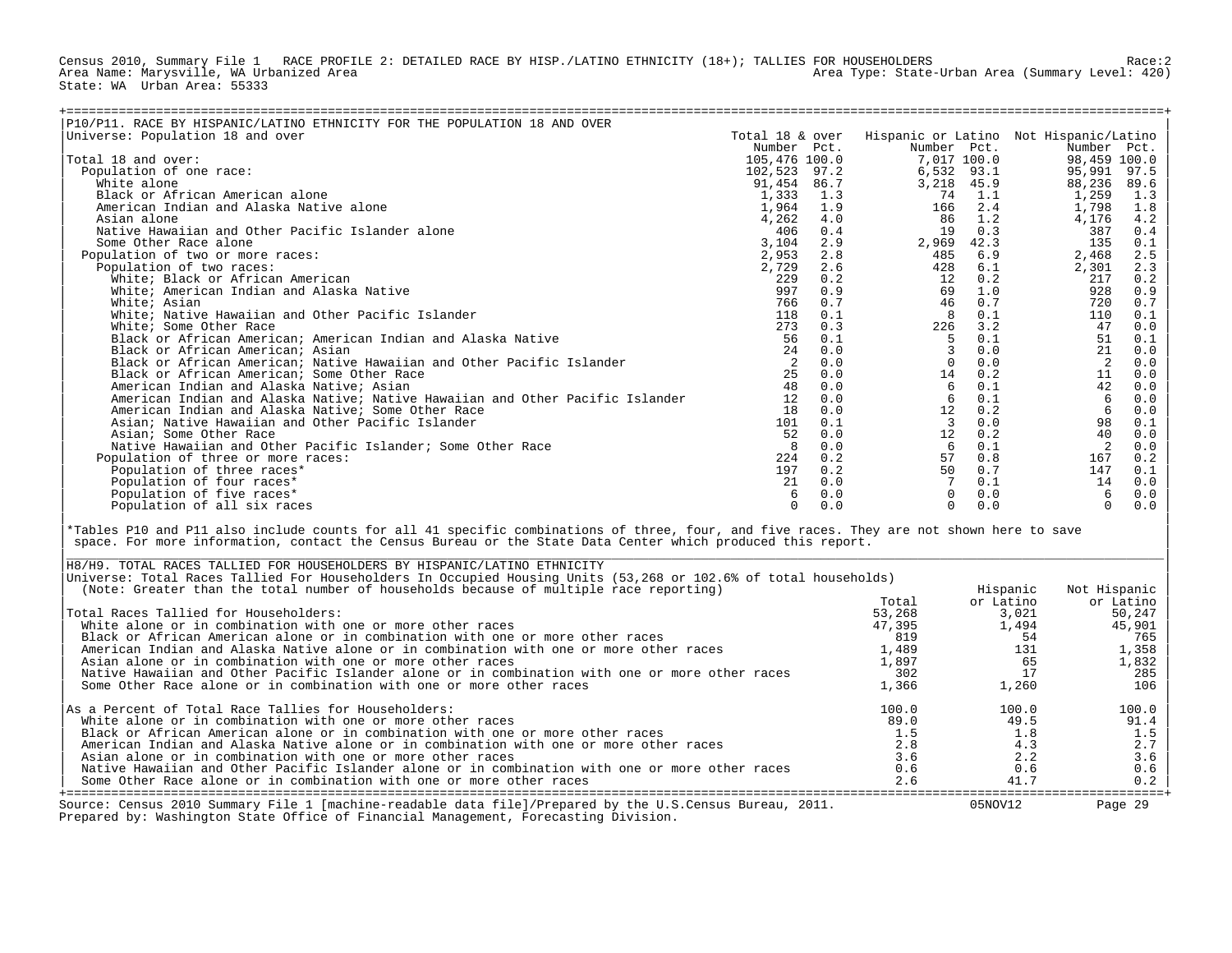Census 2010, Summary File 1 RACE PROFILE 2: DETAILED RACE BY HISP./LATINO ETHNICITY (18+); TALLIES FOR HOUSEHOLDERS<br>Area Name: Marysville, WA Urbanized Area Area Type: State-Urban Area (Summary Level: 420) State: WA Urban Area: 55333

| P10/P11. RACE BY HISPANIC/LATINO ETHNICITY FOR THE POPULATION 18 AND OVER     |                 |     |             |      |                                        |      |
|-------------------------------------------------------------------------------|-----------------|-----|-------------|------|----------------------------------------|------|
| Universe: Population 18 and over                                              | Total 18 & over |     |             |      | Hispanic or Latino Not Hispanic/Latino |      |
|                                                                               | Number Pct.     |     | Number Pct. |      | Number Pct.                            |      |
| Total 18 and over:                                                            | 105,476 100.0   |     | 7,017 100.0 |      | 98,459 100.0                           |      |
| Population of one race:                                                       | 102,523 97.2    |     | 6,532 93.1  |      | 95,991                                 | 97.5 |
| White alone                                                                   | 91,454 86.7     |     | 3,218 45.9  |      | 88,236                                 | 89.6 |
| Black or African American alone                                               | 1,333           | 1.3 | 74          | 1.1  | 1,259                                  | 1.3  |
| American Indian and Alaska Native alone                                       | 1,964 1.9       |     | 166         | 2.4  | 1,798                                  | 1.8  |
| Asian alone                                                                   | 4,262           | 4.0 | 86          | 1.2  | 4,176                                  | 4.2  |
| Native Hawaiian and Other Pacific Islander alone                              | 406             | 0.4 | 19          | 0.3  | 387                                    | 0.4  |
| Some Other Race alone                                                         | 3,104           | 2.9 | 2,969       | 42.3 | 135                                    | 0.1  |
| Population of two or more races:                                              | 2,953           | 2.8 | 485         | 6.9  | 2,468                                  | 2.5  |
| Population of two races:                                                      | 2,729           | 2.6 | 428         | 6.1  | 2,301                                  | 2.3  |
| White; Black or African American                                              | 229             | 0.2 | 12          | 0.2  | 217                                    | 0.2  |
| White; American Indian and Alaska Native                                      | 997             | 0.9 | 69          | 1.0  | 928                                    | 0.9  |
| White; Asian                                                                  | 766             | 0.7 | 46          | 0.7  | 720                                    | 0.7  |
| White; Native Hawaiian and Other Pacific Islander                             | 118             | 0.1 | 8           | 0.1  | 110                                    | 0.1  |
| White; Some Other Race                                                        | 273             | 0.3 | 226         | 3.2  | 47                                     | 0.0  |
| Black or African American; American Indian and Alaska Native                  | 56              | 0.1 | .5          | 0.1  | 51                                     | 0.1  |
| Black or African American; Asian                                              | 2.4             | 0.0 |             | 0.0  | 21                                     | 0.0  |
| Black or African American; Native Hawaiian and Other Pacific Islander         |                 | 0.0 |             | 0.0  | 2                                      | 0.0  |
| Black or African American; Some Other Race                                    |                 | 0.0 | 14          | 0.2  | 11                                     | 0.0  |
| American Indian and Alaska Native; Asian                                      | 48              | 0.0 | 6           | 0.1  | 42                                     | 0.0  |
| American Indian and Alaska Native; Native Hawaiian and Other Pacific Islander | 12              | 0.0 | 6           | 0.1  | 6                                      | 0.0  |
| American Indian and Alaska Native; Some Other Race                            | 18              | 0.0 | 12          | 0.2  | 6                                      | 0.0  |
| Asian; Native Hawaiian and Other Pacific Islander                             | 101             | 0.1 | 3           | 0.0  | 98                                     | 0.1  |
| Asian; Some Other Race                                                        | 52              | 0.0 | 12          | 0.2  | 40                                     | 0.0  |
| Native Hawaiian and Other Pacific Islander; Some Other Race                   |                 | 0.0 | 6           | 0.1  |                                        | 0.0  |
| Population of three or more races:                                            | 224             | 0.2 | 57          | 0.8  | 167                                    | 0.2  |
| Population of three races*                                                    | 197             | 0.2 | 50          | 0.7  | 147                                    | 0.1  |
| Population of four races*                                                     | 21              | 0.0 |             | 0.1  | 14                                     | 0.0  |
| Population of five races*                                                     |                 | 0.0 |             | 0.0  | 6                                      | 0.0  |
| Population of all six races                                                   |                 | 0.0 |             | 0.0  | $\Omega$                               | 0.0  |

\*Tables P10 and P11 also include counts for all 41 specific combinations of three, four, and five races. They are not shown here to save space. For more information, contact the Census Bureau or the State Data Center which produced this report.

| H8/H9. TOTAL RACES TALLIED FOR HOUSEHOLDERS BY HISPANIC/LATINO ETHNICITY                                                                                                                        |        |           |              |
|-------------------------------------------------------------------------------------------------------------------------------------------------------------------------------------------------|--------|-----------|--------------|
| Universe: Total Races Tallied For Householders In Occupied Housing Units (53,268 or 102.6% of total households)                                                                                 |        |           |              |
| (Note: Greater than the total number of households because of multiple race reporting)                                                                                                          |        | Hispanic  | Not Hispanic |
|                                                                                                                                                                                                 | Total  | or Latino | or Latino    |
| Total Races Tallied for Householders:                                                                                                                                                           | 53,268 | 3,021     | 50,247       |
| White alone or in combination with one or more other races                                                                                                                                      | 47,395 | 1,494     | 45,901       |
| Black or African American alone or in combination with one or more other races                                                                                                                  | 819    | 54        | 765          |
| American Indian and Alaska Native alone or in combination with one or more other races                                                                                                          | 1,489  | 131       | 1,358        |
| Asian alone or in combination with one or more other races                                                                                                                                      | 1,897  | 65        | 1,832        |
| Native Hawaiian and Other Pacific Islander alone or in combination with one or more other races                                                                                                 | 302    |           | 285          |
| Some Other Race alone or in combination with one or more other races                                                                                                                            | 1,366  | 1,260     | 106          |
| As a Percent of Total Race Tallies for Householders:                                                                                                                                            | 100.0  | 100.0     | 100.0        |
| White alone or in combination with one or more other races                                                                                                                                      | 89.0   | 49.5      | 91.4         |
| Black or African American alone or in combination with one or more other races                                                                                                                  | 1.5    | 1.8       | 1.5          |
| American Indian and Alaska Native alone or in combination with one or more other races                                                                                                          | 2.8    | 4.3       | 2.7          |
| Asian alone or in combination with one or more other races                                                                                                                                      | 3.6    | 2.2       | 3.6          |
| Native Hawaiian and Other Pacific Islander alone or in combination with one or more other races                                                                                                 | 0.6    | 0.6       | 0.6          |
| Some Other Race alone or in combination with one or more other races                                                                                                                            | 2.6    | 41.7      | 0.2          |
| Source: Census 2010 Summary File 1 [machine-readable data file]/Prepared by the U.S.Census Bureau, 2011.<br>Prepared by: Washington State Office of Financial Management, Forecasting Division. |        | 05NOV12   | Page 29      |

| |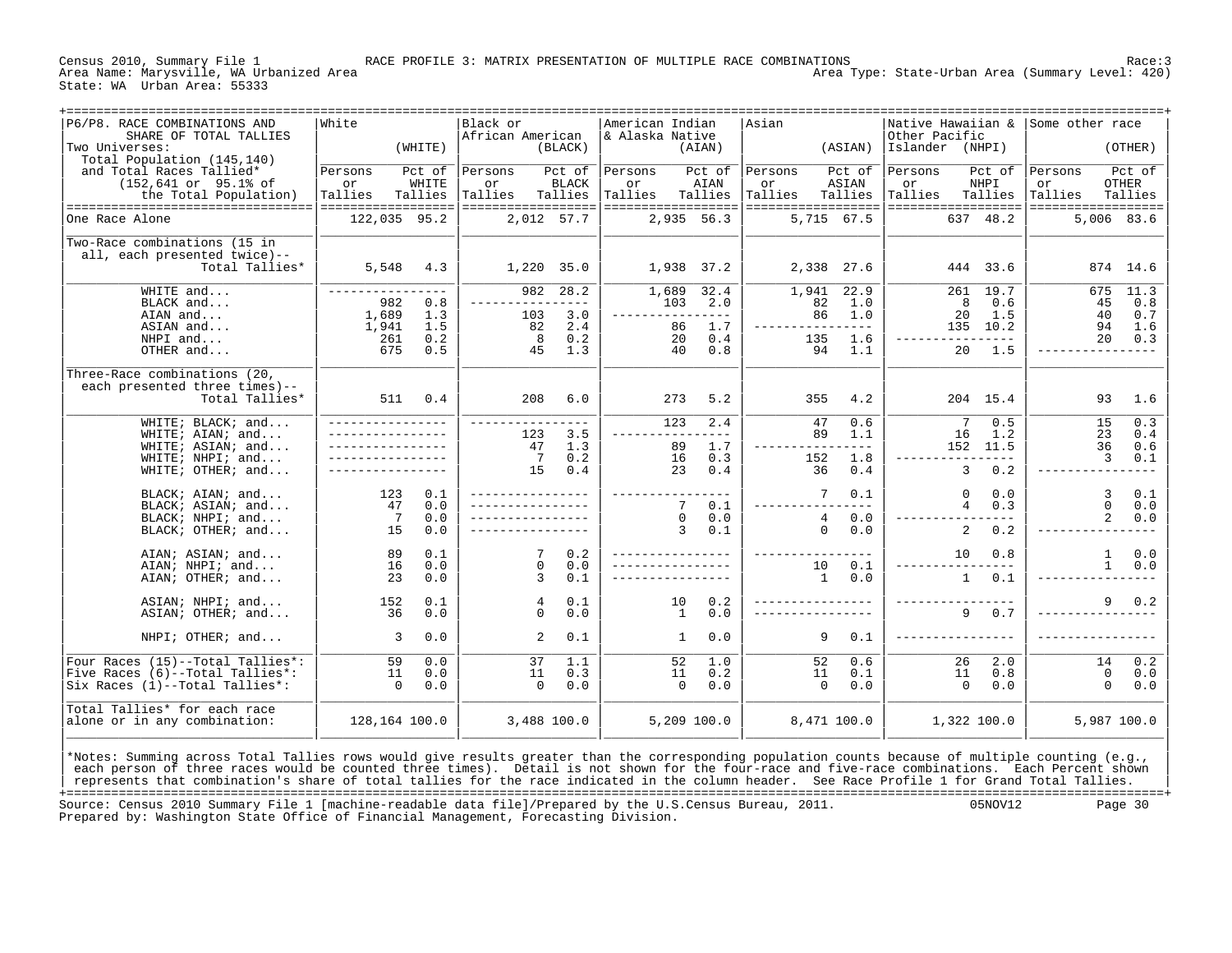State: WA Urban Area: 55333

Area Type: State-Urban Area (Summary Level: 420)

| +===================================<br>P6/P8. RACE COMBINATIONS AND<br>SHARE OF TOTAL TALLIES<br>Two Universes:<br>Total Population (145,140) | -------------------------------------<br>White<br>(WHITE)                                  | Black or                 | African American<br>(BLACK)                                                       | American Indian<br>& Alaska Native                 | (AIAN)                                  | Asian                                          | (ASIAN)                                       | Native Hawaiian &<br>Other Pacific<br>Islander (NHPI) |                                                                          | Some other race                                | (OTHER)                          |
|------------------------------------------------------------------------------------------------------------------------------------------------|--------------------------------------------------------------------------------------------|--------------------------|-----------------------------------------------------------------------------------|----------------------------------------------------|-----------------------------------------|------------------------------------------------|-----------------------------------------------|-------------------------------------------------------|--------------------------------------------------------------------------|------------------------------------------------|----------------------------------|
| and Total Races Tallied*<br>$(152, 641 \text{ or } 95.1\text{* of})$<br>the Total Population)<br>---------------------------------             | Pct of<br>Persons<br>WHITE<br>or<br>Tallies<br>Tallies<br>------------------               | Persons<br>or<br>Tallies | Pct of<br><b>BLACK</b><br>Tallies<br>==================                           | Persons<br>or<br>Tallies<br>==================     | Pct of<br>AIAN<br>Tallies               | Persons<br>or<br>Tallies<br>================== | Pct of<br>ASIAN<br>Tallies                    | Persons<br>or<br>Tallies<br>==================        | Pct of<br>NHPI<br>Tallies                                                | Persons<br>or<br>Tallies<br>================== | Pct of<br>OTHER<br>Tallies       |
| One Race Alone                                                                                                                                 | 122,035 95.2                                                                               |                          | 2,012 57.7                                                                        |                                                    | 2,935 56.3                              |                                                | 5,715 67.5                                    |                                                       | 637 48.2                                                                 |                                                | 5,006 83.6                       |
| Two-Race combinations (15 in<br>all, each presented twice)--<br>Total Tallies*                                                                 | 5,548<br>4.3                                                                               |                          | 1,220 35.0                                                                        |                                                    | 1,938 37.2                              |                                                | 2,338 27.6                                    |                                                       | 444 33.6                                                                 |                                                | 874 14.6                         |
| WHITE and<br>BLACK and<br>AIAN and<br>ASIAN and<br>NHPI and<br>OTHER and                                                                       | ----------------<br>982<br>0.8<br>1,689<br>1.3<br>1,941<br>1.5<br>0.2<br>261<br>675<br>0.5 |                          | 28.2<br>982<br>--------------<br>3.0<br>103<br>2.4<br>82<br>8<br>0.2<br>45<br>1.3 | 1,689<br>103<br>----------------<br>86<br>20<br>40 | 32.4<br>2.0<br>1.7<br>0.4<br>0.8        | 1,941<br>82<br>86<br>135<br>94                 | 22.9<br>1.0<br>1.0<br>$- - - -$<br>1.6<br>1.1 |                                                       | 261 19.7<br>0.6<br>8<br>20<br>1.5<br>135 10.2<br>----------<br>1.5<br>20 | 675<br>45<br>40<br>94<br>20                    | 11.3<br>0.8<br>0.7<br>1.6<br>0.3 |
| Three-Race combinations (20,<br>each presented three times)--<br>Total Tallies*                                                                | 511<br>0.4                                                                                 |                          | 208<br>6.0                                                                        | 273                                                | 5.2                                     | 355                                            | 4.2                                           |                                                       | 204 15.4                                                                 | 93                                             | 1.6                              |
| WHITE; BLACK; and<br>WHITE; AIAN; and<br>WHITE; ASIAN; and<br>WHITE; NHPI; and                                                                 |                                                                                            |                          | 123<br>3.5<br>1.3<br>47<br>7<br>0.2                                               | 123<br>89<br>16                                    | 2.4<br>$= - -$<br>1.7<br>0.3            | 47<br>89<br>152                                | 0.6<br>1.1<br>$- - - -$<br>1.8                | 16                                                    | 0.5<br>7<br>1.2<br>152 11.5<br>-----                                     | 15<br>23<br>36<br>$\overline{3}$               | 0.3<br>0.4<br>0.6<br>0.1         |
| WHITE; OTHER; and<br>BLACK; AIAN; and                                                                                                          | 123<br>0.1                                                                                 |                          | 15<br>0.4                                                                         | 23                                                 | 0.4                                     | 36<br>7                                        | 0.4<br>0.1                                    |                                                       | $\mathbf{3}$<br>0.2<br>0.0<br>$\Omega$                                   | $\overline{3}$                                 | 0.1                              |
| BLACK; ASIAN; and<br>BLACK; NHPI; and<br>BLACK; OTHER; and                                                                                     | 47<br>0.0<br>7<br>0.0<br>15<br>0.0                                                         |                          |                                                                                   |                                                    | 7<br>0.1<br>$\Omega$<br>0.0<br>3<br>0.1 | 4<br>$\Omega$                                  | $- - - -$<br>0.0<br>0.0                       |                                                       | $\overline{4}$<br>0.3<br>2<br>0.2                                        | $\mathbf{0}$<br>2                              | 0.0<br>0.0                       |
| AIAN; ASIAN; and<br>AIAN; NHPI; and<br>AIAN; OTHER; and                                                                                        | 89<br>0.1<br>16<br>0.0<br>23<br>0.0                                                        |                          | 7<br>0.2<br>$\Omega$<br>0.0<br>0.1<br>3                                           |                                                    |                                         | 10<br>$\mathbf{1}$                             | 0.1<br>0.0                                    |                                                       | 0.8<br>10<br>$\mathbf{1}$<br>0.1                                         | $\mathbf{1}$<br>$\mathbf{1}$                   | 0.0<br>0.0                       |
| ASIAN; NHPI; and<br>ASIAN; OTHER; and                                                                                                          | 0.1<br>152<br>36<br>0.0                                                                    |                          | 0.1<br>4<br>0.0<br>$\Omega$                                                       | 10                                                 | 0.2<br>1<br>0.0                         |                                                |                                               |                                                       | 0.7<br>9                                                                 | 9                                              | 0.2                              |
| NHPI; OTHER; and                                                                                                                               | 3<br>0.0                                                                                   |                          | $\overline{a}$<br>0.1                                                             |                                                    | 0.0<br>1                                | 9                                              | 0.1                                           | ----------------                                      |                                                                          |                                                |                                  |
| Four Races (15)--Total Tallies*:<br>Five Races (6)--Total Tallies*:<br>Six Races (1)--Total Tallies*:                                          | 59<br>0.0<br>11<br>0.0<br>$\Omega$<br>0.0                                                  |                          | 37<br>1.1<br>11<br>0.3<br>$\Omega$<br>0.0                                         | 52<br>11                                           | 1.0<br>0.2<br>$\Omega$<br>0.0           | 52<br>11<br>$\Omega$                           | 0.6<br>0.1<br>0.0                             |                                                       | 26<br>2.0<br>11<br>0.8<br>$\Omega$<br>0.0                                | 14<br>$\mathbf{0}$<br>$\Omega$                 | 0.2<br>0.0<br>0.0                |
| Total Tallies* for each race<br>alone or in any combination:                                                                                   | 128,164 100.0                                                                              |                          | 3,488 100.0                                                                       |                                                    | 5,209 100.0                             |                                                | 8,471 100.0                                   |                                                       | 1,322 100.0                                                              |                                                | 5,987 100.0                      |

\*Notes: Summing across Total Tallies rows would give results greater than the corresponding population counts because of multiple counting (e.g., |<br>| each person of three races would be counted three times). Detail is not represents that combination's share of total tallies for the race indicated in the column header. See Race Profile 1 for Grand Total Tallies. +===================================================================================================================================================+ Source: Census 2010 Summary File 1 [machine-readable data file]/Prepared by the U.S.Census Bureau, 2011. Prepared by: Washington State Office of Financial Management, Forecasting Division.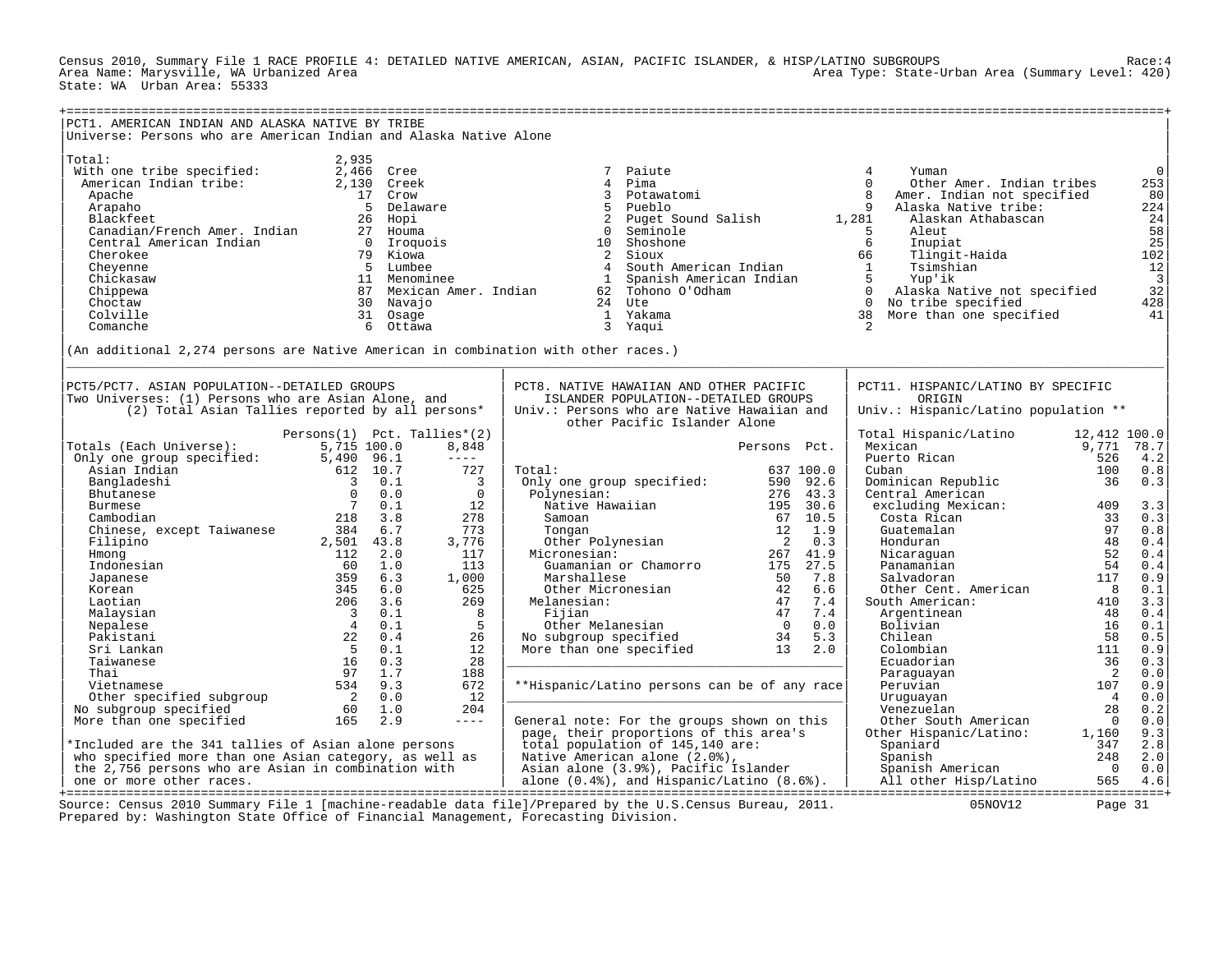Census 2010, Summary File 1 RACE PROFILE 4: DETAILED NATIVE AMERICAN, ASIAN, PACIFIC ISLANDER, & HISP/LATINO SUBGROUPS Race:4 Area Type: State-Urban Area (Summary Level: 420) State: WA Urban Area: 55333

| PCT1. AMERICAN INDIAN AND ALASKA NATIVE BY TRIBE<br>Universe: Persons who are American Indian and Alaska Native Alone                                                                                                                                                                                                                |                                                                                                                                                                                      |                                                                                                                                            |                                                                                                                                                                                                                                                                                                                |                                                                                                                                                     |                                                                                                                                                                                                                                                                                                                                                                                       |                                                                                            |                                                                                                                                                          |
|--------------------------------------------------------------------------------------------------------------------------------------------------------------------------------------------------------------------------------------------------------------------------------------------------------------------------------------|--------------------------------------------------------------------------------------------------------------------------------------------------------------------------------------|--------------------------------------------------------------------------------------------------------------------------------------------|----------------------------------------------------------------------------------------------------------------------------------------------------------------------------------------------------------------------------------------------------------------------------------------------------------------|-----------------------------------------------------------------------------------------------------------------------------------------------------|---------------------------------------------------------------------------------------------------------------------------------------------------------------------------------------------------------------------------------------------------------------------------------------------------------------------------------------------------------------------------------------|--------------------------------------------------------------------------------------------|----------------------------------------------------------------------------------------------------------------------------------------------------------|
| Total:<br>With one tribe specified:<br>American Indian tribe:<br>Apache<br>Arapaho<br>Blackfeet<br>Canadian/French Amer. Indian<br>Central American Indian<br>Cherokee<br>Cheyenne<br>Chickasaw<br>Chippewa<br>Choctaw<br>Colville<br>Comanche<br>(An additional 2,274 persons are Native American in combination with other races.) | 2,935<br>2,466 Cree<br>2,130 Creek<br>17 Crow<br>5 Delaware<br>26 Hopi<br>27 Houma<br>$\cap$<br>79 Kiowa<br>5 Lumbee<br>11 Menominee<br>30 Navajo<br>31 Osage<br>6 Ottawa            | Iroquois<br>87 Mexican Amer. Indian                                                                                                        | Paiute<br>7<br>$\overline{4}$<br>Pima<br>$\mathbf{3}$<br>Potawatomi<br>5<br>Pueblo<br>2<br>Puget Sound Salish<br>$\Omega$<br>Seminole<br>Shoshone<br>10<br>2 Sioux<br>South American Indian<br>$\overline{4}$<br>$\mathbf{1}$<br>Spanish American Indian<br>62 Tohono O'Odham<br>24 Ute<br>1 Yakama<br>3 Yaqui |                                                                                                                                                     | 4<br>Yuman<br>$\Omega$<br>Other Amer. Indian tribes<br>$\mathsf{R}$<br>Amer. Indian not specified<br>9<br>Alaska Native tribe:<br>1,281<br>Alaskan Athabascan<br>Aleut<br>5<br>6<br>Inupiat<br>Tlingit-Haida<br>66<br>Tsimshian<br>$\overline{1}$<br>5 <sup>5</sup><br>Yup'ik<br>0 Alaska Native not specified<br>0 No tribe specified<br>38 More than one specified<br>$\mathcal{L}$ |                                                                                            | $\mathsf 0$<br>253<br>80<br>224<br>$24$<br>$58$<br>$25$<br>$102$<br>12<br>$\frac{1}{3}$<br>428<br>41                                                     |
| PCT5/PCT7. ASIAN POPULATION--DETAILED GROUPS<br>Two Universes: (1) Persons who are Asian Alone, and<br>(2) Total Asian Tallies reported by all persons*                                                                                                                                                                              |                                                                                                                                                                                      |                                                                                                                                            | PCT8. NATIVE HAWAIIAN AND OTHER PACIFIC<br>ISLANDER POPULATION--DETAILED GROUPS<br>Univ.: Persons who are Native Hawaiian and                                                                                                                                                                                  |                                                                                                                                                     | PCT11. HISPANIC/LATINO BY SPECIFIC<br>ORIGIN<br>Univ.: Hispanic/Latino population **                                                                                                                                                                                                                                                                                                  |                                                                                            |                                                                                                                                                          |
| Totals (Each Universe):<br>Only one group specified:<br>Asian Indian<br>Bangladeshi<br>Bhutanese<br>Burmese<br>Cambodian<br>Chinese, except Taiwanese<br>Filipino<br>Hmong<br>Indonesian<br>Japanese                                                                                                                                 | Persons(1)<br>5,715 100.0<br>5,490 96.1<br>612 10.7<br>3 0.1<br>$\bigcap$<br>0.0<br>$7\overline{ }$<br>0.1<br>218<br>3.8<br>384 6.7<br>2,501 43.8<br>112 2.0<br>60<br>1.0<br>359 6.3 | Pct. Tallies*(2)<br>8,848<br>$- - - - -$<br>727<br>$\overline{\mathbf{3}}$<br>$\Omega$<br>12<br>278<br>773<br>3,776<br>117<br>113<br>1,000 | other Pacific Islander Alone<br>Total:<br>Only one group specified:<br>Polynesian:<br>Native Hawaiian<br>Samoan<br>Tongan<br>Other Polynesian<br>Micronesian:<br>Guamanian or Chamorro<br>Marshallese                                                                                                          | Persons Pct.<br>637 100.0<br>590 92.6<br>276 43.3<br>195 30.6<br>67 10.5<br>12<br>1.9<br>0.3<br>$\overline{2}$<br>267 41.9<br>175 27.5<br>50<br>7.8 | Total Hispanic/Latino<br>Mexican<br>Puerto Rican<br>Cuban<br>Dominican Republic<br>Central American<br>excluding Mexican:<br>Costa Rican<br>Guatemalan<br>Honduran<br>Nicaraquan<br>Panamanian<br>Salvadoran                                                                                                                                                                          | 12,412 100.0<br>9,771 78.7<br>526<br>100<br>36<br>409<br>33<br>97<br>48<br>52<br>54<br>117 | 4.2<br>0.8<br>0.3<br>3.3<br>0.3<br>$0.8$<br>0.4<br>0.4<br>0.4<br>0.9                                                                                     |
| Korean<br>Laotian<br>Malaysian<br>Nepalese<br>Pakistani<br>Sri Lankan<br>Taiwanese<br>Thai<br>Vietnamese                                                                                                                                                                                                                             | 345<br>6.0<br>206<br>3.6<br>$\overline{\mathbf{3}}$<br>0.1<br>$\overline{4}$<br>0.1<br>22<br>0.4<br>5<br>0.1<br>16<br>0.3<br>97<br>1.7<br>534<br>9.3                                 | 625<br>269<br>8<br>5<br>26<br>12<br>28<br>188<br>672                                                                                       | Other Micronesian<br>Melanesian:<br>Fijian<br>Other Melanesian<br>Other Melanesian<br>No subgroup specified<br>More than one specified<br>**Hispanic/Latino persons can be of any race                                                                                                                         | 42<br>6.6<br>47<br>7.4<br>47<br>7.4<br>$\overline{0}$<br>0.0<br>34<br>5.3<br>13 2.0                                                                 | Other Cent. American<br>South American:<br>Argentinean<br>Bolivian<br>Chilean<br>Colombian<br>Ecuadorian<br>Paraguayan<br>Peruvian                                                                                                                                                                                                                                                    | $_{\rm 8}$<br>410<br>48<br>16<br>58<br>111<br>36<br>$\overline{\phantom{0}}^2$<br>107      | 0.1<br>3.3<br>0.4<br>0.1<br>$0.5$<br>$0.9$<br>0.3<br>${\bf 0}$ . ${\bf 0}$<br>$0.9$                                                                      |
| Other specified subgroup<br>No subgroup specified<br>More than one specified<br>*Included are the 341 tallies of Asian alone persons<br>who specified more than one Asian category, as well as<br>the 2,756 persons who are Asian in combination with<br>one or more other races.                                                    | $2 \t 0.0$<br>60<br>1.0<br>2.9<br>165                                                                                                                                                | 12<br>204<br>$- - - - -$                                                                                                                   | General note: For the groups shown on this<br>page, their proportions of this area's<br>total population of 145,140 are:<br>Native American alone (2.0%),<br>Asian alone (3.9%), Pacific Islander<br>Asian alone (3.9%), Pacific Islander<br>alone (0.4%), and Hispanic/Latino (8.6%).                         |                                                                                                                                                     | Uruguayan<br>Venezuelan<br>Other South American<br>Other Hispanic/Latino:<br>Spaniard<br>Spanish<br>Spanish American<br>All other Hisp/Latino                                                                                                                                                                                                                                         | $\overline{4}$<br>28<br>$\overline{0}$<br>1,160<br>347<br>248<br>$\Omega$<br>565           | $\ensuremath{\mathbf{0}}$ . $\ensuremath{\mathbf{0}}$<br>0.2<br>$\ensuremath{\mathbf{0}}$ . $\ensuremath{\mathbf{0}}$<br>9.3<br>2.8<br>2.0<br>0.0<br>4.6 |
| Prepared by: Washington State Office of Financial Management, Forecasting Division.                                                                                                                                                                                                                                                  |                                                                                                                                                                                      |                                                                                                                                            | Source: Census 2010 Summary File 1 [machine-readable data file]/Prepared by the U.S.Census Bureau, 2011.                                                                                                                                                                                                       |                                                                                                                                                     | 05NOV12                                                                                                                                                                                                                                                                                                                                                                               | Page 31                                                                                    |                                                                                                                                                          |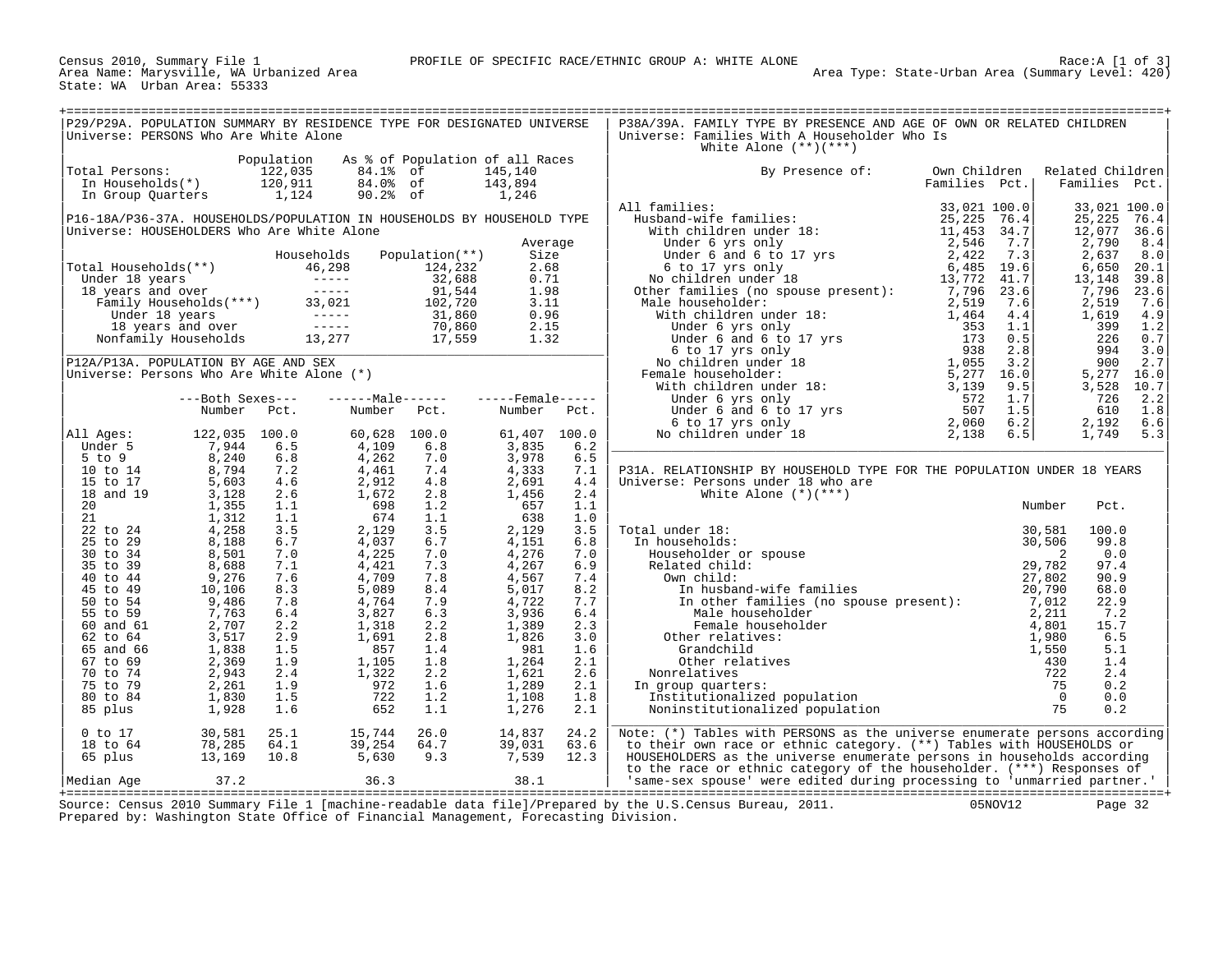Census 2010, Summary File 1<br>Area Name: Marysville, WA Urbanized Area<br>State: WA Urban Area: 55333

| P29/P29A. POPULATION SUMMARY BY RESIDENCE TYPE FOR DESIGNATED UNIVERSE<br>Universe: PERSONS Who Are White Alone                                                                                                                        |                                                                                                                        |                          |                                                                     |                          |                                  |                          | P38A/39A. FAMILY TYPE BY PRESENCE AND AGE OF OWN OR RELATED CHILDREN<br>Universe: Families With A Householder Who Is<br>White Alone $(**)(***)$                                                                                               |                               |                                   |                                  |
|----------------------------------------------------------------------------------------------------------------------------------------------------------------------------------------------------------------------------------------|------------------------------------------------------------------------------------------------------------------------|--------------------------|---------------------------------------------------------------------|--------------------------|----------------------------------|--------------------------|-----------------------------------------------------------------------------------------------------------------------------------------------------------------------------------------------------------------------------------------------|-------------------------------|-----------------------------------|----------------------------------|
| Total Persons:                                                                                                                                                                                                                         | otal Persons: $\begin{array}{ccc} 122,035 \\ \text{In Households(*)} \\ \text{In Group Quatters} \\ 1,124 \end{array}$ | Population               | As % of Population of all Races<br>84.1% of<br>84.0% of<br>90.2% of |                          | 145,140<br>143,894<br>1,246      |                          | By Presence of:                                                                                                                                                                                                                               | Own Children<br>Families Pct. | Related Children<br>Families Pct. |                                  |
| P16-18A/P36-37A. HOUSEHOLDS/POPULATION IN HOUSEHOLDS BY HOUSEHOLD TYPE<br>Universe: HOUSEHOLDERS Who Are White Alone                                                                                                                   |                                                                                                                        |                          |                                                                     |                          |                                  |                          | All families:                                                                                                                                                                                                                                 |                               | 33,021 100.0<br>25,225<br>12,077  | 76.4<br>36.6                     |
|                                                                                                                                                                                                                                        |                                                                                                                        |                          | Households                                                          | Population(**)           | Average<br>Size                  |                          | Families Feating Pct.<br>Husband-wife families:<br>With children under 18:<br>With children under 18:<br>Under 6 yrs only<br>Under 6 and 6 to 17 yrs<br>6 to 17 yrs only<br>6 counter families (no spouse present):<br>6 counter families (no |                               | 2,790<br>2,637<br>6,650<br>13,148 | 8.4<br>8.0<br>20.1<br>39.8       |
| Total Households (**)<br>Under 18 years<br>18 years and over<br>18 years and over<br>Tuder 18 years (18 years of the contract of the paint of the season of the contract of the control of the control of the control of the control o |                                                                                                                        |                          |                                                                     |                          |                                  |                          |                                                                                                                                                                                                                                               |                               | 7,796<br>2,519<br>1,619<br>399    | 23.6<br>7.6<br>4.9<br>1.2        |
| P12A/P13A. POPULATION BY AGE AND SEX                                                                                                                                                                                                   |                                                                                                                        |                          |                                                                     |                          |                                  |                          |                                                                                                                                                                                                                                               |                               | 226<br>994<br>900                 | 0.7<br>3.0<br>2.7                |
| Universe: Persons Who Are White Alone (*)                                                                                                                                                                                              | ---Both Sexes---<br>Number Pct.                                                                                        |                          | $---Male---  ---Female---$<br>Number Pct.                           |                          | Number Pct.                      |                          |                                                                                                                                                                                                                                               |                               | 3,528<br>726<br>610               | 5,277 16.0<br>10.7<br>2.2<br>1.8 |
| All Ages:<br>Under 5<br>$5$ to $9$                                                                                                                                                                                                     | 122,035 100.0<br>7,944<br>8,240                                                                                        | 6.5                      | 60,628<br>4,109<br>4,262                                            | 100.0<br>6.8             | 61,407<br>3,835<br>3,978         | 100.0<br>6.2<br>6.5      |                                                                                                                                                                                                                                               |                               | 2,192                             | 6.6<br>1,749 5.3                 |
| 10 to 14<br>15 to 17<br>18 and 19                                                                                                                                                                                                      | 8,794<br>5,603<br>3,128                                                                                                | 6.8<br>7.2<br>4.6<br>2.6 | 4,461<br>2,912<br>1,672                                             | 7.0<br>7.4<br>4.8<br>2.8 | 4,333<br>2,691<br>1,456          | 7.1<br>4.4<br>2.4        | P31A. RELATIONSHIP BY HOUSEHOLD TYPE FOR THE POPULATION UNDER 18 YEARS<br>Universe: Persons under 18 who are<br>White Alone $(*)$ (***)                                                                                                       |                               |                                   |                                  |
| 20<br>21<br>22 to 24<br>25 to 29                                                                                                                                                                                                       | 1,355<br>1,312<br>4,258<br>8,188                                                                                       | 1.1<br>1.1<br>3.5<br>6.7 | 698<br>674<br>2,129<br>4,037                                        | 1.2<br>1.1<br>3.5<br>6.7 | 657<br>638<br>2,129<br>4,151     | 1.1<br>1.0<br>3.5<br>6.8 | Total under 18:<br>In households:                                                                                                                                                                                                             |                               | Number<br>Pct.<br>100.0<br>99.8   |                                  |
| 30 to 34<br>35 to 39<br>40 to 44                                                                                                                                                                                                       | 8,501<br>8,688<br>9,276                                                                                                | 7.0<br>7.1<br>7.6        | 4,225<br>4,421<br>4,709                                             | 7.0<br>7.3<br>7.8        | 4,276<br>4,267<br>4,567          | 7.0<br>6.9<br>7.4        |                                                                                                                                                                                                                                               |                               | 0.0<br>97.4<br>90.9               |                                  |
| 45 to 49<br>50 to 54<br>55 to 59<br>60 and 61                                                                                                                                                                                          | 10,106<br>9,486<br>7,763<br>2,707                                                                                      | 8.3<br>7.8<br>6.4<br>2.2 | 5,089<br>4,764<br>3,827<br>1,318                                    | 8.4<br>7.9<br>6.3<br>2.2 | 5,017<br>4,722<br>3,936<br>1,389 | 8.2<br>7.7<br>6.4<br>2.3 |                                                                                                                                                                                                                                               |                               | 68.0<br>22.9<br>7.2<br>15.7       |                                  |
| 62 to 64<br>65 and 66<br>67 to 69                                                                                                                                                                                                      | 3,517<br>1,838<br>2,369                                                                                                | 2.9<br>1.5<br>1.9        | 1,691<br>857<br>1,105                                               | 2.8<br>1.4<br>1.8        | 1,826<br>981<br>1,264            | 3.0<br>1.6<br>2.1        | Female nouse.<br>Other relatives:                                                                                                                                                                                                             |                               | 6.5<br>5.1<br>1.4                 |                                  |
| 70 to 74<br>75 to 79<br>80 to 84<br>85 plus                                                                                                                                                                                            | 2,943<br>2,261<br>1,830<br>1,928                                                                                       | 2.4<br>1.9<br>1.5<br>1.6 | 1,322<br>972<br>722<br>652                                          | 2.2<br>1.6<br>1.2<br>1.1 | 1,621<br>1,289<br>1,108<br>1,276 | 2.6<br>2.1<br>1.8<br>2.1 | In group quarters:                                                                                                                                                                                                                            |                               | 2.4<br>0.2<br>0.0<br>0.2          |                                  |
| $0$ to $17$<br>18 to 64                                                                                                                                                                                                                | 30,581<br>78,285                                                                                                       | 25.1<br>64.1             | 15,744<br>39,254                                                    | 26.0<br>64.7             | 14,837<br>39,031                 | 24.2<br>63.6             | Note: (*) Tables with PERSONS as the universe enumerate persons according<br>to their own race or ethnic category. (**) Tables with HOUSEHOLDS or                                                                                             |                               |                                   |                                  |
| 65 plus<br>Median Age                                                                                                                                                                                                                  | 13,169<br>37.2                                                                                                         | 10.8                     | 5,630<br>36.3                                                       | 9.3                      | 7,539<br>38.1                    | 12.3                     | HOUSEHOLDERS as the universe enumerate persons in households according<br>to the race or ethnic category of the householder. (***) Responses of<br>'same-sex spouse' were edited during processing to 'unmarried partner.'                    |                               |                                   |                                  |

+===================================================================================================================================================+ Source: Census 2010 Summary File 1 [machine-readable data file]/Prepared by the U.S.Census Bureau, 2011. 05NOV12 Page 32 Prepared by: Washington State Office of Financial Management, Forecasting Division.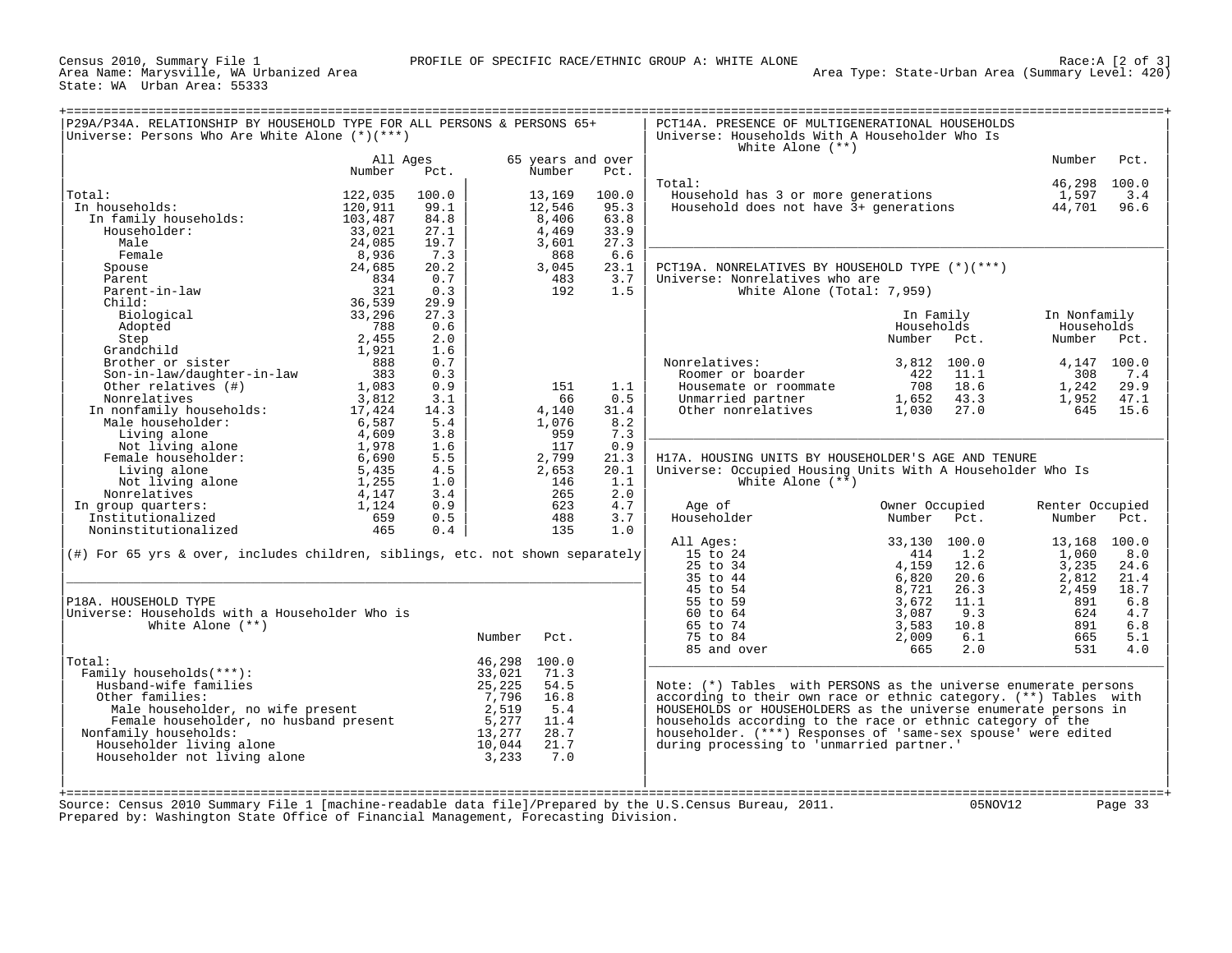Census 2010, Summary File 1<br>Area Name: Marysville, WA Urbanized Area<br>State: WA Urban Area: 55333

|                                                                                        |                    |              |              |                             |              | White Alone $(**)$                                                |                             |                 |             |
|----------------------------------------------------------------------------------------|--------------------|--------------|--------------|-----------------------------|--------------|-------------------------------------------------------------------|-----------------------------|-----------------|-------------|
|                                                                                        | All Ages<br>Number | Pct.         |              | 65 years and over<br>Number | Pct.         |                                                                   |                             | Number          | Pct.        |
|                                                                                        |                    |              |              |                             |              | Total:                                                            |                             | 46,298 100.0    |             |
| Total:                                                                                 | 122,035            | 100.0        |              | 13,169                      | 100.0        | Household has 3 or more generations                               |                             | 1,597           | 3.4         |
| In households:                                                                         | 120,911            | 99.1         |              | 12,546                      | 95.3         | Household does not have 3+ generations                            |                             | 44,701          | 96.6        |
| In family households:                                                                  | 103,487            | 84.8         |              | 8,406                       | 63.8         |                                                                   |                             |                 |             |
| Householder:<br>Male                                                                   | 33,021<br>24,085   | 27.1<br>19.7 |              | 4,469                       | 33.9<br>27.3 |                                                                   |                             |                 |             |
| Female                                                                                 | 8,936              | 7.3          |              | 3,601<br>868                | 6.6          |                                                                   |                             |                 |             |
| Spouse                                                                                 | 24,685             | 20.2         |              | 3,045                       | 23.1         | PCT19A. NONRELATIVES BY HOUSEHOLD TYPE (*)(***)                   |                             |                 |             |
| Parent                                                                                 | 834                | 0.7          |              | 483                         | 3.7          | Universe: Nonrelatives who are                                    |                             |                 |             |
| Parent-in-law                                                                          | 321                | 0.3          |              | 192                         | 1.5          | White Alone (Total: 7,959)                                        |                             |                 |             |
| $Child$ :                                                                              | 36,539             | 29.9         |              |                             |              |                                                                   |                             |                 |             |
| Biological                                                                             | 33,296             | 27.3         |              |                             |              |                                                                   | In Family                   | In Nonfamily    |             |
| Adopted                                                                                | 788                | 0.6          |              |                             |              |                                                                   | Households                  | Households      |             |
| Step                                                                                   | 2,455              | 2.0          |              |                             |              |                                                                   | Number<br>Pct.              | Number Pct.     |             |
| Grandchild                                                                             | 1,921              | 1.6          |              |                             |              |                                                                   |                             |                 |             |
| Brother or sister                                                                      | 888                | 0.7          |              |                             |              | Nonrelatives:                                                     | 3,812<br>100.0              |                 | 4,147 100.0 |
| Son-in-law/daughter-in-law                                                             | 383                | 0.3          |              |                             |              | Roomer or boarder                                                 | 422<br>11.1                 | 308             | 7.4         |
| Other relatives (#)                                                                    | 1,083              | 0.9          |              | 151                         | 1.1          | Housemate or roommate                                             | 708<br>18.6                 | 1,242           | 29.9        |
| Nonrelatives                                                                           | 3,812              | 3.1          |              | 66                          | 0.5          | Unmarried partner                                                 | 1,652<br>43.3               | 1,952           | 47.1        |
| In nonfamily households:                                                               | 17,424             | 14.3         |              | 4,140                       | 31.4         | Other nonrelatives                                                | 1,030<br>27.0               | 645             | 15.6        |
| Male householder:                                                                      | 6,587              | 5.4          |              | 1,076                       | 8.2          |                                                                   |                             |                 |             |
|                                                                                        | 4,609              | 3.8          |              | 959                         | 7.3          |                                                                   |                             |                 |             |
|                                                                                        | 1,978              | 1.6          |              | 117                         | 0.9          |                                                                   |                             |                 |             |
| Male nousenousence<br>Living alone<br>Not living alone<br>Female householder:<br>Alone | 6,690              | 5.5          |              | 2,799                       | 21.3         | H17A. HOUSING UNITS BY HOUSEHOLDER'S AGE AND TENURE               |                             |                 |             |
| Living alone                                                                           | 5,435              | 4.5          |              | 2,653                       | 20.1         | Universe: Occupied Housing Units With A Householder Who Is        |                             |                 |             |
| Not living alone                                                                       | 1,255              | 1.0          |              | 146                         | 1.1          | White Alone $(**)$                                                |                             |                 |             |
| Nonrelatives                                                                           | 4,147              | 3.4          |              | 265                         | 2.0          |                                                                   |                             |                 |             |
| In group quarters:                                                                     | 1,124              | 0.9          |              | 623                         | 4.7          | Age of                                                            | Owner Occupied              | Renter Occupied |             |
| Institutionalized                                                                      | 659                | 0.5          |              | 488                         | 3.7          | Householder                                                       | Number<br>Pct.              | Number          | Pct.        |
| Noninstitutionalized                                                                   | 465                | 0.4          |              | 135                         | 1.0          |                                                                   |                             |                 |             |
|                                                                                        |                    |              |              |                             |              | All Ages:                                                         | 33,130<br>100.0             | 13,168 100.0    |             |
| $(\#)$ For 65 yrs & over, includes children, siblings, etc. not shown separately       |                    |              |              |                             |              | 15 to 24<br>25 to 34                                              | 414<br>1.2<br>4,159<br>12.6 | 1,060<br>3,235  | 8.0<br>24.6 |
|                                                                                        |                    |              |              |                             |              | 35 to 44                                                          | 20.6<br>6,820               | 2,812           | 21.4        |
|                                                                                        |                    |              |              |                             |              | 45 to 54                                                          | 8,721<br>26.3               | 2,459           | 18.7        |
| P18A. HOUSEHOLD TYPE                                                                   |                    |              |              |                             |              | 55 to 59                                                          | 3,672<br>11.1               | 891             | 6.8         |
| Universe: Households with a Householder Who is                                         |                    |              |              |                             |              | 60 to 64                                                          | 9.3<br>3,087                | 624             | 4.7         |
| White Alone $(**)$                                                                     |                    |              |              |                             |              | 65 to 74                                                          | 10.8<br>3,583               | 891             | 6.8         |
|                                                                                        |                    |              | Number       | Pct.                        |              | 75 to 84                                                          | 6.1<br>2,009                | 665             | 5.1         |
|                                                                                        |                    |              |              |                             |              | 85 and over                                                       | 665<br>2.0                  | 531             | 4.0         |
| Total:                                                                                 |                    |              | 46,298 100.0 |                             |              |                                                                   |                             |                 |             |
| Family households(***):                                                                |                    |              | 33,021       | 71.3                        |              |                                                                   |                             |                 |             |
| Husband-wife families                                                                  |                    |              | 25,225       | 54.5                        |              | Note: $(*)$ Tables with PERSONS as the universe enumerate persons |                             |                 |             |
| Other families:                                                                        |                    |              | 7,796        | 16.8                        |              | according to their own race or ethnic category. (**) Tables with  |                             |                 |             |
| Male householder, no wife present                                                      |                    |              | 2,519        | 5.4                         |              | HOUSEHOLDS or HOUSEHOLDERS as the universe enumerate persons in   |                             |                 |             |
| Female householder, no husband present                                                 |                    |              | 5,277        | 11.4                        |              | households according to the race or ethnic category of the        |                             |                 |             |
| Nonfamily households:                                                                  |                    |              | 13,277       | 28.7                        |              | householder. (***) Responses of 'same-sex spouse' were edited     |                             |                 |             |
| Householder living alone                                                               |                    |              | 10,044       | 21.7                        |              | during processing to 'unmarried partner.'                         |                             |                 |             |
| Householder not living alone                                                           |                    |              | 3,233        | 7.0                         |              |                                                                   |                             |                 |             |
|                                                                                        |                    |              |              |                             |              |                                                                   |                             |                 |             |
|                                                                                        |                    |              |              |                             |              |                                                                   |                             |                 |             |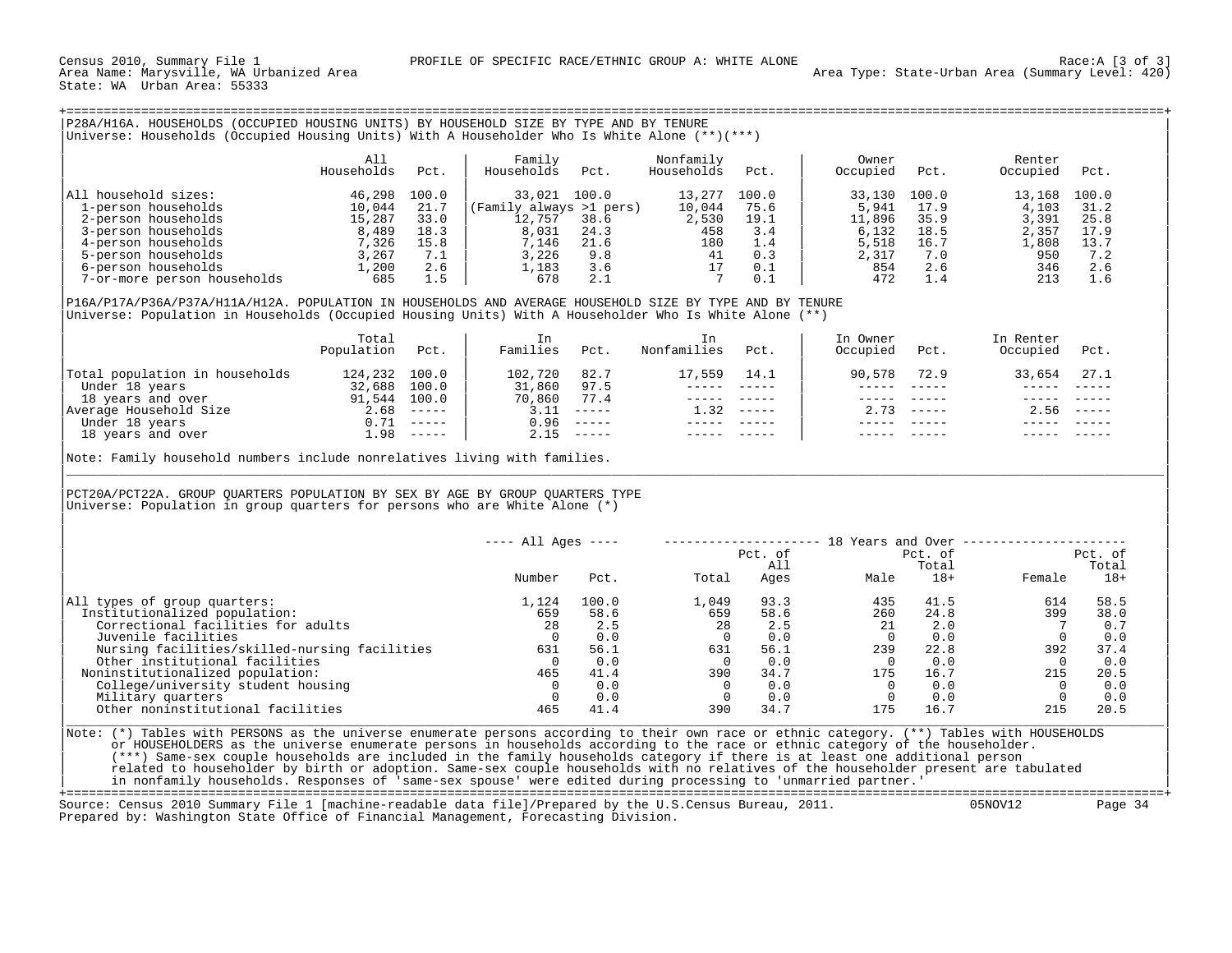| P28A/H16A<br>HOUSEHOLDS (OCCUPIED HOUSING UNITS) BY HOUSEHOLD SIZE BY TYPE AND BY TENURE           |  |
|----------------------------------------------------------------------------------------------------|--|
|                                                                                                    |  |
| Households (Occupied Housing Units) With A Householder Who Is White Alone $(**)(***)$<br>Universe. |  |

|                             | All<br>Households | Pct.  | Family<br>Households<br>Pct. | Nonfamily<br>Households | Pct.  | Owner<br>Occupied | Pct.  | Renter<br>Occupied | Pct.  |
|-----------------------------|-------------------|-------|------------------------------|-------------------------|-------|-------------------|-------|--------------------|-------|
| All household sizes:        | 46,298            | 100.0 | 33,021<br>100.0              | 13,277                  | 100.0 | 33,130            | 100.0 | 13,168             | 100.0 |
| 1-person households         | 10,044            | 21.7  | (Family always >1 pers)      | 10,044                  | 75.6  | 5,941             | 17.9  | 4,103              | 31.2  |
| 2-person households         | 15,287            | 33.0  | 12,757<br>38.6               | 2,530                   | 19.1  | 11,896            | 35.9  | 3,391              | 25.8  |
| 3-person households         | 8,489             | 18.3  | 8,031<br>24.3                | 458                     | 3.4   | 6,132             | 18.5  | 2,357              | 17.9  |
| 4-person households         | 7,326             | 15.8  | 7,146<br>21.6                | 180                     | 1.4   | 5,518             | 16.7  | .,808              | 13.7  |
| 5-person households         | 3,267             | 7.1   | 3,226<br>9.8                 | 41                      | 0.3   | 2,317             | 7.0   | 950                | 7.2   |
| 6-person households         | 1,200             | 2.6   | 1,183<br>3.6                 |                         | 0.1   | 854               | 2.6   | 346                | 2.6   |
| 7-or-more person households | 685               |       | 2.1<br>678                   |                         |       | 472               |       | 213                | 1.6   |

| | |P16A/P17A/P36A/P37A/H11A/H12A. POPULATION IN HOUSEHOLDS AND AVERAGE HOUSEHOLD SIZE BY TYPE AND BY TENURE | |Universe: Population in Households (Occupied Housing Units) With A Householder Who Is White Alone (\*\*) |

|                                | Total<br>Population | Pct.                      | In<br>Families | Pct.                          | Nonfamilies | Pct.          | In Owner<br>Occupied | Pct. | In Renter<br>Occupied | Pct.                        |
|--------------------------------|---------------------|---------------------------|----------------|-------------------------------|-------------|---------------|----------------------|------|-----------------------|-----------------------------|
| Total population in households | 124,232             | 100.0                     | 102,720        | 82.7                          | 17,559      | 14.1          | 90,578               | 72.9 | 33,654                | 27.1                        |
| Under 18 years                 | 32,688              | 100.0                     | 31,860         | 97.5                          |             |               |                      |      |                       |                             |
| 18 years and over              | 91,544              | 100.0                     | 70,860         | 77.4                          |             |               |                      |      |                       |                             |
| Average Household Size         | 2.68                |                           | 3.11           | $- - - - - -$                 | 1.32        | $- - - - - -$ | 2.73                 |      | 2.56                  | $\qquad \qquad - - - - - -$ |
| Under 18 years                 | 0.71                | $- - - - - -$             | 0.96           | $- - - - - -$                 |             |               |                      |      |                       |                             |
| 18 years and over              | 1.98                | $\qquad \qquad - - - - -$ | 2.15           | $\cdots \cdots \cdots \cdots$ |             |               |                      |      |                       |                             |
|                                |                     |                           |                |                               |             |               |                      |      |                       |                             |

Note: Family household numbers include nonrelatives living with families.

| | |PCT20A/PCT22A. GROUP QUARTERS POPULATION BY SEX BY AGE BY GROUP QUARTERS TYPE | Universe: Population in group quarters for persons who are White Alone  $(*)$ 

| $---$ All Ages $---$                                                |         | 18 Years and Over |         |        |         |
|---------------------------------------------------------------------|---------|-------------------|---------|--------|---------|
|                                                                     | Pct. of |                   | Pct. of |        | Pct. of |
|                                                                     | All     |                   | Total   |        | Total   |
| Number<br>Total<br>Pct.                                             | Ages    | Male              | $18+$   | Female | $18+$   |
| 100.0<br>1,124<br>1,049<br>All types of group quarters:             | 93.3    | 435               | 41.5    | 614    | 58.5    |
| 659<br>Institutionalized population:<br>58.6<br>659                 | 58.6    | 260               | 24.8    | 399    | 38.0    |
| Correctional facilities for adults<br>28<br>28<br>2.5               | 2.5     | 21                | 2.0     |        | 0.7     |
| Juvenile facilities<br>0.0                                          | 0.0     |                   | 0.0     |        | 0.0     |
| 56.1<br>631<br>Nursing facilities/skilled-nursing facilities<br>631 | 56.1    | 239               | 22.8    | 392    | 37.4    |
| Other institutional facilities<br>0.0                               | 0.0     |                   | 0.0     |        | 0.0     |
| 41.4<br>390<br>Noninstitutionalized population:<br>465              | 34.7    | 175               | 16.7    | 215    | 20.5    |
| College/university student housing<br>0.0                           | 0.0     |                   | 0.0     |        | 0.0     |
| 0.0<br>Military quarters                                            | 0.0     |                   | 0.0     |        | 0.0     |
| Other noninstitutional facilities<br>41.4<br>390<br>465             | 34.7    | 175               | 16.7    | 215    | 20.5    |
|                                                                     |         |                   |         |        |         |

|\_\_\_\_\_\_\_\_\_\_\_\_\_\_\_\_\_\_\_\_\_\_\_\_\_\_\_\_\_\_\_\_\_\_\_\_\_\_\_\_\_\_\_\_\_\_\_\_\_\_\_\_\_\_\_\_\_\_\_\_\_\_\_\_\_\_\_\_\_\_\_\_\_\_\_\_\_\_\_\_\_\_\_\_\_\_\_\_\_\_\_\_\_\_\_\_\_\_\_\_\_\_\_\_\_\_\_\_\_\_\_\_\_\_\_\_\_\_\_\_\_\_\_\_\_\_\_\_\_\_\_\_\_\_\_\_\_\_\_\_\_\_\_\_\_\_\_|

| |

Note: (\*) Tables with PERSONS as the universe enumerate persons according to their own race or ethnic category. (\*\*) Tables with HOUSEHOLDS or HOUSEHOLDERS as the universe enumerate persons in households according to the race or ethnic category of the householder. | (\*\*\*) Same-sex couple households are included in the family households category if there is at least one additional person | related to householder by birth or adoption. Same-sex couple households with no relatives of the householder present are tabulated | in nonfamily households. Responses of 'same-sex spouse' were edited during processing to 'unmarried partner.' |

+===================================================================================================================================================+ Source: Census 2010 Summary File 1 [machine-readable data file]/Prepared by the U.S.Census Bureau, 2011. Prepared by: Washington State Office of Financial Management, Forecasting Division.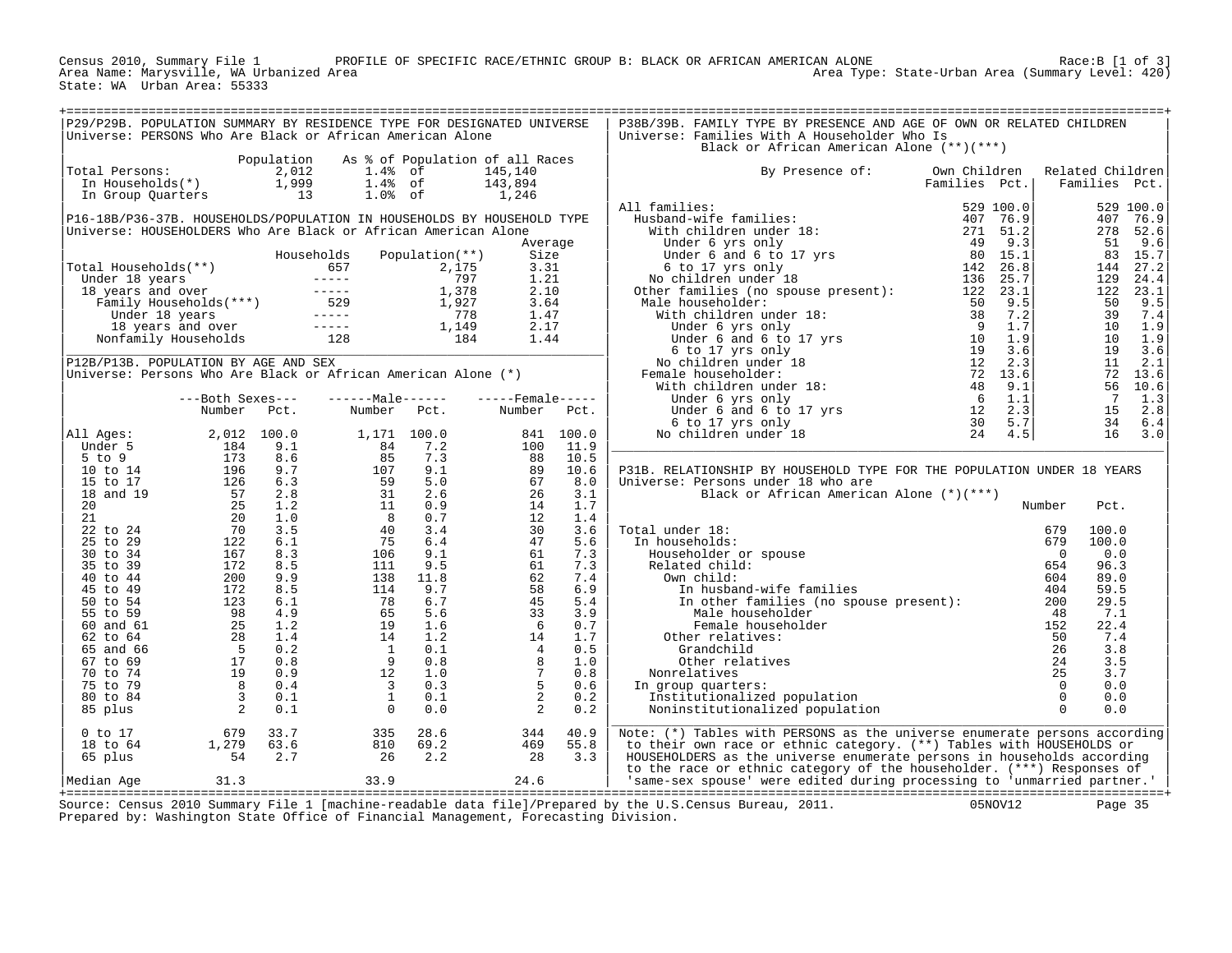PROFILE OF SPECIFIC RACE/ETHNIC GROUP B: BLACK OR AFRICAN AMERICAN ALONE RACE:B [1 of 3] Area Type: State-Urban Area (Summary Level: 420) Census 2010, Summary File 1 PROF<br>Area Name: Marysville, WA Urbanized Area<br>State: WA Urban Area: 55333

| P29/P29B. POPULATION SUMMARY BY RESIDENCE TYPE FOR DESIGNATED UNIVERSE<br>Universe: PERSONS Who Are Black or African American Alone                                                                                                                         |                                            |                                                                                                                                                                                                                                                                                    |                                                                                                                                                                                                                                                                                     |                     | P38B/39B. FAMILY TYPE BY PRESENCE AND AGE OF OWN OR RELATED CHILDREN<br>Universe: Families With A Householder Who Is<br>Black or African American Alone (**)(***)                                                                                                                                                                                                                                       |               |                                              |                                        |
|-------------------------------------------------------------------------------------------------------------------------------------------------------------------------------------------------------------------------------------------------------------|--------------------------------------------|------------------------------------------------------------------------------------------------------------------------------------------------------------------------------------------------------------------------------------------------------------------------------------|-------------------------------------------------------------------------------------------------------------------------------------------------------------------------------------------------------------------------------------------------------------------------------------|---------------------|---------------------------------------------------------------------------------------------------------------------------------------------------------------------------------------------------------------------------------------------------------------------------------------------------------------------------------------------------------------------------------------------------------|---------------|----------------------------------------------|----------------------------------------|
| otal Persons: $\begin{array}{cccc} 2,012 & 1.48 & \text{of} \\ \text{In Households(*)} & 1,999 & 1.48 & \text{of} \\ \text{In Group Quarters} & 13 & 1.08 & \text{of} \\ \end{array}$<br>Total Persons:                                                     | Population As % of Population of all Races |                                                                                                                                                                                                                                                                                    | 145,140<br>$143,894$<br>$1,246$                                                                                                                                                                                                                                                     |                     | By Presence of:<br>Own Children                                                                                                                                                                                                                                                                                                                                                                         | Families Pct. | Related Children                             | Families Pct.                          |
| P16-18B/P36-37B. HOUSEHOLDS/POPULATION IN HOUSEHOLDS BY HOUSEHOLD TYPE<br>Universe: HOUSEHOLDERS Who Are Black or African American Alone                                                                                                                    | Households                                 | Population(**)                                                                                                                                                                                                                                                                     | Average<br>Size                                                                                                                                                                                                                                                                     |                     |                                                                                                                                                                                                                                                                                                                                                                                                         |               |                                              |                                        |
| Total Households (**)<br>Total Households (**)<br>Under 18 years<br>18 years and over<br>Family Households (***)<br>Total Muder 18 years<br>18 years and over<br>Tamily Households<br>Ther 18 years and over<br>1977 1.21<br>1,927 3.64<br>Under 18         |                                            |                                                                                                                                                                                                                                                                                    |                                                                                                                                                                                                                                                                                     |                     | $\begin{tabular}{l c c c c c} \multicolumn{4}{c c c c} \multicolumn{4}{c c c} \multicolumn{4}{c c c} \multicolumn{4}{c c c} \multicolumn{4}{c c c} \multicolumn{4}{c c c} \multicolumn{4}{c c c} \multicolumn{4}{c c c} \multicolumn{4}{c c c} \multicolumn{4}{c c c} \multicolumn{4}{c c c} \multicolumn{4}{c c c} \multicolumn{4}{c c c} \multicolumn{4}{c c c} \multicolumn{4}{c c c} \multicolumn{$ |               |                                              |                                        |
| P12B/P13B. POPULATION BY AGE AND SEX<br>Universe: Persons Who Are Black or African American Alone (*)<br>---Both Sexes---<br>Number Pct.                                                                                                                    |                                            | ------Male------<br>Number Pct.                                                                                                                                                                                                                                                    | $---$ Female -----<br>Number Pct.                                                                                                                                                                                                                                                   |                     |                                                                                                                                                                                                                                                                                                                                                                                                         |               |                                              |                                        |
| All Ages:                                                                                                                                                                                                                                                   |                                            |                                                                                                                                                                                                                                                                                    |                                                                                                                                                                                                                                                                                     |                     | P31B. RELATIONSHIP BY HOUSEHOLD TYPE FOR THE POPULATION UNDER 18 YEARS<br>Universe: Persons under 18 who are                                                                                                                                                                                                                                                                                            |               |                                              |                                        |
|                                                                                                                                                                                                                                                             |                                            |                                                                                                                                                                                                                                                                                    |                                                                                                                                                                                                                                                                                     |                     | Black or African American Alone (*)(***)<br>Total under 18:                                                                                                                                                                                                                                                                                                                                             |               | Number<br>679<br>100.0                       | Pct.                                   |
|                                                                                                                                                                                                                                                             |                                            |                                                                                                                                                                                                                                                                                    |                                                                                                                                                                                                                                                                                     |                     | al under 18:<br>n households:<br>Householder or spouse<br>Related child:<br>Own child:<br>In husband-wife families<br>In households:                                                                                                                                                                                                                                                                    |               | 679<br>100.0<br>$\overline{0}$<br>654<br>604 | 0.0<br>96.3<br>89.0                    |
|                                                                                                                                                                                                                                                             |                                            |                                                                                                                                                                                                                                                                                    |                                                                                                                                                                                                                                                                                     |                     | In the families (no spouse present): 200<br>Other relatives:                                                                                                                                                                                                                                                                                                                                            |               | 404                                          | 59.5<br>29.5<br>7.1<br>22.4<br>7.4     |
| Null Ages: 2, 012 100.0<br>Under 5<br>10 to 14 196 9.7<br>10 to 14 196 9.7<br>10 to 14 196 9.7<br>10 57 2.8<br>20 25 1.2<br>20 26 1.2<br>20 1.0<br>21 22 55 6 24 70 3.5<br>35 to 29 122 6.1<br>35 to 39 172 8.5<br>40 to 44 200 9.9<br>40 to 44 200 9.9<br> |                                            | 1,171 100.0<br>84 7.2<br>107 9.1<br>59 5.0<br>107 9.1<br>59 5.0<br>11 0.9<br>8 0.7<br>40 3.4<br>76 6.4<br>75 6.4<br>106 9.1<br>111 9.5<br>138 11.8<br>77 6.7<br>59 5.0<br>106 9.1<br>111 9.5<br>138 11.8<br>77 6.7<br>59 1.8<br>11.9<br>77 6.7<br>59 1.6<br>106 7.7<br>59 1.8<br>1 | Number FCC:<br>841 100.0<br>100 11.9<br>88 10.5<br>89 10.6<br>89 10.6<br>26 3.1<br>14 1.7<br>12 1.4<br>30 3.6<br>47 5.6<br>61 7.3<br>62 7.4<br>56 6.9<br>45 5.9<br>45 5.9<br>45 5.9<br>41 1.7<br>4 1.7<br>4 1.7<br>4 1.1<br>4 1.1<br>4 1.1<br>4 1.1<br>4 1.1<br>4 1.1<br>4 1.1<br>4 |                     | Male householder<br>Male householder<br>Female householder<br>Female householder<br>Ther relatives:<br>Grandchild<br>26<br>Other relatives<br>225<br>relatives<br>oup quarters:<br>Litutionalized population<br>institutionalized population<br>0<br>0<br>Nonrelatives<br>In group quarters:<br>Institutionalized population                                                                            |               |                                              | 3.8<br>3.5<br>3.7<br>0.0<br>0.0<br>0.0 |
| $1,279$ $83.7$<br>$1,279$ $63.6$<br>$54$ $2.7$<br>$0$ to $17$<br>18 to 64<br>65 plus                                                                                                                                                                        |                                            | $\begin{array}{rr} 335 & 28.6 \\ 810 & 69.2 \\ 26 & 2.2 \end{array}$                                                                                                                                                                                                               | $344$<br>$469$<br>28                                                                                                                                                                                                                                                                | 40.9<br>55.8<br>3.3 | Noninstitutionalized population<br>Note: (*) Tables with PERSONS as the universe enumerate persons according<br>to their own race or ethnic category. (**) Tables with HOUSEHOLDS or<br>HOUSEHOLDERS as the universe enumerate persons in households according<br>to the race or ethnic category of the householder. (***) Responses of                                                                 |               |                                              |                                        |
| 31.3<br>Median Age                                                                                                                                                                                                                                          | 33.9 24.6                                  |                                                                                                                                                                                                                                                                                    |                                                                                                                                                                                                                                                                                     |                     | same-sex spouse' were edited during processing to 'unmarried partner.'<br>$0.910 \times 10^{-10}$ at $1 \times 10^{-1}$ and $1/\pi$ and $1/\pi$ and $1/\pi$ and $1/\pi$ and $1/\pi$ and $1/\pi$                                                                                                                                                                                                         |               |                                              |                                        |

+===================================================================================================================================================+ Source: Census 2010 Summary File 1 [machine-readable data file]/Prepared by the U.S.Census Bureau, 2011. 05NOV12 Page 35 Prepared by: Washington State Office of Financial Management, Forecasting Division.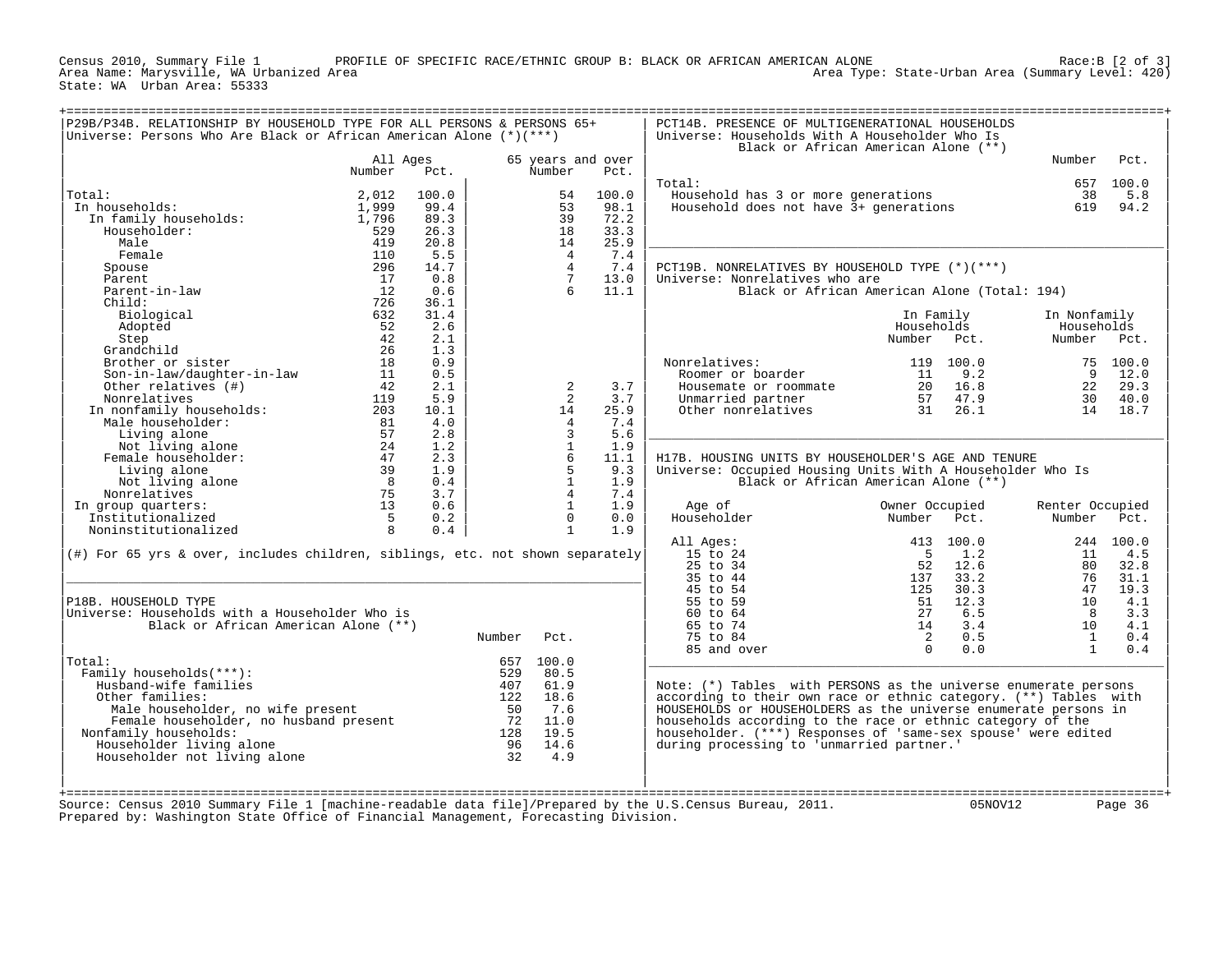PROFILE OF SPECIFIC RACE/ETHNIC GROUP B: BLACK OR AFRICAN AMERICAN ALONE CAN ALONE<br>Area Type: State-Urban Area (Summary Level: 420) State: WA Urban Area: 55333

| P29B/P34B. RELATIONSHIP BY HOUSEHOLD TYPE FOR ALL PERSONS & PERSONS 65+<br>Universe: Persons Who Are Black or African American Alone (*)(***) |                |              |        |                                  |                   | PCT14B. PRESENCE OF MULTIGENERATIONAL HOUSEHOLDS<br>Universe: Households With A Householder Who Is<br>Black or African American Alone (**) |                |           |                           |           |
|-----------------------------------------------------------------------------------------------------------------------------------------------|----------------|--------------|--------|----------------------------------|-------------------|--------------------------------------------------------------------------------------------------------------------------------------------|----------------|-----------|---------------------------|-----------|
|                                                                                                                                               | All Ages       |              |        |                                  | 65 years and over |                                                                                                                                            |                |           | Number                    | Pct.      |
|                                                                                                                                               | Number         | Pct.         |        | Number                           | Pct.              |                                                                                                                                            |                |           |                           |           |
|                                                                                                                                               |                |              |        |                                  |                   | Total:                                                                                                                                     |                |           | 657                       | 100.0     |
| Total:                                                                                                                                        | 2,012          | 100.0        |        | 54                               | 100.0             | Household has 3 or more generations                                                                                                        |                |           | 38                        | 5.8       |
| In households:                                                                                                                                | 1,999          | 99.4<br>89.3 |        | 53<br>39                         | 98.1<br>72.2      | Household does not have 3+ generations                                                                                                     |                |           | 619                       | 94.2      |
| In family households:<br>Householder:                                                                                                         | 1,796<br>529   | 26.3         |        | 18                               | 33.3              |                                                                                                                                            |                |           |                           |           |
| Male                                                                                                                                          | 419            | 20.8         |        | 14                               | 25.9              |                                                                                                                                            |                |           |                           |           |
| Female                                                                                                                                        | 110            | 5.5          |        | $\overline{4}$                   | 7.4               |                                                                                                                                            |                |           |                           |           |
| Spouse                                                                                                                                        | 296            | 14.7         |        | $\overline{4}$                   | 7.4               | PCT19B. NONRELATIVES BY HOUSEHOLD TYPE (*)(***)                                                                                            |                |           |                           |           |
| Parent                                                                                                                                        | 17             | 0.8          |        | $7\overline{ }$                  | 13.0              | Universe: Nonrelatives who are                                                                                                             |                |           |                           |           |
| Parent-in-law                                                                                                                                 | 12             | 0.6          |        | 6                                | 11.1              | Black or African American Alone (Total: 194)                                                                                               |                |           |                           |           |
| Child:                                                                                                                                        | 726            | 36.1         |        |                                  |                   |                                                                                                                                            |                |           |                           |           |
| Biological                                                                                                                                    | 632            | 31.4         |        |                                  |                   |                                                                                                                                            | In Family      |           | In Nonfamily              |           |
| Adopted                                                                                                                                       | 52             | 2.6          |        |                                  |                   |                                                                                                                                            | Households     |           | Households                |           |
| Step                                                                                                                                          | 42             | 2.1          |        |                                  |                   |                                                                                                                                            | Number         | Pct.      | Number Pct.               |           |
| Grandchild                                                                                                                                    | 26             | 1.3          |        |                                  |                   |                                                                                                                                            |                |           |                           |           |
| Brother or sister                                                                                                                             | 18             | 0.9          |        |                                  |                   | Nonrelatives:                                                                                                                              | 119            | 100.0     |                           | 75 100.0  |
| Son-in-law/daughter-in-law                                                                                                                    | 11             | 0.5          |        |                                  |                   | Roomer or boarder                                                                                                                          | 11             | 9.2       | 9                         | 12.0      |
| Other relatives (#)                                                                                                                           | 42             | 2.1          |        | 2                                | 3.7               | Housemate or roommate                                                                                                                      | 20             | 16.8      | 22                        | 29.3      |
| Nonrelatives                                                                                                                                  | 119            | 5.9          |        | 2                                | 3.7               | Unmarried partner                                                                                                                          | 57             | 47.9      | 30                        | 40.0      |
| In nonfamily households:                                                                                                                      | 203            | 10.1         |        | 14                               | 25.9              | Other nonrelatives                                                                                                                         | 31             | 26.1      | 14                        | 18.7      |
| Male householder:                                                                                                                             | 81             | 4.0          |        | $\overline{4}$                   | 7.4               |                                                                                                                                            |                |           |                           |           |
| Living alone                                                                                                                                  | 57             | 2.8          |        | $\overline{3}$                   | 5.6               |                                                                                                                                            |                |           |                           |           |
| Not living alone                                                                                                                              | 24             | 1.2          |        | $\mathbf{1}$                     | 1.9               |                                                                                                                                            |                |           |                           |           |
| Female householder:                                                                                                                           | 47             | 2.3          |        | 6                                | 11.1              | H17B. HOUSING UNITS BY HOUSEHOLDER'S AGE AND TENURE                                                                                        |                |           |                           |           |
| Living alone                                                                                                                                  | 39             | 1.9          |        | 5                                | 9.3               | Universe: Occupied Housing Units With A Householder Who Is                                                                                 |                |           |                           |           |
| Not living alone                                                                                                                              | 8 <sup>8</sup> | 0.4          |        | $\overline{1}$<br>$\overline{4}$ | 1.9               | Black or African American Alone (**)                                                                                                       |                |           |                           |           |
| Nonrelatives                                                                                                                                  | 75             | 3.7          |        |                                  | 7.4               |                                                                                                                                            |                |           |                           |           |
| In group quarters:                                                                                                                            | 13             | 0.6          |        | $\mathbf{1}$<br>$\Omega$         | 1.9               | Age of                                                                                                                                     | Owner Occupied | Pct.      | Renter Occupied<br>Number | Pct.      |
| Institutionalized<br>Noninstitutionalized                                                                                                     | 5<br>8         | 0.2<br>0.4   |        | $\mathbf{1}$                     | 0.0<br>1.9        | Householder                                                                                                                                | Number         |           |                           |           |
|                                                                                                                                               |                |              |        |                                  |                   | All Ages:                                                                                                                                  |                | 413 100.0 |                           | 244 100.0 |
| $(\#)$ For 65 yrs & over, includes children, siblings, etc. not shown separately                                                              |                |              |        |                                  |                   | 15 to 24                                                                                                                                   | - 5            | 1.2       | 11                        | 4.5       |
|                                                                                                                                               |                |              |        |                                  |                   | 25 to 34                                                                                                                                   | 52             | 12.6      | 80                        | 32.8      |
|                                                                                                                                               |                |              |        |                                  |                   | 35 to 44                                                                                                                                   | 137            | 33.2      | 76                        | 31.1      |
|                                                                                                                                               |                |              |        |                                  |                   | 45 to 54                                                                                                                                   | 125            | 30.3      | 47                        | 19.3      |
| P18B. HOUSEHOLD TYPE                                                                                                                          |                |              |        |                                  |                   | 55 to 59                                                                                                                                   | 51             | 12.3      | 10                        | 4.1       |
| Universe: Households with a Householder Who is                                                                                                |                |              |        |                                  |                   | 60 to 64                                                                                                                                   | 27             | 6.5       | 8                         | 3.3       |
| Black or African American Alone (**)                                                                                                          |                |              |        |                                  |                   | 65 to 74                                                                                                                                   | 14             | 3.4       | 10                        | 4.1       |
|                                                                                                                                               |                |              | Number | Pct.                             |                   | 75 to 84                                                                                                                                   | 2              | 0.5       | <sup>1</sup>              | 0.4       |
|                                                                                                                                               |                |              |        |                                  |                   | 85 and over                                                                                                                                | $\Omega$       | 0.0       | $\overline{1}$            | 0.4       |
| Total:                                                                                                                                        |                |              |        | 657 100.0                        |                   |                                                                                                                                            |                |           |                           |           |
| Family households(***):                                                                                                                       |                |              | 529    | 80.5                             |                   |                                                                                                                                            |                |           |                           |           |
| Husband-wife families                                                                                                                         |                |              | 407    | 61.9                             |                   | Note: $(*)$ Tables with PERSONS as the universe enumerate persons                                                                          |                |           |                           |           |
| Other families:                                                                                                                               |                |              | 122    | 18.6                             |                   | according to their own race or ethnic category. (**) Tables with                                                                           |                |           |                           |           |
| Male householder, no wife present                                                                                                             |                |              | 50     | 7.6                              |                   | HOUSEHOLDS or HOUSEHOLDERS as the universe enumerate persons in                                                                            |                |           |                           |           |
| Female householder, no husband present                                                                                                        |                |              | 72     | 11.0                             |                   | households according to the race or ethnic category of the                                                                                 |                |           |                           |           |
| Nonfamily households:                                                                                                                         |                |              | 128    | 19.5                             |                   | householder. (***) Responses of 'same-sex spouse' were edited                                                                              |                |           |                           |           |
| Householder living alone                                                                                                                      |                |              | 96     | 14.6                             |                   | during processing to 'unmarried partner.'                                                                                                  |                |           |                           |           |
| Householder not living alone                                                                                                                  |                |              | 32     | 4.9                              |                   |                                                                                                                                            |                |           |                           |           |
|                                                                                                                                               |                |              |        |                                  |                   |                                                                                                                                            |                |           |                           |           |
|                                                                                                                                               |                |              |        |                                  |                   |                                                                                                                                            |                |           |                           |           |
| Source: Census 2010 Summary File 1 [machine-readable data file]/Prepared by the U.S.Census Bureau, 2011.                                      |                |              |        |                                  |                   |                                                                                                                                            |                | 05NOV12   |                           | Page 36   |
| Prepared by: Washington State Office of Financial Management, Forecasting Division.                                                           |                |              |        |                                  |                   |                                                                                                                                            |                |           |                           |           |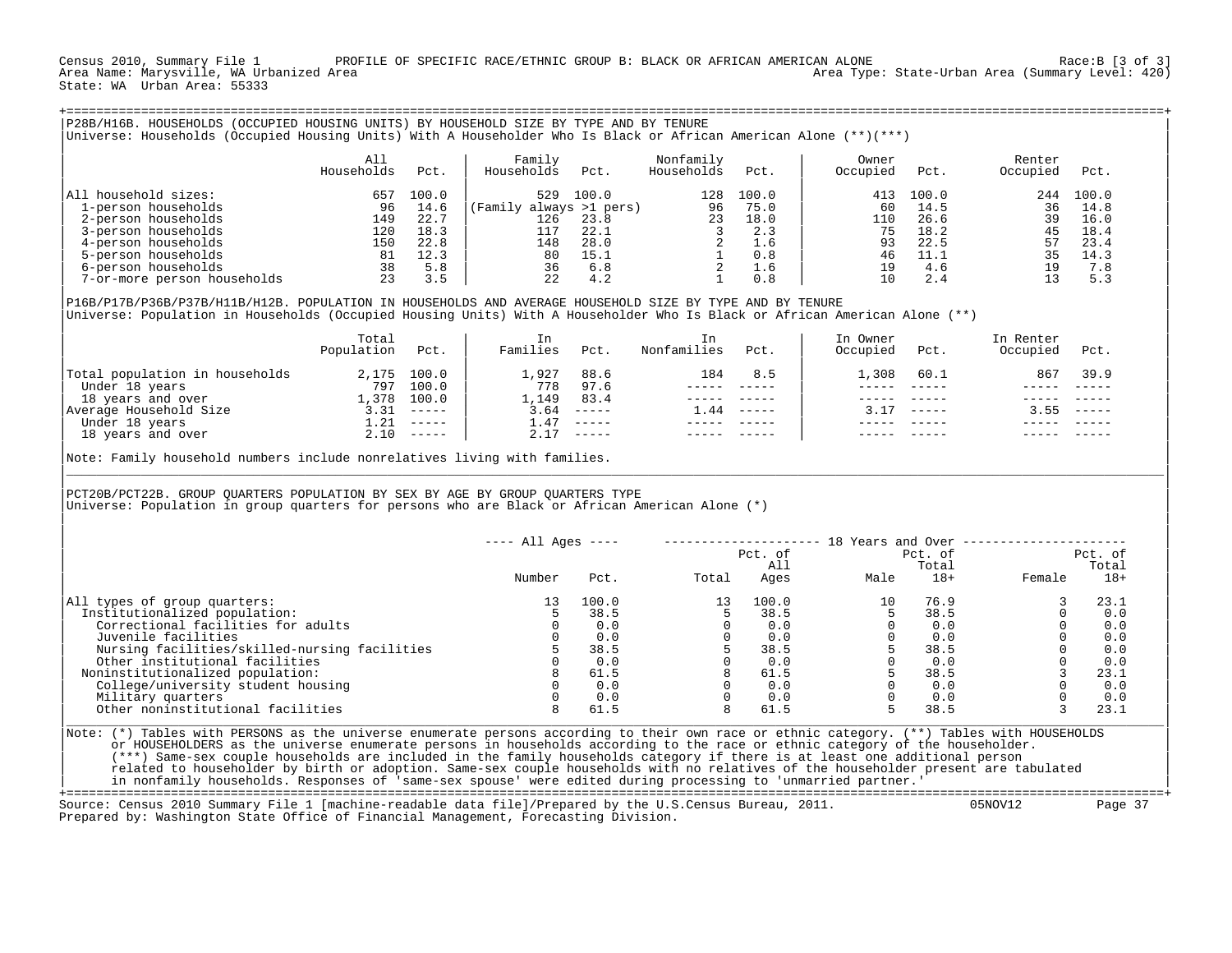Census 2010, Summary File 1 PROFILE OF SPECIFIC RACE/ETHNIC GROUP B: BLACK OR AFRICAN AMERICAN ALONE Race:B [3 of 3]<br>Area Name: Marysville, WA Urbanized Area Area Type: State-Urban Area (Summary Level: 420) State: WA Urban Area: 55333

|                             | All<br>Households | Pct.  | Family<br>Households    | Pct.  | Nonfamily<br>Households | Pct.  | Owner<br>Occupied | Pct.  | Renter<br>Occupied | Pct.  |
|-----------------------------|-------------------|-------|-------------------------|-------|-------------------------|-------|-------------------|-------|--------------------|-------|
| All household sizes:        | 657               | 100.0 | 529                     | 100.0 | 128                     | 100.0 | 413               | 100.0 | 244                | 100.0 |
| 1-person households         | 96                | 14.6  | (Family always >1 pers) |       | 96                      | 75.0  | 60                | 14.5  | 36                 | 14.8  |
| 2-person households         | 149               | 22.7  | 126                     | 23.8  | 23                      | 18.0  | 110               | 26.6  | 39                 | 16.0  |
| 3-person households         | 120               | 18.3  | 117                     | 22.1  |                         | 2.3   | 75                | 18.2  | 45                 | 18.4  |
| 4-person households         | 150               | 22.8  | 148                     | 28.0  |                         | 1.6   | 93                | 22.5  | 57                 | 23.4  |
| 5-person households         | 81                | 12.3  | 80                      | 15.1  |                         | 0.8   | 46                | 11.1  | 35                 | 14.3  |
| 6-person households         | 38                | 5.8   | 36                      | 6.8   | $\overline{2}$          | 1.6   | 19                | 4.6   | 19                 | 7.8   |
| 7-or-more person households | 23                | 3.5   | 2.2                     | 4.2   |                         | 0.8   | 10                | 2.4   | 13                 | 5.3   |

|       |                             | ----------           | ----          | -------------- |        |        |      |        |  |
|-------|-----------------------------|----------------------|---------------|----------------|--------|--------|------|--------|--|
|       |                             | .927                 | 88.6          | 184            | 8.5    | 60.⊥   | 867  | 39.9   |  |
| 797   |                             | 778                  | 97.6          |                |        |        |      |        |  |
| .378  | 100.0                       | ,149                 | 83.4          |                |        |        |      |        |  |
| $-31$ | ------                      | .64                  | $- - - - - -$ | .44            | ------ | ------ | 3.55 | ------ |  |
|       | $- - - - - -$               | .47                  | $\frac{1}{2}$ |                |        |        |      |        |  |
| 2.10  | $\qquad \qquad - - - - - -$ | 2.17                 | $- - - - - -$ |                |        |        |      |        |  |
|       |                             |                      |               |                |        |        |      |        |  |
|       |                             | 2,175 100.0<br>100.0 |               |                |        | ⊥,308  |      |        |  |

Note: Family household numbers include nonrelatives living with families. |\_\_\_\_\_\_\_\_\_\_\_\_\_\_\_\_\_\_\_\_\_\_\_\_\_\_\_\_\_\_\_\_\_\_\_\_\_\_\_\_\_\_\_\_\_\_\_\_\_\_\_\_\_\_\_\_\_\_\_\_\_\_\_\_\_\_\_\_\_\_\_\_\_\_\_\_\_\_\_\_\_\_\_\_\_\_\_\_\_\_\_\_\_\_\_\_\_\_\_\_\_\_\_\_\_\_\_\_\_\_\_\_\_\_\_\_\_\_\_\_\_\_\_\_\_\_\_\_\_\_\_\_\_\_\_\_\_\_\_\_\_\_\_\_\_\_\_|

| | |PCT20B/PCT22B. GROUP QUARTERS POPULATION BY SEX BY AGE BY GROUP QUARTERS TYPE | Universe: Population in group quarters for persons who are Black or African American Alone (\*)

|                                               | $--- All Ages ---$ |       |       | Pct. of     | 18 Years and Over | Pct. of        | Pct. of |                |  |
|-----------------------------------------------|--------------------|-------|-------|-------------|-------------------|----------------|---------|----------------|--|
|                                               | Number             | Pct.  | Total | All<br>Ages | Male              | Total<br>$18+$ | Female  | Total<br>$18+$ |  |
|                                               |                    |       |       |             |                   |                |         |                |  |
| All types of group quarters:                  |                    | 100.0 | 13    | 100.0       | 10                | 76.9           |         | 23.1           |  |
| Institutionalized population:                 |                    | 38.5  |       | 38.5        |                   | 38.5           |         | 0.0            |  |
| Correctional facilities for adults            |                    | 0.0   |       | 0.0         |                   | 0.0            |         | 0.0            |  |
| Juvenile facilities                           |                    | 0.0   |       | 0.0         |                   | 0.0            |         | 0.0            |  |
| Nursing facilities/skilled-nursing facilities |                    | 38.5  |       | 38.5        |                   | 38.5           |         | 0.0            |  |
| Other institutional facilities                |                    | 0.0   |       | 0.0         |                   | 0.0            |         | 0.0            |  |
| Noninstitutionalized population:              |                    | 61.5  |       | 61.5        |                   | 38.5           |         | 23.1           |  |
| College/university student housing            |                    | 0.0   |       | 0.0         |                   | 0.0            |         | 0.0            |  |
| Military quarters                             |                    | 0.0   |       | 0.0         |                   | 0.0            |         | 0.0            |  |
| Other noninstitutional facilities             |                    | 61.5  |       | 61.5        |                   | 38.5           |         | 23.1           |  |

| |

Note: (\*) Tables with PERSONS as the universe enumerate persons according to their own race or ethnic category. (\*\*) Tables with HOUSEHOLDS or HOUSEHOLDERS as the universe enumerate persons in households according to the race or ethnic category of the householder. | (\*\*\*) Same-sex couple households are included in the family households category if there is at least one additional person | related to householder by birth or adoption. Same-sex couple households with no relatives of the householder present are tabulated | in nonfamily households. Responses of 'same-sex spouse' were edited during processing to 'unmarried partner.' |

+===================================================================================================================================================+ Source: Census 2010 Summary File 1 [machine-readable data file]/Prepared by the U.S.Census Bureau, 2011. Prepared by: Washington State Office of Financial Management, Forecasting Division.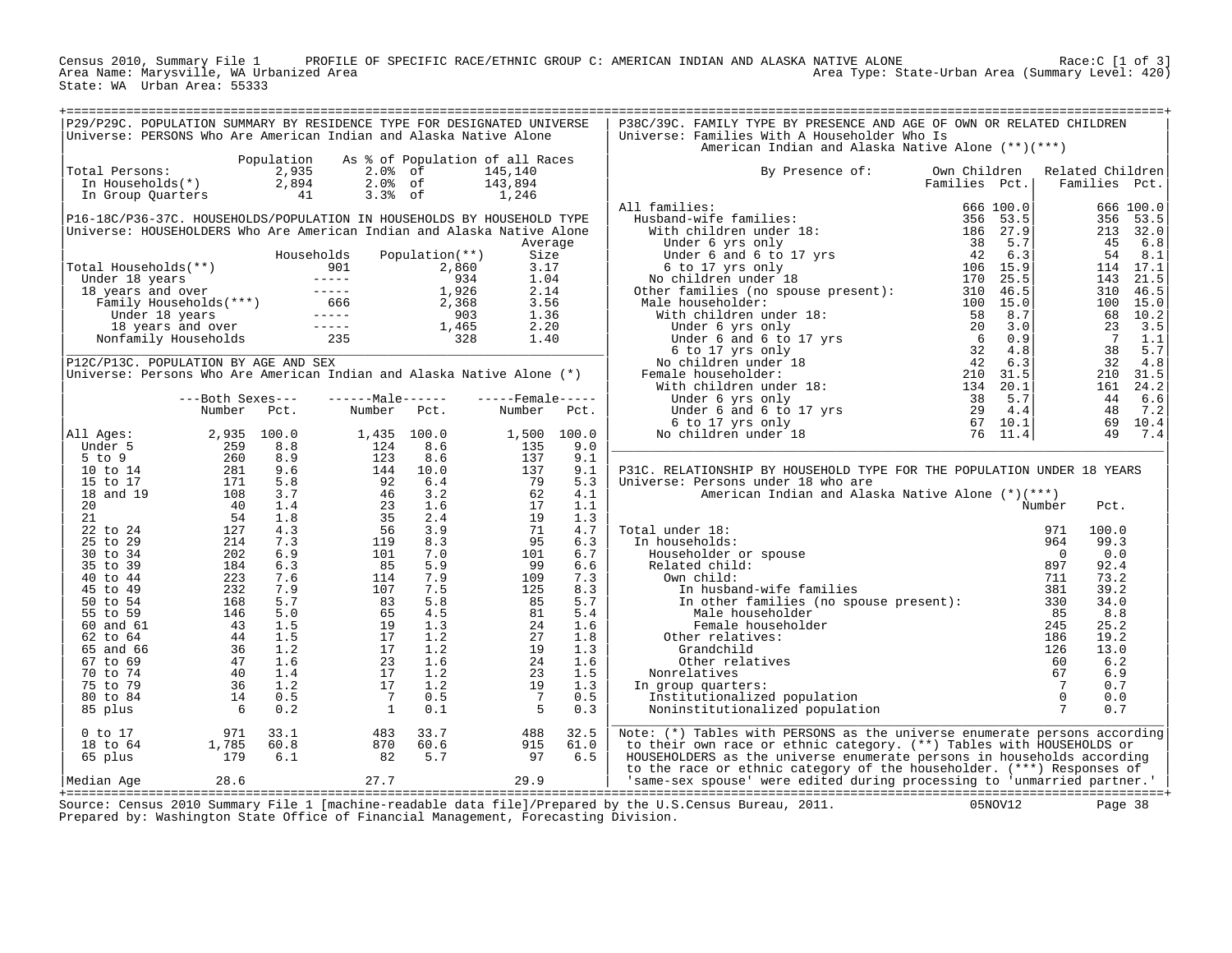Census 2010, Summary File 1 PROFILE OF SPECIFIC RACE/ETHNIC GROUP C: AMERICAN INDIAN AND ALASKA NATIVE ALONE Race:C [1 of 3] Area Name: Marysville, WA Urbanized Area Area Type: State-Urban Area (Summary Level: 420) State: WA Urban Area: 55333

| P29/P29C. POPULATION SUMMARY BY RESIDENCE TYPE FOR DESIGNATED UNIVERSE<br>Universe: PERSONS Who Are American Indian and Alaska Native Alone                                                                                                                  |                                             |            |                                                                                                                                                                                                                                                                                    |                                                                                          |             | P38C/39C. FAMILY TYPE BY PRESENCE AND AGE OF OWN OR RELATED CHILDREN<br>Universe: Families With A Householder Who Is                                                                                                                                   |                               |                       |                                   |  |
|--------------------------------------------------------------------------------------------------------------------------------------------------------------------------------------------------------------------------------------------------------------|---------------------------------------------|------------|------------------------------------------------------------------------------------------------------------------------------------------------------------------------------------------------------------------------------------------------------------------------------------|------------------------------------------------------------------------------------------|-------------|--------------------------------------------------------------------------------------------------------------------------------------------------------------------------------------------------------------------------------------------------------|-------------------------------|-----------------------|-----------------------------------|--|
|                                                                                                                                                                                                                                                              |                                             |            |                                                                                                                                                                                                                                                                                    |                                                                                          |             | American Indian and Alaska Native Alone (**)(***)                                                                                                                                                                                                      |                               |                       |                                   |  |
| otal Persons:<br>In Households(*) 2,935<br>In Group Quarters 41<br>Total Persons:                                                                                                                                                                            |                                             | Population | As % of Population of all Races<br>$2.0%$ of<br>$2.0%$ of<br>$3.3%$ of                                                                                                                                                                                                             | 145,140<br>$\frac{143,894}{1,246}$                                                       |             | By Presence of:                                                                                                                                                                                                                                        | Own Children<br>Families Pct. |                       | Related Children<br>Families Pct. |  |
|                                                                                                                                                                                                                                                              |                                             |            |                                                                                                                                                                                                                                                                                    |                                                                                          |             | All families:                                                                                                                                                                                                                                          |                               |                       |                                   |  |
| P16-18C/P36-37C. HOUSEHOLDS/POPULATION IN HOUSEHOLDS BY HOUSEHOLD TYPE                                                                                                                                                                                       |                                             |            |                                                                                                                                                                                                                                                                                    |                                                                                          |             |                                                                                                                                                                                                                                                        |                               |                       |                                   |  |
| Universe: HOUSEHOLDERS Who Are American Indian and Alaska Native Alone                                                                                                                                                                                       |                                             |            |                                                                                                                                                                                                                                                                                    |                                                                                          |             |                                                                                                                                                                                                                                                        |                               |                       |                                   |  |
|                                                                                                                                                                                                                                                              |                                             |            |                                                                                                                                                                                                                                                                                    | Average                                                                                  |             |                                                                                                                                                                                                                                                        |                               |                       |                                   |  |
|                                                                                                                                                                                                                                                              |                                             |            | Households Population(**)                                                                                                                                                                                                                                                          | Size                                                                                     |             |                                                                                                                                                                                                                                                        |                               |                       |                                   |  |
|                                                                                                                                                                                                                                                              |                                             |            |                                                                                                                                                                                                                                                                                    | 3.17                                                                                     |             |                                                                                                                                                                                                                                                        |                               |                       |                                   |  |
| Total Households (**)<br>Under 18 years<br>18 years and over<br>18 years and over<br>Family Households (***)<br>Under 18 years and over<br>1,926<br>Under 18 years and over<br>1,926<br>Under 18 years and over<br>1,926<br>2,368<br>Under 18 years an       |                                             |            |                                                                                                                                                                                                                                                                                    | 1.04<br>2.14                                                                             |             |                                                                                                                                                                                                                                                        |                               |                       |                                   |  |
|                                                                                                                                                                                                                                                              |                                             |            |                                                                                                                                                                                                                                                                                    | 3.56                                                                                     |             |                                                                                                                                                                                                                                                        |                               |                       |                                   |  |
|                                                                                                                                                                                                                                                              |                                             |            |                                                                                                                                                                                                                                                                                    | 1.36                                                                                     |             |                                                                                                                                                                                                                                                        |                               |                       |                                   |  |
|                                                                                                                                                                                                                                                              |                                             |            |                                                                                                                                                                                                                                                                                    | 2.20                                                                                     |             |                                                                                                                                                                                                                                                        |                               |                       |                                   |  |
|                                                                                                                                                                                                                                                              |                                             |            |                                                                                                                                                                                                                                                                                    | 1.40                                                                                     |             |                                                                                                                                                                                                                                                        |                               |                       |                                   |  |
|                                                                                                                                                                                                                                                              |                                             |            |                                                                                                                                                                                                                                                                                    |                                                                                          |             |                                                                                                                                                                                                                                                        |                               |                       |                                   |  |
| P12C/P13C. POPULATION BY AGE AND SEX                                                                                                                                                                                                                         |                                             |            |                                                                                                                                                                                                                                                                                    |                                                                                          |             |                                                                                                                                                                                                                                                        |                               |                       |                                   |  |
| Universe: Persons Who Are American Indian and Alaska Native Alone (*)                                                                                                                                                                                        |                                             |            |                                                                                                                                                                                                                                                                                    |                                                                                          |             |                                                                                                                                                                                                                                                        |                               |                       |                                   |  |
|                                                                                                                                                                                                                                                              |                                             |            |                                                                                                                                                                                                                                                                                    |                                                                                          |             |                                                                                                                                                                                                                                                        |                               |                       |                                   |  |
|                                                                                                                                                                                                                                                              | ---Both Sexes---                            |            | $----Maxe----$                                                                                                                                                                                                                                                                     | $---$ Female -----                                                                       |             |                                                                                                                                                                                                                                                        |                               |                       |                                   |  |
|                                                                                                                                                                                                                                                              | Number Pct.                                 |            | Number Pct.                                                                                                                                                                                                                                                                        | Number Pct.                                                                              |             |                                                                                                                                                                                                                                                        |                               |                       |                                   |  |
| All Ages:                                                                                                                                                                                                                                                    |                                             |            |                                                                                                                                                                                                                                                                                    |                                                                                          | 1,500 100.0 |                                                                                                                                                                                                                                                        |                               |                       |                                   |  |
|                                                                                                                                                                                                                                                              |                                             |            |                                                                                                                                                                                                                                                                                    | $1,300$<br>135<br>137                                                                    | 9.0         |                                                                                                                                                                                                                                                        |                               |                       |                                   |  |
|                                                                                                                                                                                                                                                              |                                             |            |                                                                                                                                                                                                                                                                                    | 137                                                                                      | 9.1         |                                                                                                                                                                                                                                                        |                               |                       |                                   |  |
|                                                                                                                                                                                                                                                              |                                             |            |                                                                                                                                                                                                                                                                                    | $\begin{array}{r} 137 \\ 137 \\ 79 \\ 62 \\ 17 \\ 19 \\ 74 \\ \hline \end{array}$        | 9.1         | P31C. RELATIONSHIP BY HOUSEHOLD TYPE FOR THE POPULATION UNDER 18 YEARS                                                                                                                                                                                 |                               |                       |                                   |  |
|                                                                                                                                                                                                                                                              |                                             |            |                                                                                                                                                                                                                                                                                    |                                                                                          | 5.3         | Universe: Persons under 18 who are                                                                                                                                                                                                                     |                               |                       |                                   |  |
|                                                                                                                                                                                                                                                              |                                             |            |                                                                                                                                                                                                                                                                                    |                                                                                          | 4.1         | American Indian and Alaska Native Alone (*)(***)                                                                                                                                                                                                       |                               |                       |                                   |  |
|                                                                                                                                                                                                                                                              |                                             |            |                                                                                                                                                                                                                                                                                    |                                                                                          | 1.1         |                                                                                                                                                                                                                                                        |                               | Number                | Pct.                              |  |
|                                                                                                                                                                                                                                                              |                                             |            |                                                                                                                                                                                                                                                                                    |                                                                                          | 1.3         | al under 18:<br>n households:<br>Householder or spouse<br>Related child:<br>Own child:<br>In husband-wife families                                                                                                                                     |                               |                       |                                   |  |
|                                                                                                                                                                                                                                                              |                                             |            |                                                                                                                                                                                                                                                                                    |                                                                                          | 4.7         | Total under 18:                                                                                                                                                                                                                                        |                               | 971                   | 100.0                             |  |
|                                                                                                                                                                                                                                                              |                                             |            |                                                                                                                                                                                                                                                                                    | 95<br>101                                                                                | 6.3<br>6.7  | In households:                                                                                                                                                                                                                                         |                               | 964<br>$\overline{0}$ | 99.3<br>0.0                       |  |
|                                                                                                                                                                                                                                                              |                                             |            |                                                                                                                                                                                                                                                                                    | 99                                                                                       | 6.6         |                                                                                                                                                                                                                                                        |                               | 897                   | 92.4                              |  |
|                                                                                                                                                                                                                                                              |                                             |            |                                                                                                                                                                                                                                                                                    | 109                                                                                      | 7.3         |                                                                                                                                                                                                                                                        |                               | 711                   | 73.2                              |  |
|                                                                                                                                                                                                                                                              |                                             |            |                                                                                                                                                                                                                                                                                    |                                                                                          | 8.3         |                                                                                                                                                                                                                                                        |                               | 381                   | 39.2                              |  |
|                                                                                                                                                                                                                                                              |                                             |            |                                                                                                                                                                                                                                                                                    |                                                                                          | 5.7         | In nusband-wile Lamilies<br>In other families (no spouse present):                                                                                                                                                                                     |                               | 330                   | 34.0                              |  |
|                                                                                                                                                                                                                                                              |                                             |            |                                                                                                                                                                                                                                                                                    |                                                                                          | 5.4         |                                                                                                                                                                                                                                                        |                               |                       | 8.8                               |  |
|                                                                                                                                                                                                                                                              |                                             |            |                                                                                                                                                                                                                                                                                    |                                                                                          | 1.6         |                                                                                                                                                                                                                                                        |                               |                       | 25.2                              |  |
|                                                                                                                                                                                                                                                              |                                             |            |                                                                                                                                                                                                                                                                                    |                                                                                          | 1.8         |                                                                                                                                                                                                                                                        |                               |                       | 19.2                              |  |
|                                                                                                                                                                                                                                                              |                                             |            |                                                                                                                                                                                                                                                                                    |                                                                                          | 1.3         |                                                                                                                                                                                                                                                        |                               |                       | 13.0                              |  |
|                                                                                                                                                                                                                                                              |                                             |            |                                                                                                                                                                                                                                                                                    |                                                                                          | 1.6         |                                                                                                                                                                                                                                                        |                               |                       | 6.2                               |  |
|                                                                                                                                                                                                                                                              |                                             |            |                                                                                                                                                                                                                                                                                    |                                                                                          | 1.5<br>1.3  |                                                                                                                                                                                                                                                        |                               |                       | 6.9<br>0.7                        |  |
|                                                                                                                                                                                                                                                              |                                             |            |                                                                                                                                                                                                                                                                                    |                                                                                          | 0.5         | In group quarters:                                                                                                                                                                                                                                     |                               |                       | 0.0                               |  |
|                                                                                                                                                                                                                                                              |                                             |            |                                                                                                                                                                                                                                                                                    | $\begin{array}{r} 1095 \\ 285 \\ 81 \\ 24 \\ 29 \\ 24 \\ 23 \\ 19 \\ 7 \\ 5 \end{array}$ | 0.3         | movements (no spower present):<br>Male householder<br>Female householder<br>Female householder<br>Other relatives:<br>Grandchild<br>126<br>other relatives<br>60<br>Nonrelatives<br>n group quarters:<br>Institutionalized population<br>Noninstitutio |                               |                       | 0.7                               |  |
| Number FCL:<br>11 Ages: 2,935 100.0<br>5 to 9 259 8.8<br>10 to 14 281 9.6<br>15 to 17 171 5.8<br>20 4 15,8<br>21 40 1.4<br>21 40 1.4<br>22 to 24 127 4.3<br>30 to 34 202 6.3<br>40 to 44<br>45 to 49 223 7.6<br>40 to 44<br>45 to 54 232 7.6<br>40 5.0<br>55 |                                             |            | 1,435 100.0<br>124 8.6<br>123 8.6<br>144 10.0<br>92 6.4<br>46 3.2<br>46 3.2<br>46 3.2<br>46 3.9<br>101 7.5<br>85 5.9<br>114 7.9<br>56 4.5<br>114 7.9<br>85 5.9<br>114 7.9<br>85 5.9<br>114 7.9<br>85 5.5<br>19 1.3<br>85 5.5<br>19 1.3<br>85 5.5<br>19 1.3<br>85 5.5<br>19 1.3<br> |                                                                                          |             |                                                                                                                                                                                                                                                        |                               |                       |                                   |  |
| $0$ to $17$                                                                                                                                                                                                                                                  | $971$ $33.1$<br>1,785    60.8<br>179    6.1 |            |                                                                                                                                                                                                                                                                                    |                                                                                          |             | Note: (*) Tables with PERSONS as the universe enumerate persons according                                                                                                                                                                              |                               |                       |                                   |  |
| 18 to 64                                                                                                                                                                                                                                                     |                                             |            |                                                                                                                                                                                                                                                                                    |                                                                                          |             | to their own race or ethnic category. (**) Tables with HOUSEHOLDS or                                                                                                                                                                                   |                               |                       |                                   |  |
| 65 plus                                                                                                                                                                                                                                                      |                                             |            |                                                                                                                                                                                                                                                                                    | $\begin{array}{r} 488 \\ 915 \\ 97 \\ 6.5 \end{array}$                                   |             | HOUSEHOLDERS as the universe enumerate persons in households according                                                                                                                                                                                 |                               |                       |                                   |  |
| Median Age                                                                                                                                                                                                                                                   | 28.6                                        |            | $27.7$ $29.9$                                                                                                                                                                                                                                                                      |                                                                                          |             | to the race or ethnic category of the householder. (***) Responses of<br>'same-sex spouse' were edited during processing to 'unmarried partner.'                                                                                                       |                               |                       |                                   |  |
|                                                                                                                                                                                                                                                              |                                             |            |                                                                                                                                                                                                                                                                                    |                                                                                          |             | $0.950 \times 10^{-10}$ and $1.51 \times 10^{-10}$ and $1.51 \times 10^{-10}$ and $1.51 \times 10^{-10}$ and $1.51 \times 10^{-10}$ are $0.51 \times 10^{-10}$                                                                                         |                               |                       |                                   |  |

+===================================================================================================================================================+ Source: Census 2010 Summary File 1 [machine-readable data file]/Prepared by the U.S.Census Bureau, 2011. 05NOV12 Page 38 Prepared by: Washington State Office of Financial Management, Forecasting Division.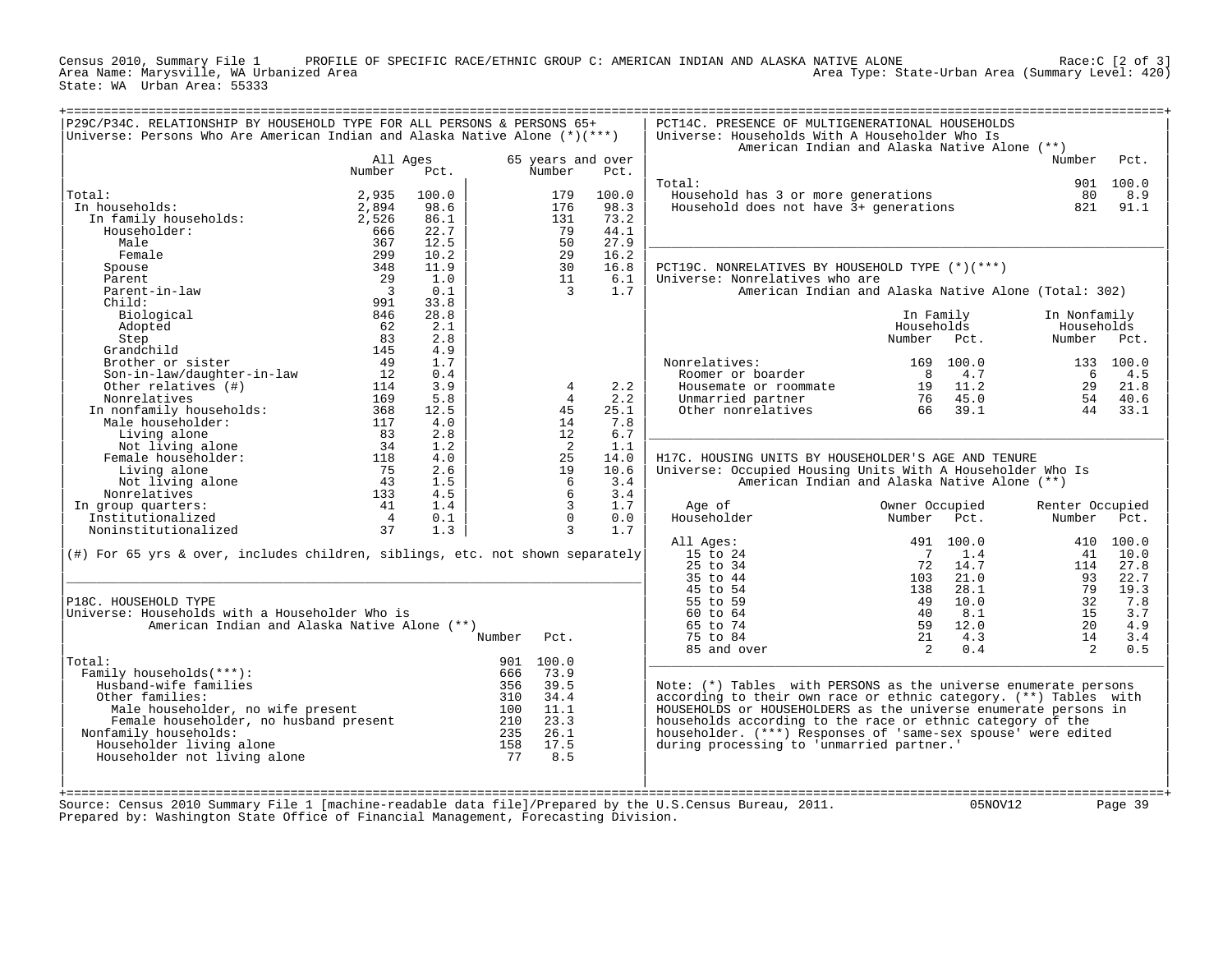Census 2010, Summary File 1 PROFILE OF SPECIFIC RACE/ETHNIC GROUP C: AMERICAN INDIAN AND ALASKA NATIVE ALONE Race:C [2 of 3] Area Name: Marysville, WA Urbanized Area Area Type: State-Urban Area (Summary Level: 420) State: WA Urban Area: 55333

| P29C/P34C. RELATIONSHIP BY HOUSEHOLD TYPE FOR ALL PERSONS & PERSONS 65+<br>Universe: Persons Who Are American Indian and Alaska Native Alone (*)(***) |                          |              |        |                      |                                                                                     | PCT14C. PRESENCE OF MULTIGENERATIONAL HOUSEHOLDS<br>Universe: Households With A Householder Who Is<br>American Indian and Alaska Native Alone (**) |                |           |                 |           |
|-------------------------------------------------------------------------------------------------------------------------------------------------------|--------------------------|--------------|--------|----------------------|-------------------------------------------------------------------------------------|----------------------------------------------------------------------------------------------------------------------------------------------------|----------------|-----------|-----------------|-----------|
|                                                                                                                                                       | All Ages                 |              |        |                      | 65 years and over                                                                   |                                                                                                                                                    |                |           | Number          | Pct.      |
|                                                                                                                                                       | Number                   | Pct.         |        | Number               | Pct.                                                                                |                                                                                                                                                    |                |           |                 |           |
|                                                                                                                                                       |                          |              |        |                      |                                                                                     | Total:                                                                                                                                             |                |           |                 | 901 100.0 |
| Total:                                                                                                                                                | 2,935                    | 100.0        |        | 179                  | 100.0                                                                               | Household has 3 or more generations                                                                                                                |                |           | 80              | 8.9       |
| In households:                                                                                                                                        | 2,894                    | 98.6         |        | 176                  | 98.3<br>73.2                                                                        | Household does not have 3+ generations                                                                                                             |                |           | 821             | 91.1      |
| In family households:<br>Householder:                                                                                                                 | 2,526<br>666             | 86.1<br>22.7 |        | 131<br>79            | 44.1                                                                                |                                                                                                                                                    |                |           |                 |           |
| Male                                                                                                                                                  | 367                      | 12.5         |        | 50                   | 27.9                                                                                |                                                                                                                                                    |                |           |                 |           |
| Female                                                                                                                                                | 299                      | 10.2         |        | 29                   | 16.2                                                                                |                                                                                                                                                    |                |           |                 |           |
| Spouse                                                                                                                                                | 348                      | 11.9         |        | 30                   | 16.8                                                                                | PCT19C. NONRELATIVES BY HOUSEHOLD TYPE (*)(***)                                                                                                    |                |           |                 |           |
| Parent                                                                                                                                                | 29                       | 1.0          |        | 11                   | 6.1                                                                                 | Universe: Nonrelatives who are                                                                                                                     |                |           |                 |           |
| Parent-in-law                                                                                                                                         | $\overline{\phantom{a}}$ | 0.1          |        | $\overline{3}$       | 1.7                                                                                 | American Indian and Alaska Native Alone (Total: 302)                                                                                               |                |           |                 |           |
| Child:                                                                                                                                                | 991                      | 33.8         |        |                      |                                                                                     |                                                                                                                                                    |                |           |                 |           |
| Biological                                                                                                                                            | 846                      | 28.8         |        |                      |                                                                                     |                                                                                                                                                    | In Family      |           | In Nonfamily    |           |
| Adopted                                                                                                                                               | 62                       | 2.1          |        |                      |                                                                                     |                                                                                                                                                    | Households     |           | Households      |           |
| Step                                                                                                                                                  | 83                       | 2.8          |        |                      |                                                                                     |                                                                                                                                                    | Number         | Pct.      | Number Pct.     |           |
| Grandchild                                                                                                                                            | 145                      | 4.9          |        |                      |                                                                                     |                                                                                                                                                    |                |           |                 |           |
| Brother or sister                                                                                                                                     | 49                       | 1.7          |        |                      |                                                                                     | Nonrelatives:                                                                                                                                      | 169            | 100.0     |                 | 133 100.0 |
| Son-in-law/daughter-in-law                                                                                                                            | 12                       | 0.4          |        |                      |                                                                                     | Roomer or boarder                                                                                                                                  | 8              | 4.7       | -6              | 4.5       |
| Other relatives (#)                                                                                                                                   | 114                      | 3.9          |        | 4                    | 2.2                                                                                 | Housemate or roommate                                                                                                                              | 19             | 11.2      | 29              | 21.8      |
| Nonrelatives                                                                                                                                          | 169                      | 5.8          |        | $\overline{4}$       | 2.2                                                                                 | Unmarried partner                                                                                                                                  | 76             | 45.0      | 54              | 40.6      |
| In nonfamily households:                                                                                                                              | 368                      | 12.5         |        | 45                   | 25.1                                                                                | Other nonrelatives                                                                                                                                 | 66             | 39.1      | 44              | 33.1      |
| Male householder:                                                                                                                                     | 117                      | 4.0          |        | 14                   | 7.8                                                                                 |                                                                                                                                                    |                |           |                 |           |
| Living alone                                                                                                                                          | 83                       | 2.8          |        | 12                   | 6.7                                                                                 |                                                                                                                                                    |                |           |                 |           |
| Not living alone<br>Female householder:                                                                                                               | 34<br>118                | 1.2<br>4.0   |        | $\overline{2}$<br>25 | 1.1<br>14.0                                                                         | H17C. HOUSING UNITS BY HOUSEHOLDER'S AGE AND TENURE                                                                                                |                |           |                 |           |
| Living alone                                                                                                                                          | 75                       | 2.6          |        | 19                   | 10.6                                                                                | Universe: Occupied Housing Units With A Householder Who Is                                                                                         |                |           |                 |           |
| Not living alone                                                                                                                                      | 43                       | 1.5          |        | 6                    | 3.4                                                                                 | American Indian and Alaska Native Alone (**)                                                                                                       |                |           |                 |           |
| Nonrelatives                                                                                                                                          | 133                      | 4.5          |        | 6                    | 3.4                                                                                 |                                                                                                                                                    |                |           |                 |           |
| In group quarters:                                                                                                                                    | 41                       | 1.4          |        | $\overline{3}$       | 1.7                                                                                 | Age of                                                                                                                                             | Owner Occupied |           | Renter Occupied |           |
| Institutionalized                                                                                                                                     | $\overline{4}$           | 0.1          |        | $\mathbf 0$          | 0.0                                                                                 | Householder                                                                                                                                        | Number         | Pct.      | Number          | Pct.      |
| Noninstitutionalized                                                                                                                                  | 37                       | 1.3          |        | $\overline{3}$       | 1.7                                                                                 |                                                                                                                                                    |                |           |                 |           |
|                                                                                                                                                       |                          |              |        |                      |                                                                                     | All Ages:                                                                                                                                          |                | 491 100.0 |                 | 410 100.0 |
| (#) For 65 yrs & over, includes children, siblings, etc. not shown separately                                                                         |                          |              |        |                      |                                                                                     | 15 to 24                                                                                                                                           | $\overline{7}$ | 1.4       | 41              | 10.0      |
|                                                                                                                                                       |                          |              |        |                      |                                                                                     | 25 to 34                                                                                                                                           | 72             | 14.7      | 114             | 27.8      |
|                                                                                                                                                       |                          |              |        |                      |                                                                                     | 35 to 44                                                                                                                                           | 103            | 21.0      | 93              | 22.7      |
|                                                                                                                                                       |                          |              |        |                      |                                                                                     | 45 to 54                                                                                                                                           | 138            | 28.1      | 79              | 19.3      |
| P18C. HOUSEHOLD TYPE                                                                                                                                  |                          |              |        |                      |                                                                                     | 55 to 59                                                                                                                                           | 49             | 10.0      | 32              | 7.8       |
| Universe: Households with a Householder Who is                                                                                                        |                          |              |        |                      |                                                                                     | 60 to 64                                                                                                                                           | 40             | 8.1       | 15              | 3.7       |
| American Indian and Alaska Native Alone (**)                                                                                                          |                          |              |        |                      |                                                                                     | 65 to 74                                                                                                                                           | 59             | 12.0      | 20              | 4.9       |
|                                                                                                                                                       |                          |              | Number | Pct.                 |                                                                                     | 75 to 84                                                                                                                                           | 21             | 4.3       | 14              | 3.4       |
|                                                                                                                                                       |                          |              |        |                      |                                                                                     | 85 and over                                                                                                                                        | 2              | 0.4       | $2^{1}$         | 0.5       |
| Total:<br>Family households(***):                                                                                                                     |                          |              | 666    | 901 100.0<br>73.9    |                                                                                     |                                                                                                                                                    |                |           |                 |           |
| Husband-wife families                                                                                                                                 |                          |              | 356    | 39.5                 |                                                                                     | Note: $(*)$ Tables with PERSONS as the universe enumerate persons                                                                                  |                |           |                 |           |
| Other families:                                                                                                                                       |                          |              | 310    | 34.4                 |                                                                                     | according to their own race or ethnic category. (**) Tables with                                                                                   |                |           |                 |           |
| Male householder, no wife present                                                                                                                     |                          |              | 100    | 11.1                 |                                                                                     | HOUSEHOLDS or HOUSEHOLDERS as the universe enumerate persons in                                                                                    |                |           |                 |           |
| Female householder, no husband present                                                                                                                |                          |              | 210    | 23.3                 |                                                                                     | households according to the race or ethnic category of the                                                                                         |                |           |                 |           |
| Nonfamily households:                                                                                                                                 |                          |              | 235    | 26.1                 |                                                                                     | householder. (***) Responses of 'same-sex spouse' were edited                                                                                      |                |           |                 |           |
| Householder living alone                                                                                                                              |                          |              | 158    | 17.5                 |                                                                                     | during processing to 'unmarried partner.'                                                                                                          |                |           |                 |           |
| Householder not living alone                                                                                                                          |                          |              | 77     | 8.5                  |                                                                                     |                                                                                                                                                    |                |           |                 |           |
|                                                                                                                                                       |                          |              |        |                      |                                                                                     |                                                                                                                                                    |                |           |                 |           |
|                                                                                                                                                       |                          |              |        |                      |                                                                                     |                                                                                                                                                    |                |           |                 |           |
|                                                                                                                                                       |                          |              |        |                      |                                                                                     |                                                                                                                                                    |                |           |                 |           |
| Source: Census 2010 Summary File 1 [machine-readable data file]/Prepared by the U.S.Census Bureau, 2011.                                              |                          |              |        |                      | Prepared by: Washington State Office of Financial Management, Forecasting Division. |                                                                                                                                                    |                | 05NOV12   |                 | Page 39   |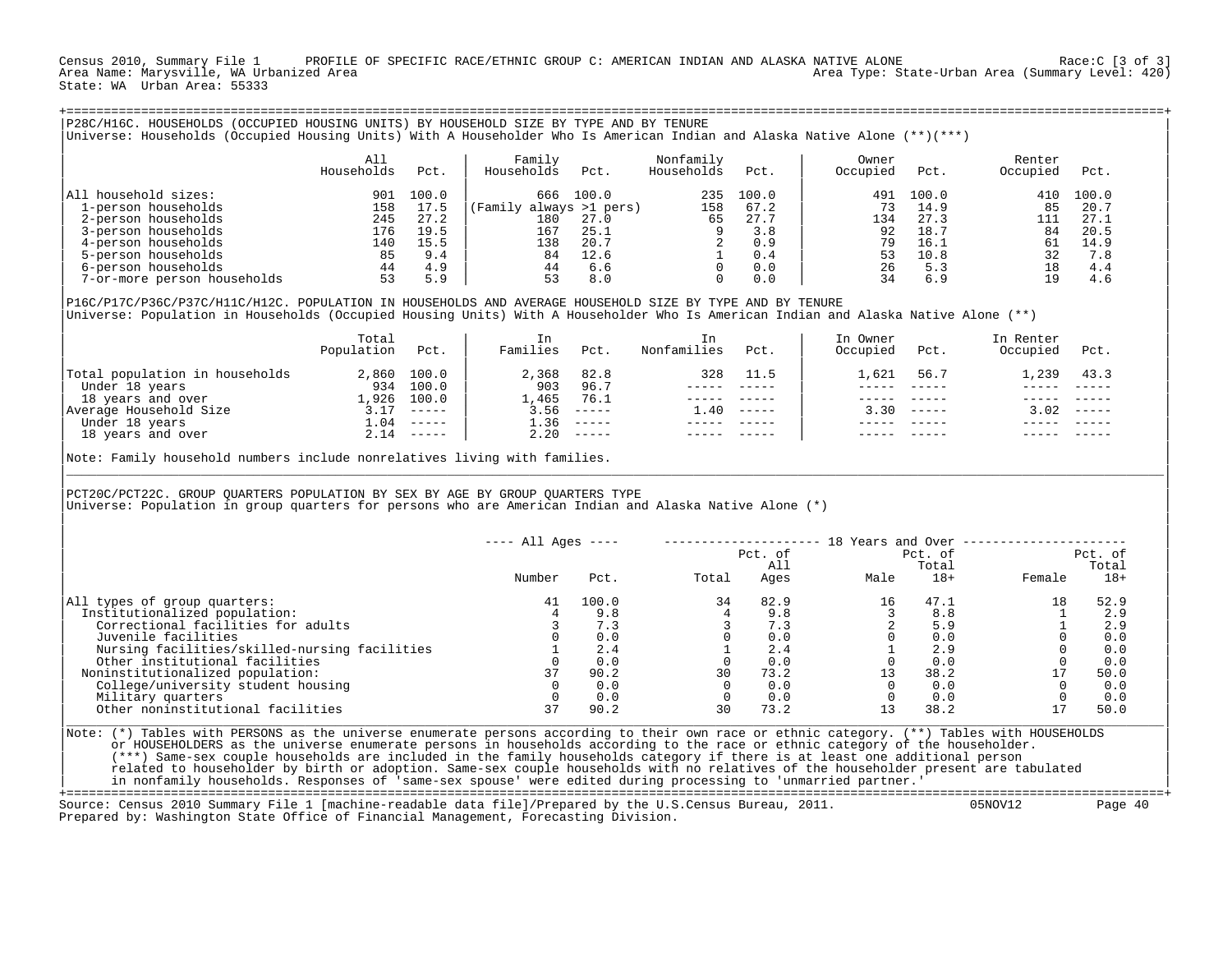Census 2010, Summary File 1 PROFILE OF SPECIFIC RACE/ETHNIC GROUP C: AMERICAN INDIAN AND ALASKA NATIVE ALONE Race:C [3 of 3] Area Name: Marysville, WA Urbanized Area Area Type: State-Urban Area (Summary Level: 420) State: WA Urban Area: 55333

| P28C/H16C. HOUSEHOLDS (OCCUPIED HOUSING UNITS) BY HOUSEHOLD SIZE BY TYPE AND BY TENURE<br>Universe: Households (Occupied Housing Units) With A Householder Who Is American Indian and Alaska Native Alone (**)(***)                                                                                                                                                                                                                                                                                                                                                                                                                                              |                   |                   |                                           |                                           |                                                                                     |                                                                        |                                                                                                                                                                                                                                                                                                                        |                |                                                                                                                                                                                                                                                                                                                                                                                              |                   |
|------------------------------------------------------------------------------------------------------------------------------------------------------------------------------------------------------------------------------------------------------------------------------------------------------------------------------------------------------------------------------------------------------------------------------------------------------------------------------------------------------------------------------------------------------------------------------------------------------------------------------------------------------------------|-------------------|-------------------|-------------------------------------------|-------------------------------------------|-------------------------------------------------------------------------------------|------------------------------------------------------------------------|------------------------------------------------------------------------------------------------------------------------------------------------------------------------------------------------------------------------------------------------------------------------------------------------------------------------|----------------|----------------------------------------------------------------------------------------------------------------------------------------------------------------------------------------------------------------------------------------------------------------------------------------------------------------------------------------------------------------------------------------------|-------------------|
|                                                                                                                                                                                                                                                                                                                                                                                                                                                                                                                                                                                                                                                                  | All<br>Households | Pct.              | Family<br>Households                      | Pct.                                      | Nonfamily<br>Households                                                             | Pct.                                                                   | Owner<br>Occupied                                                                                                                                                                                                                                                                                                      | Pct.           | Renter<br>Occupied                                                                                                                                                                                                                                                                                                                                                                           | Pct.              |
|                                                                                                                                                                                                                                                                                                                                                                                                                                                                                                                                                                                                                                                                  |                   |                   |                                           |                                           |                                                                                     |                                                                        |                                                                                                                                                                                                                                                                                                                        |                |                                                                                                                                                                                                                                                                                                                                                                                              |                   |
| All household sizes:<br>1-person households                                                                                                                                                                                                                                                                                                                                                                                                                                                                                                                                                                                                                      | 158               | 901 100.0<br>17.5 | (Family always >1 pers)                   | 666 100.0                                 | 158                                                                                 | 235 100.0<br>67.2                                                      | 491<br>73                                                                                                                                                                                                                                                                                                              | 100.0<br>14.9  | 85                                                                                                                                                                                                                                                                                                                                                                                           | 410 100.0<br>20.7 |
| 2-person households                                                                                                                                                                                                                                                                                                                                                                                                                                                                                                                                                                                                                                              | 245               | 27.2              | 180                                       | 27.0                                      | 65                                                                                  | 27.7                                                                   | 134                                                                                                                                                                                                                                                                                                                    | 27.3           | 111                                                                                                                                                                                                                                                                                                                                                                                          | 27.1              |
| 3-person households                                                                                                                                                                                                                                                                                                                                                                                                                                                                                                                                                                                                                                              | 176               | 19.5              | 167                                       | 25.1                                      |                                                                                     |                                                                        | 92                                                                                                                                                                                                                                                                                                                     | 18.7           | 84                                                                                                                                                                                                                                                                                                                                                                                           | 20.5              |
| 4-person households                                                                                                                                                                                                                                                                                                                                                                                                                                                                                                                                                                                                                                              | 140               | 15.5              |                                           |                                           |                                                                                     |                                                                        | 79                                                                                                                                                                                                                                                                                                                     | 16.1           | 61                                                                                                                                                                                                                                                                                                                                                                                           | 14.9              |
| 5-person households                                                                                                                                                                                                                                                                                                                                                                                                                                                                                                                                                                                                                                              | 85                | 9.4               |                                           | $138$ 20.7<br>84 20.7<br>84 6.6<br>53 8.0 | $\begin{bmatrix} 9 & 3.8 \\ 2 & 0.9 \\ 1 & 0.4 \\ 0 & 0.0 \\ 0 & 0.0 \end{bmatrix}$ |                                                                        | 53                                                                                                                                                                                                                                                                                                                     | 10.8           | 32                                                                                                                                                                                                                                                                                                                                                                                           | 7.8               |
| 6-person households<br>7-or-more person households 53                                                                                                                                                                                                                                                                                                                                                                                                                                                                                                                                                                                                            | 44                | 4.9<br>5.9        | 53                                        | 8.0                                       |                                                                                     |                                                                        | 26<br>34                                                                                                                                                                                                                                                                                                               | 5.3<br>6.9     | 18<br>19                                                                                                                                                                                                                                                                                                                                                                                     | 4.4<br>4.6        |
|                                                                                                                                                                                                                                                                                                                                                                                                                                                                                                                                                                                                                                                                  |                   |                   |                                           |                                           |                                                                                     |                                                                        |                                                                                                                                                                                                                                                                                                                        |                |                                                                                                                                                                                                                                                                                                                                                                                              |                   |
| P16C/P17C/P36C/P37C/H11C/H12C. POPULATION IN HOUSEHOLDS AND AVERAGE HOUSEHOLD SIZE BY TYPE AND BY TENURE<br>Universe: Population in Households (Occupied Housing Units) With A Householder Who Is American Indian and Alaska Native Alone (**)                                                                                                                                                                                                                                                                                                                                                                                                                   |                   |                   |                                           |                                           |                                                                                     |                                                                        |                                                                                                                                                                                                                                                                                                                        |                |                                                                                                                                                                                                                                                                                                                                                                                              |                   |
|                                                                                                                                                                                                                                                                                                                                                                                                                                                                                                                                                                                                                                                                  | Total             |                   | In                                        |                                           | In                                                                                  |                                                                        | In Owner                                                                                                                                                                                                                                                                                                               |                | In Renter                                                                                                                                                                                                                                                                                                                                                                                    |                   |
|                                                                                                                                                                                                                                                                                                                                                                                                                                                                                                                                                                                                                                                                  | Population Pct.   |                   | Families Pct.                             |                                           | Nonfamilies                                                                         | Pct.                                                                   | Occupied                                                                                                                                                                                                                                                                                                               | Pct.           | Occupied                                                                                                                                                                                                                                                                                                                                                                                     | Pct.              |
| Total population in households 2,860 100.0                                                                                                                                                                                                                                                                                                                                                                                                                                                                                                                                                                                                                       |                   |                   | 2,368 82.8                                |                                           | 328                                                                                 | 11.5                                                                   | 1,621                                                                                                                                                                                                                                                                                                                  | 56.7           | 1,239                                                                                                                                                                                                                                                                                                                                                                                        | 43.3              |
| Under 18 years<br>18 years and over<br>18 years and over<br>Average Household Size<br>1,926 100.0<br>1,926 100.0<br>1,926 100.0<br>1,926 100.0<br>1,926 100.0<br>2,17 -----<br>1.04 -----<br>2,14 -----                                                                                                                                                                                                                                                                                                                                                                                                                                                          |                   |                   |                                           | 903 96.7                                  |                                                                                     |                                                                        |                                                                                                                                                                                                                                                                                                                        | ----- -----    | $\frac{1}{2} \frac{1}{2} \frac{1}{2} \frac{1}{2} \frac{1}{2} \frac{1}{2} \frac{1}{2} \frac{1}{2} \frac{1}{2} \frac{1}{2} \frac{1}{2} \frac{1}{2} \frac{1}{2} \frac{1}{2} \frac{1}{2} \frac{1}{2} \frac{1}{2} \frac{1}{2} \frac{1}{2} \frac{1}{2} \frac{1}{2} \frac{1}{2} \frac{1}{2} \frac{1}{2} \frac{1}{2} \frac{1}{2} \frac{1}{2} \frac{1}{2} \frac{1}{2} \frac{1}{2} \frac{1}{2} \frac{$ | $\frac{1}{2}$     |
|                                                                                                                                                                                                                                                                                                                                                                                                                                                                                                                                                                                                                                                                  |                   |                   | 1,465 76.1                                | $3.56$ -----                              |                                                                                     | $1.40$ -----                                                           |                                                                                                                                                                                                                                                                                                                        | $3.30$ -----   | $3.02$ -----                                                                                                                                                                                                                                                                                                                                                                                 |                   |
|                                                                                                                                                                                                                                                                                                                                                                                                                                                                                                                                                                                                                                                                  |                   |                   | $1.36$ -----                              |                                           | $- - - - - -$                                                                       |                                                                        |                                                                                                                                                                                                                                                                                                                        |                |                                                                                                                                                                                                                                                                                                                                                                                              |                   |
|                                                                                                                                                                                                                                                                                                                                                                                                                                                                                                                                                                                                                                                                  |                   |                   |                                           | $2.20$ -----                              |                                                                                     |                                                                        |                                                                                                                                                                                                                                                                                                                        |                |                                                                                                                                                                                                                                                                                                                                                                                              |                   |
| PCT20C/PCT22C. GROUP QUARTERS POPULATION BY SEX BY AGE BY GROUP QUARTERS TYPE<br>Universe: Population in group quarters for persons who are American Indian and Alaska Native Alone (*)                                                                                                                                                                                                                                                                                                                                                                                                                                                                          |                   |                   |                                           |                                           |                                                                                     |                                                                        |                                                                                                                                                                                                                                                                                                                        |                |                                                                                                                                                                                                                                                                                                                                                                                              |                   |
|                                                                                                                                                                                                                                                                                                                                                                                                                                                                                                                                                                                                                                                                  |                   |                   | $---$ All Ages $---$                      |                                           |                                                                                     |                                                                        |                                                                                                                                                                                                                                                                                                                        |                |                                                                                                                                                                                                                                                                                                                                                                                              |                   |
|                                                                                                                                                                                                                                                                                                                                                                                                                                                                                                                                                                                                                                                                  |                   |                   |                                           |                                           |                                                                                     | Pct. of                                                                |                                                                                                                                                                                                                                                                                                                        | Pct. of        |                                                                                                                                                                                                                                                                                                                                                                                              | Pct. of           |
|                                                                                                                                                                                                                                                                                                                                                                                                                                                                                                                                                                                                                                                                  |                   |                   | Number                                    |                                           | Pct.<br>Total                                                                       | All                                                                    | Ages<br>Male                                                                                                                                                                                                                                                                                                           | Total<br>$18+$ | Female                                                                                                                                                                                                                                                                                                                                                                                       | Total<br>$18+$    |
|                                                                                                                                                                                                                                                                                                                                                                                                                                                                                                                                                                                                                                                                  |                   |                   |                                           |                                           |                                                                                     |                                                                        |                                                                                                                                                                                                                                                                                                                        |                |                                                                                                                                                                                                                                                                                                                                                                                              |                   |
| All types of group quarters:                                                                                                                                                                                                                                                                                                                                                                                                                                                                                                                                                                                                                                     |                   |                   | 41                                        | 100.0                                     |                                                                                     |                                                                        | $\begin{array}{cccc} 34 & 82.9 & 16 \\ 4 & 9.8 & 3 \\ 3 & 7.3 & 2 \\ 0 & 0.0 & 0 \\ 1 & 2.4 & 1 \\ 0 & 0.0 & 0 \\ 1 & 0 & 0.0 \\ 0 & 0.0 & 0 \\ 0 & 0.0 & 0 \\ 0 & 0 & 0.0 \\ 0 & 0 & 0.0 \\ 0 & 0 & 0.0 \\ 0 & 0 & 0.0 \\ 0 & 0 & 0.0 \\ 0 & 0 & 0.0 \\ 0 & 0 & 0.0 \\ 0 & 0 & 0.0 \\ 0 & 0 & 0.0 \\ 0 & 0 & 0.0 \\ $ | 47.1           | 18                                                                                                                                                                                                                                                                                                                                                                                           | 52.9              |
| Institutionalized population:                                                                                                                                                                                                                                                                                                                                                                                                                                                                                                                                                                                                                                    |                   |                   | $\overline{4}$<br>$\overline{\mathbf{3}}$ | 9.8                                       |                                                                                     |                                                                        |                                                                                                                                                                                                                                                                                                                        | 8.8            | $\overline{1}$<br>$\mathbf{1}$                                                                                                                                                                                                                                                                                                                                                               | 2.9               |
| Correctional facilities for adults<br>Juvenile facilities                                                                                                                                                                                                                                                                                                                                                                                                                                                                                                                                                                                                        |                   |                   | $\Omega$                                  | 7.3<br>0.0                                |                                                                                     |                                                                        |                                                                                                                                                                                                                                                                                                                        | 5.9<br>0.0     | $\overline{0}$                                                                                                                                                                                                                                                                                                                                                                               | 2.9<br>0.0        |
| Nursing facilities/skilled-nursing facilities 1                                                                                                                                                                                                                                                                                                                                                                                                                                                                                                                                                                                                                  |                   |                   |                                           | 2.4                                       |                                                                                     |                                                                        |                                                                                                                                                                                                                                                                                                                        | 2.9            | $\overline{0}$                                                                                                                                                                                                                                                                                                                                                                               | 0.0               |
| Other institutional facilities                                                                                                                                                                                                                                                                                                                                                                                                                                                                                                                                                                                                                                   |                   |                   | $\Omega$                                  | 0.0                                       |                                                                                     |                                                                        |                                                                                                                                                                                                                                                                                                                        | 0.0            | $\Omega$                                                                                                                                                                                                                                                                                                                                                                                     | 0.0               |
| Noninstitutionalized population:                                                                                                                                                                                                                                                                                                                                                                                                                                                                                                                                                                                                                                 |                   |                   | 37                                        | 90.2                                      |                                                                                     | $\begin{array}{ccc} 30 & & 73.2 \\ 0 & & 0.0 \\ 0 & & 0.0 \end{array}$ | 13                                                                                                                                                                                                                                                                                                                     | 38.2           | 17                                                                                                                                                                                                                                                                                                                                                                                           | 50.0              |
| College/university student housing                                                                                                                                                                                                                                                                                                                                                                                                                                                                                                                                                                                                                               |                   |                   | $\overline{0}$                            | 0.0                                       |                                                                                     |                                                                        | $\overline{0}$                                                                                                                                                                                                                                                                                                         | 0.0            | $\overline{0}$                                                                                                                                                                                                                                                                                                                                                                               | 0.0               |
| Military quarters<br>Other noninstitutional facilities                                                                                                                                                                                                                                                                                                                                                                                                                                                                                                                                                                                                           |                   |                   | $\bigcirc$<br>37                          | 0.0<br>90.2                               | 30                                                                                  | 73.2                                                                   | $\bigcap$<br>13                                                                                                                                                                                                                                                                                                        | 0.0<br>38.2    | $\overline{0}$<br>17                                                                                                                                                                                                                                                                                                                                                                         | 0.0<br>50.0       |
| Note: (*) Tables with PERSONS as the universe enumerate persons according to their own race or ethnic category. (**) Tables with HOUSEHOLDS<br>or HOUSEHOLDERS as the universe enumerate persons in households according to the race or ethnic category of the householder.<br>(***) Same-sex couple households are included in the family households category if there is at least one additional person<br>related to householder by birth or adoption. Same-sex couple households with no relatives of the householder present are tabulated<br>in nonfamily households. Responses of 'same-sex spouse' were edited during processing to 'unmarried partner.' |                   |                   |                                           |                                           |                                                                                     |                                                                        |                                                                                                                                                                                                                                                                                                                        |                |                                                                                                                                                                                                                                                                                                                                                                                              |                   |
| Source: Census 2010 Summary File 1 [machine-readable data file]/Prepared by the U.S.Census Bureau, 2011.<br>Prepared by: Washington State Office of Financial Management, Forecasting Division.                                                                                                                                                                                                                                                                                                                                                                                                                                                                  |                   |                   |                                           |                                           |                                                                                     |                                                                        |                                                                                                                                                                                                                                                                                                                        |                | 05NOV12                                                                                                                                                                                                                                                                                                                                                                                      | Page 40           |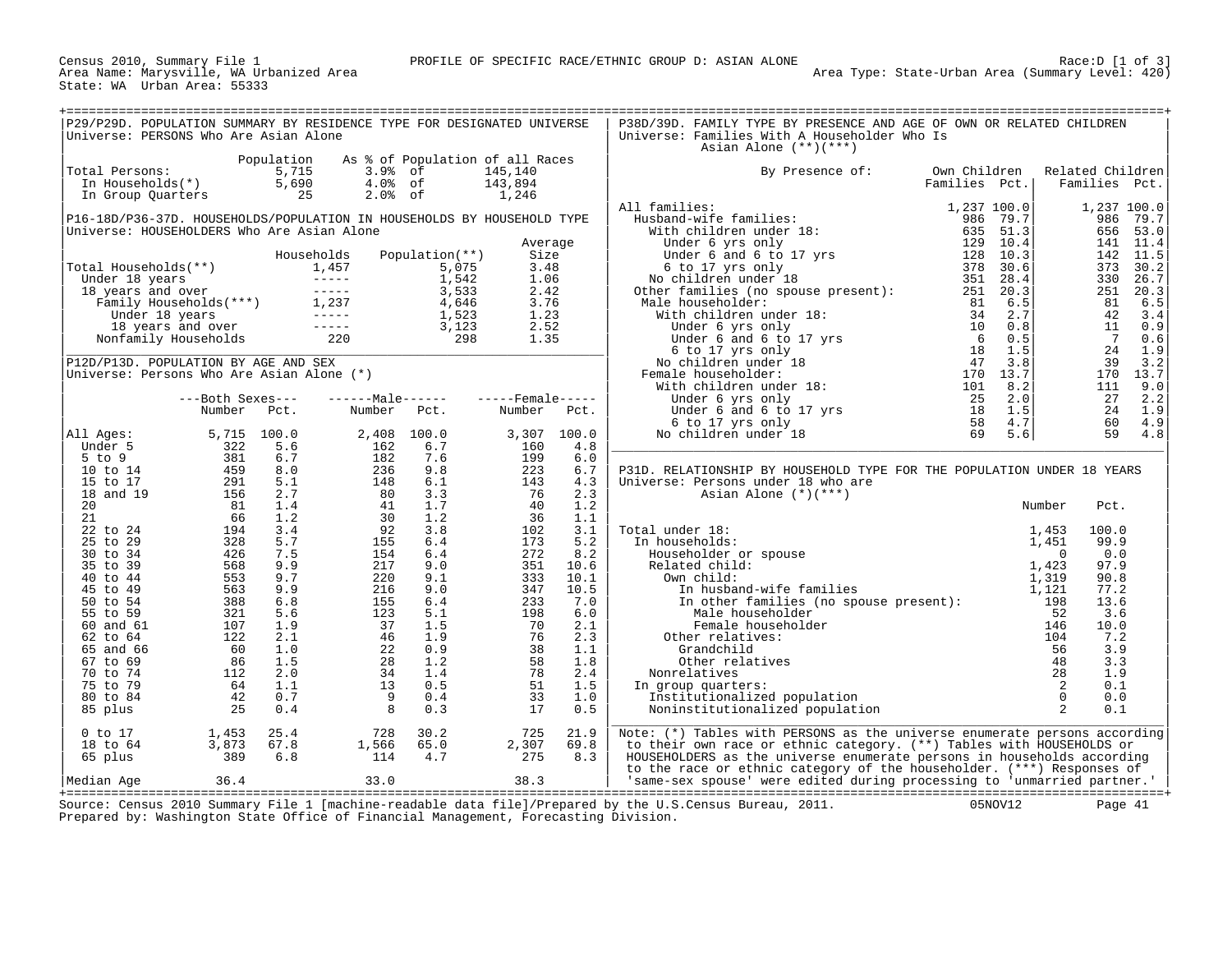Census 2010, Summary File 1<br>Area Name: Marysville, WA Urbanized Area<br>State: WA Urban Area: 55333

| P29/P29D. POPULATION SUMMARY BY RESIDENCE TYPE FOR DESIGNATED UNIVERSE<br>Universe: PERSONS Who Are Asian Alone      |                                                                                                                                                                                                                 |                                                             |                                                                        |                                                                                                   |                                                                         |                            | P38D/39D. FAMILY TYPE BY PRESENCE AND AGE OF OWN OR RELATED CHILDREN<br>Universe: Families With A Householder Who Is<br>Asian Alone $(**)(***)$                                                                                                                                                                                                                                                                              |                               |                   |                                                                                |                                                                                  |
|----------------------------------------------------------------------------------------------------------------------|-----------------------------------------------------------------------------------------------------------------------------------------------------------------------------------------------------------------|-------------------------------------------------------------|------------------------------------------------------------------------|---------------------------------------------------------------------------------------------------|-------------------------------------------------------------------------|----------------------------|------------------------------------------------------------------------------------------------------------------------------------------------------------------------------------------------------------------------------------------------------------------------------------------------------------------------------------------------------------------------------------------------------------------------------|-------------------------------|-------------------|--------------------------------------------------------------------------------|----------------------------------------------------------------------------------|
| Total Persons:<br>In Households(*)<br>In Group Quarters                                                              |                                                                                                                                                                                                                 | Population<br>5,715<br>5,690<br>$\overline{\phantom{0}}$ 25 | As % of Population of all Races<br>$3.9%$ of<br>$4.0%$ of<br>$2.0%$ of |                                                                                                   | 145,140<br>143,894<br>1,246                                             |                            | By Presence of:                                                                                                                                                                                                                                                                                                                                                                                                              | Own Children<br>Families Pct. |                   | Related Children<br>Families Pct.                                              |                                                                                  |
| P16-18D/P36-37D. HOUSEHOLDS/POPULATION IN HOUSEHOLDS BY HOUSEHOLD TYPE<br>Universe: HOUSEHOLDERS Who Are Asian Alone |                                                                                                                                                                                                                 |                                                             |                                                                        |                                                                                                   |                                                                         |                            | All families:                                                                                                                                                                                                                                                                                                                                                                                                                |                               |                   |                                                                                | 1,237 100.0<br>986 79.7<br>656 53.0                                              |
| Total Households(**)                                                                                                 | otal Households (**)<br>Under 18 years<br>18 years and over<br>Family Households (***)<br>1,237<br>Under 18 years<br>18 years and over<br>18 years and over<br>18 years and over<br>Nonfamily Households<br>220 |                                                             | Households                                                             | Population(**)<br>5,075<br>1,542<br>3,533<br>4,646<br>1,523<br>$\frac{1}{3}, \frac{1}{23}$<br>298 | Average<br>Size<br>3.48<br>1.06<br>2.42<br>3.76<br>1.23<br>2.52<br>1.35 |                            |                                                                                                                                                                                                                                                                                                                                                                                                                              |                               |                   | 373<br>81<br>42.<br>11<br>$\overline{7}$                                       | 141 11.4<br>142 11.5<br>30.2<br>330 26.7<br>251 20.3<br>6.5<br>3.4<br>0.9<br>0.6 |
| P12D/P13D. POPULATION BY AGE AND SEX<br>Universe: Persons Who Are Asian Alone (*)                                    |                                                                                                                                                                                                                 |                                                             |                                                                        |                                                                                                   |                                                                         |                            |                                                                                                                                                                                                                                                                                                                                                                                                                              |                               |                   | 24<br>39<br>111                                                                | 1.9<br>3.2<br>170 13.7<br>9.0                                                    |
|                                                                                                                      | ---Both Sexes---<br>Number Pct.                                                                                                                                                                                 |                                                             | $---Male---$<br>Number Pct.                                            |                                                                                                   | $---$ Female -----<br>Number                                            | Pct.                       | Under 6 and 6 to 17 yrs<br>Under 6 and 6 to 17 yrs<br>6 to 17 yrs only<br>58<br>beindren under 18<br>18<br>59                                                                                                                                                                                                                                                                                                                |                               | 2.0<br>1.5<br>4.7 | 27<br>24<br>60                                                                 | 2.2<br>1.9<br>4.9                                                                |
| All Ages:<br>Under 5<br>$5$ to $9$                                                                                   | 5,715 100.0<br>322                                                                                                                                                                                              | 5.6<br>6.7                                                  | 2,408<br>162<br>182                                                    | 100.0<br>6.7<br>7.6                                                                               | 3,307<br>160<br>199                                                     | 100.0<br>4.8<br>6.0        | No children under 18                                                                                                                                                                                                                                                                                                                                                                                                         |                               | 5.6               | 59                                                                             | 4.8                                                                              |
| 10 to 14<br>15 to 17<br>18 and 19                                                                                    | $322$<br>$381$<br>$459$<br>$291$<br>$156$<br>$81$                                                                                                                                                               | 8.0<br>5.1<br>2.7                                           | 236<br>148<br>80                                                       | 9.8<br>6.1<br>3.3                                                                                 | 223<br>143<br>76                                                        | 6.7<br>4.3<br>2.3          | P31D. RELATIONSHIP BY HOUSEHOLD TYPE FOR THE POPULATION UNDER 18 YEARS<br>Universe: Persons under 18 who are<br>Asian Alone $(*)$ (***)                                                                                                                                                                                                                                                                                      |                               |                   |                                                                                |                                                                                  |
| 20<br>21<br>22 to 24                                                                                                 | 81<br>66                                                                                                                                                                                                        | 1.4<br>1.2<br>3.4                                           | $rac{5}{41}$<br>30<br>92                                               | 1.7<br>1.2<br>3.8                                                                                 | 40<br>36<br>102                                                         | 1.2<br>1.1<br>3.1          | Total under 18:                                                                                                                                                                                                                                                                                                                                                                                                              |                               |                   | Number<br>Pct.<br>100.0                                                        |                                                                                  |
| 25 to 29<br>30 to 34<br>35 to 39                                                                                     |                                                                                                                                                                                                                 | 5.7<br>7.5<br>9.9                                           | 155<br>154<br>217                                                      | 6.4<br>6.4<br>9.0                                                                                 | 173<br>272<br>351                                                       | 5.2<br>8.2<br>10.6         | In households:                                                                                                                                                                                                                                                                                                                                                                                                               |                               |                   | 99.9<br>0.0<br>97.9                                                            |                                                                                  |
| 40 to 44<br>45 to 49<br>50 to 54<br>55 to 59                                                                         | $\begin{array}{r} 66 \\ 194 \\ 328 \\ 426 \\ 568 \\ 553 \\ 388 \\ 321 \\ 107 \\ 126 \\ \end{array}$                                                                                                             | 9.7<br>9.9<br>6.8<br>5.6                                    | 220<br>216                                                             | 9.1<br>9.0<br>6.4<br>5.1                                                                          | 333<br>347<br>233<br>198                                                | 10.1<br>10.5<br>7.0<br>6.0 | $\begin{tabular}{llllllll} \texttt{al under 18:} & & & & & 1,453 \\ \texttt{In households:} & & & & 1,451 \\ \texttt{Householder or spouse} & & & & 0 \\ \texttt{Related child:} & & & & 1,423 \\ \texttt{Own child:} & & & 1,139 \\ \texttt{In husband-wife families} & & & 1,121 \\ \texttt{In other families (no spouse present):} & & & 1,21 \\ \texttt{Mala householder} & & & 52 \\ \end{tabular}$<br>Male householder |                               |                   | 90.8<br>77.2<br>13.6<br>3.6                                                    |                                                                                  |
| 60 and 61<br>$62 \text{ to } 64$<br>65 and 66                                                                        |                                                                                                                                                                                                                 | 1.9<br>2.1<br>1.0                                           | $\frac{15}{123}$<br>$\frac{123}{37}$                                   | 1.5<br>1.9<br>0.9                                                                                 | 70<br>76                                                                | 2.1<br>2.3<br>1.1          | Female householder<br>Other relatives:<br>Grandchild                                                                                                                                                                                                                                                                                                                                                                         |                               |                   | 146<br>10.0<br>104<br>7.2<br>56<br>3.9                                         |                                                                                  |
| 67 to 69<br>70 to 74<br>75 to 79<br>80 to 84                                                                         | $\frac{11}{64}$                                                                                                                                                                                                 | 1.5<br>2.0<br>1.1<br>0.7                                    | $\frac{22}{28}$<br>34<br>13<br>$\overline{9}$                          | 1.2<br>1.4<br>0.5<br>0.4                                                                          | $\frac{38}{58}$<br>58<br>78<br>51<br>33                                 | 1.8<br>2.4<br>1.5<br>1.0   | Other relatives<br>Nonrelatives<br>In group quarters:<br>Institutionalized population                                                                                                                                                                                                                                                                                                                                        |                               |                   | 48<br>3.3<br>28<br>1.9<br>$\overline{\phantom{a}}$<br>0.1<br>$\bigcirc$<br>0.0 |                                                                                  |
| 85 plus<br>$0$ to $17$<br>18 to 64                                                                                   | 25<br>1,453<br>3,873                                                                                                                                                                                            | 0.4<br>25.4<br>67.8                                         | 8<br>728<br>1,566                                                      | 0.3<br>30.2<br>65.0                                                                               | 17<br>725<br>2,307                                                      | 0.5<br>21.9<br>69.8        | Noninstitutionalized population<br>Note: (*) Tables with PERSONS as the universe enumerate persons according<br>to their own race or ethnic category. (**) Tables with HOUSEHOLDS or                                                                                                                                                                                                                                         |                               |                   | $\overline{2}$<br>0.1                                                          |                                                                                  |
| 65 plus<br>Median Age                                                                                                | 389<br>36.4                                                                                                                                                                                                     | 6.8                                                         | 114<br>33.0                                                            | 4.7                                                                                               | 275<br>38.3                                                             | 8.3                        | HOUSEHOLDERS as the universe enumerate persons in households according<br>to the race or ethnic category of the householder. (***) Responses of<br>'same-sex spouse' were edited during processing to 'unmarried partner.'                                                                                                                                                                                                   |                               |                   |                                                                                |                                                                                  |

+===================================================================================================================================================+ Source: Census 2010 Summary File 1 [machine-readable data file]/Prepared by the U.S.Census Bureau, 2011. 05NOV12 Page 41 Prepared by: Washington State Office of Financial Management, Forecasting Division.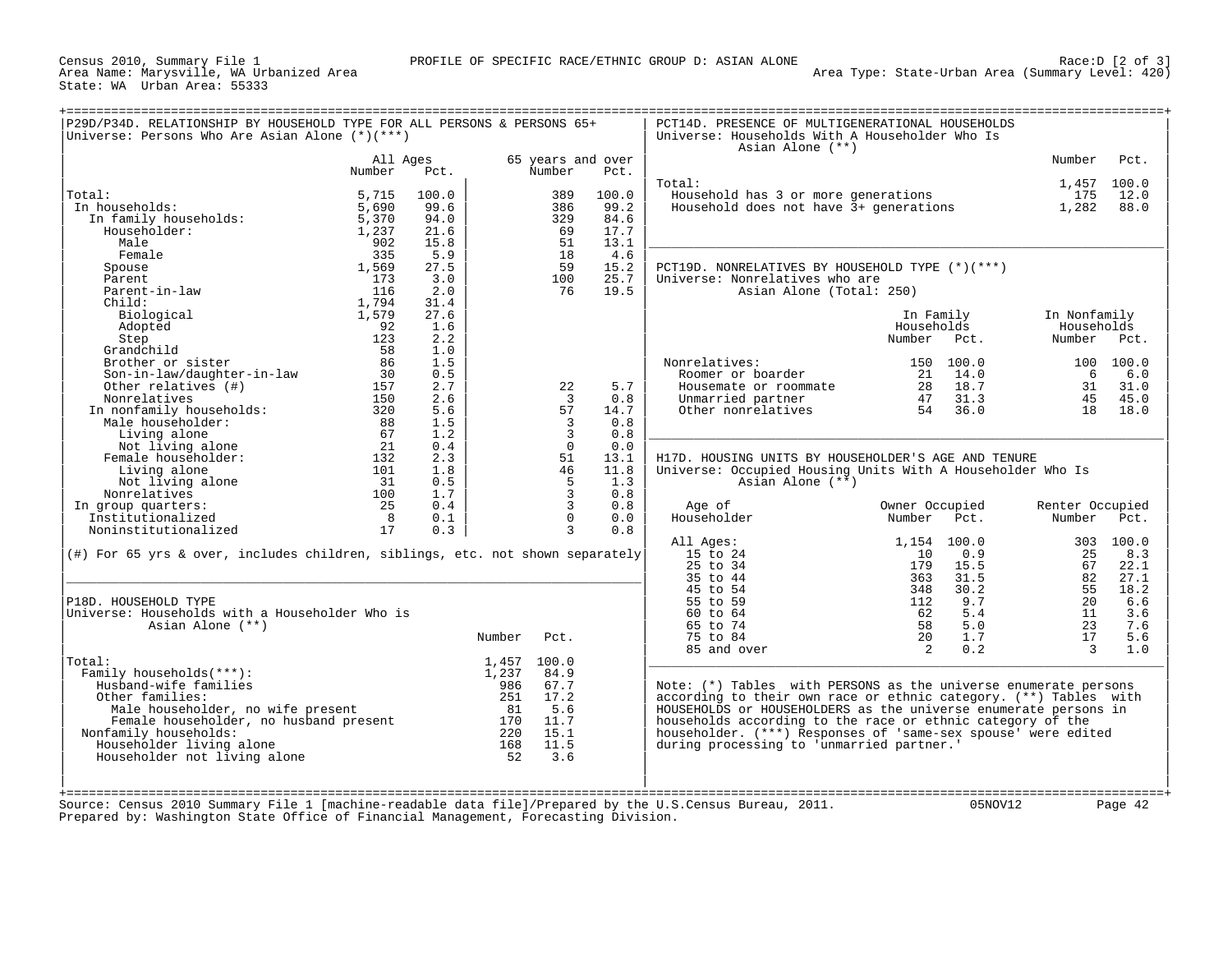Census 2010, Summary File 1<br>Area Name: Marysville, WA Urbanized Area<br>State: WA Urban Area: 55333

| Universe: Persons Who Are Asian Alone $(*)(***)$                                 |                    |       |             |                                |       | Universe: Households With A Householder Who Is<br>Asian Alone (**) |                |      |                    |           |
|----------------------------------------------------------------------------------|--------------------|-------|-------------|--------------------------------|-------|--------------------------------------------------------------------|----------------|------|--------------------|-----------|
|                                                                                  | All Ages<br>Number | Pct.  |             | 65 years and over<br>Number    | Pct.  |                                                                    |                |      | Number             | Pct.      |
| Total:                                                                           | 5,715              | 100.0 |             | 389                            | 100.0 | Total:<br>Household has 3 or more generations                      |                |      | 1,457 100.0<br>175 | 12.0      |
| In households:                                                                   | 5,690              | 99.6  |             | 386                            | 99.2  | Household does not have 3+ generations                             |                |      | 1,282              | 88.0      |
|                                                                                  |                    |       |             |                                | 84.6  |                                                                    |                |      |                    |           |
| In family households:                                                            | 5,370              | 94.0  |             | 329                            |       |                                                                    |                |      |                    |           |
| Householder:                                                                     | 1,237              | 21.6  |             | 69                             | 17.7  |                                                                    |                |      |                    |           |
| Male                                                                             | 902                | 15.8  |             | 51                             | 13.1  |                                                                    |                |      |                    |           |
| Female                                                                           | 335                | 5.9   |             | 18                             | 4.6   |                                                                    |                |      |                    |           |
| Spouse                                                                           | 1,569              | 27.5  |             | 59                             | 15.2  | PCT19D. NONRELATIVES BY HOUSEHOLD TYPE (*)(***)                    |                |      |                    |           |
| Parent                                                                           | 173                | 3.0   |             | 100                            | 25.7  | Universe: Nonrelatives who are                                     |                |      |                    |           |
| Parent-in-law                                                                    | 116                | 2.0   |             | 76                             | 19.5  | Asian Alone (Total: 250)                                           |                |      |                    |           |
| $Child$ :                                                                        | 1,794              | 31.4  |             |                                |       |                                                                    |                |      |                    |           |
| Biological                                                                       | 1,579              | 27.6  |             |                                |       |                                                                    | In Family      |      | In Nonfamily       |           |
| Adopted                                                                          | 92                 | 1.6   |             |                                |       |                                                                    | Households     |      | Households         |           |
| Step                                                                             | 123                | 2.2   |             |                                |       |                                                                    | Number         | Pct. | Number             | Pct.      |
| Grandchild                                                                       | 58                 | 1.0   |             |                                |       |                                                                    |                |      |                    |           |
| Brother or sister                                                                | 86                 | 1.5   |             |                                |       | Nonrelatives:                                                      | 150 100.0      |      |                    | 100 100.0 |
| Son-in-law/daughter-in-law                                                       | 30                 | 0.5   |             |                                |       | Roomer or boarder                                                  | 21             | 14.0 | - 6                | 6.0       |
| Other relatives (#)                                                              | 157                | 2.7   |             | 22                             | 5.7   | Housemate or roommate                                              | 28             | 18.7 | 31                 | 31.0      |
| Nonrelatives                                                                     | 150                | 2.6   |             | $\overline{3}$                 | 0.8   | Unmarried partner                                                  | 47             | 31.3 | 45                 | 45.0      |
| In nonfamily households:                                                         | 320                | 5.6   |             | 57                             | 14.7  | Other nonrelatives                                                 | 54             | 36.0 | 18                 | 18.0      |
| Male householder:                                                                | 88                 | 1.5   |             | $\overline{3}$                 | 0.8   |                                                                    |                |      |                    |           |
| Living alone                                                                     | 67                 | 1.2   |             | $\overline{3}$                 | 0.8   |                                                                    |                |      |                    |           |
| Not living alone                                                                 | 21                 | 0.4   |             | $\Omega$                       | 0.0   |                                                                    |                |      |                    |           |
| Female householder:                                                              | 132                | 2.3   |             | 51                             | 13.1  | H17D. HOUSING UNITS BY HOUSEHOLDER'S AGE AND TENURE                |                |      |                    |           |
| Living alone                                                                     | 101                | 1.8   |             | 46                             | 11.8  | Universe: Occupied Housing Units With A Householder Who Is         |                |      |                    |           |
| Not living alone                                                                 | 31                 | 0.5   |             | 5                              | 1.3   | Asian Alone (**)                                                   |                |      |                    |           |
| Nonrelatives                                                                     | 100                | 1.7   |             | $\overline{3}$                 | 0.8   |                                                                    |                |      |                    |           |
|                                                                                  | 25                 |       |             | $\overline{3}$                 | 0.8   |                                                                    |                |      |                    |           |
| In group quarters:                                                               |                    | 0.4   |             |                                |       | Age of                                                             | Owner Occupied |      | Renter Occupied    |           |
| Institutionalized                                                                | 8                  | 0.1   |             | $\mathsf{O}$<br>$\overline{3}$ | 0.0   | Householder                                                        | Number         | Pct. | Number             | Pct.      |
| Noninstitutionalized                                                             | 17                 | 0.3   |             |                                | 0.8   |                                                                    |                |      |                    |           |
|                                                                                  |                    |       |             |                                |       | All Ages:                                                          | 1,154 100.0    |      |                    | 303 100.0 |
| $(\#)$ For 65 yrs & over, includes children, siblings, etc. not shown separately |                    |       |             |                                |       | 15 to 24                                                           | 10             | 0.9  | 25                 | 8.3       |
|                                                                                  |                    |       |             |                                |       | 25 to 34                                                           | 179            | 15.5 | 67                 | 22.1      |
|                                                                                  |                    |       |             |                                |       | 35 to 44                                                           | 363            | 31.5 | 82                 | 27.1      |
|                                                                                  |                    |       |             |                                |       | 45 to 54                                                           | 348            | 30.2 | 55                 | 18.2      |
| P18D. HOUSEHOLD TYPE                                                             |                    |       |             |                                |       | 55 to 59                                                           | 112            | 9.7  | 20                 | 6.6       |
| Universe: Households with a Householder Who is                                   |                    |       |             |                                |       | 60 to 64                                                           | 62             | 5.4  | 11                 | 3.6       |
| Asian Alone (**)                                                                 |                    |       |             |                                |       | 65 to 74                                                           | 58             | 5.0  | 23                 | 7.6       |
|                                                                                  |                    |       | Number      | Pct.                           |       | 75 to 84                                                           | 20             | 1.7  | 17                 | 5.6       |
|                                                                                  |                    |       |             |                                |       | 85 and over                                                        | 2              | 0.2  | $\mathcal{R}$      | 1.0       |
| Total:                                                                           |                    |       | 1,457 100.0 |                                |       |                                                                    |                |      |                    |           |
|                                                                                  |                    |       | 1,237       | 84.9                           |       |                                                                    |                |      |                    |           |
| Family households(***):                                                          |                    |       | 986         | 67.7                           |       | Note: $(*)$ Tables with PERSONS as the universe enumerate persons  |                |      |                    |           |
| Husband-wife families                                                            |                    |       | 251         | 17.2                           |       | according to their own race or ethnic category. (**) Tables with   |                |      |                    |           |
| Other families:                                                                  |                    |       | 81          | 5.6                            |       | HOUSEHOLDS or HOUSEHOLDERS as the universe enumerate persons in    |                |      |                    |           |
| Male householder, no wife present                                                |                    |       | 170         | 11.7                           |       | households according to the race or ethnic category of the         |                |      |                    |           |
| Female householder, no husband present                                           |                    |       |             |                                |       | householder. (***) Responses of 'same-sex spouse' were edited      |                |      |                    |           |
|                                                                                  |                    |       | 220         | 15.1                           |       |                                                                    |                |      |                    |           |
| Nonfamily households:                                                            |                    |       |             | 11.5                           |       |                                                                    |                |      |                    |           |
| Householder living alone                                                         |                    |       | 168         |                                |       | during processing to 'unmarried partner.'                          |                |      |                    |           |
| Householder not living alone                                                     |                    |       | 52          | 3.6                            |       |                                                                    |                |      |                    |           |
|                                                                                  |                    |       |             |                                |       |                                                                    |                |      |                    |           |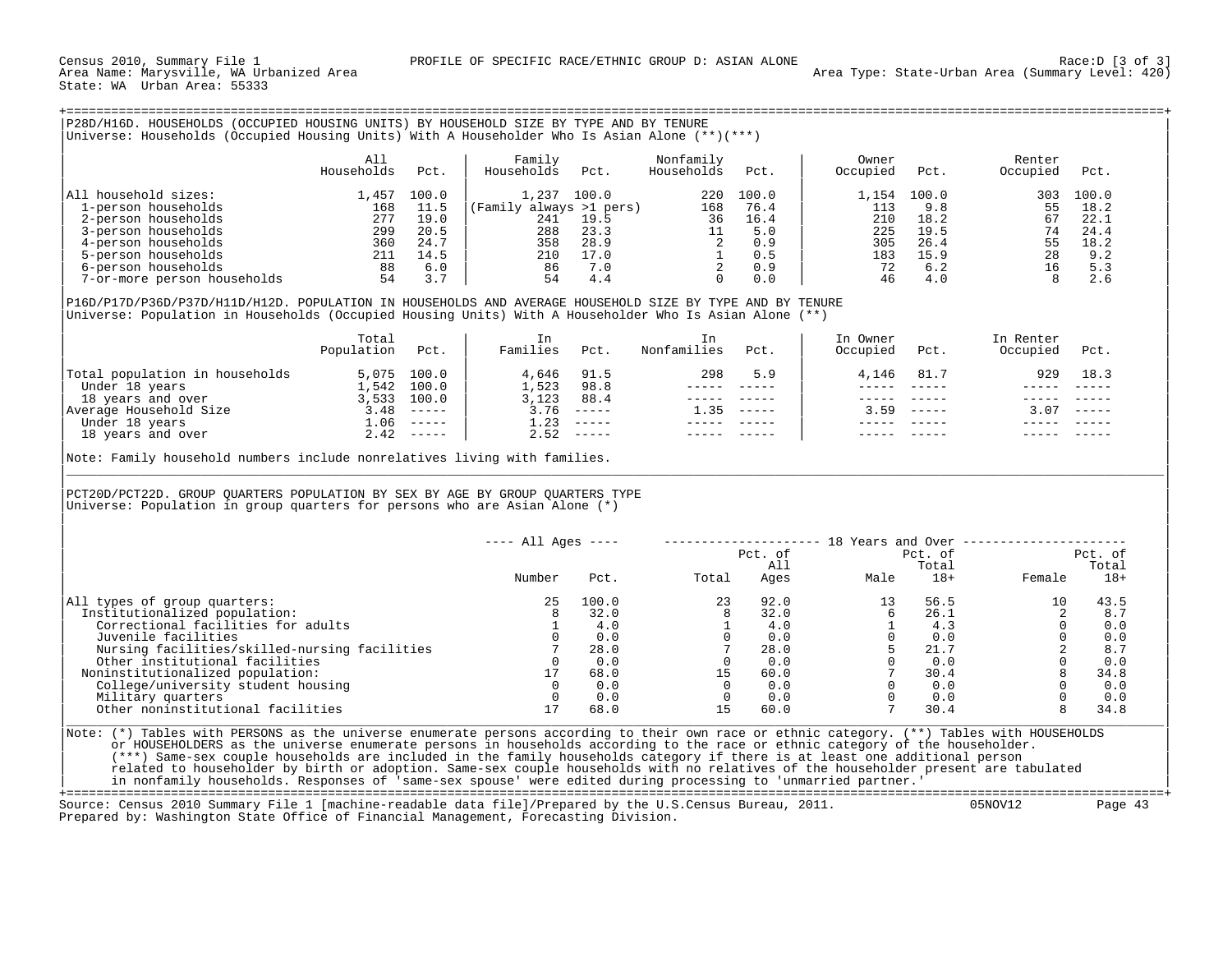Census 2010, Summary File 1 **PROFILE OF SPECIFIC RACE/ETHNIC GROUP D:** ASIAN ALONE Race:D [3 of 3]<br>Area Name: Marysville, WA Urbanized Area State: WA Urban Area: 55333

| P28D/H16D. HOUSEHOLDS (OCCUPIED HOUSING UNITS) BY HOUSEHOLD SIZE BY TYPE AND BY TENURE<br>Universe: Households (Occupied Housing Units) With A Householder Who Is Asian Alone (**)(***)                            |            |       |                         |       |            |       |          |       |          |       |
|--------------------------------------------------------------------------------------------------------------------------------------------------------------------------------------------------------------------|------------|-------|-------------------------|-------|------------|-------|----------|-------|----------|-------|
|                                                                                                                                                                                                                    | All        |       | Family                  |       | Nonfamily  |       | Owner    |       | Renter   |       |
|                                                                                                                                                                                                                    | Households | Pct.  | Households              | Pct.  | Households | Pct.  | Occupied | Pct.  | Occupied | Pct.  |
| All household sizes:                                                                                                                                                                                               | 1,457      | 100.0 | 1,237                   | 100.0 | 220        | 100.0 | 1,154    | 100.0 | 303      | 100.0 |
| 1-person households                                                                                                                                                                                                | 168        | 11.5  | (Family always >1 pers) |       | 168        | 76.4  | 113      | 9.8   | 55       | 18.2  |
| 2-person households                                                                                                                                                                                                | 277        | 19.0  | 241                     | 19.5  | 36         | 16.4  | 210      | 18.2  | 67       | 22.1  |
| 3-person households                                                                                                                                                                                                | 299        | 20.5  | 288                     | 23.3  | 11         | 5.0   | 225      | 19.5  | 74       | 24.4  |
| 4-person households                                                                                                                                                                                                | 360        | 24.7  | 358                     | 28.9  |            | 0.9   | 305      | 26.4  | 55       | 18.2  |
| 5-person households                                                                                                                                                                                                | 211        | 14.5  | 210                     | 17.0  |            | 0.5   | 183      | 15.9  | 28       | 9.2   |
| 6-person households                                                                                                                                                                                                | 88         | 6.0   | 86                      | 7.0   |            | 0.9   | 72       | 6.2   | 16       | 5.3   |
| 7-or-more person households                                                                                                                                                                                        | 54         | 3.7   | 54                      | 4.4   |            | 0.0   | 46       | 4.0   |          | 2.6   |
| P16D/P17D/P36D/P37D/H11D/H12D. POPULATION IN HOUSEHOLDS AND AVERAGE HOUSEHOLD SIZE BY TYPE AND BY TENURE<br>Universe: Population in Households (Occupied Housing Units) With A Householder Who Is Asian Alone (**) |            |       |                         |       |            |       |          |       |          |       |

|                                | Total      |                           | In       |                               |             |        | In Owner |        | In Renter |               |  |
|--------------------------------|------------|---------------------------|----------|-------------------------------|-------------|--------|----------|--------|-----------|---------------|--|
|                                | Population | Pct.                      | Families | Pct.                          | Nonfamilies | Pct.   | Occupied | Pct.   | Occupied  | Pct.          |  |
| Total population in households |            | 5,075 100.0               | 4,646    | 91.5                          | 298         | 5.9    | 4,146    | 81.7   | 929       | 18.3          |  |
| Under 18 years                 | ⊥,542      | 100.0                     | 1,523    | 98.8                          |             |        |          |        |           |               |  |
| 18 years and over              | 3,533      | 100.0                     | 3,123    | 88.4                          |             |        |          |        |           |               |  |
| Average Household Size         | 3.48       | $\qquad \qquad - - - - -$ | 3.76     | $- - - - - -$                 | 1.35        | ______ | 3.59     | ______ | 3.07      | $- - - - - -$ |  |
| Under 18 years                 | ⊥.06       |                           | 1.23     |                               |             |        |          |        |           |               |  |
| 18 years and over              |            | $2.42$ -----              | 2.52     | $\cdots \cdots \cdots \cdots$ |             |        |          |        |           |               |  |
|                                |            |                           |          |                               |             |        |          |        |           |               |  |

Note: Family household numbers include nonrelatives living with families. |\_\_\_\_\_\_\_\_\_\_\_\_\_\_\_\_\_\_\_\_\_\_\_\_\_\_\_\_\_\_\_\_\_\_\_\_\_\_\_\_\_\_\_\_\_\_\_\_\_\_\_\_\_\_\_\_\_\_\_\_\_\_\_\_\_\_\_\_\_\_\_\_\_\_\_\_\_\_\_\_\_\_\_\_\_\_\_\_\_\_\_\_\_\_\_\_\_\_\_\_\_\_\_\_\_\_\_\_\_\_\_\_\_\_\_\_\_\_\_\_\_\_\_\_\_\_\_\_\_\_\_\_\_\_\_\_\_\_\_\_\_\_\_\_\_\_\_|

| | |PCT20D/PCT22D. GROUP QUARTERS POPULATION BY SEX BY AGE BY GROUP QUARTERS TYPE | Universe: Population in group quarters for persons who are Asian Alone  $(*)$ 

|                                               | $---$ All Ages $---$ |       |       | Pct. of | 18 Years and Over | Pct. of |        | Pct. of |
|-----------------------------------------------|----------------------|-------|-------|---------|-------------------|---------|--------|---------|
|                                               |                      |       |       | All     |                   | Total   |        | Total   |
|                                               | Number               | Pct.  | Total | Ages    | Male              | $18+$   | Female | $18+$   |
| All types of group quarters:                  | 25.                  | 100.0 | 23    | 92.0    |                   | 56.5    | 10     | 43.5    |
| Institutionalized population:                 |                      | 32.0  |       | 32.0    |                   | 26.1    |        | 8.7     |
| Correctional facilities for adults            |                      | 4.0   |       | 4.0     |                   | 4.3     |        | 0.0     |
| Juvenile facilities                           |                      | 0.0   |       | 0.0     |                   | 0.0     |        | 0.0     |
| Nursing facilities/skilled-nursing facilities |                      | 28.0  |       | 28.0    |                   | 21.7    |        | 8.7     |
| Other institutional facilities                |                      | 0.0   |       | 0.0     |                   | 0.0     |        | 0.0     |
| Noninstitutionalized population:              |                      | 68.0  | 15    | 60.0    |                   | 30.4    |        | 34.8    |
| College/university student housing            |                      | 0.0   |       | 0.0     |                   | 0.0     |        | 0.0     |
| Military quarters                             |                      | 0.0   |       | 0.0     |                   | 0.0     |        | 0.0     |
| Other noninstitutional facilities             |                      | 68.0  | 15    | 60.0    |                   | 30.4    |        | 34.8    |
|                                               |                      |       |       |         |                   |         |        |         |

| |

Note: (\*) Tables with PERSONS as the universe enumerate persons according to their own race or ethnic category. (\*\*) Tables with HOUSEHOLDS or HOUSEHOLDERS as the universe enumerate persons in households according to the race or ethnic category of the householder. | (\*\*\*) Same-sex couple households are included in the family households category if there is at least one additional person | related to householder by birth or adoption. Same-sex couple households with no relatives of the householder present are tabulated in nonfamily households. Responses of 'same-sex spouse' were edited during processing to 'unmarried partner.'

+===================================================================================================================================================+ Source: Census 2010 Summary File 1 [machine-readable data file]/Prepared by the U.S.Census Bureau, 2011. Prepared by: Washington State Office of Financial Management, Forecasting Division.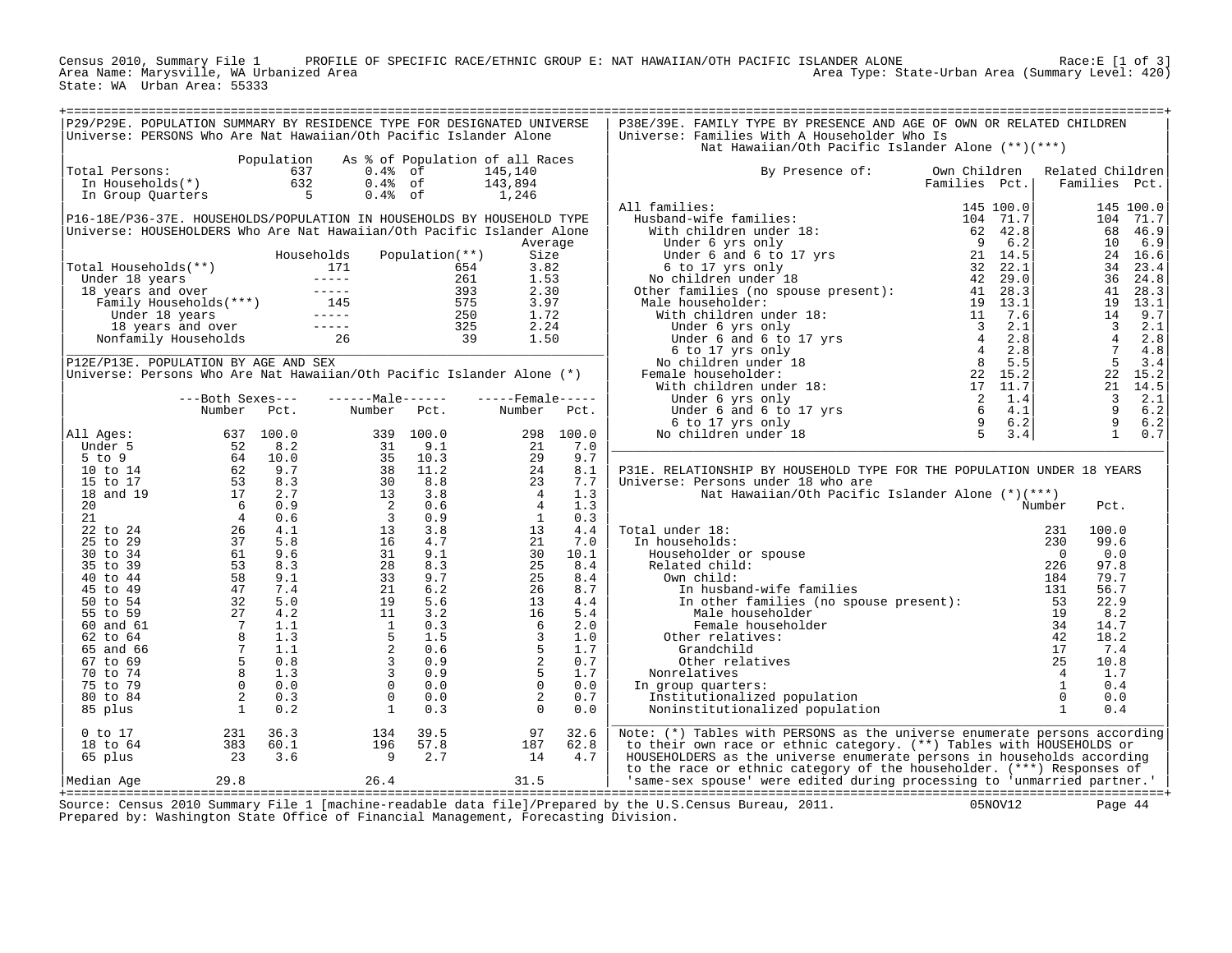Census 2010, Summary File 1 PROFILE OF SPECIFIC RACE/ETHNIC GROUP E: NAT HAWAIIAN/OTH PACIFIC ISLANDER ALONE<br>Area Name: Marysville, WA Urbanized Area Area Area Area Area Area Type: State-Urban Area (Summary Level: 420) State: WA Urban Area: 55333

| P29/P29E. POPULATION SUMMARY BY RESIDENCE TYPE FOR DESIGNATED UNIVERSE<br>Universe: PERSONS Who Are Nat Hawaiian/Oth Pacific Islander Alone |                                                                            |             |                                                                                                                                                                                                                                                                      |                |                                 |           | P38E/39E. FAMILY TYPE BY PRESENCE AND AGE OF OWN OR RELATED CHILDREN<br>Universe: Families With A Householder Who Is<br>Nat Hawaiian/Oth Pacific Islander Alone (**)(***) |               |                  |                          |               |
|---------------------------------------------------------------------------------------------------------------------------------------------|----------------------------------------------------------------------------|-------------|----------------------------------------------------------------------------------------------------------------------------------------------------------------------------------------------------------------------------------------------------------------------|----------------|---------------------------------|-----------|---------------------------------------------------------------------------------------------------------------------------------------------------------------------------|---------------|------------------|--------------------------|---------------|
|                                                                                                                                             |                                                                            | Population  |                                                                                                                                                                                                                                                                      |                | As % of Population of all Races |           |                                                                                                                                                                           |               |                  |                          |               |
| Total Persons:                                                                                                                              |                                                                            | 637         | $0.4%$ of                                                                                                                                                                                                                                                            |                | 145,140                         |           | By Presence of:                                                                                                                                                           | Own Children  | Related Children |                          |               |
| In Households(*)                                                                                                                            |                                                                            | 632         | $0.4%$ of                                                                                                                                                                                                                                                            |                | 143,894                         |           |                                                                                                                                                                           | Families Pct. |                  |                          | Families Pct. |
| In Group Quarters                                                                                                                           |                                                                            | $5^{\circ}$ | $0.4%$ of                                                                                                                                                                                                                                                            |                | 1,246                           |           |                                                                                                                                                                           |               |                  |                          |               |
|                                                                                                                                             |                                                                            |             |                                                                                                                                                                                                                                                                      |                |                                 |           | All families:<br>11 families: 145 100.0<br>Husband-wife families: 104 71.7<br>With children under 18: 62 42.8<br>104 71.7<br>52 42.8                                      |               |                  |                          | 145 100.0     |
|                                                                                                                                             |                                                                            |             |                                                                                                                                                                                                                                                                      |                |                                 |           |                                                                                                                                                                           |               |                  |                          |               |
| P16-18E/P36-37E. HOUSEHOLDS/POPULATION IN HOUSEHOLDS BY HOUSEHOLD TYPE                                                                      |                                                                            |             |                                                                                                                                                                                                                                                                      |                |                                 |           |                                                                                                                                                                           |               |                  |                          | 104 71.7      |
| Universe: HOUSEHOLDERS Who Are Nat Hawaiian/Oth Pacific Islander Alone                                                                      |                                                                            |             |                                                                                                                                                                                                                                                                      |                |                                 |           |                                                                                                                                                                           |               |                  | 68                       | 46.9          |
|                                                                                                                                             |                                                                            |             |                                                                                                                                                                                                                                                                      |                | Average                         |           |                                                                                                                                                                           |               |                  | 10                       | 6.9           |
|                                                                                                                                             |                                                                            |             | Households                                                                                                                                                                                                                                                           | Population(**) | Size                            |           |                                                                                                                                                                           |               |                  |                          | 24 16.6       |
| Total Households(**)                                                                                                                        |                                                                            |             |                                                                                                                                                                                                                                                                      |                | 3.82                            |           |                                                                                                                                                                           |               |                  | 34                       | 23.4          |
| Under 18 years                                                                                                                              |                                                                            |             |                                                                                                                                                                                                                                                                      |                | 1.53                            |           |                                                                                                                                                                           |               |                  | 36                       | 24.8          |
| 18 years and over                                                                                                                           |                                                                            |             | al Households (**)<br>inder 18 years<br>8 years and over<br>Family Households (***)<br>1654<br>171 112 11<br>171 167 18 18<br>171 11<br>171 11<br>171 11<br>171 167<br>171 11<br>171 171<br>171 171<br>171 171<br>171 171<br>171 171<br>171 171<br>171 171<br>171 17 |                | 2.30                            |           |                                                                                                                                                                           |               |                  | 41                       | 28.3          |
|                                                                                                                                             |                                                                            |             |                                                                                                                                                                                                                                                                      |                | 3.97                            |           |                                                                                                                                                                           |               |                  | 19                       | 13.1          |
|                                                                                                                                             |                                                                            |             |                                                                                                                                                                                                                                                                      |                | 1.72                            |           |                                                                                                                                                                           |               |                  | 14                       | 9.7           |
|                                                                                                                                             |                                                                            |             |                                                                                                                                                                                                                                                                      |                | 2.24                            |           |                                                                                                                                                                           |               |                  | $\overline{\phantom{a}}$ | 2.1           |
|                                                                                                                                             |                                                                            |             |                                                                                                                                                                                                                                                                      |                | 1.50                            |           |                                                                                                                                                                           |               |                  | $\overline{4}$           | 2.8           |
|                                                                                                                                             |                                                                            |             |                                                                                                                                                                                                                                                                      |                |                                 |           |                                                                                                                                                                           |               |                  | $\overline{7}$           | 4.8           |
| P12E/P13E. POPULATION BY AGE AND SEX                                                                                                        |                                                                            |             |                                                                                                                                                                                                                                                                      |                |                                 |           |                                                                                                                                                                           |               |                  | 5                        | 3.4           |
| Universe: Persons Who Are Nat Hawaiian/Oth Pacific Islander Alone (*)                                                                       |                                                                            |             |                                                                                                                                                                                                                                                                      |                |                                 |           |                                                                                                                                                                           |               |                  | 22                       | 15.2          |
|                                                                                                                                             |                                                                            |             |                                                                                                                                                                                                                                                                      |                |                                 |           |                                                                                                                                                                           |               |                  | 21                       | 14.5          |
|                                                                                                                                             |                                                                            |             |                                                                                                                                                                                                                                                                      |                |                                 |           |                                                                                                                                                                           |               |                  | $\overline{\mathbf{3}}$  | 2.1           |
|                                                                                                                                             | ---Both Sexes---                                                           |             | $---Maxe---$                                                                                                                                                                                                                                                         |                | $---$ Female -----              |           |                                                                                                                                                                           |               |                  | $\overline{9}$           |               |
|                                                                                                                                             | Number                                                                     | Pct.        | Number                                                                                                                                                                                                                                                               | Pct.           | Number                          | Pct.      |                                                                                                                                                                           |               |                  |                          | 6.2           |
|                                                                                                                                             |                                                                            |             |                                                                                                                                                                                                                                                                      |                |                                 |           |                                                                                                                                                                           |               |                  | 9                        | 6.2           |
| All Ages:                                                                                                                                   |                                                                            | 637 100.0   |                                                                                                                                                                                                                                                                      | 339 100.0      |                                 | 298 100.0 |                                                                                                                                                                           |               |                  | $\overline{1}$           | 0.7           |
| Under 5                                                                                                                                     |                                                                            | 8.2         | 31                                                                                                                                                                                                                                                                   | 9.1            | 21                              | 7.0       |                                                                                                                                                                           |               |                  |                          |               |
| $5$ to 9                                                                                                                                    | $\begin{array}{r} 0.37 \\ 64 \\ 62 \\ 53 \\ 17 \\ 6 \\ 4 \\ 2 \end{array}$ | 10.0        |                                                                                                                                                                                                                                                                      | 10.3           | 29                              | 9.7       |                                                                                                                                                                           |               |                  |                          |               |
| $10$ to $14$                                                                                                                                |                                                                            | 9.7         |                                                                                                                                                                                                                                                                      | 11.2           | 24                              | 8.1       | P31E. RELATIONSHIP BY HOUSEHOLD TYPE FOR THE POPULATION UNDER 18 YEARS                                                                                                    |               |                  |                          |               |
| 15 to 17                                                                                                                                    |                                                                            | 8.3         |                                                                                                                                                                                                                                                                      | 8.8            | 23                              | 7.7       | Universe: Persons under 18 who are                                                                                                                                        |               |                  |                          |               |
| 18 and 19                                                                                                                                   |                                                                            | 2.7         |                                                                                                                                                                                                                                                                      | 3.8            | $\overline{4}$                  | 1.3       | Nat Hawaiian/Oth Pacific Islander Alone $(*)(***)$                                                                                                                        |               |                  |                          |               |
| 20                                                                                                                                          |                                                                            | 0.9         |                                                                                                                                                                                                                                                                      | 0.6            | $\overline{4}$                  | 1.3       |                                                                                                                                                                           |               | Number           | Pct.                     |               |
| 21                                                                                                                                          |                                                                            |             |                                                                                                                                                                                                                                                                      | 0.9            | <sup>1</sup>                    | 0.3       |                                                                                                                                                                           |               |                  |                          |               |
| 22 to 24                                                                                                                                    |                                                                            |             |                                                                                                                                                                                                                                                                      | 3.8            | 13                              | 4.4       | Total under 18:                                                                                                                                                           |               | 231              | 100.0                    |               |
| 25 to 29                                                                                                                                    |                                                                            |             |                                                                                                                                                                                                                                                                      | 4.7            | 21                              | 7.0       | In households:                                                                                                                                                            |               | 230              | 99.6                     |               |
| 30 to 34                                                                                                                                    |                                                                            |             |                                                                                                                                                                                                                                                                      | 9.1            | 30                              | 10.1      | Householder or spouse                                                                                                                                                     |               | $\Omega$         | 0.0                      |               |
| 35 to 39                                                                                                                                    |                                                                            |             |                                                                                                                                                                                                                                                                      | 8.3            | 25                              | 8.4       | Related child:                                                                                                                                                            |               | 226              | 97.8                     |               |
| 40 to 44                                                                                                                                    |                                                                            |             |                                                                                                                                                                                                                                                                      | 9.7            | 25                              | 8.4       | Own child:                                                                                                                                                                |               | 184              | 79.7                     |               |
| 45 to 49                                                                                                                                    |                                                                            |             |                                                                                                                                                                                                                                                                      | 6.2            | 26                              | 8.7       | In husband-wife families                                                                                                                                                  |               | 131              | 56.7                     |               |
| 50 to 54                                                                                                                                    |                                                                            |             |                                                                                                                                                                                                                                                                      | 5.6            | 13                              | 4.4       |                                                                                                                                                                           |               | 53               | 22.9                     |               |
|                                                                                                                                             |                                                                            |             | $\begin{array}{r} 31 \\ 35 \\ 38 \\ 30 \\ 13 \\ 23 \\ 31 \\ 24 \\ 23 \\ 31 \\ 21 \\ 24 \\ 23 \\ 33 \\ 21 \\ 19 \\ 11 \\ 1 \\ 5 \\ 2 \\ 3 \\ 3 \\ 0 \\ 0 \\ 0 \\ \end{array}$                                                                                         |                | 16                              |           | In other families (no spouse present):                                                                                                                                    |               | 19               |                          |               |
| 55 to 59                                                                                                                                    |                                                                            |             |                                                                                                                                                                                                                                                                      | 3.2            |                                 | 5.4       | Male householder                                                                                                                                                          |               |                  | 8.2<br>14.7              |               |
| 60 and 61                                                                                                                                   |                                                                            |             |                                                                                                                                                                                                                                                                      | 0.3            | 6                               | 2.0       | Female householder                                                                                                                                                        |               | 34               |                          |               |
| 62 to 64                                                                                                                                    |                                                                            |             |                                                                                                                                                                                                                                                                      | 1.5            | $\overline{3}$                  | 1.0       | Other relatives:                                                                                                                                                          |               | 42               | 18.2                     |               |
| 65 and 66                                                                                                                                   |                                                                            |             |                                                                                                                                                                                                                                                                      | 0.6            | 5                               | 1.7       | Grandchild                                                                                                                                                                |               | 17               | 7.4                      |               |
| 67 to 69                                                                                                                                    |                                                                            |             | $\overline{3}$                                                                                                                                                                                                                                                       | 0.9            | 2                               | 0.7       | Other relatives                                                                                                                                                           |               | 25               | 10.8                     |               |
| 70 to 74                                                                                                                                    |                                                                            |             | $\overline{\mathbf{3}}$                                                                                                                                                                                                                                              | 0.9            | 5                               | 1.7       | Nonrelatives                                                                                                                                                              |               | $\overline{4}$   | 1.7                      |               |
| 75 to 79                                                                                                                                    |                                                                            |             |                                                                                                                                                                                                                                                                      | 0.0            | $\overline{0}$                  | 0.0       | In group quarters:                                                                                                                                                        |               | $\mathbf{1}$     | 0.4                      |               |
| 80 to 84                                                                                                                                    |                                                                            |             | $\Omega$                                                                                                                                                                                                                                                             | 0.0            | 2                               | 0.7       | Institutionalized population                                                                                                                                              |               | $\Omega$         | 0.0                      |               |
| 85 plus                                                                                                                                     |                                                                            |             | <sup>1</sup>                                                                                                                                                                                                                                                         | 0.3            | $\Omega$                        | 0.0       | Noninstitutionalized population                                                                                                                                           |               | $\mathbf{1}$     | 0.4                      |               |
| $0$ to $17$                                                                                                                                 | 231                                                                        | 36.3        | 134                                                                                                                                                                                                                                                                  | 39.5           | 97                              | 32.6      | Note: (*) Tables with PERSONS as the universe enumerate persons according                                                                                                 |               |                  |                          |               |
| 18 to 64                                                                                                                                    | 383                                                                        | 60.1        | 196                                                                                                                                                                                                                                                                  | 57.8           | 187                             | 62.8      | to their own race or ethnic category. (**) Tables with HOUSEHOLDS or                                                                                                      |               |                  |                          |               |
| 65 plus                                                                                                                                     | 23                                                                         | 3.6         | 9                                                                                                                                                                                                                                                                    | 2.7            | 14                              | 4.7       | HOUSEHOLDERS as the universe enumerate persons in households according                                                                                                    |               |                  |                          |               |
|                                                                                                                                             |                                                                            |             |                                                                                                                                                                                                                                                                      |                |                                 |           | to the race or ethnic category of the householder. (***) Responses of                                                                                                     |               |                  |                          |               |
| Median Age                                                                                                                                  | 29.8                                                                       |             | 26.4                                                                                                                                                                                                                                                                 |                | 31.5                            |           | 'same-sex spouse' were edited during processing to 'unmarried partner.'                                                                                                   |               |                  |                          |               |
|                                                                                                                                             |                                                                            |             |                                                                                                                                                                                                                                                                      |                |                                 |           |                                                                                                                                                                           |               |                  |                          |               |

+===================================================================================================================================================+ Source: Census 2010 Summary File 1 [machine-readable data file]/Prepared by the U.S.Census Bureau, 2011. 05NOV12 Page 44 Prepared by: Washington State Office of Financial Management, Forecasting Division.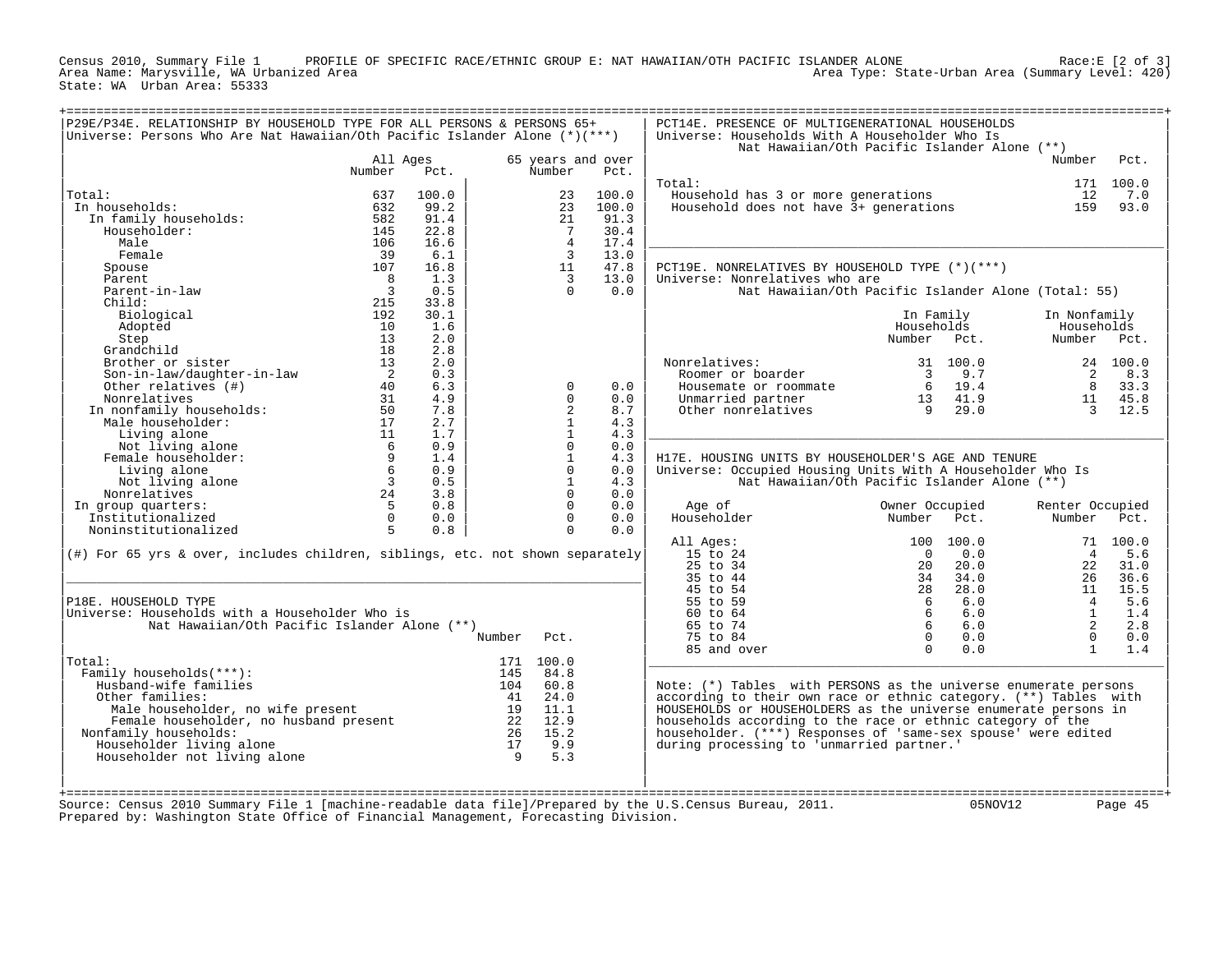Census 2010, Summary File 1 PROFILE OF SPECIFIC RACE/ETHNIC GROUP E: NAT HAWAIIAN/OTH PACIFIC ISLANDER ALONE<br>Area Name: Marysville, WA Urbanized Area Area Area Area Area Area Type: State-Urban Area (Summary Level: 420) State: WA Urban Area: 55333

| Universe: Persons Who Are Nat Hawaiian/Oth Pacific Islander Alone (*)(***)    |                          |       |          |                |                   | Universe: Households With A Householder Who Is<br>Nat Hawaiian/Oth Pacific Islander Alone (**) |                 |          |                 |           |
|-------------------------------------------------------------------------------|--------------------------|-------|----------|----------------|-------------------|------------------------------------------------------------------------------------------------|-----------------|----------|-----------------|-----------|
|                                                                               | All Ages                 |       |          |                | 65 years and over |                                                                                                |                 |          | Number          | Pct.      |
|                                                                               | Number                   | Pct.  |          | Number         | Pct.              | Total:                                                                                         |                 |          |                 | 171 100.0 |
| Total:                                                                        | 637                      | 100.0 |          | 23             | 100.0             | Household has 3 or more generations                                                            |                 |          | 12              | 7.0       |
| In households:                                                                | 632                      | 99.2  |          | 23             | 100.0             | Household does not have 3+ generations                                                         |                 |          | 159             | 93.0      |
| In family households:                                                         | 582                      | 91.4  |          | 21             | 91.3              |                                                                                                |                 |          |                 |           |
| Householder:                                                                  | 145                      | 22.8  |          | 7              | 30.4              |                                                                                                |                 |          |                 |           |
| Male                                                                          | 106                      | 16.6  |          | $\overline{4}$ | 17.4              |                                                                                                |                 |          |                 |           |
| Female                                                                        | 39                       | 6.1   |          | $\overline{3}$ | 13.0              |                                                                                                |                 |          |                 |           |
| Spouse                                                                        | 107                      | 16.8  |          | 11             | 47.8              | PCT19E. NONRELATIVES BY HOUSEHOLD TYPE (*)(***)                                                |                 |          |                 |           |
| Parent                                                                        | 8                        | 1.3   |          | $\overline{3}$ | 13.0              | Universe: Nonrelatives who are                                                                 |                 |          |                 |           |
| Parent-in-law                                                                 | $\overline{\phantom{a}}$ | 0.5   |          | $\Omega$       | 0.0               | Nat Hawaiian/Oth Pacific Islander Alone (Total: 55)                                            |                 |          |                 |           |
| Child:                                                                        | 215                      | 33.8  |          |                |                   |                                                                                                |                 |          |                 |           |
| Biological                                                                    | 192                      | 30.1  |          |                |                   |                                                                                                | In Family       |          | In Nonfamily    |           |
| Adopted                                                                       | 10                       | 1.6   |          |                |                   |                                                                                                | Households      |          | Households      |           |
| Step                                                                          | 13                       | 2.0   |          |                |                   |                                                                                                | Number          | Pct.     | Number Pct.     |           |
| Grandchild                                                                    | 18                       | 2.8   |          |                |                   |                                                                                                |                 |          |                 |           |
| Brother or sister                                                             | 13                       | 2.0   |          |                |                   | Nonrelatives:                                                                                  |                 | 31 100.0 |                 | 24 100.0  |
| Son-in-law/daughter-in-law                                                    | $\overline{2}$           | 0.3   |          |                |                   | Roomer or boarder                                                                              | $\overline{3}$  | 9.7      | 2               | 8.3       |
| Other relatives (#)                                                           | 40                       | 6.3   |          | $\mathbf 0$    | 0.0               | Housemate or roommate                                                                          | $6\overline{6}$ | 19.4     | 8               | 33.3      |
| Nonrelatives                                                                  | 31                       | 4.9   |          | $\Omega$       | 0.0               | Unmarried partner                                                                              | 13              | 41.9     | 11              | 45.8      |
| In nonfamily households:                                                      | 50                       | 7.8   |          | $\overline{a}$ | 8.7               | Other nonrelatives                                                                             | -9              | 29.0     | $\overline{3}$  | 12.5      |
| Male householder:                                                             | 17                       | 2.7   |          | $\mathbf{1}$   | 4.3               |                                                                                                |                 |          |                 |           |
| Living alone                                                                  | 11                       | 1.7   |          | $\mathbf{1}$   | 4.3               |                                                                                                |                 |          |                 |           |
| Not living alone                                                              | - 6                      | 0.9   |          | $\Omega$       | $0.0$             |                                                                                                |                 |          |                 |           |
| Female householder:                                                           | 9                        | 1.4   |          | $\mathbf{1}$   | 4.3               | H17E. HOUSING UNITS BY HOUSEHOLDER'S AGE AND TENURE                                            |                 |          |                 |           |
| Living alone                                                                  | 6                        | 0.9   |          | $\mathbf{0}$   | 0.0               | Universe: Occupied Housing Units With A Householder Who Is                                     |                 |          |                 |           |
| Not living alone                                                              | $\overline{\mathbf{3}}$  | 0.5   |          | $\mathbf{1}$   | 4.3               | Nat Hawaiian/Oth Pacific Islander Alone (**)                                                   |                 |          |                 |           |
| Nonrelatives                                                                  | 24                       | 3.8   |          | $\Omega$       | 0.0               |                                                                                                |                 |          |                 |           |
| In group quarters:                                                            | $5^{\circ}$              | 0.8   |          | $\Omega$       | 0.0               | Age of                                                                                         | Owner Occupied  |          | Renter Occupied |           |
| Institutionalized                                                             | $\Omega$                 | 0.0   |          | $\Omega$       | 0.0               | Householder                                                                                    | Number          | Pct.     | Number          | Pct.      |
| Noninstitutionalized                                                          | 5                        | 0.8   |          | $\mathbf 0$    | 0.0               |                                                                                                |                 |          |                 |           |
|                                                                               |                          |       |          |                |                   | All Ages:                                                                                      | 100             | 100.0    |                 | 71 100.0  |
| (#) For 65 yrs & over, includes children, siblings, etc. not shown separately |                          |       |          |                |                   | 15 to 24                                                                                       | $\Omega$        | 0.0      | $\overline{4}$  | 5.6       |
|                                                                               |                          |       |          |                |                   | 25 to 34                                                                                       | 20              | 20.0     | 22              | 31.0      |
|                                                                               |                          |       |          |                |                   | 35 to 44                                                                                       | 34              | 34.0     | 26              | 36.6      |
|                                                                               |                          |       |          |                |                   | 45 to 54                                                                                       | 28              | 28.0     | 11              | 15.5      |
| P18E. HOUSEHOLD TYPE                                                          |                          |       |          |                |                   | 55 to 59                                                                                       | 6               | 6.0      | $\overline{4}$  | 5.6       |
| Universe: Households with a Householder Who is                                |                          |       |          |                |                   | 60 to 64                                                                                       | 6               | 6.0      | $\mathbf{1}$    | 1.4       |
| Nat Hawaiian/Oth Pacific Islander Alone (**)                                  |                          |       |          |                |                   | 65 to 74                                                                                       | 6               | 6.0      | 2               | 2.8       |
|                                                                               |                          |       | Number   | Pct.           |                   | 75 to 84                                                                                       | $\Omega$        | 0.0      | $\Omega$        | 0.0       |
|                                                                               |                          |       |          |                |                   | 85 and over                                                                                    | $\Omega$        | 0.0      | $\mathbf{1}$    | 1.4       |
| Total:                                                                        |                          |       |          | 171 100.0      |                   |                                                                                                |                 |          |                 |           |
| Family households(***):                                                       |                          |       | 145      | 84.8           |                   |                                                                                                |                 |          |                 |           |
| Husband-wife families                                                         |                          |       | 104      | 60.8           |                   | Note: $(*)$ Tables with PERSONS as the universe enumerate persons                              |                 |          |                 |           |
| Other families:                                                               |                          |       | 41       | 24.0           |                   | according to their own race or ethnic category. (**) Tables with                               |                 |          |                 |           |
| Male householder, no wife present                                             |                          |       | 19       | 11.1<br>12.9   |                   | HOUSEHOLDS or HOUSEHOLDERS as the universe enumerate persons in                                |                 |          |                 |           |
| Female householder, no husband present                                        |                          |       | 22<br>26 | 15.2           |                   | households according to the race or ethnic category of the                                     |                 |          |                 |           |
| Nonfamily households:                                                         |                          |       | 17       | 9.9            |                   | householder. (***) Responses of 'same-sex spouse' were edited                                  |                 |          |                 |           |
| Householder living alone<br>Householder not living alone                      |                          |       | 9        | 5.3            |                   | during processing to 'unmarried partner.'                                                      |                 |          |                 |           |
|                                                                               |                          |       |          |                |                   |                                                                                                |                 |          |                 |           |
|                                                                               |                          |       |          |                |                   |                                                                                                |                 |          |                 |           |
|                                                                               |                          |       |          |                |                   |                                                                                                |                 |          |                 |           |
|                                                                               |                          |       |          |                |                   |                                                                                                |                 |          |                 |           |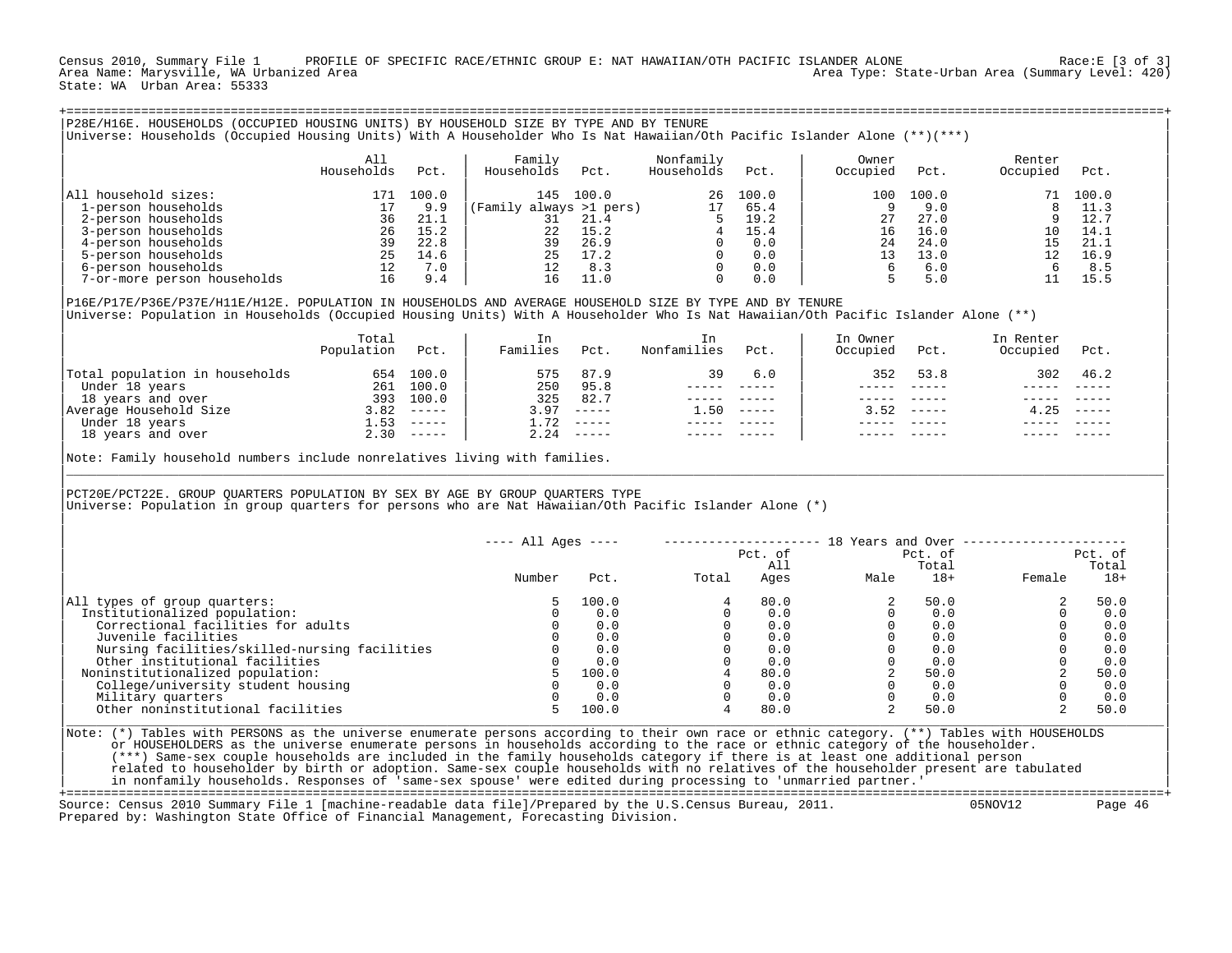Census 2010, Summary File 1 PROFILE OF SPECIFIC RACE/ETHNIC GROUP E: NAT HAWAIIAN/OTH PACIFIC ISLANDER ALONE Race:E [3 of 3]<br>Area Name: Marysville, WA Urbanized Area Area Type: State-Urban Area (Summary Level: 420) State: WA Urban Area: 55333

|                                                                                                                                                                                                                                                                         | All<br>Households        | Pct.               | Family<br>Households Pct.            |                              | Nonfamily<br>Households                                                                                   | Pct.                                                                                                                                                                                                                                                                                                                                                                                                                                                                                   | Owner<br>Occupied                                      | Pct.                                                                                                                                                                                                                                                                                                                                                                                         | Renter<br>Occupied Pct.                                                  |                |
|-------------------------------------------------------------------------------------------------------------------------------------------------------------------------------------------------------------------------------------------------------------------------|--------------------------|--------------------|--------------------------------------|------------------------------|-----------------------------------------------------------------------------------------------------------|----------------------------------------------------------------------------------------------------------------------------------------------------------------------------------------------------------------------------------------------------------------------------------------------------------------------------------------------------------------------------------------------------------------------------------------------------------------------------------------|--------------------------------------------------------|----------------------------------------------------------------------------------------------------------------------------------------------------------------------------------------------------------------------------------------------------------------------------------------------------------------------------------------------------------------------------------------------|--------------------------------------------------------------------------|----------------|
| All household sizes:                                                                                                                                                                                                                                                    |                          | 171 100.0          |                                      | 145 100.0                    |                                                                                                           | 26, 100.0                                                                                                                                                                                                                                                                                                                                                                                                                                                                              |                                                        | 100 100.0                                                                                                                                                                                                                                                                                                                                                                                    |                                                                          | 71 100.0       |
| 1-person households                                                                                                                                                                                                                                                     | 17                       | 9.9                | $(Family always >1 pers)$<br>31 21.4 |                              |                                                                                                           | 17 65.4                                                                                                                                                                                                                                                                                                                                                                                                                                                                                | - 9                                                    | 9.0                                                                                                                                                                                                                                                                                                                                                                                          |                                                                          | 8 11.3         |
| 2-person households                                                                                                                                                                                                                                                     | 36                       | 21.1               |                                      |                              |                                                                                                           |                                                                                                                                                                                                                                                                                                                                                                                                                                                                                        | 27                                                     | 27.0                                                                                                                                                                                                                                                                                                                                                                                         |                                                                          |                |
| 3-person households<br>4-person households                                                                                                                                                                                                                              |                          | 26 15.2<br>39 22.8 |                                      |                              |                                                                                                           |                                                                                                                                                                                                                                                                                                                                                                                                                                                                                        | $\overline{16}$<br>24                                  | 16.0<br>24.0                                                                                                                                                                                                                                                                                                                                                                                 |                                                                          |                |
| 5-person households                                                                                                                                                                                                                                                     |                          | 25 14.6            |                                      |                              |                                                                                                           |                                                                                                                                                                                                                                                                                                                                                                                                                                                                                        | 13                                                     | 13.0                                                                                                                                                                                                                                                                                                                                                                                         | $\begin{array}{ccc}9 & 12.7\\10 & 14.1\\15 & 21.1\\12 & 16.9\end{array}$ |                |
| 6-person households                                                                                                                                                                                                                                                     | 12                       | 7.0                |                                      |                              |                                                                                                           |                                                                                                                                                                                                                                                                                                                                                                                                                                                                                        | $6\overline{6}$                                        | 6.0                                                                                                                                                                                                                                                                                                                                                                                          | 6                                                                        | 8.5            |
| 7-or-more person households                                                                                                                                                                                                                                             | 16                       | 9.4                | 16                                   | 11.0                         | $\Omega$                                                                                                  | 0.0                                                                                                                                                                                                                                                                                                                                                                                                                                                                                    | $5^{\circ}$                                            | 5.0                                                                                                                                                                                                                                                                                                                                                                                          | 11                                                                       | 15.5           |
| P16E/P17E/P36E/P37E/H11E/H12E. POPULATION IN HOUSEHOLDS AND AVERAGE HOUSEHOLD SIZE BY TYPE AND BY TENURE<br>Universe: Population in Households (Occupied Housing Units) With A Householder Who Is Nat Hawaiian/Oth Pacific Islander Alone (**)                          | Total<br>Population Pct. |                    | In<br>Families Pct.                  |                              | In<br>Nonfamilies                                                                                         | Pct.                                                                                                                                                                                                                                                                                                                                                                                                                                                                                   | In Owner<br>Occupied                                   | Pct.                                                                                                                                                                                                                                                                                                                                                                                         | In Renter<br>Occupied                                                    | Pct.           |
|                                                                                                                                                                                                                                                                         |                          |                    |                                      |                              |                                                                                                           |                                                                                                                                                                                                                                                                                                                                                                                                                                                                                        |                                                        |                                                                                                                                                                                                                                                                                                                                                                                              |                                                                          |                |
|                                                                                                                                                                                                                                                                         |                          |                    | 575                                  | 87.9                         | 39                                                                                                        | 6.0                                                                                                                                                                                                                                                                                                                                                                                                                                                                                    | 352                                                    | 53.8                                                                                                                                                                                                                                                                                                                                                                                         | 302                                                                      | 46.2           |
|                                                                                                                                                                                                                                                                         |                          |                    |                                      |                              |                                                                                                           |                                                                                                                                                                                                                                                                                                                                                                                                                                                                                        |                                                        |                                                                                                                                                                                                                                                                                                                                                                                              |                                                                          |                |
|                                                                                                                                                                                                                                                                         |                          |                    |                                      | 250 95.8                     | $- - - - - -$                                                                                             | $\begin{array}{cccccccccc} \multicolumn{2}{c}{} & \multicolumn{2}{c}{} & \multicolumn{2}{c}{} & \multicolumn{2}{c}{} & \multicolumn{2}{c}{} & \multicolumn{2}{c}{} & \multicolumn{2}{c}{} & \multicolumn{2}{c}{} & \multicolumn{2}{c}{} & \multicolumn{2}{c}{} & \multicolumn{2}{c}{} & \multicolumn{2}{c}{} & \multicolumn{2}{c}{} & \multicolumn{2}{c}{} & \multicolumn{2}{c}{} & \multicolumn{2}{c}{} & \multicolumn{2}{c}{} & \multicolumn{2}{c}{} & \multicolumn{2}{c}{} & \mult$ |                                                        | $\frac{1}{2} \frac{1}{2} \frac{1}{2} \frac{1}{2} \frac{1}{2} \frac{1}{2} \frac{1}{2} \frac{1}{2} \frac{1}{2} \frac{1}{2} \frac{1}{2} \frac{1}{2} \frac{1}{2} \frac{1}{2} \frac{1}{2} \frac{1}{2} \frac{1}{2} \frac{1}{2} \frac{1}{2} \frac{1}{2} \frac{1}{2} \frac{1}{2} \frac{1}{2} \frac{1}{2} \frac{1}{2} \frac{1}{2} \frac{1}{2} \frac{1}{2} \frac{1}{2} \frac{1}{2} \frac{1}{2} \frac{$ | $- - - - - -$                                                            |                |
|                                                                                                                                                                                                                                                                         |                          |                    |                                      | 325 82.7                     | $\begin{array}{cccccc} - & - & - & - & - & - & - \\ & - & - & - & - & - \\ & & - & - & - & - \end{array}$ |                                                                                                                                                                                                                                                                                                                                                                                                                                                                                        |                                                        | $\begin{array}{cccccc} - & - & - & - & - & - \\ & - & - & - & - \\ & & - & - & - \end{array}$                                                                                                                                                                                                                                                                                                |                                                                          |                |
|                                                                                                                                                                                                                                                                         |                          |                    |                                      | $3.97$ -----                 |                                                                                                           | $1.50$ -----                                                                                                                                                                                                                                                                                                                                                                                                                                                                           |                                                        | $3.52$ -----                                                                                                                                                                                                                                                                                                                                                                                 | $4.25$ -----                                                             |                |
| Total population in households 654 100.0<br>Under 18 years 261 100.0<br>18 years and over 393 100.0<br>Average Household Size 3.82 -----<br>Under 18 years 1.53 -----<br>18 years and over<br>Note: Family household numbers include nonrelatives living with families. | $2.30$ -----             |                    |                                      | $1.72$ -----<br>$2.24$ ----- |                                                                                                           |                                                                                                                                                                                                                                                                                                                                                                                                                                                                                        |                                                        |                                                                                                                                                                                                                                                                                                                                                                                              |                                                                          |                |
| PCT20E/PCT22E. GROUP OUARTERS POPULATION BY SEX BY AGE BY GROUP OUARTERS TYPE<br>Universe: Population in group quarters for persons who are Nat Hawaiian/Oth Pacific Islander Alone (*)                                                                                 |                          |                    |                                      |                              |                                                                                                           |                                                                                                                                                                                                                                                                                                                                                                                                                                                                                        |                                                        |                                                                                                                                                                                                                                                                                                                                                                                              |                                                                          |                |
|                                                                                                                                                                                                                                                                         |                          |                    | ---- All Ages ----                   |                              |                                                                                                           |                                                                                                                                                                                                                                                                                                                                                                                                                                                                                        | -------------------    18 Years and Over ------------- |                                                                                                                                                                                                                                                                                                                                                                                              |                                                                          |                |
|                                                                                                                                                                                                                                                                         |                          |                    |                                      |                              |                                                                                                           | Pct. of                                                                                                                                                                                                                                                                                                                                                                                                                                                                                |                                                        | Pct. of                                                                                                                                                                                                                                                                                                                                                                                      |                                                                          | Pct. of        |
|                                                                                                                                                                                                                                                                         |                          |                    | Number                               | Pct.                         | Total                                                                                                     | All<br>Ages                                                                                                                                                                                                                                                                                                                                                                                                                                                                            | Male                                                   | Total<br>$18+$                                                                                                                                                                                                                                                                                                                                                                               | Female                                                                   | Total<br>$18+$ |
|                                                                                                                                                                                                                                                                         |                          |                    | -5                                   | 100.0                        | $4\overline{ }$                                                                                           | 80.0                                                                                                                                                                                                                                                                                                                                                                                                                                                                                   | 2                                                      | 50.0                                                                                                                                                                                                                                                                                                                                                                                         | 2                                                                        | 50.0           |
| Institutionalized population:                                                                                                                                                                                                                                           |                          |                    | $\Omega$                             | 0.0                          | $\overline{0}$                                                                                            |                                                                                                                                                                                                                                                                                                                                                                                                                                                                                        | $\Omega$                                               | 0.0                                                                                                                                                                                                                                                                                                                                                                                          | $\mathbf{0}$                                                             | 0.0            |
| Correctional facilities for adults                                                                                                                                                                                                                                      |                          |                    | $\Omega$                             | 0.0                          | $\overline{0}$                                                                                            |                                                                                                                                                                                                                                                                                                                                                                                                                                                                                        | $\overline{0}$                                         | 0.0                                                                                                                                                                                                                                                                                                                                                                                          | $\Omega$                                                                 | 0.0            |
| Juvenile facilities                                                                                                                                                                                                                                                     |                          |                    | $\Omega$                             | 0.0                          | $\overline{0}$                                                                                            | $\begin{array}{c} 0.0 \\ 0.0 \\ 0.0 \\ 0.0 \end{array}$                                                                                                                                                                                                                                                                                                                                                                                                                                | $\overline{0}$                                         | 0.0                                                                                                                                                                                                                                                                                                                                                                                          | $\Omega$                                                                 | 0.0            |
| Nursing facilities/skilled-nursing facilities                                                                                                                                                                                                                           |                          |                    | $\mathbf 0$                          | 0.0                          | $\overline{0}$                                                                                            |                                                                                                                                                                                                                                                                                                                                                                                                                                                                                        | $\overline{0}$                                         | 0.0                                                                                                                                                                                                                                                                                                                                                                                          | $\mathbf{0}$                                                             | 0.0            |
| Other institutional facilities                                                                                                                                                                                                                                          |                          |                    | $\Omega$                             | 0.0                          | $\overline{0}$                                                                                            | $\begin{smallmatrix}0 & 0 \ 0 & 0\end{smallmatrix}$                                                                                                                                                                                                                                                                                                                                                                                                                                    | $\overline{0}$                                         | 0.0                                                                                                                                                                                                                                                                                                                                                                                          | $\Omega$                                                                 | 0.0            |
| Noninstitutionalized population:                                                                                                                                                                                                                                        |                          |                    | 5<br>$\Omega$                        | 100.0                        | $4\overline{4}$                                                                                           | 80.0                                                                                                                                                                                                                                                                                                                                                                                                                                                                                   | $\overline{a}$                                         | 50.0                                                                                                                                                                                                                                                                                                                                                                                         | $\overline{a}$                                                           | 50.0           |
| College/university student housing<br>Military quarters                                                                                                                                                                                                                 |                          |                    | $\Omega$                             | 0.0<br>0.0                   | $\overline{0}$<br>$\bigcirc$                                                                              | 0.0<br>0.0                                                                                                                                                                                                                                                                                                                                                                                                                                                                             | $\overline{0}$<br>$\Omega$                             | 0.0<br>0.0                                                                                                                                                                                                                                                                                                                                                                                   | $\mathbf{0}$<br>$\mathbf 0$                                              | 0.0<br>0.0     |
| All types of group quarters:<br>Other noninstitutional facilities                                                                                                                                                                                                       |                          |                    | 5                                    | 100.0                        | $\overline{4}$                                                                                            | 80.0                                                                                                                                                                                                                                                                                                                                                                                                                                                                                   | 2                                                      | 50.0                                                                                                                                                                                                                                                                                                                                                                                         | $\overline{2}$                                                           | 50.0           |

+===================================================================================================================================================+ Source: Census 2010 Summary File 1 [machine-readable data file]/Prepared by the U.S.Census Bureau, 2011. Prepared by: Washington State Office of Financial Management, Forecasting Division.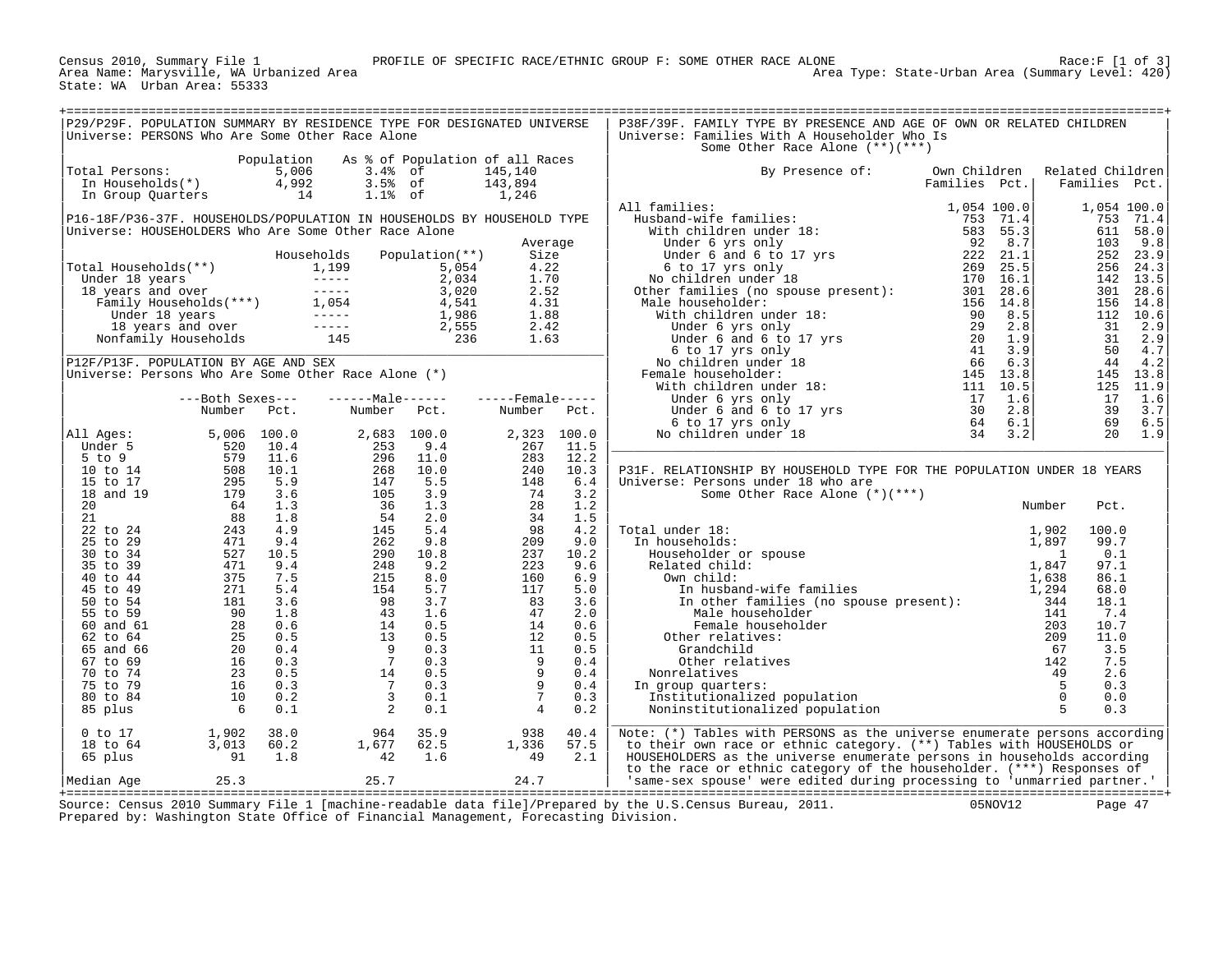Census 2010, Summary File 1<br>Area Name: Marysville, WA Urbanized Area<br>State: WA Urban Area: 55333

Area Type: State-Urban Area (Summary Level: 420)

|                                                                                                                                                                                                                                                          | P29/P29F. POPULATION SUMMARY BY RESIDENCE TYPE FOR DESIGNATED UNIVERSE<br>Universe: PERSONS Who Are Some Other Race Alone                                                                                                                     |            |                                                                                                                                                                                                                                                                                          |                |                    |            | P38F/39F. FAMILY TYPE BY PRESENCE AND AGE OF OWN OR RELATED CHILDREN<br>Universe: Families With A Householder Who Is                                                                                                                                          |               |                        |             |                       |
|----------------------------------------------------------------------------------------------------------------------------------------------------------------------------------------------------------------------------------------------------------|-----------------------------------------------------------------------------------------------------------------------------------------------------------------------------------------------------------------------------------------------|------------|------------------------------------------------------------------------------------------------------------------------------------------------------------------------------------------------------------------------------------------------------------------------------------------|----------------|--------------------|------------|---------------------------------------------------------------------------------------------------------------------------------------------------------------------------------------------------------------------------------------------------------------|---------------|------------------------|-------------|-----------------------|
|                                                                                                                                                                                                                                                          |                                                                                                                                                                                                                                               |            |                                                                                                                                                                                                                                                                                          |                |                    |            | Some Other Race Alone (**)(***)                                                                                                                                                                                                                               |               |                        |             |                       |
|                                                                                                                                                                                                                                                          |                                                                                                                                                                                                                                               | Population | As % of Population of all Races                                                                                                                                                                                                                                                          |                |                    |            |                                                                                                                                                                                                                                                               |               |                        |             |                       |
| Total Persons:                                                                                                                                                                                                                                           | otal Persons: 5,006<br>In Households(*) 4,992                                                                                                                                                                                                 |            |                                                                                                                                                                                                                                                                                          |                | 145,140            |            | By Presence of:                                                                                                                                                                                                                                               | Own Children  | Related Children       |             |                       |
|                                                                                                                                                                                                                                                          |                                                                                                                                                                                                                                               |            | 3.4% of<br>3.5% of<br>1.1% of                                                                                                                                                                                                                                                            |                | 143,894            |            |                                                                                                                                                                                                                                                               | Families Pct. | Families Pct.          |             |                       |
|                                                                                                                                                                                                                                                          | In Group Quarters 14                                                                                                                                                                                                                          |            |                                                                                                                                                                                                                                                                                          |                | 1,246              |            | 11 families:<br>Husband-wife families:<br>1,054 100.0<br>1753 71.4<br>1753 71.4<br>1753 71.4<br>1753 71.4<br>1753 71.4<br>1753 71.4<br>1753 71.4<br>1753 71.4<br>176 583 55.3<br>176 6 to 17 yrs only<br>222 8.1<br>170 16.1<br>269 25.5<br>No children under |               |                        |             |                       |
|                                                                                                                                                                                                                                                          |                                                                                                                                                                                                                                               |            |                                                                                                                                                                                                                                                                                          |                |                    |            | All families:                                                                                                                                                                                                                                                 | 1,054 100.0   |                        |             | 1,054 100.0           |
|                                                                                                                                                                                                                                                          | P16-18F/P36-37F. HOUSEHOLDS/POPULATION IN HOUSEHOLDS BY HOUSEHOLD TYPE<br>Universe: HOUSEHOLDERS Who Are Some Other Race Alone                                                                                                                |            |                                                                                                                                                                                                                                                                                          |                |                    |            |                                                                                                                                                                                                                                                               |               |                        |             | 753 71.4<br>611 58.0  |
|                                                                                                                                                                                                                                                          |                                                                                                                                                                                                                                               |            |                                                                                                                                                                                                                                                                                          |                | Average            |            |                                                                                                                                                                                                                                                               |               |                        | 103         | 9.8                   |
|                                                                                                                                                                                                                                                          |                                                                                                                                                                                                                                               |            | Households                                                                                                                                                                                                                                                                               | Population(**) | Size               |            |                                                                                                                                                                                                                                                               |               |                        |             | 252 23.9              |
|                                                                                                                                                                                                                                                          |                                                                                                                                                                                                                                               |            |                                                                                                                                                                                                                                                                                          |                |                    |            |                                                                                                                                                                                                                                                               |               |                        | 256         | 24.3                  |
| Fotal Households (**)<br>Total Households (**)<br>Under 18 years<br>18 years and over<br>Family Households (***)<br>Under 18 years<br>The Under 18 years<br>The Under 18 years<br>The Under 18 years<br>The Under 18 years<br>1986<br>1.88<br>1.88<br>1. |                                                                                                                                                                                                                                               |            |                                                                                                                                                                                                                                                                                          |                |                    |            |                                                                                                                                                                                                                                                               |               |                        |             | 142 13.5              |
|                                                                                                                                                                                                                                                          |                                                                                                                                                                                                                                               |            |                                                                                                                                                                                                                                                                                          |                |                    |            |                                                                                                                                                                                                                                                               |               |                        | 301         | 28.6                  |
|                                                                                                                                                                                                                                                          |                                                                                                                                                                                                                                               |            |                                                                                                                                                                                                                                                                                          |                |                    |            |                                                                                                                                                                                                                                                               |               |                        |             | 156 14.8              |
|                                                                                                                                                                                                                                                          |                                                                                                                                                                                                                                               |            |                                                                                                                                                                                                                                                                                          |                |                    |            |                                                                                                                                                                                                                                                               |               |                        | 31          | 112 10.6<br>2.9       |
|                                                                                                                                                                                                                                                          |                                                                                                                                                                                                                                               |            |                                                                                                                                                                                                                                                                                          |                |                    |            |                                                                                                                                                                                                                                                               |               |                        | 31          | 2.9                   |
|                                                                                                                                                                                                                                                          |                                                                                                                                                                                                                                               |            |                                                                                                                                                                                                                                                                                          |                |                    |            |                                                                                                                                                                                                                                                               |               |                        | 50          | 4.7                   |
|                                                                                                                                                                                                                                                          | P12F/P13F. POPULATION BY AGE AND SEX                                                                                                                                                                                                          |            |                                                                                                                                                                                                                                                                                          |                |                    |            |                                                                                                                                                                                                                                                               |               |                        | 44          | 4.2                   |
|                                                                                                                                                                                                                                                          | Universe: Persons Who Are Some Other Race Alone (*)                                                                                                                                                                                           |            |                                                                                                                                                                                                                                                                                          |                |                    |            |                                                                                                                                                                                                                                                               |               |                        |             | 145 13.8              |
|                                                                                                                                                                                                                                                          |                                                                                                                                                                                                                                               |            |                                                                                                                                                                                                                                                                                          |                |                    |            |                                                                                                                                                                                                                                                               |               |                        |             | 125 11.9              |
|                                                                                                                                                                                                                                                          | ---Both Sexes---                                                                                                                                                                                                                              |            | $---Maxe---$                                                                                                                                                                                                                                                                             |                | $---$ Female ----- |            |                                                                                                                                                                                                                                                               |               |                        | 17          | 1.6                   |
|                                                                                                                                                                                                                                                          | Number Pct.                                                                                                                                                                                                                                   |            | Number Pct.                                                                                                                                                                                                                                                                              |                | Number Pct.        |            |                                                                                                                                                                                                                                                               |               |                        | 39<br>69    | 3.7                   |
| All Ages:                                                                                                                                                                                                                                                | 5,006 100.0                                                                                                                                                                                                                                   |            | 2,683 100.0                                                                                                                                                                                                                                                                              |                | 2,323              | 100.0      |                                                                                                                                                                                                                                                               |               |                        |             | 6.5<br>$20 \quad 1.9$ |
| Under 5                                                                                                                                                                                                                                                  |                                                                                                                                                                                                                                               | 10.4       | 253                                                                                                                                                                                                                                                                                      | 9.4            | 267                | 11.5       |                                                                                                                                                                                                                                                               |               |                        |             |                       |
| $5$ to $9$                                                                                                                                                                                                                                               | $5,006$<br>$520$<br>$579$<br>$508$<br>$295$<br>$179$<br>$64$<br>$243$<br>$471$<br>$527$<br>$477$<br>$375$<br>$271$<br>$181$<br>$28$<br>$25$<br>$26$<br>$26$<br>$26$<br>$26$<br>$26$<br>$26$<br>$271$<br>$181$<br>$28$<br>$25$<br>$16$<br>$16$ | 11.6       |                                                                                                                                                                                                                                                                                          |                |                    | 12.2       |                                                                                                                                                                                                                                                               |               |                        |             |                       |
| 10 to 14                                                                                                                                                                                                                                                 |                                                                                                                                                                                                                                               | 10.1       |                                                                                                                                                                                                                                                                                          |                |                    | 10.3       | P31F. RELATIONSHIP BY HOUSEHOLD TYPE FOR THE POPULATION UNDER 18 YEARS                                                                                                                                                                                        |               |                        |             |                       |
| 15 to 17                                                                                                                                                                                                                                                 |                                                                                                                                                                                                                                               | 5.9        |                                                                                                                                                                                                                                                                                          |                |                    | 6.4        | Universe: Persons under 18 who are                                                                                                                                                                                                                            |               |                        |             |                       |
| 18 and 19                                                                                                                                                                                                                                                |                                                                                                                                                                                                                                               | 3.6        |                                                                                                                                                                                                                                                                                          |                |                    | 3.2<br>1.2 | Some Other Race Alone (*)(***)                                                                                                                                                                                                                                |               | Number                 |             |                       |
| 20 <sub>o</sub><br>21                                                                                                                                                                                                                                    |                                                                                                                                                                                                                                               | 1.3<br>1.8 |                                                                                                                                                                                                                                                                                          |                |                    | 1.5        |                                                                                                                                                                                                                                                               |               |                        | Pct.        |                       |
| 22 to 24                                                                                                                                                                                                                                                 |                                                                                                                                                                                                                                               | 4.9        |                                                                                                                                                                                                                                                                                          |                |                    | 4.2        | Total under 18:<br>al under 18:<br>1,902<br>n households:<br>Householder or spouse<br>Related child:<br>Own child:<br>In husband-wife families<br>In other families (no spouse present):<br>Male householder<br>Male householder<br>141                       |               |                        | 100.0       |                       |
| 25 to 29                                                                                                                                                                                                                                                 |                                                                                                                                                                                                                                               | 9.4        |                                                                                                                                                                                                                                                                                          |                |                    | 9.0        | In households:                                                                                                                                                                                                                                                |               |                        | 99.7        |                       |
| 30 to 34                                                                                                                                                                                                                                                 |                                                                                                                                                                                                                                               | 10.5       |                                                                                                                                                                                                                                                                                          |                |                    | 10.2       |                                                                                                                                                                                                                                                               |               |                        | 0.1         |                       |
| 35 to 39                                                                                                                                                                                                                                                 |                                                                                                                                                                                                                                               | 9.4        |                                                                                                                                                                                                                                                                                          |                |                    | 9.6        |                                                                                                                                                                                                                                                               |               |                        | 97.1        |                       |
| 40 to 44                                                                                                                                                                                                                                                 |                                                                                                                                                                                                                                               | 7.5        |                                                                                                                                                                                                                                                                                          |                |                    | 6.9        |                                                                                                                                                                                                                                                               |               |                        | 86.1        |                       |
| 45 to 49                                                                                                                                                                                                                                                 |                                                                                                                                                                                                                                               | 5.4        |                                                                                                                                                                                                                                                                                          |                |                    | 5.0        |                                                                                                                                                                                                                                                               |               |                        | 68.0        |                       |
| 50 to 54<br>55 to 59                                                                                                                                                                                                                                     |                                                                                                                                                                                                                                               | 3.6<br>1.8 |                                                                                                                                                                                                                                                                                          |                |                    | 3.6<br>2.0 |                                                                                                                                                                                                                                                               |               |                        | 18.1<br>7.4 |                       |
| 60 and 61                                                                                                                                                                                                                                                |                                                                                                                                                                                                                                               | 0.6        |                                                                                                                                                                                                                                                                                          |                |                    | 0.6        | Female householder                                                                                                                                                                                                                                            |               | 203                    | 10.7        |                       |
| 62 to 64                                                                                                                                                                                                                                                 |                                                                                                                                                                                                                                               | 0.5        |                                                                                                                                                                                                                                                                                          |                |                    | 0.5        | Other relatives:                                                                                                                                                                                                                                              |               | 209                    | 11.0        |                       |
| 65 and 66                                                                                                                                                                                                                                                |                                                                                                                                                                                                                                               | 0.4        |                                                                                                                                                                                                                                                                                          |                |                    | 0.5        | Grandchild                                                                                                                                                                                                                                                    |               | 67                     | 3.5         |                       |
| 67 to 69                                                                                                                                                                                                                                                 |                                                                                                                                                                                                                                               | 0.3        |                                                                                                                                                                                                                                                                                          |                |                    | 0.4        | Other relatives                                                                                                                                                                                                                                               |               | 142                    | 7.5         |                       |
| 70 to 74                                                                                                                                                                                                                                                 |                                                                                                                                                                                                                                               | 0.5        |                                                                                                                                                                                                                                                                                          |                |                    | 0.4        | Nonrelatives                                                                                                                                                                                                                                                  |               | 49                     | 2.6         |                       |
| 75 to 79                                                                                                                                                                                                                                                 |                                                                                                                                                                                                                                               | 0.3        |                                                                                                                                                                                                                                                                                          |                |                    | 0.4        | In group quarters:                                                                                                                                                                                                                                            |               | $5^{\circ}$            | 0.3         |                       |
| 80 to 84<br>85 plus                                                                                                                                                                                                                                      | 10<br>$\begin{array}{c} 10 \\ 6 \end{array}$                                                                                                                                                                                                  | 0.2<br>0.1 |                                                                                                                                                                                                                                                                                          |                |                    | 0.3<br>0.2 | Institutionalized population<br>Noninstitutionalized population                                                                                                                                                                                               |               | $\overline{0}$<br>$-5$ | 0.0<br>0.3  |                       |
|                                                                                                                                                                                                                                                          |                                                                                                                                                                                                                                               |            | $\begin{array}{rrrr} 2,683 & 100.0 & 0 \ 253 & 9.4 & 0 \ 296 & 11.0 & 0 \ 268 & 10.0 & 0 \ 147 & 5.5 & 9 \ 36 & 1.3 & 3 \ 54 & 2.0 & 9.8 & 2 \ 145 & 5.4 & 9.2 & 9.8 & 2 \ 215 & 8.0 & 7 & 0.2 & 0.2 \ 215 & 8.0 & 7 & 0.3 & 0.5 \ 14 & 0.5 & 5 & 7 & 0.3 & 3 \ 2 & 0.1 & 2 & 0.1 & 0.5$ |                |                    |            |                                                                                                                                                                                                                                                               |               |                        |             |                       |
| $0$ to $17$                                                                                                                                                                                                                                              | 1,902<br>3,013<br>91                                                                                                                                                                                                                          | 38.0       |                                                                                                                                                                                                                                                                                          | 35.9           | 938                | 40.4       | Note: (*) Tables with PERSONS as the universe enumerate persons according                                                                                                                                                                                     |               |                        |             |                       |
| 18 to 64                                                                                                                                                                                                                                                 |                                                                                                                                                                                                                                               | 60.2       | $\begin{array}{c} 964 \\ 1,677 \\ 42 \end{array}$                                                                                                                                                                                                                                        | 62.5           | 1,336<br>49        | 57.5       | to their own race or ethnic category. (**) Tables with HOUSEHOLDS or                                                                                                                                                                                          |               |                        |             |                       |
| 65 plus                                                                                                                                                                                                                                                  |                                                                                                                                                                                                                                               | 1.8        |                                                                                                                                                                                                                                                                                          | 1.6            |                    | 2.1        | HOUSEHOLDERS as the universe enumerate persons in households according                                                                                                                                                                                        |               |                        |             |                       |
|                                                                                                                                                                                                                                                          |                                                                                                                                                                                                                                               |            | $25.7$ 24.7                                                                                                                                                                                                                                                                              |                |                    |            | to the race or ethnic category of the householder. (***) Responses of                                                                                                                                                                                         |               |                        |             |                       |
| Median Age                                                                                                                                                                                                                                               | 25.3                                                                                                                                                                                                                                          |            |                                                                                                                                                                                                                                                                                          |                |                    |            | 'same-sex spouse' were edited during processing to 'unmarried partner.'                                                                                                                                                                                       |               |                        |             |                       |

+===================================================================================================================================================+ Source: Census 2010 Summary File 1 [machine-readable data file]/Prepared by the U.S.Census Bureau, 2011. 05NOV12 Page 47 Prepared by: Washington State Office of Financial Management, Forecasting Division.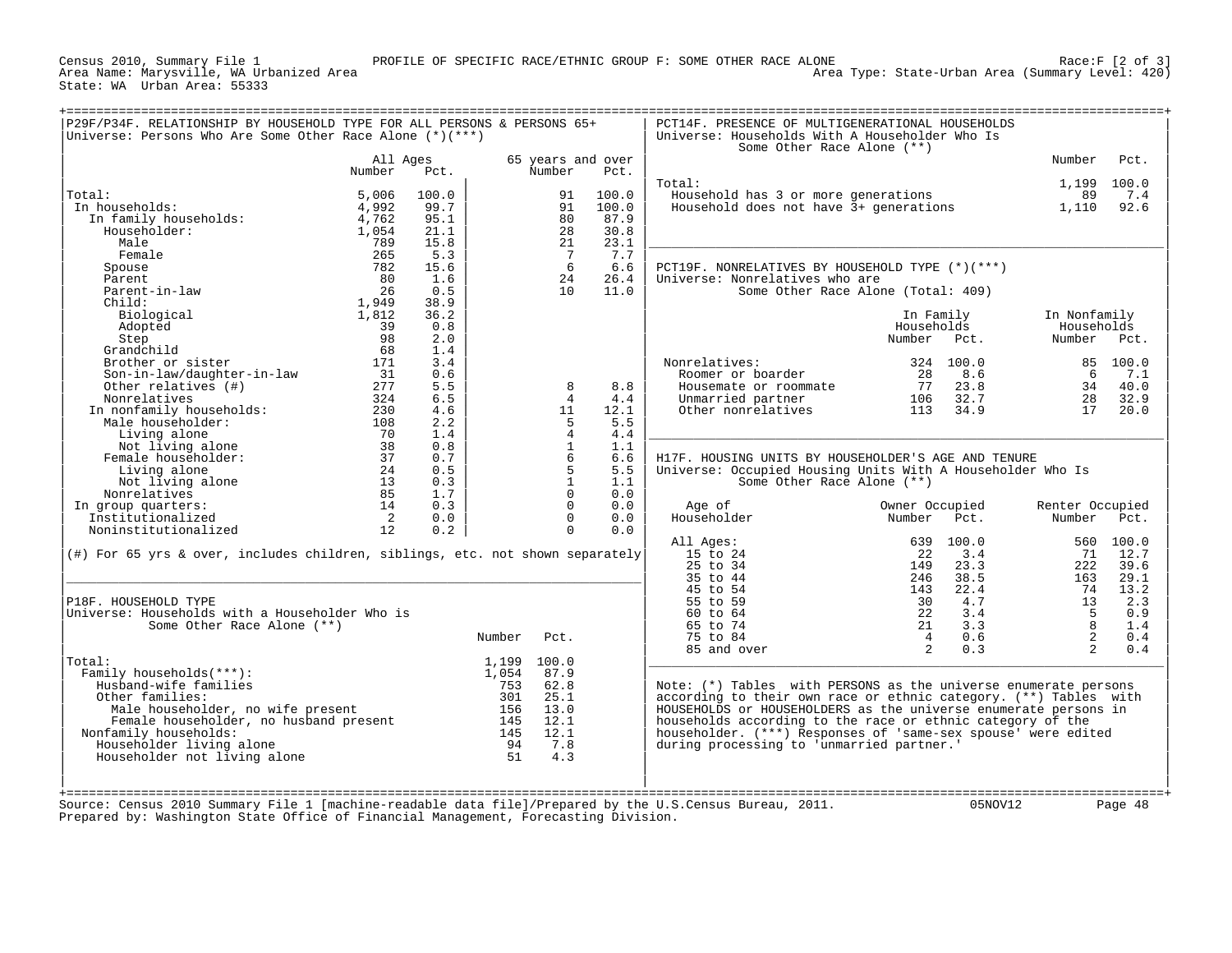Census 2010, Summary File 1<br>Area Name: Marysville, WA Urbanized Area<br>State: WA Urban Area: 55333

Area Name: Marysville, WA Urbanized Area Area Type: State-Urban Area (Summary Level: 420)

|                                                                                  | All Ages |       |             | 65 years and over            |       | Some Other Race Alone (**)                                        |                                    | Number          | Pct.     |
|----------------------------------------------------------------------------------|----------|-------|-------------|------------------------------|-------|-------------------------------------------------------------------|------------------------------------|-----------------|----------|
|                                                                                  | Number   | Pct.  |             | Number                       | Pct.  |                                                                   |                                    |                 |          |
|                                                                                  |          |       |             |                              |       | Total:                                                            |                                    | 1,199           | 100.0    |
| Total:                                                                           | 5,006    | 100.0 |             | 91                           | 100.0 | Household has 3 or more generations                               |                                    | 89              | 7.4      |
| In households:                                                                   | 4,992    | 99.7  |             | 91                           | 100.0 | Household does not have 3+ generations                            |                                    | 1,110           | 92.6     |
| In family households:                                                            | 4,762    | 95.1  |             | 80                           | 87.9  |                                                                   |                                    |                 |          |
| Householder:                                                                     | 1,054    | 21.1  |             | 28                           | 30.8  |                                                                   |                                    |                 |          |
| Male                                                                             | 789      | 15.8  |             | 21                           | 23.1  |                                                                   |                                    |                 |          |
| Female                                                                           | 265      | 5.3   |             | $7\phantom{.0}\phantom{.0}7$ | 7.7   |                                                                   |                                    |                 |          |
| Spouse                                                                           | 782      | 15.6  |             | 6                            | 6.6   | PCT19F. NONRELATIVES BY HOUSEHOLD TYPE (*)(***)                   |                                    |                 |          |
| Parent                                                                           | 80       | 1.6   |             | 24                           | 26.4  | Universe: Nonrelatives who are                                    |                                    |                 |          |
| Parent-in-law                                                                    | 26       | 0.5   |             | 10                           | 11.0  |                                                                   | Some Other Race Alone (Total: 409) |                 |          |
| $Child$ :                                                                        | 1,949    | 38.9  |             |                              |       |                                                                   |                                    |                 |          |
| Biological                                                                       | 1,812    | 36.2  |             |                              |       |                                                                   | In Family                          | In Nonfamily    |          |
| Adopted                                                                          | 39       | 0.8   |             |                              |       |                                                                   | Households                         | Households      |          |
|                                                                                  |          |       |             |                              |       |                                                                   |                                    |                 |          |
| Step                                                                             | 98       | 2.0   |             |                              |       |                                                                   | Number<br>Pct.                     | Number          | Pct.     |
| Grandchild                                                                       | 68       | 1.4   |             |                              |       |                                                                   |                                    |                 |          |
| Brother or sister                                                                | 171      | 3.4   |             |                              |       | Nonrelatives:                                                     | 324<br>100.0                       |                 | 85 100.0 |
| Son-in-law/daughter-in-law                                                       | 31       | 0.6   |             |                              |       | Roomer or boarder                                                 | 28<br>8.6                          | 6               | 7.1      |
| Other relatives (#)                                                              | 277      | 5.5   |             | 8                            | 8.8   | Housemate or roommate                                             | 77<br>23.8                         | 34              | 40.0     |
| Nonrelatives                                                                     | 324      | 6.5   |             | $\overline{4}$               | 4.4   | Unmarried partner                                                 | 32.7<br>106                        | 28              | 32.9     |
| In nonfamily households:                                                         | 230      | 4.6   |             | 11                           | 12.1  | Other nonrelatives                                                | 113<br>34.9                        | 17              | 20.0     |
| Male householder:                                                                | 108      | 2.2   |             | -5                           | 5.5   |                                                                   |                                    |                 |          |
| Living alone                                                                     | 70       | 1.4   |             | $\overline{4}$               | 4.4   |                                                                   |                                    |                 |          |
| Not living alone                                                                 | 38       | 0.8   |             | $\mathbf{1}$                 | 1.1   |                                                                   |                                    |                 |          |
| Female householder:                                                              | 37       | 0.7   |             | 6                            | 6.6   | H17F. HOUSING UNITS BY HOUSEHOLDER'S AGE AND TENURE               |                                    |                 |          |
| Living alone                                                                     | 24       | 0.5   |             | 5                            | 5.5   | Universe: Occupied Housing Units With A Householder Who Is        |                                    |                 |          |
| Not living alone                                                                 | 13       | 0.3   |             | $\mathbf{1}$                 | 1.1   | Some Other Race Alone (**)                                        |                                    |                 |          |
| Nonrelatives                                                                     | 85       | 1.7   |             | $\Omega$                     | 0.0   |                                                                   |                                    |                 |          |
| In group quarters:                                                               | 14       | 0.3   |             | $\Omega$                     | 0.0   | Age of                                                            | Owner Occupied                     | Renter Occupied |          |
| Institutionalized                                                                | 2        | 0.0   |             | $\Omega$                     | 0.0   | Householder                                                       | Number<br>Pct.                     | Number          | Pct.     |
| Noninstitutionalized                                                             | 12       | 0.2   |             | $\mathbf{0}$                 | 0.0   |                                                                   |                                    |                 |          |
|                                                                                  |          |       |             |                              |       | All Ages:                                                         | 100.0<br>639                       | 560             | 100.0    |
| $(\#)$ For 65 yrs & over, includes children, siblings, etc. not shown separately |          |       |             |                              |       | 15 to 24                                                          | 3.4<br>22                          | 71              | 12.7     |
|                                                                                  |          |       |             |                              |       | 25 to 34                                                          | 149<br>23.3                        | 222             | 39.6     |
|                                                                                  |          |       |             |                              |       | 35 to 44                                                          | 38.5<br>246                        | 163             | 29.1     |
|                                                                                  |          |       |             |                              |       | 45 to 54                                                          | 22.4<br>143                        | 74              | 13.2     |
| P18F. HOUSEHOLD TYPE                                                             |          |       |             |                              |       | 55 to 59                                                          | 4.7<br>30                          | 13              | 2.3      |
| Universe: Households with a Householder Who is                                   |          |       |             |                              |       | 60 to 64                                                          | 3.4<br>22                          | - 5             | 0.9      |
| Some Other Race Alone (**)                                                       |          |       |             |                              |       | 65 to 74                                                          | 3.3<br>21                          | 8               | 1.4      |
|                                                                                  |          |       | Number      | Pct.                         |       | 75 to 84                                                          | $\overline{4}$<br>0.6              | 2               | 0.4      |
|                                                                                  |          |       |             |                              |       |                                                                   | 2<br>0.3                           | $2^{1}$         | 0.4      |
|                                                                                  |          |       |             |                              |       | 85 and over                                                       |                                    |                 |          |
| Total:                                                                           |          |       | 1,199 100.0 |                              |       |                                                                   |                                    |                 |          |
| Family households $(***):$                                                       |          |       | 1,054       | 87.9                         |       |                                                                   |                                    |                 |          |
| Husband-wife families                                                            |          |       | 753         | 62.8                         |       | Note: $(*)$ Tables with PERSONS as the universe enumerate persons |                                    |                 |          |
| Other families:                                                                  |          |       | 301         | 25.1                         |       | according to their own race or ethnic category. (**) Tables with  |                                    |                 |          |
| Male householder, no wife present                                                |          |       | 156         | 13.0                         |       | HOUSEHOLDS or HOUSEHOLDERS as the universe enumerate persons in   |                                    |                 |          |
| Female householder, no husband present                                           |          |       | 145         | 12.1                         |       | households according to the race or ethnic category of the        |                                    |                 |          |
| Nonfamily households:                                                            |          |       | 145         | 12.1                         |       | householder. (***) Responses of 'same-sex spouse' were edited     |                                    |                 |          |
| Householder living alone                                                         |          |       | 94          | 7.8                          |       | during processing to 'unmarried partner.'                         |                                    |                 |          |
| Householder not living alone                                                     |          |       | 51          | 4.3                          |       |                                                                   |                                    |                 |          |
|                                                                                  |          |       |             |                              |       |                                                                   |                                    |                 |          |
|                                                                                  |          |       |             |                              |       |                                                                   |                                    |                 |          |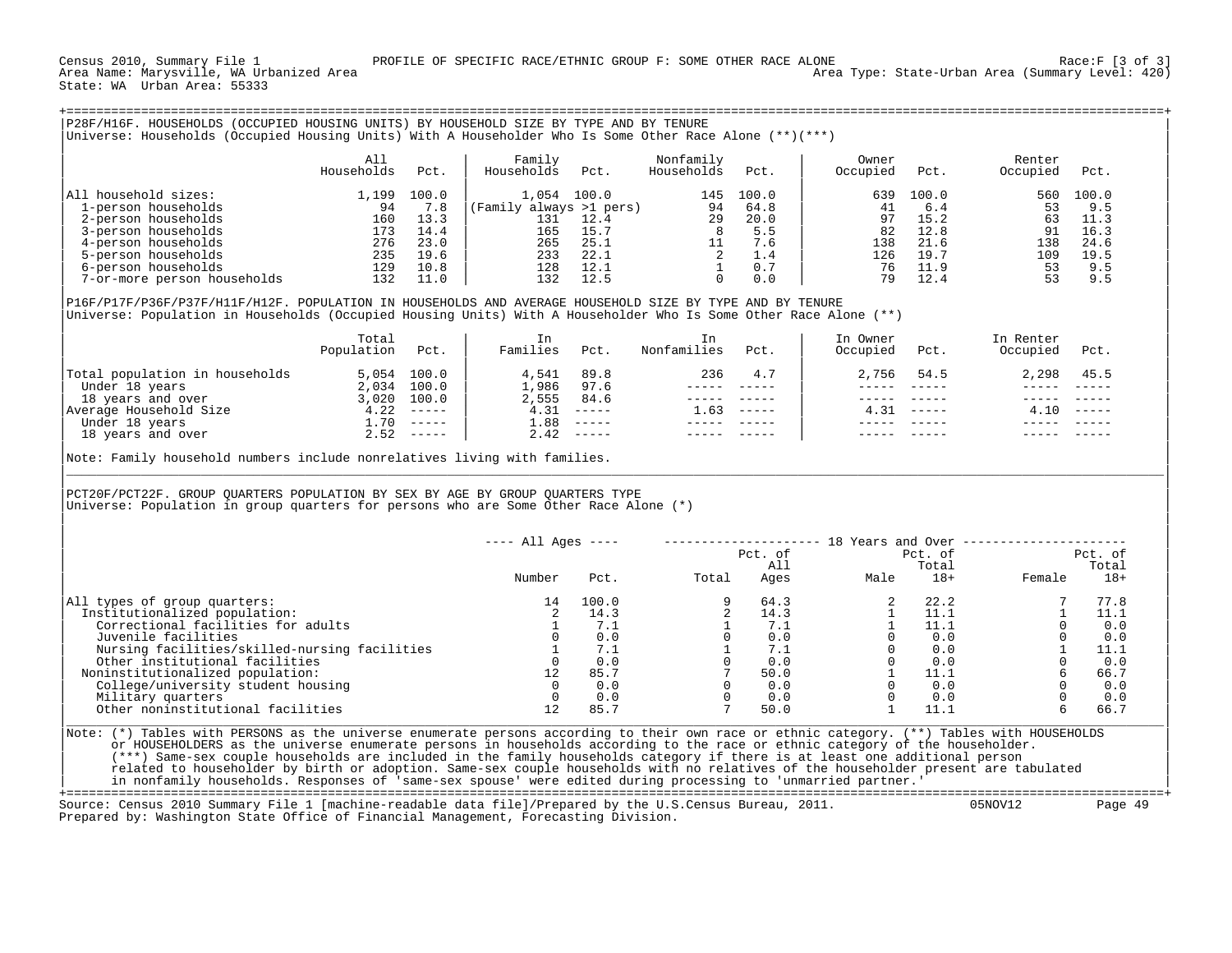| P28F/H16F. HOUSEHOLDS (OCCUPIED HOUSING UNITS) BY HOUSEHOLD SIZE BY TYPE AND BY TENURE<br>Universe: Households (Occupied Housing Units) With A Householder Who Is Some Other Race Alone (**)(***)                                                                                                                                                                                                                             |                                                                            |                                                                  |                                                |                                                                  |                                                     |                                                                  |                                                              |                                                              |                                          |                                                                |
|-------------------------------------------------------------------------------------------------------------------------------------------------------------------------------------------------------------------------------------------------------------------------------------------------------------------------------------------------------------------------------------------------------------------------------|----------------------------------------------------------------------------|------------------------------------------------------------------|------------------------------------------------|------------------------------------------------------------------|-----------------------------------------------------|------------------------------------------------------------------|--------------------------------------------------------------|--------------------------------------------------------------|------------------------------------------|----------------------------------------------------------------|
|                                                                                                                                                                                                                                                                                                                                                                                                                               | All<br>Households                                                          | Pct.                                                             | Family<br>Households                           | Pct.                                                             | Nonfamily<br>Households                             | Pct.                                                             | Owner<br>Occupied                                            | Pct.                                                         | Renter<br>Occupied                       | Pct.                                                           |
| All household sizes:<br>1-person households<br>2-person households<br>3-person households<br>4-person households<br>5-person households<br>6-person households<br>7-or-more person households<br>P16F/P17F/P36F/P37F/H11F/H12F. POPULATION IN HOUSEHOLDS AND AVERAGE HOUSEHOLD SIZE BY TYPE AND BY TENURE<br>Universe: Population in Households (Occupied Housing Units) With A Householder Who Is Some Other Race Alone (**) | 1,199<br>94<br>160<br>173<br>276<br>129<br>132                             | 100.0<br>7.8<br>13.3<br>14.4<br>23.0<br>235 19.6<br>10.8<br>11.0 | 1,054 100.0<br>(Family always >1 pers)<br>131  | 12.4<br>165 15.7<br>265 25.1<br>233 22.1<br>128 12.1<br>132 12.5 | 145<br>29<br>$\overline{2}$<br>$\sim$ 1<br>$\Omega$ | 100.0<br>94 64.8<br>20.0<br>8 5.5<br>11 7.6<br>1.4<br>0.7<br>0.0 | 639<br>41<br>97<br>82<br>138<br>126<br>76<br>79              | 100.0<br>6.4<br>15.2<br>12.8<br>21.6<br>19.7<br>11.9<br>12.4 | 53<br>63<br>91<br>138<br>109<br>53<br>53 | 560 100.0<br>9.5<br>11.3<br>16.3<br>24.6<br>19.5<br>9.5<br>9.5 |
|                                                                                                                                                                                                                                                                                                                                                                                                                               | Total<br>Population                                                        | Pct.                                                             | In<br>Families                                 | Pct.                                                             | In<br>Nonfamilies                                   | Pct.                                                             | In Owner<br>Occupied                                         | Pct.                                                         | In Renter<br>Occupied                    | Pct.                                                           |
| Total population in households<br>Under 18 years<br>18 years and over<br>Average Household Size<br>Under 18 years<br>18 years and over                                                                                                                                                                                                                                                                                        | 2,034 100.0<br>3,020 100.0<br>$4.22$ -----<br>$1.70$ -----<br>$2.52$ ----- | $5,054$ 100.0                                                    | 4,541 89.8<br>1,986 97.6<br>2,555 84.6<br>1.88 | $4.31$ -----<br>______<br>$2.42$ -----                           | 236<br>$1.63$ -----                                 | 4.7<br>______    _____<br>----- -----                            | 2,756                                                        | 54.5<br>$4.31$ -----                                         | 2,298<br>4.10                            | 45.5                                                           |
| Note: Family household numbers include nonrelatives living with families.                                                                                                                                                                                                                                                                                                                                                     |                                                                            |                                                                  |                                                |                                                                  |                                                     |                                                                  |                                                              |                                                              |                                          |                                                                |
| PCT20F/PCT22F. GROUP QUARTERS POPULATION BY SEX BY AGE BY GROUP QUARTERS TYPE<br>Universe: Population in group quarters for persons who are Some Other Race Alone (*)                                                                                                                                                                                                                                                         |                                                                            |                                                                  |                                                |                                                                  |                                                     |                                                                  |                                                              |                                                              |                                          |                                                                |
|                                                                                                                                                                                                                                                                                                                                                                                                                               |                                                                            |                                                                  | $---$ All Ages $---$                           |                                                                  |                                                     | Pct. of                                                          | -------------------- 18 Years and Over --------------------- | Pct. of                                                      |                                          | Pct. of                                                        |
|                                                                                                                                                                                                                                                                                                                                                                                                                               |                                                                            |                                                                  | Number                                         | Pct.                                                             | Total                                               | All<br>Ages                                                      | Male                                                         | Total<br>$18+$                                               | Female                                   | Total<br>$18+$                                                 |
| All types of group quarters:<br>. The state distribution of the state of the state of the state of the state of the state of the state of the                                                                                                                                                                                                                                                                                 |                                                                            |                                                                  | 14                                             | 100.0<br>$\sim$ 11 $\sim$                                        | 9                                                   | 64.3<br>$\sim$<br>112                                            | 2<br>$\mathbf{1}$                                            | 22.2<br>11 1                                                 | 7                                        | 77.8<br>111<br>$\mathbf{1}$                                    |

| All types of group quarters:                  | 100.O | 64.3 | 22.2 | 77.8 |
|-----------------------------------------------|-------|------|------|------|
| Institutionalized population:                 | 14.3  | 14.3 |      |      |
| Correctional facilities for adults            |       |      |      |      |
| Juvenile facilities                           |       |      |      |      |
| Nursing facilities/skilled-nursing facilities |       |      |      | 11.1 |
| Other institutional facilities                |       |      |      |      |
| Noninstitutionalized population:              | 85.7  | 50.0 |      | 66.7 |
| College/university student housing            |       |      |      | 0.0  |
| Military quarters                             |       |      |      |      |
| Other noninstitutional facilities             | 85.7  | 50.0 |      | 66.7 |
|                                               |       |      |      |      |

Note: (\*) Tables with PERSONS as the universe enumerate persons according to their own race or ethnic category. (\*\*) Tables with HOUSEHOLDS<br>or HOUSEHOLDERS as the universe enumerate persons in households according to the r | (\*\*\*) Same-sex couple households are included in the family households category if there is at least one additional person | related to householder by birth or adoption. Same-sex couple households with no relatives of the householder present are tabulated in nonfamily households. Responses of 'same-sex spouse' were edited during processing to 'unmarried partner.'

+===================================================================================================================================================+ Source: Census 2010 Summary File 1 [machine-readable data file]/Prepared by the U.S.Census Bureau, 2011. Prepared by: Washington State Office of Financial Management, Forecasting Division.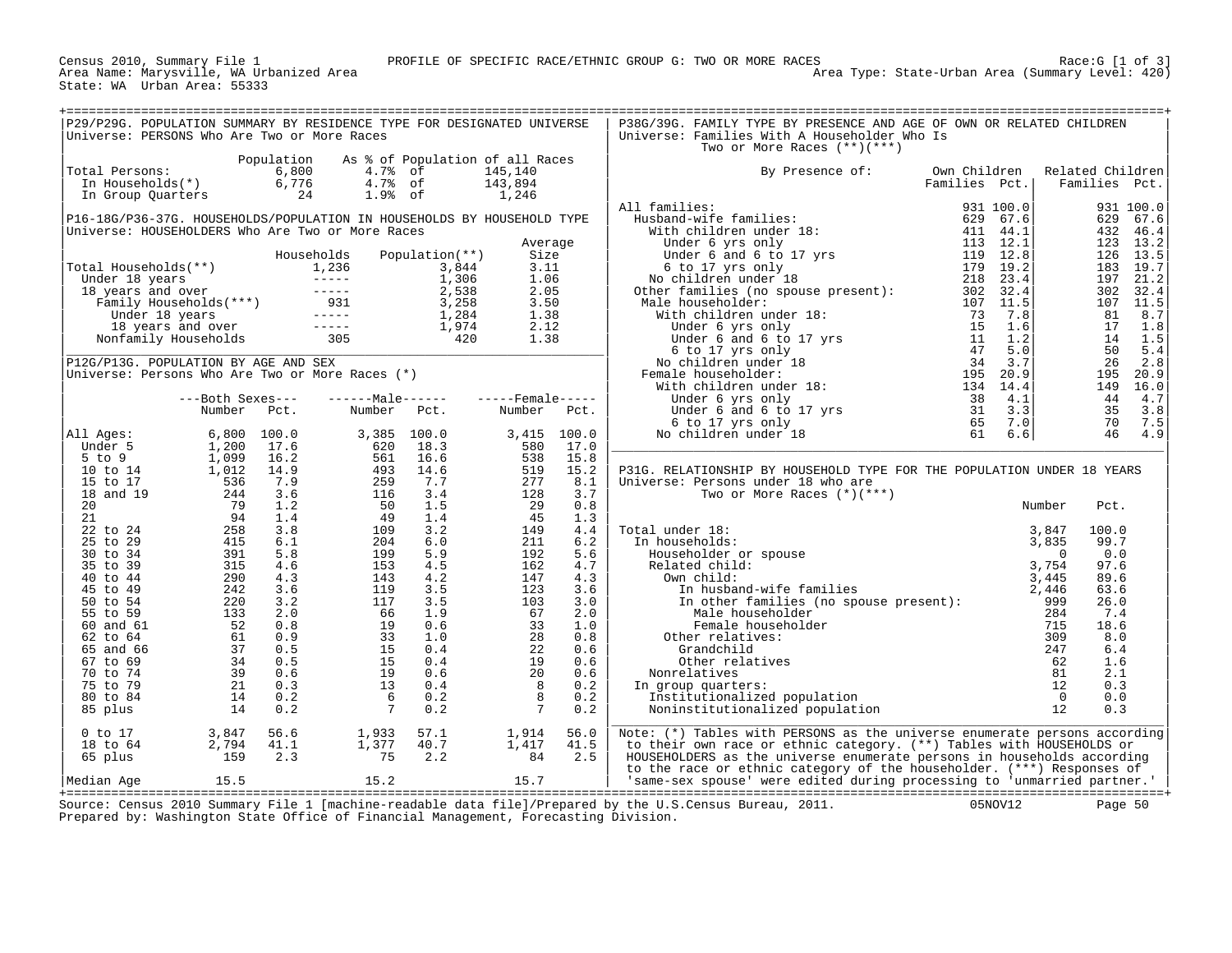Census 2010, Summary File 1<br>Area Name: Marysville, WA Urbanized Area<br>State: WA Urban Area: 55333

| P29/P29G. POPULATION SUMMARY BY RESIDENCE TYPE FOR DESIGNATED UNIVERSE                                                                                                                                                                                                                                                                                                                                                        |                                                                       |            |                                                                           |              |                                                                                                      |                                                                  | P38G/39G. FAMILY TYPE BY PRESENCE AND AGE OF OWN OR RELATED CHILDREN                                                                             |               |        |                  |                      |
|-------------------------------------------------------------------------------------------------------------------------------------------------------------------------------------------------------------------------------------------------------------------------------------------------------------------------------------------------------------------------------------------------------------------------------|-----------------------------------------------------------------------|------------|---------------------------------------------------------------------------|--------------|------------------------------------------------------------------------------------------------------|------------------------------------------------------------------|--------------------------------------------------------------------------------------------------------------------------------------------------|---------------|--------|------------------|----------------------|
| Universe: PERSONS Who Are Two or More Races                                                                                                                                                                                                                                                                                                                                                                                   |                                                                       |            |                                                                           |              |                                                                                                      |                                                                  | Universe: Families With A Householder Who Is<br>Two or More Races $(**)(***)$                                                                    |               |        |                  |                      |
|                                                                                                                                                                                                                                                                                                                                                                                                                               |                                                                       | Population | As % of Population of all Races                                           |              |                                                                                                      |                                                                  |                                                                                                                                                  |               |        |                  |                      |
| Total Persons:                                                                                                                                                                                                                                                                                                                                                                                                                | otal Persons: 6,800<br>In Households(*) 6,776<br>In Group Quarters 24 |            | $4.7\% \text{ of } 4.7\% \text{ of } 1.9\% \text{ of } 1.9\% \text{ of }$ |              | 145,140                                                                                              |                                                                  | By Presence of:                                                                                                                                  | Own Children  |        | Related Children |                      |
|                                                                                                                                                                                                                                                                                                                                                                                                                               |                                                                       |            |                                                                           |              | 143,894                                                                                              |                                                                  |                                                                                                                                                  | Families Pct. |        | Families Pct.    |                      |
|                                                                                                                                                                                                                                                                                                                                                                                                                               |                                                                       |            |                                                                           |              | 1,246                                                                                                |                                                                  |                                                                                                                                                  |               |        |                  |                      |
|                                                                                                                                                                                                                                                                                                                                                                                                                               |                                                                       |            |                                                                           |              |                                                                                                      |                                                                  | All families:                                                                                                                                    |               |        |                  | 931 100.0            |
| P16-18G/P36-37G. HOUSEHOLDS/POPULATION IN HOUSEHOLDS BY HOUSEHOLD TYPE<br>Universe: HOUSEHOLDERS Who Are Two or More Races                                                                                                                                                                                                                                                                                                    |                                                                       |            |                                                                           |              |                                                                                                      |                                                                  |                                                                                                                                                  |               |        |                  | 629 67.6<br>432 46.4 |
|                                                                                                                                                                                                                                                                                                                                                                                                                               |                                                                       |            |                                                                           |              | Average                                                                                              |                                                                  |                                                                                                                                                  |               |        |                  | 123 13.2             |
|                                                                                                                                                                                                                                                                                                                                                                                                                               |                                                                       |            |                                                                           |              | Size                                                                                                 |                                                                  |                                                                                                                                                  |               |        |                  | 126 13.5             |
|                                                                                                                                                                                                                                                                                                                                                                                                                               |                                                                       |            |                                                                           |              | 3.11                                                                                                 |                                                                  |                                                                                                                                                  |               |        |                  | 183 19.7             |
|                                                                                                                                                                                                                                                                                                                                                                                                                               |                                                                       |            |                                                                           |              | 1.06                                                                                                 |                                                                  |                                                                                                                                                  |               |        |                  | 197 21.2             |
|                                                                                                                                                                                                                                                                                                                                                                                                                               |                                                                       |            |                                                                           |              | 2.05                                                                                                 |                                                                  |                                                                                                                                                  |               |        |                  | 302 32.4             |
|                                                                                                                                                                                                                                                                                                                                                                                                                               |                                                                       |            |                                                                           |              | 3.50                                                                                                 |                                                                  |                                                                                                                                                  |               |        |                  | 107 11.5             |
|                                                                                                                                                                                                                                                                                                                                                                                                                               |                                                                       |            |                                                                           |              | 1.38                                                                                                 | $\left[\begin{array}{c} 1.38 \\ 2.12 \\ 1.38 \end{array}\right]$ |                                                                                                                                                  |               |        |                  | 81 8.7               |
|                                                                                                                                                                                                                                                                                                                                                                                                                               |                                                                       |            |                                                                           |              |                                                                                                      |                                                                  |                                                                                                                                                  |               |        | 17               | 1.8                  |
|                                                                                                                                                                                                                                                                                                                                                                                                                               |                                                                       |            |                                                                           |              |                                                                                                      |                                                                  |                                                                                                                                                  |               |        | 50               | 14 1.5<br>5.4        |
|                                                                                                                                                                                                                                                                                                                                                                                                                               |                                                                       |            |                                                                           |              |                                                                                                      |                                                                  |                                                                                                                                                  |               |        | 26               | 2.8                  |
| P12G/P13G. POPULATION BY AGE AND SEX<br>Universe: Persons Who Are Two or More Races (*)                                                                                                                                                                                                                                                                                                                                       |                                                                       |            |                                                                           |              |                                                                                                      |                                                                  |                                                                                                                                                  |               |        |                  | 195 20.9             |
|                                                                                                                                                                                                                                                                                                                                                                                                                               |                                                                       |            |                                                                           |              |                                                                                                      |                                                                  |                                                                                                                                                  |               |        |                  | 149 16.0             |
|                                                                                                                                                                                                                                                                                                                                                                                                                               | ---Both Sexes---                                                      |            |                                                                           |              |                                                                                                      |                                                                  |                                                                                                                                                  |               |        |                  | 44 4.7               |
|                                                                                                                                                                                                                                                                                                                                                                                                                               | Number Pct.                                                           |            |                                                                           | Number Pct.  | Number Pct.                                                                                          |                                                                  |                                                                                                                                                  |               |        |                  | 35 3.8               |
|                                                                                                                                                                                                                                                                                                                                                                                                                               |                                                                       |            |                                                                           |              |                                                                                                      |                                                                  |                                                                                                                                                  |               |        |                  | 70 7.5               |
|                                                                                                                                                                                                                                                                                                                                                                                                                               |                                                                       |            | 3,385 100.0                                                               |              |                                                                                                      | 3,415 100.0                                                      |                                                                                                                                                  |               |        |                  | 46 4.9               |
|                                                                                                                                                                                                                                                                                                                                                                                                                               |                                                                       |            | 620                                                                       | 18.3<br>16.6 | 580                                                                                                  | 17.0<br>15.8                                                     |                                                                                                                                                  |               |        |                  |                      |
|                                                                                                                                                                                                                                                                                                                                                                                                                               |                                                                       |            |                                                                           | 14.6         | $\begin{array}{r} 580 \\ 538 \\ 277 \\ 28 \\ 29 \\ 45 \end{array}$                                   | 15.2                                                             | P31G. RELATIONSHIP BY HOUSEHOLD TYPE FOR THE POPULATION UNDER 18 YEARS                                                                           |               |        |                  |                      |
|                                                                                                                                                                                                                                                                                                                                                                                                                               |                                                                       |            |                                                                           | 7.7          |                                                                                                      | 8.1                                                              | Universe: Persons under 18 who are                                                                                                               |               |        |                  |                      |
|                                                                                                                                                                                                                                                                                                                                                                                                                               |                                                                       |            |                                                                           | 3.4          |                                                                                                      | 3.7                                                              | Two or More Races $(*)$ (***)                                                                                                                    |               |        |                  |                      |
|                                                                                                                                                                                                                                                                                                                                                                                                                               |                                                                       |            |                                                                           | 1.5          |                                                                                                      | 0.8                                                              |                                                                                                                                                  |               | Number | Pct.             |                      |
|                                                                                                                                                                                                                                                                                                                                                                                                                               |                                                                       |            |                                                                           | 1.4          | 45                                                                                                   | 1.3                                                              |                                                                                                                                                  |               |        |                  |                      |
|                                                                                                                                                                                                                                                                                                                                                                                                                               |                                                                       |            |                                                                           | 3.2          | 149                                                                                                  | 4.4                                                              | Total under 18:                                                                                                                                  |               |        | 100.0            |                      |
|                                                                                                                                                                                                                                                                                                                                                                                                                               |                                                                       |            |                                                                           | 6.0          | 211                                                                                                  | 6.2                                                              | In households:                                                                                                                                   |               |        | 99.7             |                      |
|                                                                                                                                                                                                                                                                                                                                                                                                                               |                                                                       |            |                                                                           | 5.9<br>4.5   | 192<br>162                                                                                           | 5.6<br>4.7                                                       |                                                                                                                                                  |               |        | 0.0<br>97.6      |                      |
|                                                                                                                                                                                                                                                                                                                                                                                                                               |                                                                       |            |                                                                           | 4.2          |                                                                                                      | 4.3                                                              |                                                                                                                                                  |               |        | 89.6             |                      |
|                                                                                                                                                                                                                                                                                                                                                                                                                               |                                                                       |            |                                                                           | 3.5          |                                                                                                      | 3.6                                                              |                                                                                                                                                  |               |        | 63.6             |                      |
|                                                                                                                                                                                                                                                                                                                                                                                                                               |                                                                       |            |                                                                           | 3.5          |                                                                                                      | 3.0                                                              |                                                                                                                                                  |               |        | 26.0             |                      |
|                                                                                                                                                                                                                                                                                                                                                                                                                               |                                                                       |            |                                                                           | 1.9          |                                                                                                      | 2.0                                                              |                                                                                                                                                  |               |        | 7.4              |                      |
|                                                                                                                                                                                                                                                                                                                                                                                                                               |                                                                       |            |                                                                           | 0.6          |                                                                                                      | 1.0                                                              |                                                                                                                                                  |               |        | 18.6             |                      |
|                                                                                                                                                                                                                                                                                                                                                                                                                               |                                                                       |            |                                                                           | 1.0          |                                                                                                      | 0.8                                                              |                                                                                                                                                  |               |        | 8.0              |                      |
|                                                                                                                                                                                                                                                                                                                                                                                                                               |                                                                       |            |                                                                           | 0.4          |                                                                                                      | 0.6                                                              |                                                                                                                                                  |               |        | 6.4              |                      |
|                                                                                                                                                                                                                                                                                                                                                                                                                               |                                                                       |            |                                                                           | 0.4          |                                                                                                      | 0.6                                                              |                                                                                                                                                  |               |        | 1.6              |                      |
|                                                                                                                                                                                                                                                                                                                                                                                                                               |                                                                       |            |                                                                           | 0.6<br>0.4   |                                                                                                      | 0.6<br>0.2                                                       | In group quarters:                                                                                                                               |               |        | 2.1<br>0.3       |                      |
|                                                                                                                                                                                                                                                                                                                                                                                                                               |                                                                       |            |                                                                           | 0.2          |                                                                                                      | 0.2                                                              |                                                                                                                                                  |               |        | 0.0              |                      |
|                                                                                                                                                                                                                                                                                                                                                                                                                               |                                                                       |            |                                                                           | 0.2          | $\begin{array}{r} 162 \\ 147 \\ 123 \\ 103 \\ 67 \\ 28 \\ 22 \\ 19 \\ 20 \\ 8 \\ 8 \\ 7 \end{array}$ | 0.2                                                              |                                                                                                                                                  |               |        | 0.3              |                      |
| $\begin{array}{r@{\hspace{6ex}}c@{\hspace{6ex}}c@{\hspace{6ex}}c@{\hspace{6ex}}c@{\hspace{6ex}}c@{\hspace{6ex}}c@{\hspace{6ex}}c@{\hspace{6ex}}c@{\hspace{6ex}}c@{\hspace{6ex}}c@{\hspace{6ex}}c@{\hspace{6ex}}c@{\hspace{6ex}}c@{\hspace{6ex}}c@{\hspace{6ex}}c@{\hspace{6ex}}c@{\hspace{6ex}}c@{\hspace{6ex}}c@{\hspace{6ex}}c@{\hspace{6ex}}c@{\hspace{6ex}}c@{\hspace{6ex}}c@{\hspace{6ex}}c@{\hspace{6ex$<br>$0$ to $17$ |                                                                       | 56.6       |                                                                           | 57.1         | 1,914                                                                                                | 56.0                                                             | Note: (*) Tables with PERSONS as the universe enumerate persons according                                                                        |               |        |                  |                      |
| 18 to 64                                                                                                                                                                                                                                                                                                                                                                                                                      | 3,847<br>2,794<br>159                                                 | 41.1       | 1,933<br>1,377<br>75                                                      | 40.7         | 1,914<br>1,417<br>84                                                                                 | 41.5                                                             | to their own race or ethnic category. (**) Tables with HOUSEHOLDS or                                                                             |               |        |                  |                      |
| 65 plus                                                                                                                                                                                                                                                                                                                                                                                                                       |                                                                       | 2.3        |                                                                           | 2.2          |                                                                                                      | 2.5                                                              | HOUSEHOLDERS as the universe enumerate persons in households according                                                                           |               |        |                  |                      |
| Median Age 15.5                                                                                                                                                                                                                                                                                                                                                                                                               |                                                                       |            | 15.2                                                                      |              | 15.7                                                                                                 |                                                                  | to the race or ethnic category of the householder. (***) Responses of<br>'same-sex spouse' were edited during processing to 'unmarried partner.' |               |        |                  |                      |
|                                                                                                                                                                                                                                                                                                                                                                                                                               |                                                                       |            |                                                                           |              |                                                                                                      |                                                                  |                                                                                                                                                  |               |        |                  |                      |

+===================================================================================================================================================+ Source: Census 2010 Summary File 1 [machine-readable data file]/Prepared by the U.S.Census Bureau, 2011. 05NOV12 Page 50 Prepared by: Washington State Office of Financial Management, Forecasting Division.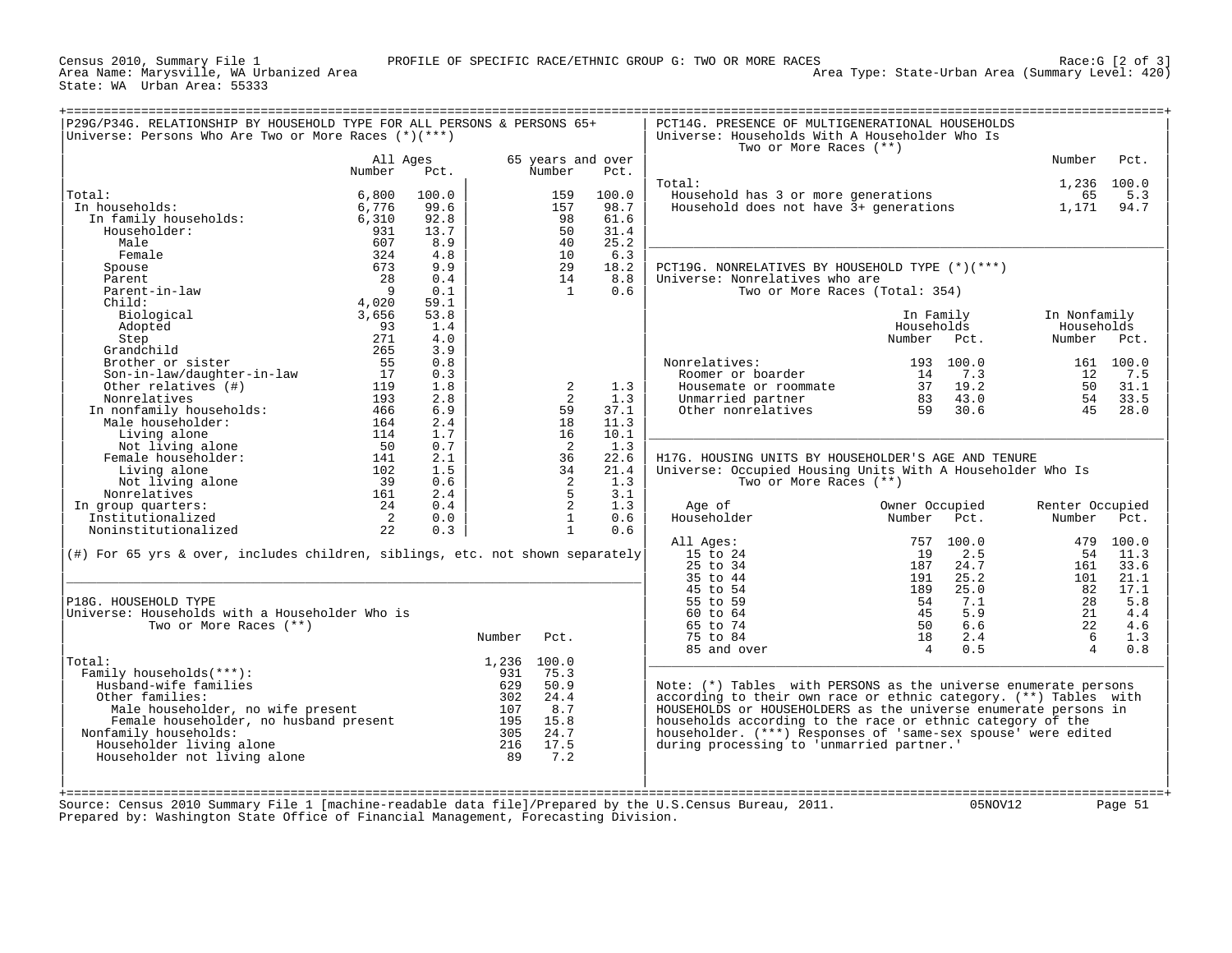|                                                                                  |                            |       |             |              |                           | Two or More Races (**)                                           |                |           |                 |           |
|----------------------------------------------------------------------------------|----------------------------|-------|-------------|--------------|---------------------------|------------------------------------------------------------------|----------------|-----------|-----------------|-----------|
|                                                                                  | All Ages<br>Number         | Pct.  |             | Number       | 65 years and over<br>Pct. |                                                                  |                |           | Number          | Pct.      |
|                                                                                  |                            |       |             |              |                           | Total:                                                           |                |           | 1,236 100.0     |           |
| Total:                                                                           | 6,800                      | 100.0 |             | 159          | 100.0                     | Household has 3 or more generations                              |                |           | 65              | 5.3       |
| In households:                                                                   | 6,776                      | 99.6  |             | 157          | 98.7                      | Household does not have 3+ generations                           |                |           | 1,171           | 94.7      |
| In family households:                                                            | 6,310                      | 92.8  |             | 98           | 61.6                      |                                                                  |                |           |                 |           |
| Householder:                                                                     | 931                        | 13.7  |             | 50           | 31.4                      |                                                                  |                |           |                 |           |
| Male                                                                             | 607                        | 8.9   |             | 40           | 25.2                      |                                                                  |                |           |                 |           |
| Female                                                                           | 324                        | 4.8   |             | 10           | 6.3                       |                                                                  |                |           |                 |           |
| Spouse                                                                           | 673                        | 9.9   |             | 29           | 18.2                      | PCT19G. NONRELATIVES BY HOUSEHOLD TYPE (*)(***)                  |                |           |                 |           |
| Parent                                                                           | 28                         | 0.4   |             | 14           | 8.8                       | Universe: Nonrelatives who are                                   |                |           |                 |           |
| Parent-in-law                                                                    | - 9                        | 0.1   |             | <sup>1</sup> | 0.6                       | Two or More Races (Total: 354)                                   |                |           |                 |           |
| Child:                                                                           | 4,020                      | 59.1  |             |              |                           |                                                                  |                |           |                 |           |
| Biological                                                                       | 3,656                      | 53.8  |             |              |                           |                                                                  | In Family      |           | In Nonfamily    |           |
| Adopted                                                                          | 93                         | 1.4   |             |              |                           |                                                                  | Households     |           | Households      |           |
| Step                                                                             | 271                        | 4.0   |             |              |                           |                                                                  | Number Pct.    |           | Number          | Pct.      |
| Grandchild                                                                       | 265                        | 3.9   |             |              |                           |                                                                  |                |           |                 |           |
| Brother or sister                                                                | 55                         | 0.8   |             |              |                           | Nonrelatives:                                                    |                | 193 100.0 |                 | 161 100.0 |
| Son-in-law/daughter-in-law                                                       | 17                         | 0.3   |             |              |                           | Roomer or boarder                                                | 14             | 7.3       | 12              | 7.5       |
| Other relatives (#)                                                              | 119                        | 1.8   |             | 2            | 1.3                       | Housemate or roommate                                            | 37             | 19.2      | 50              | 31.1      |
| Nonrelatives                                                                     | 193                        | 2.8   |             | 2            | 1.3                       | Unmarried partner                                                | 83             | 43.0      | 54              | 33.5      |
| In nonfamily households:                                                         | 466                        | 6.9   |             | 59           | 37.1                      | Other nonrelatives                                               | 59             | 30.6      | 45              | 28.0      |
| Male householder:                                                                | 164                        | 2.4   |             | 18           | 11.3                      |                                                                  |                |           |                 |           |
|                                                                                  |                            |       |             | 16           | 10.1                      |                                                                  |                |           |                 |           |
| Living alone                                                                     | 114                        | 1.7   |             |              |                           |                                                                  |                |           |                 |           |
| Not living alone                                                                 | 50                         | 0.7   |             | 2            | 1.3                       |                                                                  |                |           |                 |           |
| Female householder:                                                              | 141                        | 2.1   |             | 36           | 22.6                      | H17G. HOUSING UNITS BY HOUSEHOLDER'S AGE AND TENURE              |                |           |                 |           |
| Living alone                                                                     | 102                        | 1.5   |             | 34           | 21.4                      | Universe: Occupied Housing Units With A Householder Who Is       |                |           |                 |           |
| Not living alone                                                                 | 39                         | 0.6   |             | 2            | 1.3                       | Two or More Races (**)                                           |                |           |                 |           |
| Nonrelatives                                                                     | 161                        | 2.4   |             | 5            | 3.1                       |                                                                  |                |           |                 |           |
| In group quarters:                                                               | 24                         | 0.4   |             | 2            | 1.3                       | Age of                                                           | Owner Occupied |           | Renter Occupied |           |
| Institutionalized                                                                | $\overline{\phantom{0}}^2$ | 0.0   |             | $\mathbf{1}$ | 0.6                       | Householder                                                      | Number         | Pct.      | Number          | Pct.      |
| Noninstitutionalized                                                             | 22                         | 0.3   |             | $\mathbf{1}$ | 0.6                       |                                                                  |                |           |                 |           |
|                                                                                  |                            |       |             |              |                           | All Ages:                                                        | 757            | 100.0     |                 | 479 100.0 |
| $(\#)$ For 65 yrs & over, includes children, siblings, etc. not shown separately |                            |       |             |              |                           | 15 to 24                                                         | 19             | 2.5       | 54              | 11.3      |
|                                                                                  |                            |       |             |              |                           | 25 to 34                                                         | 187            | 24.7      | 161             | 33.6      |
|                                                                                  |                            |       |             |              |                           | 35 to 44                                                         | 191            | 25.2      | 101             | 21.1      |
|                                                                                  |                            |       |             |              |                           | 45 to 54                                                         | 189            | 25.0      | 82              | 17.1      |
| P18G. HOUSEHOLD TYPE                                                             |                            |       |             |              |                           | 55 to 59                                                         | 54             | 7.1       | 28              | 5.8       |
| Universe: Households with a Householder Who is                                   |                            |       |             |              |                           | 60 to 64                                                         | 45             | 5.9       | 21              | 4.4       |
| Two or More Races (**)                                                           |                            |       |             |              |                           | 65 to 74                                                         | 50             | 6.6       | 22              | 4.6       |
|                                                                                  |                            |       | Number      | Pct.         |                           | 75 to 84                                                         | 18             | 2.4       | 6               | 1.3       |
|                                                                                  |                            |       |             |              |                           | 85 and over                                                      | $\overline{4}$ | 0.5       | $\overline{4}$  | 0.8       |
| Total:                                                                           |                            |       | 1,236 100.0 |              |                           |                                                                  |                |           |                 |           |
| Family households(***):                                                          |                            |       | 931         | 75.3         |                           |                                                                  |                |           |                 |           |
| Husband-wife families                                                            |                            |       | 629         | 50.9         |                           | Note: (*) Tables with PERSONS as the universe enumerate persons  |                |           |                 |           |
| Other families:                                                                  |                            |       | 302         | 24.4         |                           | according to their own race or ethnic category. (**) Tables with |                |           |                 |           |
|                                                                                  |                            |       | 107         | 8.7          |                           | HOUSEHOLDS or HOUSEHOLDERS as the universe enumerate persons in  |                |           |                 |           |
| Male householder, no wife present                                                |                            |       | 195         | 15.8         |                           | households according to the race or ethnic category of the       |                |           |                 |           |
|                                                                                  |                            |       | 305         | 24.7         |                           | householder. (***) Responses of 'same-sex spouse' were edited    |                |           |                 |           |
| Female householder, no husband present                                           |                            |       |             |              |                           | during processing to 'unmarried partner.'                        |                |           |                 |           |
| Nonfamily households:<br>Householder living alone                                |                            |       | 216         | 17.5         |                           |                                                                  |                |           |                 |           |
|                                                                                  |                            |       | 89          | 7.2          |                           |                                                                  |                |           |                 |           |
| Householder not living alone                                                     |                            |       |             |              |                           |                                                                  |                |           |                 |           |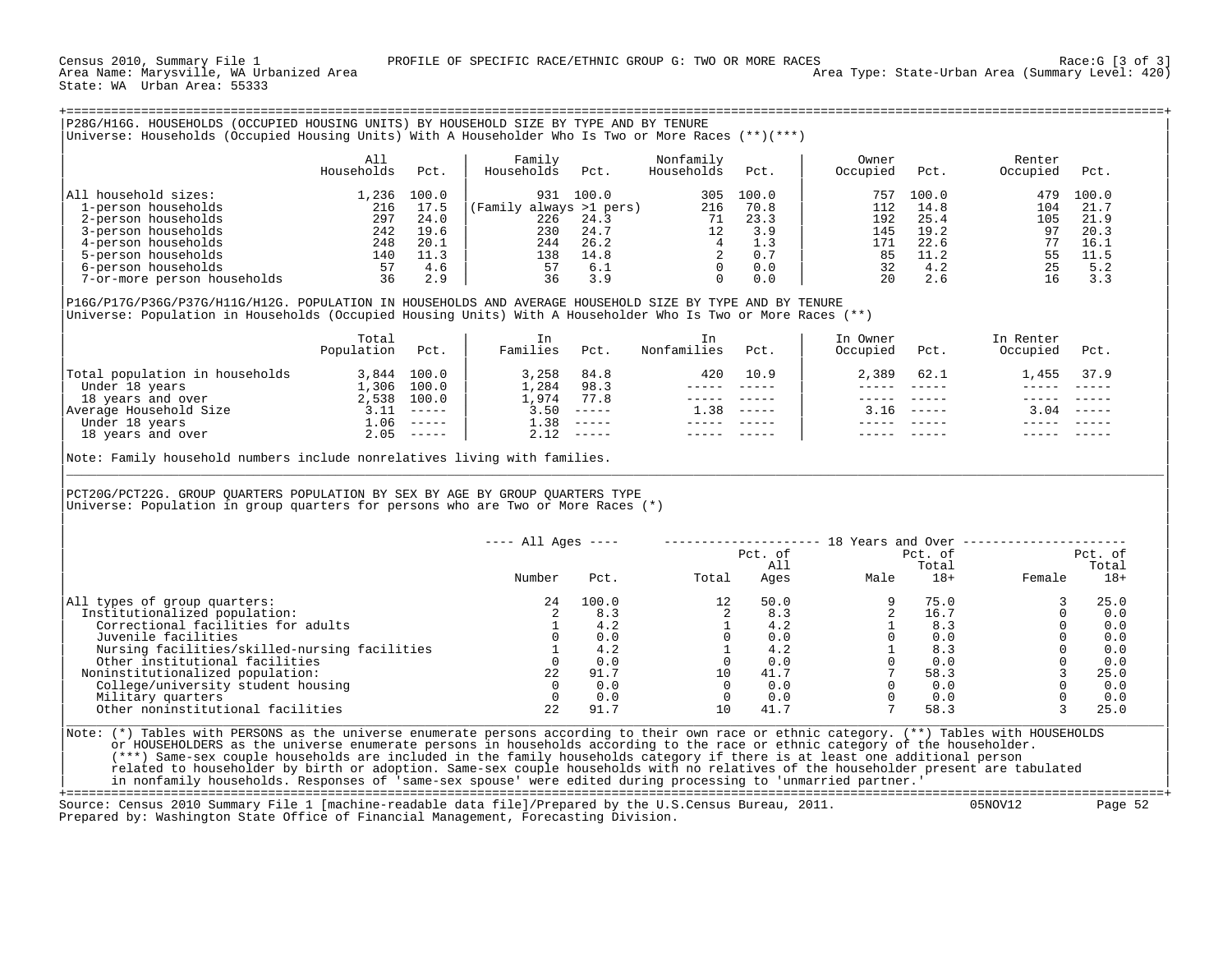## +===================================================================================================================================================+ |P28G/H16G. HOUSEHOLDS (OCCUPIED HOUSING UNITS) BY HOUSEHOLD SIZE BY TYPE AND BY TENURE | |Universe: Households (Occupied Housing Units) With A Householder Who Is Two or More Races (\*\*)(\*\*\*) | | | | All | Family Nonfamily | Owner Renter | Renter | Renter | Renter | Renter | Renter | Renter | Renter | Renter | Renter | Renter | Renter | Renter | Renter | Renter | Renter | Renter | Renter | Renter | Renter | Renter | | Households Pct. | Households Pct. Households Pct. | Occupied Pct. Occupied Pct. | | | | |

| All household sizes:        | , 236 | 100.0 | 100.0                   | 305 | 100.0 | 757 | 100.0 | 100.0<br>479 |
|-----------------------------|-------|-------|-------------------------|-----|-------|-----|-------|--------------|
| 1-person households         | 216   | 17.5  | (Family always >1 pers) | 216 | 70.8  | 112 | 14.8  | 21.7<br>104  |
| 2-person households         | 297   | 24.0  | 226<br>24.3             |     | 23.3  | 192 | 25.4  | 105<br>21.9  |
| 3-person households         | 242   | 19.6  | 230<br>24.7             |     | 3.9   | 145 | 19.2  | 20.3         |
| 4-person households         | 248   | 20.1  | 26.2<br>244             |     |       | 171 | 22.6  | 16.1         |
| 5-person households         | 140   | 11.3  | 138<br>14.8             |     | 0.7   |     |       | 11.5         |
| 6-person households         |       | 4.6   | 6.i                     |     | 0.0   |     |       | 5.2          |
| 7-or-more person households |       | 2.9   |                         |     | 0.0   |     |       |              |

| | |P16G/P17G/P36G/P37G/H11G/H12G. POPULATION IN HOUSEHOLDS AND AVERAGE HOUSEHOLD SIZE BY TYPE AND BY TENURE | |Universe: Population in Households (Occupied Housing Units) With A Householder Who Is Two or More Races (\*\*) |

|                                | Total<br>Population | Pct.                                                                                                                                                                                                                                                                                                                                                                                         | In<br>Families | Pct.          | Nonfamilies | Pct.                                                                                                                                                                                                                                                                                                                                                                                         | In Owner<br>Occupied | Pct.         | In Renter<br>Occupied | Pct.          |
|--------------------------------|---------------------|----------------------------------------------------------------------------------------------------------------------------------------------------------------------------------------------------------------------------------------------------------------------------------------------------------------------------------------------------------------------------------------------|----------------|---------------|-------------|----------------------------------------------------------------------------------------------------------------------------------------------------------------------------------------------------------------------------------------------------------------------------------------------------------------------------------------------------------------------------------------------|----------------------|--------------|-----------------------|---------------|
| Total population in households | 3,844               | 100.0                                                                                                                                                                                                                                                                                                                                                                                        | 3,258          | 84.8          | 420         | 10.9                                                                                                                                                                                                                                                                                                                                                                                         | 2,389                | 62.1         | . . 455               | 37.9          |
| Under 18 years                 | 1,306               | 100.0                                                                                                                                                                                                                                                                                                                                                                                        | 1,284          | 98.3          |             |                                                                                                                                                                                                                                                                                                                                                                                              |                      |              |                       |               |
| 18 years and over              | 2,538               | 100.0                                                                                                                                                                                                                                                                                                                                                                                        | 1,974          | 77.8          |             | ------                                                                                                                                                                                                                                                                                                                                                                                       |                      |              |                       |               |
| Average Household Size         |                     | $\frac{1}{2} \frac{1}{2} \frac{1}{2} \frac{1}{2} \frac{1}{2} \frac{1}{2} \frac{1}{2} \frac{1}{2} \frac{1}{2} \frac{1}{2} \frac{1}{2} \frac{1}{2} \frac{1}{2} \frac{1}{2} \frac{1}{2} \frac{1}{2} \frac{1}{2} \frac{1}{2} \frac{1}{2} \frac{1}{2} \frac{1}{2} \frac{1}{2} \frac{1}{2} \frac{1}{2} \frac{1}{2} \frac{1}{2} \frac{1}{2} \frac{1}{2} \frac{1}{2} \frac{1}{2} \frac{1}{2} \frac{$ | 3.50           | $- - - - - -$ | 1.38        | $\frac{1}{2} \frac{1}{2} \frac{1}{2} \frac{1}{2} \frac{1}{2} \frac{1}{2} \frac{1}{2} \frac{1}{2} \frac{1}{2} \frac{1}{2} \frac{1}{2} \frac{1}{2} \frac{1}{2} \frac{1}{2} \frac{1}{2} \frac{1}{2} \frac{1}{2} \frac{1}{2} \frac{1}{2} \frac{1}{2} \frac{1}{2} \frac{1}{2} \frac{1}{2} \frac{1}{2} \frac{1}{2} \frac{1}{2} \frac{1}{2} \frac{1}{2} \frac{1}{2} \frac{1}{2} \frac{1}{2} \frac{$ |                      | $3.16$ ----- | 3.04                  | $- - - - - -$ |
| Under 18 years                 | L.O6                | $- - - - - -$                                                                                                                                                                                                                                                                                                                                                                                | 1.38           |               |             | -----                                                                                                                                                                                                                                                                                                                                                                                        |                      |              |                       |               |
| 18 years and over              | 2.05                | $\cdots \cdots \cdots \cdots$                                                                                                                                                                                                                                                                                                                                                                | 2.12           | -----         |             |                                                                                                                                                                                                                                                                                                                                                                                              |                      |              |                       |               |

| | Note: Family household numbers include nonrelatives living with families.

| | |PCT20G/PCT22G. GROUP QUARTERS POPULATION BY SEX BY AGE BY GROUP QUARTERS TYPE | Universe: Population in group quarters for persons who are Two or More Races  $(*)$ 

|                                               | $---$ All Ages $---$ |       | Pct. of |      | 18 Years and Over | Pct. of | Pct. of |       |  |
|-----------------------------------------------|----------------------|-------|---------|------|-------------------|---------|---------|-------|--|
|                                               |                      |       |         | All  |                   | Total   | Total   |       |  |
|                                               | Number               | Pct.  | Total   | Ages | Male              | $18+$   | Female  | $18+$ |  |
| All types of group quarters:                  | 2.4                  | 100.0 | 12      | 50.0 |                   | 75.0    |         | 25.0  |  |
| Institutionalized population:                 |                      | 8.3   |         | 8.3  |                   | 16.7    |         | 0.0   |  |
| Correctional facilities for adults            |                      | 4.2   |         | 4.2  |                   | 8.3     |         | 0.0   |  |
| Juvenile facilities                           |                      | 0.0   |         | 0.0  |                   | 0.0     |         | 0.0   |  |
| Nursing facilities/skilled-nursing facilities |                      | 4.2   |         | 4.2  |                   | 8.3     |         | 0.0   |  |
| Other institutional facilities                |                      | 0.0   |         | 0.0  |                   | 0.0     |         | 0.0   |  |
| Noninstitutionalized population:              |                      | 91.7  | 10      | 41.7 |                   | 58.3    |         | 25.0  |  |
| College/university student housing            |                      | 0.0   |         | 0.0  |                   | 0.0     |         | 0.0   |  |
| Military quarters                             |                      | 0.0   |         | 0.0  |                   | 0.0     |         | 0.0   |  |
| Other noninstitutional facilities             |                      | 91.7  | 10      | 41.7 |                   | 58.3    |         | 25.0  |  |

|\_\_\_\_\_\_\_\_\_\_\_\_\_\_\_\_\_\_\_\_\_\_\_\_\_\_\_\_\_\_\_\_\_\_\_\_\_\_\_\_\_\_\_\_\_\_\_\_\_\_\_\_\_\_\_\_\_\_\_\_\_\_\_\_\_\_\_\_\_\_\_\_\_\_\_\_\_\_\_\_\_\_\_\_\_\_\_\_\_\_\_\_\_\_\_\_\_\_\_\_\_\_\_\_\_\_\_\_\_\_\_\_\_\_\_\_\_\_\_\_\_\_\_\_\_\_\_\_\_\_\_\_\_\_\_\_\_\_\_\_\_\_\_\_\_\_\_|

| |

Note: (\*) Tables with PERSONS as the universe enumerate persons according to their own race or ethnic category. (\*\*) Tables with HOUSEHOLDS or HOUSEHOLDERS as the universe enumerate persons in households according to the race or ethnic category of the householder. | (\*\*\*) Same-sex couple households are included in the family households category if there is at least one additional person | related to householder by birth or adoption. Same-sex couple households with no relatives of the householder present are tabulated in nonfamily households. Responses of 'same-sex spouse' were edited during processing to 'unmarried partner.'

+===================================================================================================================================================+ Source: Census 2010 Summary File 1 [machine-readable data file]/Prepared by the U.S.Census Bureau, 2011. Prepared by: Washington State Office of Financial Management, Forecasting Division.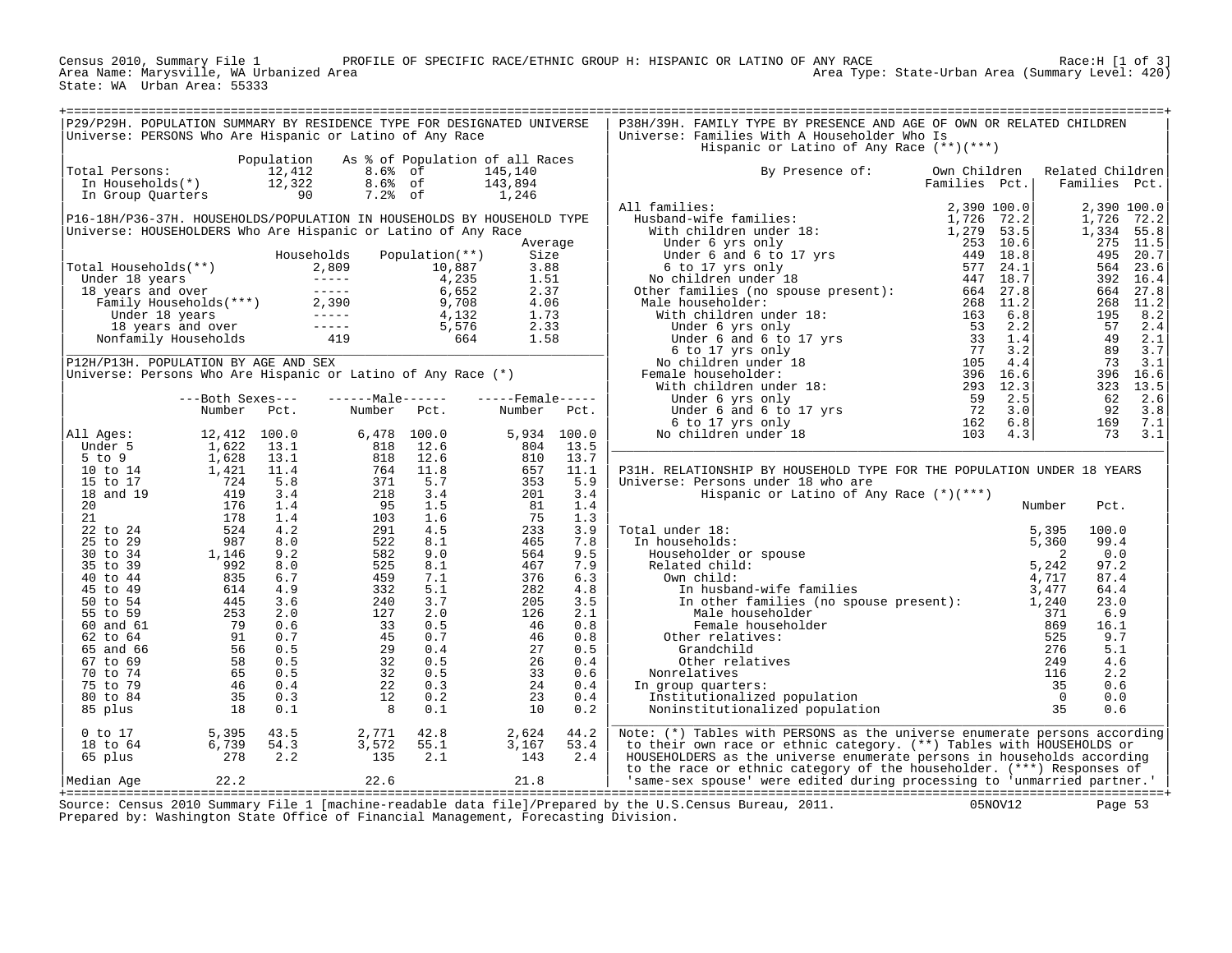PROFILE OF SPECIFIC RACE/ETHNIC GROUP H: HISPANIC OR LATINO OF ANY RACE RACE Race:H [1 of 3] Area Type: State-Urban Area (Summary Level: 420) Census 2010, Summary File 1 PRO<br>Area Name: Marysville, WA Urbanized Area<br>State: WA Urban Area: 55333

| P29/P29H. POPULATION SUMMARY BY RESIDENCE TYPE FOR DESIGNATED UNIVERSE<br>Universe: PERSONS Who Are Hispanic or Latino of Any Race                                                                                                                     |                                                                                                                                                                                                                                                                              |                                                                                                                                                                                                                                                                                | P38H/39H. FAMILY TYPE BY PRESENCE AND AGE OF OWN OR RELATED CHILDREN<br>Universe: Families With A Householder Who Is                                                                                                                                                                                   |               |                                   |
|--------------------------------------------------------------------------------------------------------------------------------------------------------------------------------------------------------------------------------------------------------|------------------------------------------------------------------------------------------------------------------------------------------------------------------------------------------------------------------------------------------------------------------------------|--------------------------------------------------------------------------------------------------------------------------------------------------------------------------------------------------------------------------------------------------------------------------------|--------------------------------------------------------------------------------------------------------------------------------------------------------------------------------------------------------------------------------------------------------------------------------------------------------|---------------|-----------------------------------|
|                                                                                                                                                                                                                                                        |                                                                                                                                                                                                                                                                              |                                                                                                                                                                                                                                                                                | Hispanic or Latino of Any Race (**)(***)                                                                                                                                                                                                                                                               |               |                                   |
| otal Persons: $\begin{array}{ccccccccc}\n 12,412 & 8.6 & 6 & 145,140 \\  \text{In Households(*)} & & 12,322 & 8.6 & 6 & 143,894 \\  \text{In Group Quarterly} & & & & & \\  90 & & 7.2 & 6 & 1,246\n \end{array}$<br>Total Persons:                    | Population As % of Population of all Races                                                                                                                                                                                                                                   |                                                                                                                                                                                                                                                                                | Own Children<br>By Presence of:                                                                                                                                                                                                                                                                        | Families Pct. | Related Children<br>Families Pct. |
|                                                                                                                                                                                                                                                        |                                                                                                                                                                                                                                                                              |                                                                                                                                                                                                                                                                                |                                                                                                                                                                                                                                                                                                        |               |                                   |
|                                                                                                                                                                                                                                                        |                                                                                                                                                                                                                                                                              |                                                                                                                                                                                                                                                                                |                                                                                                                                                                                                                                                                                                        |               |                                   |
|                                                                                                                                                                                                                                                        |                                                                                                                                                                                                                                                                              |                                                                                                                                                                                                                                                                                |                                                                                                                                                                                                                                                                                                        |               |                                   |
|                                                                                                                                                                                                                                                        |                                                                                                                                                                                                                                                                              |                                                                                                                                                                                                                                                                                |                                                                                                                                                                                                                                                                                                        |               |                                   |
|                                                                                                                                                                                                                                                        |                                                                                                                                                                                                                                                                              |                                                                                                                                                                                                                                                                                |                                                                                                                                                                                                                                                                                                        |               |                                   |
|                                                                                                                                                                                                                                                        |                                                                                                                                                                                                                                                                              |                                                                                                                                                                                                                                                                                |                                                                                                                                                                                                                                                                                                        |               |                                   |
| Namber Fcc.<br>11 Ages: 12,412 100.0<br>5 to 9 1,622 13.1<br>10 to 14 1,628 13.1<br>10 to 14 1,421 11.4<br>15 to 17 724 5.8<br>21 176 1.4<br>21 176 1.4<br>22 to 24 524 4.2<br>22 to 24 524 4.2<br>25 to 34 987 8.0<br>35 to 39 992 8.0<br>40 to 44 83 | 6, 478 100.0<br>818 12.6<br>818 12.6<br>764 11.8<br>771 5.7<br>371 5.7<br>95 1.5.5<br>95 103 1.5<br>95 282 8.1<br>522 8.1<br>525 8.1<br>525 8.1<br>525 8.1<br>525 8.1<br>525 8.1<br>525 8.1<br>525 8.1<br>525 8.1<br>525 8.1<br>525 9.1<br>73<br>220 1.7<br>33 0.5<br>33 0.5 | Number<br>5, 934 100.0<br>804 13.5<br>810 13.7<br>657 11.1<br>353 5.9<br>201 3.4<br>81 1.4<br>81 1.4<br>75 1.3<br>233 3.9<br>465 7.9<br>466 7.9<br>564 467 7.9<br>282 4.5<br>282 4.5<br>282 4.5<br>282 4.5<br>282 4.5<br>282 5.4<br>205 3.5<br>282 5.5<br>46<br>205 3.5<br>282 | P31H. RELATIONSHIP BY HOUSEHOLD TYPE FOR THE POPULATION UNDER 18 YEARS                                                                                                                                                                                                                                 |               |                                   |
|                                                                                                                                                                                                                                                        |                                                                                                                                                                                                                                                                              |                                                                                                                                                                                                                                                                                | Universe: Persons under 18 who are<br>Hispanic or Latino of Any Race (*)(***)                                                                                                                                                                                                                          |               |                                   |
|                                                                                                                                                                                                                                                        |                                                                                                                                                                                                                                                                              |                                                                                                                                                                                                                                                                                |                                                                                                                                                                                                                                                                                                        | Number        | Pct.                              |
|                                                                                                                                                                                                                                                        |                                                                                                                                                                                                                                                                              |                                                                                                                                                                                                                                                                                | Total under 18:<br>In households:                                                                                                                                                                                                                                                                      |               | 100.0<br>99.4                     |
|                                                                                                                                                                                                                                                        |                                                                                                                                                                                                                                                                              |                                                                                                                                                                                                                                                                                |                                                                                                                                                                                                                                                                                                        |               | 0.0<br>97.2                       |
|                                                                                                                                                                                                                                                        |                                                                                                                                                                                                                                                                              |                                                                                                                                                                                                                                                                                |                                                                                                                                                                                                                                                                                                        |               | 87.4<br>64.4<br>23.0              |
|                                                                                                                                                                                                                                                        |                                                                                                                                                                                                                                                                              |                                                                                                                                                                                                                                                                                |                                                                                                                                                                                                                                                                                                        |               | 6.9<br>16.1                       |
|                                                                                                                                                                                                                                                        |                                                                                                                                                                                                                                                                              |                                                                                                                                                                                                                                                                                |                                                                                                                                                                                                                                                                                                        |               | 9.7<br>5.1<br>4.6                 |
|                                                                                                                                                                                                                                                        |                                                                                                                                                                                                                                                                              |                                                                                                                                                                                                                                                                                | In group quarters:                                                                                                                                                                                                                                                                                     |               | 2.2<br>0.6                        |
|                                                                                                                                                                                                                                                        |                                                                                                                                                                                                                                                                              |                                                                                                                                                                                                                                                                                | ral under 18:<br>In households:<br>Householder or spouse<br>Related child:<br>2<br>Related child:<br>2<br>Th husband-wife families<br>1, 242<br>In husband-wife families<br>5, 242<br>717<br>In other families (no spouse present):<br>3, 4777<br>In other                                             |               | 0.0<br>0.6                        |
| 5, 395<br>6, 739<br>54. 3<br>278<br>2. 2<br>$0$ to $17$<br>18 to 64<br>65 plus                                                                                                                                                                         | 2,771 42.8<br>3,572 55.1<br>135 2.1                                                                                                                                                                                                                                          | 2,624<br>3,167<br>143<br>44.2<br>53.4<br>2.4                                                                                                                                                                                                                                   | Note: (*) Tables with PERSONS as the universe enumerate persons according<br>to their own race or ethnic category. (**) Tables with HOUSEHOLDS or<br>HOUSEHOLDERS as the universe enumerate persons in households according                                                                            |               |                                   |
| 22.6<br>Median Age 22.2                                                                                                                                                                                                                                | 21.8                                                                                                                                                                                                                                                                         |                                                                                                                                                                                                                                                                                | to the race or ethnic category of the householder. (***) Responses of<br>'same-sex spouse' were edited during processing to 'unmarried partner.'  <br>$\sim$ 0.010 $\sim$ $\sim$ 1.1 $\sim$ 1.1 $\sim$ 1.1 $\sim$ 1.1 $\sim$ 1.1 $\sim$ 1.1 $\sim$ 0.011 $\sim$ 0.011 $\sim$ 0.011 $\sim$ 0.011 $\sim$ |               |                                   |

+===================================================================================================================================================+ Source: Census 2010 Summary File 1 [machine-readable data file]/Prepared by the U.S.Census Bureau, 2011. 05NOV12 Page 53 Prepared by: Washington State Office of Financial Management, Forecasting Division.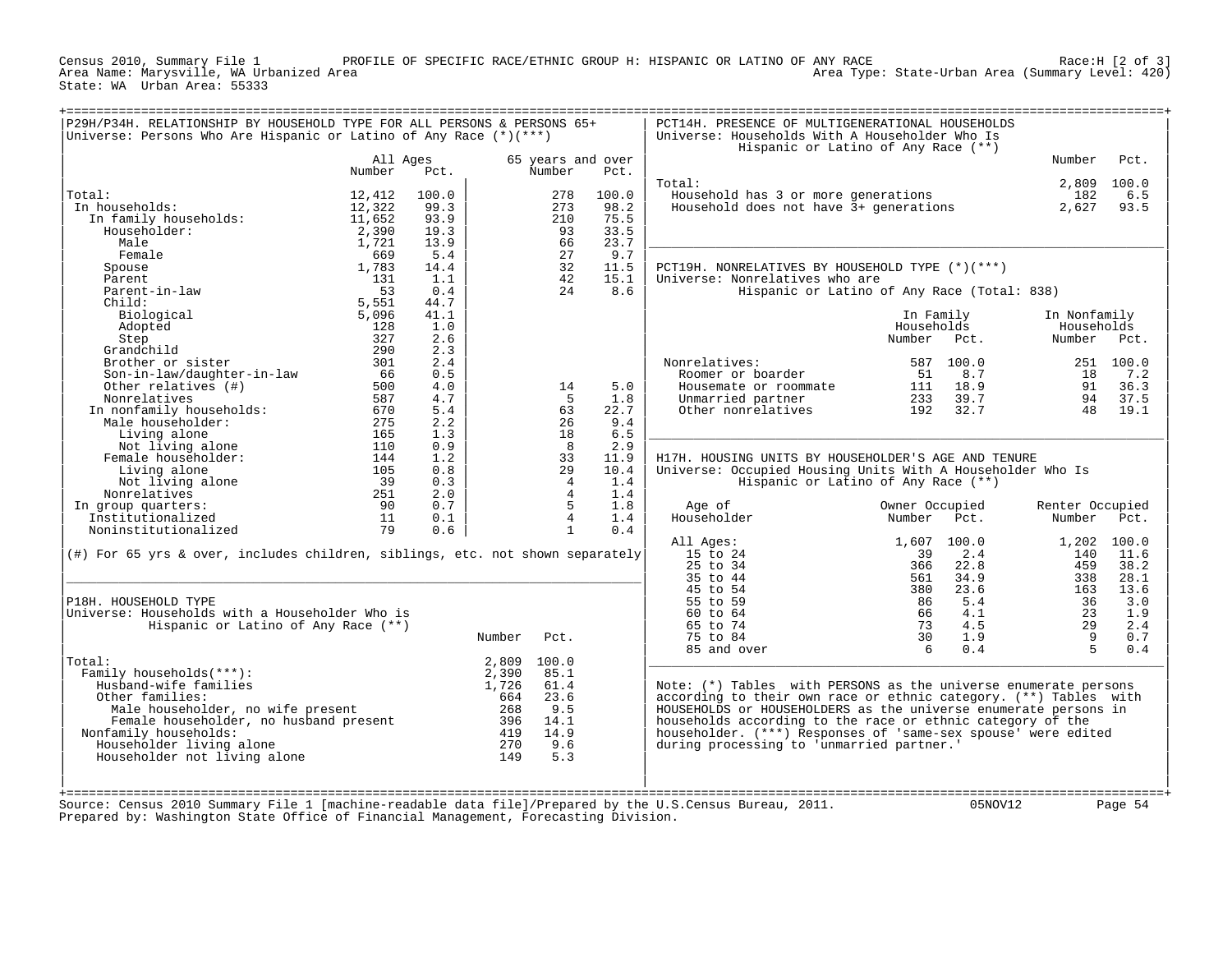PROFILE OF SPECIFIC RACE/ETHNIC GROUP H: HISPANIC OR LATINO OF ANY RACE F ANY RACE<br>Area Type: State-Urban Area (Summary Level: 420) State: WA Urban Area: 55333

|                                                                                  |                    |       |        |                             |       | Hispanic or Latino of Any Race (**)                              |                |       |                 |             |
|----------------------------------------------------------------------------------|--------------------|-------|--------|-----------------------------|-------|------------------------------------------------------------------|----------------|-------|-----------------|-------------|
|                                                                                  | All Ages<br>Number | Pct.  |        | 65 years and over<br>Number | Pct.  |                                                                  |                |       | Number          | Pct.        |
|                                                                                  |                    |       |        |                             |       | Total:                                                           |                |       |                 | 2,809 100.0 |
| Total:                                                                           | 12,412             | 100.0 |        | 278                         | 100.0 | Household has 3 or more generations                              |                |       | 182             | 6.5         |
| In households:                                                                   | 12,322             | 99.3  |        | 273                         | 98.2  | Household does not have 3+ generations                           |                |       | 2,627           | 93.5        |
| In family households:                                                            | 11,652             | 93.9  |        | 210                         | 75.5  |                                                                  |                |       |                 |             |
| Householder:                                                                     | 2,390              | 19.3  |        | 93                          | 33.5  |                                                                  |                |       |                 |             |
| Male                                                                             | 1,721              | 13.9  |        | 66                          | 23.7  |                                                                  |                |       |                 |             |
| Female                                                                           | 669                | 5.4   |        | 27                          | 9.7   |                                                                  |                |       |                 |             |
| Spouse                                                                           | 1,783              | 14.4  |        | 32                          | 11.5  | PCT19H. NONRELATIVES BY HOUSEHOLD TYPE (*)(***)                  |                |       |                 |             |
| Parent                                                                           | 131                | 1.1   |        | 42                          | 15.1  | Universe: Nonrelatives who are                                   |                |       |                 |             |
| Parent-in-law                                                                    | 53                 | 0.4   |        | 24                          | 8.6   | Hispanic or Latino of Any Race (Total: 838)                      |                |       |                 |             |
| Child:                                                                           | 5,551              | 44.7  |        |                             |       |                                                                  |                |       |                 |             |
| Biological                                                                       | 5,096              | 41.1  |        |                             |       |                                                                  | In Family      |       | In Nonfamily    |             |
| Adopted                                                                          | 128                | 1.0   |        |                             |       |                                                                  | Households     |       | Households      |             |
| Step                                                                             | 327                | 2.6   |        |                             |       |                                                                  | Number         | Pct.  | Number          | Pct.        |
| Grandchild                                                                       | 290                | 2.3   |        |                             |       |                                                                  |                |       |                 |             |
| Brother or sister                                                                | 301                | 2.4   |        |                             |       | Nonrelatives:                                                    | 587            | 100.0 |                 | 251 100.0   |
| Son-in-law/daughter-in-law                                                       | 66                 | 0.5   |        |                             |       | Roomer or boarder                                                | 51             | 8.7   | 18              | 7.2         |
| Other relatives (#)                                                              | 500                | 4.0   |        | 14                          | 5.0   | Housemate or roommate                                            | 111            | 18.9  | 91              | 36.3        |
| Nonrelatives                                                                     | 587                | 4.7   |        | - 5                         | 1.8   | Unmarried partner                                                | 233            | 39.7  | 94              | 37.5        |
| In nonfamily households:                                                         | 670                | 5.4   |        | 63                          | 22.7  | Other nonrelatives                                               | 192            | 32.7  | 48              | 19.1        |
| Male householder:                                                                | 275                | 2.2   |        | 26                          | 9.4   |                                                                  |                |       |                 |             |
| Living alone                                                                     | 165                | 1.3   |        | 18                          | 6.5   |                                                                  |                |       |                 |             |
| Not living alone                                                                 | 110                | 0.9   |        | - 8                         | 2.9   |                                                                  |                |       |                 |             |
| Female householder:                                                              | 144                | 1.2   |        | 33                          | 11.9  | H17H. HOUSING UNITS BY HOUSEHOLDER'S AGE AND TENURE              |                |       |                 |             |
| Living alone                                                                     | 105                | 0.8   |        | 29                          | 10.4  | Universe: Occupied Housing Units With A Householder Who Is       |                |       |                 |             |
| Not living alone                                                                 | 39                 | 0.3   |        | $\overline{4}$              | 1.4   | Hispanic or Latino of Any Race (**)                              |                |       |                 |             |
| Nonrelatives                                                                     | 251                | 2.0   |        | $\overline{4}$              | 1.4   |                                                                  |                |       |                 |             |
| In group quarters:                                                               | 90                 | 0.7   |        | 5                           | 1.8   | Age of                                                           | Owner Occupied |       | Renter Occupied |             |
| Institutionalized                                                                | 11                 | 0.1   |        | $\overline{4}$              | 1.4   | Householder                                                      | Number         | Pct.  | Number          | Pct.        |
| Noninstitutionalized                                                             | 79                 | 0.6   |        | $\mathbf{1}$                | 0.4   |                                                                  |                |       |                 |             |
|                                                                                  |                    |       |        |                             |       | All Ages:                                                        | 1,607          | 100.0 |                 | 1,202 100.0 |
| $(\#)$ For 65 yrs & over, includes children, siblings, etc. not shown separately |                    |       |        |                             |       | 15 to 24                                                         | 39             | 2.4   | 140             | 11.6        |
|                                                                                  |                    |       |        |                             |       | 25 to 34                                                         | 366            | 22.8  | 459             | 38.2        |
|                                                                                  |                    |       |        |                             |       | 35 to 44                                                         | 561            | 34.9  | 338             | 28.1        |
|                                                                                  |                    |       |        |                             |       | 45 to 54                                                         | 380            | 23.6  | 163             | 13.6        |
| P18H. HOUSEHOLD TYPE                                                             |                    |       |        |                             |       | 55 to 59                                                         | 86             | 5.4   | 36              | 3.0         |
| Universe: Households with a Householder Who is                                   |                    |       |        |                             |       | 60 to 64                                                         | 66             | 4.1   | 23              | 1.9         |
| Hispanic or Latino of Any Race (**)                                              |                    |       |        |                             |       | 65 to 74                                                         | 73             | 4.5   | 29              | 2.4         |
|                                                                                  |                    |       | Number | Pct.                        |       | 75 to 84                                                         | 30             | 1.9   | - 9             | 0.7         |
|                                                                                  |                    |       |        |                             |       | 85 and over                                                      | 6              | 0.4   | $5^{\circ}$     | 0.4         |
| Total:                                                                           |                    |       | 2,809  | 100.0                       |       |                                                                  |                |       |                 |             |
| Family households(***):                                                          |                    |       | 2,390  | 85.1                        |       |                                                                  |                |       |                 |             |
| Husband-wife families                                                            |                    |       | 1,726  | 61.4                        |       | Note: (*) Tables with PERSONS as the universe enumerate persons  |                |       |                 |             |
| Other families:                                                                  |                    |       | 664    | 23.6                        |       | according to their own race or ethnic category. (**) Tables with |                |       |                 |             |
| Male householder, no wife present                                                |                    |       | 268    | 9.5                         |       | HOUSEHOLDS or HOUSEHOLDERS as the universe enumerate persons in  |                |       |                 |             |
| Female householder, no husband present                                           |                    |       | 396    | 14.1                        |       | households according to the race or ethnic category of the       |                |       |                 |             |
| Nonfamily households:                                                            |                    |       | 419    | 14.9                        |       | householder. (***) Responses of 'same-sex spouse' were edited    |                |       |                 |             |
| Householder living alone                                                         |                    |       | 270    | 9.6                         |       | during processing to 'unmarried partner.'                        |                |       |                 |             |
|                                                                                  |                    |       | 149    | 5.3                         |       |                                                                  |                |       |                 |             |
| Householder not living alone                                                     |                    |       |        |                             |       |                                                                  |                |       |                 |             |
|                                                                                  |                    |       |        |                             |       |                                                                  |                |       |                 |             |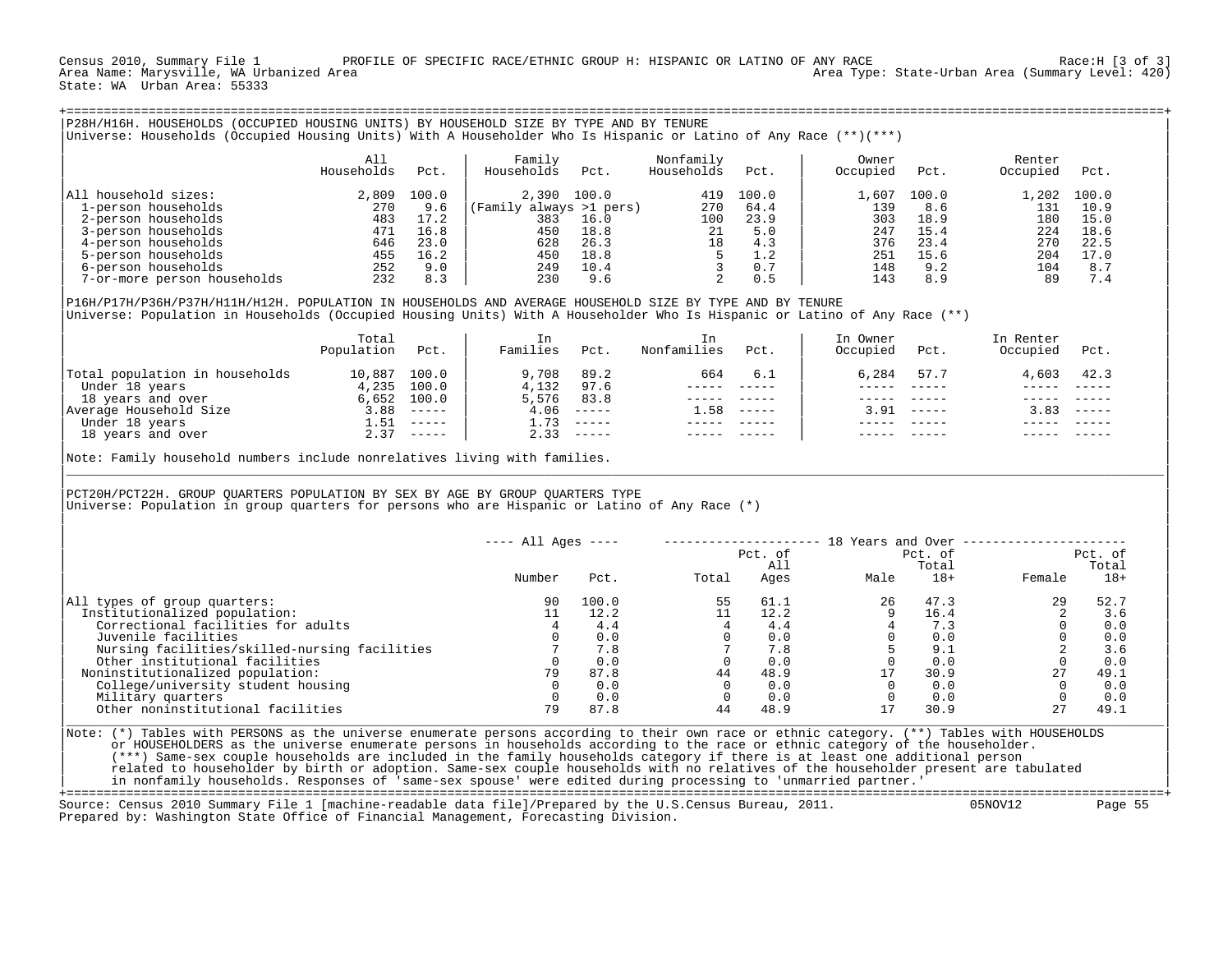Census 2010, Summary File 1 PROFILE OF SPECIFIC RACE/ETHNIC GROUP H: HISPANIC OR LATINO OF ANY RACE RACE: Race:H [3 of 3]<br>Area Name: Marysville, WA Urbanized Area Area Type: State-Urban Area (Summary Level: 420) State: WA Urban Area: 55333

| P28H/H16H. HOUSEHOLDS (OCCUPIED HOUSING UNITS) BY HOUSEHOLD SIZE BY TYPE AND BY TENURE                                    |            |             |                         |             |             |               |          |               |           |               |
|---------------------------------------------------------------------------------------------------------------------------|------------|-------------|-------------------------|-------------|-------------|---------------|----------|---------------|-----------|---------------|
| Universe: Households (Occupied Housing Units) With A Householder Who Is Hispanic or Latino of Any Race (**)(***)          |            |             |                         |             |             |               |          |               |           |               |
|                                                                                                                           |            |             |                         |             |             |               |          |               |           |               |
|                                                                                                                           | All        |             | Family                  |             | Nonfamily   |               | Owner    |               | Renter    |               |
|                                                                                                                           | Households | Pct.        | Households              | Pct.        | Households  | Pct.          | Occupied | Pct.          | Occupied  | Pct.          |
| All household sizes:                                                                                                      | 2,809      | 100.0       | 2,390 100.0             |             | 419         | 100.0         | 1,607    | 100.0         | 1,202     | 100.0         |
| 1-person households                                                                                                       | 270        | 9.6         | (Family always >1 pers) |             | 270         | 64.4          | 139      | 8.6           | 131       | 10.9          |
| 2-person households                                                                                                       | 483        | 17.2        | 383                     | 16.0        | 100         | 23.9          | 303      | 18.9          | 180       | 15.0          |
| 3-person households                                                                                                       | 471        | 16.8        | 450                     | 18.8        | 21          | 5.0           | 247      | 15.4          | 224       | 18.6          |
| 4-person households                                                                                                       | 646        | 23.0        | 628                     | 26.3        | 18          | 4.3           | 376      | 23.4          | 270       | 22.5          |
| 5-person households                                                                                                       | 455        | 16.2        | 450                     | 18.8        |             | 1.2           | 251      | 15.6          | 204       | 17.0          |
| 6-person households                                                                                                       | 252        | 9.0         | 249                     | 10.4        | 3           | 0.7           | 148      | 9.2           | 104       | 8.7           |
| 7-or-more person households                                                                                               | 232        | 8.3         | 230                     | 9.6         | 2           | 0.5           | 143      | 8.9           | 89        | 7.4           |
|                                                                                                                           |            |             |                         |             |             |               |          |               |           |               |
| P16H/P17H/P36H/P37H/H11H/H12H. POPULATION IN HOUSEHOLDS AND AVERAGE HOUSEHOLD SIZE BY TYPE AND BY TENURE                  |            |             |                         |             |             |               |          |               |           |               |
| Universe: Population in Households (Occupied Housing Units) With A Householder Who Is Hispanic or Latino of Any Race (**) |            |             |                         |             |             |               |          |               |           |               |
|                                                                                                                           |            |             |                         |             |             |               |          |               |           |               |
|                                                                                                                           | Total      |             | In                      |             | In.         |               | In Owner |               | In Renter |               |
|                                                                                                                           | Population | Pct.        | Families                | Pct.        | Nonfamilies | Pct.          | Occupied | Pct.          | Occupied  | Pct.          |
|                                                                                                                           |            |             |                         |             |             |               |          |               |           |               |
| Total population in households                                                                                            | 10,887     | 100.0       | 9,708                   | 89.2        | 664         | 6.1           | 6,284    | 57.7          | 4,603     | 42.3          |
| Under 18 years                                                                                                            | 4,235      | 100.0       | 4,132                   | 97.6        |             |               |          |               |           |               |
| 18 years and over                                                                                                         | 6,652      | 100.0       | 5,576                   | 83.8        |             |               |          |               |           |               |
| Average Household Size                                                                                                    | 3.88       | $- - - - -$ | 4.06                    | $- - - - -$ | 1.58        | $\frac{1}{2}$ | 3.91     | $- - - - - -$ | 3.83      | $\frac{1}{2}$ |

| 10 y curs and over the state of the state of the state of the state of the state of the state of the state o<br>| 1.58 ---- | 1.58 ---- | 1.58 ----- | 3.91 ----- 3.83 ----<br>| Under 18 years | 1.51 ---- | 1.73 ----- ---- ----| Under 18 years 1.51 ----- | 1.73 ----- ----- ----- | ----- ----- ----- ----- |

| | Note: Family household numbers include nonrelatives living with families.

18 years and over

PCT20H/PCT22H. GROUP QUARTERS POPULATION BY SEX BY AGE BY GROUP QUARTERS TYPE |Universe: Population in group quarters for persons who are Hispanic or Latino of Any Race (\*) |

|                                               | $--- All Aqes ---$ |       | Pct. of |      | 18 Years and Over<br>Pct. of |       | Pct. of |       |  |
|-----------------------------------------------|--------------------|-------|---------|------|------------------------------|-------|---------|-------|--|
|                                               |                    |       | All     |      |                              | Total | Total   |       |  |
|                                               | Number             | Pct.  | Total   | Ages | Male                         | $18+$ | Female  | $18+$ |  |
| All types of group quarters:                  | 90                 | 100.0 | 55      | 61.1 | 26                           | 47.3  | 29      | 52.7  |  |
| Institutionalized population:                 |                    | 12.2  |         | 12.2 |                              | 16.4  |         | 3.6   |  |
| Correctional facilities for adults            |                    | 4.4   |         | 4.4  |                              | 7.3   |         | 0.0   |  |
| Juvenile facilities                           |                    | 0.0   |         | 0.0  |                              | 0.0   |         | 0.0   |  |
| Nursing facilities/skilled-nursing facilities |                    | 7.8   |         | 7.8  |                              | 9.1   |         | 3.6   |  |
| Other institutional facilities                |                    | 0.0   |         | 0.0  |                              | 0.0   |         | 0.0   |  |
| Noninstitutionalized population:              | 79                 | 87.8  | 44      | 48.9 |                              | 30.9  | 27      | 49.1  |  |
| College/university student housing            |                    | 0.0   |         | 0.0  |                              | 0.0   |         | 0.0   |  |
| Military quarters                             |                    | 0.0   |         | 0.0  |                              | 0.0   |         | 0.0   |  |
| Other noninstitutional facilities             |                    | 87.8  | 44      | 48.9 |                              | 30.9  |         | 49.1  |  |

|\_\_\_\_\_\_\_\_\_\_\_\_\_\_\_\_\_\_\_\_\_\_\_\_\_\_\_\_\_\_\_\_\_\_\_\_\_\_\_\_\_\_\_\_\_\_\_\_\_\_\_\_\_\_\_\_\_\_\_\_\_\_\_\_\_\_\_\_\_\_\_\_\_\_\_\_\_\_\_\_\_\_\_\_\_\_\_\_\_\_\_\_\_\_\_\_\_\_\_\_\_\_\_\_\_\_\_\_\_\_\_\_\_\_\_\_\_\_\_\_\_\_\_\_\_\_\_\_\_\_\_\_\_\_\_\_\_\_\_\_\_\_\_\_\_\_\_| | |

| |

Note: (\*) Tables with PERSONS as the universe enumerate persons according to their own race or ethnic category. (\*\*) Tables with HOUSEHOLDS or HOUSEHOLDERS as the universe enumerate persons in households according to the race or ethnic category of the householder. | (\*\*\*) Same-sex couple households are included in the family households category if there is at least one additional person | related to householder by birth or adoption. Same-sex couple households with no relatives of the householder present are tabulated in nonfamily households. Responses of 'same-sex spouse' were edited during processing to 'unmarried partner.'

+===================================================================================================================================================+ Source: Census 2010 Summary File 1 [machine-readable data file]/Prepared by the U.S.Census Bureau, 2011. Prepared by: Washington State Office of Financial Management, Forecasting Division.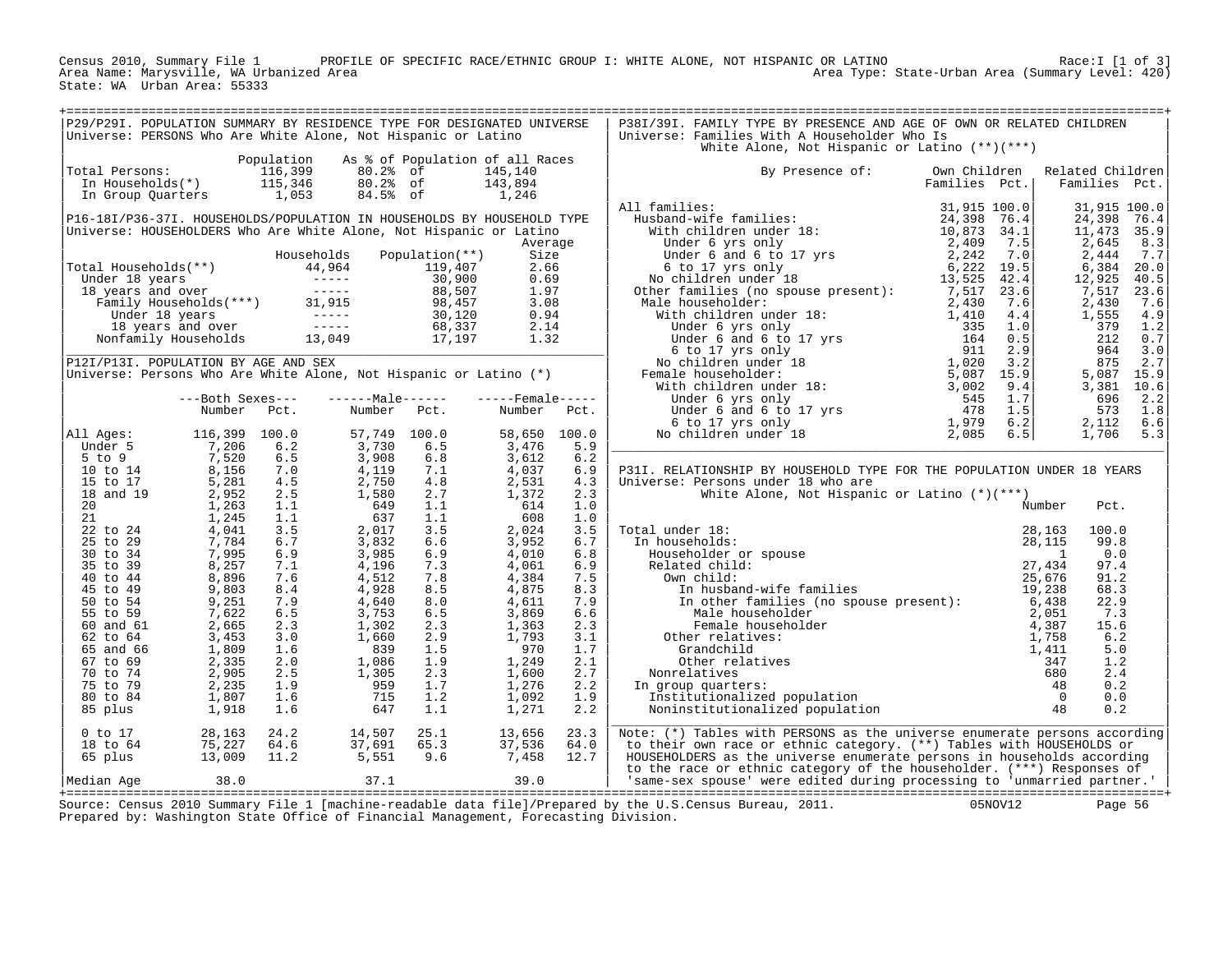Census 2010, Summary File 1 PROFILE OF SPECIFIC RACE/ETHNIC GROUP I: WHITE ALONE, NOT HISPANIC OR LATINO Race:I [1 of 3] Area Name: Marysville, WA Urbanized Area Area Type: State-Urban Area (Summary Level: 420) State: WA Urban Area: 55333

| P29/P29I. POPULATION SUMMARY BY RESIDENCE TYPE FOR DESIGNATED UNIVERSE<br>P38I/39I. FAMILY TYPE BY PRESENCE AND AGE OF OWN OR RELATED CHILDREN<br>Universe: PERSONS Who Are White Alone, Not Hispanic or Latino<br>Universe: Families With A Householder Who Is<br>White Alone, Not Hispanic or Latino (**)(***)<br>Population As % of Population of all Races<br>Population As * of Population of all n<br>Total Persons: 116,399 80.2% of 145,140<br>In Households(*) 115,346 80.2% of 143,894<br>In Group Quarters 1,053 84.5% of 1,246<br>By Presence of: Own Children Related Children<br>Families Pct.   Families Pct.<br>All Ages: 16, 39 100.0<br>Under 5 1, 206 6.2 57, 749 100.0 58, 650 100.0<br>5 to 9<br>10 to 14 8, 156 7.0 4, 119 7.1 4, 037 6.5<br>10 to 14 8, 156 7.0 4, 119 7.1 4, 037 6.9<br>15 to 17 8, 281 4.5 2, 750 4.8 2, 531 4.3<br>18 and 19 2,<br>P31I. RELATIONSHIP BY HOUSEHOLD TYPE FOR THE POPULATION UNDER 18 YEARS<br>Universe: Persons under 18 who are<br>White Alone, Not Hispanic or Latino $(*)(***)$<br>Number<br>Pct.<br>$\begin{tabular}{llllllllll} 1.0 & Number \\ 1.0 & Number \\ 3.5 & Total under 18: & 28,163 \\ 6.7 & In households: & 28,115 \\ 6.8 & Householder or spouse & 28,115 \\ 6.9 & Related child: & 27,434 \\ 7.5 & Own child: & 27,434 \\ 7.5 & Own child: & 25,676 \\ 8.3 & In husband-wife families & 19,238 \\ 6.6 & Male householder & 19,238 \\ 6.6 & Male householder & 2,051 \\ 2.3 & Female householder & 2,051 \\ 3.1 & Other relatives: & 4,387 \\ 1.$<br>100.0<br>99.8<br>0.0<br>97.4<br>91.2<br>68.3<br>22.9<br>7.3<br>15.6<br>6.2<br>5.0<br>1.2<br>2.4<br>0.2<br>0.0<br>0.2<br>$\begin{array}{cccc} 24.2 & 14.507 & 25.1 & 13.656 \\ 64.6 & 37.691 & 65.3 & 37.536 \\ 11.2 & 5.551 & 9.6 & 7.458 \\ 37.1 & 39.0 \end{array}$<br>0 to 17<br>18 to 64<br>65 plus<br>13,009<br>23.3<br>Note: (*) Tables with PERSONS as the universe enumerate persons according<br>64.0<br>to their own race or ethnic category. (**) Tables with HOUSEHOLDS or<br>12.7<br>HOUSEHOLDERS as the universe enumerate persons in households according<br>to the race or ethnic category of the householder. (***) Responses of<br>to the race or ethnic category of the nonsendance. (e) the race of the same-sex spouse' were edited during processing to 'unmarried partner.'<br>Median Age 38.0<br>05NOV12<br>Page 56<br>Prepared by: Washington State Office of Financial Management, Forecasting Division. |  |  |  |  |  |  |
|---------------------------------------------------------------------------------------------------------------------------------------------------------------------------------------------------------------------------------------------------------------------------------------------------------------------------------------------------------------------------------------------------------------------------------------------------------------------------------------------------------------------------------------------------------------------------------------------------------------------------------------------------------------------------------------------------------------------------------------------------------------------------------------------------------------------------------------------------------------------------------------------------------------------------------------------------------------------------------------------------------------------------------------------------------------------------------------------------------------------------------------------------------------------------------------------------------------------------------------------------------------------------------------------------------------------------------------------------------------------------------------------------------------------------------------------------------------------------------------------------------------------------------------------------------------------------------------------------------------------------------------------------------------------------------------------------------------------------------------------------------------------------------------------------------------------------------------------------------------------------------------------------------------------------------------------------------------------------------------------------------------------------------------------------------------------------------------------------------------------------------------------------------------------------------------------------------------------------------------------------------------------------------------------------------------------------------------------------------------------------------------------------------------------------------------------------------------------|--|--|--|--|--|--|
|                                                                                                                                                                                                                                                                                                                                                                                                                                                                                                                                                                                                                                                                                                                                                                                                                                                                                                                                                                                                                                                                                                                                                                                                                                                                                                                                                                                                                                                                                                                                                                                                                                                                                                                                                                                                                                                                                                                                                                                                                                                                                                                                                                                                                                                                                                                                                                                                                                                                     |  |  |  |  |  |  |
|                                                                                                                                                                                                                                                                                                                                                                                                                                                                                                                                                                                                                                                                                                                                                                                                                                                                                                                                                                                                                                                                                                                                                                                                                                                                                                                                                                                                                                                                                                                                                                                                                                                                                                                                                                                                                                                                                                                                                                                                                                                                                                                                                                                                                                                                                                                                                                                                                                                                     |  |  |  |  |  |  |
|                                                                                                                                                                                                                                                                                                                                                                                                                                                                                                                                                                                                                                                                                                                                                                                                                                                                                                                                                                                                                                                                                                                                                                                                                                                                                                                                                                                                                                                                                                                                                                                                                                                                                                                                                                                                                                                                                                                                                                                                                                                                                                                                                                                                                                                                                                                                                                                                                                                                     |  |  |  |  |  |  |
|                                                                                                                                                                                                                                                                                                                                                                                                                                                                                                                                                                                                                                                                                                                                                                                                                                                                                                                                                                                                                                                                                                                                                                                                                                                                                                                                                                                                                                                                                                                                                                                                                                                                                                                                                                                                                                                                                                                                                                                                                                                                                                                                                                                                                                                                                                                                                                                                                                                                     |  |  |  |  |  |  |
|                                                                                                                                                                                                                                                                                                                                                                                                                                                                                                                                                                                                                                                                                                                                                                                                                                                                                                                                                                                                                                                                                                                                                                                                                                                                                                                                                                                                                                                                                                                                                                                                                                                                                                                                                                                                                                                                                                                                                                                                                                                                                                                                                                                                                                                                                                                                                                                                                                                                     |  |  |  |  |  |  |
|                                                                                                                                                                                                                                                                                                                                                                                                                                                                                                                                                                                                                                                                                                                                                                                                                                                                                                                                                                                                                                                                                                                                                                                                                                                                                                                                                                                                                                                                                                                                                                                                                                                                                                                                                                                                                                                                                                                                                                                                                                                                                                                                                                                                                                                                                                                                                                                                                                                                     |  |  |  |  |  |  |
|                                                                                                                                                                                                                                                                                                                                                                                                                                                                                                                                                                                                                                                                                                                                                                                                                                                                                                                                                                                                                                                                                                                                                                                                                                                                                                                                                                                                                                                                                                                                                                                                                                                                                                                                                                                                                                                                                                                                                                                                                                                                                                                                                                                                                                                                                                                                                                                                                                                                     |  |  |  |  |  |  |
|                                                                                                                                                                                                                                                                                                                                                                                                                                                                                                                                                                                                                                                                                                                                                                                                                                                                                                                                                                                                                                                                                                                                                                                                                                                                                                                                                                                                                                                                                                                                                                                                                                                                                                                                                                                                                                                                                                                                                                                                                                                                                                                                                                                                                                                                                                                                                                                                                                                                     |  |  |  |  |  |  |
|                                                                                                                                                                                                                                                                                                                                                                                                                                                                                                                                                                                                                                                                                                                                                                                                                                                                                                                                                                                                                                                                                                                                                                                                                                                                                                                                                                                                                                                                                                                                                                                                                                                                                                                                                                                                                                                                                                                                                                                                                                                                                                                                                                                                                                                                                                                                                                                                                                                                     |  |  |  |  |  |  |
|                                                                                                                                                                                                                                                                                                                                                                                                                                                                                                                                                                                                                                                                                                                                                                                                                                                                                                                                                                                                                                                                                                                                                                                                                                                                                                                                                                                                                                                                                                                                                                                                                                                                                                                                                                                                                                                                                                                                                                                                                                                                                                                                                                                                                                                                                                                                                                                                                                                                     |  |  |  |  |  |  |
|                                                                                                                                                                                                                                                                                                                                                                                                                                                                                                                                                                                                                                                                                                                                                                                                                                                                                                                                                                                                                                                                                                                                                                                                                                                                                                                                                                                                                                                                                                                                                                                                                                                                                                                                                                                                                                                                                                                                                                                                                                                                                                                                                                                                                                                                                                                                                                                                                                                                     |  |  |  |  |  |  |
|                                                                                                                                                                                                                                                                                                                                                                                                                                                                                                                                                                                                                                                                                                                                                                                                                                                                                                                                                                                                                                                                                                                                                                                                                                                                                                                                                                                                                                                                                                                                                                                                                                                                                                                                                                                                                                                                                                                                                                                                                                                                                                                                                                                                                                                                                                                                                                                                                                                                     |  |  |  |  |  |  |
|                                                                                                                                                                                                                                                                                                                                                                                                                                                                                                                                                                                                                                                                                                                                                                                                                                                                                                                                                                                                                                                                                                                                                                                                                                                                                                                                                                                                                                                                                                                                                                                                                                                                                                                                                                                                                                                                                                                                                                                                                                                                                                                                                                                                                                                                                                                                                                                                                                                                     |  |  |  |  |  |  |
|                                                                                                                                                                                                                                                                                                                                                                                                                                                                                                                                                                                                                                                                                                                                                                                                                                                                                                                                                                                                                                                                                                                                                                                                                                                                                                                                                                                                                                                                                                                                                                                                                                                                                                                                                                                                                                                                                                                                                                                                                                                                                                                                                                                                                                                                                                                                                                                                                                                                     |  |  |  |  |  |  |
|                                                                                                                                                                                                                                                                                                                                                                                                                                                                                                                                                                                                                                                                                                                                                                                                                                                                                                                                                                                                                                                                                                                                                                                                                                                                                                                                                                                                                                                                                                                                                                                                                                                                                                                                                                                                                                                                                                                                                                                                                                                                                                                                                                                                                                                                                                                                                                                                                                                                     |  |  |  |  |  |  |
|                                                                                                                                                                                                                                                                                                                                                                                                                                                                                                                                                                                                                                                                                                                                                                                                                                                                                                                                                                                                                                                                                                                                                                                                                                                                                                                                                                                                                                                                                                                                                                                                                                                                                                                                                                                                                                                                                                                                                                                                                                                                                                                                                                                                                                                                                                                                                                                                                                                                     |  |  |  |  |  |  |
|                                                                                                                                                                                                                                                                                                                                                                                                                                                                                                                                                                                                                                                                                                                                                                                                                                                                                                                                                                                                                                                                                                                                                                                                                                                                                                                                                                                                                                                                                                                                                                                                                                                                                                                                                                                                                                                                                                                                                                                                                                                                                                                                                                                                                                                                                                                                                                                                                                                                     |  |  |  |  |  |  |
|                                                                                                                                                                                                                                                                                                                                                                                                                                                                                                                                                                                                                                                                                                                                                                                                                                                                                                                                                                                                                                                                                                                                                                                                                                                                                                                                                                                                                                                                                                                                                                                                                                                                                                                                                                                                                                                                                                                                                                                                                                                                                                                                                                                                                                                                                                                                                                                                                                                                     |  |  |  |  |  |  |
|                                                                                                                                                                                                                                                                                                                                                                                                                                                                                                                                                                                                                                                                                                                                                                                                                                                                                                                                                                                                                                                                                                                                                                                                                                                                                                                                                                                                                                                                                                                                                                                                                                                                                                                                                                                                                                                                                                                                                                                                                                                                                                                                                                                                                                                                                                                                                                                                                                                                     |  |  |  |  |  |  |
|                                                                                                                                                                                                                                                                                                                                                                                                                                                                                                                                                                                                                                                                                                                                                                                                                                                                                                                                                                                                                                                                                                                                                                                                                                                                                                                                                                                                                                                                                                                                                                                                                                                                                                                                                                                                                                                                                                                                                                                                                                                                                                                                                                                                                                                                                                                                                                                                                                                                     |  |  |  |  |  |  |
|                                                                                                                                                                                                                                                                                                                                                                                                                                                                                                                                                                                                                                                                                                                                                                                                                                                                                                                                                                                                                                                                                                                                                                                                                                                                                                                                                                                                                                                                                                                                                                                                                                                                                                                                                                                                                                                                                                                                                                                                                                                                                                                                                                                                                                                                                                                                                                                                                                                                     |  |  |  |  |  |  |
|                                                                                                                                                                                                                                                                                                                                                                                                                                                                                                                                                                                                                                                                                                                                                                                                                                                                                                                                                                                                                                                                                                                                                                                                                                                                                                                                                                                                                                                                                                                                                                                                                                                                                                                                                                                                                                                                                                                                                                                                                                                                                                                                                                                                                                                                                                                                                                                                                                                                     |  |  |  |  |  |  |
|                                                                                                                                                                                                                                                                                                                                                                                                                                                                                                                                                                                                                                                                                                                                                                                                                                                                                                                                                                                                                                                                                                                                                                                                                                                                                                                                                                                                                                                                                                                                                                                                                                                                                                                                                                                                                                                                                                                                                                                                                                                                                                                                                                                                                                                                                                                                                                                                                                                                     |  |  |  |  |  |  |
|                                                                                                                                                                                                                                                                                                                                                                                                                                                                                                                                                                                                                                                                                                                                                                                                                                                                                                                                                                                                                                                                                                                                                                                                                                                                                                                                                                                                                                                                                                                                                                                                                                                                                                                                                                                                                                                                                                                                                                                                                                                                                                                                                                                                                                                                                                                                                                                                                                                                     |  |  |  |  |  |  |
|                                                                                                                                                                                                                                                                                                                                                                                                                                                                                                                                                                                                                                                                                                                                                                                                                                                                                                                                                                                                                                                                                                                                                                                                                                                                                                                                                                                                                                                                                                                                                                                                                                                                                                                                                                                                                                                                                                                                                                                                                                                                                                                                                                                                                                                                                                                                                                                                                                                                     |  |  |  |  |  |  |
|                                                                                                                                                                                                                                                                                                                                                                                                                                                                                                                                                                                                                                                                                                                                                                                                                                                                                                                                                                                                                                                                                                                                                                                                                                                                                                                                                                                                                                                                                                                                                                                                                                                                                                                                                                                                                                                                                                                                                                                                                                                                                                                                                                                                                                                                                                                                                                                                                                                                     |  |  |  |  |  |  |
|                                                                                                                                                                                                                                                                                                                                                                                                                                                                                                                                                                                                                                                                                                                                                                                                                                                                                                                                                                                                                                                                                                                                                                                                                                                                                                                                                                                                                                                                                                                                                                                                                                                                                                                                                                                                                                                                                                                                                                                                                                                                                                                                                                                                                                                                                                                                                                                                                                                                     |  |  |  |  |  |  |
|                                                                                                                                                                                                                                                                                                                                                                                                                                                                                                                                                                                                                                                                                                                                                                                                                                                                                                                                                                                                                                                                                                                                                                                                                                                                                                                                                                                                                                                                                                                                                                                                                                                                                                                                                                                                                                                                                                                                                                                                                                                                                                                                                                                                                                                                                                                                                                                                                                                                     |  |  |  |  |  |  |
|                                                                                                                                                                                                                                                                                                                                                                                                                                                                                                                                                                                                                                                                                                                                                                                                                                                                                                                                                                                                                                                                                                                                                                                                                                                                                                                                                                                                                                                                                                                                                                                                                                                                                                                                                                                                                                                                                                                                                                                                                                                                                                                                                                                                                                                                                                                                                                                                                                                                     |  |  |  |  |  |  |
|                                                                                                                                                                                                                                                                                                                                                                                                                                                                                                                                                                                                                                                                                                                                                                                                                                                                                                                                                                                                                                                                                                                                                                                                                                                                                                                                                                                                                                                                                                                                                                                                                                                                                                                                                                                                                                                                                                                                                                                                                                                                                                                                                                                                                                                                                                                                                                                                                                                                     |  |  |  |  |  |  |
|                                                                                                                                                                                                                                                                                                                                                                                                                                                                                                                                                                                                                                                                                                                                                                                                                                                                                                                                                                                                                                                                                                                                                                                                                                                                                                                                                                                                                                                                                                                                                                                                                                                                                                                                                                                                                                                                                                                                                                                                                                                                                                                                                                                                                                                                                                                                                                                                                                                                     |  |  |  |  |  |  |
|                                                                                                                                                                                                                                                                                                                                                                                                                                                                                                                                                                                                                                                                                                                                                                                                                                                                                                                                                                                                                                                                                                                                                                                                                                                                                                                                                                                                                                                                                                                                                                                                                                                                                                                                                                                                                                                                                                                                                                                                                                                                                                                                                                                                                                                                                                                                                                                                                                                                     |  |  |  |  |  |  |
|                                                                                                                                                                                                                                                                                                                                                                                                                                                                                                                                                                                                                                                                                                                                                                                                                                                                                                                                                                                                                                                                                                                                                                                                                                                                                                                                                                                                                                                                                                                                                                                                                                                                                                                                                                                                                                                                                                                                                                                                                                                                                                                                                                                                                                                                                                                                                                                                                                                                     |  |  |  |  |  |  |
|                                                                                                                                                                                                                                                                                                                                                                                                                                                                                                                                                                                                                                                                                                                                                                                                                                                                                                                                                                                                                                                                                                                                                                                                                                                                                                                                                                                                                                                                                                                                                                                                                                                                                                                                                                                                                                                                                                                                                                                                                                                                                                                                                                                                                                                                                                                                                                                                                                                                     |  |  |  |  |  |  |
|                                                                                                                                                                                                                                                                                                                                                                                                                                                                                                                                                                                                                                                                                                                                                                                                                                                                                                                                                                                                                                                                                                                                                                                                                                                                                                                                                                                                                                                                                                                                                                                                                                                                                                                                                                                                                                                                                                                                                                                                                                                                                                                                                                                                                                                                                                                                                                                                                                                                     |  |  |  |  |  |  |
|                                                                                                                                                                                                                                                                                                                                                                                                                                                                                                                                                                                                                                                                                                                                                                                                                                                                                                                                                                                                                                                                                                                                                                                                                                                                                                                                                                                                                                                                                                                                                                                                                                                                                                                                                                                                                                                                                                                                                                                                                                                                                                                                                                                                                                                                                                                                                                                                                                                                     |  |  |  |  |  |  |
|                                                                                                                                                                                                                                                                                                                                                                                                                                                                                                                                                                                                                                                                                                                                                                                                                                                                                                                                                                                                                                                                                                                                                                                                                                                                                                                                                                                                                                                                                                                                                                                                                                                                                                                                                                                                                                                                                                                                                                                                                                                                                                                                                                                                                                                                                                                                                                                                                                                                     |  |  |  |  |  |  |
|                                                                                                                                                                                                                                                                                                                                                                                                                                                                                                                                                                                                                                                                                                                                                                                                                                                                                                                                                                                                                                                                                                                                                                                                                                                                                                                                                                                                                                                                                                                                                                                                                                                                                                                                                                                                                                                                                                                                                                                                                                                                                                                                                                                                                                                                                                                                                                                                                                                                     |  |  |  |  |  |  |
|                                                                                                                                                                                                                                                                                                                                                                                                                                                                                                                                                                                                                                                                                                                                                                                                                                                                                                                                                                                                                                                                                                                                                                                                                                                                                                                                                                                                                                                                                                                                                                                                                                                                                                                                                                                                                                                                                                                                                                                                                                                                                                                                                                                                                                                                                                                                                                                                                                                                     |  |  |  |  |  |  |
|                                                                                                                                                                                                                                                                                                                                                                                                                                                                                                                                                                                                                                                                                                                                                                                                                                                                                                                                                                                                                                                                                                                                                                                                                                                                                                                                                                                                                                                                                                                                                                                                                                                                                                                                                                                                                                                                                                                                                                                                                                                                                                                                                                                                                                                                                                                                                                                                                                                                     |  |  |  |  |  |  |
|                                                                                                                                                                                                                                                                                                                                                                                                                                                                                                                                                                                                                                                                                                                                                                                                                                                                                                                                                                                                                                                                                                                                                                                                                                                                                                                                                                                                                                                                                                                                                                                                                                                                                                                                                                                                                                                                                                                                                                                                                                                                                                                                                                                                                                                                                                                                                                                                                                                                     |  |  |  |  |  |  |
|                                                                                                                                                                                                                                                                                                                                                                                                                                                                                                                                                                                                                                                                                                                                                                                                                                                                                                                                                                                                                                                                                                                                                                                                                                                                                                                                                                                                                                                                                                                                                                                                                                                                                                                                                                                                                                                                                                                                                                                                                                                                                                                                                                                                                                                                                                                                                                                                                                                                     |  |  |  |  |  |  |
|                                                                                                                                                                                                                                                                                                                                                                                                                                                                                                                                                                                                                                                                                                                                                                                                                                                                                                                                                                                                                                                                                                                                                                                                                                                                                                                                                                                                                                                                                                                                                                                                                                                                                                                                                                                                                                                                                                                                                                                                                                                                                                                                                                                                                                                                                                                                                                                                                                                                     |  |  |  |  |  |  |
|                                                                                                                                                                                                                                                                                                                                                                                                                                                                                                                                                                                                                                                                                                                                                                                                                                                                                                                                                                                                                                                                                                                                                                                                                                                                                                                                                                                                                                                                                                                                                                                                                                                                                                                                                                                                                                                                                                                                                                                                                                                                                                                                                                                                                                                                                                                                                                                                                                                                     |  |  |  |  |  |  |
|                                                                                                                                                                                                                                                                                                                                                                                                                                                                                                                                                                                                                                                                                                                                                                                                                                                                                                                                                                                                                                                                                                                                                                                                                                                                                                                                                                                                                                                                                                                                                                                                                                                                                                                                                                                                                                                                                                                                                                                                                                                                                                                                                                                                                                                                                                                                                                                                                                                                     |  |  |  |  |  |  |
|                                                                                                                                                                                                                                                                                                                                                                                                                                                                                                                                                                                                                                                                                                                                                                                                                                                                                                                                                                                                                                                                                                                                                                                                                                                                                                                                                                                                                                                                                                                                                                                                                                                                                                                                                                                                                                                                                                                                                                                                                                                                                                                                                                                                                                                                                                                                                                                                                                                                     |  |  |  |  |  |  |
|                                                                                                                                                                                                                                                                                                                                                                                                                                                                                                                                                                                                                                                                                                                                                                                                                                                                                                                                                                                                                                                                                                                                                                                                                                                                                                                                                                                                                                                                                                                                                                                                                                                                                                                                                                                                                                                                                                                                                                                                                                                                                                                                                                                                                                                                                                                                                                                                                                                                     |  |  |  |  |  |  |
|                                                                                                                                                                                                                                                                                                                                                                                                                                                                                                                                                                                                                                                                                                                                                                                                                                                                                                                                                                                                                                                                                                                                                                                                                                                                                                                                                                                                                                                                                                                                                                                                                                                                                                                                                                                                                                                                                                                                                                                                                                                                                                                                                                                                                                                                                                                                                                                                                                                                     |  |  |  |  |  |  |
|                                                                                                                                                                                                                                                                                                                                                                                                                                                                                                                                                                                                                                                                                                                                                                                                                                                                                                                                                                                                                                                                                                                                                                                                                                                                                                                                                                                                                                                                                                                                                                                                                                                                                                                                                                                                                                                                                                                                                                                                                                                                                                                                                                                                                                                                                                                                                                                                                                                                     |  |  |  |  |  |  |
|                                                                                                                                                                                                                                                                                                                                                                                                                                                                                                                                                                                                                                                                                                                                                                                                                                                                                                                                                                                                                                                                                                                                                                                                                                                                                                                                                                                                                                                                                                                                                                                                                                                                                                                                                                                                                                                                                                                                                                                                                                                                                                                                                                                                                                                                                                                                                                                                                                                                     |  |  |  |  |  |  |
|                                                                                                                                                                                                                                                                                                                                                                                                                                                                                                                                                                                                                                                                                                                                                                                                                                                                                                                                                                                                                                                                                                                                                                                                                                                                                                                                                                                                                                                                                                                                                                                                                                                                                                                                                                                                                                                                                                                                                                                                                                                                                                                                                                                                                                                                                                                                                                                                                                                                     |  |  |  |  |  |  |
|                                                                                                                                                                                                                                                                                                                                                                                                                                                                                                                                                                                                                                                                                                                                                                                                                                                                                                                                                                                                                                                                                                                                                                                                                                                                                                                                                                                                                                                                                                                                                                                                                                                                                                                                                                                                                                                                                                                                                                                                                                                                                                                                                                                                                                                                                                                                                                                                                                                                     |  |  |  |  |  |  |
|                                                                                                                                                                                                                                                                                                                                                                                                                                                                                                                                                                                                                                                                                                                                                                                                                                                                                                                                                                                                                                                                                                                                                                                                                                                                                                                                                                                                                                                                                                                                                                                                                                                                                                                                                                                                                                                                                                                                                                                                                                                                                                                                                                                                                                                                                                                                                                                                                                                                     |  |  |  |  |  |  |
|                                                                                                                                                                                                                                                                                                                                                                                                                                                                                                                                                                                                                                                                                                                                                                                                                                                                                                                                                                                                                                                                                                                                                                                                                                                                                                                                                                                                                                                                                                                                                                                                                                                                                                                                                                                                                                                                                                                                                                                                                                                                                                                                                                                                                                                                                                                                                                                                                                                                     |  |  |  |  |  |  |
|                                                                                                                                                                                                                                                                                                                                                                                                                                                                                                                                                                                                                                                                                                                                                                                                                                                                                                                                                                                                                                                                                                                                                                                                                                                                                                                                                                                                                                                                                                                                                                                                                                                                                                                                                                                                                                                                                                                                                                                                                                                                                                                                                                                                                                                                                                                                                                                                                                                                     |  |  |  |  |  |  |
|                                                                                                                                                                                                                                                                                                                                                                                                                                                                                                                                                                                                                                                                                                                                                                                                                                                                                                                                                                                                                                                                                                                                                                                                                                                                                                                                                                                                                                                                                                                                                                                                                                                                                                                                                                                                                                                                                                                                                                                                                                                                                                                                                                                                                                                                                                                                                                                                                                                                     |  |  |  |  |  |  |
|                                                                                                                                                                                                                                                                                                                                                                                                                                                                                                                                                                                                                                                                                                                                                                                                                                                                                                                                                                                                                                                                                                                                                                                                                                                                                                                                                                                                                                                                                                                                                                                                                                                                                                                                                                                                                                                                                                                                                                                                                                                                                                                                                                                                                                                                                                                                                                                                                                                                     |  |  |  |  |  |  |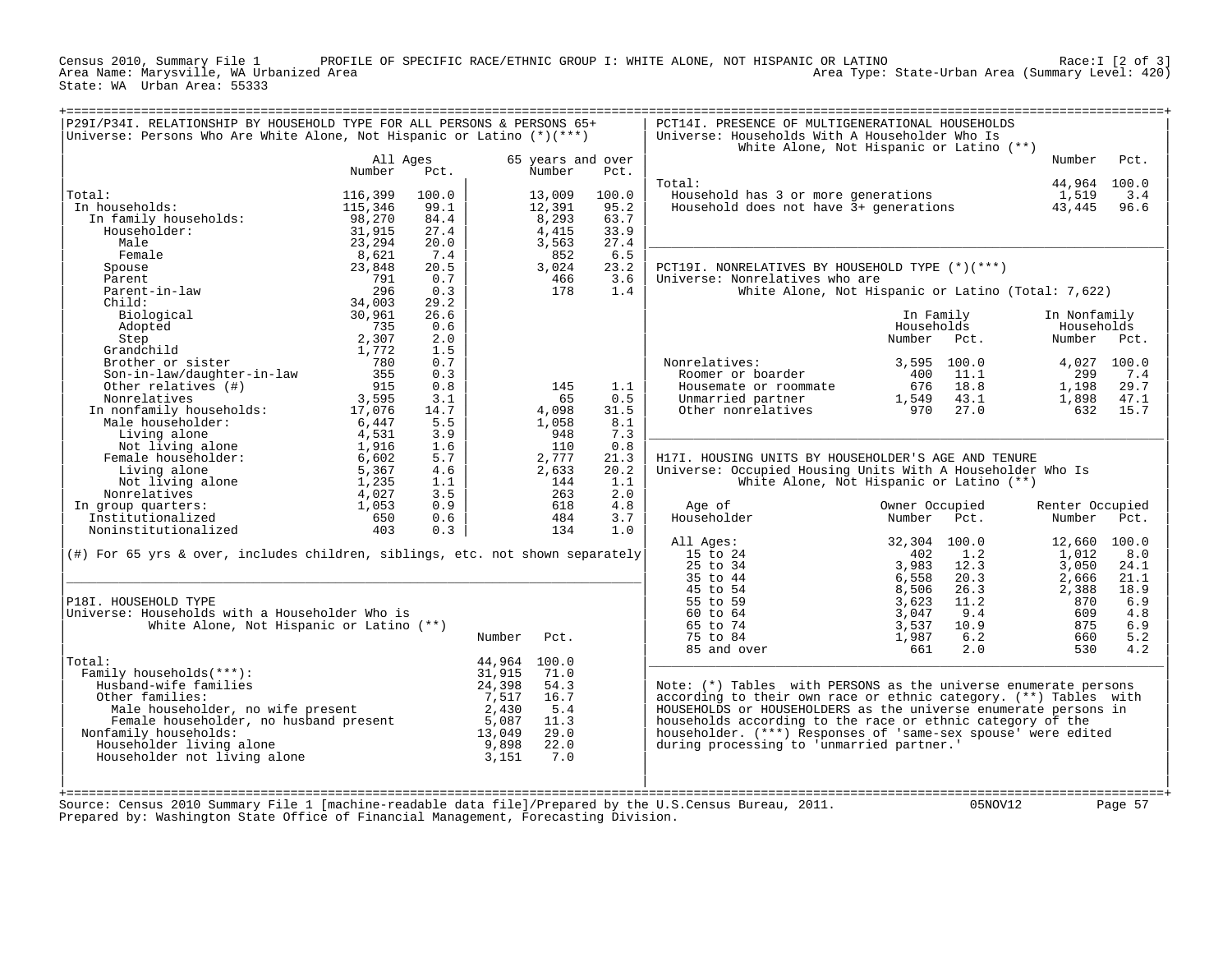PROFILE OF SPECIFIC RACE/ETHNIC GROUP I: WHITE ALONE, NOT HISPANIC OR LATINO Area Name: Marysville, WA Urbanized Area Area Type: State-Urban Area (Summary Level: 420) Census 2010, Summary File 1 PROFIL<br>Area Name: Marysville, WA Urbanized Area<br>State: WA Urban Area: 55333

|                                                                                  |                    |       |              |                             |       |                                                                   | White Alone, Not Hispanic or Latino (**)           |                 |             |
|----------------------------------------------------------------------------------|--------------------|-------|--------------|-----------------------------|-------|-------------------------------------------------------------------|----------------------------------------------------|-----------------|-------------|
|                                                                                  | All Ages<br>Number | Pct.  |              | 65 years and over<br>Number | Pct.  |                                                                   |                                                    | Number          | Pct.        |
|                                                                                  |                    |       |              |                             |       | Total:                                                            |                                                    | 44,964 100.0    |             |
| Total:                                                                           | 116,399            | 100.0 |              | 13,009                      | 100.0 | Household has 3 or more generations                               |                                                    | 1,519           | 3.4         |
| In households:                                                                   | 115,346            | 99.1  |              | 12,391                      | 95.2  | Household does not have 3+ generations                            |                                                    | 43,445          | 96.6        |
| In family households:                                                            | 98,270             | 84.4  |              | 8,293                       | 63.7  |                                                                   |                                                    |                 |             |
| Householder:                                                                     | 31,915             | 27.4  |              | 4,415                       | 33.9  |                                                                   |                                                    |                 |             |
| Male                                                                             | 23,294             | 20.0  |              | 3,563                       | 27.4  |                                                                   |                                                    |                 |             |
| Female                                                                           | 8,621              | 7.4   |              | 852                         | 6.5   |                                                                   |                                                    |                 |             |
| Spouse                                                                           | 23,848             | 20.5  |              | 3,024                       | 23.2  | PCT19I. NONRELATIVES BY HOUSEHOLD TYPE (*)(***)                   |                                                    |                 |             |
| Parent                                                                           | 791                | 0.7   |              | 466                         | 3.6   | Universe: Nonrelatives who are                                    |                                                    |                 |             |
| Parent-in-law                                                                    | 296                | 0.3   |              | 178                         | 1.4   |                                                                   | White Alone, Not Hispanic or Latino (Total: 7,622) |                 |             |
| Child:                                                                           | 34,003             | 29.2  |              |                             |       |                                                                   |                                                    |                 |             |
| Biological                                                                       | 30,961             | 26.6  |              |                             |       |                                                                   | In Family                                          | In Nonfamily    |             |
| Adopted                                                                          | 735                | 0.6   |              |                             |       |                                                                   | Households                                         | Households      |             |
| Step                                                                             | 2,307              | 2.0   |              |                             |       |                                                                   | Number Pct.                                        | Number Pct.     |             |
| Grandchild                                                                       | 1,772              | 1.5   |              |                             |       |                                                                   |                                                    |                 |             |
| Brother or sister                                                                | 780                | 0.7   |              |                             |       | Nonrelatives:                                                     | 3,595<br>100.0                                     |                 | 4,027 100.0 |
| Son-in-law/daughter-in-law                                                       | 355                | 0.3   |              |                             |       | Roomer or boarder                                                 | 400<br>11.1                                        | 299             | 7.4         |
| Other relatives (#)                                                              | 915                | 0.8   |              | 145                         | 1.1   | Housemate or roommate                                             | 676<br>18.8                                        | 1,198           | 29.7        |
| Nonrelatives                                                                     | 3,595              | 3.1   |              | 65                          | 0.5   | Unmarried partner                                                 | 1,549<br>43.1                                      | 1,898           | 47.1        |
| In nonfamily households:                                                         | 17,076             | 14.7  |              | 4,098                       | 31.5  | Other nonrelatives                                                | 970<br>27.0                                        | 632             | 15.7        |
| Male householder:                                                                | 6,447              | 5.5   |              | 1,058                       | 8.1   |                                                                   |                                                    |                 |             |
| Living alone                                                                     | 4,531              | 3.9   |              | 948                         | 7.3   |                                                                   |                                                    |                 |             |
| Not living alone                                                                 | 1,916              | 1.6   |              | 110                         | 0.8   |                                                                   |                                                    |                 |             |
| Female householder:                                                              | 6,602              | 5.7   |              | 2,777                       | 21.3  | H17I. HOUSING UNITS BY HOUSEHOLDER'S AGE AND TENURE               |                                                    |                 |             |
| Living alone                                                                     | 5,367              | 4.6   |              | 2,633                       | 20.2  | Universe: Occupied Housing Units With A Householder Who Is        |                                                    |                 |             |
| Not living alone                                                                 | 1,235              | 1.1   |              | 144                         | 1.1   |                                                                   | White Alone, Not Hispanic or Latino (**)           |                 |             |
| Nonrelatives                                                                     | 4,027              | 3.5   |              | 263                         | 2.0   |                                                                   |                                                    |                 |             |
| In group quarters:                                                               | 1,053              | 0.9   |              | 618                         | 4.8   | Age of                                                            | Owner Occupied                                     | Renter Occupied |             |
| Institutionalized                                                                | 650                | 0.6   |              | 484                         | 3.7   | Householder                                                       | Number<br>Pct.                                     | Number          | Pct.        |
| Noninstitutionalized                                                             | 403                | 0.3   |              | 134                         | 1.0   |                                                                   |                                                    |                 |             |
|                                                                                  |                    |       |              |                             |       | All Ages:                                                         | 32,304 100.0                                       | 12,660 100.0    |             |
| $(\#)$ For 65 yrs & over, includes children, siblings, etc. not shown separately |                    |       |              |                             |       | 15 to 24                                                          | 402<br>1.2                                         | 1,012           | 8.0         |
|                                                                                  |                    |       |              |                             |       | 25 to 34                                                          | 3,983<br>12.3                                      | 3,050           | 24.1        |
|                                                                                  |                    |       |              |                             |       | 35 to 44                                                          | 20.3<br>6,558                                      | 2,666           | 21.1        |
|                                                                                  |                    |       |              |                             |       | 45 to 54                                                          | 8,506<br>26.3                                      | 2,388           | 18.9        |
| P18I. HOUSEHOLD TYPE                                                             |                    |       |              |                             |       | 55 to 59                                                          | 3,623<br>11.2                                      | 870             | 6.9         |
| Universe: Households with a Householder Who is                                   |                    |       |              |                             |       | 60 to 64                                                          | 3,047<br>9.4                                       | 609             | 4.8         |
| White Alone, Not Hispanic or Latino (**)                                         |                    |       |              |                             |       | 65 to 74                                                          | 10.9<br>3,537                                      | 875             | 6.9         |
|                                                                                  |                    |       | Number       | Pct.                        |       | 75 to 84                                                          | 6.2<br>1,987                                       | 660             | 5.2         |
|                                                                                  |                    |       |              |                             |       | 85 and over                                                       | 661<br>2.0                                         | 530             | 4.2         |
| Total:                                                                           |                    |       | 44,964 100.0 |                             |       |                                                                   |                                                    |                 |             |
| Family households(***):                                                          |                    |       | 31,915       | 71.0                        |       |                                                                   |                                                    |                 |             |
| Husband-wife families                                                            |                    |       | 24,398       | 54.3                        |       | Note: $(*)$ Tables with PERSONS as the universe enumerate persons |                                                    |                 |             |
| Other families:                                                                  |                    |       | 7,517        | 16.7                        |       | according to their own race or ethnic category. (**) Tables with  |                                                    |                 |             |
| Male householder, no wife present                                                |                    |       | 2,430        | 5.4                         |       | HOUSEHOLDS or HOUSEHOLDERS as the universe enumerate persons in   |                                                    |                 |             |
| Female householder, no husband present                                           |                    |       | 5,087        | 11.3                        |       | households according to the race or ethnic category of the        |                                                    |                 |             |
| Nonfamily households:                                                            |                    |       | 13,049       | 29.0                        |       | householder. (***) Responses of 'same-sex spouse' were edited     |                                                    |                 |             |
| Householder living alone                                                         |                    |       | 9,898        | 22.0                        |       | during processing to 'unmarried partner.'                         |                                                    |                 |             |
| Householder not living alone                                                     |                    |       | 3,151        | 7.0                         |       |                                                                   |                                                    |                 |             |
|                                                                                  |                    |       |              |                             |       |                                                                   |                                                    |                 |             |
|                                                                                  |                    |       |              |                             |       |                                                                   |                                                    |                 |             |